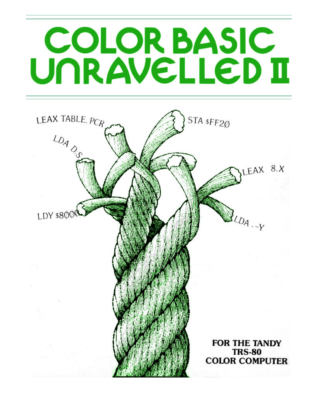# **COLOR BASIC** UNRAVELLED II

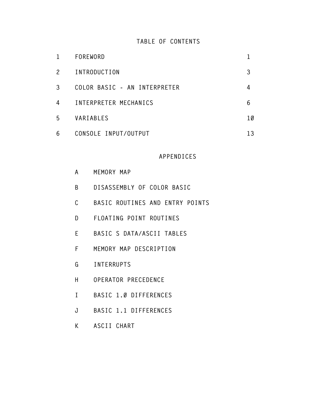# **TABLE OF CONTENTS**

| 1                     | FOREWORD                     |    |
|-----------------------|------------------------------|----|
| $\mathbf{2}^{\prime}$ | INTRODUCTION                 |    |
| 3                     | COLOR BASIC - AN INTERPRETER | 4  |
| 4                     | INTERPRETER MECHANICS        | 6  |
| 5                     | VARIABLES                    | 10 |
| 6                     | CONSOLE INPUT/OUTPUT         | 13 |

## **APPENDICES**

| A  | MEMORY MAP                      |
|----|---------------------------------|
| B  | DISASSEMBLY OF COLOR BASIC      |
| C  | BASIC ROUTINES AND ENTRY POINTS |
| D  | FLOATING POINT ROUTINES         |
| E. | BASIC S DATA/ASCII TABLES       |
| F  | MEMORY MAP DESCRIPTION          |
| G  | <b>INTERRUPTS</b>               |
| Н  | OPERATOR PRECEDENCE             |
| Τ  | BASIC 1.0 DIFFERENCES           |

- **J [BASIC 1.1 DIFFERENCES](#page-100-0)**
- **K [ASCII CHART](#page-105-0)**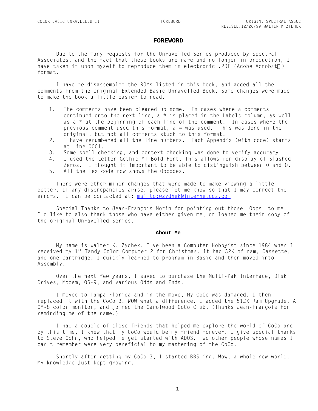#### **FOREWORD**

<span id="page-2-0"></span>Due to the many requests for the Unravelled Series produced by Spectral Associates, and the fact that these books are rare and no longer in production, I have taken it upon myself to reproduce them in electronic .PDF (Adobe Acrobat®) format.

I have re-disassembled the ROMs listed in this book, and added all the comments from the Original Extended Basic Unravelled Book. Some changes were made to make the book a little easier to read.

- 1. The comments have been cleaned up some. In cases where a comments continued onto the next line,  $a * is placed in the Labels column, as well$ as a  $*$  at the beginning of each line of the comment. In cases where the previous comment used this format,  $a = was used$ . This was done in the original, but not all comments stuck to this format.
- 2. I have renumbered all the line numbers. Each Appendix (with code) starts at Line 0001.
- 3. Some spell checking, and context checking was done to verify accuracy.
- 4. I used the Letter Gothic MT Bold Font. This allows for display of Slashed Zeros. I thought it important to be able to distinguish between 0 and O.
- 5. All the Hex code now shows the Opcodes.

There were other minor changes that were made to make viewing a little better. If any discrepancies arise, please let me know so that I may correct the errors. I can be contacted at: mailto:wzydhek@internetcds.com

Special Thanks to Jean-François Morin for pointing out those Oops to me. I d like to also thank those who have either given me, or loaned me their copy of the original Unravelled Series.

#### **About Me**

My name is Walter K. Zydhek. I ve been a Computer Hobbyist since 1984 when I received my 1st Tandy Color Computer 2 for Christmas. It had 32K of ram, Cassette, and one Cartridge. I quickly learned to program in Basic and then moved into Assembly.

Over the next few years, I saved to purchase the Multi-Pak Interface, Disk Drives, Modem, OS-9, and various Odds and Ends.

I moved to Tampa Florida and in the move, My CoCo was damaged. I then replaced it with the CoCo 3. WOW what a difference. I added the 512K Ram Upgrade, A CM-8 color monitor, and joined the Carolwood CoCo Club. (Thanks Jean-François for reminding me of the name.)

I had a couple of close friends that helped me explore the world of CoCo and by this time, I knew that my CoCo would be my friend forever. I give special thanks to Steve Cohn, who helped me get started with ADOS. Two other people whose names I can't remember were very beneficial to my mastering of the CoCo.

Shortly after getting my CoCo 3, I started BBS ing. Wow, a whole new world. My knowledge just kept growing.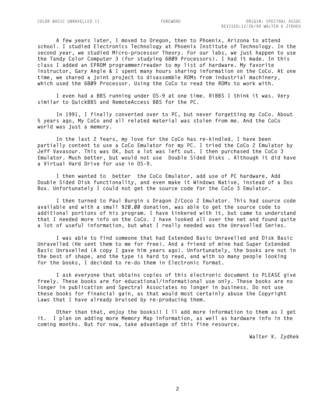**A few years later, I moved to Oregon, then to Phoenix, Arizona to attend school. I studied Electronics Technology at Phoenix Institute of Technology. In the second year, we studied Micro-processor Theory. For our labs, we just happen to use the Tandy Color Computer 3 (for studying 6809 Processors). I had it made. In this class I added an EPROM programmer/reader to my list of hardware. My favorite instructor, Gary Angle & I spent many hours sharing information on the CoCo. At one time, we shared a joint project to disassemble ROMs from industrial machinery, which used the 6809 Processor. Using the CoCo to read the ROMs to work with.**

**I even had a BBS running under OS-9 at one time. RiBBS I think it was. Very similar to QuickBBS and RemoteAccess BBS for the PC.**

**In 1991, I finally converted over to PC, but never forgetting my CoCo. About 5 years ago, My CoCo and all related material was stolen from me. And the CoCo world was just a memory.**

**In the last 2 Years, my love for the CoCo has re-kindled. I have been partially content to use a CoCo Emulator for my PC. I tried the CoCo 2 Emulator by Jeff Vavasour. This was OK, but a lot was left out. I then purchased the CoCo 3 Emulator. Much better, but would not use "Double Sided Disks". Although it did have a Virtual Hard Drive for use in OS-9.** 

**I then wanted to 'better' the CoCo Emulator, add use of PC hardware, Add Double Sided Disk functionality, and even make it Windows Native, instead of a Dos Box. Unfortunately I could not get the source code for the CoCo 3 Emulator.**

**I then turned to Paul Burgin's Dragon 2/Coco 2 Emulator. This had source code available and with a small \$20.00 donation, was able to get the source code to additional portions of his program. I have tinkered with it, but came to understand that I needed more info on the CoCo. I have looked all over the net and found quite a lot of useful information, but what I really needed was the Unravelled Series.**

**I was able to find someone that had Extended Basic Unravelled and Disk Basic Unravelled (He sent them to me for free). And a friend of mine had Super Extended Basic Unravelled (A copy I gave him years ago). Unfortunately, the books are not in the best of shape, and the type is hard to read, and with so many people looking for the books, I decided to re-do them in Electronic format.**

**I ask everyone that obtains copies of this electronic document to PLEASE give freely. These books are for educational/informational use only. These books are no longer in publication and Spectral Associates no longer in business. Do not use these books for financial gain, as that would most certainly abuse the Copyright Laws that I have already bruised by re-producing them.** 

**Other than that, enjoy the books!! I'll add more information to them as I get it. I plan on adding more Memory Map information, as well as hardware info in the coming months. But for now, take advantage of this fine resource.**

**Walter K. Zydhek**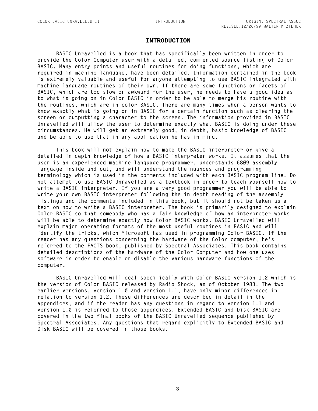#### **INTRODUCTION**

<span id="page-4-0"></span>**BASIC Unravelled is a book that has specifically been written in order to provide the Color Computer user with a detailed, commented source listing of Color BASIC. Many entry points and useful routines for doing functions, which are required in machine language, have been detailed. Information contained in the book is extremely valuable and useful for anyone attempting to use BASIC integrated with machine language routines of their own. If there are some functions or facets of BASIC, which are too slow or awkward for the user, he needs to have a good idea as to what is going on in Color BASIC in order to be able to merge his routine with the routines, which are in color BASIC. There are many times when a person wants to know exactly what is going on in BASIC for a certain function such as clearing the screen or outputting a character to the screen. The information provided in BASIC Unravelled will allow the user to determine exactly what BASIC is doing under these circumstances. He will get an extremely good, in depth, basic knowledge of BASIC and be able to use that in any application he has in mind.**

**This book will not explain how to make the BASIC interpreter or give a detailed in depth knowledge of how a BASIC interpreter works. It assumes that the user is an experienced machine language programmer, understands 6809 assembly language inside and out, and will understand the nuances and programming terminology which is used in the comments included with each BASIC program line. Do not attempt to use BASIC Unravelled as a textbook in order to teach yourself how to write a BASIC interpreter. If you are a very good programmer you will be able to write your own BASIC interpreter following the in depth reading of the assembly listings and the comments included in this book, but it should not be taken as a text on how to write a BASIC interpreter. The book is primarily designed to explain Color BASIC so that somebody who has a fair knowledge of how an interpreter works will be able to determine exactly how Color BASIC works. BASIC Unravelled will explain major operating formats of the most useful routines in BASIC and will identify the tricks, which Microsoft has used in programming Color BASIC. If the reader has any questions concerning the hardware of the Color computer, he's referred to the FACTS book, published by Spectral Associates. This book contains detailed descriptions of the hardware of the Color Computer and how one uses software in order to enable or disable the various hardware functions of the computer.**

**BASIC Unravelled will deal specifically with Color BASIC version 1.2 which is the version of Color BASIC released by Radio Shock, as of October 1983. The two earlier versions, version 1.0 and version 1.1, have only minor differences in relation to version 1.2. These differences are described in detail in the appendices, and if the reader has any questions in regard to version 1.1 and version 1.0 is referred to those appendices. Extended BASIC and Disk BASIC are covered in the two final books of the BASIC Unravelled sequence published by Spectral Associates. Any questions that regard explicitly to Extended BASIC and Disk BASIC will be covered in those books.**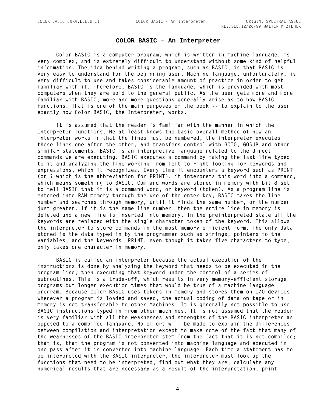#### **COLOR BASIC – An Interpreter**

<span id="page-5-0"></span>**Color BASIC is a computer program, which is written in machine language, is very complex, and is extremely difficult to understand without some kind of helpful information. The idea behind writing a program, such as BASIC, is that BASIC is very easy to understand for the beginning user. Machine language, unfortunately, is very difficult to use and takes considerable amount of practice in order to get familiar with it. Therefore, BASIC is the language, which is provided with most computers when they are sold to the general public. As the user gets more and more familiar with BASIC, more and more questions generally arise as to how BASIC functions. That is one of the main purposes of the book -- to explain to the user exactly how Color BASIC, the Interpreter, works.**

**It is assumed that the reader is familiar with the manner in which the Interpreter functions. He at least knows the basic overall method of how an interpreter works in that the lines must be numbered, the interpreter executes these lines one after the other, and transfers control with GOTO, GOSUB and other similar statements. BASIC is an interpretive language related to the direct commands we are executing. BASIC executes a command by taking the last line typed to it and analyzing the line working from left to right looking for keywords and expressions, which it recognizes. Every time it encounters a keyword such as PRINT (or ? which is the abbreviation for PRINT), it interprets this word into a command, which means something to BASIC. Command words are stored in memory with bit 8 set to tell BASIC that it is a command word, or keyword (token). As a program line is entered into RAM memory through the use of the enter key, BASIC takes the line number and searches through memory, until it finds the same number, or the number just greater. If it is the same line number, then the entire line in memory is deleted and a new line is inserted into memory. In the preinterpreted state all the keywords are replaced with the single character token of the keyword. This allows the interpreter to store commands in the most memory efficient form. The only data stored is the data typed in by the programmer such as strings, pointers to the variables, and the keywords. PRINT, even though it takes five characters to type, only takes one character in memory.**

**BASIC is called an interpreter because the actual execution of the instructions is done by analyzing the keyword that needs to be executed in the program line, then executing that keyword under the control of a series of subroutines. This is a trade-off, which results in very memory-efficient storage programs but longer execution times that would be true of a machine language program. Because Color BASIC uses tokens in memory and stores them on I/O devices whenever a program is loaded and saved, the actual coding of data on tape or in memory is not transferable to other Machines. It is generally not possible to use BASIC instructions typed in from other machines. It is not assumed that the reader is very familiar with all the weaknesses and strengths of the BASIC interpreter as opposed to a compiled language. No effort will be made to explain the differences between compilation and interpretation except to make note of the fact that many of the weaknesses of the BASIC interpreter stem from the fact that it is not compiled; that is, that the program is not converted into machine language and executed in one pass after it is converted into machine language. Each time a statement has to be interpreted with the BASIC interpreter, the interpreter must look up the functions that need to be interpreted, find out what they are, calculate any numerical results that are necessary as a result of the interpretation, print** 

4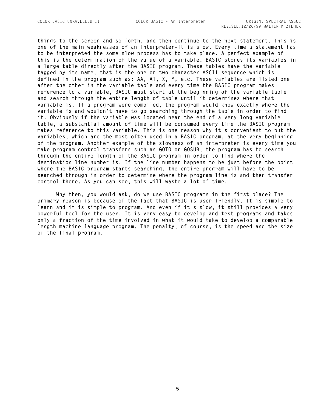**things to the screen and so forth, and then continue to the next statement. This is one of the main weaknesses of an interpreter-it is slow. Every time a statement has to be interpreted the some slow process has to take place. A perfect example of this is the determination of the value of a variable. BASIC stores its variables in a large table directly after the BASIC program. These tables have the variable tagged by its name, that is the one or two character ASCII sequence which is defined in the program such as: AA, Al, X, Y, etc. These variables are listed one after the other in the variable table and every time the BASIC program makes reference to a variable, BASIC must start at the beginning of the variable table and search through the entire length of table until it determines where that variable is. If a program were compiled, the program would know exactly where the variable is and wouldn't have to go searching through the table in order to find it. Obviously if the variable was located near the end of a very long variable table, a substantial amount of time will be consumed every time the BASIC program**  makes reference to this variable. This is one reason why it s convenient to put the **variables, which are the most often used in a BASIC program, at the very beginning of the program. Another example of the slowness of an interpreter is every time you make program control transfers such as GOTO or GOSUB, the program has to search through the entire length of the BASIC program in order to find where the destination line number is. If the line number happens to be just before the point where the BASIC program starts searching, the entire program will have to be searched through in order to determine where the program line is and then transfer control there. As you can see, this will waste a lot of time.**

**Why then, you would ask, do we use BASIC programs in the first place? The primary reason is because of the fact that BASIC is user friendly. It is simple to**  learn and it is simple to program. And even if it s slow, it still provides a very **powerful tool for the user. It is very easy to develop and test programs and takes only a fraction of the time involved in what it would take to develop a comparable length machine language program. The penalty, of course, is the speed and the size of the final program.**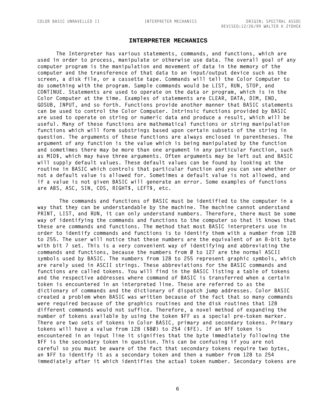#### **INTERPRETER MECHANICS**

<span id="page-7-0"></span>**The Interpreter has various statements, commands, and functions, which are used in order to process, manipulate or otherwise use data. The overall goal of any computer program is the manipulation and movement of data in the memory of the computer and the transference of that data to an input/output device such as the screen, a disk file, or a cassette tape. Commands will tell the Color Computer to do something with the program. Sample commands would be LIST, RUN, STOP, and CONTINUE. Statements are used to operate on the data or program, which is in the Color Computer at the time. Examples of statements are CLEAR, DATA, DIM, END, GOSUB, INPUT, and so forth. Functions provide another manner that BASIC statements can be used to control the Color Computer. Intrinsic functions provided by BASIC are used to operate on string or numeric data and produce a result, which will be useful. Many of these functions are mathematical functions or string manipulation functions which will form substrings based upon certain subsets of the string in question. The arguments of these functions are always enclosed in parentheses. The argument of any function is the value which is being manipulated by the function and sometimes there may be more than one argument in any particular function, such as MID\$, which may have three arguments. Often arguments may be left out and BASIC will supply default values. These default values can be found by looking at the routine in BASIC which controls that particular function and you can see whether or not a default value is allowed for. Sometimes a default value is not allowed, and if a value is not given BASIC will generate an error. Some examples of functions are ABS, ASC, SIN, COS, RIGHT\$, LEFT\$, etc.**

 **The commands and functions of BASIC must be identified to the computer in a way that they can be understandable by the machine. The machine cannot understand PRINT, LIST, and RUN, it can only understand numbers. Therefore, there must be some way of identifying the commands and functions to the computer so that it knows that these are commands and functions. The method that most BASIC interpreters use in order to identify commands and functions is to identify them with a number from 128 to 255. The user will notice that these numbers are the equivalent of an 8-bit byte with bit 7 set. This is a very convenient way of identifying and abbreviating the commands and functions, because the numbers from 0 to 127 are the normal ASCII symbols used by BASIC. The numbers from 128 to 255 represent graphic symbols, which are rarely used in ASCII strings. These abbreviations for the BASIC commands and functions are called tokens. You will find in the BASIC listing a table of tokens and the respective addresses where command of BASIC is transferred when a certain token is encountered in an interpreted line. These are referred to as the dictionary of commands and the dictionary of dispatch jump addresses. Color BASIC created a problem when BASIC was written because of the fact that so many commands were required because of the graphics routines and the disk routines that 128 different commands would not suffice. Therefore, a novel method of expanding the number of tokens available by using the token \$FF as a special pre-token marker. There are two sets of tokens in Color BASIC, primary and secondary tokens. Primary tokens will have a value from 128 (\$80) to 254 (\$FE). If an \$FF token is encountered in an input line it signifies that the byte immediately following the \$FF is the secondary token in question. This can be confusing if you are not careful so you must be aware of the fact that secondary tokens require two bytes, an \$FF to identify it as a secondary token and then a number from 128 to 254 immediately after it which identifies the actual token number. Secondary tokens are** 

6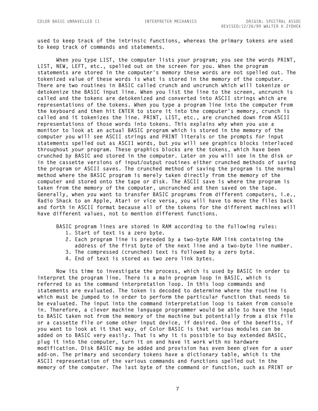**used to keep track of the intrinsic functions, whereas the primary tokens are used to keep track of commands and statements.**

**When you type LIST, the computer lists your program; you see the words PRINT, LIST, NEW, LEFT, etc., spelled out on the screen for you. When the program statements are stored in the computer's memory these words are not spelled out. The tokenized value of these words is what is stored in the memory of the computer. There are two routines in BASIC called crunch and uncrunch which will tokenize or detokenize the BASIC input line. When you list the line to the screen, uncrunch is called and the tokens are detokenized and converted into ASCII strings which are representations of the tokens. When you type a program line into the computer from the keyboard and then hit ENTER to store it into the computer's memory, crunch is called and it tokenizes the line. PRINT, LIST, etc., are crunched down from ASCII representations of those words into tokens. This explains why when you use a monitor to look at an actual BASIC program which is stored in the memory of the computer you will see ASCII strings and PRINT literals or the prompts for input statements spelled out as ASCII words, but you will see graphics blocks interlaced throughout your program. These graphics blocks are the tokens, which have been crunched by BASIC and stored in the computer. Later on you will see in the disk or in the cassette versions of input/output routines either crunched methods of saving the program or ASCII saves. The crunched method of saving the program is the normal method where the BASIC program is merely taken directly from the memory of the computer and stored onto the tape or disk. The ASCII save is where the program is taken from the memory of the computer, uncrunched and then saved on the tape. Generally, when you want to transfer BASIC programs from different computers, i.e., Radio Shack to an Apple, Atari or vice versa, you will have to move the files back and forth in ASCII format because all of the tokens for the different machines will have different values, not to mention different functions.**

**BASIC program lines are stored in RAM according to the following rules:**

- **1. Start of text is a zero byte.**
- **2. Each program line is preceded by a two-byte RAM link containing the address of the first byte of the next line and a two-byte line number.**
- **3. The compressed (crunched) text is followed by a zero byte.**
- **4. End of text is stored as two zero link bytes.**

**Now its time to investigate the process, which is used by BASIC in order to interpret the program line. There is a main program loop in BASIC, which is referred to as the command interpretation loop. In this loop commands and statements are evaluated. The token is decoded to determine where the routine is which must be jumped to in order to perform the particular function that needs to be evaluated. The input into the command interpretation loop is taken from console in. Therefore, a clever machine language programmer would be able to have the input to BASIC taken not from the memory of the machine but potentially from a disk file or a cassette file or some other input device, if desired. One of the benefits, if you want to look at it that way, of Color BASIC is that various modules can be added on to BASIC very easily. That is why it is possible to buy extended BASIC, plug it into the computer, turn it on and have it work with no hardware modification. Disk BASIC may be added and provision has even been given for a user add-on. The primary and secondary tokens have a dictionary table, which is the ASCII representation of the various commands and functions spelled out in the memory of the computer. The last byte of the command or function, such as PRINT or** 

7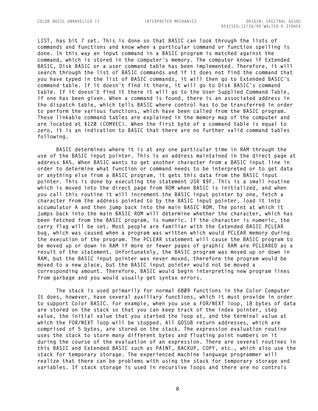**LIST, has bit 7 set. This is done so that BASIC can look through the lists of commands and functions and know when a particular command or function spelling is done. In this way an input command in a BASIC program is matched against the command, which is stored in the computer's memory. The computer knows if Extended BASIC, Disk BASIC or a user command table has been implemented. Therefore, it will search through the list of BASIC commands and if it does not find the command that you have typed in the list of BASIC commands, it will then go to Extended BASIC's command table. If it doesn't find it there, it will go to Disk BASIC's command table. If it doesn't find it there it will go to the User Supplied Command Table, if one has been given. When a command is found, there is an associated address in the dispatch table, which tells BASIC where control has to be transferred in order to perform the various functions, which have been called from the BASIC program. These linkable command tables are explained in the memory map of the computer and are located at \$120 (COMVEC). When the first byte of a command table is equal to zero, it is an indication to BASIC that there are no further valid command tables following.** 

**BASIC determines where it is at any one particular time in RAM through the use of the BASIC input pointer. This is an address maintained in the direct page at address \$A5. When BASIC wants to get another character from a BASIC input line in order to determine what function or command needs to be interpreted or to get data or anything else from a BASIC program, it gets this data from the BASIC input pointer. This is done by executing the statement JSR \$9F. This is a small routine which is moved into the direct page from ROM when BASIC is initialized, and when you call this routine it will increment the BASIC input pointer by one, fetch a character from the address pointed to by the BASIC input pointer, load it into accumulator A and then jump back into the main BASIC ROM. The point at which it jumps back into the main BASIC ROM will determine whether the character, which has been fetched from the BASIC program, is numeric. If the character is numeric, the carry flag will be set. Most people are familiar with the Extended BASIC PCLEAR bug, which was caused when a program was written which would PCLEAR memory during the execution of the program. The PCLEAR statement will cause the BASIC program to be moved up or down in RAM if more or fewer pages of graphic RAM are PCLEARED as a result of the statement. Unfortunately, the BASIC program was moved up or down in RAM, but the BASIC input pointer was never moved, therefore the program would be moved to a new place, but the BASIC input pointer would not be moved a corresponding amount. Therefore, BASIC would begin interpreting new program lines from garbage and you would usually get syntax errors.**

**The stack is used primarily for normal 6809 functions in the Color Computer It does, however, have several auxiliary functions, which it must provide in order to support Color BASIC. For example, when you use a FOR/NEXT loop, 18 bytes of data are stored on the stack so that you can keep track of the index pointer, step value, the initial value that you started the loop at, and the terminal value at which the FOR/NEXT loop will be stopped. All GOSUB return addresses, which are comprised of 5 bytes, are stored on the stack. The expression evaluation routine uses the stack to store many different bytes and floating point numbers on it during the course of the evaluation of an expression. There are several routines in this BASIC and Extended BASIC such as PAINT, BACKUP, COPY, etc., which also use the stack for temporary storage. The experienced machine language programmer will realize that there can be problems with using the stack for temporary storage and variables. If stack storage is used in recursive loops and there are no controls**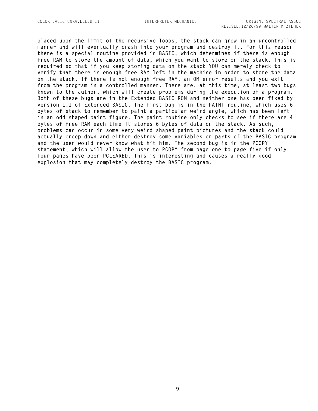**placed upon the limit of the recursive loops, the stack can grow in an uncontrolled manner and will eventually crash into your program and destroy it. For this reason there is a special routine provided in BASIC, which determines if there is enough free RAM to store the amount of data, which you want to store on the stack. This is required so that if you keep storing data on the stack YOU can merely check to verify that there is enough free RAM left in the machine in order to store the data on the stack. If there is not enough free RAM, an OM error results and you exit from the program in a controlled manner. There are, at this time, at least two bugs known to the author, which will create problems during the execution of a program. Both of these bugs are in the Extended BASIC ROM and neither one has been fixed by version 1.1 of Extended BASIC. The first bug is in the PAINT routine, which uses 6 bytes of stack to remember to paint a particular weird angle, which has been left in an odd shaped paint figure. The paint routine only checks to see if there are 4 bytes of free RAM each time it stores 6 bytes of data on the stack. As such, problems can occur in some very weird shaped paint pictures and the stack could actually creep down and either destroy some variables or parts of the BASIC program and the user would never know what hit him. The second bug is in the PCOPY statement, which will allow the user to PCOPY from page one to page five if only four pages have been PCLEARED. This is interesting and causes a really good explosion that may completely destroy the BASIC program.**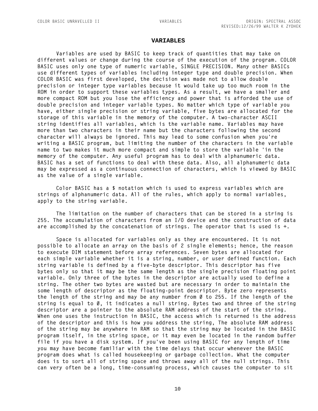#### **VARIABLES**

<span id="page-11-0"></span>**Variables are used by BASIC to keep track of quantities that may take on different values or change during the course of the execution of the program. COLOR BASIC uses only one type of numeric variable, SINGLE PRECISION. Many other BASICs use different types of variables including integer type and double precision. When COLOR BASIC was first developed, the decision was made not to allow double precision or integer type variables because it would take up too much room in the ROM in order to support these variables types. As a result, we have a smaller and more compact ROM but you lose the efficiency and power that is afforded the use of double precision and integer variable types. No matter which type of variable you have, either single precision or string variable, five bytes are allocated for the storage of this variable in the memory of the computer. A two-character ASCII string identifies all variables, which is the variable name. Variables may have more than two characters in their name but the characters following the second character will always be ignored. This may lead to some confusion when you're writing a BASIC program, but limiting the number of the characters in the variable name to two makes it much more compact and simple to store the variable 'in the memory of the computer. Any useful program has to deal with alphanumeric data. BASIC has a set of functions to deal with these data. Also, all alphanumeric data may be expressed as a continuous connection of characters, which is viewed by BASIC as the value of a single variable.**

**Color BASIC has a \$ notation which is used to express variables which are strings of alphanumeric data. All of the rules, which apply to normal variables, apply to the string variable.**

**The limitation on the number of characters that can be stored in a string is 255. The accumulation of characters from an I/O device and the construction of data are accomplished by the concatenation of strings. The operator that is used is +.**

**Space is allocated for variables only as they are encountered. It is not possible to allocate an array on the basis of 2 single elements; hence, the reason to execute DIM statement before array references. Seven bytes are allocated for each simple variable whether it is a string, number, or user defined function. Each string variable is defined by a five-byte descriptor. This descriptor has five bytes only so that it may be the same length as the single precision floating point variable. Only three of the bytes in the descriptor are actually used to define a string. The other two bytes are wasted but are necessary in order to maintain the some length of descriptor as the floating-point descriptor. Byte zero represents**  the length of the string and may be any number from Ø to 255. If the length of the **string is equal to 0, it indicates a null string. Bytes two and three of the string descriptor are a pointer to the absolute RAM address of the start of the string. When one uses the instruction in BASIC, the access which is returned is the address of the descriptor and this is how you address the string, The absolute RAM address of the string may be anywhere in RAM so that the string may be located in the BASIC program itself, in the string space, or it may even be located in the random buffer file if you have a disk system. If you've been using BASIC for any length of time you may have become familiar with the time delays that occur whenever the BASIC program does what is called housekeeping or garbage collection. What the computer does is to sort all of string space and throws away all of the null strings. This can very often be a long, time-consuming process, which causes the computer to sit** 

10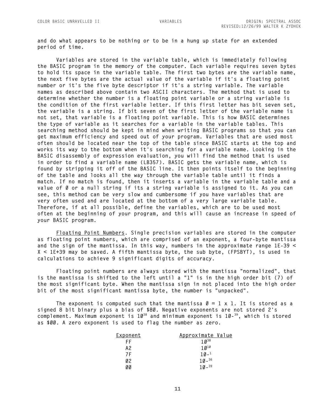**and do what appears to be nothing or to be in a hung up state for an extended period of time.**

**Variables are stored in the variable table, which is immediately following the BASIC program in the memory of the computer. Each variable requires seven bytes to hold its space in the variable table. The first two bytes are the variable name, the next five bytes are the actual value of the variable if it's a floating point number or it's the five byte descriptor if it's a string variable. The variable names as described above contain two ASCII characters. The method that is used to determine whether the number is a floating point variable or a string variable is the condition of the first variable letter. If this first letter has bit seven set, the variable is a string. If bit seven of the first letter of the variable name is not set, that variable is a floating point variable. This is how BASIC determines the type of variable as it searches for a variable in the variable tables. This searching method should be kept in mind when writing BASIC programs so that you can get maximum efficiency and speed out of your program. Variables that are used most often should be located near the top of the table since BASIC starts at the top and works its way to the bottom when it's searching for a variable name. Looking in the BASIC disassembly of expression evaluation, you will find the method that is used in order to find a variable name (LB357). BASIC gets the variable name, which is found by stripping it off of the BASIC line. It then points itself to the beginning of the table and looks all the way through the variable table until it finds a match. If no match is found, then it inserts a variable in the variable table and a**  value of Ø or a null string if its a string variable is assigned to it. As you can **see, this method can be very slow and cumbersome if you have variables that are very often used and are located at the bottom of a very large variable table. Therefore, if at all possible, define the variables, which are to be used most often at the beginning of your program, and this will cause an increase in speed of your BASIC program.**

**Floating Point Numbers. Single precision variables are stored in the computer as floating point numbers, which are comprised of an exponent, a four-byte mantissa and the sign of the mantissa. In this way, numbers in the approximate range 1E-39 < X < 1E+39 may be saved. A fifth mantissa byte, the sub byte, (FPSBYT), is used in calculations to achieve 9 significant digits of accuracy.**

**Floating point numbers are always stored with the mantissa "normalized", that is the mantissa is shifted to the left until a "1" is in the high order bit (7) of the most significant byte. When the mantissa sign in not placed into the high order bit of the most significant mantissa byte, the number is "unpacked".**

The exponent is computed such that the mantissa  $\varnothing = 1 \times 1$ . It is stored as a **signed 8 bit binary plus a bias of \$80. Negative exponents are not stored 2's complement. Maximum exponent is 10<sup>38</sup> and minimum exponent is 10- <sup>39</sup>, which is stored as \$00. A zero exponent is used to flag the number as zero.**

| <u>Exponent</u> | Approximate Value |
|-----------------|-------------------|
| FF              | $10^{38}$         |
| A2              | $10^{10}$         |
| 7 F             | $10 - 1$          |
| Ø2              | $10 - 36$         |
| øø              | $10 - {}^{39}$    |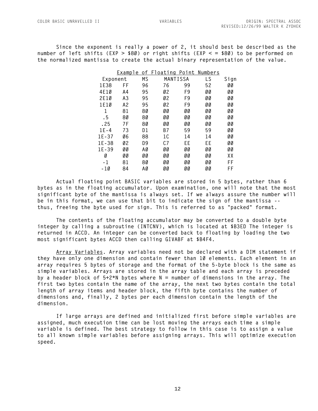**Since the exponent is really a power of 2, it should best be described as the number of left shifts (EXP > \$80) or right shifts (EXP < = \$80) to be performed on the normalized mantissa to create the actual binary representation of the value.**

|           | Example | οf | <u>Floating</u> | Point | <u>Numbers</u> |      |
|-----------|---------|----|-----------------|-------|----------------|------|
| Exponent  |         | MS | MANTISSA        |       | LS             | Sign |
| 1E38      | FF      | 96 | 76              | 99    | 52             | øø   |
| 4E10      | A4      | 95 | Ø2              | F9    | ØØ             | øø   |
| 2E1Ø      | A3      | 95 | Ø2              | F9    | øø             | øø   |
| 1E1Ø      | A2      | 95 | Ø2              | F9    | øø             | øø   |
| 1         | 81      | 80 | øø              | øø    | øø             | øø   |
| . 5       | 80      | 80 | øø              | øø    | øø             | ØØ   |
| . 25      | 7 F     | 80 | øø              | øø    | øø             | øø   |
| $1E - 4$  | 73      | D1 | B7              | 59    | 59             | ØØ   |
| $1E - 37$ | Ø6      | 88 | 1 C             | 14    | 14             | øø   |
| $1E - 38$ | Ø2      | D9 | C.7             | ЕE    | ЕE             | øø   |
| $1E - 39$ | øø      | ΑØ | øø              | øø    | øø             | ØØ   |
| Ø         | øø      | øø | øø              | øø    | øø             | XΧ   |
| - 1       | 81      | 80 | øø              | øø    | øø             | FF   |
| -10       | 84      | ΑØ | øø              | øø    | øø             | FF   |
|           |         |    |                 |       |                |      |

**Actual floating point BASIC variables are stored in 5 bytes, rather than 6 bytes as in the floating accumulator. Upon examination, one will note that the most significant byte of the mantissa is always set. If we always assure the number will be in this format, we can use that bit to indicate the sign of the mantissa - thus, freeing the byte used for sign. This is referred to as "packed" format.**

**The contents of the floating accumulator may be converted to a double byte integer by calling a subroutine (INTCNV), which is located at \$B3ED The integer is returned in ACCD. An integer can be converted back to floating by loading the two most significant bytes ACCD then calling GIVABF at \$B4F4.**

**Array Variables. Array variables need not be declared with a DIM statement if they have only one dimension and contain fewer than 10 elements. Each element in an array requires 5 bytes of storage and the format of the 5-byte block is the same as simple variables. Arrays are stored in the array table and each array is preceded by a header block of 5+2\*N bytes where N = number of dimensions in the array. The first two bytes contain the name of the array, the next two bytes contain the total length of array items and header block, the fifth byte contains the number of dimensions and, finally, 2 bytes per each dimension contain the length of the dimension.**

**If large arrays are defined and initialized first before simple variables are assigned, much execution time can be lost moving the arrays each time a simple variable is defined. The best strategy to follow in this case is to assign a value to all known simple variables before assigning arrays. This will optimize execution speed.**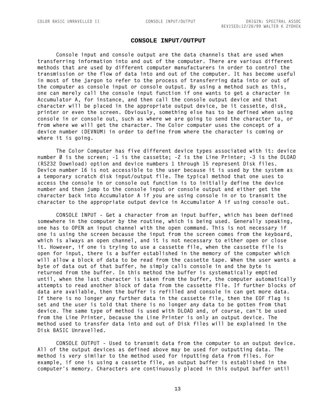### **CONSOLE INPUT/OUTPUT**

<span id="page-14-0"></span>**Console input and console output are the data channels that are used when transferring information into and out of the computer. There are various different methods that are used by different computer manufacturers in order to control the transmission or the flow of data into and out of the computer. It has become useful in most of the jargon to refer to the process of transferring data into or out of the computer as console input or console output. By using a method such as this, one can merely call the console input function if one wants to get a character in Accumulator A, for instance, and then call the console output device and that character will be placed in the appropriate output device, be it cassette, disk, printer or even the screen. Obviously, something else has to be defined when using console in or console out, such as where we are going to send the character to, or from where we will get the character. The Color computer uses the concept of a device number (DEVNUM) in order to define from where the character is coming or where it is going.**

**The Color Computer has five different device types associated with it: device number 0 is the screen; -1 is the cassette; -2 is the Line Printer; -3 is the DLOAD (RS232 Download) option and device numbers 1 through 15 represent Disk files. Device number 16 is not accessible to the user because it is used by the system as a temporary scratch disk input/output file. The typical method that one uses to access the console in or console out function is to initially define the device number and then jump to the console input or console output and either get the character back into Accumulator A if you are using console in or to transmit the character to the appropriate output device in Accumulator A if using console out.**

**CONSOLE INPUT - Get a character from an input buffer, which has been defined somewhere in the computer by the routine, which is being used. Generally speaking, one has to OPEN an input channel with the open command. This is not necessary if one is using the screen because the input from the screen comes from the keyboard, which is always an open channel, and it is not necessary to either open or close it. However, if one is trying to use a cassette file, when the cassette file is open for input, there is a buffer established in the memory of the computer which will allow a block of data to be read from the cassette tape. When the user wants a byte of data out of that buffer, he simply calls console in and the byte is returned from the buffer. In this method the buffer is systematically emptied until, when the last character is taken from the buffer, the computer automatically attempts to read another block of data from the cassette file. If further blocks of data are available, then the buffer is refilled and console in can get more data. If there is no longer any further data in the cassette file, then the EOF flag is set and the user is told that there is no longer any data to be gotten from that device. The same type of method is used with DLOAD and, of course, can't be used from the Line Printer, because the Line Printer is only an output device. The method used to transfer data into and out of Disk files will be explained in the Disk BASIC Unravelled.**

**CONSOLE OUTPUT - Used to transmit data from the computer to an output device. All of the output devices as defined above may be used for outputting data. The method is very similar to the method used for inputting data from files. For example, if one is using a cassette file, an output buffer is established in the computer's memory. Characters are continuously placed in this output buffer until**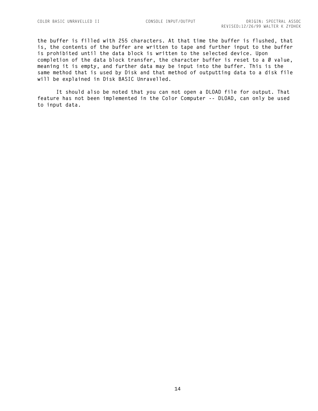**the buffer is filled with 255 characters. At that time the buffer is flushed, that is, the contents of the buffer are written to tape and further input to the buffer is prohibited until the data block is written to the selected device. Upon completion of the data block transfer, the character buffer is reset to a 0 value, meaning it is empty, and further data may be input into the buffer. This is the same method that is used by Disk and that method of outputting data to a disk file will be explained in Disk BASIC Unravelled.**

**It should also be noted that you can not open a DLOAD file for output. That feature has not been implemented in the Color Computer -- DLOAD, can only be used to input data.**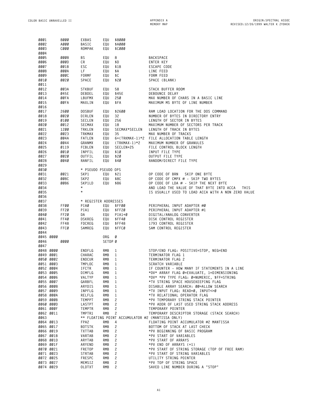<span id="page-16-0"></span>

| 0001<br>0002 |                        | 8000<br>A000 | EXBAS<br>BASIC<br><b>ROMPAK</b> | EQU<br>EQU | \$8000<br>\$AØØØ<br>\$CØØØ |                                                                         |
|--------------|------------------------|--------------|---------------------------------|------------|----------------------------|-------------------------------------------------------------------------|
| 0003<br>0004 |                        | cøøø         |                                 | EQU        |                            |                                                                         |
| 0005         |                        | 0008         | ΒS                              | EQU        | 8                          | <b>BACKSPACE</b>                                                        |
| 0006         |                        | øøød         | СR                              | EQU        | \$D                        | ENTER KEY                                                               |
| 0007         |                        | 001B         | ESC                             | EQU        | \$1B                       | ESCAPE CODE                                                             |
| 0008         |                        | <b>ØØØA</b>  | LF                              | EQU        | \$А                        | LINE FEED                                                               |
| 0009         |                        | <b>ØØØC</b>  | FORMF                           | EQU        | \$C                        | FORM FEED                                                               |
| 0010         |                        | 0020         | SPACE                           | EQU        | \$20                       | SPACE (BLANK)                                                           |
| 0011         |                        |              |                                 |            |                            |                                                                         |
| 0012         |                        | 003A         | STKBUF                          | EQU        | 58                         | STACK BUFFER ROOM                                                       |
| 0013         |                        | 045E         | DEBDEL                          | EQU        | \$45E                      | DEBOUNCE DELAY                                                          |
| 0014         |                        | ØØFA         | LBUFMX                          | EQU        | 250                        | MAX NUMBER OF CHARS IN A BASIC LINE                                     |
| 0015<br>0016 |                        | ØØFA         | MAXLIN                          | EQU        | \$FA                       | MAXIMUM MS BYTE OF LINE NUMBER                                          |
| 0017         |                        | 2600         | <b>DOSBUF</b>                   | EQU        | \$2600                     | RAM LOAD LOCATION FOR THE DOS COMMAND                                   |
| 0018         |                        | 0020         | DIRLEN                          | EQU        | 32                         | NUMBER OF BYTES IN DIRECTORY ENTRY                                      |
| 0019         |                        | 0100         | SECLEN                          | EQU        | 256                        | LENGTH OF SECTOR IN BYTES                                               |
| 0020         |                        | 0012         | SECMAX                          | EQU        | 18                         | MAXIMUM NUMBER OF SECTORS PER TRACK                                     |
| 0021         |                        | 1200         | TRKLEN                          | EQU        | SECMAX*SECLEN              | LENGTH OF TRACK IN BYTES                                                |
| 0022         |                        | 0023         | TRKMAX                          | EQU        | 35                         | MAX NUMBER OF TRACKS                                                    |
| 0023         |                        | 004A         | FATLEN                          | EQU        | 6+(TRKMAX-1)*2             | FILE ALLOCATION TABLE LENGTH                                            |
| 0024         |                        | 0044         | GRANMX                          | EQU        | $(TRKMAX-1)*2$             | MAXIMUM NUMBER OF GRANULES                                              |
| 0025         |                        | 0119         | <b>FCBLEN</b>                   | EQU        | SECLEN+25                  | FILE CONTROL BLOCK LENGTH                                               |
| 0026         |                        | 0010         | INPFIL                          | EQU        | \$10                       | INPUT FILE TYPE                                                         |
| 0027         |                        | 0020         | OUTFIL                          | EQU        | \$20                       | <b>OUTPUT FILE TYPE</b>                                                 |
| 0028         |                        | 0040         | RANFIL                          | EQU        | \$40                       | RANDOM/DIRECT FILE TYPE                                                 |
| 0029         |                        |              |                                 |            |                            |                                                                         |
| 0030         |                        |              | * PSEUDO PSEUDO OPS             |            |                            |                                                                         |
| 0031         |                        | 0021         | SKP1                            | EQU        | \$21                       | OP CODE OF BRN<br>SKIP ONE BYTE                                         |
| 0032         |                        | <b>ØØ8C</b>  | SKP2                            | EQU        | \$8C                       | OP CODE OF CMPX # - SKIP TWO BYTES                                      |
| 0033         |                        | 0086         | SKP1LD                          | EQU        | \$86                       | OP CODE OF LDA # - SKIP THE NEXT BYTE                                   |
| 0034         |                        |              | $^\star$                        |            |                            | AND LOAD THE VALUE OF THAT BYTE INTO ACCA<br>THIS                       |
| 0035         |                        |              | $^\star$                        |            |                            | IS USUALLY USED TO LOAD ACCA WITH A NON ZERO VALUE                      |
| 0036         |                        |              |                                 |            |                            |                                                                         |
| 0037         |                        |              | * REGISTER ADDRESSES            |            |                            |                                                                         |
| 0038         |                        | FFØØ         | PIAØ                            | EQU        | \$FFØØ                     | PERIPHERAL INPUT ADAPTER #Ø                                             |
| 0039         |                        | FF2Ø         | PIA1                            | EQU        | \$FF2Ø                     | PERIPHERAL INPUT ADAPTER #1                                             |
| 0040         |                        | FF2Ø         | DA                              | EQU        | $PIA1+Ø$                   | DIGITAL/ANALOG CONVERTER                                                |
| 0041<br>0042 |                        | FF4Ø<br>FF48 | DSKREG<br><b>FDCREG</b>         | EQU<br>EQU | \$FF4Ø<br>\$FF48           | DISK CONTROL REGISTER<br>1793 CONTROL REGISTER                          |
| 0043         |                        | FFCØ         | SAMREG                          | EQU        | \$FFCØ                     | SAM CONTROL REGISTER                                                    |
| 0044         |                        |              |                                 |            |                            |                                                                         |
|              | 0045 0000              |              |                                 | ORG        | Ø                          |                                                                         |
| 0046         |                        | 0000         |                                 | SETDP Ø    |                            |                                                                         |
| 0047         |                        |              |                                 |            |                            |                                                                         |
|              | 0048 0000              |              | ENDFLG                          | RMB        | 1                          | STOP/END FLAG: POSITIVE=STOP, NEG=END                                   |
|              | 0049 0001              |              | CHARAC                          | RMB        | 1                          | TERMINATOR FLAG 1                                                       |
|              | 0050 0002              |              | ENDCUR                          | RMB        | 1                          | TERMINATOR FLAG 2                                                       |
|              | 0051 0003              |              | TMPLOC                          | <b>RMB</b> | 1                          | SCRATCH VARIABLE                                                        |
| 0052 0004    |                        |              | IFCTR                           | RMB        | 1                          | IF COUNTER - HOW MANY IF STATEMENTS IN A LINE                           |
|              | 0053 0005              |              | DIMFLG                          | RMB        | 1                          | *DV* ARRAY FLAG Ø=EVALUATE, 1=DIMENSIONING                              |
|              | 0054 0006              |              | VALTYP                          | RMB        | 1                          | *DV* *PV TYPE FLAG: Ø=NUMERIC, \$FF=STRING                              |
|              | 0055 0007              |              | GARBFL                          | <b>RMB</b> | 1                          | *TV STRING SPACE HOUSEKEEPING FLAG                                      |
|              | 0056 0008              |              | ARYDIS                          | <b>RMB</b> | 1                          | DISABLE ARRAY SEARCH: ØØ=ALLOW SEARCH                                   |
|              | 0057 0009              |              | INPFLG                          | <b>RMB</b> | 1                          | *TV INPUT FLAG: READ=0, INPUT<>0                                        |
|              | 0058 000A              |              | RELFLG                          | <b>RMB</b> | 1                          | *TV RELATIONAL OPERATOR FLAG                                            |
|              | 0059 000B              |              | <b>TEMPPT</b>                   | RMB        | 2                          | *PV TEMPORARY STRING STACK POINTER                                      |
|              | 0060 000D              |              | LASTPT                          | <b>RMB</b> | 2                          | *PV ADDR OF LAST USED STRING STACK ADDRESS                              |
|              | 0061 000F              |              | TEMPTR                          | <b>RMB</b> | 2                          | TEMPORARY POINTER                                                       |
|              | 0062 0011              |              | TMPTR1                          | <b>RMB</b> | 2                          | TEMPORARY DESCRIPTOR STORAGE (STACK SEARCH)                             |
| 0063         |                        |              |                                 |            |                            | ** FLOATING POINT ACCUMULATOR #2 (MANTISSA ONLY)                        |
|              | 0064 0013              |              | FPA2                            | RMB        | 4                          | FLOATING POINT ACCUMULATOR #2 MANTISSA                                  |
|              | 0065 0017              |              | <b>BOTSTK</b>                   | RMB        | 2                          | BOTTOM OF STACK AT LAST CHECK                                           |
|              | 0066 0019              |              | TXTTAB                          | RMB        | 2                          | *PV BEGINNING OF BASIC PROGRAM                                          |
|              | 0067 001B              |              | VARTAB                          | <b>RMB</b> | 2                          | *PV START OF VARIABLES                                                  |
|              | 0068 001D              |              | ARYTAB                          | RMB        | 2                          | *PV START OF ARRAYS                                                     |
|              | 0069 001F<br>0070 0021 |              | ARYEND                          | RMB<br>RMB | 2<br>2                     | *PV END OF ARRAYS (+1)<br>*PV START OF STRING STORAGE (TOP OF FREE RAM) |
|              | 0071 0023              |              | FRETOP<br>STRTAB                | <b>RMB</b> | 2                          | *PV START OF STRING VARIABLES                                           |
|              | 0072 0025              |              | FRESPC                          | RMB        | 2                          | UTILITY STRING POINTER                                                  |
|              | 0073 0027              |              | MEMSIZ                          | RMB        | 2                          | *PV TOP OF STRING SPACE                                                 |
|              | 0074 0029              |              | OLDTXT                          | RMB        | 2                          | SAVED LINE NUMBER DURING A "STOP"                                       |
|              |                        |              |                                 |            |                            |                                                                         |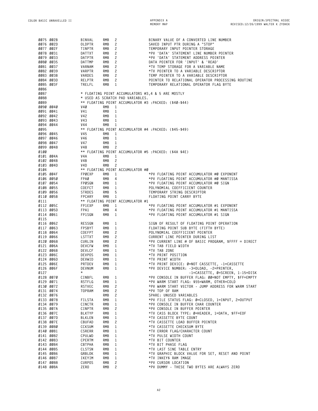| 0075 002B              |           | BINVAL         | RMB<br>2                                              | BINARY VALUE OF A CONVERTED LINE NUMBER                            |
|------------------------|-----------|----------------|-------------------------------------------------------|--------------------------------------------------------------------|
| 0076 002D              |           | OLDPTR         | 2<br>RMB                                              | SAVED INPUT PTR DURING A "STOP"                                    |
|                        |           |                |                                                       |                                                                    |
| 0077 002F              |           | TINPTR         | RMB<br>2                                              | TEMPORARY INPUT POINTER STORAGE                                    |
| 0078 0031              |           | DATTXT         | RMB<br>2                                              | *PV 'DATA' STATEMENT LINE NUMBER POINTER                           |
| 0079 0033              |           | DATPTR         | RMB<br>2                                              | *PV 'DATA' STATEMENT ADDRESS POINTER                               |
|                        |           |                |                                                       |                                                                    |
| 0080 0035              |           | DATTMP         | RMB<br>2                                              | DATA POINTER FOR 'INPUT' & 'READ'                                  |
| 0081 0037              |           | VARNAM         | RMB<br>2                                              | *TV TEMP STORAGE FOR A VARIABLE NAME                               |
| 0082 0039              |           | VARPTR         | RMB<br>2                                              | *TV POINTER TO A VARIABLE DESCRIPTOR                               |
| 0083 003B              |           | VARDES         | RMB<br>2                                              | TEMP POINTER TO A VARIABLE DESCRIPTOR                              |
|                        |           |                |                                                       |                                                                    |
| 0084 003D              |           | RELPTR         | RMB<br>2                                              | POINTER TO RELATIONAL OPERATOR PROCESSING ROUTINE                  |
| 0085 003F              |           | TRELFL         | RMB<br>1                                              | TEMPORARY RELATIONAL OPERATOR FLAG BYTE                            |
| 0086                   |           |                |                                                       |                                                                    |
| 0087                   |           |                | * FLOATING POINT ACCUMULATORS #3,4 & 5 ARE MOSTLY     |                                                                    |
|                        |           |                |                                                       |                                                                    |
| 0088                   |           |                | * USED AS SCRATCH PAD VARIABLES.                      |                                                                    |
| 0089                   |           |                | ** FLOATING POINT ACCUMULATOR #3 :PACKED: (\$40-\$44) |                                                                    |
| 0090 0040              |           | V4Ø            | RMB<br>1                                              |                                                                    |
| 0091 0041              |           | V41            | RMB<br>1                                              |                                                                    |
|                        |           |                |                                                       |                                                                    |
| 0092 0042              |           | V42            | RMB<br>1                                              |                                                                    |
| 0093 0043              |           | V43            | RMB<br>1                                              |                                                                    |
| 0094 0044              |           | V44            | RMB<br>1                                              |                                                                    |
| 0095                   |           |                |                                                       |                                                                    |
|                        |           |                | ** FLOATING POINT ACCUMULATOR #4 :PACKED: (\$45–\$49) |                                                                    |
| 0096 0045              |           | V45            | RMB<br>1                                              |                                                                    |
| 0097 0046              |           | V46            | RMB<br>1                                              |                                                                    |
| 0098 0047              |           | V47            | RMB<br>1                                              |                                                                    |
|                        |           |                |                                                       |                                                                    |
| 0099 0048              |           | V48            | 2<br>RMB                                              |                                                                    |
| 0100                   |           |                | ** FLOATING POINT ACCUMULATOR #5 :PACKED: (\$4A \$4E) |                                                                    |
| 0101 004A              |           | V4A            | RMB<br>1                                              |                                                                    |
| 0102 004B              |           | V4B            | 2<br>RMB                                              |                                                                    |
|                        |           |                |                                                       |                                                                    |
| 0103 004D              |           | V4D            | 2<br>RMB                                              |                                                                    |
| 0104                   |           |                | ** FLOATING POINT ACCUMULATOR #0                      |                                                                    |
| 0105 004F              |           | FPØEXP         | RMB<br>1                                              | *PV FLOATING POINT ACCUMULATOR #0 EXPONENT                         |
| 0106 0050              |           | FPAØ           | RMB<br>4                                              | *PV FLOATING POINT ACCUMULATOR #Ø MANTISSA                         |
| 0107 0054              |           |                |                                                       | *PV FLOATING POINT ACCUMULATOR #0 SIGN                             |
|                        |           | FPØSGN         | RMB<br>1                                              |                                                                    |
| 0108 0055              |           | COEFCT         | RMB<br>1                                              | POLYNOMIAL COEFFICIENT COUNTER                                     |
| 0109 0056              |           | STRDES         | RMB<br>5                                              | TEMPORARY STRING DESCRIPTOR                                        |
| 0110 005B              |           | FPCARY         | RMB<br>1                                              | FLOATING POINT CARRY BYTE                                          |
| 0111                   |           |                | ** FLOATING POINT ACCUMULATOR #1                      |                                                                    |
|                        |           |                |                                                       |                                                                    |
| 0112 005C              |           | FP1EXP         | RMB<br>1                                              | *PV FLOATING POINT ACCUMULATOR #1 EXPONENT                         |
| 0113 005D              |           | FPA1           | RMB<br>4                                              | *PV FLOATING POINT ACCUMULATOR #1 MANTISSA                         |
| 0114 0061              |           | FP1SGN         | RMB<br>1                                              | *PV FLOATING POINT ACCUMULATOR #1 SIGN                             |
| 0115                   |           |                |                                                       |                                                                    |
| 0116 0062              |           | RESSGN         | RMB<br>1                                              | SIGN OF RESULT OF FLOATING POINT OPERATION                         |
|                        |           |                |                                                       |                                                                    |
| 0117 0063              |           | FPSBYT         | RMB<br>1                                              | FLOATING POINT SUB BYTE (FIFTH BYTE)                               |
| 0118 0064              |           | COEFPT         | RMB<br>2                                              | POLYNOMIAL COEFFICIENT POINTER                                     |
| 0119 0066              |           | LSTTXT         | 2<br>RMB                                              | CURRENT LINE POINTER DURING LIST                                   |
| 0120 0068              |           | CURLIN         | RMB<br>2                                              | *PV CURRENT LINE # OF BASIC PROGRAM, \$FFFF = DIRECT               |
|                        |           |                |                                                       |                                                                    |
| 0121 006A              |           | DEVCFW         | RMB<br>1                                              | *TV TAB FIELD WIDTH                                                |
| 0122 006B              |           | DEVLCF         | RMB<br>1                                              | *TV TAB ZONE                                                       |
| 0123 006C              |           | DEVPOS         | RMB<br>1                                              | *TV PRINT POSITION                                                 |
| 0124 006D              |           | DEVWID         | RMB<br>1                                              | *TV PRINT WIDTH                                                    |
|                        |           |                |                                                       |                                                                    |
| 0125 006E              |           | PRTDEV         | RMB<br>1                                              | *TV PRINT DEVICE: Ø=NOT CASSETTE, -1=CASSETTE                      |
| 0126 006F              |           | DEVNUM         | RMB <sub>1</sub>                                      | *PV DEVICE NUMBER: -3=DLOAD, -2=PRINTER,                           |
| 0127                   |           | $\star$        |                                                       | -1=CASSETTE, Ø=SCREEN, 1-15=DISK                                   |
|                        | 0128 0070 | CINBFL         | RMB <sub>1</sub>                                      | *PV CONSOLE IN BUFFER FLAG: 00=NOT EMPTY, \$FF=EMPTY               |
| 0129 0071              |           | RSTFLG         | RMB <sub>1</sub>                                      | *PV WARM START FLAG: \$55=WARM, OTHER=COLD                         |
|                        |           |                |                                                       |                                                                    |
| 0130 0072              |           | RSTVEC         | $2^{\circ}$<br>RMB                                    | *PV WARM START VECTOR - JUMP ADDRESS FOR WARM START                |
| 0131 0074              |           | <b>TOPRAM</b>  | $2^{\circ}$<br>RMB                                    | *PV TOP OF RAM                                                     |
| 0132 0076              |           |                | RMB<br>$\mathbf{2}$                                   | SPARE: UNUSED VARIABLES                                            |
| 0133 0078              |           | FILSTA         | RMB<br>$\mathbf{1}$                                   | *PV FILE STATUS FLAG: Ø=CLOSED, 1=INPUT, 2=OUTPUT                  |
|                        |           |                |                                                       |                                                                    |
| 0134 0079              |           | CINCTR         | RMB<br>$\mathbf{1}$                                   | *PV CONSOLE IN BUFFER CHAR COUNTER                                 |
| 0135 007A              |           | CINPTR         | $2^{\circ}$<br>RMB                                    | *PV CONSOLE IN BUFFER POINTER                                      |
| 0136 007C              |           | <b>BLKTYP</b>  | RMB<br>$\mathbf{1}$                                   | *TV CASS BLOCK TYPE: Ø=HEADER, 1=DATA, \$FF=EOF                    |
| 0137 007D              |           | BLKLEN         | RMB<br>$\mathbf{1}$                                   | *TV CASSETTE BYTE COUNT                                            |
|                        |           |                |                                                       |                                                                    |
| 0138 007E              |           | CBUFAD         | RMB<br>2                                              | *TV CASSETTE LOAD BUFFER POINTER                                   |
| 0139 0080              |           | CCKSUM         | RMB<br>1                                              | *TV CASSETTE CHECKSUM BYTE                                         |
| 0140 0081              |           | CSRERR         | RMB<br>$\mathbf{1}$                                   | *TV ERROR FLAG/CHARACTER COUNT                                     |
| 0141 0082              |           | CPULWD         | RMB<br>1                                              | *TV PULSE WIDTH COUNT                                              |
|                        |           |                |                                                       |                                                                    |
| 0142 0083              |           | CPERTM         | RMB<br>1                                              | *TV BIT COUNTER                                                    |
| 0143 0084              |           | CBTPHA         | RMB<br>1                                              | *TV BIT PHASE FLAG                                                 |
| 0144 0085              |           | CLSTSN         | RMB<br>$\mathbf{1}$                                   | *TV LAST SINE TABLE ENTRY                                          |
| 0145 0086              |           | GRBLOK         | RMB<br>1                                              | *TV GRAPHIC BLOCK VALUE FOR SET, RESET AND POINT                   |
|                        |           |                |                                                       |                                                                    |
|                        |           |                |                                                       |                                                                    |
|                        | 0146 0087 | IKEYIM         | RMB<br>1                                              | *TV INKEY\$ RAM IMAGE                                              |
| 0147 0088<br>0148 008A |           | CURPOS<br>ZERO | RMB<br>$\mathbf{2}$<br><b>RMB</b><br>$\overline{c}$   | *PV CURSOR LOCATION<br>*PV DUMMY - THESE TWO BYTES ARE ALWAYS ZERO |

**A2**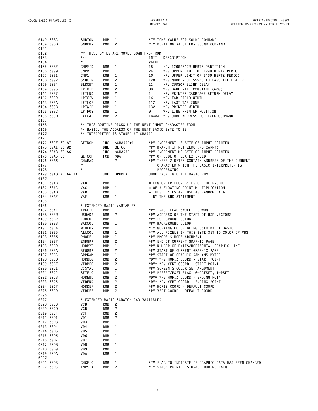**MEMORY MAP**

|                      | 0149 008C<br>0150 008D |  | SNDTON<br>SNDDUR                                | RMB<br>RMB | 1<br>2            |                                                                                       |              | *TV TONE VALUE FOR SOUND COMMAND<br>*TV DURATION VALUE FOR SOUND COMMAND                                     |
|----------------------|------------------------|--|-------------------------------------------------|------------|-------------------|---------------------------------------------------------------------------------------|--------------|--------------------------------------------------------------------------------------------------------------|
| 0151<br>0152<br>0153 |                        |  | ** THESE BYTES ARE MOVED DOWN FROM ROM<br>$***$ |            |                   |                                                                                       | INIT         | DESCRIPTION                                                                                                  |
| 0154                 |                        |  | $\star$                                         |            |                   |                                                                                       | VALUE        |                                                                                                              |
| 0155 008F            |                        |  | CMPMID                                          | RMB        | 1                 |                                                                                       | 18           | *PV 1200/2400 HERTZ PARTITION                                                                                |
|                      | 0156 0090              |  | CMPØ                                            | RMB        | 1                 |                                                                                       | 24           | *PV UPPER LIMIT OF 1200 HERTZ PERIOD                                                                         |
|                      | 0157 0091              |  | CMP1                                            | RMB        | 1                 |                                                                                       | 1Ø           | *PV UPPER LIMIT OF 2400 HERTZ PERIOD                                                                         |
|                      | 0158 0092<br>0159 0094 |  | SYNCLN<br><b>BLKCNT</b>                         | RMB<br>RMB | 2<br>1            |                                                                                       | 128<br>11    | *PV NUMBER OF \$55'S TO CASSETTE LEADER<br>*PV CURSOR BLINK DELAY                                            |
|                      | 0160 0095              |  | LPTBTD                                          | RMB        | 2                 |                                                                                       | 88           | *PV BAUD RATE CONSTANT (600)                                                                                 |
|                      | 0161 0097              |  | LPTLND                                          | RMB        | 2                 |                                                                                       | $\mathbf{1}$ | *PV PRINTER CARRIAGE RETURN DELAY                                                                            |
|                      | 0162 0099              |  | LPTCFW                                          | RMB        | 1                 |                                                                                       | 16           | *PV TAB FIELD WIDTH                                                                                          |
|                      | 0163 009A              |  | LPTLCF                                          | RMB        | 1                 |                                                                                       | 112          | *PV LAST TAB ZONE                                                                                            |
|                      | 0164 009B              |  | LPTWID                                          | RMB        | 1                 |                                                                                       | 132          | *PV PRINTER WIDTH                                                                                            |
|                      | 0165 009C              |  | <b>LPTPOS</b>                                   | RMB        | 1                 |                                                                                       | Ø            | *PV LINE PRINTER POSITION                                                                                    |
|                      | 0166 009D              |  | EXECJP                                          | RMB        | 2                 |                                                                                       |              | LB4AA *PV JUMP ADDRESS FOR EXEC COMMAND                                                                      |
| 0167                 |                        |  |                                                 |            |                   |                                                                                       |              |                                                                                                              |
| 0168                 |                        |  |                                                 |            |                   |                                                                                       |              | ** THIS ROUTINE PICKS UP THE NEXT INPUT CHARACTER FROM<br>** BASIC. THE ADDRESS OF THE NEXT BASIC BYTE TO BE |
| 0169<br>0170         |                        |  | <b>** INTERPRETED IS STORED AT CHARAD.</b>      |            |                   |                                                                                       |              |                                                                                                              |
| 0171                 |                        |  |                                                 |            |                   |                                                                                       |              |                                                                                                              |
|                      | 0172 009F 0C A7        |  | GETNCH                                          | INC        |                   | <charad+1< td=""><td></td><td>*PV INCREMENT LS BYTE OF INPUT POINTER</td></charad+1<> |              | *PV INCREMENT LS BYTE OF INPUT POINTER                                                                       |
|                      | 0173 00A1 26 02        |  |                                                 | <b>BNE</b> |                   | GETCCH                                                                                |              | *PV BRANCH IF NOT ZERO (NO CARRY)                                                                            |
|                      | 0174 00A3 0C A6        |  |                                                 | INC        |                   | <charad< td=""><td></td><td>*PV INCREMENT MS BYTE OF INPUT POINTER</td></charad<>     |              | *PV INCREMENT MS BYTE OF INPUT POINTER                                                                       |
|                      | 0175 00A5 B6           |  | <b>GETCCH</b>                                   | FCB        | \$B6              |                                                                                       |              | *PV OP CODE OF LDA EXTENDED                                                                                  |
|                      | 0176 00A6              |  | CHARAD                                          |            | $\mathbf{2}$      |                                                                                       |              | *PV THESE 2 BYTES CONTAIN ADDRESS OF THE CURRENT                                                             |
| 0177                 |                        |  | $^\star$                                        |            |                   |                                                                                       |              | CHARACTER WHICH THE BASIC INTERPRETER IS                                                                     |
| 0178                 |                        |  | $^\star$                                        |            |                   |                                                                                       |              | PROCESSING                                                                                                   |
|                      | 0179 00A8 7E AA 1A     |  |                                                 | JMP        |                   | <b>BROMHK</b>                                                                         |              | JUMP BACK INTO THE BASIC RUM                                                                                 |
| 0180                 | 0181 00AB              |  | VAB                                             | RMB        | 1                 |                                                                                       |              | = LOW ORDER FOUR BYTES OF THE PRODUCT                                                                        |
|                      | 0182 00AC              |  | <b>VAC</b>                                      | RMB        | 1                 |                                                                                       |              | = OF A FLOATING POINT MULTIPLICATION                                                                         |
|                      | 0183 00AD              |  | VAD                                             | RMB        | 1                 |                                                                                       |              | = THESE BYTES ARE USE AS RANDOM DATA                                                                         |
|                      | 0184 00AE              |  | VAE                                             | RMB        | 1                 |                                                                                       |              | = BY THE RND STATEMENT                                                                                       |
| 0185                 |                        |  |                                                 |            |                   |                                                                                       |              |                                                                                                              |
| 0186                 |                        |  | * EXTENDED BASIC VARIABLES                      |            |                   |                                                                                       |              |                                                                                                              |
|                      | 0187 00AF              |  | TRCFLG                                          | RMB        | 1                 |                                                                                       |              | *PV TRACE FLAG Ø=OFF ELSE=ON                                                                                 |
|                      | 0188 00B0              |  | USRADR                                          | RMB        | 2                 |                                                                                       |              | *PV ADDRESS OF THE START OF USR VECTORS                                                                      |
|                      | 0189 00B2<br>0190 00B3 |  | FORCOL                                          | RMB<br>RMB | 1                 |                                                                                       |              | *PV FOREGROUND COLOR<br>*PV BACKGROUND COLOR                                                                 |
|                      | 0191 00B4              |  | BAKCOL<br><b>WCOLOR</b>                         | RMB        | 1<br>1            |                                                                                       |              | *TV WORKING COLOR BEING USED BY EX BASIC                                                                     |
|                      | 0192 00B5              |  | ALLCOL                                          | RMB        | 1                 |                                                                                       |              | *TV ALL PIXELS IN THIS BYTE SET TO COLOR OF VB3                                                              |
|                      | 0193 00B6              |  | PMODE                                           | RMB        | 1                 |                                                                                       |              | *PV PMODE'S MODE ARGUMENT                                                                                    |
|                      | 0194 00B7              |  | ENDGRP                                          | RMB        | 2                 |                                                                                       |              | *PV END OF CURRENT GRAPHIC PAGE                                                                              |
|                      | 0195 00B9              |  | HORBYT                                          | RMB        | 1                 |                                                                                       |              | *PV NUMBER OF BYTES/HORIZONTAL GRAPHIC LINE                                                                  |
|                      | 0196 00BA              |  | BEGGRP                                          | RMB        | 2                 |                                                                                       |              | *PV START OF CURRENT GRAPHIC PAGE                                                                            |
|                      | 0197 00BC              |  | GRPRAM                                          | RMB        | 1                 |                                                                                       |              | *PV START OF GRAPHIC RAM (MS BYTE)                                                                           |
|                      | 0198 00BD              |  | HORBEG                                          | RMB        | $\overline{c}$    |                                                                                       |              | *DV* *PV HORIZ COORD - START POINT<br>*DV* *PV VERT COORD - START POINT                                      |
| 0200 00C1            | 0199 00BF              |  | VERBEG<br>CSSYAL                                | RMB<br>RMB | 2<br>$\mathbf{1}$ |                                                                                       |              | *PV SCREEN'S COLOR SET ARGUMENT                                                                              |
|                      | 0201 00C2              |  | SETFLG                                          | RMB        | 1                 |                                                                                       |              | *PV PRESET/PSET FLAG: Ø=PRESET, 1=PSET                                                                       |
|                      | 0202 00C3              |  | HOREND                                          | RMB        | $\mathbf{2}$      |                                                                                       |              | *DV* *PV HORIZ COORD - ENDING POINT                                                                          |
|                      | 0203 00C5              |  | VEREND                                          | RMB        | 2                 |                                                                                       |              | *DV* *PV VERT COORD - ENDING POINT                                                                           |
|                      | 0204 00C7              |  | HORDEF                                          | RMB        | 2                 |                                                                                       |              | *PV HORIZ COORD - DEFAULT COORD                                                                              |
|                      | 0205 00C9              |  | VERDEF                                          | RMB        | $\overline{c}$    |                                                                                       |              | *PV VERT COORD - DEFAULT COORD                                                                               |
| 0206                 |                        |  |                                                 |            |                   |                                                                                       |              |                                                                                                              |
| 0207                 |                        |  | * EXTENDED BASIC SCRATCH PAD VARIABLES          |            |                   |                                                                                       |              |                                                                                                              |
|                      | 0208 00CB<br>0209 00CD |  | VCB<br>VCD                                      | RMB<br>RMB | 2<br>2            |                                                                                       |              |                                                                                                              |
|                      | 0210 00CF              |  | VCF                                             | RMB        | 2                 |                                                                                       |              |                                                                                                              |
| 0211 00D1            |                        |  | VD1                                             | RMB        | $\overline{c}$    |                                                                                       |              |                                                                                                              |
|                      | 0212 00D3              |  | VD3                                             | RMB        | 1                 |                                                                                       |              |                                                                                                              |
|                      | 0213 00D4              |  | VD4                                             | RMB        | 1                 |                                                                                       |              |                                                                                                              |
| 0214 00D5            |                        |  | VD5                                             | RMB        | 1                 |                                                                                       |              |                                                                                                              |
| 0215 00D6            |                        |  | VD6                                             | RMB        | 1                 |                                                                                       |              |                                                                                                              |
| 0216 00D7            |                        |  | VD7                                             | RMB        | 1                 |                                                                                       |              |                                                                                                              |
|                      | 0217 00D8              |  | VD8                                             | RMB        | 1                 |                                                                                       |              |                                                                                                              |
|                      | 0218 00D9              |  | VD9                                             | RMB        | 1                 |                                                                                       |              |                                                                                                              |
| 0220                 | 0219 00DA              |  | VDA                                             | RMB        | 1                 |                                                                                       |              |                                                                                                              |
|                      | 0221 00DB              |  | CHGFLG                                          | RMB        | 1                 |                                                                                       |              | *TV FLAG TO INDICATE IF GRAPHIC DATA HAS BEEN CHANGED                                                        |
| 0222 00DC            |                        |  | <b>TMPSTK</b>                                   | RMB        | $\overline{c}$    |                                                                                       |              | *TV STACK POINTER STORAGE DURING PAINT                                                                       |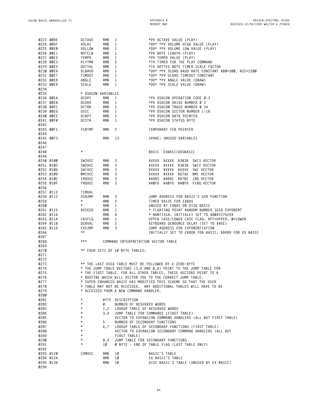| 0223 00DE         |           | <b>OCTAVE</b>      | RMB        | 1                                      | *PV OCTAVE VALUE (PLAY)                                                                                                                |
|-------------------|-----------|--------------------|------------|----------------------------------------|----------------------------------------------------------------------------------------------------------------------------------------|
| 0224 00DF         |           | VOLHI              | RMB        | 1                                      | *DV* *PV VOLUME HIGH VALUE (PLAY)                                                                                                      |
| 0225 00E0         |           | VOLLOW             | <b>RMB</b> | $\mathbf{1}$                           | *DV* *PV VOLUME LOW VALUE (PLAY)                                                                                                       |
| 0226 00E1         |           | NOTELN             | <b>RMB</b> | 1                                      | *PV NOTE LENGTH (PLAY)                                                                                                                 |
| 0227 00E2         |           | TEMPO              | <b>RMB</b> | 1                                      | *PV TEMPO VALUE (PLAY)                                                                                                                 |
| 0228 00E3         |           | PLYTMR             | RMB        | 2                                      | *TV TIMER FOR THE PLAY COMMAND                                                                                                         |
| 0229 00E5         |           | DOTYAL             | <b>RMB</b> | 1                                      | *TV DOTTED NOTE TIMER SCALE FACTOR                                                                                                     |
| 0230 00E6         |           | DLBAUD             | <b>RMB</b> | 1                                      | *DV* *PV DLOAD BAUD RATE CONSTANT \$B0=300, \$2C=1200                                                                                  |
| 0231 00E7         |           | TIMOUT             | <b>RMB</b> | 1                                      | *DV* *PV DLOAD TIMEOUT CONSTANT                                                                                                        |
| 0232 00E8         |           | ANGLE              | RMB        | 1                                      | *DV* *PV ANGLE VALUE (DRAW)                                                                                                            |
| 0233 00E9         |           | SCALE              | <b>RMB</b> | 1                                      | *DV* *PV SCALE VALUE (DRAW)                                                                                                            |
| 0234              |           |                    |            |                                        |                                                                                                                                        |
| 0235              |           | * DSKCON VARIABLES |            |                                        |                                                                                                                                        |
| 0236 00EA         |           | <b>DCOPC</b>       | RMB        | 1                                      | *PV DSKCON OPERATION CODE Ø-3                                                                                                          |
| 0237 00EB         |           | DCDRV              | RMB        | 1                                      | *PV DSKCON DRIVE NUMBER Ø 3                                                                                                            |
| 0238 00EC         |           | DCTRK              | RMB        | $\mathbf{1}$                           | *PV DSKCON TRACK NUMBER Ø 34                                                                                                           |
| 0239 00ED         |           | DSEC               | RMB        | 1                                      | *PV DSKCON SECTOR NUMBER 1-18                                                                                                          |
| 0240 00EE         |           | DCBPT              | RMB        | 2                                      | *PV DSKCON DATA POINTER                                                                                                                |
| 0241 00F0         |           | DCSTA              | RMB        | 1                                      | *PV DSKCON STATUS BYTE                                                                                                                 |
| 0242              |           |                    |            |                                        |                                                                                                                                        |
| 0243 00F1<br>0244 |           | <b>FCBTMP</b>      | RMB        | 2                                      | TEMPORARY FCB POINTER                                                                                                                  |
| 0245 00F3         |           |                    | RMB        | 13                                     | SPARE: UNUSED VARIABLES                                                                                                                |
| 0246              |           |                    |            |                                        |                                                                                                                                        |
| 0247              |           |                    |            |                                        |                                                                                                                                        |
| 0248              |           | $^\star$           |            |                                        | BASIC EXBASI(DOSBASIC                                                                                                                  |
| 0249              |           |                    |            |                                        |                                                                                                                                        |
|                   | 0250 0100 | SW3VEC             | RMB        | 3                                      | \$XXXX \$XXXX \$3B3B SWI3 VECTOR                                                                                                       |
| 0251 0103         |           | SW2VEC             | RMB        | 3                                      | \$XXXX \$XXXX \$3B3B SWI2 VECTOR                                                                                                       |
| 0252 0106         |           | SWIVEC             | RMB        | 3                                      | \$XXXX \$XXXX \$XXXX SWI VECTOR                                                                                                        |
|                   | 0253 0109 | NMIVEC             | RMB        | 3                                      | \$XXXX \$XXXX \$D7AE NMI VECTOR                                                                                                        |
| 0254 010C         |           | IRQVEC             | RMB        | 3                                      | \$A9B3 \$894C \$D7BC<br>IRQ VECTOR                                                                                                     |
| 0255 010F         |           | FRQVEC             | RMB        | 3                                      | \$AØF6 \$AØF6 \$AØF6 FIRQ VECTOR                                                                                                       |
| 0256              |           |                    |            |                                        |                                                                                                                                        |
| 0257 0112         |           | TIMVAL             |            |                                        |                                                                                                                                        |
| 0258 0112         |           | USRJMP             | RMB        | 3                                      | JUMP ADDRESS FOR BASIC'S USR FUNCTION                                                                                                  |
| 0259              |           | $\star$            | RMB        | 2                                      | TIMER VALUE FOR EXBAS                                                                                                                  |
| 0260              |           | $^\star$           | RMB        | 1                                      | UNUSED BY EXBAS OR DISK BASIC                                                                                                          |
| 0261 0115         |           | RVSEED             | RMB        | 1                                      | * FLOATING POINT RANDOM NUMBER SEED EXPONENT                                                                                           |
| 0262 0116         |           |                    | RMB        | 4                                      | * MANTISSA: INITIALLY SET TO \$804FC75259                                                                                              |
| 0263 011A         |           | CASFLG             | RMB        | 1                                      | UPPER CASE/LOWER CASE FLAG: \$FF=UPPER, Ø=LOWER                                                                                        |
|                   | 0264 011B | DEBVAL             | RMB        | 2                                      | KEYBOARD DEBOUNCE DELAY (SET TO \$45E)                                                                                                 |
|                   |           | EXPJMP             | RMB        | 3                                      | JUMP ADDRESS FOR EXPONENTIATION                                                                                                        |
|                   | 0265 011D |                    |            |                                        |                                                                                                                                        |
| 0266              |           | $\star\star$       |            |                                        | INITIALLY SET TO ERROR FOR BASIC, \$8489 FOR EX BASIC                                                                                  |
| 0267              |           |                    |            |                                        |                                                                                                                                        |
| 0268              |           | $***$              |            | COMMAND INTERPRETATION VECTOR TABLE    |                                                                                                                                        |
| 0269              |           |                    |            |                                        |                                                                                                                                        |
| 0270              |           |                    |            | ** FOUR SETS OF 10 BYTE TABLES:        |                                                                                                                                        |
| 0271              |           |                    |            |                                        |                                                                                                                                        |
| 0272              |           |                    |            |                                        |                                                                                                                                        |
| 0273              |           |                    |            |                                        | ** THE LAST USED TABLE MUST BE FOLLOWED BY A ZERO BYTE                                                                                 |
| 0274              |           |                    |            |                                        | * THE JUMP TABLE VECTORS (3,4 AND 8,9) POINT TO THE JUMP TABLE FOR                                                                     |
| 0275              |           |                    |            |                                        | * THE FIRST TABLE. FOR ALL OTHER TABLES, THESE VECTORS POINT TO A                                                                      |
| 0276              |           |                    |            |                                        | * ROUTINE WHICH WILL VECTOR YOU TO THE CORRECT JUMP TABLE.                                                                             |
| 0277              |           |                    |            |                                        | * SUPER ENHANCED BASIC HAS MODIFIED THIS SCHEME SO THAT THE USER<br>* TABLE MAY NOT BE ACCESSED. ANY ADDITIONAL TABLES WILL HAVE TO BE |
| 0278              |           |                    |            |                                        |                                                                                                                                        |
| 0279<br>0280      |           |                    |            | * ACCESSED FROM A NEW COMMAND HANDLER. |                                                                                                                                        |
| 0281              |           | $^\star$           |            | BYTE DESCRIPTION                       |                                                                                                                                        |
| 0282              |           | $^\star$           | Ø          | NUMBER OF RESERVED WORDS               |                                                                                                                                        |
| 0283              |           | $^\star$           | 1,2        | LOOKUP TABLE OF RESERVED WORDS         |                                                                                                                                        |
| 0284              |           | $^\star$           | 3,4        |                                        | JUMP TABLE FOR COMMANDS (FIRST TABLE)                                                                                                  |
| 0285              |           | $^\star$           |            |                                        | VECTOR TO EXPANSION COMMAND HANDLERS (ALL BUT FIRST TABLE)                                                                             |
| 0286              |           | $^\star$           | 5          | NUMBER OF SECONDARY FUNCTIONS          |                                                                                                                                        |
| 0287              |           | $^\star$           | 6,7        |                                        | LOOKUP TABLE OF SECONDARY FUNCTIONS (FIRST TABLE)                                                                                      |
| 0288              |           | $^\star$           |            |                                        | VECTOR TO EXPANSION SECONDARY COMMAND HANDLERS (ALL BUT                                                                                |
| 0289              |           | $^\star$           |            | FIRST TABLE)                           |                                                                                                                                        |
| 0290              |           | $^\star$           | 8,9        |                                        | JUMP TABLE FOR SECONDARY FUNCTIONS                                                                                                     |
| 0291              |           | $^\star$           | 1Ø         |                                        | Ø BYTE - END OF TABLE FLAG (LAST TABLE ONLY)                                                                                           |
| 0292              |           |                    |            |                                        |                                                                                                                                        |
| 0293 0120         |           | COMVEC             | RMB        | 1Ø                                     | BASIC'S TABLE                                                                                                                          |
|                   | 0294 012A |                    | RMB        | 1Ø                                     | EX BASIC'S TABLE                                                                                                                       |
| 0295 0134<br>0296 |           |                    | <b>RMB</b> | 1Ø                                     | DISC BASIC'S TABLE (UNUSED BY EX BASIC)                                                                                                |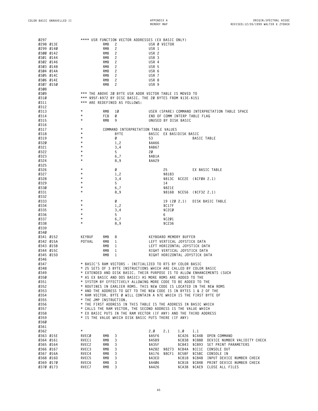| 0297                |                        |                        |            | **** USR FUNCTION VECTOR ADDRESSES (EX BASIC ONLY)                                                                            |                  |                                |                  |                            |                                                     |
|---------------------|------------------------|------------------------|------------|-------------------------------------------------------------------------------------------------------------------------------|------------------|--------------------------------|------------------|----------------------------|-----------------------------------------------------|
|                     | 0298 013E              |                        | RMB        | 2                                                                                                                             |                  | USR Ø VECTOR                   |                  |                            |                                                     |
|                     | 0299 0140<br>0300 0142 |                        | RMB<br>RMB | 2<br>2                                                                                                                        | USR 1<br>USR 2   |                                |                  |                            |                                                     |
|                     | 0301 0144              |                        | RMB        | $\overline{c}$                                                                                                                | USR <sub>3</sub> |                                |                  |                            |                                                     |
|                     | 0302 0146              |                        | RMB        | 2                                                                                                                             | USR 4            |                                |                  |                            |                                                     |
|                     | 0303 0148              |                        | RMB        | 2                                                                                                                             | USR 5            |                                |                  |                            |                                                     |
|                     | 0304 014A              |                        | RMB        | 2                                                                                                                             | USR 6            |                                |                  |                            |                                                     |
|                     | 0305 014C              |                        | RMB        | 2                                                                                                                             | USR 7            |                                |                  |                            |                                                     |
|                     | 0306 014E              |                        | RMB        | $\overline{c}$                                                                                                                | USR 8            |                                |                  |                            |                                                     |
|                     | 0307 0150              |                        | RMB        | 2                                                                                                                             | USR 9            |                                |                  |                            |                                                     |
| 0308<br>0309        |                        |                        |            | *** THE ABOVE 20 BYTE USR ADDR VECTOR TABLE IS MOVED TO                                                                       |                  |                                |                  |                            |                                                     |
| 0310                |                        |                        |            | *** \$95F-\$972 BY DISC BASIC. THE 20 BYTES FROM \$13E-\$151                                                                  |                  |                                |                  |                            |                                                     |
| 0311                |                        |                        |            | *** ARE REDEFINED AS FOLLOWS:                                                                                                 |                  |                                |                  |                            |                                                     |
| 0312                |                        |                        |            |                                                                                                                               |                  |                                |                  |                            |                                                     |
| 0313                |                        | $^\star$               | RMB        | 10                                                                                                                            |                  |                                |                  |                            | USER (SPARE) COMMAND INTERPRETATION TABLE SPACE     |
| 0314                |                        | $^\star$               | FCB        | Ø                                                                                                                             |                  | END OF COMM INTERP TABLE FLAG  |                  |                            |                                                     |
| 0315<br>0316        |                        | $^\star$               | RMB        | 9                                                                                                                             |                  | UNUSED BY DISK BASIC           |                  |                            |                                                     |
| 0317                |                        | $^\star$               |            | COMMAND INTERPRETATION TABLE VALUES                                                                                           |                  |                                |                  |                            |                                                     |
| 0318                |                        | $\star$                |            | <b>BYTE</b>                                                                                                                   |                  | BASIC EX BASIDISK BASIC        |                  |                            |                                                     |
| 0319                |                        | $^\star$               |            | Ø                                                                                                                             | 53               |                                |                  | <b>BASIC TABLE</b>         |                                                     |
| 0320                |                        | $^\star$               |            | 1,2                                                                                                                           | \$AA66           |                                |                  |                            |                                                     |
| 0321                |                        | $^\star$               |            | 3,4                                                                                                                           | \$AB67           |                                |                  |                            |                                                     |
| 0322                |                        | $^\star$               |            | 5                                                                                                                             | 20               |                                |                  |                            |                                                     |
| 0323                |                        | $^\star$<br>$^\star$   |            | 6,7                                                                                                                           | \$AB1A           |                                |                  |                            |                                                     |
| 0324<br>0325        |                        |                        |            | 8,9                                                                                                                           | \$AA29           |                                |                  |                            |                                                     |
| 0326                |                        | $^\star$               |            | Ø                                                                                                                             |                  | 25                             |                  |                            | EX BASIC TABLE                                      |
| 0327                |                        | $^\star$               |            | 1,2                                                                                                                           |                  | \$8183                         |                  |                            |                                                     |
| 0328                |                        | $^\star$               |            | 3,4                                                                                                                           |                  |                                |                  | \$813C \$CE2E (\$CFØA 2.1) |                                                     |
| 0329                |                        | $^\star$               |            | 5                                                                                                                             |                  | 14                             |                  |                            |                                                     |
| 0330                |                        | $^\star$               |            | 6,7                                                                                                                           |                  | \$821E                         |                  |                            |                                                     |
| 0331                |                        | $^\star$               |            | 8,9                                                                                                                           |                  |                                |                  | \$8168 \$CE56 (\$CF32 2.1) |                                                     |
| 0332<br>0333        |                        | $^\star$               |            | Ø                                                                                                                             |                  | 19 (20 2.1)                    |                  |                            | DISK BASIC TABLE                                    |
| 0334                |                        | $^\star$               |            | 1,2                                                                                                                           |                  | \$C17F                         |                  |                            |                                                     |
| 0335                |                        | $^\star$               |            | 3,4                                                                                                                           |                  | \$C2CØ                         |                  |                            |                                                     |
| 0336                |                        | $^\star$               |            | 5                                                                                                                             |                  | 6                              |                  |                            |                                                     |
| 0337                |                        | $^\star$               |            | 6,7                                                                                                                           |                  | \$C201                         |                  |                            |                                                     |
| 0338                |                        | $^\star$               |            | 8,9                                                                                                                           |                  | \$C236                         |                  |                            |                                                     |
| 0339<br><b>0340</b> |                        |                        |            |                                                                                                                               |                  |                                |                  |                            |                                                     |
|                     | 0341 0152              | KEYBUF                 | RMB        | 8                                                                                                                             |                  | KEYBOARD MEMORY BUFFER         |                  |                            |                                                     |
|                     | 0342 015A              | POTVAL                 | RMB        | 1                                                                                                                             |                  | LEFT VERTICAL JOYSTICK DATA    |                  |                            |                                                     |
|                     | 0343 015B              |                        | <b>RMB</b> | 1                                                                                                                             |                  | LEFT HORIZONTAL JOYSTICK DATA  |                  |                            |                                                     |
|                     | 0344 015C              |                        | RMB        | 1                                                                                                                             |                  | RIGHT VERTICAL JOYSTICK DATA   |                  |                            |                                                     |
|                     | 0345 015D              |                        | RMB        | 1                                                                                                                             |                  | RIGHT HORIZONTAL JOYSTICK DATA |                  |                            |                                                     |
| 0346<br>0347        |                        |                        |            |                                                                                                                               |                  |                                |                  |                            |                                                     |
| 0348                |                        |                        |            | * BASIC'S RAM VECTORS - INITIALIZED TO RTS BY COLOR BASIC<br>* 25 SETS OF 3 BYTE INSTRUCTIONS WHICH ARE CALLED BY COLOR BASIC |                  |                                |                  |                            |                                                     |
| 0349                |                        |                        |            | * EXTENDED AND DISK BASIC. THEIR PURPOSE IS TO ALLOW ENHANCEMENTS (SUCH                                                       |                  |                                |                  |                            |                                                     |
| Ø35Ø                |                        |                        |            | * AS EX BASIC AND DOS BASIC) AS MORE ROMS ARE ADDED TO THE                                                                    |                  |                                |                  |                            |                                                     |
| 0351                |                        |                        |            | * SYSTEM BY EFFECTIVELY ALLOWING MORE CODE TO BE ADDED TO THE                                                                 |                  |                                |                  |                            |                                                     |
| 0352                |                        |                        |            | * ROUTINES IN EARLIER ROMS. THIS NEW CODE IS LOCATED IN THE NEW ROMS                                                          |                  |                                |                  |                            |                                                     |
| 0353                |                        |                        |            | * AND THE ADDRESS TO GET TO THE NEW CODE IS IN BYTES 1 & 2 OF THE                                                             |                  |                                |                  |                            |                                                     |
| 0354<br>0355        |                        | * THE JMP INSTRUCTION. |            | * RAM VECTOR. BYTE Ø WILL CONTAIN A \$7E WHICH IS THE FIRST BYTE OF                                                           |                  |                                |                  |                            |                                                     |
| 0356                |                        |                        |            | * THE FIRST ADDRESS IN THIS TABLE IS THE ADDRESS IN BASIC WHICH                                                               |                  |                                |                  |                            |                                                     |
| 0357                |                        |                        |            | * CALLS THE RAM VECTOR, THE SECOND ADDRESS IS THE VALUE WHICH                                                                 |                  |                                |                  |                            |                                                     |
| 0358                |                        |                        |            | * EX BASIC PUTS IN THE RAM VECTOR (IF ANY) AND THE THIRD ADDRESS                                                              |                  |                                |                  |                            |                                                     |
| 0359                |                        |                        |            | * IS THE VALUE WHICH DISK BASIC PUTS THERE (IF ANY)                                                                           |                  |                                |                  |                            |                                                     |
| 0360                |                        |                        |            |                                                                                                                               |                  |                                |                  |                            |                                                     |
| 0361<br>0362        |                        | $^\star$               |            |                                                                                                                               |                  |                                |                  |                            |                                                     |
|                     | 0363 015E              | RVECØ                  | RMB        | 3                                                                                                                             | 2.Ø<br>\$A5F6    | 2.1                            | 1.Ø<br>\$C426    | 1.1                        | \$C44B OPEN COMMAND                                 |
|                     | 0364 0161              | RVEC1                  | RMB        | 3                                                                                                                             | \$A5B9           |                                | \$C838           | \$C888                     | DEVICE NUMBER VALIDITY CHECK                        |
|                     | 0365 0164              | RVEC2                  | RMB        | 3                                                                                                                             | \$A35F           |                                | \$C843           |                            | \$C893 SET PRINT PARAMETERS                         |
|                     | 0366 0167              | RVEC3                  | RMB        | 3                                                                                                                             |                  | \$A282 \$8273                  | \$CB4A           |                            | \$CC1C CONSOLE OUT                                  |
|                     | 0367 016A              | RVEC4                  | RMB        | 3                                                                                                                             |                  | \$A176 \$8CF1                  |                  |                            | \$C58F \$C5BC CONSOLE IN                            |
|                     | 0368 016D              | RVEC5                  | RMB        | 3                                                                                                                             | \$A3ED           |                                |                  |                            | \$C818 \$C848 INPUT DEVICE NUMBER CHECK             |
|                     | 0369 0170<br>0370 0173 | RVEC6<br>RVEC7         | RMB<br>RMB | 3<br>3                                                                                                                        | \$A406<br>\$A426 |                                | \$C81B<br>\$CA3B | \$C84B                     | PRINT DEVICE NUMBER CHECK<br>\$CAE9 CLOSE ALL FILES |
|                     |                        |                        |            |                                                                                                                               |                  |                                |                  |                            |                                                     |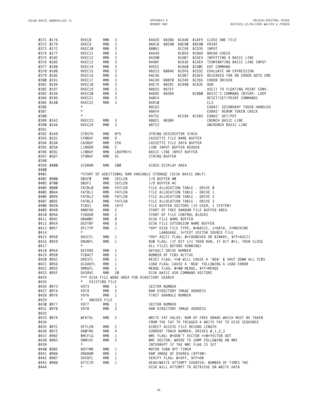| 0371 0176 |           | RVEC8         | RMB        | 3                                                           | \$A42D                             |               | \$8286 \$CA4B \$CAF9 |                                  | CLOSE ONE FILE                                                 |
|-----------|-----------|---------------|------------|-------------------------------------------------------------|------------------------------------|---------------|----------------------|----------------------------------|----------------------------------------------------------------|
| 0372 0179 |           | RVEC9         | RMB        | 3                                                           | \$B918                             |               | \$8E90 \$8E90 \$8E90 |                                  | PRINT                                                          |
|           | 0373 017C | RVEC10        | <b>RMB</b> | 3                                                           | \$BØ61                             |               |                      | \$CC5B \$CD35 INPUT              |                                                                |
|           |           |               |            |                                                             |                                    |               |                      |                                  |                                                                |
| 0374 017F |           | RVEC11        | <b>RMB</b> | 3                                                           | \$A549                             |               |                      | \$C859 \$C8A9                    | <b>BREAK CHECK</b>                                             |
|           | 0375 0182 | RVEC12        | RMB        | 3                                                           | \$A390                             |               | \$C6B7               |                                  | \$C6E4 INPUTTING A BASIC LINE                                  |
| 0376 0185 |           | RVEC13        | RMB        | 3                                                           | \$A4BF                             |               | \$CA36               |                                  | \$CAE4 TERMINATING BASIC LINE INPUT                            |
| 0377 0188 |           | RVEC14        | RMB        | 3                                                           | \$A5CE                             |               | \$CA6Ø               |                                  | \$C90C EOF COMMAND                                             |
| 0378 018B |           | RVEC15        | RMB        | 3                                                           | \$B223                             | \$8846 \$CDF6 |                      |                                  | \$CED2 EVALUATE AN EXPRESSION                                  |
|           |           |               |            |                                                             |                                    |               |                      |                                  |                                                                |
| 0379 018E |           | RVEC16        | RMB        | 3                                                           | \$AC46                             |               |                      | \$C6B7 \$C6E4                    | RESERVED FOR ON ERROR GOTO CMD                                 |
| 0380 0191 |           | RVEC17        | RMB        | 3                                                           | \$AC49                             |               |                      |                                  | \$88FØ \$C24D \$C265 ERROR DRIVER                              |
|           | 0381 0194 | RVEC18        | RMB        | 3                                                           | \$AE75 \$829C \$C990 \$CA3E        |               |                      |                                  | RUN                                                            |
|           | 0382 0197 | RVEC19        | RMB        | 3                                                           | \$BD22 \$87EF                      |               |                      |                                  | ASCII TO FLOATING POINT CONV.                                  |
| 0383 019A |           | RVEC20        | RMB        | 3                                                           | \$AD9E \$82B9                      |               |                      | \$C8BØ                           | BASIC'S COMMAND INTERP. LOOP                                   |
| 0384 019D |           | RVEC21        | RMB        | 3                                                           | \$A8C4                             |               |                      |                                  | RESET/SET/POINT COMMANDS                                       |
|           |           |               |            |                                                             |                                    |               |                      |                                  |                                                                |
| 0385 01A0 |           | RVEC22        | RMB        | 3                                                           | \$A910                             |               |                      |                                  | CLS                                                            |
| 0386      |           | $^\star$      |            |                                                             | \$8162                             |               |                      |                                  | EXBAS' SECONDARY TOKEN HANDLER                                 |
| 0387      |           | $^\star$      |            |                                                             | \$8AFA                             |               |                      |                                  | EXBAS' RENUM TOKEN CHECK                                       |
| 0388      |           | $^\star$      |            |                                                             | \$975C                             |               |                      |                                  | \$C29A \$C2B2 EXBAS' GET/PUT                                   |
| 0389 01A3 |           | RVEC23        | RMB        | 3                                                           | \$B821                             | \$8304        |                      |                                  | CRUNCH BASIC LINE                                              |
| 0390 01A6 |           | RVEC24        | RMB        | 3                                                           | \$B7C2                             |               |                      |                                  | UNCRUNCH BASIC LINE                                            |
|           |           |               |            |                                                             |                                    |               |                      |                                  |                                                                |
| 0391      |           |               |            |                                                             |                                    |               |                      |                                  |                                                                |
| 0392 01A9 |           | <b>STRSTK</b> | RMB        | $8*5$                                                       | STRING DESCRIPTOR STACK            |               |                      |                                  |                                                                |
| 0393 01D1 |           | CFNBUF        | RMB        | 9                                                           | CASSETTE FILE NAME BUFFER          |               |                      |                                  |                                                                |
| 0394 01DA |           | CASBUF        | RMB        | 256                                                         | CASSETTE FILE DATA BUFFER          |               |                      |                                  |                                                                |
| 0395 02DA |           | LINHDR        | RMB        | $\mathbf{2}$                                                | LINE INPUT BUFFER HEADER           |               |                      |                                  |                                                                |
| 0396 02DC |           |               | RMB        | LBUFMX+1                                                    |                                    |               |                      |                                  |                                                                |
|           |           | LINBUF        |            |                                                             | BASIC LINE INPUT BUFFER            |               |                      |                                  |                                                                |
| 0397 03D7 |           | <b>STRBUF</b> | RMB        | 41                                                          | STRING BUFFER                      |               |                      |                                  |                                                                |
| 0398      |           |               |            |                                                             |                                    |               |                      |                                  |                                                                |
| 0399 0400 |           | VIDRAM        | RMB        | 200                                                         | VIDEO DISPLAY AREA                 |               |                      |                                  |                                                                |
| 0400      |           |               |            |                                                             |                                    |               |                      |                                  |                                                                |
| 0401      |           |               |            | *START OF ADDITIONAL RAM VARIABLE STORAGE (DISK BASIC ONLY) |                                    |               |                      |                                  |                                                                |
|           |           |               |            |                                                             |                                    |               |                      |                                  |                                                                |
| 0402 0600 |           | DBUFØ         | <b>RMB</b> | SECLEN                                                      | I/O BUFFER #Ø                      |               |                      |                                  |                                                                |
| 0403 0700 |           | DBUF1         | RMB        | SECLEN                                                      | I/O BUFFER #1                      |               |                      |                                  |                                                                |
| 0404 0800 |           | FATBLØ        | RMB        | FATLEN                                                      | FILE ALLOCATION TABLE - DRIVE Ø    |               |                      |                                  |                                                                |
| 0405 084A |           | FATBL1        | RMB        | FATLEN                                                      | FILE ALLOCATION TABLE - DRIVE 1    |               |                      |                                  |                                                                |
|           | 0406 0894 | FATBL2        | RMB        | FATLEN                                                      | FILE ALLOCATION TABLE - DRIVE 2    |               |                      |                                  |                                                                |
|           |           |               | <b>RMB</b> | <b>FATLEN</b>                                               |                                    |               |                      |                                  |                                                                |
| 0407 08DE |           | FATBL3        |            |                                                             | FILE ALLOCATION TABLE - DRIVE 3    |               |                      |                                  |                                                                |
|           | 0408 0928 | FCBV1         | <b>RMB</b> | $16*2$                                                      |                                    |               |                      |                                  | FILE BUFFER VECTORS (15 USER, 1 SYSTEM)                        |
| 0409 0948 |           | RNBFAD        | RMB        | 2                                                           |                                    |               |                      |                                  | START OF FREE RANDOM FILE BUFFER AREA                          |
| 0410 094A |           | FCBADR        | RMB        | $\mathbf{2}$                                                | START OF FILE CONTROL BLOCKS       |               |                      |                                  |                                                                |
| 0411 094C |           | <b>DNAMBF</b> | <b>RMB</b> | 8                                                           | DISK FILE NAME BUFFER              |               |                      |                                  |                                                                |
| 0412 0954 |           | DEXTBF        | <b>RMB</b> | 3                                                           | DISK FILE EXTENSION NAME BUFFER    |               |                      |                                  |                                                                |
|           |           |               |            |                                                             |                                    |               |                      |                                  |                                                                |
| 0413 0957 |           | DFLTYP        | RMB        | 1                                                           |                                    |               |                      |                                  | *DV* DISK FILE TYPE: Ø=BASIC, 1=DATA, 2=MACHINE                |
| 0414      |           | $\star$       |            |                                                             |                                    |               |                      |                                  | LANGUAGE, 3=TEXT EDITOR SOURCE FILE                            |
| 0415 0958 |           | DASCFL        | RMB        | 1                                                           |                                    |               |                      |                                  | *DV* ASCII FLAG: Ø=CRUNCHED OR BINARY, \$FF=ASCII              |
| 0416 0959 |           | DRUNFL        | RMB        | 1                                                           |                                    |               |                      |                                  | RUN FLAG: (IF BIT 1=1 THEN RUN, IF BIT Ø=1, THEN CLOSE         |
| 0417      |           | $\star$       |            |                                                             | ALL FILES BEFORE RUNNING)          |               |                      |                                  |                                                                |
| 0418 095A |           | DEFDRV        | RMB        | 1                                                           | DEFAULT DRIVE NUMBER               |               |                      |                                  |                                                                |
|           |           |               |            |                                                             |                                    |               |                      |                                  |                                                                |
| 0419 095B |           | FCBACT        | RMB        | 1                                                           | NUMBER OF FCBS ACTIVE              |               |                      |                                  |                                                                |
| 0420 095C |           | DRESFL        | RMB        | 1                                                           |                                    |               |                      |                                  | RESET FLAG: $\infty$ Ø WILL CAUSE A 'NEW' & SHUT DOWN ALL FCBS |
| 0421 095D |           | DLOADFL       | RMB        | 1                                                           |                                    |               |                      |                                  | LOAD FLAG: CAUSE A 'NEW' FOLLOWING A LOAD ERROR                |
| 0422 095E |           | DMRGFL        | <b>RMB</b> | 1                                                           | MERGE FLAG: Ø=NØ MERGE, \$FF=MERGE |               |                      |                                  |                                                                |
| 0423 095F |           | <b>DUSRVC</b> | RMB        | 20                                                          | DISK BASIC USR COMMAND VECTORS     |               |                      |                                  |                                                                |
| 0424      |           |               |            | *** DISK FILE WORK AREA FOR DIRECTORY SEARCH                |                                    |               |                      |                                  |                                                                |
|           |           | $\star$       |            |                                                             |                                    |               |                      |                                  |                                                                |
| 0425      |           | EXISTING FILE |            |                                                             |                                    |               |                      |                                  |                                                                |
|           | 0426 0973 | V973          | RMB        | 1                                                           | SECTOR NUMBER                      |               |                      |                                  |                                                                |
|           | 0427 0974 | V974          | RMB        | 2                                                           |                                    |               |                      | RAM DIRECTORY IMAGE ADDRESS      |                                                                |
|           | 0428 0976 | V976          | RMB        | $\mathbf{1}$                                                | FIRST GRANULE NUMBER               |               |                      |                                  |                                                                |
| 0429      |           | * UNUSED FILE |            |                                                             |                                    |               |                      |                                  |                                                                |
|           | 0430 0977 | V977          | <b>RMB</b> | $\mathbf{1}$                                                | SECTOR NUMBER                      |               |                      |                                  |                                                                |
|           |           |               |            |                                                             |                                    |               |                      |                                  |                                                                |
|           | 0431 0978 | V978          | <b>RMB</b> | $\mathbf{2}^{\prime}$                                       |                                    |               |                      | RAM DIRECTORY IMAGE ADDRESS      |                                                                |
| 0432      |           |               |            |                                                             |                                    |               |                      |                                  |                                                                |
|           | 0433 097A | WFATVL        | RMB        | 2                                                           |                                    |               |                      |                                  | WRITE FAT VALUE: NUM OF FREE GRANS WHICH MUST BE TAKEN         |
| 0434      |           |               |            |                                                             |                                    |               |                      |                                  | FROM THE FAT TO TRIGGER A WRITE FAT TO DISK SEQUENCE           |
|           | 0435 097C | DFFLEN        | RMB        | 2                                                           |                                    |               |                      | DIRECT ACCESS FILE RECORD LENGTH |                                                                |
|           | 0436 097E | DRØTRK        | RMB        | 4                                                           |                                    |               |                      |                                  | CURRENT TRACK NUMBER, DRIVES 0,1,2,3                           |
|           |           |               |            |                                                             |                                    |               |                      |                                  | NMI FLAG: Ø=DON'T VECTOR <>Ø=YECTOR OUT                        |
|           | 0437 0982 | NMIFLG        | RMB        | $\mathbf{1}$                                                |                                    |               |                      |                                  |                                                                |
|           | 0438 0983 | DNMIVC        | RMB        | 2                                                           |                                    |               |                      |                                  | NMI VECTOR: WHERE TO JUMP FOLLOWING AN NMI                     |
| 0439      |           | $^\star$      |            |                                                             |                                    |               |                      | INTERRUPT IF THE NMI FLAG IS SET |                                                                |
|           | 0440 0985 | RDYTMR        | RMB        | 1                                                           | MOTOR TURN OFF TIMER               |               |                      |                                  |                                                                |
|           | 0441 0986 | DRGRAM        | RMB        | 1                                                           |                                    |               |                      | RAM IMAGE OF DSKREG (\$FF40)     |                                                                |
|           | 0442 0987 | DVERFL        | RMB        | 1                                                           | VERIFY FLAG: Ø=OFF, \$FF=ON        |               |                      |                                  |                                                                |
|           |           |               |            |                                                             |                                    |               |                      |                                  |                                                                |
| 0443 0988 |           | ATTCTR        | RMB        | $\mathbf{1}$                                                |                                    |               |                      |                                  | READ/WRITE ATTEMPT COUNTER: NUMBER OF TIMES THE                |
| 0444      |           | $\star$       |            |                                                             |                                    |               |                      |                                  | DISK WILL ATTEMPT TO RETRIEVE OR WRITE DATA                    |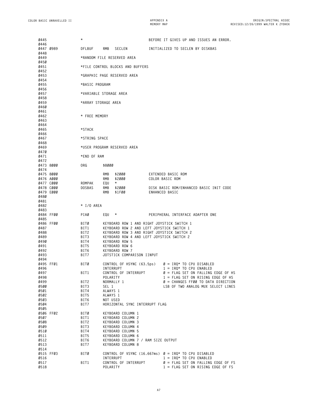| 0445                   | $^\star$                         |                                     | BEFORE IT GIVES UP AND ISSUES AN ERROR.                                                 |  |  |  |  |  |  |
|------------------------|----------------------------------|-------------------------------------|-----------------------------------------------------------------------------------------|--|--|--|--|--|--|
| Ø446<br>0447 0989      | DFLBUF                           | RMB<br>SECLEN                       | INITIALIZED TO SECLEN BY DISKBAS                                                        |  |  |  |  |  |  |
| 0448<br>0449           |                                  | *RANDOM FILE RESERVED AREA          |                                                                                         |  |  |  |  |  |  |
| 0450<br>0451           | *FILE CONTROL BLOCKS AND BUFFERS |                                     |                                                                                         |  |  |  |  |  |  |
| 0452                   |                                  |                                     |                                                                                         |  |  |  |  |  |  |
| 0453<br>0454           |                                  | *GRAPHIC PAGE RESERVED AREA         |                                                                                         |  |  |  |  |  |  |
| 0455<br>0456           | *BASIC PROGRAM                   |                                     |                                                                                         |  |  |  |  |  |  |
| 0457<br>0458           |                                  | *VARIABLE STORAGE AREA              |                                                                                         |  |  |  |  |  |  |
| 0459<br>0460           | *ARRAY STORAGE AREA              |                                     |                                                                                         |  |  |  |  |  |  |
| 0461<br>0462<br>0463   | * FREE MEMORY                    |                                     |                                                                                         |  |  |  |  |  |  |
| 0464<br>0465           | *STACK                           |                                     |                                                                                         |  |  |  |  |  |  |
| Ø466<br>0467           | *STRING SPACE                    |                                     |                                                                                         |  |  |  |  |  |  |
| 0468<br>0469           |                                  | *USER PROGRAM RESERVED AREA         |                                                                                         |  |  |  |  |  |  |
| 047 O<br>0471<br>0472  | *END OF RAM                      |                                     |                                                                                         |  |  |  |  |  |  |
| 0473 8000              | ORG                              | \$8000                              |                                                                                         |  |  |  |  |  |  |
| 0474<br>0475 8000      |                                  | <b>RMB</b><br>\$2000                | EXTENDED BASIC ROM                                                                      |  |  |  |  |  |  |
| 0476 A000<br>0477 C000 | ROMPAK                           | RMB<br>\$2000<br>EQU<br>$^\star$    | COLOR BASIC ROM                                                                         |  |  |  |  |  |  |
| 0478 C000              | <b>DOSBAS</b>                    | RMB<br>\$2000                       | DISK BASIC ROM/ENHANCED BASIC INIT CODE                                                 |  |  |  |  |  |  |
| 0479 E000              |                                  | RMB<br>\$1FØØ                       | ENHANCED BASIC                                                                          |  |  |  |  |  |  |
| 0480<br>0481           |                                  |                                     |                                                                                         |  |  |  |  |  |  |
| 0482                   | * I/O AREA                       |                                     |                                                                                         |  |  |  |  |  |  |
| 0483<br>0484 FF00      | PIAØ                             | EQU<br>$\star$                      | PERIPHERAL INTERFACE ADAPTER ONE                                                        |  |  |  |  |  |  |
| 0485                   |                                  |                                     |                                                                                         |  |  |  |  |  |  |
| 0486 FF00<br>0487      | BITØ<br>BIT1                     |                                     | KEYBOARD ROW 1 AND RIGHT JOYSTICK SWITCH 1<br>KEYBOARD ROW 2 AND LEFT JOYSTICK SWITCH 1 |  |  |  |  |  |  |
| 0488                   | BIT2                             |                                     | KEYBOARD ROW 3 AND RIGHT JOYSTICK SWITCH 2                                              |  |  |  |  |  |  |
| 0489                   | BIT3                             |                                     | KEYBOARD ROW 4 AND LEFT JOYSTICK SWITCH 2                                               |  |  |  |  |  |  |
| 0490                   | BIT4                             | KEYBOARD ROW 5                      |                                                                                         |  |  |  |  |  |  |
| 0491<br>0492           | BIT5<br>BIT6                     | KEYBOARD ROW 6<br>KEYBOARD ROW 7    |                                                                                         |  |  |  |  |  |  |
| 0493                   | BIT7                             | JOTSTICK COMPARISON IINPUT          |                                                                                         |  |  |  |  |  |  |
| 0494                   |                                  |                                     |                                                                                         |  |  |  |  |  |  |
| 0495 FF01              | BITØ                             | CONTROL OF HSYNC (63.5ps)           | $\varnothing$ = IRQ* TO CPU DISABLED                                                    |  |  |  |  |  |  |
| 0496                   |                                  | INTERRUPT                           | $1 = IRQ* TO CPU ENABLED$                                                               |  |  |  |  |  |  |
| 0497<br>Ø498           | BIT1                             | CONTROL OF INTERRUPT<br>POLARITY    | $\varnothing$ = FLAG SET ON FALLING EDGE OF HS<br>$1 = FLAG SET ON RISING EDGE OF HS$   |  |  |  |  |  |  |
| 0499                   | BIT2                             | NORMALLY 1                          | $\varnothing$ = CHANGES FFØØ TO DATA DIRECTION                                          |  |  |  |  |  |  |
| 0500                   | BIT3                             | SEL 1                               | LSB OF TWO ANALOG MUX SELECT LINES                                                      |  |  |  |  |  |  |
| 0501                   | BIT4                             | ALWAYS 1                            |                                                                                         |  |  |  |  |  |  |
| 0502                   | BIT5                             | ALWAYS 1                            |                                                                                         |  |  |  |  |  |  |
| 0503                   | BIT6                             | NOT USED                            |                                                                                         |  |  |  |  |  |  |
| 0504                   | BIT7                             | HORIZONTAL SYNC INTERRUPT FLAG      |                                                                                         |  |  |  |  |  |  |
| 0505<br>0506 FF02      | BITØ                             | KEYBOARD COLUMN 1                   |                                                                                         |  |  |  |  |  |  |
| 0507                   | BIT1                             | KEYBOARD COLUMN 2                   |                                                                                         |  |  |  |  |  |  |
| 0508                   | BIT2                             | KEYBOARD COLUMN 3                   |                                                                                         |  |  |  |  |  |  |
| 0509                   | BIT3                             | KEYBOARD COLUMN 4                   |                                                                                         |  |  |  |  |  |  |
| Ø51Ø                   | BIT4                             | KEYBOARD COLUMN 5                   |                                                                                         |  |  |  |  |  |  |
| 0511                   | BIT5                             | KEYBOARD COLUMN 6                   |                                                                                         |  |  |  |  |  |  |
| 0512                   | BIT6                             | KEYBOARD COLUMN 7 / RAM SIZE OUTPUT |                                                                                         |  |  |  |  |  |  |
| 0513                   | BIT7                             | KEYBOARD COLUMN 8                   |                                                                                         |  |  |  |  |  |  |
| 0514<br>0515 FF03      | BITØ                             |                                     | CONTROL OF VSYNC (16.667ms) $\varnothing = IRQ^*$ TO CPU DISABLED                       |  |  |  |  |  |  |
| 0516                   |                                  | INTERRUPT                           | $1 = IRQ* TO CPU ENABLED$                                                               |  |  |  |  |  |  |
| 0517                   | BIT1                             | CONTROL OF INTERRUPT                | $\varnothing$ = FLAG SET ON FALLING EDGE OF FS                                          |  |  |  |  |  |  |
| 0518                   |                                  | POLARITY                            | $1 = FLAG SET ON RISING EDGE OF FS$                                                     |  |  |  |  |  |  |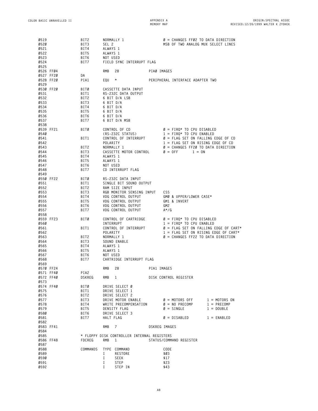| 0519      |           | BIT2     |            | NORMALLY 1                                  |               | $\varnothing$ = CHANGES FFØ2 TO DATA DIRECTION    |                 |
|-----------|-----------|----------|------------|---------------------------------------------|---------------|---------------------------------------------------|-----------------|
| 0520      |           | BIT3     | SEL 2      |                                             |               | MSB OF TWO ANALOG MUX SELECT LINES                |                 |
| 0521      |           | BIT4     | ALWAYS 1   |                                             |               |                                                   |                 |
| 0522      |           | BIT5     | ALWAYS 1   |                                             |               |                                                   |                 |
| 0523      |           | BIT6     | NOT USED   |                                             |               |                                                   |                 |
| 0524      |           | BIT7     |            | FIELD SYNC INTERRUPT FLAG                   |               |                                                   |                 |
| 0525      |           |          |            |                                             |               |                                                   |                 |
| 0526 FF04 |           |          | RMB        | 28                                          | PIAØ IMAGES   |                                                   |                 |
|           | 0527 FF20 |          |            |                                             |               |                                                   |                 |
|           |           | DA       |            |                                             |               |                                                   |                 |
| 0528 FF20 |           | PIA1     | EQU        | $^\star$                                    |               | PERIPHERAL INTERFACE ADAPTER TWO                  |                 |
| 0529      |           |          |            |                                             |               |                                                   |                 |
| 0530 FF20 |           | BITØ     |            | CASSETTE DATA INPUT                         |               |                                                   |                 |
| 0531      |           | BIT1     |            | RS-232C DATA OUTPUT                         |               |                                                   |                 |
| 0532      |           | BIT2     |            | 6 BIT D/A LSB                               |               |                                                   |                 |
| 0533      |           | BIT3     | 6 BIT D/A  |                                             |               |                                                   |                 |
| 0534      |           | BIT4     | 6 BIT D/A  |                                             |               |                                                   |                 |
| 0535      |           | BIT5     | 6 BIT D/A  |                                             |               |                                                   |                 |
| 0536      |           | BIT6     | 6 BIT D/A  |                                             |               |                                                   |                 |
| 0537      |           | BIT7     |            | 6 BIT D/A MSB                               |               |                                                   |                 |
| 0538      |           |          |            |                                             |               |                                                   |                 |
| 0539 FF21 |           | BITØ     |            | CONTROL OF CD                               |               | $\varnothing$ = FIRQ* TO CPU DISABLED             |                 |
| Ø54Ø      |           |          |            | (RS-232C STATUS)                            |               | $1 =$ FIRQ* TO CPU ENABLED                        |                 |
| 0541      |           |          |            | CONTROL OF INTERRUPT                        |               | $\varnothing$ = FLAG SET ON FALLING EDGE OF CD    |                 |
|           |           | BIT1     |            |                                             |               |                                                   |                 |
| 0542      |           |          | POLARITY   |                                             |               | $1 = FLAG SET ON RISING EDGE OF CD$               |                 |
| 0543      |           | BIT2     |            | NORMALLY 1                                  |               | $\varnothing$ = CHANGES FF2Ø TO DATA DIRECTION    |                 |
| 0544      |           | BIT3     |            | CASSETTE MOTOR CONTROL                      |               | $\varnothing = 0FF$<br>$1 = 0N$                   |                 |
| 0545      |           | BIT4     | ALWAYS 1   |                                             |               |                                                   |                 |
| 0546      |           | BIT5     | ALWAYS 1   |                                             |               |                                                   |                 |
| 0547      |           | BIT6     | NOT USED   |                                             |               |                                                   |                 |
| 0548      |           | BIT7     |            | CD INTERRUPT FLAG                           |               |                                                   |                 |
| 0549      |           |          |            |                                             |               |                                                   |                 |
| 0550 FF22 |           | BITØ     |            | RS-232C DATA INPUT                          |               |                                                   |                 |
| 0551      |           | BIT1     |            | SINGLE BIT SOUND OUTPUT                     |               |                                                   |                 |
| 0552      |           | BIT2     |            | RAM SIZE INPUT                              |               |                                                   |                 |
| 0553      |           | BIT3     |            | RGB MONITOR SENSING INPUT                   |               | <b>CSS</b>                                        |                 |
| 0554      |           | BIT4     |            | VDG CONTROL OUTPUT                          |               | GMØ & UPPER/LOWER CASE*                           |                 |
| 0555      |           | BIT5     |            | <b>VDG CONTROL OUTPUT</b>                   |               | GM1 & INVERT                                      |                 |
|           |           |          |            |                                             |               |                                                   |                 |
| 0556      |           | BIT6     |            | VDG CONTROL OUTPUT                          |               | GM2                                               |                 |
| 0557      |           | BIT7     |            | VDG CONTROL OUTPUT                          |               | $A^*/G$                                           |                 |
| 0558      |           |          |            |                                             |               |                                                   |                 |
| 0559 FF23 |           | BITØ     |            | CONTROL OF CARTRIDGE                        |               | $\varnothing$ = FIRQ* TO CPU DISABLED             |                 |
| Ø56Ø      |           |          | INTERRUPT  |                                             |               | $1 =$ FIRQ* TO CPU ENABLED                        |                 |
| 0561      |           | BIT1     |            | CONTROL OF INTERRUPT                        |               | $\varnothing$ = FLAG SET ON FALLING EDGE OF CART* |                 |
| 0562      |           |          | POLARITY   |                                             |               | $1$ = FLAG SET ON RISING EDGE OF CART*            |                 |
| 0563      |           | BIT2     |            | NORMALLY 1                                  |               | $\varnothing$ = CHANGES FF22 TO DATA DIRECTION    |                 |
| 0564      |           | BIT3     |            | SOUND ENABLE                                |               |                                                   |                 |
| 0565      |           | BIT4     | ALWAYS 1   |                                             |               |                                                   |                 |
| 0566      |           | BIT5     | ALWAYS 1   |                                             |               |                                                   |                 |
| 0567      |           | BIT6     | NOT USED   |                                             |               |                                                   |                 |
| 0568      |           | BIT7     |            | CARTRIDGE INTERRUPT FLAG                    |               |                                                   |                 |
| 0569      |           |          |            |                                             |               |                                                   |                 |
| 0570 FF24 |           |          | <b>RMB</b> | 28                                          | PIA1 IMAGES   |                                                   |                 |
|           | 0571 FF40 | PIA2     |            |                                             |               |                                                   |                 |
|           | 0572 FF40 | DSKREG   |            | RMB 1                                       |               | DISK CONTROL REGISTER                             |                 |
| 0573      |           |          |            |                                             |               |                                                   |                 |
|           | 0574 FF40 | BITØ     |            | DRIVE SELECT Ø                              |               |                                                   |                 |
| 0575      |           | BIT1     |            | DRIVE SELECT 1                              |               |                                                   |                 |
| 0576      |           | BIT2     |            | DRIVE SELECT 2                              |               |                                                   |                 |
|           |           |          |            |                                             |               |                                                   |                 |
| 0577      |           | BIT3     |            | DRIVE MOTOR ENABLE                          |               | $\varnothing$ = MOTORS OFF                        | $1 = MOTORS ON$ |
| 0578      |           | BIT4     |            | WRITE PRECOMPENSATION                       |               | $\varnothing = \mathsf{NO} \mathsf{ PRECOMP}$     | $1 = PRECOMP$   |
| 0579      |           | BIT5     |            | DENSITY FLAG                                |               | $\varnothing =$ SINGLE                            | $1 = DOWBLE$    |
| Ø58Ø      |           | BIT6     |            | DRIVE SELECT 3                              |               |                                                   |                 |
| 0581      |           | BIT7     | HALT FLAG  |                                             |               | $\varnothing =$ DISABLED                          | $1 = ENABLED$   |
| 0582      |           |          |            |                                             |               |                                                   |                 |
|           | 0583 FF41 |          | RMB        | $\overline{7}$                              | DSKREG IMAGES |                                                   |                 |
| 0584      |           |          |            |                                             |               |                                                   |                 |
| 0585      |           |          |            | * FLOPPY DISK CONTROLLER INTERNAL REGISTERS |               |                                                   |                 |
|           | 0586 FF48 | FDCREG   | RMB        | $\mathbf{1}$                                |               | STATUS/COMMAND REGISTER                           |                 |
| 0587      |           |          |            |                                             |               |                                                   |                 |
| 0588      |           | COMMANDS |            | TYPE COMMAND                                |               | CODE                                              |                 |
| 0589      |           |          | I          | RESTORE                                     |               | \$03                                              |                 |
| Ø59Ø      |           |          | Ι          | SEEK                                        |               | \$17                                              |                 |
|           |           |          |            |                                             |               |                                                   |                 |
| 0591      |           |          | I          | STEP                                        |               | \$23                                              |                 |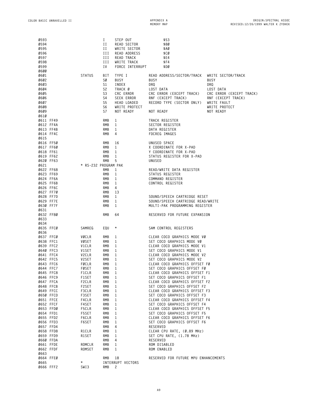| 0593<br>0594<br>0595<br>0596<br>0597<br>0598<br>0599 |                             | I<br>П<br>П<br>Ш<br>ИI<br>ИI<br>I V          | STEP OUT<br>READ SECTOR<br>WRITE SECTOR<br>READ ADDRESS<br>READ TRACK<br>WRITE TRACK<br>FORCE INTERRUPT | \$53<br>\$80<br>\$AØ<br>\$CØ<br>\$E4<br>\$F4<br>\$DØ                        |                                                                                |
|------------------------------------------------------|-----------------------------|----------------------------------------------|---------------------------------------------------------------------------------------------------------|-----------------------------------------------------------------------------|--------------------------------------------------------------------------------|
| <b>0600</b><br>0601<br>0602<br>0603<br>0604          | <b>STATUS</b>               | BIT<br>SØ<br>S1<br>S <sub>2</sub>            | TYPE I<br><b>BUSY</b><br>INDEX<br>TRACK Ø<br>CRC ERROR                                                  | READ ADDRESS/SECTOR/TRACK<br><b>BUSY</b><br>DRQ<br>LOST DATA                | WRITE SECTOR/TRACK<br><b>BUSY</b><br>DRQ<br>LOST DATA                          |
| 0605<br>0606<br>0607<br>0608                         |                             | S <sub>3</sub><br>S4<br>S <sub>5</sub><br>S6 | SEEK ERROR<br>HEAD LOADED<br>WRITE PROTECT                                                              | CRC ERROR (EXCEPT TRACK)<br>RNF (EXCEPT TRACK)<br>RECORD TYPE (SECTOR ONLY) | CRC ERROR (EXCEPT TRACK)<br>RNF (EXCEPT TRACK)<br>WRITE FAULT<br>WRITE PROTECT |
| 0609<br><b>0610</b>                                  |                             | S7                                           | NOT READY                                                                                               | NOT READY                                                                   | NOT READY                                                                      |
| 0611 FF49                                            |                             | RMB                                          | 1                                                                                                       | TRACK REGISTER                                                              |                                                                                |
| 0612 FF4A                                            |                             | RMB                                          | 1                                                                                                       | SECTOR REGISTER                                                             |                                                                                |
| 0613 FF4B                                            |                             | RMB                                          | 1                                                                                                       | DATA REGISTER                                                               |                                                                                |
| 0614 FF4C                                            |                             | RMB                                          | 4                                                                                                       | FDCREG IMAGES                                                               |                                                                                |
| 0615<br>0616 FF50                                    |                             |                                              |                                                                                                         |                                                                             |                                                                                |
| 0617 FF60                                            |                             | RMB<br>RMB                                   | 16<br>1                                                                                                 | UNUSED SPACE<br>X COORDINATE FOR X-PAD                                      |                                                                                |
| 0618 FF61                                            |                             | RMB                                          | 1                                                                                                       | Y COORDINATE FOR X-PAD                                                      |                                                                                |
| 0619 FF62                                            |                             | RMB                                          | 1                                                                                                       | STATUS REGISTER FOR X-PAD                                                   |                                                                                |
| 0620 FF63                                            |                             | <b>RMB</b>                                   | 5                                                                                                       | UNUSED                                                                      |                                                                                |
| 0621                                                 | * RS-232 PROGRAM PAK        |                                              |                                                                                                         |                                                                             |                                                                                |
| 0622 FF68                                            |                             | RMB                                          | 1                                                                                                       | READ/WRITE DATA REGISTER                                                    |                                                                                |
| 0623 FF69                                            |                             | RMB                                          | 1                                                                                                       | STATUS REGISTER                                                             |                                                                                |
| 0624 FF6A<br>0625 FF6B                               |                             | RMB<br>RMB                                   | 1<br>1                                                                                                  | COMMAND REGISTER<br>CONTROL REGISTER                                        |                                                                                |
| 0626 FF6C                                            |                             | RMB                                          | 4                                                                                                       |                                                                             |                                                                                |
| 0627 FF70                                            |                             | RMB                                          | 13                                                                                                      |                                                                             |                                                                                |
| 0628 FF7D                                            |                             | RMB                                          | 1                                                                                                       | SOUND/SPEECH CARTRIDGE RESET                                                |                                                                                |
| 0629 FF7E                                            |                             | RMB                                          | 1                                                                                                       | SOUND/SPEECH CARTRIDGE READ/WRITE                                           |                                                                                |
| 0630 FF7F                                            |                             | <b>RMB</b>                                   | 1                                                                                                       | MULTI-PAK PROGRAMMING REGISTER                                              |                                                                                |
| 0631                                                 |                             |                                              |                                                                                                         |                                                                             |                                                                                |
| 0632 FF80                                            |                             | RMB                                          | 64                                                                                                      | RESERVED FOR FUTURE EXPANSION                                               |                                                                                |
| 0633<br>0634                                         |                             |                                              |                                                                                                         |                                                                             |                                                                                |
| 0635 FFC0                                            | SAMREG                      | EQU                                          | $\star$                                                                                                 | SAM CONTROL REGISTERS                                                       |                                                                                |
| 0636                                                 |                             |                                              |                                                                                                         |                                                                             |                                                                                |
| 0637 FFC0                                            | VØCLR                       | RMB                                          | 1                                                                                                       | CLEAR COCO GRAPHICS MODE VØ                                                 |                                                                                |
| 0638 FFC1                                            | VØSET                       | RMB                                          | 1                                                                                                       | SET COCO GRAPHICS MODE VØ                                                   |                                                                                |
| 0639 FFC2                                            | V1CLR                       | RMB                                          | 1                                                                                                       | CLEAR COCO GRAPHICS MODE V1                                                 |                                                                                |
| 0640 FFC3                                            | V1SET                       | RMB                                          | 1                                                                                                       | SET COCO GRAPHICS MODE V1<br>CLEAR COCO GRAPHICS MODE V2                    |                                                                                |
| 0641 FFC4<br>0642 FFC5                               | V <sub>2</sub> CLR<br>V2SET | RMB<br>RMB                                   | 1<br>1                                                                                                  | SET COCO GRAPHICS MODE V2                                                   |                                                                                |
| 0643 FFC6                                            | FØCLR                       | RMB                                          | 1                                                                                                       | CLEAR COCO GRAPHICS OFFSET FØ                                               |                                                                                |
| 0644 FFC7                                            | FØSET                       | RMB                                          | $\mathbf{1}$                                                                                            | SET COCO GRAPHICS OFFSET FØ                                                 |                                                                                |
| 0645 FFC8                                            | F1CLR                       | RMB                                          | $\mathbf{1}$                                                                                            | CLEAR COCO GRAPHICS OFFSET F1                                               |                                                                                |
| 0646 FFC9                                            | F1SET                       | RMB                                          | $\mathbf{1}$                                                                                            | SET COCO GRAPHICS OFFSET F1                                                 |                                                                                |
| 0647 FFCA                                            | F2CLR                       | RMB                                          | $\mathbf{1}$                                                                                            | CLEAR COCO GRAPHICS OFFSET F2                                               |                                                                                |
| 0648 FFCB<br>0649 FFCC                               | F2SET<br>F3CLR              | RMB<br>RMB                                   | $\mathbf{1}$<br>$\mathbf{1}$                                                                            | SET COCO GRAPHICS OFFSET F2<br>CLEAR COCO GRAPHICS OFFSET F3                |                                                                                |
| 0650 FFCD                                            | F3SET                       | RMB                                          | $\mathbf{1}$                                                                                            | SET COCO GRAPHICS OFFSET F3                                                 |                                                                                |
| 0651 FFCE                                            | F4CLR                       | RMB                                          | $\mathbf{1}$                                                                                            | CLEAR COCO GRAPHICS OFFSET F4                                               |                                                                                |
| 0652 FFCF                                            | F4SET                       | RMB                                          | $\mathbf{1}$                                                                                            | SET COCO GRAPHICS OFFSET F4                                                 |                                                                                |
| 0653 FFD0                                            | F5CLR                       | RMB                                          | $\mathbf{1}$                                                                                            | CLEAR COCO GRAPHICS OFFSET F5                                               |                                                                                |
| 0654 FFD1                                            | F5SET                       | RMB                                          | $\mathbf{1}$                                                                                            | SET COCO GRAPHICS OFFSET F5                                                 |                                                                                |
| 0655 FFD2                                            | F6CLR                       | RMB                                          | $\mathbf{1}$                                                                                            | CLEAR COCO GRAPHICS OFFSET F6                                               |                                                                                |
| 0656 FFD3<br>0657 FFD4                               | F6SET                       | RMB<br>RMB                                   | $\mathbf{1}$<br>4                                                                                       | SET COCO GRAPHICS OFFSET F6<br>RESERVED                                     |                                                                                |
| 0658 FFD8                                            | R1CLR                       | RMB                                          | $1 \quad$                                                                                               | CLEAR CPU RATE, (Ø.89 MHz)                                                  |                                                                                |
| 0659 FFD9                                            | R1SET                       | RMB                                          | 1                                                                                                       | SET CPU RATE, (1.78 MHz)                                                    |                                                                                |
| 0660 FFDA                                            |                             | RMB                                          | 4                                                                                                       | RESERVED                                                                    |                                                                                |
| 0661 FFDE                                            | ROMCLR                      | RMB                                          | 1                                                                                                       | ROM DISABLED                                                                |                                                                                |
| 0662 FFDF                                            | ROMSET                      | RMB                                          | $\mathbf{1}$                                                                                            | ROM ENABLED                                                                 |                                                                                |
| 0663<br>0664 FFE0                                    |                             | RMB                                          | 18                                                                                                      | RESERVED FOR FUTURE MPU ENHANCEMENTS                                        |                                                                                |
| 0665                                                 | $\star$                     |                                              | INTERRUPT VECTORS                                                                                       |                                                                             |                                                                                |
| 0666 FFF2                                            | SWI3                        | RMB                                          | $\overline{2}$                                                                                          |                                                                             |                                                                                |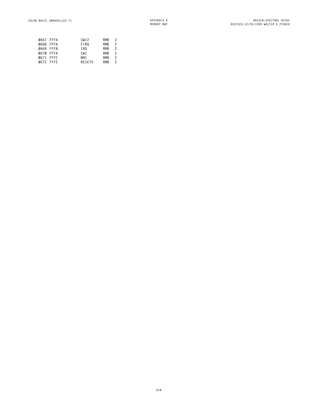|           | 0667 FFF4 | SWI <sub>2</sub> | <b>RMB</b> | 2             |
|-----------|-----------|------------------|------------|---------------|
|           | 0668 FFF6 | FIR0             | <b>RMB</b> | $\mathcal{P}$ |
| 0669 FFF8 |           | IRO              | <b>RMB</b> | $\mathcal{P}$ |
| 0670 FFFA |           | SWI              | <b>RMB</b> | $\mathcal{P}$ |
| 0671 FFFC |           | NM T             | <b>RMB</b> | $\mathcal{P}$ |
|           | 0672 FFFE | <b>RESETV</b>    | <b>RMB</b> | 2             |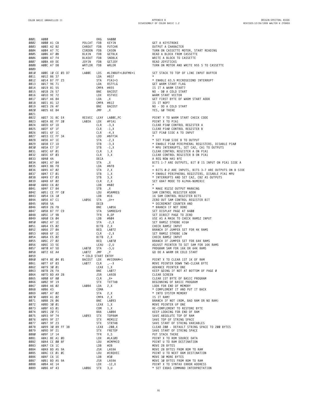<span id="page-26-0"></span>

| 0001         | A000                                                                                                                                                                                                                                                                     |                    | 0 <sub>RG</sub>                    | \$A000                                                                                                                                                                                       |                                                       |
|--------------|--------------------------------------------------------------------------------------------------------------------------------------------------------------------------------------------------------------------------------------------------------------------------|--------------------|------------------------------------|----------------------------------------------------------------------------------------------------------------------------------------------------------------------------------------------|-------------------------------------------------------|
| 0002         | A000 A1 CB                                                                                                                                                                                                                                                               |                    |                                    |                                                                                                                                                                                              | GET A KEYSTROKE                                       |
|              |                                                                                                                                                                                                                                                                          |                    |                                    |                                                                                                                                                                                              |                                                       |
| 0003         | A002 A2 82                                                                                                                                                                                                                                                               |                    |                                    | POLCAT FDB KEYIN<br>CHROUT FDB PUTCHR<br>CSRDON FDB CASON<br>BLKIN FDB GETBLK<br>BLKOUT FDB SNDBLK<br>JOYIN FDB GETJOY<br>JOYIN FDB GETJOY                                                   | OUTPUT A CHARACTER                                    |
| 0004         | A004 A7 7C                                                                                                                                                                                                                                                               | CSRDON FDB CASON   |                                    |                                                                                                                                                                                              | TURN ON CASSETTE MOTOR, START READING                 |
| 0005         | A006 A7 0B                                                                                                                                                                                                                                                               |                    |                                    |                                                                                                                                                                                              | READ A BLOCK FROM CASSETTE                            |
| 0006         | A008 A7 F4                                                                                                                                                                                                                                                               |                    |                                    |                                                                                                                                                                                              | WRITE A BLOCK TO CASSETTE                             |
| 0007         | AØØA A9 DE                                                                                                                                                                                                                                                               |                    |                                    |                                                                                                                                                                                              | READ JOYSTICKS                                        |
| 0008         | AØØC A7 D8                                                                                                                                                                                                                                                               | WRTLDR FDB         |                                    | WRLDR                                                                                                                                                                                        | TURN ON MOTOR AND WRITE \$55 S TO CASSETTE            |
| 0009<br>0010 | AØØE 10 CE Ø3 D7 LAØØE LDS #LINBUF+LBUFMX+1                                                                                                                                                                                                                              | $\star$            |                                    |                                                                                                                                                                                              | SET STACK TO TOP OF LINE INPUT BUFFER                 |
| 0011         | AØ12 86 37                                                                                                                                                                                                                                                               |                    | LDA #\$37                          |                                                                                                                                                                                              |                                                       |
| 0012         | AØ14 B7 FF 23                                                                                                                                                                                                                                                            |                    |                                    | STA PIA1+3                                                                                                                                                                                   | * ENABLE 63.5 MICROSECOND INTERRUPT                   |
| 0013         | AØ17 96 71                                                                                                                                                                                                                                                               |                    |                                    | LDA RSTFLG<br>CHRA HEER                                                                                                                                                                      | GET WARM START FLAG                                   |
| 0014         | AØ19 81 55                                                                                                                                                                                                                                                               |                    |                                    | CMPA #\$55                                                                                                                                                                                   | IS IT A WARM START?                                   |
| 0015         | AØ1B 26 57                                                                                                                                                                                                                                                               |                    | <b>BNE</b>                         |                                                                                                                                                                                              | NO - DØ A COLD START                                  |
|              |                                                                                                                                                                                                                                                                          |                    |                                    |                                                                                                                                                                                              |                                                       |
| 0016         | AØ1D 9E 72                                                                                                                                                                                                                                                               |                    |                                    |                                                                                                                                                                                              | WARM START VECTOR                                     |
| 0017         | AØ1F A6 84                                                                                                                                                                                                                                                               |                    |                                    |                                                                                                                                                                                              | GET FIRST BYTE OF WARM START ADDR                     |
| 0018         | AØ21 81 12                                                                                                                                                                                                                                                               |                    |                                    | A<br>STFLG<br>STFLG<br>BACDST<br>RSTVEC<br>LDX RSTVEC<br>LDA ,X<br>CMPA #\$12<br>BNE BACDST                                                                                                  | IS IT NOP?                                            |
| 0019         | AØ23 26 4F                                                                                                                                                                                                                                                               |                    |                                    |                                                                                                                                                                                              | NO - DO A COLD START                                  |
| 0020         | A025 6E 84                                                                                                                                                                                                                                                               |                    | JMP                                | , X                                                                                                                                                                                          | YES, GØ THERE                                         |
| 0021         |                                                                                                                                                                                                                                                                          |                    |                                    |                                                                                                                                                                                              |                                                       |
| 0022         | A027 31 8C E4 RESVEC LEAY LA00E, PC                                                                                                                                                                                                                                      |                    |                                    |                                                                                                                                                                                              | POINT Y TO WARM START CHECK CODE                      |
| 0023         | AØ2A 8E FF 20                                                                                                                                                                                                                                                            |                    |                                    | LAØ2A LDX #PIA1                                                                                                                                                                              | POINT X TO PIA1                                       |
| 0024         | AØ2D 6F 1D                                                                                                                                                                                                                                                               |                    |                                    |                                                                                                                                                                                              | CLEAR PIAØ CONTROL REGISTER A                         |
|              |                                                                                                                                                                                                                                                                          |                    |                                    |                                                                                                                                                                                              |                                                       |
| 0025         | AØ2F 6F 1F                                                                                                                                                                                                                                                               |                    |                                    |                                                                                                                                                                                              | CLEAR PIAØ CONTROL REGISTER B                         |
| 0026         | A031 6F 1C                                                                                                                                                                                                                                                               |                    |                                    |                                                                                                                                                                                              | SET PIAØ SIDE A TO INPUT                              |
| 0027         | AØ33 CC FF 34                                                                                                                                                                                                                                                            |                    |                                    |                                                                                                                                                                                              | $\star$                                               |
| 0028         |                                                                                                                                                                                                                                                                          |                    | STA -2, X<br>STB -3, X<br>sтp -1 v |                                                                                                                                                                                              | * SET PIAØ SIDE B TO OUTPUT                           |
| 0029         |                                                                                                                                                                                                                                                                          |                    |                                    |                                                                                                                                                                                              | * ENABLE PIAØ PERIPHERAL REGISTERS, DISABLE PIAØ      |
| 0030         |                                                                                                                                                                                                                                                                          |                    |                                    |                                                                                                                                                                                              | * MPU INTERRUPTS, SET CA2, CA1 TO OUTPUTS             |
| 0031         |                                                                                                                                                                                                                                                                          |                    |                                    |                                                                                                                                                                                              | CLEAR CONTROL REGISTER A ON PIA1                      |
|              |                                                                                                                                                                                                                                                                          |                    |                                    |                                                                                                                                                                                              |                                                       |
| 0032         |                                                                                                                                                                                                                                                                          |                    |                                    |                                                                                                                                                                                              | CLEAR CONTROL REGISTER B ON PIA1                      |
| 0033         |                                                                                                                                                                                                                                                                          |                    |                                    |                                                                                                                                                                                              | A REG NOW HAS \$FE                                    |
| 0034         | J F <sub>1</sub><br>A7 1E<br>E7 1D<br>AE7 1F<br>A2 6 F Ø1<br>A040 4A<br>A044 A7 84<br>A044 A7 84<br>A044 A7 84<br>A045 A7 Ø2<br><sup>1</sup> 7 <i>E7 0</i> 1<br><sup>1</sup> 7 F7 <i>O</i> 1<br>7 F7 <i>O</i> 1<br>7 F7 <i>O</i> 1<br>7 F7 <i>O</i> 1<br>7 F7 <i>O</i> 1 |                    |                                    | LDX #PIA1<br>CLR -3, X<br>CLR -4, X<br>LDD #\$FF34<br>STA -2, X<br>STB -3, X<br>STB -3, X<br>CLR 1, X<br>CLR 3, X<br>DECA X<br>DECA X<br>STA X<br>STA -2, X<br>DECA<br>STA ,X<br>LDA #\$F8   | BITS 1-7 ARE OUTPUTS, BIT Ø IS INPUT ON PIA1 SIDE A   |
| 0035         |                                                                                                                                                                                                                                                                          |                    |                                    |                                                                                                                                                                                              |                                                       |
| 0036         |                                                                                                                                                                                                                                                                          |                    |                                    | 5TA 2, X<br>STB 1, X<br>STB 3, X<br>CLR 2. X                                                                                                                                                 | = BITS Ø-2 ARE INPUTS, BITS 3-7 ARE OUTPUTS ON B SIDE |
| 0037         |                                                                                                                                                                                                                                                                          |                    | STB 1,X<br>STB 3,X<br>CLR 2,X      |                                                                                                                                                                                              | * ENABLE PERIPHERAL REGISTERS, DISABLE PIA1 MPU       |
| 0038         |                                                                                                                                                                                                                                                                          |                    |                                    |                                                                                                                                                                                              | * INTERRUPTS AND SET CA2, CB2 AS OUTPUTS              |
| 0039         |                                                                                                                                                                                                                                                                          |                    |                                    |                                                                                                                                                                                              | SET 6847 MODE TO ALPHA-NUMERIC                        |
| 0040         |                                                                                                                                                                                                                                                                          |                    |                                    |                                                                                                                                                                                              | $\star$                                               |
|              |                                                                                                                                                                                                                                                                          |                    |                                    | $57B$ , X                                                                                                                                                                                    |                                                       |
| 0041         | AØ4F E7 84                                                                                                                                                                                                                                                               |                    |                                    |                                                                                                                                                                                              | * MAKE RS232 OUTPUT MARKING                           |
| 0042         | AØ51 CE FF CØ                                                                                                                                                                                                                                                            |                    |                                    | LDU #SAMREG                                                                                                                                                                                  | SAM CONTROL REGISTER ADDR                             |
| 0043         | A054 C6 10                                                                                                                                                                                                                                                               |                    |                                    | $LDB$ #16                                                                                                                                                                                    | 16 SAM CONTROL REGISTER BITS                          |
| 0044         | AØ56 A7 C1                                                                                                                                                                                                                                                               | LAØ56 STA          |                                    |                                                                                                                                                                                              | ZERO OUT SAM CONTROL REGISTER BIT                     |
| 0045         | AØ58 5A                                                                                                                                                                                                                                                                  |                    | DECB                               | $, 0++$                                                                                                                                                                                      | * DECREMENT COUNTER AND                               |
| 0046         | AØ59 26 FB                                                                                                                                                                                                                                                               |                    |                                    | BNE LAØ56                                                                                                                                                                                    | * BRANCH IF NOT DONE                                  |
| 0047         | AØ5B B7 FF C9                                                                                                                                                                                                                                                            |                    |                                    | STA SAMREG+9                                                                                                                                                                                 | SET DISPLAY PAGE AT \$400                             |
| 0048         | AØ5E 1F 9B                                                                                                                                                                                                                                                               |                    |                                    | $TFR$ $B, DP$                                                                                                                                                                                | SET DIRECT PAGE TO ZERO                               |
| 0049         | A060 C6 04                                                                                                                                                                                                                                                               |                    |                                    |                                                                                                                                                                                              | USE AS A MASK TO CHECK RAMSZ INPUT                    |
|              |                                                                                                                                                                                                                                                                          |                    |                                    |                                                                                                                                                                                              |                                                       |
| 0050         | AØ62 A7 1E                                                                                                                                                                                                                                                               |                    |                                    |                                                                                                                                                                                              | SET RAMSZ STROBE HIGH                                 |
| 0051         | A064 E5 02                                                                                                                                                                                                                                                               |                    |                                    |                                                                                                                                                                                              | CHECK RAMSZ INPUT                                     |
| 0052         | A066 27 0A                                                                                                                                                                                                                                                               |                    |                                    |                                                                                                                                                                                              | BRANCH IF JUMPER SET FOR 4K RAMS                      |
| 0053         | AØ68 6F 1E                                                                                                                                                                                                                                                               |                    |                                    |                                                                                                                                                                                              | SET RAMSZ STROBE LOW                                  |
| 0054         | AØ6A E5 Ø2                                                                                                                                                                                                                                                               |                    |                                    |                                                                                                                                                                                              | CHECK RAMSZ INPUT                                     |
| 0055         | AØ6C 27 02                                                                                                                                                                                                                                                               |                    |                                    |                                                                                                                                                                                              | BRANCH IF JUMPER SET FOR 64K RAMS                     |
| 0056         | AØ6E 33 5E                                                                                                                                                                                                                                                               |                    |                                    | 1 FR<br>LDB #\$94<br>STA - 2, X<br>BITB 2, X<br>BEQ LA072<br>CLR - 2, X<br>BITB 2, X<br>BEQ LA070<br>LEAU - 2, U<br>A070 STA - 3, U<br>A070 STA - 3, U<br>A070 STA - 3, U<br>A070 STA - 3, U | ADJUST POINTER TO SET SAM FOR 16K RAMS                |
| 0057         | A070 A7 5D                                                                                                                                                                                                                                                               | LA070 STA -3,U     |                                    |                                                                                                                                                                                              | PROGRAM SAM FOR 16K OR 64K RAMS                       |
| 0058         | AØ72 6E A4                                                                                                                                                                                                                                                               | LA072 JMP , Y      |                                    |                                                                                                                                                                                              | GO DO A WARM OR COLD START                            |
| 0059         |                                                                                                                                                                                                                                                                          | * COLD START ENTRY |                                    |                                                                                                                                                                                              |                                                       |
|              |                                                                                                                                                                                                                                                                          |                    |                                    |                                                                                                                                                                                              |                                                       |
| <b>0060</b>  | A074 8E 04 01                                                                                                                                                                                                                                                            |                    |                                    | BACDST LDX #VIDRAM+1<br>LAØ77 CLR ,--X<br>LEAY 1-X                                                                                                                                           | POINT X TO CLEAR 1ST 1K OF RAM                        |
| 0061         | A077 6F 83                                                                                                                                                                                                                                                               |                    |                                    |                                                                                                                                                                                              | MOVE POINTER DOWN TWO-CLEAR BYTE                      |
| 0062         | A079 30 01                                                                                                                                                                                                                                                               | LEAX 1.X           |                                    |                                                                                                                                                                                              | ADVANCE POINTER ONE                                   |
| 0063         | AØ7B 26 FA                                                                                                                                                                                                                                                               |                    | BNE                                | LA077                                                                                                                                                                                        | KEEP GOING IF NOT AT BOTTOM OF PAGE Ø                 |
| 0064         | AØ7D BD A9 28                                                                                                                                                                                                                                                            |                    | JSR                                | LA928                                                                                                                                                                                        | CLEAR SCREEN                                          |
| 0065         | A080 6F 80                                                                                                                                                                                                                                                               |                    | CLR                                | $, X +$                                                                                                                                                                                      | CLEAR 1ST BYTE OF BASIC PROGRAM                       |
| 0066         | AØ82 9F 19                                                                                                                                                                                                                                                               |                    | <b>STX</b>                         | TXTTAB                                                                                                                                                                                       | BEGINNING OF BASIC PROGRAM                            |
| 0067         | A084 A6 02                                                                                                                                                                                                                                                               | LAØ84              | LDA                                | 2, X                                                                                                                                                                                         | LOOK FOR END OF MEMORY                                |
| 0068         | A086 43                                                                                                                                                                                                                                                                  |                    | COMA                               |                                                                                                                                                                                              | * COMPLEMENT IT AND PUT IT BACK                       |
| 0069         | A087 A7 02                                                                                                                                                                                                                                                               |                    | STA                                | 2, X                                                                                                                                                                                         | * INTO SYSTEM MEMORY                                  |
|              |                                                                                                                                                                                                                                                                          |                    |                                    |                                                                                                                                                                                              | IS IT RAM?                                            |
| 0070         | A089 A1 02                                                                                                                                                                                                                                                               |                    | CMPA 2, X                          |                                                                                                                                                                                              |                                                       |
| 0071         | AØ8B 26 06                                                                                                                                                                                                                                                               |                    | BNE                                | LA093                                                                                                                                                                                        | BRANCH IF NOT (ROM, BAD RAM OR NO RAM)                |
| 0072         | AØ8D 30 01                                                                                                                                                                                                                                                               |                    | LEAX 1, X                          |                                                                                                                                                                                              | MOVE POINTER UP ONE                                   |
| 0073         | AØ8F 63 Ø1                                                                                                                                                                                                                                                               |                    | COM                                | 1, X                                                                                                                                                                                         | RE-COMPLEMENT TO RESTORE BYTE                         |
| 0074         | AØ91 20 F1                                                                                                                                                                                                                                                               |                    | BRA                                |                                                                                                                                                                                              | KEEP LOOKING FOR END OF RAM                           |
| 0075         | A093 9F 74                                                                                                                                                                                                                                                               | LA093              | STX                                | ∸,∴<br>LAØ84<br>TOPRAM                                                                                                                                                                       | SAVE ABSOLUTE TOP OF RAM                              |
| 0076         | AØ95 9F 27                                                                                                                                                                                                                                                               |                    | <b>STX</b>                         | MEMSIZ                                                                                                                                                                                       | SAVE TOP OF STRING SPACE                              |
| 0077         | AØ97 9F 23                                                                                                                                                                                                                                                               |                    | STX                                | STRTAB                                                                                                                                                                                       | SAVE START OF STRING VARIABLES                        |
|              |                                                                                                                                                                                                                                                                          |                    |                                    |                                                                                                                                                                                              |                                                       |
| 0078         | AØ99 30 89 FF 38                                                                                                                                                                                                                                                         |                    |                                    | $LEAX -200, X$                                                                                                                                                                               | CLEAR 200 - DEFAULT STRING SPACE TO 200 BYTES         |
| 0079         | AØ9D 9F 21                                                                                                                                                                                                                                                               |                    | STX                                | FRETOP                                                                                                                                                                                       | SAVE START OF STRING SPACE                            |
| 0080         | AØ9F 1F 14                                                                                                                                                                                                                                                               |                    | TFR                                | X,S                                                                                                                                                                                          | PUT STACK THERE                                       |
| 0081         | AØA1 8E A1 ØD                                                                                                                                                                                                                                                            |                    | LDX                                | #LA1ØD                                                                                                                                                                                       | POINT X TO ROM SOURCE DATA                            |
| 0082         | AØA4 CE ØØ 8F                                                                                                                                                                                                                                                            |                    | LDU                                | #CMPMID                                                                                                                                                                                      | POINT U TO RAM DESTINATION                            |
| 0083         | AØA7 C6 1C                                                                                                                                                                                                                                                               |                    | LDB                                | #28                                                                                                                                                                                          | MOVE 28 BYTES                                         |
| 0084         | AØA9 BD A5 9A                                                                                                                                                                                                                                                            |                    | JSR                                | LA59A                                                                                                                                                                                        | MOVE 28 BYTES FROM ROM TO RAM                         |
| 0085         | AØAC CE Ø1 ØC                                                                                                                                                                                                                                                            |                    | LDU                                | #IRQVEC                                                                                                                                                                                      | POINT U TO NEXT RAM DESTINATION                       |
| 0086         | AØAF C6 1E                                                                                                                                                                                                                                                               |                    | LDB                                | #30                                                                                                                                                                                          | MOVE 30 MORE BYTES                                    |
|              |                                                                                                                                                                                                                                                                          |                    |                                    |                                                                                                                                                                                              |                                                       |
| 0087         | AØB1 BD A5 9A                                                                                                                                                                                                                                                            |                    | JSR                                | LA59A                                                                                                                                                                                        | MOVE 30 BYTES FROM ROM TO RAM                         |
| 0088         | AØB4 AE 14                                                                                                                                                                                                                                                               |                    | LDX                                | $-12, X$                                                                                                                                                                                     | POINT X TO SYNTAX ERROR ADDRESS                       |
| 0089         | AØB6 AF 43                                                                                                                                                                                                                                                               | LAØB6              | <b>STX</b>                         | 3, U                                                                                                                                                                                         | * SET EXBAS COMMAND INTERPRETATION                    |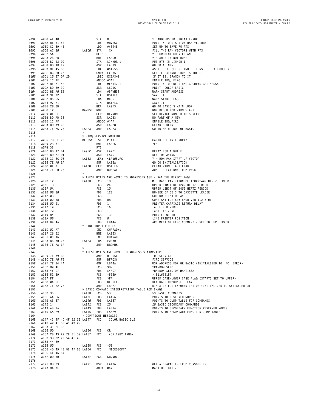**A0B8 AF 48 STX 8,U \* HANDLERS TO SYNTAX ERROR 0091 A0BA 8E 01 5E LDX #RVEC0 POINT X TO START OF RAM VECTORS A0BD CC 39 4B LDD #\$394B SET UP TO SAVE 75 RTS' A0C0 A7 80 LA0C0 STA ,X+ FILL THE RAM VECTORS WITH RTS' 0094 A0C2 5A DECB \* DECREMENT COUNTER AND A0C3 26 FB BNE LA0C0 \* BRANCH IF NOT DONE 0096 A0C5 B7 02 D9 STA LINHDR-1 PUT RTS IN LINHDR-1 A0C8 BD AD 19 JSR LAD19 G0 DO A 'NEW' A0CB 8E 45 58 LDX #\$4558 ASCII 'EX' (FIRST TWO LETTERS OF 'EXTENDED') 0099 A0CE BC 80 00 CMPX EXBAS SEE IF EXTENDED ROM IS THERE A0D1 10 27 DF 2D LBEQ EXBAS+2 IF IT IS, BRANCH TO IT 0101 A0D5 1C AF ANDCC #\$AF ENABLE IRQ, FIRQ 0102 A0D7 8E A1 46 LDX #LA147-1 POINT X TO COLOR BASIC COPYRIGHT MESSAGE 0103 A0DA BD B9 9C JSR LB99C PRINT 'COLOR BASIC' A0DD 8E A0 E8 LDX #BAWMST WARM START ADDRESS A0E0 9F 72 STX RSTVEC SAVE IT A0E2 86 55 LDA #\$55 WARM START FLAG A0E4 97 71 STA RSTFLG SAVE IT** extra the secure of the secure of the security of the security of the security of the security of the security of the security of the security of the security of the security of the security of the security of the security **A0E8 12 BAWMST NOP NOP REQ'D FOR WARM START A0E9 0F 6F CLR DEVNUM SET DEVICE NUMBER TO SCREEN A0EB BD AD 33 JSR LAD33 DO PART OF A NEW A0EE 1C AF ANDCC #\$AF ENABLE IRQ,FIRQ A0F0 BD A9 28 JSR LA928 CLEAR SCREEN A0F3 7E AC 73 LA0F3 JMP LAC73 GO TO MAIN LOOP OF BASIC \* \* FIRQ SERVICE ROUTINE A0F6 7D FF 23 BFRQSV TST PIA1+3 CARTRIDGE INTERRUPT? A0F9 2B 01 BMI LA0FC YES 0119 138**<br>**A012 C** BD A7 D1 **RTI A0FC BD A7 D1 LA0FC JSR LA7D1 DELAY FOR A WHILE A0FF BD A7 D1 COLL <b>SOME JSR LA7D1 0122 A102 31 BC 03 LA102 LEAY** <**LA108**,PC **A102 31 8C 03 LA102 LEAY <LA108,PC Y = ROM-PAK START UP VECTOR 0123 A105 7E A0 2A JMP LA02A GO DO INITIALIZATION A108 0F 71 LA108 CLR RSTFLG CLEAR WARM START FLAG A10A 7E C0 00 JMP ROMPAK JUMP TO EXTERNAL ROM PACK \* \* THESE BYTES ARE MOVED TO ADDRESSES \$8F - \$AA THE DIRECT PAGE 0128 A10D 12 LA10D FCB 18 MID BAND PARTITION OF 1200/2400 HERTZ PERIOD A10E 18 FCB 24 UPPER LIMIT OF 1200 HERTZ PERIOD A10F 0A FCB 10 UPPER LIMIT OF 2400 HERTZ PERIOD 0131 A110 00 80 FDB 128 NUMBER OF 55'S TO CASSETTE LEADER A112 0B FCB 11 CURSOR BLINK DELAY A113 00 58 FDB 88 CONSTANT FOR 600 BAUD VER 1.2 & UP A115 00 01 FDB 1 PRINTER CARRIAGE RETURN DELAY A117 10 FCB 16 TAB FIELD WIDTH A118 70 FCB 112 LAST TAB ZONE A119 84 FCB 132 PRINTER WIDTH A11A 00 FCB 0 LINE PRINTER POSITION A11B B4 4A FDB LB44A ARGUMENT OF EXEC COMMAND - SET TO 'FC' ERROR \* LINE INPUT ROUTINE A11D 0C A7 INC CHARAD+1 A11F 26 02 BNE LA123 A121 0C A6 INC CHARAD A123 B6 00 00 LA123 LDA >0000 A126 7E AA 1A JMP BROMHK \* \* THESE BYTES ARE MOVED TO ADDRESSES \$10C-\$129 A129 7E A9 B3 JMP BIRQSV IRQ SERVICE > A12C 7E A0 F6 JMP BFRQSV FIRQ SERVICE A12F 7E B4 4A JMP LB44A USR ADDRESS FOR 8K BASIC (INITIALIZED TO 'FC' ERROR) A132 80 4F FCB \$80 \*RANDOM SEED A133 4F C7 FDB \$4FC7 \*RANDON SEED OF MANTISSA A135 52 59 FCB \$5259 \*.811635157 A137 FF FCB \$FF UPPER CASE/LOWER CASE FLAG (STARTS SET TO UPPER) A138 04 5E FDB DEBDEL KEYBOARD DEBOUNCE DELAY 0156 A13A 7E B2 77 JMP LB277 DISPATCH FOR EXPONENTIATION (INITIALIZED TO SYNTAX ERROR) \* BASIC COMMAND INTERPRETATION TABLE ROM IMAGE A13D 35 LA13D FCB 53 53 BASIC COMMANDS A13E AA 66 LA13E FDB LAA66 POINTS TO RESERVED WORDS A140 AB 67 LA140 FDB LAB67 POINTS TO JUMP TABLE FOR COMMANDS A142 14 LA142 FCB 20 20 BASIC SECONDARY COMMANDS A143 AB 1A LA143 FDB LAB1A POINTS TO SECONDARY FUNCTION RESERVED WORDS A145 AA 29 LA145 FDB LAA29 POINTS TO SECONDARY FUNCTION JUMP TABLE \* COPYRIGHT MESSAGES A147 43 4F 4C 4F 52 20 LA147 0166 A14D 42 41 53 49 43 20 A14D 42 41 53 49 43 20 A153 31 2E 32 A156 0D LA156 FCB CR A157 28 43 29 20 31 39 LA157 FCC '(C) 1982 TANDY' A15D 38 32 20 54 41 4E A163 44 59 A165 00 LA165 FCB \$00 0173 A166 4D 49 43 52 4F 53 LA166 FCC 'MICROSOFT' A16C 4F 46 54 A16F 0D 00 LA16F FCB CR,\$00 A171 8D 03 LA171 BSR LA176 GET A CHARACTER FROM CONSOLE IN A173 84 7F ANDA #\$7F MASK OFF BIT 7**

**B2**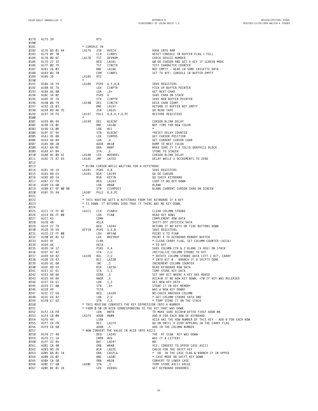**A175 39 RTS \* CONSOLE IN A176 BD 01 6A LA176 JSR RVEC4 HOOK INTO RAM A179 0F 70 CLR CINBFL RESET CONSOLE IN BUFFER FLAG = FULL A17B 0D 6F LA17B TST DEVNUM CHECK DEVICE NUMBER A17D 27 32 BEQ LA1B1 G0 DO CURSOR AND GET A KEY IF SCREEN MODE A17F 0D 79 TST CINCTR TEST CHARACTER COUNTER 0187 A181 26 03 BNE LA186 NOT EMPTY - READ IN SOME CASSETTE DATA 0188 A183 03 70 COM CINBFL SET TO \$FF: CONSOLE IN BUFFER EMPTY A185 39 LA185 RTS \* A186 34 74 LA186 PSHS U,Y,X,B SAVE REGISTERS A188 9E 7A LDX CINPTR PICK UP BUFFER POINTER A18A A6 80 LDA ,X+ GET NEXT CHAR A18C 34 02 PSHS A SAVE CHAR ON STACK A18E 9F 7A STX CINPTR SAVE NEW BUFFER POINTER A190 0A 79 LA190 DEC CINCTR DECR CHAR COUNT A192 26 03 BNE LA197 RETURN IF BUFFER NOT EMPTY A194 BD A6 35 JSR LA635 GO READ TAPE A197 35 F6 LA197 PULS A,B,X,Y,U,PC RESTORE REGISTERS \* A199 0A 94 LA199 DEC BLKCNT CURSOR BLINK DELAY A19B 26 0E BNE LA1AB NOT TIME FOR NEW COLOR A19D C6 0B LDB #11 \* A19F D7 94 STB BLKCNT \*RESET DELAY COUNTER 0205 A1A1 9E 88 LDX CURPOS GET CURSOR POSITION A1A3 A6 84 LDA ,X GET CURRENT CURSOR CHAR A1A5 8B 10 ADDA #\$10 BUMP TO NEXT COLOR 0208 A1A7 8A 8F ORA #\$8F MAKE SURE IT'S A SOLID GRAPHICS BLOCK A1A9 A7 84 STA ,X STORE TO SCREEN A1AB 8E 04 5E LA1AB LDX #DEBDEL CURSOR BLINK DELAY A1AE 7E A7 D3 LA1AE JMP LA7D3 DELAY WHILE X DECREMENTS TO ZERO \* BLINK CURSOR WHILE WAITING FOR A KEYSTROKE A1B1 34 14 LA1B1 PSHS X,B SAVE REGISTERS A1B3 8D E4 LA1B3 BSR LA199 GO DO CURSOR A1B5 8D 14 BSR KEYIN GO CHECK KEYBOARD A1B7 27 FA BEQ LA1B3 LOOP IF NO KEY DOWN A1B9 C6 60 LDB #\$60 BLANK A1BB E7 9F 00 88 STB [CURPOS] BLANK CURRENT CURSOR CHAR ON SCREEN A1BF 35 94 LA1BF PULS B,X,PC \* THIS ROUTINE GETS A KEYSTROKE FROM THE KEYBOARD IF A KEY \* IS DOWN. IT RETURNS ZERO TRUE IF THERE WAS NO KEY DOWN.** A1C1 7F FF 02 **LA1C1 A1C1 7F FF 02 LA1C1 CLR PIA0+2 CLEAR COLUMN STROBE A1C4 B6 FF 00 LDA PIA0 READ KEY ROWS** A1C4 B6 FF 00<br> **DDA** PIA0<br> **0227** A1C7 43<br> **0228** A1C8 48 **COMA** ASLA COMPLEMENT ROW DATA<br> **0228** A1C8 48 ASLA ASLA SHIFT OFF JOYSTICK **A1C8 48 ASLA SHIFT OFF JOYSTICK DATA A1C9 27 79 BEQ LA244 RETURN IF NO KEYS OR FIRE BUTTONS DOWN A1CB 34 54 KEYIN PSHS U,X,B SAVE REGISTERS A1CD CE FF 00 LDU #PIA0 POINT U TO PIA0 A1D0 8E 01 52 LDX #KEYBUF POINT X TO KEYBOARD MEMORY BUFFER A1D3 4F CLRA \* CLEAR CARRY FLAG, SET COLUMN COUNTER (ACCA) A1D4 4A DECA \* TO \$FF 0235 A1D5 34 12 PSHS X,A SAVE COLUMN CTR & 2 BLANK (X REG) ON STACK A1D7 A7 42 STA 2,U INITIALIZE COLUMN STROBE TO \$FF 0237 A1D9 69 42 LA1D9 ROL 2,U \* ROTATE COLUMN STROBE DATA LEFT 1 BIT, CARRY 0238 A1DB 24 43 BCC LA220 \* INTO BIT 0 - BRANCH IF 8 SHIFTS DONE A1DD 6C 60 INC ,S INCREMENT COLUMN COUNTER A1DF 8D 59 BSR LA23A READ KEYBOARD ROW DATA A1E1 A7 61 STA 1,S TEMP STORE KEY DATA 0242 A1E3 A8 84 EORA ,X SET ANY BIT WHERE A KEY HAS MOVED A1E5 A4 84 ANDA ,X ACCA=0 IF NO NEW KEY DOWN, <70 IF KEY WAS RELEASED A1E7 E6 61 LDB 1,S GET NEW KEY DATA 0245 A1E9 E7 80 STB ,X+ STORE IT IN KEY MEMORY A1EB 4D TSTA WAS A NEW KEY DOWN? A1EC 27 EB BEQ LA1D9 NO-CHECK ANOTHER COLUMN A1EE E6 42 LDB 2,U \* GET COLUMN STROBE DATA AND A1F0 E7 62 STB 2,S \* TEMP STORE IT ON THE STACK \* THIS ROUTINE CONVERTS THE KEY DEPRESSION INTO A NUMBER \*** FROM 0-50 IN ACCB CORRESPONDING TO THE KEY THAT WAS DOWN<br> **0252 A1F2 C6 FR FROM 0-50 IN #\$ER IDR 152 IN ACCB** CORRESPONDING TO THE KEY THAT WAS DOWN **A1F2 C6 F8 LDB #\$F8 TO MAKE SURE ACCB=0 AFTER FIRST ADDB #8 A1F4 CB 08 LA1F4 ADDB #\$08 ADD 8 FOR EACH ROW OF KEYBOARD A1F6 44 LSRA ACCA HAS THE ROW NUMBER OF THIS KEY - ADD 8 FOR EACH ROW A1F7 24 FB BCC LA1F4 GO ON UNTIL A ZERO APPEARS IN THE CARRY FLAG A1F9 EB 60 ADDB ,S ADD IN THE COLUMN NUMBER 11.2 CD** 30<br>**0257 \* NOW CONVERT THE VALUE IN ACCB INTO ASCII**<br>0258 **A1FB** 27 48 **BEQ** LA245 **A1FB 27 48 BEQ LA245 THE 'AT SIGN' KEY WAS DOWN A1FD C1 1A CMPB #26 WAS IT A LETTER? A1FF 22 46 BHI LA247 NO A201 CA 40 ORB #\$40 YES, CONVERT TO UPPER CASE ASCII A203 8D 29 BSR LA22E CHECK FOR THE SHIFT KEY A205 BA 01 1A ORA CASFLG \* 'OR' IN THE CASE FLAG & BRANCH IF IN UPPER A208 26 02 BNE LA20C \* CASE MODE OR SHIFT KEY DOWN A20A CA 20 ORB #\$20 CONVERT TO LOWER CASE A20C E7 60 LA20C STB ,S TEMP STORE ASCII VALUE 0267 A20E BE 01 1B LDX DEBVAL GET KEYBOARD DEBOUNCE**

**B3**

**\***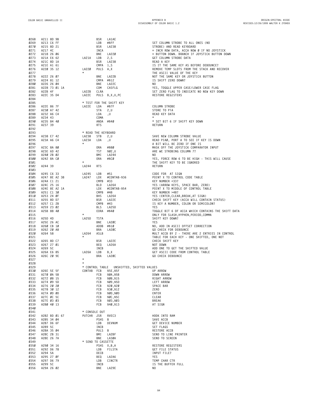| 0268         | A211 8D 9B            |                     | BSR         | LA1AE                                     |                                                                          |
|--------------|-----------------------|---------------------|-------------|-------------------------------------------|--------------------------------------------------------------------------|
| 0269         | A213 C6 FF            |                     | LDB         | #\$FF                                     | SET COLUMN STROBE TO ALL ONES (NO                                        |
| 0270         | A215 8D 21            |                     | BSR         | LA238                                     | STROBE) AND READ KEYBOARD                                                |
| 0271         | A217 4C               |                     | INCA        |                                           | = INCR ROW DATA, ACCA NOW Ø IF NO JOYSTICK                               |
| 0272         | A218 26 06            |                     | BNE         | LA220                                     | = BUTTON DOWN. BRANCH IF JOYSTICK BUTTON DOWN                            |
| 0273         | A21A E6 62            | LA21A               | LDB         | 2, S                                      | GET COLUMN STROBE DATA                                                   |
| 0274         | A21C 8D 1A            |                     | BSR         | LA238                                     | READ A KEY                                                               |
| 0275         | A21E A1 61            |                     | CMPA 1,S    |                                           | IS IT THE SAME KEY AS BEFORE DEBOUNCE?                                   |
| 0276         | A220 35 12            | <b>LA220</b>        | PULS A, X   |                                           | REMOVE TEMP SLOTS FROM THE STACK AND RECOVER                             |
| 0277         |                       | $\star$             |             |                                           | THE ASCII VALUE OF THE KEY                                               |
| 0278         | A222 26 07            |                     | BNE         | LA22B                                     | NOT THE SAME KEY OR JOYSTICK BUTTON                                      |
| 0279         | A224 81 12            |                     |             | CMPA #\$12                                | IS SHIFT ZERO DOWN?                                                      |
| 0280         | A226 26 04            |                     | BNE         | LA22C                                     | NO.                                                                      |
| 0281         | A228 73 Ø1 1A         |                     | COM         | CASFLG                                    | YES, TOGGLE UPPER CASE/LOWER CASE FLAG                                   |
| 0282         | A22B 4F               | LA22B               | CLRA        |                                           | SET ZERO FLAG TO INDICATE NO NEW KEY DOWN                                |
| 0283         | A22C 35 D4            | LA22C               |             | PULS B, X, U, PC                          | RESTORE REGISTERS                                                        |
| 0284         |                       |                     |             |                                           |                                                                          |
| 0285         |                       |                     |             | * TEST FOR THE SHIFT KEY                  |                                                                          |
| 0286         | A22E 86 7F            | LA22E               | LDA         | #\$7F                                     | COLUMN STROBE                                                            |
| 0287         | A230 A7 42            |                     | STA         | 2, U                                      | STORE TO PIA                                                             |
| 0288         | A232 A6 C4            |                     | LDA         | , U                                       | READ KEY DATA                                                            |
| 0289         | A234 43               |                     | COMA        |                                           | $\star$                                                                  |
| 0290         | A235 84 40            |                     | ANDA        | #\$40                                     | * SET BIT 6 IF SHIFT KEY DOWN                                            |
| 0291         | A237 39               |                     | <b>RTS</b>  |                                           | RETURN                                                                   |
| 0292         |                       |                     |             |                                           |                                                                          |
| 0293         |                       | * READ THE KEYBOARD |             |                                           |                                                                          |
| 0294         | A238 E7 42            | LA238               | STB         | 2, U                                      | SAVE NEW COLUMN STROBE VALUE                                             |
| 0295         | A23A A6 C4            | LA23A               | LDA         | , U                                       | READ PIAØ, PORT A TO SEE IF KEY IS DOWN                                  |
| 0296         |                       | $\star$             |             |                                           | A BIT WILL BE ZERO IF ONE IS                                             |
| 0297         | A23C 8A 8Ø            |                     | 0RA         | #\$80                                     | MASK OFF THE JOYSTICK COMPARATOR INPUT                                   |
| 0298         | A23E 6D 42            |                     | TST         | \$02,U                                    | ARE WE STROBING COLUMN 7?                                                |
| 0299         | A240 2B 02            |                     | BMI         | LA244                                     | NO.                                                                      |
| 0300         | A242 8A CØ            |                     | 0RA         | #\$CØ                                     | YES, FORCE ROW 6 TO BE HIGH - THIS WILL CAUSE                            |
| 0301         |                       |                     |             |                                           | THE SHIFT KEY TO BE IGNORED                                              |
| 0302         | A244 39               | LA244               | <b>RTS</b>  |                                           | RETURN                                                                   |
| 0303         |                       |                     |             |                                           |                                                                          |
| 0304         | A245 C6 33            | LA245               | LDB         | #51                                       | CODE FOR AT SIGN                                                         |
| 0305         | A247 8E A2 38         | LA247               | LDX         | #CONTAB-\$36                              | POINT X TO CONTROL CODE TABLE                                            |
| 0306         | A24A C1 21            |                     | $CMPB$ #33  |                                           | KEY NUMBER <33?                                                          |
| 0307         | A24C 25 16            |                     | BLO         | LA264                                     | YES (ARROW KEYS, SPACE BAR, ZERO)                                        |
| 0308         | A24E 8E A2 1A         |                     | LDX         | #CONTAB-\$54                              | POINT X TO MIDDLE OF CONTROL TABLE                                       |
| 0309         | A251 C1 30            |                     | CMPB #48    |                                           | KEY NUMBER >48?                                                          |
| 0310         | A253 24 ØF            |                     | BHS         | LA264                                     | YES (ENTER, CLEAR, BREAK, AT SIGN)                                       |
| 0311         | A255 8D D7            |                     | BSR         | LA22E                                     | CHECK SHIFT KEY (ACCA WILL CONTAIN STATUS)                               |
| 0312         | A257 C1 2B            |                     | CMPB #43    |                                           | IS KEY A NUMBER, COLON OR SEMICOLON?                                     |
| 0313         | A259 23 02            |                     | BLS         | LA25D                                     | YES                                                                      |
| 0314         | A25B 88 40            | $\star$             | EORA        | #\$40                                     | TOGGLE BIT 6 OF ACCA WHICH CONTAINS THE SHIFT DATA                       |
| 0315         |                       |                     |             |                                           | ONLY FOR SLASH, HYPHEN, PERIOD, COMMA                                    |
| 0316         | A25D 4D<br>A25E 26 AC | LA25D               | TSTA<br>BNE |                                           | SHIFT KEY DOWN?                                                          |
| 0317<br>0318 | A260 CB 10            |                     | ADDB        | LA2ØC<br>#\$10                            | YES                                                                      |
| 0319         | A262 20 A8            |                     | BRA         | LA2ØC                                     | NO, ADD IN ASCII OFFSET CORRECTION                                       |
| 0320         | A264 58               | LA264               | ASLB        |                                           | GO CHECK FOR DEBOUNCE<br>MULT ACCB BY 2 - THERE ARE 2 ENTRIES IN CONTROL |
| 0321         |                       | $\star$             |             |                                           | TABLE FOR EACH KEY - ONE SHIFTED, ONE NOT                                |
| 0322         | A265 8D C7            |                     | BSR         | LA22E                                     | CHECK SHIFT KEY                                                          |
| 0323         | A267 27 01            |                     | BEQ         | LA26A                                     | NOT DOWN                                                                 |
| 0324         | A269 5C               |                     | INCB        |                                           | ADD ONE TO GET THE SHIFTED VALUE                                         |
| 0325         | A26A E6 85            | LA26A               | LDB         | B,X                                       | GET ASCII CODE FROM CONTROL TABLE                                        |
| 0326         | A26C 20 9E            |                     | BRA         | LA2ØC                                     | <b>GO CHECK DEBOUNCE</b>                                                 |
| 0327         |                       | $\star$             |             |                                           |                                                                          |
| 0328         |                       | $\star$             |             |                                           |                                                                          |
| 0329         |                       |                     |             | * CONTROL TABLE UNSHIFTED, SHIFTED VALUES |                                                                          |
| 0330         | A26E 5E 5F            | CONTAB FCB          |             | \$5E, \$5F                                | UP ARROW                                                                 |
| 0331         | A270 0A 5B            |                     | FCB         | \$0A, \$5B                                | DOWN ARROW                                                               |
| 0332         | A272 08 15            |                     | FCB         | \$08, \$15                                | RIGHT ARROW                                                              |
| 0333         | A274 09 5D            |                     | FCB         | \$09, \$5D                                | LEFT ARROW                                                               |
| 0334         | A276 20 20            |                     | FCB         | \$20,\$20                                 | SPACE BAR                                                                |
| 0335         | A278 30 12            |                     | FCB         | \$30, \$12                                | ZERO                                                                     |
| 0336         | A27A ØD ØD            |                     | FCB         | \$00,\$0D                                 | ENTER                                                                    |
| 0337         | A27C ØC 5C            |                     | FCB         | \$ØC, \$5C                                | CLEAR                                                                    |
| 0338         | A27E 03 03            |                     | FCB         | \$03, \$03                                | BREAK                                                                    |
| 0339         | A280 40 13            |                     | FCB         | \$40, \$13                                | AT SIGN                                                                  |
| 0340         |                       |                     |             |                                           |                                                                          |
| 0341         |                       | * CONSOLE OUT       |             |                                           |                                                                          |
| 0342         | A282 BD 01 67         | PUTCHR JSR          |             | RVEC3                                     | HOOK INTO RAM                                                            |
| 0343         | A285 34 04            |                     | PSHS B      |                                           | SAVE ACCB                                                                |
| 0344         | A287 D6 6F            |                     | LDB         | DEVNUM                                    | GET DEVICE NUMBER                                                        |
| 0345         | A289 5C               |                     | INCB        |                                           | SET FLAGS                                                                |
| 0346         | A28A 35 Ø4            |                     | PULS B      |                                           | RESTORE ACCB                                                             |
| 0347         | A28C 2B 31            |                     | BMI         | LA2BF                                     | SEND TO LINE PRINTER                                                     |
| 0348         | A28E 26 7A            |                     | BNE         | LA3ØA                                     | SEND TO SCREEN                                                           |
| 0349         |                       | * SEND TO CASSETTE  |             |                                           |                                                                          |
| 0350         | A290 34 16            |                     |             | PSHS X, B, A                              | RESTORE REGISTERS                                                        |
| 0351         | A292 D6 78            |                     | LDB         | FILSTA                                    | GET FILE STATUS                                                          |
| 0352         | A294 5A               |                     | DECB        |                                           | INPUT FILE?                                                              |
| 0353<br>0354 | A295 27 ØF            |                     | BEQ         | LA2A6                                     | YES                                                                      |
|              |                       |                     |             |                                           |                                                                          |
|              | A297 D6 79            |                     | LDB         | CINCTR                                    | TEMP CHAR CTR                                                            |
| 0355<br>0356 | A299 5C<br>A29A 26 02 |                     | INCB<br>BNE | LA29E                                     | IS THE BUFFER FULL<br>NO.                                                |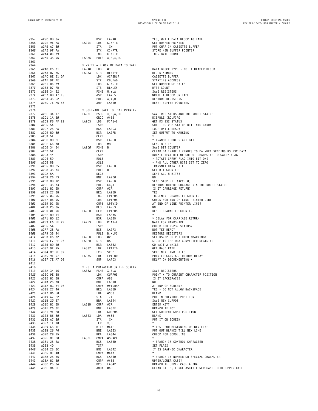| 0357        | A29C 8D ØA                                                                                                                                                                                                                                                            |                  | BSR        | LA2A8                                                                                       | YES, WRITE DATA BLOCK TO TAPE                          |
|-------------|-----------------------------------------------------------------------------------------------------------------------------------------------------------------------------------------------------------------------------------------------------------------------|------------------|------------|---------------------------------------------------------------------------------------------|--------------------------------------------------------|
| 0358        | A29E 9E 7A                                                                                                                                                                                                                                                            | LA29E            | LDX        | CINPTR                                                                                      | GET BUFFER POINTER                                     |
| 0359        | A2AØ A7 80                                                                                                                                                                                                                                                            |                  |            | , X+                                                                                        | PUT CHAR IN CASSETTE BUFFER                            |
|             |                                                                                                                                                                                                                                                                       |                  | STA        |                                                                                             |                                                        |
| Ø36Ø        | A2A2 9F 7A                                                                                                                                                                                                                                                            |                  | STX        | CINPTR                                                                                      | STORE NEW BUFFER POINTER                               |
| 0361        | A2A4 ØC 79                                                                                                                                                                                                                                                            |                  | INC        | CINCTR                                                                                      | INCR BYTE COUNT                                        |
| 0362        | A2A6 35 96                                                                                                                                                                                                                                                            | LA2A6            |            | PULS A, B, X, PC                                                                            |                                                        |
| 0363        |                                                                                                                                                                                                                                                                       |                  |            |                                                                                             |                                                        |
| 0364        |                                                                                                                                                                                                                                                                       |                  |            | * WRITE A BLOCK OF DATA TO TAPE                                                             |                                                        |
| 0365        | A2A8 C6 01                                                                                                                                                                                                                                                            | LA2A8            | LDB        | #1                                                                                          | DATA BLOCK TYPE - NOT A HEADER BLOCK                   |
|             |                                                                                                                                                                                                                                                                       |                  |            |                                                                                             |                                                        |
| 0366        | A2AA D7 7C                                                                                                                                                                                                                                                            | LA2AA STB        |            | BLKTYP                                                                                      | BLOCK NUMBER                                           |
| 0367        | A2AC 8E 01 DA                                                                                                                                                                                                                                                         |                  | LDX        | #CASBUF                                                                                     | CASSETTE BUFFER                                        |
| 0368        | A2AF 9F 7E                                                                                                                                                                                                                                                            |                  |            |                                                                                             | STARTING ADDRESS                                       |
| 0369        | A2B1 D6 79                                                                                                                                                                                                                                                            |                  |            |                                                                                             | GET NUMBER OF BYTES                                    |
| 0370        | A2B3 D7 7D                                                                                                                                                                                                                                                            |                  |            |                                                                                             |                                                        |
|             | Ø371 A2B5 34 62                                                                                                                                                                                                                                                       |                  |            |                                                                                             | SAVE REGISTERS                                         |
|             |                                                                                                                                                                                                                                                                       |                  |            |                                                                                             | BYTE COUNT<br>SAVE REGIS                               |
| 0372        | A2B7 BD A7 E5                                                                                                                                                                                                                                                         |                  |            | COUFAD<br>CINCTR<br>STB BLKLEN<br>PSHS U,Y,A<br>JSR LATE5<br>PULS A,Y,U<br>JMP LA650        | WRITE A BLOCK ON TAPE                                  |
| 0373        | A2BA 35 62                                                                                                                                                                                                                                                            |                  |            |                                                                                             | RESTORE REGISTERS                                      |
| 0374        | A2BC 7E A6 50                                                                                                                                                                                                                                                         |                  |            |                                                                                             | RESET BUFFER POINTERS                                  |
| 0375        |                                                                                                                                                                                                                                                                       |                  |            |                                                                                             |                                                        |
| 0376        |                                                                                                                                                                                                                                                                       |                  |            | * SOFTWARE UART TO L1NE PRINTER                                                             |                                                        |
|             |                                                                                                                                                                                                                                                                       |                  |            |                                                                                             |                                                        |
| 0377        | A2BF 34 17                                                                                                                                                                                                                                                            |                  |            | LA2BF PSHS X, B, A, CC                                                                      | SAVE REGISTERS AND INTERRUPT STATUS                    |
| 0378        | A2C1 1A 50                                                                                                                                                                                                                                                            |                  |            | ORCC #\$50                                                                                  | DISABLE IRQ, FIRQ                                      |
| 0379        | A2C3 F6 FF 22                                                                                                                                                                                                                                                         | LA2C3 LDB PIA1+2 |            |                                                                                             | GET RS 232 STATUS                                      |
| 0380        | A2C6 54                                                                                                                                                                                                                                                               |                  | LSRB       |                                                                                             | SHIFT RS 232 STATUS BIT INTO CARRY                     |
| 0381        | A2C7 25 FA                                                                                                                                                                                                                                                            |                  | BCS        | LA2C3                                                                                       | LOOP UNTIL READY                                       |
|             |                                                                                                                                                                                                                                                                       |                  |            |                                                                                             |                                                        |
| 0382        | A2C9 8D 30                                                                                                                                                                                                                                                            |                  |            | BSR LA2FB                                                                                   | SET OUTPUT TO MARKING                                  |
|             |                                                                                                                                                                                                                                                                       |                  | CLRB       |                                                                                             | $\star$                                                |
|             |                                                                                                                                                                                                                                                                       |                  |            | BSR LA2FD                                                                                   | * TRANSMIT ONE START BIT                               |
|             |                                                                                                                                                                                                                                                                       |                  |            |                                                                                             | SEND 8 BITS                                            |
|             |                                                                                                                                                                                                                                                                       | LA2DØ PSHS B     |            |                                                                                             | SAVE BIT COUNTER                                       |
|             |                                                                                                                                                                                                                                                                       |                  |            |                                                                                             |                                                        |
|             |                                                                                                                                                                                                                                                                       |                  |            |                                                                                             | CLEAR DA IMAGE I ZEROES TO DA WHEN SENDING RS 232 DATA |
|             |                                                                                                                                                                                                                                                                       |                  |            |                                                                                             | ROTATE NEXT BIT OF OUTPUT CHARACTER TO CARRY FLAG      |
|             |                                                                                                                                                                                                                                                                       |                  |            |                                                                                             | * ROTATE CARRY FLAG INTO BIT ONE                       |
|             |                                                                                                                                                                                                                                                                       |                  |            |                                                                                             | * AND ALL OTHER BITS SET TO ZERO                       |
|             |                                                                                                                                                                                                                                                                       |                  |            | A<br>PSHS B<br>CLRB<br>LSRA<br>LSRA<br>ROLB<br>BSR LA2FD<br>PULS B<br>DECB<br>BNE<br>142000 | TRANSMIT DATA BYTE                                     |
|             |                                                                                                                                                                                                                                                                       |                  |            |                                                                                             | GET BIT COUNTER                                        |
|             |                                                                                                                                                                                                                                                                       |                  |            |                                                                                             |                                                        |
|             |                                                                                                                                                                                                                                                                       |                  |            |                                                                                             | SENT ALL 8 BITS?                                       |
|             |                                                                                                                                                                                                                                                                       |                  |            | BNE LA2DØ                                                                                   | NO.                                                    |
|             |                                                                                                                                                                                                                                                                       |                  |            | BSR LA2FB                                                                                   | SEND STOP BIT (ACCB:0)                                 |
|             |                                                                                                                                                                                                                                                                       |                  |            | PULS CC,A                                                                                   | RESTORE OUTPUT CHARACTER & INTERRUPT STATUS            |
|             | 8L<br>3 5 F<br>CC 8D 2 F<br>2CE C 6 68<br>A2D0 34 64<br>A2D3 5 F<br>A2D3 44<br>A9 A2D4 59<br>A391 A2D6 8D 25<br>A393 A2D6 8D 25<br>A393 A2D6 8D 25<br>A32D4 5A<br>1 A2D6 8D 25<br>A32D6 5A<br>1 A2D6 26 F3<br>A2D6 8D 1C<br>2CF 35 63<br>1 81 00<br>27 68<br>9C<br>9C |                  |            | CMPA #CR                                                                                    | IS IT CARRIAGE RETURN?                                 |
|             |                                                                                                                                                                                                                                                                       |                  |            |                                                                                             |                                                        |
|             |                                                                                                                                                                                                                                                                       |                  |            | BEQ LA2ED                                                                                   | YES                                                    |
|             |                                                                                                                                                                                                                                                                       |                  |            | INC LPTPOS                                                                                  | INCREMENT CHARACTER COUNTER                            |
|             |                                                                                                                                                                                                                                                                       |                  |            | LDB LPTPOS                                                                                  | CHECK FOR END OF LINE PRINTER LINE                     |
|             |                                                                                                                                                                                                                                                                       |                  |            | CMPB LPTWID                                                                                 | AT END OF LINE PRINTER LINE?                           |
| 0402        | A2EB 25 06                                                                                                                                                                                                                                                            |                  | <b>BLO</b> | LA2F3                                                                                       | NO.                                                    |
|             |                                                                                                                                                                                                                                                                       |                  |            |                                                                                             |                                                        |
| 0403        | A2ED ØF 9C                                                                                                                                                                                                                                                            | LA2ED CLR LPTPOS |            |                                                                                             | RESET CHARACTER COUNTER                                |
| 0404        | A2EF 8D 14                                                                                                                                                                                                                                                            |                  | BSR        | LA305                                                                                       | $\star$                                                |
| 0405        | A2F1 8D 12                                                                                                                                                                                                                                                            |                  | BSR        | LA305                                                                                       | * DELAY FOR CARRIAGE RETURN                            |
| 0406        | A2F3 F6 FF 22                                                                                                                                                                                                                                                         | LA2F3            | LDB        | PIA1+2                                                                                      | WAIT FOR HANDSHAKE                                     |
| 0407        | A2F6 54                                                                                                                                                                                                                                                               |                  | LSRB       |                                                                                             | CHECK FOR R5232 STATUS?                                |
|             |                                                                                                                                                                                                                                                                       |                  |            |                                                                                             |                                                        |
| 0408        | A2F7 25 FA                                                                                                                                                                                                                                                            |                  | <b>BCS</b> | LA2F3                                                                                       | NOT YET READY                                          |
| 0409        | A2F9 35 94                                                                                                                                                                                                                                                            |                  |            | PULS B, X, PC                                                                               | RESTORE REGISTERS                                      |
| <b>0410</b> | A2FB C6 02                                                                                                                                                                                                                                                            | LA2FB            | LDB        | #2<br>DA<br>LA3Ø2<br>'¤TBTD                                                                 | SET RS232 OUTPUT HIGH (MARKING)                        |
|             | 0411 A2FD F7 FF 20                                                                                                                                                                                                                                                    | LA2FD            | STB        |                                                                                             | STORE TO THE D/A CONVERTER REGISTER                    |
| 0412        | A300 8D 00                                                                                                                                                                                                                                                            |                  | BSR        |                                                                                             | GO WAIT A WHILE                                        |
|             |                                                                                                                                                                                                                                                                       |                  |            |                                                                                             |                                                        |
| 0413        | A302 9E 95                                                                                                                                                                                                                                                            | LA302            | LDX        |                                                                                             | GET BAUD RATE                                          |
| 0414        | A3Ø4 8C 9E 97                                                                                                                                                                                                                                                         |                  | FCB        |                                                                                             | SKIP NEXT TWO BYTES                                    |
| 0415        | A305 9E 97                                                                                                                                                                                                                                                            | LA305            | LDX        | LPTLND                                                                                      | PRINTER CARRIAGE RETURN DELAY                          |
| 0416        | A307 7E A7 D3                                                                                                                                                                                                                                                         |                  | JMP        | LA7D3                                                                                       | DELAY ON DECREMENTING X                                |
| 0417        |                                                                                                                                                                                                                                                                       |                  |            |                                                                                             |                                                        |
| 0418        |                                                                                                                                                                                                                                                                       |                  |            | * PUT A CHARACTER ON THE SCREEN                                                             |                                                        |
|             |                                                                                                                                                                                                                                                                       |                  |            |                                                                                             |                                                        |
| 0419        | A3ØA 34 16                                                                                                                                                                                                                                                            | LA3ØA            |            | PSHS X, B, A                                                                                | SAVE REGISTERS                                         |
| <b>0420</b> | A3ØC 9E 88                                                                                                                                                                                                                                                            |                  | LDX        | <b>CURPOS</b>                                                                               | POINT X TO CURRENT CHARACTER POSITION                  |
| 0421        | A3ØE 81 08                                                                                                                                                                                                                                                            |                  | CMPA #BS   |                                                                                             | IS IT BACKSPACE?                                       |
| 0422        | A310 26 0B                                                                                                                                                                                                                                                            |                  | BNE        | LA31D                                                                                       | NO.                                                    |
| 0423        | A312 8C 04 00                                                                                                                                                                                                                                                         |                  |            | CMPX #VIDRAM                                                                                | AT TOP OF SCREEN?                                      |
| 0424        | A315 27 46                                                                                                                                                                                                                                                            |                  | BEQ        | LA35D                                                                                       | YES - DO NOT ALLOW BACKSPACE                           |
|             |                                                                                                                                                                                                                                                                       |                  |            |                                                                                             |                                                        |
| 0425        | A317 86 60                                                                                                                                                                                                                                                            |                  | LDA        | #\$60                                                                                       | BLANK                                                  |
| 0426        | A319 A7 82                                                                                                                                                                                                                                                            |                  | STA        | , - X                                                                                       | PUT IN PREVIOUS POSITION                               |
| 0427        | A31B 20 27                                                                                                                                                                                                                                                            |                  | BRA        | LA344                                                                                       | SAVE NEW CURPOS                                        |
| 0428        | A31D 81 ØD                                                                                                                                                                                                                                                            | LA31D            | CMPA #CR   |                                                                                             | ENTER KEY?                                             |
| 0429        | A31F 26 ØE                                                                                                                                                                                                                                                            |                  | BNE        | LA32F                                                                                       | BRANCH IF NOT                                          |
| 0430        | A321 9E 88                                                                                                                                                                                                                                                            |                  | LDX        | CURPOS                                                                                      | GET CURRENT CHAR POSITION                              |
|             | A323 86 60                                                                                                                                                                                                                                                            |                  |            |                                                                                             |                                                        |
| 0431        |                                                                                                                                                                                                                                                                       | LA323            | LDA        | #\$60                                                                                       | BLANK                                                  |
| 0432        | A325 A7 80                                                                                                                                                                                                                                                            |                  | STA        | $, X +$                                                                                     | PUT IT ON SCREEN                                       |
| 0433        | A327 1F 10                                                                                                                                                                                                                                                            |                  | TFR        | X.D                                                                                         | $\star$                                                |
| 0434        | A329 C5 1F                                                                                                                                                                                                                                                            |                  |            | BITB #\$1F                                                                                  | * TEST FOR BEGINNING OF NEW LINE                       |
| 0435        | A32B 26 F6                                                                                                                                                                                                                                                            |                  | BNE        | LA323                                                                                       | PUT OUT BLANKS TILL NEW LINE                           |
|             |                                                                                                                                                                                                                                                                       |                  |            |                                                                                             |                                                        |
| 0436        | A32D 20 15                                                                                                                                                                                                                                                            |                  | BRA        | LA344                                                                                       | CHECK FOR SCROLLING                                    |
| 0437        | A32F 81 20                                                                                                                                                                                                                                                            | LA32F            |            | CMPA #SPACE                                                                                 | $\star$                                                |
| 0438        | A331 25 2A                                                                                                                                                                                                                                                            |                  | BCS        | LA35D                                                                                       | * BRANCH IF CONTROL CHARACTER                          |
| 0439        | A333 4D                                                                                                                                                                                                                                                               |                  | TSTA       |                                                                                             | SET FLAGS                                              |
| <b>0440</b> | A334 2B ØC                                                                                                                                                                                                                                                            |                  | BMI        | LA342                                                                                       | IT IS GRAPHIC CHARACTER                                |
| 0441        | A336 81 40                                                                                                                                                                                                                                                            |                  |            | CMPA #\$40                                                                                  |                                                        |
|             |                                                                                                                                                                                                                                                                       |                  |            |                                                                                             |                                                        |
| 0442        | A338 25 06                                                                                                                                                                                                                                                            |                  | BCS        | LA340                                                                                       | * BRANCH IF NUMBER OR SPECIAL CHARACTER                |
| 0443        | A33A 81 60                                                                                                                                                                                                                                                            |                  |            | CMPA #\$60                                                                                  | UPPER/LOWER CASE?                                      |
| 0444        | A33C 25 04                                                                                                                                                                                                                                                            |                  | BCS        | LA342                                                                                       | BRANCH IF UPPER CASE ALPHA                             |
| 0445        | A33E 84 DF                                                                                                                                                                                                                                                            |                  |            | ANDA #\$DF                                                                                  | CLEAR BIT 5, FORCE ASCII LOWER CASE TO BE UPPER CASE   |

| PUT CHAR IN CASSETTE BUFFER<br>STORE NEW BUFFER POINTER<br>INCR BYTE COUNT                                                                                                                                                                                                                                                        |
|-----------------------------------------------------------------------------------------------------------------------------------------------------------------------------------------------------------------------------------------------------------------------------------------------------------------------------------|
| DATA BLOCK TYPE - NOT A HEADER BLOCK<br><b>BLOCK NUMBER</b><br>CASSETTE BUFFER<br>STARTING ADDRESS<br>GET NUMBER OF BYTES<br><b>BYTE COUNT</b><br>SAVE REGISTERS<br>WRITE A BLOCK ON TAPE<br>RESTORE REGISTERS<br>RESET BUFFER POINTERS                                                                                           |
| SAVE REGISTERS AND INTERRUPT STATUS<br>DISABLE IRQ, FIRQ<br>GET RS 232 STATUS<br>SHIFT RS 232 STATUS BIT INTO CARRY<br>LOOP UNTIL READY<br>SET OUTPUT TO MARKING<br>$\star$                                                                                                                                                       |
| * TRANSMIT ONE START BIT<br>SEND 8 BITS<br>SAVE BIT COUNTER<br>CLEAR DA IMAGE I ZEROES TO DA WHEN SENDING RS 232 DATA<br>ROTATE NEXT BIT OF OUTPUT CHARACTER TO CARRY FLAG<br>* ROTATE CARRY FLAG INTO BIT ONE<br>* AND ALL OTHER BITS SET TO ZERO<br>TRANSMIT DATA BYTE<br>GET BIT COUNTER<br>SENT ALL 8 BITS?<br>NO.            |
| SEND STOP BIT (ACCB:0)<br>RESTORE OUTPUT CHARACTER & INTERRUPT STATUS<br>IS IT CARRIAGE RETURN?<br><b>YES</b><br>INCREMENT CHARACTER COUNTER                                                                                                                                                                                      |
| CHECK FOR END OF LINE PRINTER LINE<br>AT END OF LINE PRINTER LINE?<br>NO.<br>RESET CHARACTER COUNTER                                                                                                                                                                                                                              |
| $^{\star}$<br>* DELAY FOR CARRIAGE RETURN<br>WAIT FOR HANDSHAKE<br>CHECK FOR R5232 STATUS?<br>NOT YET READY<br>RESTORE REGISTERS<br>SET RS232 OUTPUT HIGH (MARKING)<br>STORE TO THE D/A CONVERTER REGISTER<br>GO WAIT A WHILE<br>GET BAUD RATE<br>SKIP NEXT TWO BYTES<br>PRINTER CARRIAGE RETURN DELAY<br>DELAY ON DECREMENTING X |
| SAVE REGISTERS<br>POINT X TO CURRENT CHARACTER POSITION<br>IS IT BACKSPACE?<br>NO.<br>AT TOP OF SCREEN?<br>YES - DO NOT ALLOW BACKSPACE                                                                                                                                                                                           |
| <b>BLANK</b><br>PUT IN PREVIOUS POSITION<br>SAVE NEW CURPOS<br>ENTER KEY?<br>BRANCH IF NOT<br>GET CURRENT CHAR POSITION<br><b>BLANK</b><br>PUT IT ON SCREEN<br>$^\star$                                                                                                                                                           |
| * TEST FOR BEGINNING OF NEW LINE<br>PUT OUT BLANKS TILL NEW LINE<br>CHECK FOR SCROLLING<br>$\star$<br>* BRANCH IF CONTROL CHARACTER<br>SET FLAGS                                                                                                                                                                                  |
| IT IS GRAPHIC CHARACTER<br>$\star$<br>* BRANCH IF NUMBER OR SPECIAL CHARACTER                                                                                                                                                                                                                                                     |
| UPPER/LOWER CASE?<br>BRANCH IF UPPER CASE ALPHA                                                                                                                                                                                                                                                                                   |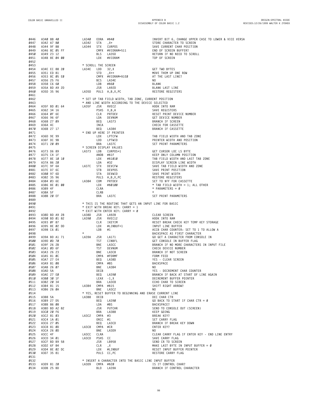| 0446         | A340 88 40    | LA34Ø               | EORA #\$40 |                                                                                 | INVERT BIT 6, CHANGE UPPER CASE TO LOWER & VICE VERSA                   |
|--------------|---------------|---------------------|------------|---------------------------------------------------------------------------------|-------------------------------------------------------------------------|
| 0447         | A342 A7 80    | LA342               | STA        | $x +$                                                                           | STORE CHARACTER TO SCREEN                                               |
| 0448         | A344 9F 88    | LA344               | STX        | CURPOS                                                                          | SAVE CURRENT CHAR POSITION                                              |
| 0449         | A346 8C 05 FF |                     |            | CMPX #VIDRAM+511                                                                | END OF SCREEN BUFFER?                                                   |
| 0450         | A349 23 12    |                     | BLS        | LA35D                                                                           | RETURN IF NO NEED TO SCROLL                                             |
| 0451         | A34B 8E 04 00 |                     | LDX        | #VIDRAM                                                                         | TOP OF SCREEN                                                           |
| 0452         |               |                     |            |                                                                                 |                                                                         |
| 0453         |               | * SCROLL THE SCREEN |            |                                                                                 |                                                                         |
| 0454         | A34E EC 88 20 | LA34E LDD           |            | 32, X                                                                           | GET TWO BYTES                                                           |
| 0455         | A351 ED 81    |                     | STD        | $, X++$                                                                         | MOVE THEM UP ONE ROW                                                    |
| 0456         | A353 8C 05 E0 |                     |            | CMPX #VIDRAM+\$1EØ                                                              | AT THE LAST LINE?                                                       |
| 0457         | A356 25 F6    |                     | BCS        | LA34E                                                                           | NO.                                                                     |
| 0458         | A358 C6 60    |                     | LDB        | #\$60                                                                           | <b>BLANK</b>                                                            |
| 0459         | A35A BD A9 2D |                     |            | JSR LA92D                                                                       | BLANK LAST LINE                                                         |
| 0460         | A35D 35 96    |                     |            | LA35D PULS A, B, X, PC                                                          | RESTORE REGISTERS                                                       |
| 0461         |               |                     |            |                                                                                 |                                                                         |
| 0462         |               |                     |            | * SET UP TAB FIELD WIDTH, TAB ZONE, CURRENT POSITION                            |                                                                         |
| 0463         |               |                     |            | * AND LINE WIDTH ACCORDING TO THE DEVICE SELECTED                               |                                                                         |
| 0464         | A35F BD 01 64 | LA35F               | JSR        | RVEC2                                                                           | HOOK INTO RAM                                                           |
| 0465         | A362 34 16    |                     |            | PSHS X, B, A                                                                    | SAVE REGISTERS                                                          |
| 0466         | A364 ØF 6E    |                     | CLR        | PRTDEV                                                                          | RESET PRINT DEVICE NUMBER                                               |
| 0467         | A366 96 6F    |                     | LDA        | DEVNUM                                                                          | GET DEVICE NUMBER                                                       |
| 0468         | A368 27 09    |                     | BEQ        | LA373                                                                           | BRANCH IF SCREEN                                                        |
| 0469         | A36A 4C       |                     | INCA       |                                                                                 | CHECK FOR CASSETTE                                                      |
| 0470         | A36B 27 17    |                     | BEQ        | LA384                                                                           | BRANCH IF CASSETTE                                                      |
| 0471         |               |                     |            | * END UP HERE IF PRINTER                                                        |                                                                         |
| 0472         | A36D 9E 99    |                     | LDX        | LPTCFW                                                                          | TAB FIELD WIDTH AND TAB ZONE                                            |
| 0473         | A36F DC 9B    |                     | LDD        | LPTWID                                                                          | PRINTER WIDTH AND POSITION                                              |
| 0474         | A371 20 09    |                     | BRA        | LA37C                                                                           | SET PRINT PARAMETERS                                                    |
| 0475         |               |                     |            | * SCREEN DISPLAY VALUES                                                         |                                                                         |
| 0476         | A373 D6 89    | LA373 LDB           |            | CURPOS+1                                                                        | GET CURSOR LOC LS BYTE                                                  |
| 0477         | A375 C4 1F    |                     |            | ANDB #\$1F                                                                      |                                                                         |
| 0478         | A377 8E 10 10 |                     | LDX        | #\$1010                                                                         | KEEP ONLY LULUMIN TO LAST TAB ZONE<br>TAB FIELD WIDTH AND LAST TAB ZONE |
| 0479         | A37A 86 20    |                     | LDA        | #32                                                                             | DISPLAY SCREEN LINE WIDTH                                               |
| 0480         | A37C 9F 6A    | LA37C               | STX        |                                                                                 | SAVE TAB FIELD WIDTH AND ZONE                                           |
| 0481         | A37E D7 6C    |                     | STB        | <b>DEVCFW<br/>DEVPOS<br/>DEVWID<br/>A, B, X, PC<br/>PRTDEV</b><br><b>DEVPOS</b> | SAVE PRINT POSITION                                                     |
| 0482         | A380 97 6D    |                     | STA        | DEVWID                                                                          | SAVE PRINT WIDTH                                                        |
| 0483         | A382 35 96    |                     |            | PULS A, B, X, PC                                                                | RESTORE REGISTERS                                                       |
| 0484         | A384 03 6E    | LA384               | COM        | PRTDEV                                                                          | SET TO \$FF FOR CASSETTE                                                |
| 0485         | A386 8E 01 00 |                     | LDX        | #\$0100                                                                         | $*$ TAB FIELD WIDTH = 1; ALL OTHER                                      |
| 0486         | A389 4F       |                     | CLRA       |                                                                                 | * PARAMETERS = $\varnothing$                                            |
| 0487         | A38A 5F       |                     | CLRB       |                                                                                 | $\star$                                                                 |
| 0488         | A38B 20 EF    |                     | BRA        | LA37C                                                                           | SET PRINT PARAMETERS                                                    |
| 0489         |               |                     |            |                                                                                 |                                                                         |
| 0490         |               |                     |            | * THIS IS THE ROUTINE THAT GETS AN INPUT LINE FOR BASIC                         |                                                                         |
| 0491         |               |                     |            | * EXIT WITH BREAK KEY: CARRY = 1                                                |                                                                         |
| 0492         |               |                     |            | * EXIT WITH ENTER KEY: CARRY = Ø                                                |                                                                         |
| 0493         | A38D BD A9 28 | LA38D               | JSR        | LA928                                                                           | CLEAR SCREEN                                                            |
| 0494         | A390 BD 01 82 | LA390               | JSR        | RVEC12                                                                          | HOOK INTO RAM                                                           |
| 0495         | A393 ØF 87    |                     | CLR        | IKEYIM                                                                          | RESET BREAK CHECK KEY TEMP KEY STORAGE                                  |
| 0496         | A395 8E 02 DD |                     | LDX        | #LINBUF+1                                                                       | INPUT LINE BUFFER                                                       |
| 0497         | A398 C6 01    |                     | LDB        | #1                                                                              | ACCB CHAR COUNTER: SET TO 1 TO ALLOW A                                  |
| 0498         |               | $^{\star}$          |            |                                                                                 | BACKSPACE AS FIRST CHARACTER                                            |
| 0499         | A39A BD A1 71 | LA39A               | JSR        | LA171                                                                           | GO GET A CHARACTER FROM CONSOLE IN                                      |
| 0500         | A39D ØD 70    |                     | TST        | CINBFL                                                                          | GET CONSOLE IN BUFFER FLAG                                              |
| 0501         | A39F 26 2B    |                     | BNE        | LA3CC                                                                           | BRANCH IF NO MORE CHARACTERS IN INPUT FILE                              |
| 0502         | A3A1 ØD 6F    |                     | <b>TST</b> | DEVNUM                                                                          | CHECK DEVICE NUMBER                                                     |
| 0503         | A3A3 26 23    |                     | BNE        | LA3C8                                                                           | BRANCH IF NOT SCREEN                                                    |
| 0504         | A3A5 81 ØC    |                     |            | CMPA #FORMF                                                                     | FORM FEED                                                               |
| 0505         | A3A7 27 E4    |                     | BEQ        | LA38D                                                                           | YES - CLEAR SCREEN                                                      |
| 0506         | A3A9 81 08    |                     | CMPA #BS   |                                                                                 | BACKSPACE                                                               |
| 0507         | A3AB 26 07    |                     | BNE        | LA3B4                                                                           | NO                                                                      |
| 0508         | A3AD 5A       |                     | DECB       |                                                                                 | YES - DECREMENT CHAR COUNTER                                            |
| 0509         | A3AE 27 EØ    |                     | BEQ        | LA39Ø                                                                           | BRANCH IF BACK AT START OF LINE AGAIN                                   |
| 0510         | A3BØ 3Ø 1F    |                     |            | LEAX -1,X                                                                       | DECREMENT BUFFER POINTER                                                |
| 0511         | A3B2 20 34    |                     | BRA        | LA3E8                                                                           | ECHO CHAR TO SCREEN                                                     |
| 0512         | A3B4 81 15    | LA3B4               |            | CMPA #\$15                                                                      | SHIFT RIGHT ARROW?                                                      |
| 0513         | A3B6 26 ØA    |                     | BNE        | LA3C2                                                                           | NO.                                                                     |
| 0514         |               |                     |            | * YES, RESET BUFFER TO BEGINNING AND ERASE CURRENT LINE                         |                                                                         |
| 0515         | A3B8 5A       | LA3B8               | DECB       |                                                                                 | DEC CHAR CTR                                                            |
| 0516         | A3B9 27 D5    |                     | BEQ        | LA390                                                                           | GO BACK TO START IF CHAR CTR = $\emptyset$                              |
| 0517         | A3BB 86 08    |                     | LDA        | #BS                                                                             | BACKSPACE?                                                              |
| 0518         | A3BD BD A2 82 |                     | JSR        | PUTCHR                                                                          | SEND TO CONSOLE OUT (SCREEN)                                            |
| 0519         | A3CØ 20 F6    | LA3C2               |            | BRA LA3B8                                                                       | KEEP GOING                                                              |
| 0520         | A3C2 81 03    |                     | CMPA #3    |                                                                                 | BREAK KEY?                                                              |
| 0521         | A3C4 1A Ø1    |                     | ORCC #1    |                                                                                 | SET CARRY FLAG                                                          |
| 0522         | A3C6 27 05    |                     | BEQ        | LA3CD                                                                           | BRANCH IF BREAK KEY DOWN                                                |
| 0523         | A3C8 81 ØD    | LA3C8               |            | CMPA #CR                                                                        | ENTER KEY?                                                              |
| 0524         | A3CA 26 ØD    |                     |            | BNE LA3D9                                                                       | NO.                                                                     |
| 0525         | A3CC 4F       | LA3CC               | CLRA       |                                                                                 | CLEAR CARRY FLAG IF ENTER KEY - END LINE ENTRY                          |
| 0526         | A3CD 34 01    | LA3CD               | PSHS CC    |                                                                                 | SAVE CARRY FLAG                                                         |
| 0527         | A3CF BD B9 58 |                     |            | JSR LB958                                                                       | SEND CR TO SCREEN                                                       |
| 0528         | A3D2 6F 84    |                     | CLR        | ,Χ                                                                              | MAKE LAST BYTE IN INPUT BUFFER = $\emptyset$                            |
| 0529         | A3D4 8E 02 DC |                     | LDX        | #LINBUF                                                                         | RESET INPUT BUFFER POINTER                                              |
| 0530         | A3D7 35 81    |                     |            | PULS CC, PC                                                                     | RESTORE CARRY FLAG                                                      |
| 0531         |               |                     |            |                                                                                 |                                                                         |
| 0532         |               |                     |            | * INSERT A CHARACTER INTO THE BASIC LINE INPUT BUFFER                           |                                                                         |
| 0533<br>0534 | A3D9 81 20    | LA3D9               | <b>BLO</b> | CMPA #\$20<br>LA39A                                                             | IS IT CONTROL CHAR?                                                     |
|              | A3DB 25 BD    |                     |            |                                                                                 | BRANCH IF CONTROL CHARACTER                                             |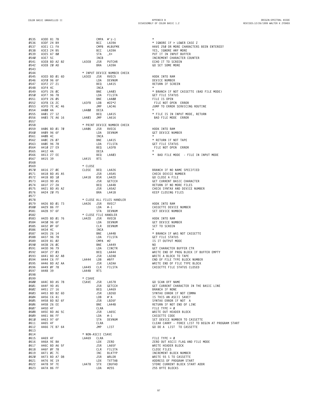**ORIGIN:SPECTRAL ASSOC REVISED:12/26/1999 WALTER K ZYDHEK**

| 0535        | A3DD 81 7B                                                      |                                   |                                                                 | $\star$                                            |
|-------------|-----------------------------------------------------------------|-----------------------------------|-----------------------------------------------------------------|----------------------------------------------------|
|             | 0536 A3DF 24 B9                                                 |                                   |                                                                 | * IGNORE IF > LOWER CASE Z                         |
| 0537        | A3E1 C1 FA                                                      |                                   |                                                                 | HAVE 250 OR MORE CHARACTERS BEEN ENTERED?          |
| 0538        | A3E3 24 B5                                                      |                                   |                                                                 | YES, IGNORE ANY MORE                               |
| 0539        | A3E5 A7 80                                                      |                                   | CMPA #'z-1<br>BCC LA39A<br>CMPB #LBUFMX<br>BCC LA39A<br>STA ,X+ | PUT IT IN INPUT BUFFER                             |
| <b>0540</b> | A3E7 5C                                                         |                                   | INCB                                                            | INCREMENT CHARACTER COUNTER                        |
| 0541        | A3E8 BD A2 82                                                   | LA3E8 JSR                         | PUTCHR                                                          | ECHO IT TO SCREEN                                  |
| 0542        | A3EB 20 AD                                                      |                                   | BRA<br>LA39A                                                    | GO SET SOME MORE                                   |
| 0543        |                                                                 |                                   |                                                                 |                                                    |
| 0544        |                                                                 |                                   | * INPUT DEVICE NUMBER CHECK                                     |                                                    |
| 0545        | A3ED BD 01 6D                                                   | LA3ED                             | JSR RVEC5                                                       | HOOK INTO RAM                                      |
|             | 0546 A3F0 96 6F                                                 |                                   | LDA DEVNUM                                                      | DEVICE NUMBER                                      |
| 0547        | A3F2 27 21                                                      |                                   | BEQ<br>LA415                                                    | RETURN IF SCREEN                                   |
| 0548        | A3F4 4C                                                         |                                   | INCA                                                            |                                                    |
| 0549        | A3F5 26 ØC                                                      |                                   | BNE LA403                                                       | * BRANCH IF NOT CASSETTE (BAD FILE MODE)           |
| <b>0550</b> | A3F7 96 78                                                      |                                   | LDA FILSTA<br>LDA FILSTA                                        | <b>GET FILE STATUS</b>                             |
|             |                                                                 |                                   |                                                                 |                                                    |
| 0551        | A3F9 26 05<br>0552 A3FB C6 2C                                   |                                   |                                                                 | FILE IS OPEN<br>FILE NOT OPEN ERROR                |
| 0553        | A3FD 7E AC 46                                                   |                                   | BNE LA400<br>LA3FB LDB #22*2<br>LA400 JNP LAC46<br>LA400 DECA   |                                                    |
| 0554        | A400 4A                                                         | UMP<br>LA400 DECA                 |                                                                 | JUMP TO ERROR SERVICING ROUTINE                    |
| 0555        | A401 27 12                                                      |                                   | BEQ LA415                                                       | * FILE IS IN INPUT MODE, RETURN                    |
|             |                                                                 |                                   |                                                                 |                                                    |
| 0556        | A403 7E A6 16                                                   | LA403 JMP                         | LA616                                                           | BAD FILE MODE ERROR                                |
| 0557        |                                                                 |                                   |                                                                 |                                                    |
| 0558        | A406 BD 01 70                                                   | LA406 JSR RVEC6                   | * PRINT DEVICE NUMBER CHECK                                     | HOOK INTO RAM                                      |
| 0559        |                                                                 |                                   |                                                                 |                                                    |
| <b>0560</b> | A409 96 6F                                                      |                                   | LDA DEVNUM                                                      | GET DEVICE NUMBER<br>$\star$                       |
|             | 0561 A40B 4C                                                    |                                   | INCA                                                            |                                                    |
|             | 0562 A40C 26 07                                                 |                                   | BNE LA415<br>LA415<br>FILSTA                                    | * RETURN IF NOT TAPE                               |
|             | 0563 A40E 96 78                                                 |                                   | LDA                                                             | GET FILE STATUS                                    |
| 0564        | A410 27 E9                                                      |                                   | LA3FB<br>BEQ                                                    | FILE NOT OPEN ERROR                                |
| 0565        | A412 4A                                                         |                                   | DECA                                                            |                                                    |
| 0566        | A413 27 EE                                                      | UECA<br>BEQ<br>LA415 RTS          | BEQ<br>LA403                                                    | * BAD FILE MODE - FILE IN INPUT MODE               |
| 0567        | A415 39                                                         |                                   |                                                                 |                                                    |
| 0568        |                                                                 |                                   |                                                                 |                                                    |
| 0569        |                                                                 | * CLOSE                           |                                                                 |                                                    |
| 0570        | A416 27 ØE                                                      |                                   | CLOSE BEQ LA426                                                 | BRANCH IF NO NAME SPECIFIED                        |
|             | 0571 A418 BD A5 A5                                              |                                   | JSR LA5A5<br>LA41B BSR LA42D                                    | CHECK DEVICE NUMBER                                |
|             | 0572 A41B 8D 10                                                 |                                   |                                                                 | GO CLOSE A FILE                                    |
|             | 0573 A41D 9D A5                                                 |                                   | JSR GETCCH                                                      | GET CURRENT BASIC CHARACTER                        |
| 0574        | A41F 27 2A                                                      |                                   | BEQ LA44B                                                       | RETURN IF NO MORE FILES                            |
| 0575        | A421 BD A5 A2                                                   |                                   | JSR LA5A2                                                       | CHECK SYNTAX AND DEVICE NUMBER                     |
| 0576        | A424 20 F5                                                      |                                   | BRA LA41B                                                       | KEEP CLOSING FILES                                 |
| 0577        |                                                                 |                                   |                                                                 |                                                    |
| 0578        |                                                                 |                                   | * CLOSE ALL FILES HANDLER                                       |                                                    |
| 0579        | A426 BD 01 73                                                   |                                   | LA426 JSR RVEC7                                                 | HOOK INTO RAM                                      |
| 0580        | A429 86 FF                                                      |                                   | $LDA$ #-1                                                       | CASSETTE DEVICE NUMBER                             |
| 0581        | A42B 97 6F                                                      |                                   | STA DEVNUM                                                      | SET DEVICE NUMBER                                  |
| 0582        |                                                                 |                                   | * CLOSE FILE HANDLER                                            |                                                    |
| 0583        | A42D BD 01 76                                                   |                                   | LA42D JSR RVEC8                                                 | HOOK INTO RAM                                      |
| 0584        | A430 96 6F                                                      |                                   | LDA DEVNUM                                                      | GET DEVICE NUMBER                                  |
| 0585        | A432 ØF 6F                                                      |                                   | CLR DEVNUM                                                      | SET TO SCREEN                                      |
| 0586        | A434 4C                                                         |                                   | INCA                                                            | $\star$                                            |
| 0587        | A434 40<br>A435 26 14<br>A437 96 78<br>A439 81 02<br>A438 26 00 |                                   | BNE LA44B                                                       | * BRANCH IF WAS NOT CASSETTE                       |
| 0588        |                                                                 |                                   | LDA FILSTA<br>CMPA #2                                           | GET FILE STATUS                                    |
| 0589        |                                                                 |                                   | CMPA #2                                                         | IS IT OUTPUT MODE                                  |
| 0590        |                                                                 |                                   | BNE LA449                                                       | NO.                                                |
| 0591        | A43D 96 79                                                      |                                   |                                                                 | GET CHARACTER BUFFER CTR                           |
| 0592        | A43F 27 03                                                      |                                   | ----<br>LDA CINCTR<br>BEQ LA444<br>JSR LA2A8<br>LDB #\$FF       | WRITE END OF PROG BLOCK IF BUFFER EMPTY            |
| 0593        | A441 BD A2 A8                                                   |                                   |                                                                 | WRITE A BLOCK TO TAPE                              |
| 0594        | A444 C6 FF                                                      | UEQ<br>USR<br>LA444 LDB           | #\$FF                                                           | END OF FILE TYPE BLOCK NUMBER                      |
| 0595        | A446 BD A2 AA                                                   |                                   | JSR<br>LA2AA                                                    | WRITE END OF FILE TYPE BLOCK                       |
|             | 0596 A449 OF 78                                                 |                                   | LA449 CLR FILSTA                                                | CASSETTE FILE STATUS CLOSED                        |
| 0597        | A44B 39                                                         | LA44B                             | RTS                                                             |                                                    |
| 0598        |                                                                 |                                   |                                                                 |                                                    |
| 0599        |                                                                 | * CSAVE                           |                                                                 |                                                    |
|             | 0533<br>0600 A44C BD A5 78 CSAVE JSR LA578                      |                                   |                                                                 | GO SCAN OFF NAME                                   |
|             | 0601 A44F 9D A5                                                 |                                   | JSR GETCCH                                                      | GET CURRENT CHARACTER IN THE BASIC LINE            |
|             | 0602 A451 27 16                                                 |                                   | BEQ LA469                                                       | BRANCH IF NONE                                     |
|             | 0603 A453 BD B2 6D                                              |                                   | JSR LB26D                                                       | SYNTAX ERROR IF NOT COMMA                          |
|             | 0604 A456 C6 41                                                 |                                   |                                                                 | IS THIS AN ASCII SAVE?                             |
|             | 0605 A458 BD B2 6F                                              |                                   | LDB #'A<br>JSR LB26F<br>'A44R                                   | SYNTAX ERROR IF NOT A                              |
|             | 0606 A45B 26 EE                                                 |                                   | BNE LA44B                                                       | RETURN IF NOT END OF LINE                          |
|             | 0607 A45D 4F                                                    |                                   | CLRA                                                            | FILE TYPE = $\emptyset$                            |
|             | 0608 A45E BD A6 5C                                              |                                   |                                                                 | WRITE OUT HEADER BLOCK                             |
|             | 0609 A461 86 FF                                                 |                                   | JSR LA65C<br>LDA #-1<br>LDA                                     | CASSETTE CODE                                      |
|             | 0610 A463 97 6F                                                 |                                   | <b>DEVNUM</b><br>STA                                            | SET DEVICE NUMBER TO CASSETTE                      |
|             | 0611 A465 4F                                                    |                                   | CLRA                                                            | CLEAR CARRY - FORCE LIST TO BEGIN AT PROGRAM START |
|             | 0612 A466 7E B7 64                                              |                                   | JMP LIST                                                        | GO DO A LIST TO CASSETTE                           |
| 0613        |                                                                 |                                   |                                                                 |                                                    |
| 0614        |                                                                 |                                   |                                                                 |                                                    |
|             | 0615 A469 4F                                                    | * NON-ASCII CSAVE<br>LA469   CLRA |                                                                 | FILE TYPE = $\varnothing$                          |
|             | 0616 A46A 9E 8A                                                 |                                   | LDX ZERO                                                        | ZERO OUT ASCII FLAG AND FILE MODE                  |
| 0617        | A46C BD A6 5F                                                   |                                   | JSR LA65F                                                       | WRITE HEADER BLOCK                                 |
|             | 0618 A46F 0F 78                                                 |                                   | CLR FILSTA                                                      | CLOSE FILES                                        |
|             | 0619 A471 OC 7C                                                 |                                   | INC BLKTYP                                                      | INCREMENT BLOCK NUMBER                             |
| 0620        | A473 BD A7 D8                                                   |                                   | JSR WRLDR                                                       | WRITE 55 S TO CASSETTE                             |
|             | 0621 A476 9E 19                                                 |                                   | LDX TXTTAB                                                      | ADDRESS OF PROGRAM START                           |
|             | 0622 A478 9F 7E                                                 | LA478                             | STX CBUFAD                                                      | STORE CURRENT BLOCK START ADDR                     |
|             | 0623 A47A 86 FF                                                 |                                   | LDA #255                                                        | 255 BYTE BLOCKS                                    |
|             |                                                                 |                                   |                                                                 |                                                    |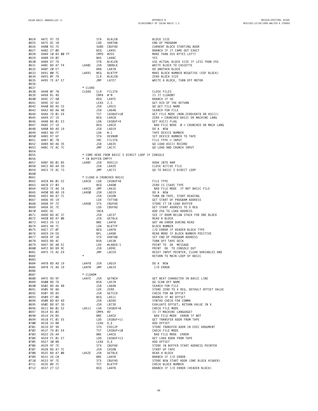|             |                                                                     |       |                        |            | STA BLKLEN<br>LDD VARTAB<br>SUBD CBUFAD<br>BEQ LA491<br>MPD #255<br>BHS LA48C<br>STB BLKLEN<br>1A48C JSR SNDBLK<br>RRA LA478<br>PIKLEN                                                                                                                             |                                                                                                                                                                                                                                                  |
|-------------|---------------------------------------------------------------------|-------|------------------------|------------|--------------------------------------------------------------------------------------------------------------------------------------------------------------------------------------------------------------------------------------------------------------------|--------------------------------------------------------------------------------------------------------------------------------------------------------------------------------------------------------------------------------------------------|
| 0624        | A47C 97 7D                                                          |       |                        |            |                                                                                                                                                                                                                                                                    | BLOCK SIZE                                                                                                                                                                                                                                       |
| 0625        | A47E DC 1B                                                          |       |                        |            |                                                                                                                                                                                                                                                                    | END OF PROGRAM                                                                                                                                                                                                                                   |
|             | 0626 A480 93 7E                                                     |       |                        |            |                                                                                                                                                                                                                                                                    | CURRENT BLOCK STARTING ADDR                                                                                                                                                                                                                      |
|             |                                                                     |       |                        |            |                                                                                                                                                                                                                                                                    |                                                                                                                                                                                                                                                  |
|             | 0627 A482 27 0D                                                     |       |                        |            |                                                                                                                                                                                                                                                                    | BRANCH IF IT CAME OUT EXACT                                                                                                                                                                                                                      |
|             | 0628 A484 10 83 00 FF                                               |       |                        |            |                                                                                                                                                                                                                                                                    | MORE THAN 255 BYTES LEFT?                                                                                                                                                                                                                        |
|             | 0629 A488 24 02                                                     |       |                        |            |                                                                                                                                                                                                                                                                    | YES                                                                                                                                                                                                                                              |
|             | 0630 A48A D7 7D                                                     |       | یں<br>STB<br>LA48C JSR |            |                                                                                                                                                                                                                                                                    | USE ACTUAL BLOCK SIZE IF LESS THAN 255                                                                                                                                                                                                           |
|             | 0631 A48C BD A7 F4                                                  |       |                        |            |                                                                                                                                                                                                                                                                    | WRITE BLOCK TO CASSETTE                                                                                                                                                                                                                          |
|             |                                                                     |       |                        |            |                                                                                                                                                                                                                                                                    |                                                                                                                                                                                                                                                  |
|             | 0632 A48F 20 E7                                                     |       |                        |            |                                                                                                                                                                                                                                                                    | DO ANOTHER BLOCK                                                                                                                                                                                                                                 |
|             | 0633 A491 00 7C                                                     |       | LA491                  |            |                                                                                                                                                                                                                                                                    | MAKE BLOCK NUMBER NEGATIVE (EOF BLOCK)                                                                                                                                                                                                           |
| 0634        | A493 ØF 7D                                                          |       |                        |            |                                                                                                                                                                                                                                                                    | ZERO BLOCK SIZE                                                                                                                                                                                                                                  |
| 0635        | A495 7E A7 E7                                                       |       |                        | JMP        | LA7E7                                                                                                                                                                                                                                                              | WRITE A BLOCK, TURN OFF MOTOR                                                                                                                                                                                                                    |
| 0636        |                                                                     |       |                        |            |                                                                                                                                                                                                                                                                    |                                                                                                                                                                                                                                                  |
| 0637        |                                                                     |       | * CLOAD                |            |                                                                                                                                                                                                                                                                    |                                                                                                                                                                                                                                                  |
|             |                                                                     |       |                        |            |                                                                                                                                                                                                                                                                    |                                                                                                                                                                                                                                                  |
| 0638        | A498 ØF 78                                                          |       |                        |            | CLOAD CLR FILSTA                                                                                                                                                                                                                                                   | CLOSE FILES                                                                                                                                                                                                                                      |
|             |                                                                     |       |                        |            |                                                                                                                                                                                                                                                                    |                                                                                                                                                                                                                                                  |
|             |                                                                     |       |                        |            |                                                                                                                                                                                                                                                                    |                                                                                                                                                                                                                                                  |
|             |                                                                     |       |                        |            |                                                                                                                                                                                                                                                                    |                                                                                                                                                                                                                                                  |
|             |                                                                     |       |                        |            |                                                                                                                                                                                                                                                                    |                                                                                                                                                                                                                                                  |
|             |                                                                     |       |                        |            |                                                                                                                                                                                                                                                                    |                                                                                                                                                                                                                                                  |
|             |                                                                     |       |                        |            |                                                                                                                                                                                                                                                                    |                                                                                                                                                                                                                                                  |
|             |                                                                     |       |                        |            |                                                                                                                                                                                                                                                                    |                                                                                                                                                                                                                                                  |
|             |                                                                     |       |                        |            |                                                                                                                                                                                                                                                                    |                                                                                                                                                                                                                                                  |
|             |                                                                     |       |                        |            |                                                                                                                                                                                                                                                                    |                                                                                                                                                                                                                                                  |
|             |                                                                     |       |                        |            |                                                                                                                                                                                                                                                                    | BAD FILE NODE $\varnothing$ = CRUNCHED OR MACH LANG                                                                                                                                                                                              |
|             |                                                                     |       |                        |            |                                                                                                                                                                                                                                                                    |                                                                                                                                                                                                                                                  |
|             |                                                                     |       |                        |            |                                                                                                                                                                                                                                                                    |                                                                                                                                                                                                                                                  |
|             |                                                                     |       |                        |            |                                                                                                                                                                                                                                                                    | GO GET FILE MAME<br>SEARCH FOR FILE<br>GET FILE MODE (NON-ZERO=DATA OR ASCII)<br>ZERO = CRUNCHED BASIC OR MACHINE LANG<br>GET ASCII FLAG<br>BAD FILE NODE Ø = CRUNCHED OR MACH LA<br>DO A NEW<br>TAPE DEVICE NUMBER<br>SET DEVICE NUMBER<br>FILE |
|             |                                                                     |       |                        |            |                                                                                                                                                                                                                                                                    |                                                                                                                                                                                                                                                  |
|             |                                                                     |       |                        |            |                                                                                                                                                                                                                                                                    |                                                                                                                                                                                                                                                  |
|             |                                                                     |       |                        |            |                                                                                                                                                                                                                                                                    |                                                                                                                                                                                                                                                  |
|             |                                                                     |       |                        |            |                                                                                                                                                                                                                                                                    |                                                                                                                                                                                                                                                  |
| 0654        |                                                                     |       |                        |            |                                                                                                                                                                                                                                                                    |                                                                                                                                                                                                                                                  |
|             |                                                                     |       |                        |            |                                                                                                                                                                                                                                                                    |                                                                                                                                                                                                                                                  |
| 0655        |                                                                     |       |                        |            | * COME HERE FROM BASIC S DIRECT LOOP IF CONSOLE                                                                                                                                                                                                                    |                                                                                                                                                                                                                                                  |
| 0656        |                                                                     |       | * IN BUFFER EMPTY      |            |                                                                                                                                                                                                                                                                    |                                                                                                                                                                                                                                                  |
| 0657        | A4BF BD 01 85                                                       |       | LA4BF JSR              |            | RVEC13                                                                                                                                                                                                                                                             | HOOK INTO RAM                                                                                                                                                                                                                                    |
| 0658        | A4C2 BD A4 2D                                                       |       |                        | JSR        | LA42D                                                                                                                                                                                                                                                              | CLOSE ACTIVE FILE                                                                                                                                                                                                                                |
| 0659        | A4C5 7E AC 73                                                       |       |                        | JMP        | LAC73                                                                                                                                                                                                                                                              |                                                                                                                                                                                                                                                  |
|             |                                                                     |       |                        |            |                                                                                                                                                                                                                                                                    | GO TO BASIC S DIRECT LOOP                                                                                                                                                                                                                        |
| <b>0660</b> |                                                                     |       |                        |            |                                                                                                                                                                                                                                                                    |                                                                                                                                                                                                                                                  |
| 0661        |                                                                     |       |                        |            | * CLOAD A CRUNCHED BASIC                                                                                                                                                                                                                                           |                                                                                                                                                                                                                                                  |
|             | 0662 A4C8 B6 01 E2 LA4C8 LDA CASBUF+8                               |       |                        |            |                                                                                                                                                                                                                                                                    | FILE TYPE                                                                                                                                                                                                                                        |
|             | 0663 A4CB 27 03                                                     |       |                        |            |                                                                                                                                                                                                                                                                    | ZERO IS CSAVE TYPE                                                                                                                                                                                                                               |
|             | 0664 A4CD 7E A6 16                                                  |       | LA4CD                  |            |                                                                                                                                                                                                                                                                    | BAD FILE MODE IF NOT BASIC FILE                                                                                                                                                                                                                  |
|             |                                                                     |       |                        |            | VASBUF+8<br>BEQ LA4D8<br>LA4CD JMP LA616<br>LA4D8 JSR LAD19<br>JSR CASON<br>LA4D8 STX CBUFAD<br>LDD CBUFAD<br>INCA<br>INCA<br>JSR LAG37<br>JSR GETBLK<br>BNE LA4F8<br>BNE LA4F8<br>EDA BALKTYP<br>BL BEQ LA4F8<br>DD BLKTYP<br>BL BEQ LA4F8<br>ISR LAG38<br>STX VA |                                                                                                                                                                                                                                                  |
|             | 0665 A4D0 BD AD 19                                                  |       |                        |            |                                                                                                                                                                                                                                                                    | DO A NEW                                                                                                                                                                                                                                         |
|             | 0666 A4D3 BD A7 7C                                                  |       |                        |            |                                                                                                                                                                                                                                                                    | TURN ON TAPE, START READING                                                                                                                                                                                                                      |
|             | 0667 A4D6 9E 19                                                     |       |                        |            |                                                                                                                                                                                                                                                                    | GET START OF PROGRAM ADDRESS                                                                                                                                                                                                                     |
|             | 0668 A4D8 9F 7E                                                     |       | LA4D8                  |            |                                                                                                                                                                                                                                                                    | STORE IT IN LOAD BUFFER                                                                                                                                                                                                                          |
|             | 0669 A4DA DC 7E                                                     |       |                        |            |                                                                                                                                                                                                                                                                    | GET START ADDRESS TO D REG                                                                                                                                                                                                                       |
|             |                                                                     |       |                        |            |                                                                                                                                                                                                                                                                    |                                                                                                                                                                                                                                                  |
|             | 0670 A4DC 4C                                                        |       |                        |            |                                                                                                                                                                                                                                                                    | ADD 256 TO LOAD ADDRESS                                                                                                                                                                                                                          |
|             | 0671 A4DD BD AC 37                                                  |       |                        |            |                                                                                                                                                                                                                                                                    | SEE IF ROOM BELOW STACK FOR ONE BLOCK                                                                                                                                                                                                            |
|             | 0672 A4E0 BD A7 0B                                                  |       |                        |            |                                                                                                                                                                                                                                                                    | READ A BLOCK                                                                                                                                                                                                                                     |
|             | 0673 A4E3 26 13                                                     |       |                        |            |                                                                                                                                                                                                                                                                    | GOT AN ERROR DURING READ                                                                                                                                                                                                                         |
|             | 0674 A4E5 96 7C                                                     |       |                        |            |                                                                                                                                                                                                                                                                    | <b>BLOCK NUMBER</b>                                                                                                                                                                                                                              |
|             | 0675 A4E7 27 0F                                                     |       |                        |            |                                                                                                                                                                                                                                                                    | I/O ERROR IF HEADER BLOCK TYPE                                                                                                                                                                                                                   |
| 0676        | A4E9 2A ED                                                          |       |                        |            |                                                                                                                                                                                                                                                                    | REAR MORE IF BLOCK NUMBER POSITIVE                                                                                                                                                                                                               |
|             |                                                                     |       |                        |            |                                                                                                                                                                                                                                                                    |                                                                                                                                                                                                                                                  |
| 0677        | A4EB 9F 1B                                                          |       |                        |            |                                                                                                                                                                                                                                                                    | SET END OF PROGRAM ADDRESS                                                                                                                                                                                                                       |
| 0678        | A4ED 8D 4C                                                          |       |                        |            |                                                                                                                                                                                                                                                                    | TURN OFF TAPE DECK                                                                                                                                                                                                                               |
|             | 0679 A4EF 8E AB EC                                                  |       |                        | LDX<br>JSR |                                                                                                                                                                                                                                                                    | POINT TO OK MESSAGE                                                                                                                                                                                                                              |
| 0680        | A4F2 BD B9 9C                                                       |       |                        |            |                                                                                                                                                                                                                                                                    | PRINT OK TO CONSOLE OUT                                                                                                                                                                                                                          |
| 0681        | A4F5 7E AC E9                                                       |       |                        | JMP        | LACE9                                                                                                                                                                                                                                                              | RESET INPUT POINTER, CLEAR VARIABLES AND                                                                                                                                                                                                         |
| 0682        |                                                                     |       | $\star$                |            |                                                                                                                                                                                                                                                                    | RETURN TO MAIN LOOP OF BASIC                                                                                                                                                                                                                     |
|             |                                                                     |       |                        |            |                                                                                                                                                                                                                                                                    |                                                                                                                                                                                                                                                  |
| 0683        |                                                                     |       |                        |            |                                                                                                                                                                                                                                                                    |                                                                                                                                                                                                                                                  |
| 0684        | A4F8 BD AD 19                                                       |       | LA4F8                  | JSR        | LAD19                                                                                                                                                                                                                                                              | DO A NEW                                                                                                                                                                                                                                         |
| 0685        | A4FB 7E A6 19                                                       |       | LA4FB JMP LA619        |            |                                                                                                                                                                                                                                                                    | I/O ERROR                                                                                                                                                                                                                                        |
| 0686        |                                                                     |       |                        |            |                                                                                                                                                                                                                                                                    |                                                                                                                                                                                                                                                  |
| 0687        |                                                                     |       | * CLOADM               |            |                                                                                                                                                                                                                                                                    |                                                                                                                                                                                                                                                  |
|             | 0688 A4FE 9D 9F                                                     |       | LA4FE JSR              |            |                                                                                                                                                                                                                                                                    | GET NEXT CHARACTER IN BASIC LINE                                                                                                                                                                                                                 |
|             | 0689 A500 8D 76                                                     |       |                        |            |                                                                                                                                                                                                                                                                    | GO SCAN OFF NAME                                                                                                                                                                                                                                 |
|             |                                                                     |       |                        |            |                                                                                                                                                                                                                                                                    |                                                                                                                                                                                                                                                  |
|             | 0690 A502 BD A6 48                                                  |       |                        |            |                                                                                                                                                                                                                                                                    | SEARCH FOR FILE                                                                                                                                                                                                                                  |
|             | 0691 A505 9E 8A                                                     |       |                        |            |                                                                                                                                                                                                                                                                    | STORE ZERO TO X REG, DEFAULT OFFSET VALUE                                                                                                                                                                                                        |
|             | 0692 A507 9D A5                                                     |       |                        |            | M<br>JSR GETNCH<br>JSR LA648<br>JSR LA648<br>JSR GETCCH<br>JSR GETCCH<br>BEQ LA511<br>JSR LB26D<br>JSR LB73D<br>LDA CASBUF+8<br>CMPA #2<br>CMPA #2<br>CMPA #2<br>LDD CASBUF+8<br>LDD CASBUF+1<br>LDD CASBUF+1<br>LDD CASBUF+1<br>LDD CASBUF+1                      | CHECK FOR AN OFFSET                                                                                                                                                                                                                              |
|             | 0693 A509 27 06                                                     |       |                        |            |                                                                                                                                                                                                                                                                    | BRANCH IF NO OFFSET                                                                                                                                                                                                                              |
|             | 0694 A50B BD B2 6D                                                  |       |                        |            |                                                                                                                                                                                                                                                                    | SYNTAX CHECK FOR COMMA                                                                                                                                                                                                                           |
|             |                                                                     |       |                        |            |                                                                                                                                                                                                                                                                    |                                                                                                                                                                                                                                                  |
|             | 0695 A50E BD B7 3D                                                  |       |                        |            |                                                                                                                                                                                                                                                                    | EVALUATE OFFSET; RETURN VALUE IN X                                                                                                                                                                                                               |
|             | 0696 A511 B6 01 E2                                                  | LA511 |                        |            |                                                                                                                                                                                                                                                                    | CHECK FILE MODE                                                                                                                                                                                                                                  |
|             | 0697 A514 81 02                                                     |       |                        |            |                                                                                                                                                                                                                                                                    | IS IT MACHINE LANGUAGE?                                                                                                                                                                                                                          |
|             | Ø698 A516 26 B5                                                     |       |                        |            |                                                                                                                                                                                                                                                                    | BAD FILE MODE ERROR IF NOT                                                                                                                                                                                                                       |
|             | 0699 A518 FC 01 E5                                                  |       |                        |            |                                                                                                                                                                                                                                                                    | GET TRANSFER ADDR FROM TAPE                                                                                                                                                                                                                      |
|             | 0700 A51B 33 8B                                                     |       |                        |            |                                                                                                                                                                                                                                                                    | ADD OFFSET                                                                                                                                                                                                                                       |
|             |                                                                     |       |                        |            |                                                                                                                                                                                                                                                                    |                                                                                                                                                                                                                                                  |
|             | 0701 A51D DF 9D                                                     |       |                        |            | LEAU D,X<br>STU EXECJP<br>TST CASBUF+10<br>BNE LA4CD                                                                                                                                                                                                               | STORE TRANSFER ADDR IN EXEC ARGUMENT                                                                                                                                                                                                             |
|             | 0702 A51F 7D 01 E4                                                  |       |                        |            |                                                                                                                                                                                                                                                                    | CHECK FILE MODE                                                                                                                                                                                                                                  |
|             |                                                                     |       |                        |            |                                                                                                                                                                                                                                                                    | BAD FILE MODE ERROR                                                                                                                                                                                                                              |
|             |                                                                     |       |                        |            | $CASBUF+13$                                                                                                                                                                                                                                                        | GET LOAD ADDR FROM TAPE                                                                                                                                                                                                                          |
|             | $0704$ $0.524$ FC 01 E7<br>0704 $0.524$ FC 01 E7<br>0705 A527 30 8B |       |                        |            |                                                                                                                                                                                                                                                                    | ADD OFFSET                                                                                                                                                                                                                                       |
|             | 0706 A529 9F 7E                                                     |       |                        |            |                                                                                                                                                                                                                                                                    | STORE IN BUFFER START ADDRESS POINTER                                                                                                                                                                                                            |
|             |                                                                     |       |                        |            |                                                                                                                                                                                                                                                                    |                                                                                                                                                                                                                                                  |
|             | 0707 A52B BD A7 7C                                                  |       |                        |            |                                                                                                                                                                                                                                                                    | START UP TAPE                                                                                                                                                                                                                                    |
|             | 0708 A52E BD A7 0B                                                  |       | LA52E                  |            | LDD CASBUTTIJ<br>LEAX D,X<br>STX CBUFAD<br>JSR CASON<br>JSR GETBLK                                                                                                                                                                                                 | READ A BLOCK                                                                                                                                                                                                                                     |
|             | 0709 A531 26 C8                                                     |       |                        | BNE        |                                                                                                                                                                                                                                                                    | BRANCH IF I/O ERROR                                                                                                                                                                                                                              |
|             | 0710 A533 9F 7E                                                     |       |                        | <b>STX</b> |                                                                                                                                                                                                                                                                    | STORE NEW START ADDR (ONE BLOCK HIGHER)                                                                                                                                                                                                          |
| 0711        | A535 ØD 7C                                                          |       |                        | TST        | , X<br>.BUFAD<br>CASON<br>GETBLK<br>'A4FB<br>' n                                                                                                                                                                                                                   | CHECK BLOCK NUMBER                                                                                                                                                                                                                               |
| 0712        |                                                                     |       |                        |            |                                                                                                                                                                                                                                                                    |                                                                                                                                                                                                                                                  |
|             | A537 27 C2                                                          |       |                        |            | BEQ LA4FB                                                                                                                                                                                                                                                          | BRANCH IF I/O ERROR (HEADER BLOCK)                                                                                                                                                                                                               |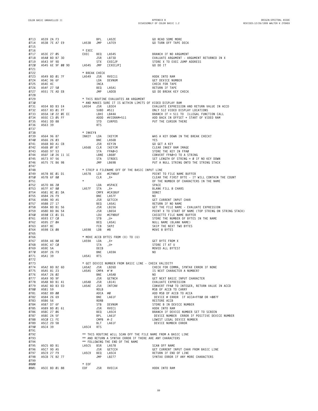| 0713<br>0714 | A539 2A F3<br>A53B 7E A7 E9       |  |  | LA53B              | BPL<br>JMP   | LA52E<br>LA7E9                                                | GO READ SOME MORE<br>GO TURN OFF TAPE DECK                                         |
|--------------|-----------------------------------|--|--|--------------------|--------------|---------------------------------------------------------------|------------------------------------------------------------------------------------|
| 0715<br>Ø716 |                                   |  |  | * EXEC             |              |                                                               |                                                                                    |
| 0717         | A53E 27 05                        |  |  | EXEC               | BEQ          | LA545                                                         | BRANCH IF NO ARGUMENT                                                              |
| 0718         | A540 BD B7 3D                     |  |  |                    | JSR LB73D    |                                                               | EVALUATE ARGUMENT - ARGUMENT RETURNED IN X                                         |
| 0719         | A543 9F 9D                        |  |  |                    |              | STX EXECJP                                                    | STORE X TO EXEC JUMP ADDRESS                                                       |
| 0720         | A545 6E 9F 00 9D                  |  |  | LA545              |              | JMP [EXECJP]                                                  | GO DO IT                                                                           |
| 0721         |                                   |  |  |                    |              |                                                               |                                                                                    |
| 0722         |                                   |  |  | * BREAK CHECK      |              |                                                               |                                                                                    |
| 0723         | A549 BD 01 7F                     |  |  | LA549 JSR RVEC11   |              |                                                               | HOOK INTO RAM                                                                      |
| 0724<br>0725 | A54C 96 6F<br>A54E 4C             |  |  |                    | INCA         | LDA DEVNUM                                                    | GET DEVICE NUMBER<br>CHECK FOR TAPE                                                |
| 0726         | A54F 27 50                        |  |  |                    | BEQ LA5A1    |                                                               | RETURN IF TAPE                                                                     |
| 0727         | A551 7E AD EB                     |  |  |                    | JMP          | LADEB                                                         | GO DO BREAK KEY CHECK                                                              |
| 0728         |                                   |  |  |                    |              |                                                               |                                                                                    |
| 0729         |                                   |  |  |                    |              | * THIS ROUTINE EVALUATES AN ARGUMENT                          |                                                                                    |
| 0730         |                                   |  |  |                    |              | * AND MAKES SURE IT IS WITHIN LIMITS OF VIDEO DISPLAY RAM     |                                                                                    |
| 0731         | A554 BD B3 E4                     |  |  | LA554 JSR LB3E4    |              |                                                               | EVALUATE EXPRESSION AND RETURN VALUE IN ACCD                                       |
| 0732         | A557 83 01 FF                     |  |  |                    | SUBD #511    |                                                               | ONLY 512 VIDEO DISPLAY LOCATIONS                                                   |
| 0733         | A55A 10 22 0E EC<br>A55E C3 05 FF |  |  |                    |              | LBHI LB44A                                                    | BRANCH IF > 511 TO ILLEGAL FUNCTION CALL                                           |
| 0734<br>0735 | A561 DD 88                        |  |  |                    |              | ADDD #VIDRAM+511<br>STD CURPOS                                | ADD BACK IN OFFSET + START OF VIDEO RAM<br>PUT THE CURSOR THERE                    |
| 0736         | A563 39                           |  |  |                    | <b>RTS</b>   |                                                               |                                                                                    |
| 0737         |                                   |  |  |                    |              |                                                               |                                                                                    |
| 0738         |                                   |  |  | * INKEY\$          |              |                                                               |                                                                                    |
| 0739         | A564 96 87                        |  |  | INKEY LDA IKEYIM   |              |                                                               | WAS A KEY DOWN IN THE BREAK CHECK?                                                 |
| Ø74Ø         | A566 26 03                        |  |  |                    | BNE LA56B    |                                                               | YES                                                                                |
| 0741         | A568 BD A1 CB                     |  |  |                    | JSR KEYIN    |                                                               | GO GET A KEY                                                                       |
| 0742         | A56B ØF 87                        |  |  | LA56B CLR IKEYIM   |              |                                                               | CLEAR INKEY RAM IMAGE                                                              |
| 0743         | A56D 97 53                        |  |  |                    |              | STA FPAØ+3                                                    | STORE THE KEY IN FPAØ                                                              |
| 0744         | A56F 10 26 11 1C                  |  |  |                    |              | LBNE LB68F<br>STRDES                                          | CONVERT FPAØ+3 TO A STRING                                                         |
| 0745<br>0746 | A573 97 56<br>A575 7E B6 9B       |  |  |                    | STA<br>JMP   | LB69B                                                         | SET LENGTH OF STRING = Ø IF NO KEY DOWN<br>PUT A NULL STRING ONTO THE STRING STACK |
| 0747         |                                   |  |  |                    |              |                                                               |                                                                                    |
| 0748         |                                   |  |  |                    |              | * STRIP A FILENAME OFF OF THE BASIC INPUT LINE                |                                                                                    |
| 0749         | A578 8E Ø1 D1                     |  |  | LA578 LDX #CFNBUF  |              |                                                               | POINT TO FILE NAME BUFFER                                                          |
| 0750         | A57B 6F 80                        |  |  |                    | $CLR$ , $X+$ |                                                               | CLEAR THE FIRST BYTE - IT WILL CONTAIN THE COUNT                                   |
| 0751         |                                   |  |  |                    |              |                                                               | OF THE NUMBER OF CHARACTERS IN THE NAME                                            |
| 0752         | A57D 86 20                        |  |  |                    |              | LDA #SPACE                                                    | SPACE                                                                              |
| 0753         | A57F A7 80                        |  |  | LA57F              | STA          | , X+                                                          | BLANK FILL 8 CHARS                                                                 |
| 0754         | A581 8C 01 DA                     |  |  |                    |              | CMPX #CASBUF                                                  | DONE?                                                                              |
| 0755         | A584 26 F9<br>A586 9D A5          |  |  |                    | BNE LA57F    | JSR GETCCH                                                    | NO.<br>GET CURRENT INPUT CHAR                                                      |
| 0756<br>0757 | A588 27 17                        |  |  |                    | BEQ LA5A1    |                                                               | RETURN IF NO NAME                                                                  |
| 0758         | A58A BD B1 56                     |  |  |                    | JSR LB156    |                                                               | GET THE FILE NAME - EVALUATE EXPRESSION                                            |
| 0759         | A58D BD B6 54                     |  |  |                    |              | JSR LB654                                                     | POINT X TO START OF NAME (TOP STRING ON STRING STACK)                              |
| 0760         | A590 CE 01 D1                     |  |  |                    |              | LDU #CFNBUF                                                   | CASSETTE FILE NAME BUFFER                                                          |
| 0761         | A593 E7 CØ                        |  |  |                    | STB , U+     |                                                               | STORE THE NUMBER OF BYTES IN THE NAME                                              |
| 0762         | A595 27 ØA                        |  |  |                    | BEQ LA5A1    |                                                               | NULL NAME (BLANK NAME)                                                             |
| 0763         | A597 8C                           |  |  |                    | FCB          | SKP2                                                          | SKIP THE NEXT TWO BYTES                                                            |
| 0764         | A598 C6 08                        |  |  | LA598              | LDB          | #8                                                            | MOVE 8 BYTES                                                                       |
| 0765         |                                   |  |  |                    |              |                                                               |                                                                                    |
| 0766<br>0767 | A59A A6 80                        |  |  | $LAB9A$ LDA , $X+$ |              | * MOVE ACCB BYTES FROM (X) TO (U)                             | GET BYTE FROM X                                                                    |
| 0768         | A59C A7 CØ                        |  |  |                    | STA          | , U+                                                          | STORE IT AT U                                                                      |
| 0769         | A59E 5A                           |  |  |                    | DECB         |                                                               | MOVED ALL BYTES?                                                                   |
| 0770         | A59F 26 F9                        |  |  |                    | BNE          | LA59A                                                         | NO                                                                                 |
| 0771         | A5A1 39                           |  |  | LA5A1              | <b>RTS</b>   |                                                               |                                                                                    |
| 0772         |                                   |  |  |                    |              |                                                               |                                                                                    |
| 0773         |                                   |  |  |                    |              | * GET DEVICE NUMBER FROM BASIC LINE - CHECK VALIDITY          |                                                                                    |
| 0774         | A5A2 BD B2 6D                     |  |  | LA5A2 JSR LB26D    |              |                                                               | CHECK FOR COMMA, SYNTAX ERROR IF NONE                                              |
| 0775         | A5A5 81 23                        |  |  | LA5A5              | CMPA $\#$ '# |                                                               | IS NEXT CHARACTER A NUMBER?                                                        |
| 0776         | A5A7 26 02                        |  |  |                    | BNE          | LA5AB                                                         | NO.                                                                                |
| 0777<br>0778 | A5A9 9D 9F<br>A5AB BD B1 41       |  |  | LA5AB              |              | JSR GETNCH<br>JSR LB141                                       | GET NEXT BASIC INPUT CHARACTER<br>EVALUATE EXPRESSION                              |
| 0779         | A5AE BD B3 ED                     |  |  | LA5AE              |              | JSR INTCNV                                                    | CONVERT FPAØ TO INTEGER, RETURN VALUE IN ACCD                                      |
| 0780         | A5B1 59                           |  |  |                    | ROLB         |                                                               | MSB OF ACCB TO CARRY                                                               |
| 0781         | A5B2 89 00                        |  |  |                    | ADCA #Ø      |                                                               | ADD MSB OF ACCB TO ACCA                                                            |
| 0782         | A5B4 26 69                        |  |  |                    | BNE          | LA61F                                                         | DEVICE # ERROR IF ACCA <ff80 or="">007F</ff80>                                     |
| 0783         | A5B6 56                           |  |  |                    | RORB         |                                                               | RESTORE ACCB                                                                       |
| 0784         | A5B7 D7 6F                        |  |  |                    | STB          | DEVNUM                                                        | STORE B IN DEVICE NUMBER                                                           |
| 0785         | A5B9 BD 01 61                     |  |  |                    | JSR          | RVEC1                                                         | HOOK INTO RAM                                                                      |
| 0786         | A5BC 27 06                        |  |  |                    | BEQ LA5C4    |                                                               | BRANCH IF DEVICE NUMBER SET TO SCREEN                                              |
| 0787         | A5BE 2A 5F                        |  |  |                    | BPL          | LA61F                                                         | DEVICE NUMBER ERROR IF POSITIVE DEVICE NUMBER                                      |
| 0788         | A5CØ C1 FE                        |  |  |                    | $CMPB$ #-2   |                                                               | LOWEST LEGAL DEVICE NUMBER                                                         |
| 0789         | A5C2 2D 5B<br>A5C4 39             |  |  |                    | BLT LA61F    |                                                               | DEVICE NUMBER ERROR                                                                |
| 0790<br>0791 |                                   |  |  | LA5C4              | <b>RTS</b>   |                                                               |                                                                                    |
| 0792         |                                   |  |  |                    |              | ** THIS ROUTINE WILL SCAN OFF THE FILE NAME FROM A BASIC LINE |                                                                                    |
| 0793         |                                   |  |  |                    |              | ** AND RETURN A SYNTAX ERROR IF THERE ARE ANY CHARACTERS      |                                                                                    |
| 0794         |                                   |  |  |                    |              | ** FOLLOWING THE END OF THE NAME                              |                                                                                    |
| 0795         | A5C5 8D B1                        |  |  | LA5C5              | BSR          | LA578                                                         | SCAN OFF NAME                                                                      |
| 0796         | A5C7 9D A5                        |  |  |                    | JSR          | GETCCH                                                        | GET CURRENT INPUT CHAR FROM BASIC LINE                                             |
| 0797         | A5C9 27 F9                        |  |  | LA5C9              | BEQ          | LA5C4                                                         | RETURN IF END OF LINE                                                              |
| 0798         | A5CB 7E B2 77                     |  |  |                    | JMP          | LB277                                                         | SYNTAX ERROR IF ANY MORE CHARACTERS                                                |
| 0799         |                                   |  |  |                    |              |                                                               |                                                                                    |
| 0800<br>0801 | A5CE BD 01 88                     |  |  | $*$ EOF<br>EOF     |              | JSR RVEC14                                                    | HOOK INTO RAM                                                                      |
|              |                                   |  |  |                    |              |                                                               |                                                                                    |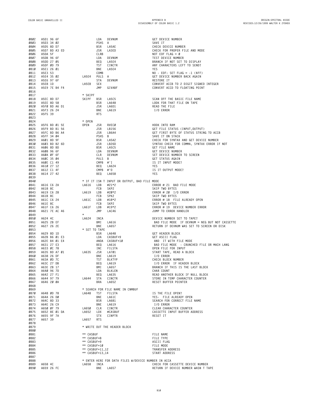| 0802 |               |  | A 5D3 34 02<br>A 5D3 34 02<br>A 5D5 8D D7<br>A 5D7 BD A 3ED<br>A 5D7 BD A 3ED<br>A 5D8 96 6F<br>A 5DB 27 05<br>A 5DR A 7-0<br>A 5DR A 7-0<br>A 5DR A 7-0<br>A 5DR A 7-0<br>A 5DR A 7-0<br>A 5DR A 7-0<br>A 5DR A 7-0<br>A 5DR A 7-0<br>A 5DR A 7-0<br>A 5DR A |                             |            | PSHS A<br>BSR LASAE<br>JSR LASED<br>CLRB<br>LDA DEVNUM<br>BEQ LASE4<br>ST CINCTR<br>NE LASE4<br>MM<br>PMB<br>CLASE4<br>ILS                                  | GET DEVICE NUMBER                                                                                                                                                                                                                                            |
|------|---------------|--|---------------------------------------------------------------------------------------------------------------------------------------------------------------------------------------------------------------------------------------------------------------|-----------------------------|------------|-------------------------------------------------------------------------------------------------------------------------------------------------------------|--------------------------------------------------------------------------------------------------------------------------------------------------------------------------------------------------------------------------------------------------------------|
| 0803 |               |  |                                                                                                                                                                                                                                                               |                             |            |                                                                                                                                                             | SAVE IT                                                                                                                                                                                                                                                      |
| 0804 |               |  |                                                                                                                                                                                                                                                               |                             |            |                                                                                                                                                             | CHECK DEVICE NUMBER                                                                                                                                                                                                                                          |
|      |               |  |                                                                                                                                                                                                                                                               |                             |            |                                                                                                                                                             |                                                                                                                                                                                                                                                              |
| 0805 |               |  |                                                                                                                                                                                                                                                               |                             |            |                                                                                                                                                             | CHECK FOR PROPER FILE AND MODE                                                                                                                                                                                                                               |
| 0806 |               |  |                                                                                                                                                                                                                                                               |                             |            |                                                                                                                                                             | NOT EOF FLAG = $\varnothing$                                                                                                                                                                                                                                 |
| 0807 |               |  |                                                                                                                                                                                                                                                               |                             |            |                                                                                                                                                             | TEST DEVICE NUMBER                                                                                                                                                                                                                                           |
| 0808 |               |  |                                                                                                                                                                                                                                                               |                             |            |                                                                                                                                                             | BRANCH IF NOT SET TO DISPLAY                                                                                                                                                                                                                                 |
| 0809 | A5DF 0D 79    |  |                                                                                                                                                                                                                                                               |                             |            |                                                                                                                                                             | ANY CHARACTERS LEFT TO SEND?                                                                                                                                                                                                                                 |
|      |               |  |                                                                                                                                                                                                                                                               |                             |            |                                                                                                                                                             |                                                                                                                                                                                                                                                              |
| 0810 | A5E1 26 01    |  |                                                                                                                                                                                                                                                               |                             |            |                                                                                                                                                             | YES                                                                                                                                                                                                                                                          |
| 0811 | A5E3 53       |  |                                                                                                                                                                                                                                                               |                             |            | COMB<br>LASE4 PULS A<br>STA DEVNUM<br>LAGEO SEY                                                                                                             | NO - EOF: SET FLAG = $-1$ (\$FF)                                                                                                                                                                                                                             |
| 0812 | A5E4 35 02    |  |                                                                                                                                                                                                                                                               |                             |            |                                                                                                                                                             | GET DEVICE NUMBER BACK AGAIN                                                                                                                                                                                                                                 |
| 0813 | A5E6 97 6F    |  |                                                                                                                                                                                                                                                               |                             |            |                                                                                                                                                             | RESTORE IT                                                                                                                                                                                                                                                   |
|      |               |  |                                                                                                                                                                                                                                                               |                             |            |                                                                                                                                                             |                                                                                                                                                                                                                                                              |
| 0814 | A5E8 1D       |  |                                                                                                                                                                                                                                                               | LA5E8 SEX                   |            |                                                                                                                                                             | CONVERT ACCB TO 2 DIGIT SIGNED INTEGER                                                                                                                                                                                                                       |
| 0815 | A5E9 7E B4 F4 |  |                                                                                                                                                                                                                                                               |                             | JMP        | GIVABF                                                                                                                                                      | CONVERT ACCD TO FLOATING POINT                                                                                                                                                                                                                               |
| 0816 |               |  |                                                                                                                                                                                                                                                               |                             |            |                                                                                                                                                             |                                                                                                                                                                                                                                                              |
| 0817 |               |  |                                                                                                                                                                                                                                                               | * SKIPF                     |            |                                                                                                                                                             |                                                                                                                                                                                                                                                              |
| 0818 | A5EC 8D D7    |  |                                                                                                                                                                                                                                                               | SKIPF                       | BSR        |                                                                                                                                                             | SCAN OFF THE BASIC FILE NAME                                                                                                                                                                                                                                 |
|      |               |  |                                                                                                                                                                                                                                                               |                             |            |                                                                                                                                                             |                                                                                                                                                                                                                                                              |
| 0819 | A5EE 8D 58    |  |                                                                                                                                                                                                                                                               |                             | BSR        |                                                                                                                                                             |                                                                                                                                                                                                                                                              |
| 0820 |               |  | A5FØ BD A6 D1                                                                                                                                                                                                                                                 |                             | JSR        | LA5C5<br>LA648<br>LA6D1<br>LA619                                                                                                                            | LOOK FOR THAT FILE ON TAPE<br>READ THE FILE ON TAPE<br>READ THE FILE<br>TAR TIME TO THE TIME                                                                                                                                                                 |
| 0821 | A5F3 26 24    |  |                                                                                                                                                                                                                                                               |                             | BNE        |                                                                                                                                                             | I/O ERROR                                                                                                                                                                                                                                                    |
|      |               |  |                                                                                                                                                                                                                                                               |                             |            |                                                                                                                                                             |                                                                                                                                                                                                                                                              |
|      |               |  |                                                                                                                                                                                                                                                               |                             |            |                                                                                                                                                             |                                                                                                                                                                                                                                                              |
|      |               |  |                                                                                                                                                                                                                                                               |                             |            |                                                                                                                                                             |                                                                                                                                                                                                                                                              |
|      |               |  |                                                                                                                                                                                                                                                               |                             |            |                                                                                                                                                             |                                                                                                                                                                                                                                                              |
|      |               |  |                                                                                                                                                                                                                                                               |                             |            |                                                                                                                                                             |                                                                                                                                                                                                                                                              |
|      |               |  |                                                                                                                                                                                                                                                               |                             |            |                                                                                                                                                             |                                                                                                                                                                                                                                                              |
|      |               |  |                                                                                                                                                                                                                                                               |                             |            |                                                                                                                                                             |                                                                                                                                                                                                                                                              |
|      |               |  |                                                                                                                                                                                                                                                               |                             |            |                                                                                                                                                             |                                                                                                                                                                                                                                                              |
|      |               |  |                                                                                                                                                                                                                                                               |                             |            |                                                                                                                                                             |                                                                                                                                                                                                                                                              |
|      |               |  |                                                                                                                                                                                                                                                               |                             |            |                                                                                                                                                             |                                                                                                                                                                                                                                                              |
|      |               |  |                                                                                                                                                                                                                                                               |                             |            |                                                                                                                                                             | SYNTAX CHECK FOR COMMA, SYNTAX ERROR IF NOT                                                                                                                                                                                                                  |
|      |               |  |                                                                                                                                                                                                                                                               |                             |            |                                                                                                                                                             |                                                                                                                                                                                                                                                              |
|      |               |  |                                                                                                                                                                                                                                                               |                             |            |                                                                                                                                                             |                                                                                                                                                                                                                                                              |
|      |               |  |                                                                                                                                                                                                                                                               |                             |            |                                                                                                                                                             |                                                                                                                                                                                                                                                              |
|      |               |  |                                                                                                                                                                                                                                                               |                             |            |                                                                                                                                                             |                                                                                                                                                                                                                                                              |
|      |               |  |                                                                                                                                                                                                                                                               |                             |            |                                                                                                                                                             |                                                                                                                                                                                                                                                              |
|      |               |  |                                                                                                                                                                                                                                                               |                             |            |                                                                                                                                                             |                                                                                                                                                                                                                                                              |
|      |               |  |                                                                                                                                                                                                                                                               |                             |            |                                                                                                                                                             |                                                                                                                                                                                                                                                              |
|      |               |  |                                                                                                                                                                                                                                                               |                             |            |                                                                                                                                                             |                                                                                                                                                                                                                                                              |
|      |               |  |                                                                                                                                                                                                                                                               |                             |            |                                                                                                                                                             |                                                                                                                                                                                                                                                              |
|      |               |  |                                                                                                                                                                                                                                                               |                             |            |                                                                                                                                                             |                                                                                                                                                                                                                                                              |
|      |               |  |                                                                                                                                                                                                                                                               |                             |            |                                                                                                                                                             |                                                                                                                                                                                                                                                              |
|      |               |  |                                                                                                                                                                                                                                                               |                             |            |                                                                                                                                                             |                                                                                                                                                                                                                                                              |
| 0840 |               |  |                                                                                                                                                                                                                                                               |                             |            | * IF IT ISN T INPUT OR OUTPUT, BAD FILE MODE<br>LA616 LDB   #21*2                                                                                           |                                                                                                                                                                                                                                                              |
| 0841 | A616 C6 2A    |  |                                                                                                                                                                                                                                                               |                             |            |                                                                                                                                                             | ERROR # 21 BAD FILE MODE                                                                                                                                                                                                                                     |
| 0842 |               |  |                                                                                                                                                                                                                                                               |                             |            |                                                                                                                                                             | SKIP TWO BYTES                                                                                                                                                                                                                                               |
| 0843 |               |  |                                                                                                                                                                                                                                                               |                             |            |                                                                                                                                                             | ERROR # 20 I/O ERROR                                                                                                                                                                                                                                         |
|      |               |  |                                                                                                                                                                                                                                                               |                             |            |                                                                                                                                                             |                                                                                                                                                                                                                                                              |
| 0844 |               |  |                                                                                                                                                                                                                                                               |                             |            |                                                                                                                                                             | SKIP TWO BYTES                                                                                                                                                                                                                                               |
| 0845 |               |  |                                                                                                                                                                                                                                                               |                             |            |                                                                                                                                                             |                                                                                                                                                                                                                                                              |
| 0846 |               |  |                                                                                                                                                                                                                                                               |                             |            | ADD to 2A<br>A619 G6 28<br>A619 G6 28<br>A618 BC<br>A616 G6 24<br>A616 G6 24<br>A616 C6 24<br>A616 C6 26<br>A621 7E AC 46<br>A621 7E AC 46<br>A621 7E AC 46 | ERROR # 18 FILE ALREADY OPEN<br>SKIP TWO BYTES                                                                                                                                                                                                               |
| 0847 |               |  |                                                                                                                                                                                                                                                               |                             |            |                                                                                                                                                             | ERROR # 19 DEVICE NUMBER ERROR                                                                                                                                                                                                                               |
| 0848 |               |  |                                                                                                                                                                                                                                                               |                             |            |                                                                                                                                                             |                                                                                                                                                                                                                                                              |
|      |               |  |                                                                                                                                                                                                                                                               |                             |            |                                                                                                                                                             | JUMP TO ERROR HANDLER                                                                                                                                                                                                                                        |
| 0849 |               |  |                                                                                                                                                                                                                                                               | $\star$                     |            |                                                                                                                                                             |                                                                                                                                                                                                                                                              |
| 0850 | A624 4C       |  |                                                                                                                                                                                                                                                               | LA624                       | INCA       |                                                                                                                                                             | DEVICE NUMBER SET TO TAPE?                                                                                                                                                                                                                                   |
| 0851 | A625 2B EF    |  |                                                                                                                                                                                                                                                               |                             |            | BMI LA616                                                                                                                                                   | BAD FILE MODE IF DEVNUM = NEG BUT NOT CASSETTE                                                                                                                                                                                                               |
| 0852 | A627 26 2E    |  |                                                                                                                                                                                                                                                               | BMI<br>BNE<br>SET TO TAPE * |            | LA657                                                                                                                                                       | RETURN IF DEVNUM WAS SET TO SCREEN OR DISK                                                                                                                                                                                                                   |
|      |               |  |                                                                                                                                                                                                                                                               |                             |            |                                                                                                                                                             |                                                                                                                                                                                                                                                              |
| 0853 |               |  |                                                                                                                                                                                                                                                               |                             |            |                                                                                                                                                             |                                                                                                                                                                                                                                                              |
| 0854 | A629 8D 1D    |  |                                                                                                                                                                                                                                                               |                             |            |                                                                                                                                                             |                                                                                                                                                                                                                                                              |
| 0855 |               |  | A62B B6 Ø1 E3                                                                                                                                                                                                                                                 |                             |            |                                                                                                                                                             |                                                                                                                                                                                                                                                              |
| 0856 |               |  | A62E B4 Ø1 E4                                                                                                                                                                                                                                                 |                             |            |                                                                                                                                                             |                                                                                                                                                                                                                                                              |
| 0857 | A631 27 E3    |  |                                                                                                                                                                                                                                                               |                             |            |                                                                                                                                                             |                                                                                                                                                                                                                                                              |
|      |               |  |                                                                                                                                                                                                                                                               |                             |            |                                                                                                                                                             | BAD FILE MODE – CRUNCHED FILE OR MACH LANG                                                                                                                                                                                                                   |
| 0858 | A633 ØC 78    |  |                                                                                                                                                                                                                                                               |                             |            |                                                                                                                                                             |                                                                                                                                                                                                                                                              |
| 0859 | A635 BD A7 01 |  |                                                                                                                                                                                                                                                               | INC<br>LA635 JSR            |            |                                                                                                                                                             |                                                                                                                                                                                                                                                              |
| 0860 | A638 26 DF    |  |                                                                                                                                                                                                                                                               |                             |            |                                                                                                                                                             |                                                                                                                                                                                                                                                              |
| 0861 | A63A ØD 7C    |  |                                                                                                                                                                                                                                                               |                             |            |                                                                                                                                                             | * SET TO TAPE<br>BSR (A648<br>LDA CASBUF+9<br>ANDA CASBUF+10<br>BEQ LA616<br>ANDA CASBUF+10<br>BEQ LA615<br>INC FILSTA<br>LA635<br>URE LA619<br>TST BLKITYP<br>BEQ LA619<br>BMI LA657<br>BMI LA657<br>BT (DERROR IF HEADER BLOCK<br>TO CHEROR TO CHEROR THEA |
|      | A63C 27 DB    |  |                                                                                                                                                                                                                                                               |                             |            |                                                                                                                                                             |                                                                                                                                                                                                                                                              |
| 0862 |               |  |                                                                                                                                                                                                                                                               |                             |            |                                                                                                                                                             | I/O ERROR IF HEADER BLOCK                                                                                                                                                                                                                                    |
| 0863 | A63E 2B 17    |  |                                                                                                                                                                                                                                                               |                             |            |                                                                                                                                                             | BRANCH IF THIS IS THE LAST BLOCK                                                                                                                                                                                                                             |
| 0864 | A640 96 7D    |  |                                                                                                                                                                                                                                                               |                             | LDA        | BLKLEN                                                                                                                                                      | CHAR COUNT                                                                                                                                                                                                                                                   |
| 0865 | A642 27 F1    |  |                                                                                                                                                                                                                                                               |                             | BEQ        | LA635                                                                                                                                                       | READ ANOTHER BLOCK IF NULL BLOCK                                                                                                                                                                                                                             |
| 0866 | A644 97 79    |  |                                                                                                                                                                                                                                                               | LA644                       | <b>STA</b> | CINCTR                                                                                                                                                      | STORE IN TEMP CHARACTER COUNTER                                                                                                                                                                                                                              |
|      |               |  |                                                                                                                                                                                                                                                               |                             |            |                                                                                                                                                             |                                                                                                                                                                                                                                                              |
| 0867 | A646 20 0A    |  |                                                                                                                                                                                                                                                               |                             | <b>BRA</b> | LA652                                                                                                                                                       | RESET BUFFER POINTER                                                                                                                                                                                                                                         |
| 0868 |               |  |                                                                                                                                                                                                                                                               |                             |            |                                                                                                                                                             |                                                                                                                                                                                                                                                              |
| 0869 |               |  |                                                                                                                                                                                                                                                               |                             |            | * SEARCH FOR FILE NAME IN CNMBUF                                                                                                                            |                                                                                                                                                                                                                                                              |
| 0870 | A648 ØD 78    |  |                                                                                                                                                                                                                                                               | LA648                       | TST        | FILSTA                                                                                                                                                      | IS THE FILE OPEN?                                                                                                                                                                                                                                            |
|      |               |  |                                                                                                                                                                                                                                                               |                             |            |                                                                                                                                                             |                                                                                                                                                                                                                                                              |
| 0871 | A64A 26 DØ    |  |                                                                                                                                                                                                                                                               |                             | BNE        | LA61C                                                                                                                                                       | YES- FILE ALREADY OPEN                                                                                                                                                                                                                                       |
| 0872 | A64C 8D 33    |  |                                                                                                                                                                                                                                                               |                             | BSR        | LA681                                                                                                                                                       | SEARCH FOR CORRECT FILE NAME                                                                                                                                                                                                                                 |
| 0873 | A64E 26 C9    |  |                                                                                                                                                                                                                                                               |                             | BNE        | LA619                                                                                                                                                       | I/O ERROR                                                                                                                                                                                                                                                    |
| 0874 | A650 ØF 79    |  |                                                                                                                                                                                                                                                               | LA650                       | CLR        | CINCTR                                                                                                                                                      | CLEAR CHARACTER COUNTER                                                                                                                                                                                                                                      |
|      |               |  |                                                                                                                                                                                                                                                               |                             |            |                                                                                                                                                             | CASSETTE INPUT BUFFER ADDRESS                                                                                                                                                                                                                                |
| 0875 | A652 8E 01 DA |  |                                                                                                                                                                                                                                                               | LA652                       | LDX        | #CASBUF                                                                                                                                                     |                                                                                                                                                                                                                                                              |
| 0876 | A655 9F 7A    |  |                                                                                                                                                                                                                                                               |                             | STX        | CINPTR                                                                                                                                                      | RESET IT                                                                                                                                                                                                                                                     |
| 0877 | A657 39       |  |                                                                                                                                                                                                                                                               | LA657                       | <b>RTS</b> |                                                                                                                                                             |                                                                                                                                                                                                                                                              |
| 0878 |               |  |                                                                                                                                                                                                                                                               |                             |            |                                                                                                                                                             |                                                                                                                                                                                                                                                              |
|      |               |  |                                                                                                                                                                                                                                                               |                             |            |                                                                                                                                                             |                                                                                                                                                                                                                                                              |
| 0879 |               |  |                                                                                                                                                                                                                                                               |                             |            | * WRITE OUT THE HEADER BLOCK                                                                                                                                |                                                                                                                                                                                                                                                              |
| 0880 |               |  |                                                                                                                                                                                                                                                               |                             |            |                                                                                                                                                             |                                                                                                                                                                                                                                                              |
| 0881 |               |  |                                                                                                                                                                                                                                                               | ** CASBUF                   |            |                                                                                                                                                             | FILE NAME                                                                                                                                                                                                                                                    |
| 0882 |               |  |                                                                                                                                                                                                                                                               | ** CASBUF+8                 |            |                                                                                                                                                             | FILE TYPE                                                                                                                                                                                                                                                    |
|      |               |  |                                                                                                                                                                                                                                                               |                             |            |                                                                                                                                                             |                                                                                                                                                                                                                                                              |
| 0883 |               |  |                                                                                                                                                                                                                                                               | ** CASBUF+9                 |            |                                                                                                                                                             | ASCII FLAG                                                                                                                                                                                                                                                   |
| 0884 |               |  |                                                                                                                                                                                                                                                               | ** CASBUF+10                |            |                                                                                                                                                             | FILE MODE                                                                                                                                                                                                                                                    |
| 0885 |               |  |                                                                                                                                                                                                                                                               | ** CASBUF+11,12             |            |                                                                                                                                                             | TRANSFER ADDRESS                                                                                                                                                                                                                                             |
| 0886 |               |  |                                                                                                                                                                                                                                                               | ** CASBUF+13,14             |            |                                                                                                                                                             | START ADDRESS                                                                                                                                                                                                                                                |
| 0887 |               |  |                                                                                                                                                                                                                                                               |                             |            |                                                                                                                                                             |                                                                                                                                                                                                                                                              |
|      |               |  |                                                                                                                                                                                                                                                               |                             |            |                                                                                                                                                             |                                                                                                                                                                                                                                                              |
| 0888 |               |  |                                                                                                                                                                                                                                                               |                             |            | * ENTER HERE FOR DATA FILES W/DEVICE NUMBER IN ACCA                                                                                                         |                                                                                                                                                                                                                                                              |
| 0889 | A658 4C       |  |                                                                                                                                                                                                                                                               | LA658                       | INCA       |                                                                                                                                                             | CHECK FOR CASSETTE DEVICE NUMBER                                                                                                                                                                                                                             |
| 0890 | A659 26 FC    |  |                                                                                                                                                                                                                                                               |                             | BNE        | LA657                                                                                                                                                       | RETURN IF DEVICE NUMBER WASN T TAPE                                                                                                                                                                                                                          |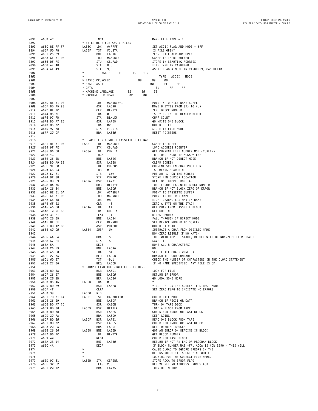| 0891         | A65B 4C                     |                    | INCA       |                                          |      |       | MAKE FILE TYPE = $1$                                                 |
|--------------|-----------------------------|--------------------|------------|------------------------------------------|------|-------|----------------------------------------------------------------------|
| 0892         |                             |                    |            | * ENTER HERE FOR ASCII FILES             |      |       |                                                                      |
| 0893         | A65C 8E FF FF               | LA65C              | LDX        | #\$FFFF                                  |      |       | SET ASCII FLAG AND MODE = $$FF$                                      |
| 0894         | A65F 0D 78                  | LA65F              | TST        | FILSTA                                   |      |       | IS FILE OPEN?                                                        |
| 0895         | A661 26 B9                  |                    | BNE        | LA61C                                    |      |       | YES- FILE ALREADY OPEN                                               |
| 0896         | A663 CE Ø1 DA               |                    | LDU        | #CASBUF                                  |      |       | CASSETTE INPUT BUFFER                                                |
| 0897         | A666 DF 7E                  |                    | STU        | CBUFAD                                   |      |       | STORE IN STARTING ADDRESS                                            |
| 0898         | A668 A7 48                  |                    | STA 8,U    |                                          |      |       | FILE TYPE IN CASBUF+8                                                |
| 0899         | A66A AF 49                  |                    | $STX$ 9, U |                                          |      |       | ASCII FLAG & MODE IN CASBUF+9, CASBUF+10                             |
| 0900         |                             |                    | CASBUF     | $+8$                                     | $+9$ | $+10$ |                                                                      |
| 0901         |                             | $^\star$           |            |                                          |      |       | TYPE ASCII<br>MODE                                                   |
| 0902         |                             | * BASIC CRUNCHED   |            |                                          |      | øø    | øø<br>øø                                                             |
| 0903         |                             | * BASIC ASCII      |            |                                          |      |       | øø<br>FF.<br>FF                                                      |
| 0904         |                             | * DATA             |            |                                          |      |       | FF FF<br>Ø1                                                          |
| 0905         |                             | * MACHINE LANGUAGE |            |                                          | Ø2   | øø    | øø                                                                   |
| 0906         |                             |                    |            | * MACHINE BLK LOAD                       | 02   | øø    | -FF                                                                  |
| 0907         |                             |                    |            |                                          |      |       |                                                                      |
| 0908         | A66C 8E 01 D2               |                    | LDX        | #CFNBUF+1                                |      |       | POINT X TO FILE NAME BUFFER                                          |
| 0909<br>0910 | A66F BD A5 98<br>A672 ØF 7C |                    | JSR<br>CLR | LA598<br>BLKTYP                          |      |       | MOVE 8 BYTES FROM (X) TO (U)<br>ZERO BLOCK NUMBER                    |
| 0911         | A674 86 ØF                  |                    | LDA #15    |                                          |      |       | 15 BYTES IN THE HEADER BLOCK                                         |
| 0912         | A676 97 7D                  |                    | STA        | BLKLEN                                   |      |       | CHAR COUNT                                                           |
| 0913         | A678 BD A7 E5               |                    | JSR        | LA7E5                                    |      |       | GO WRITE ONE BLOCK                                                   |
| 0914         | A67B 86 02                  |                    | LDA        | #2                                       |      |       | OUTPUT FILE                                                          |
| 0915         | A67D 97 78                  |                    | STA        | FILSTA                                   |      |       | STORE IN FILE MODE                                                   |
| 0916         | A67F 20 CF                  |                    | BRA        | LA65Ø                                    |      |       | RESET POINTERS                                                       |
| 0917         |                             |                    |            |                                          |      |       |                                                                      |
| 0918         |                             |                    |            | * SEARCH FOR CORRECT CASSETTE FILE NAME  |      |       |                                                                      |
| 0919         | A681 8E 01 DA               | LA681              | LDX        | #CASBUF                                  |      |       | CASSETTE BUFFER                                                      |
| 0920         | A684 9F 7E                  |                    | STX        | CBUFAD                                   |      |       | LOAD ADDRESS POINTER                                                 |
| 0921         | A686 96 68                  | LA686              | LDA        | CURLIN                                   |      |       | GET CURRENT LINE NUMBER MSB (CURLIN)                                 |
| 0922         | A688 4C                     |                    | INCA       |                                          |      |       | IN DIRECT MODE IF ACCA = $$FF$                                       |
| 0923         | A689 26 ØB                  |                    | BNE        | LA696                                    |      |       | BRANCH IF NOT DIRECT MODE                                            |
| 0924         | A68B BD A9 28               |                    | JSR        | LA928                                    |      |       | CLEAR SCREEN                                                         |
| 0925         | A68E 9E 88                  |                    | LDX        | LA <sub>2</sub> L <sub>V</sub><br>CURPOS |      |       | CURRENT SCREEN CHAR POSITION                                         |
| 0926         | A690 C6 53                  |                    | LDB        | #'S                                      |      |       | S MEANS SEARCHING                                                    |
| 0927         | A692 E7 81                  |                    | STB        | $, X++$                                  |      |       | PUT AN S ON THE SCREEN                                               |
| 0928         | A694 9F 88                  |                    | STX        | CURPOS                                   |      |       | STORE NEW CURSOR LOCATION                                            |
| 0929<br>0930 | A696 8D 69<br>A698 DA 7C    | LA696              | BSR<br>ORB | LA701<br><b>BLKTYP</b>                   |      |       | READ ONE BLOCK FROM TAPE<br>OR ERROR FLAG WITH BLOCK NUMBER          |
| 0931         | A69A 26 34                  |                    | BNE        | LA6DØ                                    |      |       | BRANCH IF NOT BLOCK ZERO OR ERROR                                    |
| 0932         | A69C 8E 01 DA               |                    | LDX        | #CASBUF                                  |      |       | POINT TO CASSETTE BUFFER                                             |
| 0933         | A69F CE Ø1 D2               |                    | LDU        | #CFNBUF+1                                |      |       | POINT TO DESIRED NAME                                                |
| 0934         | A6A2 C6 08                  |                    | LDB        | #8                                       |      |       | EIGHT CHARACTERS MAX IN NAME                                         |
| 0935         | A6A4 6F E2                  |                    | CLR        | , - S                                    |      |       | ZERO A BYTE ON THE STACK                                             |
| 0936         | A6A6 A6 80                  | LA6A6 LDA          |            | , X+                                     |      |       | GET CHAR FROM CASSETTE BLOCK                                         |
| 0937         | A6A8 10 9E 68               |                    | LDY        | CURLIN                                   |      |       | GET CURLIN                                                           |
| 0938         | A6AB 31 21                  |                    | LEAY 1, Y  |                                          |      |       | DIRECT MODE?                                                         |
| 0939         | A6AD 26 05                  |                    | BNE        | LA6B4                                    |      |       | FALL THROUGH IF DIRECT MODE                                          |
| 0940         | A6AF ØF 6F                  |                    | CLR        | DEVNUM                                   |      |       | SET DEVICE NUMBER TO SCREEN                                          |
| 0941         | A6B1 BD A2 82               |                    | JSR        | PUTCHR                                   |      |       | OUTPUT A CHAR                                                        |
| 0942         | A6B4 AØ CØ                  | LA6B4              | SUBA       | , U+                                     |      |       | SUBTRACT A CHAR FROM DESIRED NAME                                    |
| 0943         | A6B6 AA E4                  |                    |            |                                          |      |       | NON-ZERO RESULT IF NO MATCH                                          |
| 0944<br>0945 | A6B8 A7 E4                  |                    | 0RA<br>STA | $, \mathsf{S}$<br>, S                    |      |       | OR WITH TOP OF STACK, RESULT WILL BE NON-ZERO IF MISMATCH<br>SAVE IT |
| 0946         | A6BA 5A                     |                    | DECB       |                                          |      |       | DONE ALL 8 CHARACTERS?                                               |
| 0947         | A6BB 26 E9                  |                    | BNE        | LA6A6                                    |      |       | NO.                                                                  |
| 0948         | A6BD A6 EØ                  |                    | LDA        | , S+                                     |      |       | SEE IF ALL CHARS WERE OK                                             |
| 0949         | A6BF 27 0A                  |                    | BEQ        | LA6CB                                    |      |       | BRANCH IF GOOD COMPARE                                               |
| 0950         | A6C1 6D 57                  |                    | TST        | -9, U                                    |      |       | CHECK THE NUMBER OF CHARACTERS IN THE CLOAD STATEMENT                |
| 0951         | A6C3 27 06                  |                    |            | BEQ LA6CB                                |      |       | IF NO NAME SPECIFIED, ANY FILE IS OK                                 |
| 0952         |                             |                    |            | * DIDN'T FIND THE RIGHT FILE IF HERE     |      |       |                                                                      |
| 0953         | A6C5 8D ØA                  |                    | BSR        | LA6D1                                    |      |       | LOOK FOR FILE                                                        |
| 0954         | A6C7 26 07                  |                    | BNE        | LA6DØ                                    |      |       | RETURN IF ERROR                                                      |
| 0955         | A6C9 20 BB                  |                    | BRA        | LA686                                    |      |       | GO LOOK SOME MORE                                                    |
| 0956         | A6CB 86 46                  | LA6CB              | LDA        | #'F                                      |      |       | $\star$                                                              |
| 0957         | A6CD 8D 29                  |                    | BSR        | LA6F8                                    |      |       | * PUT F ON THE SCREEN IF DIRECT MODE                                 |
| 0958         | A6CF 4F                     |                    | CLRA       |                                          |      |       | SET ZERO FLAG TO INDICATE NO ERRORS                                  |
| 0959         | A6DØ 39                     | LA6DØ              | <b>RTS</b> |                                          |      |       |                                                                      |
| 0960         | A6D1 7D 01 E4               | LA6D1              | TST        | CASBUF+10                                |      |       | CHECK FILE MODE                                                      |
| 0961         | A6D4 26 09                  |                    | BNE        | LA6DF                                    |      |       | BRANCH IF ASCII OR DATA                                              |
| 0962         | A6D6 BD A7 7C               |                    | JSR        | CASON<br>GETBLK                          |      |       | TURN ON TAPE DECK                                                    |
| 0963<br>0964 | A6D9 8D 30<br>A6DB 8D 08    | LA6D9              | BSR<br>BSR | LA6E5                                    |      |       | LOAD A BLOCK FROM TAPE<br>CHECK FOR ERROR OR LAST BLOCK              |
| 0965         | A6DD 20 FA                  |                    | BRA        | LA6D9                                    |      |       | KEEP GOING                                                           |
| 0966         | A6DF 8D 20                  | LA6DF              | <b>BSR</b> | LA701                                    |      |       | READ ONE BLOCK FROM TAPE                                             |
| 0967         | A6E1 8D 02                  |                    | BSR        | LA6E5                                    |      |       | CHECK FOR ERROR OR LAST BLOCK                                        |
| 0968         | A6E3 20 FA                  |                    | BRA        | LA6DF                                    |      |       | KEEP READING BLOCKS                                                  |
| 0969         | A6E5 26 06                  | LA6E5              | BNE        | LA6ED                                    |      |       | GOT AN ERROR ON READING IN BLOCK                                     |
| 0970         | A6E7 96 7C                  |                    | LDA        | <b>BLKTYP</b>                            |      |       | GET BLOCK NUMBER                                                     |
| 0971         | A6E9 40                     |                    | NEGA       |                                          |      |       | CHECK FOR LAST BLOCK                                                 |
| 0972         | A6EA 2B 14                  |                    | BMI        | LA700                                    |      |       | RETURN IF NOT AN END OF PROGRAM BLOCK                                |
| 0973         | A6EC 4A                     |                    | DECA       |                                          |      |       | IF BLOCK NUMBER WAS \$FF, ACCA IS NOW ZERO - THIS WILL               |
| 0974         |                             | $\star$            |            |                                          |      |       | CAUSE CLOAD TO IGNORE ERRORS IN THE                                  |
| 0975         |                             | $\star$            |            |                                          |      |       | BLOCKS WHICH IT IS SKIPPING WHILE                                    |
| 0976         |                             | $\star$            |            |                                          |      |       | LOOKING FOR THE CORRECT FILE NAME.                                   |
| 0977         | A6ED 97 81                  | LA6ED              | STA        | CSRERR                                   |      |       | STORE ACCA TO ERROR FLAG                                             |
| 0978         | A6EF 32 62                  |                    | LEAS 2,S   |                                          |      |       | REMOVE RETURN ADDRESS FROM STACK                                     |
| 0979         | A6F1 20 12                  |                    | BRA        | LA705                                    |      |       | TURN OFF MOTOR                                                       |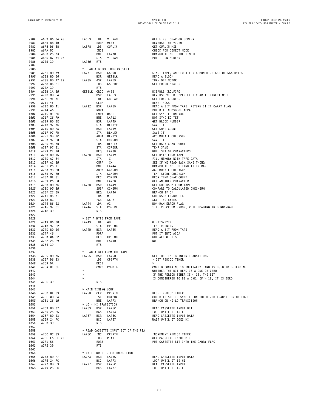| 0980         | A6F3 B6 04 00            | LA6F3<br>LDA                       | VIDRAM                                | GET FIRST CHAR ON SCREEN                                                               |
|--------------|--------------------------|------------------------------------|---------------------------------------|----------------------------------------------------------------------------------------|
| 0981         | A6F6 88 40               |                                    | EORA #\$40                            | REVERSE THE VIDEO                                                                      |
| 0982         | A6F8 D6 68               | LA6F8<br>LDB                       | CURLIN                                | GET CURLIN MSB                                                                         |
| 0983<br>0984 | A6FA 5C<br>A6FB 26 03    | INCB<br>BNE                        | LA700                                 | CHECK FOR DIRECT MODE<br>BRANCH IF NOT DIRECT MODE                                     |
| 0985         | A6FD B7 04 00            | STA                                | VIDRAM                                | PUT IT ON SCREEN                                                                       |
| 0986         | A700 39                  | <b>RTS</b><br>LA700                |                                       |                                                                                        |
| 0987         |                          |                                    |                                       |                                                                                        |
| 0988<br>0989 | A701 8D 79               | LA701<br>BSR                       | * READ A BLOCK FROM CASSETTE<br>CASON | START TAPE, AND LOOK FOR A BUNCH OF \$55 OR \$AA BYTES                                 |
| 0990         | A703 8D 06               | BSR                                | GETBLK                                | READ A BLOCK                                                                           |
| 0991         | A705 BD A7 E9            | LA705<br>JSR                       | LA7E9                                 | TURN OFF MOTOR                                                                         |
| 0992         | A708 D6 81               | LDB                                | CSRERR                                | <b>GET ERROR STATUS</b>                                                                |
| 0993         | A7ØA 39                  | <b>RTS</b><br>GETBLK ORCC #\$50    |                                       |                                                                                        |
| 0994<br>0995 | A70B 1A 50<br>A70D 8D E4 | BSR                                | LA6F3                                 | DISABLE IRQ, FIRQ<br>REVERSE VIDEO UPPER LEFT CHAR IF DIRECT MODE                      |
| 0996         | A7ØF 9E 7E               | LDX                                | CBUFAD                                | GET LOAD ADDRESS                                                                       |
| 0997         | A711 4F                  | CLRA                               |                                       | RESET ACCA                                                                             |
| 0998         | A712 8D 41               | LA712<br>BSR                       | LA755                                 | READ A BIT FROM TAPE, RETURN IT IN CARRY FLAG                                          |
| 0999<br>1000 | A714 46<br>A715 81 3C    | RORA                               | CMPA #\$3C                            | PUT BIT IN MSB OF ACCA<br>GET SYNC ED ON \$3C                                          |
| 1001         | A717 26 F9               | BNE                                | LA712                                 | NOT SYNC ED YET                                                                        |
| 1002         | A719 8D 2E               | BSR                                | LA749                                 | GET BLOCK NUMBER                                                                       |
| 1003         | A71B 97 7C               | STA                                | BLKTYP                                | SAVE IT                                                                                |
| 1004<br>1005 | A71D 8D 2A<br>A71F 97 7D | BSR<br>STA                         | LA749<br>BLKLEN                       | GET CHAR COUNT<br>SAVE IT                                                              |
| 1006         | A721 9B 7C               |                                    | ADDA BLKTYP                           | ACCUMULATE CHECKSUM                                                                    |
| 1007         | A723 97 80               | STA                                | CCKSUM                                | SAVE IT                                                                                |
| 1008         | A725 96 7D               | LDA                                | BLKLEN                                | GET BACK CHAR COUNT                                                                    |
| 1009<br>1010 | A727 97 81<br>A729 27 10 | STA<br>BEQ                         | CSRERR<br>LA73B                       | TEMP SAVE<br>NULL SET OF CHARACTERS                                                    |
| 1011         | A72B 8D 1C               | BSR<br>LA72B                       | LA749                                 | GET BYTE FROM TAPE                                                                     |
| 1012         | A72D A7 84               | STA                                | , X                                   | FILL MEMORY WITH TAPE DATA                                                             |
| 1013         | A72F A1 80               | CMPA                               | , X+                                  | SEE IF WE READ BACK SAME THING                                                         |
| 1014<br>1015 | A731 26 11<br>A733 9B 80 | BNE                                | LA744<br>ADDA CCKSUM                  | BRANCH IF NOT PUTTING IT IN RAM<br>ACCUMULATE CHECKSUM                                 |
| 1016         | A735 97 80               | STA                                | CCKSUM                                | TEMP STORE CHECKSUM                                                                    |
| 1017         | A737 ØA 81               | DEC                                | CSRERR                                | DECR TEMP CHAR COUNT                                                                   |
| 1018         | A739 26 FØ               | BNE                                | LA72B                                 | GET ANOTHER CHARACTER                                                                  |
| 1019<br>1020 | A73B 8D ØC<br>A73D 90 80 | LA73B<br>BSR                       | LA749<br>SUBA CCKSUM                  | GET CHECKSUM FROM TAPE<br>COMPARE TO CALCULATED CHECKSUM                               |
| 1021         | A73F 27 05               | BEQ                                | LA746                                 | BRANCH IF OK                                                                           |
| 1022         | A741 86 01               | LDA                                | #1                                    | CHECKSUM ERROR FLAG                                                                    |
| 1023         | A743 8C                  | FCB<br>LDA                         | SKP2                                  | SKIP TWO BYTES                                                                         |
| 1024<br>1025 | A744 86 02<br>A746 97 81 | LA744<br>LA746<br>STA              | #2<br>CSRERR                          | NON-RAM ERROR FLAG<br>1 IF CHECKSUM ERROR, 2 IF LOADING INTO NON-RAM                   |
| 1026         | A748 39                  | <b>RTS</b>                         |                                       |                                                                                        |
| 1027         |                          |                                    |                                       |                                                                                        |
| 1028<br>1029 |                          | * GET A BYTE FROM TAPE<br>LA749    | #8                                    | 8 BITS/BYTE                                                                            |
| 1030         | A749 86 08<br>A74B 97 82 | LDA<br>STA                         | CPULWD                                | TEMP COUNTER                                                                           |
| 1031         | A74D 8D 06               | LA74D<br>BSR                       | LA755                                 | READ A BIT FROM TAPE                                                                   |
| 1032         | A74F 46                  | RORA                               |                                       | PUT IT INTO ACCA                                                                       |
| 1033<br>1034 | A750 0A 82<br>A752 26 F9 | DEC<br>BNE                         | CPULWD<br>LA74D                       | GOT ALL 8 BITS<br>NO.                                                                  |
| 1035         | A754 39                  | <b>RTS</b>                         |                                       |                                                                                        |
| 1036         |                          |                                    |                                       |                                                                                        |
| 1037         |                          |                                    | * READ A BIT FROM THE TAPE            |                                                                                        |
| 1038<br>1039 | A755 8D 06<br>A757 D6 83 | LA755<br>BSR<br>LDB                | LA75D<br>CPERTM                       | GET THE TIME BETWEEN TRANSITIONS<br>* GET PERIOD TIMER                                 |
| 1040         | A759 5A                  | DECB                               |                                       |                                                                                        |
| 1041         | A75A D1 8F               |                                    | CMPB CMPMID                           | CMPMID CONTAINS 18 INITIALLY, AND IS USED TO DETERMINE                                 |
| 1042         |                          | $\star$                            |                                       | WHETHER THE BIT READ IS A ONE OR ZERO                                                  |
| 1043<br>1044 |                          | $\star$                            |                                       | IF THE PERIOD TIMER IS < 18, THE BIT<br>IS CONSIDERED TO BE A ONE, IF > 18, IT IS ZERO |
| 1045         | A75C 39                  | <b>RTS</b>                         |                                       |                                                                                        |
| 1046         |                          |                                    |                                       |                                                                                        |
| 1047<br>1048 | A75D ØF 83               | * MAIN TIMING LOOP<br>LA75D<br>CLR | CPERTM                                | RESET PERIOD TIMER                                                                     |
| 1049         | A75F ØD 84               | TST                                | CBTPHA                                | CHECK TO SEE IF SYNC ED ON THE HI-LO TRANSITION OR LO-HI                               |
| 1050         | A761 26 10               | BNE                                | LA773                                 | BRANCH ON HI-LO TRANSITION                                                             |
| 1051         |                          | * LO - HI TRANSITION               |                                       |                                                                                        |
| 1052<br>1053 | A763 8D 07               | LA763<br>BSR<br>BCS                | LA76C                                 | READ CASSETTE INPUT BIT<br>LOOP UNTIL IT IS LO                                         |
| 1054         | A765 25 FC<br>A767 8D 03 | LA767<br>BSR                       | LA763<br>LA76C                        | READ CASSETTE INPUT DATA                                                               |
| 1055         | A769 24 FC               | BCC                                | LA767                                 | WAIT UNTIL IT GOES HI                                                                  |
| 1056         | A76B 39                  | <b>RTS</b>                         |                                       |                                                                                        |
| 1057<br>1058 |                          |                                    | * READ CASSETTE INPUT BIT OF THE PIA  |                                                                                        |
| 1059         | A76C ØC 83               | LA76C<br>INC                       | CPERTM                                | INCREMENT PERIOD TIMER                                                                 |
| 1060         | A76E F6 FF 20            | LDB                                | PIA1                                  | GET CASSETTE INPUT BIT                                                                 |
| 1061<br>1062 | A771 56<br>A772 39       | <b>RORB</b><br><b>RTS</b>          |                                       | PUT CASSETTE BIT INTO THE CARRY FLAG                                                   |
| 1063         |                          |                                    |                                       |                                                                                        |
| 1064         |                          |                                    | * WAIT FOR HI - LO TRANSITION         |                                                                                        |
| 1065         | A773 8D F7               | LA773<br>BSR                       | LA76C                                 | READ CASSETTE INPUT DATA                                                               |
| 1066<br>1067 | A775 24 FC<br>A777 8D F3 | BCC<br>LA777<br>BSR                | LA773<br>LA76C                        | LOOP UNTIL IT IS HI<br>READ CASSETTE INPUT                                             |
| 1068         | A779 25 FC               | BCS                                | <b>LA777</b>                          | LOOP UNTIL IT IS LO                                                                    |
|              |                          |                                    |                                       |                                                                                        |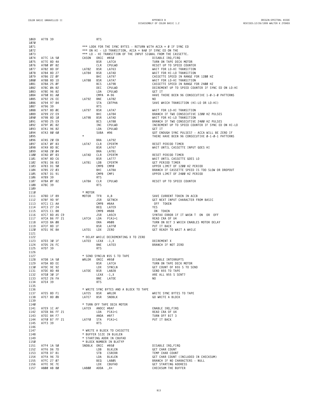| 1069<br>1070 | A77B 39                     |                   | <b>RTS</b>         |                                                               |                                                                       |
|--------------|-----------------------------|-------------------|--------------------|---------------------------------------------------------------|-----------------------------------------------------------------------|
| 1071         |                             |                   |                    | *** LOOK FOR THE SYNC BYTES - RETURN WITH ACCA = Ø IF SYNC ED |                                                                       |
| 1072         |                             |                   |                    | *** ON HI - LO TRANSITION, ACCA = \$AØ IF SYNC ED ON THE      |                                                                       |
| 1073         | A77C 1A 50                  | CASON             | ORCC #\$50         | *** LO - HI TRANSITION OF THE INPUT SIGNAL FROM THE CASSETTE. | DISABLE IRQ, FIRQ                                                     |
| 1074<br>1075 | A77E 8D 4A                  |                   | <b>BSR</b>         | LA7CA                                                         | TURN ON TAPE DECK MOTOR                                               |
| 1076         | A780 ØF 82                  |                   | CLR                | CPULWD                                                        | RESET UP TO SPEED COUNTER                                             |
| 1077         | A782 8D DF                  | LA782             | BSR                | LA763                                                         | WAIT FOR LO-HI TRANSITION                                             |
| 1078         | A784 8D 27                  | LA784             | BSR                | LA7AD                                                         | WAIT FOR HI-LO TRANSITION                                             |
| 1079<br>1080 | A786 22 ØF<br>A788 8D 1D    | LA788             | BHI<br>BSR         | LA797<br>LA7A7                                                | CASSETTE SPEED IN RANGE FOR 1200 HZ<br>WAIT FOR LO-HI TRANSITION      |
| 1081         | A78A 25 ØF                  |                   | <b>BCS</b>         | LA79B                                                         | CASSETTE SPEED IN RANGE FOR 2400 HZ                                   |
| 1082         | A78C ØA 82                  |                   | DEC                | CPULWD                                                        | DECREMENT UP TO SPEED COUNTER IF SYNC ED ON LO-HI                     |
| 1083         | A78E 96 82                  |                   | LDA                | CPULWD                                                        | GET IT                                                                |
| 1084<br>1085 | A790 81 A0<br>A792 26 EE    | LA792             | CMPA #-96<br>BNE   | LA782                                                         | HAVE THERE BEEN 96 CONSECUTIVE 1-0-1-0 PATTERNS<br>NO.                |
| 1086         | A794 97 84                  |                   | STA                | CBTPHA                                                        | SAVE WHICH TRANSITION (HI-LO OR LO-HI)                                |
| 1087         | A796 39                     |                   | <b>RTS</b>         |                                                               |                                                                       |
| 1088         | A797 8D ØE                  | LA797             | BSR                | LA7A7                                                         | WAIT FOR LO-HI TRANSITION                                             |
| 1089         | A799 22 E9                  | LA79B             | BHI                | LA784                                                         | BRANCH IF TWO CONSECUTIVE 1200 HZ PULSES                              |
| 1090<br>1091 | A79B 8D 10<br>A79D 25 E9    |                   | BSR<br>BCS         | LA7AD<br>LA788                                                | WAIT FOR HI-LO TRANSITION<br>BRANCH IF TWO CONSECUTIVE 2400 HZ PULSES |
| 1092         | A79F ØC 82                  |                   | INC                | CPULWD                                                        | INCREMENT UP TO SPEED COUNTER IF SYNC ED ON HI-LO                     |
| 1093         | A7A1 96 82                  |                   | LDA                | CPULWD                                                        | GET IT                                                                |
| 1094         | A7A3 80 60                  |                   | SUBA               | #96                                                           | GOT ENOUGH SYNC PULSES? - ACCA WILL BE ZERO IF                        |
| 1095<br>1096 | A7A5 20 EB                  | $\star$           | <b>BRA</b>         | LA792                                                         | THERE HAVE BEEN 96 CONSECUTIVE Ø-1-Ø-1 PATTERNS                       |
| 1097         | A7A7 ØF 83                  | LA7A7             | CLR                | CPERTM                                                        | RESET PERIOD TIMER                                                    |
| 1098         | A7A9 8D BC                  |                   | BSR                | LA767                                                         | WAIT UNTIL CASSETTE INPUT GOES HI                                     |
| 1099         | A7AB 20 04                  |                   | BRA                | LA7B1                                                         |                                                                       |
| 1100         | A7AD ØF 83                  | LA7AD             | CLR                | CPERTM                                                        | RESET PERIOD TIMER                                                    |
| 1101<br>1102 | A7AF 8D C6<br>A7B1 D6 83    | LA7B1             | BSR<br>LDB         | LA777<br>CPERTM                                               | WAIT UNTIL CASSETTE GOES LO<br>GET PERIOD TIMER                       |
| 1103         | A7B3 D1 90                  |                   | CMPB               | CMPØ                                                          | UPPER LIMIT OF 1200 HZ PERIOD                                         |
| 1104         | A7B5 22 03                  |                   | BHI                | LA7BA                                                         | BRANCH IF CASSETTE SPEED IS TOO SLOW OR DROPOUT                       |
| 1105         | A7B7 D1 91                  |                   | CMPB               | CMP1                                                          | UPPER LIMIT OF 2400 HZ PERIOD                                         |
| 1106<br>1107 | A7B9 39<br>A7BA ØF 82       | LA7BA             | <b>RTS</b><br>CLR  | CPULWD                                                        | RESET UP TO SPEED COUNTER                                             |
| 1108         | A7BC 39                     |                   | <b>RTS</b>         |                                                               |                                                                       |
| 1109         |                             |                   |                    |                                                               |                                                                       |
| 1110         |                             | * MOTOR           |                    |                                                               |                                                                       |
| 1111         | A7BD 1F 89                  | MOTOR             | TFR                | A, B                                                          | SAVE CURRENT TOKEN IN ACCB                                            |
| 1112<br>1113 | A7BF 9D 9F<br>A7C1 C1 AA    |                   | JSR<br>CMPB #\$AA  | GETNCH                                                        | GET NEXT INPUT CHARACTER FROM BASIC<br>OFF TOKEN                      |
| 1114         | A7C3 27 24                  |                   | BEQ                | LA7E9                                                         | YES                                                                   |
| 1115         | A7C5 C1 88                  |                   | CMPB               | #\$88                                                         | ON TOKEN                                                              |
| 1116         | A7C7 BD A5 C9               |                   | JSR                | LA5C9                                                         | SYNTAX ERROR IF IT WASN T ON OR OFF                                   |
| 1117         | A7CA B6 FF 21               | LA7CA             | LDA                | PIA1+1                                                        | READ CRA OF U4                                                        |
| 1118<br>1119 | A7CD 8A 08<br>A7CF 8D 1F    |                   | 0RA<br>BSR         | #\$08<br>LA7FØ                                                | TURN ON BIT 3 WHICH ENABLES MOTOR DELAY<br>PUT IT BACK                |
| 1120         | A7D1 9E 8A                  | LA7D1             | LDX                | ZERO                                                          | GET READY TO WAIT A WHILE                                             |
| 1121         |                             |                   |                    |                                                               |                                                                       |
| 1122         |                             |                   |                    | * DELAY WHILE DECREMENTING X TO ZERO                          |                                                                       |
| 1123         | A7D3 30 1F<br>A7D5 26 FC    | LA7D3             | LEAX<br>BNE        | $-1, X$<br>LA7D3                                              | DECREMENT X<br>BRANCH IF NOT ZERO                                     |
| 1124<br>1125 | A7D7 39                     |                   | <b>RTS</b>         |                                                               |                                                                       |
| 1126         |                             |                   |                    |                                                               |                                                                       |
| 1127         |                             |                   |                    | * SEND SYNCLN \$55 S TO TAPE                                  |                                                                       |
| 1128         | A7D8 1A 50                  | WRLDR             | ORCC #\$50         |                                                               | DISABLE INTERRUPTS                                                    |
| 1129<br>1130 | A7DA 8D EE<br>A7DC 9E 92    |                   | BSR<br>LDX         | LA7CA<br>SYNCLN                                               | TURN ON TAPE DECK MOTOR<br>GET COUNT OF \$55 S TO SEND                |
| 1131         | A7DE 8D 48                  | LA7DE BSR LA828   |                    |                                                               | SEND \$55 TO TAPE                                                     |
| 1132         | A7E0 30 1F                  |                   |                    | LEAX -1,X                                                     | ARE ALL \$55 S SENT?                                                  |
| 1133         | A7E2 26 FA                  |                   | BNE                | LA7DE                                                         | NO.                                                                   |
| 1134         | A7E4 39                     |                   | <b>RTS</b>         |                                                               |                                                                       |
| 1135<br>1136 |                             |                   |                    | * WRITE SYNC BYTES AND A BLOCK TO TAPE                        |                                                                       |
| 1137         | A7E5 8D F1                  | LA7E5 BSR         |                    | WRLDR                                                         | WRITE SYNC BYTES TO TAPE                                              |
| 1138         | A7E7 8D ØB                  | LA7E7             | BSR                | SNDBLK                                                        | GO WRITE A BLOCK                                                      |
| 1139         |                             |                   |                    |                                                               |                                                                       |
| 1140         |                             | LA7E9             |                    | * TURN OFF TAPE DECK MOTOR                                    |                                                                       |
| 1141<br>1142 | A7E9 1C AF<br>A7EB B6 FF 21 |                   | ANDCC #\$AF<br>LDA | PIA1+1                                                        | ENABLE IRQ, FIRQ<br>READ CRA OF U4                                    |
| 1143         | A7EE 84 F7                  |                   |                    | ANDA #\$F7                                                    | TURN OFF BIT 3                                                        |
| 1144         | A7FØ B7 FF 21               | LA7FØ             | STA                | PIA1+1                                                        | PUT IT BACK                                                           |
| 1145         | A7F3 39                     |                   | <b>RTS</b>         |                                                               |                                                                       |
| 1146         |                             |                   |                    |                                                               |                                                                       |
| 1147<br>1148 |                             |                   |                    | * WRITE A BLOCK TO CASSETTE<br>* BUFFER SIZE IN BLKLEN        |                                                                       |
| 1149         |                             |                   |                    | * STARTING ADDR IN CBUFAD                                     |                                                                       |
| 1150         |                             |                   |                    | * BLOCK NUMBER IN BLKTYP                                      |                                                                       |
| 1151         | A7F4 1A 50                  | SNDBLK ORCC #\$50 |                    |                                                               | DISABLE IRQ, FIRQ                                                     |
| 1152         | A7F6 D6 7D                  |                   | LDB                | BLKLEN                                                        | GET CHAR COUNT                                                        |
| 1153<br>1154 | A7F8 D7 81<br>A7FA 96 7D    |                   | STB<br>LDA         | CSRERR<br>BLKLEN                                              | TEMP CHAR COUNT<br>GET CHAR COUNT (INCLUDED IN CHECKSUM)              |
| 1155         | A7FC 27 07                  |                   | BEQ                | LA805                                                         | BRANCH IF NO CHARACTERS - NULL                                        |
| 1156         | A7FE 9E 7E                  |                   | LDX                | CBUFAD                                                        | GET STARTING ADDRESS                                                  |
|              | 1157 A800 AB 80             | -X, LA800 ADDA    |                    |                                                               | CHECKSUM THE BUFFER                                                   |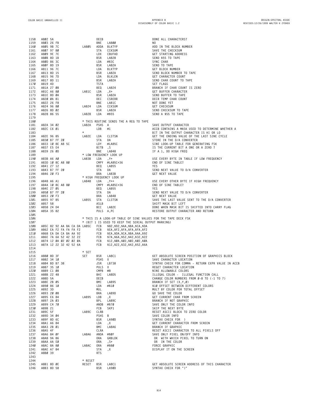| 1158 | A802 5A                |           | DECB        |                                                                | DONE ALL CHARACTERS?                               |
|------|------------------------|-----------|-------------|----------------------------------------------------------------|----------------------------------------------------|
| 1159 | A803 26 FB             |           | BNE         | LA800                                                          | NO.                                                |
| 1160 | A805 9B 7C             | LA805     | ADDA BLKTYP |                                                                | ADD IN THE BLOCK NUMBER                            |
| 1161 | A807 97 80             |           | STA         | CCKSUM                                                         | SAVE THE CHECKSUM                                  |
|      | A809 9E 7E             |           |             |                                                                |                                                    |
| 1162 |                        |           | LDX         | CBUFAD                                                         | GET STARTING ADDRESS                               |
| 1163 | A80B 8D 1B             |           | BSR         | LA828                                                          | SEND \$55 TO TAPE                                  |
| 1164 | A80D 86 3C             |           | LDA         | #\$3C                                                          | SYNC CHAR                                          |
| 1165 | A80F 8D 19             |           | BSR         | LA82A                                                          | SEND TO TAPE                                       |
| 1166 | A811 96 7C             |           | LDA         | BLKTYP                                                         | GET BLOCK NUMBER                                   |
| 1167 | A813 8D 15             |           | BSR         | LA82A                                                          | SEND BLOCK NUMBER TO TAPE                          |
| 1168 | A815 96 7D             |           | LDA         | BLKLEN                                                         | GET CHARACTER COUNT                                |
|      |                        |           |             |                                                                |                                                    |
| 1169 | A817 8D 11             |           | BSR         | LA82A                                                          | SEND CHAR COUNT TO TAPE                            |
| 1170 | A819 4D                |           | <b>TSTA</b> |                                                                | SET FLAGS                                          |
| 1171 | A81A 27 08             |           | BEQ         | LA824                                                          | BRANCH IF CHAR COUNT IS ZERO                       |
| 1172 | A81C A6 80             | LA81C     | LDA         | , X+                                                           | GET BUFFER CHARACTER                               |
| 1173 | A81E 8D ØA             |           | BSR         | LA82A                                                          | SEND BUFFER TO TAPE                                |
| 1174 | A820 0A 81             |           | DEC         | CSRERR                                                         | DECR TEMP CHAR COUNT                               |
| 1175 | A822 26 F8             |           | BNE         | LA81C                                                          | NOT DONE YET                                       |
| 1176 | A824 96 80             | LA824     | LDA         | CCKSUM                                                         | GET CHECKSUM                                       |
|      | A826 8D 02             |           |             |                                                                |                                                    |
| 1177 |                        |           | BSR         | LA82A                                                          | SEND CHECKSUM TO TAPE                              |
| 1178 | A828 86 55             | LA828     | LDA         | #\$55                                                          | SEND A \$55 TO TAPE                                |
| 1179 |                        |           |             |                                                                |                                                    |
| 1180 |                        |           |             | * THIS ROUTINE SENDS THE A REG TO TAPE                         |                                                    |
| 1181 | A82A 34 02             | LA82A     | PSHS A      |                                                                | SAVE OUTPUT CHARACTER                              |
| 1182 | A82C C6 01             |           | LDB         | #1                                                             | ACCB CONTAINS A MASK USED TO DETERMINE WHETHER A   |
| 1183 |                        | $\star$   |             |                                                                | BIT IN THE OUTPUT CHARACTER IS HI OR LO            |
|      |                        |           |             |                                                                |                                                    |
| 1184 | A82E 96 85             | LA82E     | LDA         | CLSTSN                                                         | GET THE ENDING VALUE OF THE LAST SINE CYCLE        |
| 1185 | A830 B7 FF 20          |           | STA         | DA                                                             | STORE IN THE D/A CONVERTER                         |
| 1186 | A833 10 8E A8 5C       |           | LDY         | #LA85C                                                         | SINE LOOK-UP TABLE FOR GENERATING FSK              |
| 1187 | A837 E5 E4             |           | BITB, S     |                                                                | IS THE CURRENT BIT A ONE OR A ZERO ?               |
| 1188 | A839 26 ØD             |           | BNE         | LA848                                                          | IF A 1, DO HIGH FREQ                               |
| 1189 |                        |           |             | * LOW FREQUENCY LOOK UP                                        |                                                    |
| 1190 | A83B A6 AØ             | LA83B LDA |             | , Y+                                                           | USE EVERY BYTE IN TABLE IF LOW FREQUENCY           |
|      | A83D 10 8C A8 80       |           |             | CMPY #LA85C+36                                                 | END OF SINE TABLE?                                 |
| 1191 |                        |           |             |                                                                |                                                    |
| 1192 | A841 27 12             |           | BEQ         | LA855                                                          | YES                                                |
| 1193 | A843 B7 FF 20          |           | STA         | DA                                                             | SEND NEXT VALUE TO D/A CONVERTER                   |
| 1194 | A846 20 F3             |           | BRA         | LA83B                                                          | GET NEXT VALUE                                     |
| 1195 |                        |           |             | * HIGH FREQUENCY LOOK UP                                       |                                                    |
| 1196 | A848 A6 A1             | LA848     | LDA         | , Y++                                                          | USE EVERY OTHER BYTE IF HIGH FREQUENCY             |
| 1197 | A84A 10 8C A8 80       |           |             | CMPY #LA85C+36                                                 | END OF SINE TABLE?                                 |
| 1198 | A84E 27 05             |           | BEQ         | LA855                                                          | YES                                                |
|      |                        |           |             |                                                                |                                                    |
| 1199 | A850 B7 FF 20          |           | STA         | DA                                                             | SEND NEXT VALUE TO D/A CONVERTER                   |
| 1200 | A853 20 F3             |           | BRA         | LA848                                                          | GET NEXT VALUE                                     |
|      |                        | LA855     |             | CLSTSN                                                         | SAVE THE LAST VALUE SENT TO THE D/A CONVERTER      |
| 1201 | A855 97 85             |           | STA         |                                                                |                                                    |
| 1202 | A857 58                |           | ASLB        |                                                                | SHIFT MASK BIT LEFT                                |
|      | A858 24 D4             |           | BCC         |                                                                |                                                    |
| 1203 |                        |           |             | LA82E                                                          | DONE WHEN MASK BIT IS SHIFTED INTO CARRY FLAG      |
| 1204 | A85A 35 82             |           | PULS A, PC  |                                                                | RESTORE OUTPUT CHARACTER AND RETURN                |
| 1205 |                        |           |             |                                                                |                                                    |
| 1206 |                        |           |             | * THIS IS A LOOK-UP TABLE OF SINE VALUES FOR THE TAPE DECK FSK |                                                    |
| 1207 |                        |           |             | * (BIT 1 IS USED TO KEEP THE SERIAL OUTPUT MARKING)            |                                                    |
| 1208 |                        |           |             | A85C 82 92 AA BA CA DA LA85C FCB \$82,\$92,\$AA,\$BA,\$CA,\$DA |                                                    |
| 1209 | A862 EA F2 FA FA FA F2 |           |             | FCB \$EA, \$F2, \$FA, \$FA, \$FA, \$F2                         |                                                    |
| 1210 | A868 EA DA CA BA AA 92 |           |             | FCB \$EA, \$DA, \$CA, \$BA, \$AA, \$92                         |                                                    |
|      |                        |           |             |                                                                |                                                    |
| 1211 | A86E 7A 6A 52 42 32 22 |           |             | FCB \$7A, \$6A, \$52, \$42, \$32, \$22                         |                                                    |
| 1212 | A874 12 0A 02 02 02 0A |           |             | FCB \$12,\$0A,\$02,\$02,\$02,\$0A                              |                                                    |
| 1213 | A87A 12 22 32 42 52 6A |           | FCB         | \$12, \$22, \$32, \$42, \$52, \$6A                             |                                                    |
| 1214 |                        |           |             |                                                                |                                                    |
| 1215 |                        | * SET     |             |                                                                |                                                    |
| 1216 | A880 8D 3F             | SET       | BSR         | LA8C1                                                          | 6ET ABSOLUTE SCREEN POSITION OF GRAPHICS BLOCK     |
| 1217 | A882 34 10             |           | PSHS X      |                                                                | SAVE CHARACTER LOCATION                            |
| 1218 | A884 BD B7 38          |           | JSR         | LB738                                                          | SYNTAX CHECK FOR COMMA - RETURN EXPR VALUE IN ACCB |
| 1219 | A887 35 10             |           | PULS X      |                                                                | REGET CHARACTER LOCATION                           |
|      | A889 C1 08             |           |             | #8                                                             |                                                    |
| 1220 |                        |           | CMPB        |                                                                | NINE ALLOWABLE COLORS                              |
| 1221 | A88B 22 48             |           | BHI         | LA8D5                                                          | ILLEGAL COLOR - ILLEGAL FUNCTION CALL              |
| 1222 | A88D 5A                |           | DECB        |                                                                | CHANGE COLOR NUMBERS FROM Ø-8 TO (-1 TO 7)         |
| 1223 | A88E 2B 05             |           | BMI         | LA895                                                          | BRANCH IF SET (X,Y,Ø)                              |
| 1224 | A890 86 10             |           | LDA         | #\$10                                                          | \$10 OFFSET BETWEEN DIFFERENT COLORS               |
| 1225 | A892 3D                |           | MUL         |                                                                | MULT BY COLOR FOR TOTAL OFFSET                     |
| 1226 | A893 20 08             |           | BRA         | LA89D                                                          | GO SAVE THE COLOR                                  |
| 1227 | A895 E6 84             | LA895     | LDB         | , X                                                            | GET CURRENT CHAR FROM SCREEN                       |
| 1228 | A897 2A 03             |           | <b>BPL</b>  | LA89C                                                          | BRANCH IF NOT GRAPHIC                              |
| 1229 | A899 C4 70             |           | ANDB #\$70  |                                                                | SAVE ONLY THE COLOR INFO                           |
|      | A89B 21                |           | FCB         | SKP1                                                           |                                                    |
| 1230 |                        |           |             |                                                                | SKIP THE NEXT BYTE                                 |
| 1231 | A89C 5F                | LA89C     | CLRB        |                                                                | RESET ASCII BLOCK TO ZERO COLOR                    |
| 1232 | A89D 34 04             |           | PSHS B      |                                                                | SAVE COLOR INFO                                    |
| 1233 | A89F 8D 6C             |           | BSR         | LA9ØD                                                          | SYNTAX CHECK FOR )                                 |
| 1234 | A8A1 A6 84             |           | LDA         | ,Χ                                                             | GET CURRENT CHARACTER FROM SCREEN                  |
| 1235 | A8A3 2B 01             |           | BMI         | LA8A6                                                          | BRANCH IF GRAPHIC                                  |
| 1236 | A8A5 4F                |           | CLRA        |                                                                | RESET ASCII CHARACTER TO ALL PIXELS OFF            |
|      | A8A6 84 ØF             | LA8A6     | ANDA        | $#$ \$ØF                                                       | SAVE ONLY PIXEL ON/OFF INFO                        |
| 1237 |                        |           |             |                                                                |                                                    |
| 1238 | A8A8 9A 86             |           | ORA         | GRBLOK                                                         | OR WITH WHICH PIXEL TO TURN ON                     |
| 1239 | A8AA AA EØ             |           | 0RA         | , S+                                                           | OR IN THE COLOR                                    |
| 1240 | A8AC 8A 8Ø             | LA8AC     | ORA         | #\$80                                                          | FORCE GRAPHIC                                      |
| 1241 | A8AE A7 84             |           | STA         | , X                                                            | DISPLAY IT ON THE SCREEN                           |
| 1242 | A8BØ 39                |           | <b>RTS</b>  |                                                                |                                                    |
| 1243 |                        |           |             |                                                                |                                                    |
| 1244 |                        | * RESET   |             |                                                                |                                                    |
| 1245 | A8B1 8D ØE             | RESET     | BSR         | LA8C1                                                          | GET ABSOLUTE SCREEN ADDRESS OF THIS CHARACTER      |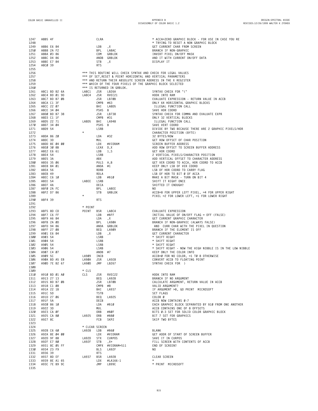| 1247 | A8B5 4F       |                | CLRA        |                                                                | * ACCA=ZERO GRAPHIC BLOCK - FOR USE IN CASE YOU RE                   |
|------|---------------|----------------|-------------|----------------------------------------------------------------|----------------------------------------------------------------------|
| 1248 |               |                |             |                                                                | * TRYING TO RESET A NON GRAPHIC BLOCK                                |
| 1249 | A8B6 E6 84    | LDB            |             | , X                                                            | GET CURRENT CHAR FROM SCREEN                                         |
| 1250 | A8B8 2A F2    | BPL            |             | LA8AC                                                          | BRANCH IF NON-GRAPHIC                                                |
| 1251 | A8BA 03 86    |                | COM         | GRBLOK                                                         | INVERT PIXEL ON/OFF MASK                                             |
| 1252 | A8BC D4 86    |                |             | ANDB GRBLOK                                                    | AND IT WITH CURRENT ON/OFF DATA                                      |
| 1253 | A8BE E7 84    |                | STB         | ,Χ                                                             | DISPLAY IT                                                           |
| 1254 | A8CØ 39       |                | <b>RTS</b>  |                                                                |                                                                      |
| 1255 |               |                |             |                                                                |                                                                      |
| 1256 |               |                |             | *** THIS ROUTINE WILL CHECK SYNTAX AND CHECK FOR LEGAL VALUES  |                                                                      |
| 1257 |               |                |             | *** OF SET, RESET & POINT HORIZONTAL AND VERTICAL PARAMETERS   |                                                                      |
| 1258 |               |                |             | *** AND RETURN THEIR ABSOLUTE SCREEN ADDRESS IN THE X REGISTER |                                                                      |
| 1259 |               |                |             | *** WHICH OF THE FOUR PIXELS OF THE GRAPHIC BLOCK SELECTED     |                                                                      |
| 1260 |               |                |             | *** IS RETURNED IN GRBLOK.                                     |                                                                      |
| 1261 | A8C1 BD B2 6A | LA8C1          | JSR         | LB26A                                                          | SYNTAX CHECK FOR "("                                                 |
| 1262 | A8C4 BD Ø1 9D | LA8C4          | JSR         | RVEC21                                                         | HOOK INTO RAM                                                        |
| 1263 | A8C7 BD B7 ØB |                | JSR         | LB7ØB                                                          | EVALUATE EXPRESSION - RETURN VALUE IN ACCB                           |
| 1264 | A8CA C1 3F    |                | CMPB #63    |                                                                | ONLY 64 HORIZONTAL GRAPHIC BLOCKS                                    |
| 1265 | A8CC 22 07    |                | BHI         | LA8D5                                                          | ILLEGAL FUNCTION CALL                                                |
| 1266 | A8CE 34 Ø4    |                | PSHS B      |                                                                | SAVE HOR COORD                                                       |
| 1267 | A8DØ BD B7 38 |                | JSR         | LB738                                                          | SYNTAX CHECK FOR COMMA AND EVALUATE EXPR                             |
|      |               |                | CMPB #31    |                                                                |                                                                      |
| 1268 | A8D3 C1 1F    |                |             |                                                                | ONLY 32 VERTICAL BLOCKS                                              |
| 1269 | A8D5 22 71    | LA8D5          | BHI         | LA948                                                          | ILLEGAL FUNCTION CALL                                                |
| 1270 | A8D7 34 04    |                | PSHS B      |                                                                | SAVE VERT COORD                                                      |
| 1271 | A8D9 54       | $\star$        | LSRB        |                                                                | DIVIDE BY TWO BECAUSE THERE ARE 2 GRAPHIC PIXELS/HOR                 |
| 1272 |               |                |             |                                                                | CHARACTER POSITION (BYTE)                                            |
| 1273 | A8DA 86 20    |                | LDA         | #32                                                            | 32 BYTES/ROW                                                         |
| 1274 | A8DC 3D       |                | MUL         |                                                                | GET ROW OFFSET OF CHAR POSITION                                      |
| 1275 | A8DD 8E 04 00 |                | LDX         | #VIDRAM                                                        | SCREEN BUFFER ADDRESS                                                |
| 1276 | A8EØ 3Ø 8B    |                | LEAX D,X    |                                                                | ADD ROW OFFSET TO SCREEN BUFFER ADDRESS                              |
| 1277 | A8E2 E6 61    |                | LDB         | 1, S                                                           | GET HOR COORD                                                        |
| 1278 | A8E4 54       |                | LSRB        |                                                                | 2 VERTICAL PIXELS/CHARACTER POSITION                                 |
| 1279 | A8E5 3A       |                | ABX         |                                                                | ADD VERTICAL OFFSET TO CHARACTER ADDRESS                             |
| 1280 | A8E6 35 06    |                | PULS A, B   |                                                                | GET VER COORD TO ACCA, HOR COORD TO ACCB                             |
| 1281 | A8E8 84 Ø1    |                | ANDA #1     |                                                                | KEEP ONLY LSB OF VER COORD                                           |
| 1282 | A8EA 56       |                | RORB        |                                                                | LSB OF HOR COORD TO CARRY FLAG                                       |
| 1283 | A8EB 49       |                | <b>ROLA</b> |                                                                | LSB OF HOR TO BIT Ø OF ACCA                                          |
| 1284 | A8EC C6 10    |                | LDB         | #\$10                                                          | MAKE A BIT MASK - TURN ON BIT 4                                      |
| 1285 | A8EE 54       | LA8EE          | LSRB        |                                                                | SHIFT IT RIGHT ONCE                                                  |
| 1286 | A8EF 4A       |                | DECA        |                                                                | SHIFTED IT ENOUGH?                                                   |
| 1287 | A8FØ 2A FC    |                | BPL         | LA8EE                                                          | NO.                                                                  |
| 1288 | A8F2 D7 86    |                | <b>STB</b>  | GRBLOK                                                         | ACCB=8 FOR UPPER LEFT PIXEL, =4 FOR UPPER RIGHT                      |
| 1289 |               | $\star$        |             |                                                                | PIXEL =2 FOR LOWER LEFT, =1 FOR LOWER RIGHT                          |
| 1290 | A8F4 39       |                | <b>RTS</b>  |                                                                |                                                                      |
| 1291 |               |                |             |                                                                |                                                                      |
| 1292 |               | * POINT        |             |                                                                |                                                                      |
| 1293 | A8F5 8D CD    | POINT          | BSR         | LA8C4                                                          | EVALUATE EXPRESSION                                                  |
|      |               |                |             |                                                                |                                                                      |
| 1294 | A8F7 C6 FF    |                | LDB         | #\$FF                                                          | INITIAL VALUE OF ON/OFF FLAG = OFF (FALSE)                           |
| 1295 | A8F9 A6 84    | LDA            |             | , X                                                            | GET CURRENT GRAPHIC CHARACTER                                        |
| 1296 | A8FB 2A ØD    |                | BPL         | LA9ØA                                                          | BRANCH IF NON-GRAPHIC (ALWAYS FALSE)                                 |
| 1297 | A8FD 94 86    |                |             | ANDA GRBLOK                                                    | AND CURR CHAR WITH THE PIXEL IN QUESTION                             |
| 1298 | A8FF 27 08    | BEQ            |             | LA909                                                          | BRANCH IF THE ELEMENT IS OFF                                         |
| 1299 | A901 E6 84    | LDB            |             | ,Χ                                                             | GET CURRENT CHARACTER                                                |
| 1300 | A903 54       |                | LSRB        |                                                                | * SHIFT RIGHT                                                        |
| 1301 | A904 54       |                | LSRB        |                                                                | * SHIFT RIGHT                                                        |
| 1302 | A905 54       |                | LSRB        |                                                                | * SHIFT RIGHT                                                        |
| 1303 | A906 54       |                | LSRB        |                                                                | * SHIFT RIGHT - NOW THE HIGH NIBBLE IS IN THE LOW NIBBLE             |
| 1304 | A907 C4 07    |                | ANDB #7     |                                                                | KEEP ONLY THE COLOR INFO                                             |
| 1305 | A909 5C       | LA909          | INCB        |                                                                | ACCB=0 FOR NO COLOR, =1 T0 8 OTHERWISE                               |
| 1306 | A90A BD A5 E8 | LA9ØA          | JSR         | LA5E8                                                          | CONVERT ACCB TO FLOATING POINT                                       |
| 1307 | A9ØD 7E B2 67 | LA9ØD<br>JMP   |             | LB267                                                          | SYNTAX CHECK FOR )                                                   |
| 1308 |               |                |             |                                                                |                                                                      |
| 1309 |               | * CLS          |             |                                                                |                                                                      |
| 1310 | A910 BD 01 A0 | CLS            | JSR         | RVEC22                                                         | HOOK INTO RAM                                                        |
| 1311 | A913 27 13    |                | BEQ         | LA928                                                          | BRANCH IF NO ARGUMENT                                                |
| 1312 | A915 BD B7 ØB |                | JSR         | LB7ØB                                                          | CALCULATE ARGUMENT, RETURN VALUE IN ACCB                             |
| 1313 | A918 C1 08    |                | CMPB #8     |                                                                | VALID ARGUMENT?                                                      |
| 1314 | A91A 22 1B    |                | BHI         | LA937                                                          | IF ARGUMENT >8, GO PRINT MICROSOFT                                   |
| 1315 | A91C 5D       |                | TSTB        |                                                                | SET FLAGS                                                            |
| 1316 | A91D 27 06    |                | BEQ         | LA925                                                          | COLOR Ø                                                              |
| 1317 | A91F 5A       |                | DECB        |                                                                | ACCB NOW CONTAINS Ø-7                                                |
| 1318 | A920 86 10    |                | LDA         | #\$10                                                          | EACH GRAPHIC BLOCK SEPARATED BY \$10 FROM ONE ANOTHER                |
| 1319 | A922 3D       |                | MUL         |                                                                | ACCB CONTAINS ONE OF 8 OFFSETS                                       |
| 1320 | A923 CA ØF    |                | ORB         | #\$ØF                                                          |                                                                      |
| 1321 | A925 CA 80    | LA925          | ORB         | #\$80                                                          | BITS Ø-3 SET FOR SOLID COLOR GRAPHIC BLOCK<br>BIT 7 SET FOR GRAPHICS |
| 1322 | A927 8C       | FCB            |             | SKP2                                                           | SKIP TWO BYTES                                                       |
|      |               |                |             |                                                                |                                                                      |
| 1323 |               |                |             |                                                                |                                                                      |
| 1324 |               | * CLEAR SCREEN |             |                                                                |                                                                      |
| 1325 | A928 C6 60    | LA928 LDB      |             | #\$60                                                          | <b>BLANK</b>                                                         |
| 1326 | A92A 8E 04 00 |                | LDX         | #VIDRAM                                                        | GET ADDR OF START OF SCREEN BUFFER                                   |
| 1327 | A92D 9F 88    | LA92D STX      |             | CURPOS                                                         | SAVE IT IN CURPOS                                                    |
| 1328 | A92F E7 80    | LA92F STB      |             | $, X +$                                                        | FILL SCREEN WITH CONTENTS OF ACCB                                    |
| 1329 | A931 8C 05 FF |                |             | CMPX #VIDRAM+511                                               | END OF SCREEN?                                                       |
| 1330 | A934 23 F9    |                | <b>BLS</b>  | LA92F                                                          | NO.                                                                  |
| 1331 | A936 39       |                | <b>RTS</b>  |                                                                |                                                                      |
| 1332 | A937 8D EF    | LA937          | BSR         | LA928                                                          | CLEAR SCREEN                                                         |
| 1333 | A939 8E A1 65 |                | LDX         | #LA166-1                                                       | $\star$                                                              |
| 1334 | A93C 7E B9 9C |                | JMP         | LB99C                                                          | * PRINT MICROSOFT                                                    |
| 1335 |               |                |             |                                                                |                                                                      |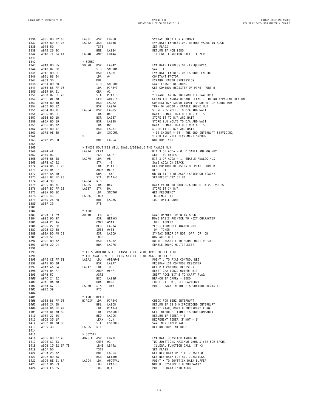| 1336         | A93F BD B2 6D                  | LA93F         | JSR               | LB26D                                                           | SYNTAX CHECK FOR A COMMA                                                                                |
|--------------|--------------------------------|---------------|-------------------|-----------------------------------------------------------------|---------------------------------------------------------------------------------------------------------|
| 1337         | A942 BD B7 ØB                  | LA942         | JSR               | LB7ØB                                                           | EVALUATE EXPRESSION, RETURN VALUE IN ACCB                                                               |
| 1338<br>1339 | A945 5D<br>A946 26 3C          |               | TSTB<br>BNE       | LA984                                                           | SET FLAGS<br>RETURN IF NON ZERO                                                                         |
| 1340         | A948 7E B4 4A                  | LA948         | JMP               | LB44A                                                           | ILLEGAL FUNCTION CALL IF ZERO                                                                           |
| 1341         |                                |               |                   |                                                                 |                                                                                                         |
| 1342         |                                | * SOUND       |                   |                                                                 |                                                                                                         |
| 1343<br>1344 | A94B 8D F5<br>A94D D7 8C       | SOUND         | BSR<br>STB        | LA942<br>SNDTON                                                 | EVALUATE EXPRESSION (FREQUENCY)<br>SAVE IT                                                              |
| 1345         | A94F 8D EE                     |               | <b>BSR</b>        | LA93F                                                           | EVALUATE EXPRESSION (SOUND LENGTH)                                                                      |
| 1346         | A951 86 04                     |               | LDA               | #4                                                              | CONSTANT FACTOR                                                                                         |
| 1347         | A953 3D                        |               | MUL               |                                                                 | EXPAND LENGTH EXPRESSION                                                                                |
| 1348<br>1349 | A954 DD 8D<br>A956 B6 FF 03    |               | STD<br>LDA        | SNDDUR<br>PIAØ+3                                                | SAVE LENGTH OF SOUND<br>GET CONTROL REGISTER OF PIAØ, PORT B                                            |
| 1350         | A959 8A Ø1                     |               | ORA               | #1                                                              | $\star$                                                                                                 |
| 1351         | A95B B7 FF 03                  |               | STA               | PIAØ+3<br>ARYDIS<br>LA9A2                                       | * ENABLE 60 HZ INTERRUPT (PIA0 IRQ)                                                                     |
| 1352<br>1353 | A95E ØF Ø8<br>A960 8D 40       |               | CLR<br>BSR        | LA9A2                                                           | CLEAR THE ARRAY DISABLE FLAG - FOR NO APPARENT REASON<br>CONNECT D/A SOUND INPUT TO OUTPUT OF SOUND MUX |
| 1354         | A962 8D 12                     |               | BSR               | LA976                                                           | TURN ON AUDIO - ENABLE SOUND MUX                                                                        |
| 1355         | A964 8D 1F                     | LA964         | BSR               | LA985                                                           | STORE 2.5 VOLTS TO D/A AND WAIT                                                                         |
| 1356         | A966 86 FE                     |               | LDA               | #\$FE                                                           | DATA TO MAKE D/A OUT = 5 VOLTS                                                                          |
| 1357<br>1358 | A968 8D 1D<br>A96A 8D 19       |               | BSR<br>BSR        | LA987<br><b>LA985</b>                                           | STORE IT TO D/A AND WAIT<br>STORE 2.5 VOLTS TO D/A AND WAIT                                             |
| 1359         | A96C 86 02                     |               | LDA               | #2                                                              | DATA TO MAKE D/A OUT = $\emptyset$ VOLTS                                                                |
| 1360         | A96E 8D 17                     |               | BSR               | LA987                                                           | STORE IT TO D/A AND WAIT                                                                                |
| 1361         | A970 9E 8D                     | $\star$       | LDX               | SNDDUR                                                          | * IS SNDDUR = 0? - THE IRQ INTERRUPT SERVICING                                                          |
| 1362<br>1363 | A972 26 FØ                     |               | BNE               | LA964                                                           | * ROUTINE WILL DECREMENT SNDDUR<br>NOT DONE YET                                                         |
| 1364         |                                |               |                   |                                                                 |                                                                                                         |
| 1365         |                                |               |                   | * THESE ROUTINES WILL ENABLE/DISABLE THE ANALOG MUX             |                                                                                                         |
| 1366         | A974 4F<br>A975 8C             | LA974         | CLRA<br>FCB       | SKP2                                                            | BIT 3 OF ACCA = $\emptyset$ , DISABLE ANALOG MUX<br>SKIP TWO BYTES                                      |
| 1367<br>1368 | A976 86 08                     | LA976         | LDA               | #8                                                              | BIT 3 OF ACCA = 1, ENABLE ANALOG MUX                                                                    |
| 1369         | A978 A7 E2                     |               | STA               | , - S                                                           | SAVE ACCA ON STACK                                                                                      |
| 1370         | A97A B6 FF 23                  |               | LDA               | $PIA1+3$                                                        | GET CONTROL REGISTER OF PIA1, PORT B                                                                    |
| 1371<br>1372 | A97D 84 F7<br>A97F AA EØ       |               | ORA               | ANDA #\$F7<br>, S+                                              | RESET BIT 3<br>OR IN BIT 3 OF ACCA (SAVED ON STACK)                                                     |
| 1373         | A981 B7 FF 23                  |               | STA               | PIA1+3                                                          | SET/RESET CB2 OF U4                                                                                     |
| 1374         | A984 39                        | LA984         | RTS               |                                                                 |                                                                                                         |
| 1375         | A985 86 7E                     | LA985         | LDA               | #\$7E                                                           | DATA VALUE TO MAKE D/A OUTPUT = 2.5 VOLTS                                                               |
| 1376<br>1377 | A987 B7 FF 20<br>A98A 96 8C    | LA987         | STA<br>LDA        | DA<br>SNDTON                                                    | STORE IT IN D/A<br>GET FREQUENCY                                                                        |
| 1378         | A98C 4C                        | LA98C         | INCA              |                                                                 | INCREMENT IT                                                                                            |
| 1379         | A98D 26 FD                     |               | BNE               | LA98C                                                           | LOOP UNTIL DONE                                                                                         |
| 1380<br>1381 | A98F 39                        |               | <b>RTS</b>        |                                                                 |                                                                                                         |
| 1382         |                                | * AUDIO       |                   |                                                                 |                                                                                                         |
| 1383         | A990 1F 89                     | AUDIO TFR     |                   | A, B                                                            | SAVE ON/OFF TOKEN IN ACCB                                                                               |
| 1384         | A992 9D 9F                     |               | JSR               | <b>GETNCH</b>                                                   | MOVE BASIC POINTER TO NEXT CHARACTER                                                                    |
| 1385<br>1386 | A994 C1 AA<br>A996 27 DC       |               | BEQ               | CMPB #\$AA<br>LA974                                             | OFF TOKEN?<br>YES - TURN OFF ANALOG MUX                                                                 |
| 1387         | A998 CØ 88                     |               |                   | SUBB #\$88                                                      | ON TOKEN                                                                                                |
| 1388         | A99A BD A5 C9                  |               | JSR               | LA5C9                                                           | SYNTAX ERROR IF NOT OFF OR ON                                                                           |
| 1389<br>1390 | A99D 5C                        |               | INCB<br>BSR       |                                                                 | $NOW$ ACCB = 1<br>ROUTE CASSETTE TO SOUND MULTIPLEXER                                                   |
| 1391         | A99E 8D 02<br>A9AØ 20 D4       |               | BRA               | LA9A2<br>LA976                                                  | ENABLE SOUND MULTIPLEXER                                                                                |
| 1392         |                                |               |                   |                                                                 |                                                                                                         |
| 1393         |                                |               |                   | * THIS ROUTINE WILL TRANSFER BIT Ø OF ACCB TO SEL 1 OF          |                                                                                                         |
| 1394<br>1395 | A9A2 CE FF Ø1                  | LA9A2         | LDU               | * THE ANALOG MULTIPLEXER AND BIT 1 OF ACCB TO SEL 2.<br>#PIAØ+1 | POINT U TO PIAØ CONTROL REG                                                                             |
| 1396         | A9A5 8D 00                     |               | <b>BSR</b>        | LA9A7                                                           | PROGRAM 1ST CONTROL REGISTER                                                                            |
| 1397         | A9A7 A6 C4                     | LA9A7         | LDA               | $, \mathsf{U}$                                                  | GET PIA CONTROL REGISTER                                                                                |
| 1398         | A9A9 84 F7                     |               | ANDA              | #\$F7                                                           | RESET CA2 (CB2) OUTPUT BIT                                                                              |
| 1399<br>1400 | A9AB 57<br>A9AC 24 02          |               | ASRB<br>BCC       | LA9BØ                                                           | SHIFT ACCB BIT Ø TO CARRY FLAG<br>BRANCH IF CARRY = $ZERO$                                              |
| 1401         | A9AE 8A 08                     |               | 0RA               | #\$08                                                           | FORCE BIT 3=1; SET CA2(CB2)                                                                             |
| 1402         | A9BØ A7 C1                     | LA9BØ         | STA               | $, U++$                                                         | PUT IT BACK IN THE PIA CONTROL REGISTER                                                                 |
| 1403<br>1404 | A9B2 39                        |               | <b>RTS</b>        |                                                                 |                                                                                                         |
| 1405         |                                | * IRO SERVICE |                   |                                                                 |                                                                                                         |
| 1406         | A9B3 B6 FF 03                  | BIRQSV LDA    |                   | PIAØ+3                                                          | CHECK FOR 60HZ INTERRUPT                                                                                |
| 1407         | A9B6 2A ØD                     |               | BPL               | LA9C5                                                           | RETURN IF 63.5 MICROSECOND INTERRUPT                                                                    |
| 1408<br>1409 | A9B8 B6 FF 02<br>A9BB BE 00 8D |               | LDA<br>LDX        | $PIAØ+2$<br>>SNDDUR                                             | RESET PIAØ, PORT B INTERRUPT FLAG<br>GET INTERRUPT TIMER (SOUND COMMAND)                                |
| 1410         | A9BE 27 05                     |               | BEQ               | LA9C5                                                           | RETURN IF TIMER = $\varnothing$                                                                         |
| 1411         | A9CØ 3Ø 1F                     |               |                   | $LEAX -1, X$                                                    | DECREMENT TIMER IF NOT = Ø                                                                              |
| 1412         | A9C2 BF 00 8D                  | LA9C5         | <b>STX</b><br>RTI | >SNDDUR                                                         | SAVE NEW TIMER VALUE                                                                                    |
| 1413<br>1414 | A9C5 3B                        |               |                   |                                                                 | RETURN FROM INTERRUPT                                                                                   |
| 1415         |                                | * JOYSTK      |                   |                                                                 |                                                                                                         |
| 1416         | A9C6 BD B7 ØE                  | JOYSTK JSR    |                   | LB7ØE                                                           | EVALUATE JOYSTICK ARGUMENT                                                                              |
| 1417<br>1418 | A9C9 C1 03<br>A9CB 10 22 0A 7B |               | CMPB<br>LBHI      | #3<br>LB44A                                                     | TWO JOYSTICKS MAXIMUM (HOR & VER FOR EACH)<br>ILLEGAL FUNCTION CALL IF >3                               |
| 1419         | A9CF 5D                        |               | TSTB              |                                                                 | SET FLAGS                                                                                               |
| 1420         | A9DØ 26 Ø2                     |               | BNE               | LA9D4                                                           | GET NEW DATA ONLY IF JOYSTK(Ø)                                                                          |
| 1421         | A9D2 8D ØA                     |               | BSR               | GETJOY                                                          | GET NEW DATA FOR ALL JOYSTICKS                                                                          |
| 1422<br>1423 | A9D4 8E 01 5A<br>A9D7 D6 53    | LA9D4         | LDX<br>LDB        | #POTVAL<br>FPAØ+3                                               | POINT X TO JOYSTICK DATA BUFFER<br>WHICH JOYSTICK DID YOU WANT?                                         |
| 1424         | A9D9 E6 85                     |               | LDB               | B,X                                                             | PUT ITS DATA INTO ACCB                                                                                  |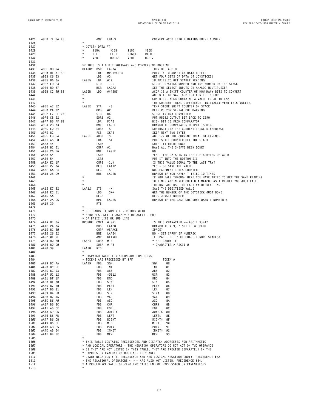| 1425         | A9DB 7E B4 F3               | JMP                                              | LB4F3                                                       | CONVERT ACCB INTO FLOATING POINT NUMBER                                                                                                                   |
|--------------|-----------------------------|--------------------------------------------------|-------------------------------------------------------------|-----------------------------------------------------------------------------------------------------------------------------------------------------------|
| 1426         |                             |                                                  |                                                             |                                                                                                                                                           |
| 1427<br>1428 |                             | JOYSTK DATA AT:<br>$^\star$<br>$^\ast$<br>\$15A  | \$15B<br>\$15C                                              | \$15D                                                                                                                                                     |
| 1429         |                             | $^\star$<br>LEFT                                 | LEFT<br>RIGHT                                               | RIGHT                                                                                                                                                     |
| 1430         |                             | $^{\star}$<br>VERT                               | HORIZ<br>VERT                                               | HORIZ                                                                                                                                                     |
| 1431         |                             |                                                  |                                                             |                                                                                                                                                           |
| 1432<br>1433 | A9DE 8D 94                  | GETJOY BSR                                       | ** THIS IS A 6 BIT SOFTWARE A/D CONVERSION ROUTINE<br>LA974 | TURN OFF AUDIO                                                                                                                                            |
| 1434         | A9EØ 8E Ø1 5E               | LDX                                              | #POTVAL+4                                                   | POINT X TO JOYSTICK DATA BUFFER                                                                                                                           |
| 1435         | A9E3 C6 03                  | LDB                                              | #3                                                          | GET FOUR SETS OF DATA (4 JOYSTICKS)                                                                                                                       |
| 1436         | A9E5 86 ØA                  | LA9E5<br>LDA                                     | #10                                                         | 10 TRIES TO GET STABLE READING                                                                                                                            |
| 1437         | A9E7 ED E3                  | <b>STD</b>                                       | $, -S$                                                      | STORE JOYSTICK NUMBER AND TRY NUMBER ON THE STACK                                                                                                         |
| 1438<br>1439 | A9E9 8D B7<br>A9EB CC 40 80 | BSR<br>LA9EB<br>LDD                              | LA9A2<br>#\$4080                                            | SET THE SELECT INPUTS ON ANALOG MULTIPLEXER<br>ACCA IS A SHIFT COUNTER OF HOW MANY BITS TO CONVERT                                                        |
| 1440         |                             |                                                  |                                                             | AND WILL BE \$40 (6 BITS) FOR THE COLOR                                                                                                                   |
| 1441         |                             | $^\star$                                         |                                                             | COMPUTER. ACCB CONTAINS A VALUE EQUAL TO 1/2                                                                                                              |
| 1442         |                             | $\star$                                          |                                                             | THE CURRENT TRIAL DIFFERENCE. INITIALLY =\$80 (2.5 VOLTS).                                                                                                |
| 1443<br>1444 | A9EE A7 E2<br>A9FØ CA Ø2    | LA9EE<br>STA<br>ORB                              | , - S<br>#2                                                 | TEMP STORE SHIFT COUNTER ON STACK<br>KEEP RS 232 SERIAL OUT MARKING                                                                                       |
| 1445         | A9F2 F7 FF 20               | STB                                              | DA                                                          | STORE IN D/A CONVERTER                                                                                                                                    |
| 1446         | A9F5 C8 02                  | EORB<br>#2                                       |                                                             | PUT R5232 OUTPUT BIT BACK TO ZERO                                                                                                                         |
| 1447         | A9F7 B6 FF 00               | LDA                                              | PIAØ                                                        | HIGH BIT IS FROM COMPARATOR                                                                                                                               |
| 1448<br>1449 | A9FA 2B 03<br>A9FC EØ E4    | BMI<br>SUBB                                      | LA9FF<br>, S                                                | BRANCH IF COMPARATOR OUTPUT IS HIGH<br>SUBTRACT 1/2 THE CURRENT TRIAL DIFFERENCE                                                                          |
| 1450         | A9FE 8C                     | FCB                                              | SKP2                                                        | SKIP NEXT TWO BYTES                                                                                                                                       |
| 1451         | A9FF EB E4                  | LA9FF<br>ADDB                                    | , S                                                         | ADD 1/2 OF THE CURRENT TRIAL DIFFERENCE                                                                                                                   |
| 1452         | AAØ1 A6 EØ<br>AAØ3 44       | LDA<br>LSRA                                      | , S+                                                        | PULL SHIFT COUNTER OFF THE STACK<br>SHIFT IT RIGHT ONCE                                                                                                   |
| 1453<br>1454 | AAØ4 81 01                  | CMPA<br>#1                                       |                                                             | HAVE ALL THE SHIFTS BEEN DONE?                                                                                                                            |
| 1455         | AAØ6 26 E6                  | BNE                                              | LA9EE                                                       | NO.                                                                                                                                                       |
| 1456         | AAØ8 54                     | LSRB                                             |                                                             | YES - THE DATA IS IN THE TOP 6 BYTES OF ACCB                                                                                                              |
| 1457         | AAØ9 54                     | LSRB                                             |                                                             | PUT IT INTO THE BOTTOM SIX                                                                                                                                |
| 1458<br>1459 | AAØA E1 1F<br>AAØC 27 04    | CMPB<br>BEQ                                      | $-1, X$<br>LAA12                                            | IS THIS VALUE EQUAL TO THE LAST TRY?<br>YES - GO SAVE THE VALUE                                                                                           |
| 1460         | AAØE 6A E4                  | DEC                                              | , S                                                         | NO-DECREMENT TRIES COUNTER                                                                                                                                |
| 1461         | AA10 26 D9                  | BNE                                              | LA9EB                                                       | BRANCH IF YOU HAVEN T TRIED 10 TIMES                                                                                                                      |
| 1462<br>1463 |                             | $^\star$<br>$^\star$                             |                                                             | IF YOU FALL THROUGH HERE YOU HAVE TRIED TO GET THE SAME READING                                                                                           |
| 1464         |                             |                                                  |                                                             | 10 TIMES AND NEVER GOTTEN A MATCH. AS A RESULT YOU JUST FALL<br>THROUGH AND USE THE LAST VALUE READ IN.                                                   |
| 1465         | AA12 E7 82                  | STB<br>LAA12                                     | , - X                                                       | SAVE THE DIGITIZED VALUE                                                                                                                                  |
| 1466         | AA14 EC E1                  | LDD                                              | , $\mathsf{S}++$                                            | GET THE NUMBER OF THE JOYSTICK JUST DONE                                                                                                                  |
| 1467<br>1468 | AA16 5A                     | DECB<br>BPL                                      | LA9E5                                                       | DECR JOYSTK NUMBER                                                                                                                                        |
| 1469         | AA17 2A CC<br>AA19 39       | <b>RTS</b>                                       |                                                             | BRANCH IF THE LAST ONE DONE WASN T NUMBER Ø                                                                                                               |
| 1470         |                             |                                                  |                                                             |                                                                                                                                                           |
| 1471         |                             |                                                  | * SET CARRY IF NUMERIC - RETURN WITH                        |                                                                                                                                                           |
| 1472<br>1473 |                             |                                                  | $\star$ ZERO FLAG SET IF ACCA = Ø OR 3A(:) - END            |                                                                                                                                                           |
| 1474         | AA1A 81 3A                  | * OF BASIC LINE OR SUB LINE<br>BROMHK CMPA #'9+1 |                                                             | IS THIS CHARACTER >=(ASCII 9)+1?                                                                                                                          |
| 1475         | AA1C 24 ØA                  | BHS                                              | LAA28                                                       | BRANCH IF $> 9$ ; Z SET IF = COLON                                                                                                                        |
| 1476         | AA1E 81 20                  | CMPA #SPACE                                      |                                                             | SPACE?                                                                                                                                                    |
| 1477<br>1478 | AA20 26 02<br>AA22 ØE 9F    | BNE<br>JMP                                       | LAA24<br>GETNCH                                             | NO - SET CARRY IF NUMERIC<br>IF SPACE, GET NECT CHAR (IGNORE SPACES)                                                                                      |
| 1479         | AA24 80 30                  | LAA24<br>SUBA #'Ø                                |                                                             | * SET CARRY IF                                                                                                                                            |
| 1480         | AA26 80 D0                  | SUBA $#$ -'Ø                                     |                                                             | * CHARACTER > ASCII Ø                                                                                                                                     |
| 1481         | AA28 39                     | LAA28<br><b>RTS</b>                              |                                                             |                                                                                                                                                           |
| 1482<br>1483 |                             |                                                  | * DISPATCH TABLE FOR SECONDARY FUNCTIONS                    |                                                                                                                                                           |
| 1484         |                             | * TOKENS ARE PRECEEDED BY \$FF                   |                                                             | TOKEN #                                                                                                                                                   |
| 1485         | AA29 BC 7A                  | LAA29<br>FDB                                     | SGN                                                         | 80<br>SGN                                                                                                                                                 |
| 1486         | AA2B BC EE                  | FDB<br>INT                                       |                                                             | INT<br>81                                                                                                                                                 |
| 1487<br>1488 | AA2D BC 93<br>AA2F 01 12    | FDB<br>FDB                                       | ABS<br>\$0112                                               | 82<br>ABS<br>USR<br>83                                                                                                                                    |
| 1489         | AA31 BF 1F                  | FDB                                              | RND                                                         | 84<br>RND                                                                                                                                                 |
| 1490         | AA33 BF 78                  | FDB                                              | SIN                                                         | 85<br>SIN                                                                                                                                                 |
| 1491         | AA35 B7 50                  | FDB                                              | PEEK                                                        | PEEK<br>86                                                                                                                                                |
| 1492<br>1493 | AA37 B6 81<br>AA39 B4 FD    | FDB<br>FDB                                       | LEN<br>STR                                                  | LEN<br>87<br>STR\$<br>88                                                                                                                                  |
| 1494         | AA3B B7 16                  | FDB                                              | VAL                                                         | 89<br>VAL                                                                                                                                                 |
| 1495         | AA3D B6 AØ                  | FDB                                              | ASC                                                         | ASC<br>8A                                                                                                                                                 |
| 1496         | AA3F B6 8C                  | FDB                                              | CHR                                                         | CHR\$<br>8B                                                                                                                                               |
| 1497<br>1498 | AA41 A5 CE<br>AA43 A9 C6    | FDB<br>FDB                                       | EOF<br><b>JOYSTK</b>                                        | EOF<br>8C<br><b>JOYSTK</b><br>8D                                                                                                                          |
| 1499         | AA45 B6 AB                  | FDB                                              | LEFT                                                        | 8E<br>LEFT\$                                                                                                                                              |
| 1500         | AA47 B6 C8                  | FDB                                              | RIGHT                                                       | RIGHT\$<br>8F                                                                                                                                             |
| 1501         | AA49 B6 CF                  | FDB                                              | MID                                                         | 90<br>MID\$                                                                                                                                               |
| 1502<br>1503 | AA4B A8 F5<br>AA4D A5 64    | FDB<br>FDB                                       | POINT<br>INKEY                                              | POINT<br>91<br>INKEY\$<br>92                                                                                                                              |
| 1504         | AA4F B4 EE                  | FDB                                              | MEM                                                         | 93<br>MEM                                                                                                                                                 |
| 1505         |                             |                                                  |                                                             |                                                                                                                                                           |
| 1506         |                             |                                                  |                                                             | * THIS TABLE CONTAINS PRECEDENCES AND DISPATCH ADDRESSES FOR ARITHMETIC                                                                                   |
| 1507<br>1508 |                             |                                                  |                                                             | * AND LOGICAL OPERATORS - THE NEGATION OPERATORS DO NOT ACT ON TWO OPERANDS<br>* SØ THEY ARE NOT LISTED IN THIS TABLE. THEY ARE TREATED SEPARATELY IN THE |
| 1509         |                             |                                                  | * EXPRESSION EVALUATION ROUTINE. THEY ARE:                  |                                                                                                                                                           |
| 1510         |                             |                                                  |                                                             | * UNARY NEGATION (-), PRECEDENCE &7D AND LOGICAL NEGATION (NOT), PRECEDENCE \$5A                                                                          |
| 1511         |                             |                                                  |                                                             | $*$ THE RELATIONAL OPERATORS $<$ > = ARE ALSO NOT LISTED, PRECEDENCE \$64.                                                                                |
| 1512<br>1513 |                             | $^\ast$                                          |                                                             | * A PRECEDENCE VALUE OF ZERO INDICATES END OF EXPRESSION OR PARENTHESES                                                                                   |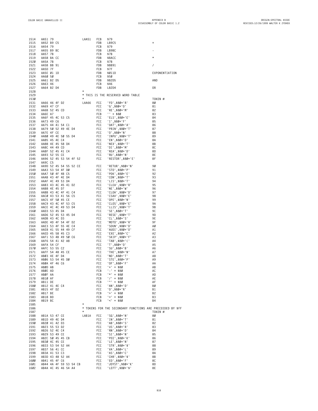**AA51 79 LAA51 FCB \$79**

|              |                                   |  |  |  |                            |            | 1515 AAS2 B9 CF FOR 18926<br>1516 AAS4 79<br>1516 AAS4 79<br>1518 AAS5 78<br>1518 AAS5 78<br>1528 AASA 78<br>1522 AAS4 78<br>1522 AAS4 78<br>1522 AAS4 82 DH<br>1522 AAS4 82 DH<br>1522 AAS4 82 DH<br>1522 AAS4 82 DH<br>1522 AAS4 82 DH<br>1522 AAS4 82 DH<br>1522 AAS4 |                 |  |
|--------------|-----------------------------------|--|--|--|----------------------------|------------|--------------------------------------------------------------------------------------------------------------------------------------------------------------------------------------------------------------------------------------------------------------------------|-----------------|--|
|              |                                   |  |  |  |                            |            |                                                                                                                                                                                                                                                                          |                 |  |
|              |                                   |  |  |  |                            |            |                                                                                                                                                                                                                                                                          |                 |  |
|              |                                   |  |  |  |                            |            |                                                                                                                                                                                                                                                                          |                 |  |
|              |                                   |  |  |  |                            |            |                                                                                                                                                                                                                                                                          |                 |  |
|              |                                   |  |  |  |                            |            |                                                                                                                                                                                                                                                                          |                 |  |
|              |                                   |  |  |  |                            |            |                                                                                                                                                                                                                                                                          | EXPONENTIATION  |  |
|              |                                   |  |  |  |                            |            |                                                                                                                                                                                                                                                                          |                 |  |
|              |                                   |  |  |  |                            |            |                                                                                                                                                                                                                                                                          |                 |  |
|              |                                   |  |  |  |                            |            |                                                                                                                                                                                                                                                                          |                 |  |
|              |                                   |  |  |  |                            |            |                                                                                                                                                                                                                                                                          |                 |  |
|              |                                   |  |  |  |                            |            |                                                                                                                                                                                                                                                                          |                 |  |
|              |                                   |  |  |  |                            |            |                                                                                                                                                                                                                                                                          |                 |  |
|              |                                   |  |  |  |                            |            |                                                                                                                                                                                                                                                                          |                 |  |
|              |                                   |  |  |  |                            |            |                                                                                                                                                                                                                                                                          |                 |  |
|              |                                   |  |  |  |                            |            |                                                                                                                                                                                                                                                                          |                 |  |
|              |                                   |  |  |  |                            |            |                                                                                                                                                                                                                                                                          |                 |  |
|              |                                   |  |  |  |                            |            |                                                                                                                                                                                                                                                                          |                 |  |
|              |                                   |  |  |  |                            |            |                                                                                                                                                                                                                                                                          |                 |  |
|              |                                   |  |  |  |                            |            |                                                                                                                                                                                                                                                                          |                 |  |
|              |                                   |  |  |  |                            |            |                                                                                                                                                                                                                                                                          |                 |  |
|              |                                   |  |  |  |                            |            |                                                                                                                                                                                                                                                                          |                 |  |
|              |                                   |  |  |  |                            |            |                                                                                                                                                                                                                                                                          |                 |  |
|              |                                   |  |  |  |                            |            |                                                                                                                                                                                                                                                                          |                 |  |
|              |                                   |  |  |  |                            |            |                                                                                                                                                                                                                                                                          |                 |  |
|              |                                   |  |  |  |                            |            |                                                                                                                                                                                                                                                                          |                 |  |
|              |                                   |  |  |  |                            |            |                                                                                                                                                                                                                                                                          |                 |  |
|              |                                   |  |  |  |                            |            |                                                                                                                                                                                                                                                                          |                 |  |
|              |                                   |  |  |  |                            |            |                                                                                                                                                                                                                                                                          |                 |  |
|              |                                   |  |  |  |                            |            |                                                                                                                                                                                                                                                                          |                 |  |
|              |                                   |  |  |  |                            |            |                                                                                                                                                                                                                                                                          |                 |  |
|              |                                   |  |  |  |                            |            |                                                                                                                                                                                                                                                                          |                 |  |
|              |                                   |  |  |  |                            |            |                                                                                                                                                                                                                                                                          |                 |  |
|              |                                   |  |  |  |                            |            |                                                                                                                                                                                                                                                                          |                 |  |
|              |                                   |  |  |  |                            |            | 1949 AA39 62 56 CE RETUR , \$80 F N<br>1944 AA39 62 45 53 54 4F 52<br>1644 AA39 62 45 53 54 4F 52<br>1648 AA40 C5 45 54 56 52 CE RETUR , \$80 F 12<br>1958 AAA3 53 54 4F 90<br>1958 AAA3 56 4F 90 FC C 'DON', \$80 F PC<br>1958 AAA3 56 4F 4 8 CS F                      |                 |  |
|              |                                   |  |  |  |                            |            |                                                                                                                                                                                                                                                                          |                 |  |
|              |                                   |  |  |  |                            |            |                                                                                                                                                                                                                                                                          |                 |  |
|              |                                   |  |  |  |                            |            |                                                                                                                                                                                                                                                                          |                 |  |
|              |                                   |  |  |  |                            |            |                                                                                                                                                                                                                                                                          |                 |  |
|              |                                   |  |  |  |                            |            |                                                                                                                                                                                                                                                                          |                 |  |
|              |                                   |  |  |  |                            |            |                                                                                                                                                                                                                                                                          |                 |  |
|              |                                   |  |  |  |                            |            |                                                                                                                                                                                                                                                                          |                 |  |
|              |                                   |  |  |  |                            |            |                                                                                                                                                                                                                                                                          |                 |  |
|              |                                   |  |  |  |                            |            |                                                                                                                                                                                                                                                                          |                 |  |
|              |                                   |  |  |  |                            |            |                                                                                                                                                                                                                                                                          |                 |  |
|              |                                   |  |  |  |                            |            |                                                                                                                                                                                                                                                                          |                 |  |
|              |                                   |  |  |  |                            |            |                                                                                                                                                                                                                                                                          |                 |  |
|              |                                   |  |  |  |                            |            |                                                                                                                                                                                                                                                                          |                 |  |
|              |                                   |  |  |  |                            |            |                                                                                                                                                                                                                                                                          |                 |  |
|              |                                   |  |  |  |                            |            |                                                                                                                                                                                                                                                                          |                 |  |
|              |                                   |  |  |  |                            |            |                                                                                                                                                                                                                                                                          |                 |  |
|              |                                   |  |  |  |                            |            |                                                                                                                                                                                                                                                                          |                 |  |
|              |                                   |  |  |  |                            |            |                                                                                                                                                                                                                                                                          |                 |  |
|              |                                   |  |  |  |                            |            |                                                                                                                                                                                                                                                                          |                 |  |
|              |                                   |  |  |  |                            |            |                                                                                                                                                                                                                                                                          |                 |  |
|              |                                   |  |  |  |                            |            |                                                                                                                                                                                                                                                                          |                 |  |
|              |                                   |  |  |  |                            |            |                                                                                                                                                                                                                                                                          |                 |  |
| 1577 ABØF AA |                                   |  |  |  | <b>ECB</b>                 |            | $'*' + $80$<br>$'/' + $80$                                                                                                                                                                                                                                               | AD              |  |
| 1578<br>1579 | AB10 AF<br>AB11 DE                |  |  |  |                            | FCB<br>FCB | $'$ ^' + \$80                                                                                                                                                                                                                                                            | AE<br>AF        |  |
| 1580         | AB12 41 4E C4                     |  |  |  |                            | FCC        | 'AN',\$80+'D'                                                                                                                                                                                                                                                            | ВØ              |  |
| 1581         | AB15 4F D2                        |  |  |  |                            | FCC        | $'0',$ \$80+'R'                                                                                                                                                                                                                                                          | B1              |  |
| 1582         | AB17 BE                           |  |  |  |                            | FCB        | $'$ >' + \$80                                                                                                                                                                                                                                                            | B <sub>2</sub>  |  |
| 1583         | AB18 BD                           |  |  |  |                            | FCB        | $' =' + $80$                                                                                                                                                                                                                                                             | B <sub>3</sub>  |  |
| 1584         | AB19 BC                           |  |  |  |                            | FCB        | $'$ <' + \$80                                                                                                                                                                                                                                                            | B4              |  |
| 1585         |                                   |  |  |  | $\star$                    |            |                                                                                                                                                                                                                                                                          |                 |  |
| 1586         |                                   |  |  |  |                            |            | * TOKENS FOR THE SECONDARY FUNCTIONS ARE PRECEEDED BY \$FF                                                                                                                                                                                                               |                 |  |
| 1587         |                                   |  |  |  | $^\star$                   |            |                                                                                                                                                                                                                                                                          | TOKEN #         |  |
| 1588         |                                   |  |  |  | LAB1A                      | FCC        | 'SG',\$80+'N'                                                                                                                                                                                                                                                            | 80              |  |
| 1589         | AB1A 53 47 CE                     |  |  |  |                            | FCC        | 'IN',\$80+'T'                                                                                                                                                                                                                                                            | 81              |  |
|              | AB1D 49 4E D4                     |  |  |  |                            | FCC        | 'AB',\$80+'S'                                                                                                                                                                                                                                                            | 82              |  |
| 1590         | AB20 41 42 D3                     |  |  |  |                            | FCC        | 'US',\$80+'R'                                                                                                                                                                                                                                                            | 83              |  |
| 1591         | AB23 55 53 D2                     |  |  |  |                            |            |                                                                                                                                                                                                                                                                          |                 |  |
| 1592         | AB26 52 4E C4                     |  |  |  |                            | FCC        | $'RN'$ ,\$80+'D'                                                                                                                                                                                                                                                         | 84              |  |
| 1593         | AB29 53 49 CE                     |  |  |  |                            | FCC        | 'SI',\$80+'N'                                                                                                                                                                                                                                                            | 85              |  |
| 1594         | AB2C 50 45 45 CB                  |  |  |  |                            | FCC        | 'PEE',\$80+'K'                                                                                                                                                                                                                                                           | 86              |  |
| 1595         | AB30 4C 45 CE                     |  |  |  |                            | FCC        | 'LE',\$80+'N'                                                                                                                                                                                                                                                            | 87              |  |
| 1596         | AB33 53 54 52 A4                  |  |  |  |                            | FCC        | 'STR',\$80+'\$'                                                                                                                                                                                                                                                          | 88              |  |
| 1597         | AB37 56 41 CC                     |  |  |  |                            | FCC        | 'VA',\$80+'L'                                                                                                                                                                                                                                                            | 89              |  |
| 1598<br>1599 | AB3A 41 53 C3<br>AB3D 43 48 52 A4 |  |  |  |                            | FCC<br>FCC | 'AS',\$80+'C'                                                                                                                                                                                                                                                            | <b>8A</b><br>8B |  |
| 1600         |                                   |  |  |  |                            | FCC        |                                                                                                                                                                                                                                                                          | 8C              |  |
| 1601         | AB41 45 4F C6                     |  |  |  | AB44 4A 4F 59 53 54 CB FCC |            | 、、,≯80+'\$'<br>'EO',\$80+'F'<br>',1∩∨⊂⊤<br>'JOYST',\$80+'K'<br>'LEFT', \$80+'\$'                                                                                                                                                                                         | 8D              |  |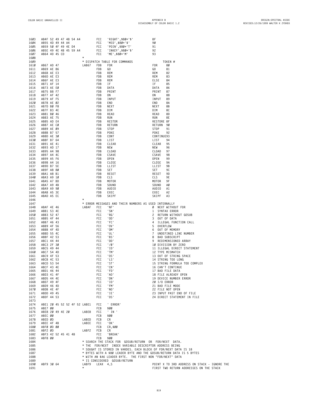| 1603         | AB4F 52 49 47 48 54 A4         |  |  |  |                                                       | FCC        | 'RIGHT',\$80+'\$'  |  | 8F               |              |                                                                                                                 |
|--------------|--------------------------------|--|--|--|-------------------------------------------------------|------------|--------------------|--|------------------|--------------|-----------------------------------------------------------------------------------------------------------------|
| 1604         | AB55 4D 49 44 A4               |  |  |  |                                                       | FCC        | 'MID',\$80+'\$'    |  | 90               |              |                                                                                                                 |
| 1605         | AB59 50 4F 49 4E D4            |  |  |  |                                                       | FCC        | 'POIN',\$80+'T'    |  | 91               |              |                                                                                                                 |
| 1606         | AB5E 49 4E 4B 45 59 A4         |  |  |  |                                                       | FCC        | 'INKEY', \$80+'\$' |  | 92               |              |                                                                                                                 |
| 1607         | AB64 4D 45 CD                  |  |  |  |                                                       | FCC        | 'ME',\$80+'M'      |  | 93               |              |                                                                                                                 |
| 1608         |                                |  |  |  |                                                       |            |                    |  |                  |              |                                                                                                                 |
| 1609         |                                |  |  |  | * DISPATCH TABLE FOR COMMANDS                         |            |                    |  |                  |              | TOKEN #                                                                                                         |
| 1610         | AB67 AD 47                     |  |  |  | LAB67                                                 | FDB        | FOR                |  | F <sub>0</sub> R |              | 80                                                                                                              |
| 1611         | AB69 AE 86                     |  |  |  |                                                       | FDB        | GO.                |  | GO.              |              | 81                                                                                                              |
| 1612         | AB6B AE E3                     |  |  |  |                                                       | FDB        | REM                |  | REM              |              | 82                                                                                                              |
| 1613         | AB6D AE E3                     |  |  |  |                                                       | FDB        | REM                |  | REM              |              | 83                                                                                                              |
| 1614         | AB6F AE E3                     |  |  |  |                                                       | FDB        | REM                |  | ELSE             |              | 84                                                                                                              |
| 1615         | AB71 AF 14                     |  |  |  |                                                       | FDB        | IF                 |  | ΙF               |              | 85                                                                                                              |
| 1616         | AB73 AE EØ                     |  |  |  |                                                       | FDB        | DATA               |  | DATA             |              | 86                                                                                                              |
| 1617         | AB75 B8 F7                     |  |  |  |                                                       | FDB        | PRINT              |  | PRINT            |              | 87                                                                                                              |
| 1618         | AB77 AF 42                     |  |  |  |                                                       | FDB        | ON                 |  | ON               |              | 88                                                                                                              |
| 1619         | AB79 AF F5                     |  |  |  |                                                       | FDB        | INPUT              |  | INPUT            |              | 89                                                                                                              |
| 1620         | AB7B AE 02                     |  |  |  |                                                       | FDB        | END                |  | END              |              | 8Α                                                                                                              |
| 1621         | AB7D BØ F8                     |  |  |  |                                                       | FDB        | NEXT               |  | NEXT             |              | 8Β                                                                                                              |
| 1622         | AB7F B3 4E                     |  |  |  |                                                       | FDB        | DIM                |  | DIM              |              | 8C                                                                                                              |
| 1623         | AB81 BØ 46                     |  |  |  |                                                       | FDB        | READ               |  | READ             |              | 8D                                                                                                              |
| 1624         | AB83 AE 75                     |  |  |  |                                                       | FDB        | RUN                |  | RUN              |              | 8Ε                                                                                                              |
| 1625         | AB85 AD E4                     |  |  |  |                                                       | FDB        | RESTOR             |  |                  | RESTORE 8F   |                                                                                                                 |
| 1626         | AB87 AE CØ                     |  |  |  |                                                       | FDB        | RETURN             |  |                  | RETURN 90    |                                                                                                                 |
| 1627         | AB89 AE 09                     |  |  |  |                                                       | FDB        | STOP               |  | <b>STOP</b>      |              | 91                                                                                                              |
| 1628         | AB8B B7 57                     |  |  |  |                                                       | FDB        | <b>POKE</b>        |  | POKE             |              | 92                                                                                                              |
| 1629         | AB8D AE 30                     |  |  |  |                                                       | FDB        | CONT               |  |                  | CONTINUE93   |                                                                                                                 |
| 1630         | AB8F B7 64                     |  |  |  |                                                       | FDB        | LIST               |  | LIST             |              | 94                                                                                                              |
| 1631         | AB91 AE 41                     |  |  |  |                                                       | FDB        | CLEAR              |  | CLEAR            |              | 95                                                                                                              |
| 1632         | AB93 AD 17                     |  |  |  |                                                       | FDB        | NEW                |  | NEW              |              | 96                                                                                                              |
| 1633         | AB95 A4 98                     |  |  |  |                                                       | FDB        | CLOAD              |  | CLOAD            |              | 97                                                                                                              |
| 1634         | AB97 A4 4C                     |  |  |  |                                                       | FDB        | CSAVE              |  | CSAVE            |              | 98                                                                                                              |
| 1635         | AB99 A5 F6                     |  |  |  |                                                       | FDB        | OPEN               |  | OPEN             |              | 99                                                                                                              |
| 1636         | AB9B A4 16                     |  |  |  |                                                       | FDB        | CLOSE              |  | CLOSE            |              | 9A                                                                                                              |
| 1637         | AB9D B7 5E                     |  |  |  |                                                       | FDB        | LLIST              |  | LLIST            |              | 9Β                                                                                                              |
| 1638         | AB9F A8 80                     |  |  |  |                                                       | FDB        | SET                |  | SET              |              | 9C                                                                                                              |
| 1639         | ABA1 A8 B1                     |  |  |  |                                                       | FDB        | RESET              |  | RESET            |              | 9D                                                                                                              |
| 1640         | ABA3 A9 10                     |  |  |  |                                                       | FDB        | CLS                |  | CLS              |              | 9E                                                                                                              |
| 1641         | ABA5 A7 BD                     |  |  |  |                                                       | FDB        | MOTOR              |  | MOTOR            |              | 9F                                                                                                              |
| 1642         | ABA7 A9 4B                     |  |  |  |                                                       | FDB        | SOUND              |  | SOUND            |              | ΑØ                                                                                                              |
| 1643         | ABA9 A9 90                     |  |  |  |                                                       | FDB        | AUDIO              |  | AUDIO            |              | A1                                                                                                              |
| 1644         | ABAB A5 3E                     |  |  |  |                                                       | FDB<br>FDB | EXEC               |  | EXEC<br>SKIPF    |              | A2                                                                                                              |
| 1645<br>1646 | ABAD A5 EC                     |  |  |  | $\star$                                               |            | SKIPF              |  |                  |              | A3                                                                                                              |
| 1647         |                                |  |  |  | * ERROR MESSAGES AND THEIR NUMBERS AS USED INTERNALLY |            |                    |  |                  |              |                                                                                                                 |
| 1648         | ABAF 4E 46                     |  |  |  | LABAF                                                 | <b>FCC</b> | 'NF'               |  |                  |              | Ø NEXT WITHOUT FOR                                                                                              |
| 1649         | ABB1 53 4E                     |  |  |  |                                                       | FCC        | 'SN'               |  |                  |              | 1 SYNTAX ERROR                                                                                                  |
| 1650         | ABB3 52 47                     |  |  |  |                                                       | FCC        | 'RG'               |  |                  |              | 2 RETURN WITHOUT GOSUB                                                                                          |
| 1651         | ABB5 4F 44                     |  |  |  |                                                       | FCC        | '0D'               |  | 3                |              | OUT OF DATA                                                                                                     |
| 1652         | ABB7 46 43                     |  |  |  |                                                       | FCC        | "FC"               |  |                  |              | 4 ILLEGAL FUNCTION CALL                                                                                         |
| 1653         | ABB9 4F 56                     |  |  |  |                                                       | <b>FCC</b> | '0V'               |  |                  | 5 OVERFLOW   |                                                                                                                 |
| 1654         | ABBB 4F 4D                     |  |  |  |                                                       | FCC        | $'$ OM $'$         |  |                  |              | 6 OUT OF MEMORY                                                                                                 |
| 1655         | ABBD 55 4C                     |  |  |  |                                                       | FCC        | 'UL'               |  | $7^{\circ}$      |              | UNDEFINED LINE NUMBER                                                                                           |
| 1656         | ABBF 42 53                     |  |  |  |                                                       | FCC        | 'BS'               |  |                  |              | 8 BAD SUBSCRIPT                                                                                                 |
| 1657         | ABC1 44 44                     |  |  |  |                                                       | FCC        | 'DD'               |  |                  |              | 9 REDIMENSIONED ARRAY                                                                                           |
| 1658         | ABC3 2F 30                     |  |  |  |                                                       | FCC        | $'$ /Ø'            |  |                  |              | 10 DIVISION BY ZERO                                                                                             |
| 1659         | ABC5 49 44                     |  |  |  |                                                       | FCC        | 'ID'               |  |                  |              | 11 ILLEGAL DIRECT STATEMENT                                                                                     |
| 1660         | ABC7 54 4D                     |  |  |  |                                                       | FCC        | 'TM'               |  |                  |              | 12 TYPE MISMATCH                                                                                                |
| 1661         | ABC9 4F 53                     |  |  |  |                                                       | FCC        | '0S'               |  |                  |              | 13 OUT OF STRING SPACE                                                                                          |
| 1662         | ABCB 4C 53                     |  |  |  |                                                       | FCC        | 'LS'               |  |                  |              | 14 STRING TOO LONG                                                                                              |
| 1663         | ABCD 53 54                     |  |  |  |                                                       | FCC        | 'ST'               |  |                  |              | 15 STRING FORMULA TOO COMPLEX                                                                                   |
| 1664         | ABCF 43 4E                     |  |  |  |                                                       | FCC        | 'CN'               |  |                  |              | 16 CAN'T CONTINUE                                                                                               |
| 1665         | ABD1 46 44                     |  |  |  |                                                       | FCC        | 'FD'               |  |                  |              | 17 BAD FILE DATA                                                                                                |
| 1666         | ABD3 41 4F                     |  |  |  |                                                       | <b>FCC</b> | ' AO '             |  |                  |              | 18 FILE ALREADY OPEN                                                                                            |
| 1667         | ABD5 44 4E                     |  |  |  |                                                       | FCC        | 'DN'               |  |                  |              | 19 DEVICE NUMBER ERROR                                                                                          |
| 1668         | ABD7 49 4F                     |  |  |  |                                                       | <b>FCC</b> | '10'               |  |                  | 20 I/O ERROR |                                                                                                                 |
| 1669         | ABD9 46 4D                     |  |  |  |                                                       | <b>FCC</b> | 'FM'               |  |                  |              | 21 BAD FILE MODE                                                                                                |
| 1670         | ABDB 4E 4F                     |  |  |  |                                                       | <b>FCC</b> | ' NO'              |  |                  |              | 22 FILE NOT OPEN                                                                                                |
| 1671         | ABDD 49 45                     |  |  |  |                                                       | <b>FCC</b> | 'IE'               |  |                  |              | 23 INPUT PAST END OF FILE                                                                                       |
| 1672         | ABDF 44 53                     |  |  |  |                                                       | <b>FCC</b> | 'DS'               |  |                  |              | 24 DIRECT STATEMENT IN FILE                                                                                     |
| 1673         |                                |  |  |  |                                                       |            |                    |  |                  |              |                                                                                                                 |
| 1674         |                                |  |  |  | ABE1 20 45 52 52 4F 52 LABE1                          | FCC        | ' ERROR'           |  |                  |              |                                                                                                                 |
| 1675         | ABE7 00                        |  |  |  |                                                       | FCB        | \$00               |  |                  |              |                                                                                                                 |
| 1676         | ABE8 20 49 4E 20               |  |  |  | LABE8                                                 | FCC        | $'$ IN $'$         |  |                  |              |                                                                                                                 |
| 1677         | ABEC 00                        |  |  |  |                                                       | FCB        | \$00               |  |                  |              |                                                                                                                 |
| 1678         | ABED ØD                        |  |  |  | LABED                                                 | FCB        | CR                 |  |                  |              |                                                                                                                 |
| 1679         | ABEE 4F 4B                     |  |  |  | LABEE                                                 | FCC        | ' OK '             |  |                  |              |                                                                                                                 |
| 1680         | ABFØ ØD ØØ                     |  |  |  |                                                       | FCB        | CR, \$00           |  |                  |              |                                                                                                                 |
| 1681         | ABF2 ØD                        |  |  |  | LABF2                                                 | FCB        | CR                 |  |                  |              |                                                                                                                 |
| 1682         | ABF3 42 52 45 41 4B<br>ABF8 00 |  |  |  |                                                       | <b>FCC</b> | 'BREAK'            |  |                  |              |                                                                                                                 |
| 1683<br>1684 |                                |  |  |  |                                                       | FCB        | \$00               |  |                  |              |                                                                                                                 |
| 1685         |                                |  |  |  |                                                       |            |                    |  |                  |              | * SEARCH THE STACK FOR GOSUB/RETURN OR FOR/NEXT DATA.<br>* THE FOR/NEXT INDEX VARIABLE DESCRIPTOR ADDRESS BEING |
| 1686         |                                |  |  |  |                                                       |            |                    |  |                  |              | * SOUGHT IS STORED IN VARDES. EACH BLOCK OF FOR/NEXT DATA IS 18                                                 |
| 1687         |                                |  |  |  |                                                       |            |                    |  |                  |              | * BYTES WITH A \$80 LEADER BYTE AND THE GOSUB/RETURN DATA IS 5 BYTES                                            |
| 1688         |                                |  |  |  |                                                       |            |                    |  |                  |              | * WITH AN \$A6 LEADER BYTE. THE FIRST NON "FOR/NEXT" DATA                                                       |
| 1689         |                                |  |  |  | * IS CONSIDERED GOSUB/RETURN                          |            |                    |  |                  |              |                                                                                                                 |
| 1690         | ABF9 30 64                     |  |  |  | LABF9                                                 | LEAX 4,S   |                    |  |                  |              | POINT X TO 3RD ADDRESS ON STACK - IGNORE THE                                                                    |
| 1691         |                                |  |  |  |                                                       |            |                    |  |                  |              | FIRST TWO RETURN ADDRESSES ON THE STACK                                                                         |
|              |                                |  |  |  |                                                       |            |                    |  |                  |              |                                                                                                                 |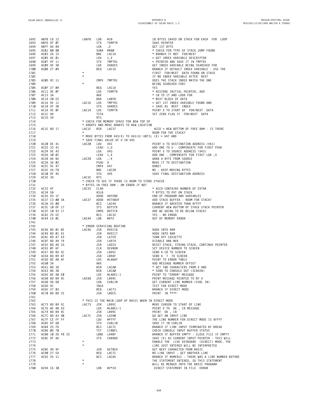| 1692         | ABFB C6 12               |                              | LABFB     | LDB        | #18                                                    | 18 BYTES SAVED ON STACK FOR EACH FOR LOOP                                                                                                                                                                      |
|--------------|--------------------------|------------------------------|-----------|------------|--------------------------------------------------------|----------------------------------------------------------------------------------------------------------------------------------------------------------------------------------------------------------------|
| 1693         | ABFD 9F ØF               |                              |           | <b>STX</b> |                                                        | SAVE POINTER                                                                                                                                                                                                   |
| 1694         | ABFF A6 84               |                              |           | LDA        | TEMPTR<br>,X                                           | GET 1ST BYTE                                                                                                                                                                                                   |
| 1695         | AC01 80 80               |                              |           |            | SUBA #\$80                                             | * CHECK FOR TYPE OF STACK JUMP FOUND                                                                                                                                                                           |
| 1696         | ACØ3 26 15               |                              |           | BNE        |                                                        |                                                                                                                                                                                                                |
| 1697         | AC05 AE 01               |                              |           | LDX        | LAC1A<br>1.X                                           |                                                                                                                                                                                                                |
| 1698         | ACØ7 9F 11               |                              |           | <b>STX</b> |                                                        |                                                                                                                                                                                                                |
| 1699         | ACØ9 9E 3B               |                              |           | LDX        | TMPTR1<br>VARDES                                       | * BRANCH IF NOT FOR/NEXT<br>= GET INDEX VARIABLE DESCRIPTOR<br>= POINTER AND SAVE IT IN TMPTR1<br>GET INDEX VARIABLE BEING SEARCH<br>BRANCH IF DEFAULT INDEX VARIABLE<br>GET INDEX VARIABLE BEING SEARCHED FOR |
| 1700         | ACØB 27 09               |                              |           | BEQ        |                                                        | BRANCH IF DEFAULT INDEX VARIABLE - USE THE                                                                                                                                                                     |
|              |                          |                              | $\star$   |            | LAC16                                                  | FIRST FOR/NEXT DATA FOUND ON STACK                                                                                                                                                                             |
| 1701<br>1702 |                          |                              | $^\star$  |            |                                                        | IF NO INDEX VARIABLE AFTER NEXT                                                                                                                                                                                |
|              |                          |                              |           |            |                                                        |                                                                                                                                                                                                                |
| 1703         | ACØD 9C 11               |                              | $^\star$  | CMPX       | TMPTR1                                                 | DOES THE STACK INDEX MATCH THE ONE                                                                                                                                                                             |
| 1704         |                          |                              |           |            |                                                        | BEING SEARCHED FOR?                                                                                                                                                                                            |
| 1705         | ACØF 27 09               |                              |           | <b>BEQ</b> | LAC1A                                                  | YES                                                                                                                                                                                                            |
| 1706         | AC11 9E ØF               |                              |           | LDX        | TEMPTR                                                 | * RESTORE INITIAL POINTER, ADD                                                                                                                                                                                 |
| 1707         | AC13 3A                  |                              |           | ABX        |                                                        | * 18 TO IT AND LOOK FOR                                                                                                                                                                                        |
| 1708         | AC14 20 E5<br>AC16 9E 11 |                              |           | BRA        | LABFB<br>TMPTR1                                        | * NEXT BLOCK OF DATA                                                                                                                                                                                           |
| 1709         |                          |                              | LAC16 LDX |            |                                                        | = GET 1ST INDEX VARIABLE FOUND AND                                                                                                                                                                             |
| 1710         | AC18 9F 3B               |                              |           | STX        | VARDES                                                 |                                                                                                                                                                                                                |
| 1711         | AC1A 9E ØF               |                              | LAC1A     | LDX        | TEMPTR                                                 | = GET 1ST INDEX VARIABL<br>= SAVE AS NEXT INDEX<br>POINT X TO START OF FC<br>SET ZERO ELAG IF FOR/N<br>POINT X TO START OF FOR/NEXT DATA                                                                       |
| 1712         | AC1C 4D                  |                              |           | TSTA       |                                                        | SET ZERO FLAG IF FOR/NEXT DATA                                                                                                                                                                                 |
| 1713         | AC1D 39                  |                              |           | <b>RTS</b> |                                                        |                                                                                                                                                                                                                |
| 1714         |                          |                              |           |            | * CHECK FOR MEMORY SPACE FOR NEW TOP OF                |                                                                                                                                                                                                                |
| 1715         |                          |                              |           |            | * ARRAYS AND MOVE ARRAYS TO NEW LOCATION               |                                                                                                                                                                                                                |
| 1716         | AC1E 8D 17               |                              | LAC1E     | BSR        | LAC37                                                  | $ACCD = NEW$ BOTTOM OF FREE RAM - IS THERE                                                                                                                                                                     |
| 1717         |                          |                              |           |            |                                                        | ROOM FOR THE STACK?                                                                                                                                                                                            |
| 1718         |                          |                              |           |            | * MOVE BYTES FROM V43(X) TO V41(U) UNTIL (X) = V47 AND |                                                                                                                                                                                                                |
| 1719         |                          |                              |           |            | * SAVE FINAL VALUE OF U IN V45                         |                                                                                                                                                                                                                |
| 1720         |                          | AC20 DE 41                   | LAC20     | LDU        | V41                                                    | POINT U TO DESTINATION ADDRESS (V41)                                                                                                                                                                           |
| 1721         | AC22 33 41               |                              |           |            |                                                        | ADD ONE TO U - COMPENSATE FOR FIRST PSHU                                                                                                                                                                       |
| 1722         | AC24 9E 43               |                              |           |            | .DU<br>LEAU 1,∪<br>LDX V43<br>LEAX 1,X<br>'DA ,-X<br>A | ADD ONE TO U - COMPENSATE FOR FIRST PS<br>POINT X TO SOURCE ADDRESS (V43)<br>ADD ONE - COMPENSATE FOR FIRST LDA ,X<br>GRAB A BYTE FROM SOURCE<br>MOVE IT TO DESTINATION                                        |
| 1723         | AC26 30 01               |                              |           |            |                                                        |                                                                                                                                                                                                                |
| 1724         |                          | $AC28$ A6 82 LAC28 LDA, $-X$ |           |            |                                                        |                                                                                                                                                                                                                |
| 1725         | AC2A 36 02               |                              |           |            |                                                        |                                                                                                                                                                                                                |
| 1726         | AC2C 9C 47               |                              |           |            |                                                        | DONE?                                                                                                                                                                                                          |
| 1727         | AC2E 26 F8               |                              |           | BNE        | LAC28                                                  | NO - KEEP MOVING BYTES                                                                                                                                                                                         |
| 1728         | AC30 DF 45               |                              |           | STU        | V45                                                    | SAVE FINAL DESTINATION ADDRESS                                                                                                                                                                                 |
| 1729         | AC32 39                  |                              | LAC32 RTS |            |                                                        |                                                                                                                                                                                                                |
| 1730         |                          |                              |           |            | * CHECK TO SEE IF THERE IS ROOM TO STORE 2*ACCB        |                                                                                                                                                                                                                |
| 1731         |                          |                              |           |            | * BYTES IN FREE RAM - OM ERROR IF NOT                  |                                                                                                                                                                                                                |
| 1732         | AC33 4F                  |                              | LAC33     | CLRA       |                                                        | * ACCD CONTAINS NUMBER OF EXTRA                                                                                                                                                                                |
| 1733         | AC34 58                  |                              |           | ASLB       |                                                        | * BYTES TO PUT ON STACK                                                                                                                                                                                        |
| 1734         |                          | AC35 D3 1F                   |           |            | ASLD<br>ADDD ARYEND                                    | END OF PROGRAM AND VARIABLES                                                                                                                                                                                   |
| 1735         |                          | AC37 C3 00 3A                |           |            | LAC37 ADDD #STKBUF                                     | ADD STACK BUFFER - ROOM FOR STACK?                                                                                                                                                                             |
| 1736         | AC3A 25 08               |                              |           | BCS        | LAC44                                                  |                                                                                                                                                                                                                |
| 1737         |                          | AC3C 10 DF 17                |           | STS        | BOTSTK                                                 | ADD STACK BUFFER - ROOM FOR STAC<br>BRANCH IF GREATER THAN \$FFFF<br>CURRENT NEW BOTTOM OF STACK STAC<br>ARE WE GOING TO BE BELOW STACK?<br>CURRENT NEW BOTTOM OF STACK STACK POINTER                          |
| 1738         |                          | AC3F 10 93 17                |           |            | CMPD BOTSTK                                            |                                                                                                                                                                                                                |
| 1739         | AC42 25 EE               |                              |           | BCS        | LAC32                                                  | YES - NO ERROR                                                                                                                                                                                                 |
| 1740         | AC44 C6 ØC               |                              | LAC44 LDB |            | #6*2                                                   | OUT OF MEMORY ERROR                                                                                                                                                                                            |
| 1741         |                          |                              |           |            |                                                        |                                                                                                                                                                                                                |
| 1742         |                          |                              |           |            | * ERROR SERVICING ROUTINE                              |                                                                                                                                                                                                                |
| 1743         |                          | AC46 BD 01 8E                | LAC46 JSR |            | RVEC16                                                 | HOOK INTO RAM                                                                                                                                                                                                  |
| 1744         |                          | AC49 BD 01 91                |           | JSR        | RVEC17                                                 | HOOK INTO RAM                                                                                                                                                                                                  |
| 1745         |                          | AC4C BD A7 E9                |           | JSR        | LA7E9                                                  | TURN OFF CASSETTE                                                                                                                                                                                              |
| 1746         |                          | AC4F BD A9 74                |           | JSR        |                                                        | DISABLE ANA MUX                                                                                                                                                                                                |
| 1747         |                          | AC52 BD AD 33                |           | JSR        |                                                        | RESET STACK, STRING STACK, CONTINUE POINTER                                                                                                                                                                    |
| 1748         | AC55 ØF 6F               |                              |           | CLR        |                                                        | SET DEVICE NUMBER TO SCREEN                                                                                                                                                                                    |
| 1749         |                          | AC57 BD B9 5C                |           | JSR        | LA974<br>LAD33<br>DEVNUM<br>LB95C<br>LB945             | SEND A CR TO SCREEN                                                                                                                                                                                            |
| 1750         |                          | AC5A BD B9 AF                |           | JSR        | LL<br>LB9AF<br>#LABAF                                  | SEND A ? TO SCREEN                                                                                                                                                                                             |
| 1751         |                          | AC5D 8E AB AF                |           | LDX        |                                                        | POINT TO ERROR TABLE                                                                                                                                                                                           |
| 1752         | AC6Ø 3A                  |                              |           | ABX        |                                                        | ADD MESSAGE NUMBER OFFSET                                                                                                                                                                                      |
| 1753         | AC61 8D 3D               |                              |           | BSR        | LACAØ                                                  | * GET TWO CHARACTERS FROM X AND                                                                                                                                                                                |
| 1754         | AC63 8D 3B               |                              |           | BSR        | LACAØ                                                  | * SEND TO CONSOLE OUT (SCREEN)                                                                                                                                                                                 |
| 1755         |                          | AC65 8E AB EØ                |           | LDX        | #LABE1-1                                               | POINT TO "ERROR" MESSAGE                                                                                                                                                                                       |
| 1756         |                          | AC68 BD B9 9C                | LAC68     | JSR        | LB99C                                                  | PRINT MESSAGE POINTED TO BY X                                                                                                                                                                                  |
| 1757         | AC6B 96 68               |                              |           | LDA        | CURLIN                                                 | GET CURRENT LINE NUMBER (CURL IN)                                                                                                                                                                              |
| 1758         | AC6D 4C                  |                              |           | INCA       |                                                        | TEST FOR DIRECT MODE                                                                                                                                                                                           |
| 1759         | AC6E 27 03               |                              |           | BEQ        | LAC73                                                  | BRANCH IF DIRECT MODE                                                                                                                                                                                          |
| 1760         |                          | AC70 BD BD C5                |           | JSR        | LBDC5                                                  | PRINT IN ****                                                                                                                                                                                                  |
| 1761         |                          |                              |           |            |                                                        |                                                                                                                                                                                                                |
| 1762         |                          |                              |           |            | * THIS IS THE MAIN LOOP OF BASIC WHEN IN DIRECT MODE   |                                                                                                                                                                                                                |
| 1763         |                          | AC73 BD B9 5C                | LAC73     | JSR        | LB95C                                                  | MOVE CURSOR TO START OF LINE                                                                                                                                                                                   |
| 1764         |                          | AC76 8E AB ED                |           | LDX        | #LABE1-1                                               | POINT X TO OK, CR MESSAGE                                                                                                                                                                                      |
| 1765         |                          | AC79 BD B9 9C                |           | JSR        | LB99C                                                  | PRINT OK, CR                                                                                                                                                                                                   |
| 1766         |                          | AC7C BD A3 90                | LAC7C     | JSR        | LA390                                                  | GO GET AN INPUT LINE                                                                                                                                                                                           |
| 1767         |                          | AC7F CE FF FF                |           | LDU        | #FFFF                                                  | THE LINE NUMBER FOR DIRECT MODE IS \$FFFF                                                                                                                                                                      |
| 1768         | AC82 DF 68               |                              |           | STU        | CURLIN                                                 | SAVE IT IN CURLIN                                                                                                                                                                                              |
| 1769         | AC84 25 F6               |                              |           | <b>BCS</b> | LAC7C                                                  | BRANCH IF LINE INPUT TERMINATED BY BREAK                                                                                                                                                                       |
| 1770         | AC86 ØD 70               |                              |           | TST        | CINBFL                                                 | CHECK CONSOLE INPUT BUFFER STATUS                                                                                                                                                                              |
| 1771         |                          | AC88 10 26 F8 33             |           |            | LBNE LA4BF                                             | BRANCH IF BUFFER EMPTY - CLOSE FILE IF EMPTY                                                                                                                                                                   |
| 1772         | AC8C 9F A6               |                              |           | <b>STX</b> | CHARAD                                                 | SAVE (X) AS CURRENT INPUT POINTER - THIS WILL                                                                                                                                                                  |
| 1773         |                          |                              |           |            |                                                        | ENABLE THE LIVE KEYBOARD (DIRECT) MODE. THE                                                                                                                                                                    |
| 1774         |                          |                              | $^\star$  |            |                                                        | LINE JUST ENTERED WILL BE INTERPRETED                                                                                                                                                                          |
|              |                          |                              |           |            |                                                        |                                                                                                                                                                                                                |
| 1775         | AC8E 9D 9F<br>AC90 27 EA |                              |           | JSR<br>BEQ | GETNCH<br>LAC7C                                        | GET NEXT CHARACTER FROM BASIC<br>NO LINE INPUT - GET ANOTHER LINE                                                                                                                                              |
| 1776         | AC92 25 11               |                              |           | <b>BCS</b> | LACA5                                                  | BRANCH IF NUMER1C - THERE WAS A LINE NUMBER BEFORE                                                                                                                                                             |
| 1777         |                          |                              |           |            |                                                        |                                                                                                                                                                                                                |
| 1778         |                          |                              | $\star$   |            |                                                        | THE STATEMENT ENTERED, SO THIS STATEMENT                                                                                                                                                                       |
| 1779         |                          |                              |           |            |                                                        | WILL BE MERGED INTO THE BASIC PROGRAM                                                                                                                                                                          |
| 1780         | AC94 C6 30               |                              |           | LDB        | #2*24                                                  | DIRECT STATEMENT IN FILE ERROR                                                                                                                                                                                 |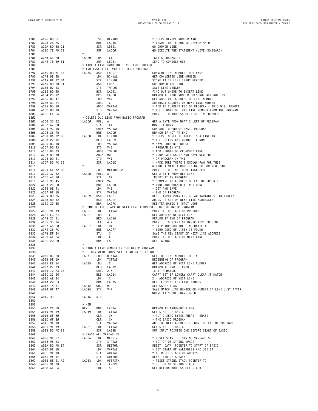| 1781         | AC96 ØD 6F                                     |                                 | TST               | DEVNUM                                                                     | * CHECK DEVICE NUMBER AND                                                                   |
|--------------|------------------------------------------------|---------------------------------|-------------------|----------------------------------------------------------------------------|---------------------------------------------------------------------------------------------|
| 1782<br>1783 | AC98 26 AC<br>AC9A BD B8 21                    |                                 | BNE<br>JSR        | LAC46<br>LB821                                                             | * ISSUE DS ERROR IF DEVNUM <> Ø<br>GO CRUNCH LINE                                           |
| 1784         | AC9D 7E AD CØ                                  |                                 | JMP               | LADCØ                                                                      | GO EXECUTE THE STATEMENT (LIVE KEYBOARD)                                                    |
| 1785         |                                                |                                 |                   |                                                                            |                                                                                             |
| 1786         | ACAØ A6 80<br>ACA2 7E B9 B1                    | LACAØ                           | LDA<br>JMP        | , X+                                                                       | GET A CHARACTER                                                                             |
| 1787<br>1788 |                                                |                                 |                   | LB9B1<br>* TAKE A LINE FROM THE LINE INPUT BUFFER                          | SEND TO CONSOLE OUT                                                                         |
| 1789         |                                                |                                 |                   | * AND INSERT IT INTO THE BASIC PROGRAM                                     |                                                                                             |
| 1790         | ACA5 BD AF 67                                  | LACA5                           | JSR               | LAF67                                                                      | CONVERT LINE NUMBER TO BINARY                                                               |
| 1791         | ACA8 9E 2B                                     |                                 | LDX               | BINVAL                                                                     | GET CONVERTED LINE NUMBER                                                                   |
| 1792         | ACAA BF 02 DA                                  |                                 | STX               | LINHDR                                                                     | STORE IT IN LINE INPUT HEADER                                                               |
| 1793<br>1794 | ACAD BD B8 21<br>ACBØ D7 03                    |                                 | JSR<br>STB        | LB821<br>TMPLOC                                                            | GO CRUNCH THE LINE<br>SAVE LINE LENGTH                                                      |
| 1795         | ACB2 8D 4D                                     |                                 | BSR               | LADØ1                                                                      | FIND OUT WHERE TO INSERT LINE                                                               |
| 1796         | ACB4 25 12                                     |                                 | <b>BCS</b>        | LACC8                                                                      | BRANCH IF LINE NUMBER DOES NOT ALREADY EXIST                                                |
| 1797         | ACB6 DC 47                                     |                                 | LDD               | V47                                                                        | GET ABSOLUTE ADDRESS OF LINE NUMBER                                                         |
| 1798         | ACB8 A3 84                                     |                                 | SUBD              | , X                                                                        | SUBTRACT ADDRESS OF NEXT LINE NUMBER                                                        |
| 1799         | ACBA D3 1B                                     |                                 | ADDD              | VARTAB                                                                     | * ADD TO CURRENT END OF PROGRAM - THIS WILL REMOVE                                          |
| 1800<br>1801 | ACBC DD 1B<br>ACBE EE 84                       |                                 | STD<br>LDU        | VARTAB<br>, X                                                              | * THE LENGTH OF THIS LINE NUMBER FROM THE PROGRAM<br>POINT U TO ADDRESS OF NEXT LINE NUMBER |
| 1802         |                                                |                                 |                   | * DELETE OLD LINE FROM BASIC PROGRAM                                       |                                                                                             |
| 1803         | ACCØ 37 02                                     | LACCØ                           | PULU A            |                                                                            | GET A BYTE FROM WHAT S LEFT OF PROGRAM                                                      |
| 1804         | ACC2 A7 80                                     |                                 | STA               | , X+                                                                       | MOVE IT DOWN                                                                                |
| 1805         | ACC4 9C 1B                                     |                                 |                   | CMPX VARTAB                                                                | COMPARE TO END OF BASIC PROGRAM                                                             |
| 1806         | ACC6 26 F8                                     | LACC8                           | BNE<br>LDA        | LACCØ                                                                      | BRANCH IF NOT AT END                                                                        |
| 1807<br>1808 | ACC8 B6 02 DC<br>ACCB 27 1C                    |                                 | BEQ               | LINBUF<br>LACE9                                                            | * CHECK TO SEE IF THERE IS A LINE IN<br>* THE BUFFER AND BRANCH IF NONE                     |
| 1809         | ACCD DC 1B                                     |                                 | LDD               | VARTAB                                                                     | = SAVE CURRENT END OF                                                                       |
| 1810         | ACCF DD 43                                     |                                 | STD               | V43                                                                        | $=$ PROGRAM IN V43                                                                          |
| 1811         | ACD1 DB 03                                     |                                 | ADDB              | TMPLOC                                                                     | * ADD LENGTH OF CRUNCHED LINE,                                                              |
| 1812         | ACD3 89 00                                     |                                 | ADCA #Ø           |                                                                            | * PROPOGATE CARRY AND SAVE NEW END                                                          |
| 1813<br>1814 | ACD5 DD 41<br>ACD7 BD AC 1E                    |                                 | STD<br>JSR        | V41<br>LAC1E                                                               | * OF PROGRAM IN V41<br>= MAKE SURE THERE S ENOUGH RAM FOR THIS                              |
| 1815         |                                                |                                 |                   |                                                                            | = LINE & MAKE A HOLE IN BASIC FOR NEW LINE                                                  |
| 1816         | ACDA CE Ø2 D8                                  |                                 | LDU               | #LINHDR-2                                                                  | POINT U TO LINE TO BE INSERTED                                                              |
| 1817         | ACDD 37 02                                     | LACDD                           | PULU A            |                                                                            | GET A BYTE FROM NEW LINE                                                                    |
| 1818         | ACDF A7 80                                     |                                 | STA               | $, X+$                                                                     | INSERT IT IN PROGRAM                                                                        |
| 1819         | ACE1 9C 45<br>ACE3 26 F8                       |                                 | CMPX V45<br>BNE   |                                                                            | * COMPARE TO ADDRESS OF END OF INSERTED<br>* LINE AND BRANCH IF NOT DONE                    |
| 1820<br>1821 | ACE5 9E 41                                     |                                 | LDX               | LACDD<br>V41                                                               | $=$ GET AND SAVE                                                                            |
| 1822         | ACE7 9F 1B                                     |                                 | STX               | VARTAB                                                                     | = END OF PROGRAM                                                                            |
| 1823         | ACE9 8D 36                                     | LACE9                           | BSR               | LAD21                                                                      | RESET INPUT POINTER, CLEAR VARIABLES, INITIALIZE                                            |
| 1824         | ACEB 8D 02                                     |                                 | BSR               | LACEF                                                                      | ADJUST START OF NEXT LINE ADDRESSES                                                         |
| 1825         | ACED 20 8D                                     |                                 | <b>BRA</b>        | LAC7C                                                                      | REENTER BASIC S INPUT LOOP                                                                  |
| 1826<br>1827 | ACEF 9E 19                                     | LACEF                           | LDX               | * COMPUTE THE START OF NEXT LINE ADDRESSES FOR THE BASIC PROGRAM<br>TXTTAB | POINT X TO START OF PROGRAM                                                                 |
| 1828         | ACF1 EC 84                                     | LACF1                           | LDD               | ,Χ                                                                         | GET ADDRESS OF NEXT LINE                                                                    |
|              |                                                |                                 | BEQ               | LAD16                                                                      | RETURN IF END OF PROGRAM                                                                    |
| 1829         | ACF3 27 21                                     |                                 |                   |                                                                            |                                                                                             |
| 1830         | ACF5 33 04                                     |                                 | LEAU 4, X         |                                                                            | POINT U TO START OF BASIC TEXT IN LINE                                                      |
| 1831         | ACF7 A6 CØ                                     | LACF7                           | LDA               | , U+                                                                       | * SKIP THROUGH THE LINE UNTIL A                                                             |
| 1832         | ACF9 26 FC                                     |                                 | BNE               | LACF7                                                                      | * ZERO (END OF LINE) IS FOUND                                                               |
| 1833         | ACFB EF 84                                     |                                 | STU               | , X                                                                        | SAVE THE NEW START OF NEXT LINE ADDRESS                                                     |
| 1834<br>1835 | ACFD AE 84<br>ACFF 20 FØ                       |                                 | LDX<br><b>BRA</b> | , X<br>LACF1                                                               | POINT X TO START OF NEXT LINE<br>KEEP GOING                                                 |
| 1836         |                                                |                                 |                   |                                                                            |                                                                                             |
| 1837         |                                                |                                 |                   | * FIND A LINE NUMBER IN THE BASIC PROGRAM                                  |                                                                                             |
| 1838         |                                                |                                 |                   | * RETURN WITH CARRY SET IF NO MATCH FOUND                                  |                                                                                             |
| 1839         | ADØ1 DC 2B                                     | LADØ1                           | LDD               | BINVAL                                                                     | GET THE LINE NUMBER TO FIND                                                                 |
| 1840<br>1841 | ADØ3 9E 19<br>ADØ5 EE 84                       | LADØ5                           | LDX<br>LDU        | TXTTAB                                                                     | BEGINNING OF PROGRAM<br>GET ADDRESS OF NEXT LINE NUMBER                                     |
| 1842         | ADØ7 27 09                                     |                                 | <b>BEQ</b>        | , X<br>LAD12                                                               | BRANCH IF END OF PROG                                                                       |
| 1843         | AD09 10 A3 02                                  |                                 | $CMPD$ 2, $X$     |                                                                            | IS IT A MATCH?                                                                              |
| 1844         | ADØC 23 06                                     |                                 |                   | BLS LAD14                                                                  | CARRY SET IF LOWER; CARRY CLEAR IF MATCH                                                    |
| 1845         | ADØE AE 84                                     |                                 | LDX               | , X                                                                        | $X =$ ADDRESS OF NEXT LINE                                                                  |
| 1846         | AD10 20 F3                                     |                                 | BRA               | LADØ5                                                                      | KEEP LOOPING FOR LINE NUMBER<br>SET CARRY FLAG                                              |
| 1847<br>1848 | AD12 1A 01<br>AD14 9F 47                       | LAD12 ORCC #1<br>LAD14          | STX               | V47                                                                        | SAVE MATCH LINE NUMBER OR NUMBER OF LINE JUST AFTER                                         |
| 1849         |                                                |                                 |                   |                                                                            | WHERE IT SHOULD HAVE BEEN                                                                   |
| 1850         | AD16 39                                        | LAD16                           | <b>RTS</b>        |                                                                            |                                                                                             |
| 1851         |                                                |                                 |                   |                                                                            |                                                                                             |
| 1852         |                                                | * NEW                           |                   |                                                                            |                                                                                             |
| 1853<br>1854 | AD17 26 FB<br>AD19 9E 19                       | NEW                             | BNE               | LAD14<br>LAD19 LDX TXTTAB                                                  | BRANCH IF ARGUMENT GIVEN<br>GET START OF BASIC                                              |
| 1855         | AD1B 6F 80                                     |                                 | CLR               | , X+                                                                       | * PUT 2 ZERO BYTES THERE - ERASE                                                            |
| 1856         | AD1D 6F 80                                     |                                 | CLR               | , X+                                                                       | * THE BASIC PROGRAM                                                                         |
| 1857         | AD1F 9F 1B                                     |                                 | STX               | VARTAB                                                                     | AND THE NEXT ADDRESS IS NOW THE END OF PROGRAM                                              |
| 1858         | AD21 9E 19                                     | LAD21 LDX                       |                   | TXTTAB                                                                     | GET START OF BASIC                                                                          |
| 1859         | AD23 BD AE BB                                  |                                 | JSR               | LAEBB                                                                      | PUT INPUT POINTER ONE BEFORE START OF BASIC                                                 |
| 1860<br>1861 | AD26 9E 27                                     | LAD26 LDX                       |                   | * ERASE ALL VARIABLES<br>MEMSIZ                                            | * RESET START OF STRING VARIABLES                                                           |
| 1862         | AD28 9F 23                                     |                                 | STX               | STRTAB                                                                     | * TO TOP OF STRING SPACE                                                                    |
| 1863         | AD2A BD AD E4                                  |                                 | JSR               | RESTOR                                                                     | RESET DATA POINTER TO START OF BASIC                                                        |
| 1864         | AD2D 9E 1B                                     |                                 | LDX               | VARTAB                                                                     | * GET START OF VARIABLES AND USE IT                                                         |
| 1865         | AD2F 9F 1D                                     |                                 | STX               | ARYTAB                                                                     | * TO RESET START OF ARRAYS                                                                  |
| 1866<br>1867 | AD31 9F 1F                                     |                                 |                   | STX ARYEND                                                                 | RESET END OF ARRAYS<br>* RESET STRING STACK POINTER TO                                      |
| 1868         | AD33 8E Ø1 A9<br>AD36 9F ØB<br>1869 AD38 AE E4 | STX ARYEND<br>LAD33 LDX #STRSTK | STX               | TEMPPT                                                                     | * BOTTOM OF STRING STACK<br>GET RETURN ADDRESS OFF STACK                                    |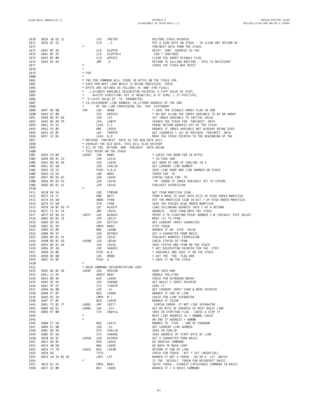| 1870 | AD3A 10 DE 21    | LDS                       | FRETOP                                                       | RESTORE STACK POINTER                                         |
|------|------------------|---------------------------|--------------------------------------------------------------|---------------------------------------------------------------|
| 1871 | AD3D 6F E2       | CLR                       | , - S                                                        | PUT A ZERO BYTE ON STACK - TO CLEAR ANY RETURN OF             |
| 1872 |                  | $^{\star}$                |                                                              | FOR/NEXT DATA FROM THE STACK                                  |
| 1873 | AD3F ØF 2D       | CLR                       | OLDPTR                                                       | RESET CONT ADDRESS SO YOU                                     |
| 1874 | AD41 ØF 2E       | CLR                       | OLDPTR+1                                                     | CAN T CONTINUE                                                |
| 1875 | AD43 ØF Ø8       | CLR                       | ARYDIS                                                       | CLEAR THE ARRAY DISABLE FLAG                                  |
| 1876 | AD45 6E 84       | JMP                       | ,Χ                                                           | RETURN TO CALLING ROUTINE - THIS IS NECESSARY                 |
| 1877 |                  | $^\star$                  |                                                              | SINCE THE STACK WAS RESET                                     |
| 1878 |                  | $\star$                   |                                                              |                                                               |
| 1879 |                  | $*$ FOR                   |                                                              |                                                               |
| 1880 |                  | $^\star$                  |                                                              |                                                               |
| 1881 |                  |                           | * THE FOR COMMAND WILL STORE 18 BYTES ON THE STACK FOR       |                                                               |
| 1882 |                  |                           | * EACH FOR-NEXT LOOP WHICH IS BEING PROCESSED. THESE         |                                                               |
| 1883 |                  |                           | * BYTES ARE DEFINED AS FOLLOWS: 0- \$80 (FOR FLAG);          |                                                               |
| 1884 |                  | $\ast$                    | 1,2=INDEX VARIABLE DESCRIPTOR POINTER; 3-7=FP VALUE OF STEP; |                                                               |
| 1885 |                  | $\star$                   |                                                              | 8=STEP DIRECTION: \$FF IF NEGATIVE; Ø IF ZERO; 1 IF POSITIVE; |
| 1886 |                  |                           | * 9-13=FP VALUE OF TO PARAMETER;                             |                                                               |
| 1887 |                  |                           | * 14,15=CURRENT LINE NUMBER; 16,17=RAM ADDRESS OF THE END    |                                                               |
| 1888 |                  | *                         | OF THE LINE CONTAINING THE FOR STATEMENT                     |                                                               |
| 1889 | AD47 86 80       | FOR<br>LDA                | #\$80                                                        | * SAVE THE DISABLE ARRAY FLAG IN VO8                          |
| 1890 | AD49 97 08       | STA                       | ARYDIS                                                       | * DO NOT ALLOW THE INDEX VARIABLE TO BE AN ARRAY              |
|      |                  |                           |                                                              |                                                               |
| 1891 | AD4B BD AF 89    | JSR                       | LET                                                          | SET INDEX VARIABLE TO INITIAL VALUE                           |
| 1892 | AD4E BD AB F9    | JSR                       | LABF9                                                        | SEARCH THE STACK FOR FOR/NEXT DATA                            |
| 1893 | AD51 32 62       |                           | LEAS 2,S                                                     | PURGE RETURN ADDRESS OFF OF THE STACK                         |
| 1894 | AD53 26 04       | BNE                       | LAD59                                                        | BRANCH IF INDEX VARIABLE NOT ALREADY BEING USED               |
| 1895 | AD55 9E ØF       | LDX                       | TEMPTR                                                       | GET (ADDRESS + 18) OF MATCHED FOR/NEXT DATA                   |
| 1896 | AD57 32 85       | LEAS B, X                 |                                                              | MOVE THE STACK POINTER TO THE BEGINNING OF THE                |
| 1897 |                  |                           | * MATCHED FOR/NEXT DATA SO THE NEW DATA WILL                 |                                                               |
| 1898 |                  |                           | * OVERLAY THE OLD DATA. THIS WILL ALSO DESTROY               |                                                               |
| 1899 |                  |                           | * ALL OF THE RETURN AND FOR/NEXT DATA BELOW                  |                                                               |
| 1900 |                  | * THIS POINT ON THE STACK |                                                              |                                                               |
| 1901 | AD59 C6 09       | LAD59<br>LDB              | #\$09                                                        | * CHECK FOR ROOM FOR 18 BYTES                                 |
| 1902 | AD5B BD AC 33    | JSR                       | LAC33                                                        | * IN FREE RAM                                                 |
| 1903 | AD5E BD AE E8    | JSR                       | LAEE8                                                        | GET ADDR OF END OF SUBLINE IN X                               |
| 1904 | AD61 DC 68       | LDD                       | CURLIN                                                       | GET CURRENT LINE NUMBER                                       |
| 1905 | AD63 34 16       |                           | PSHS X, B, A                                                 | SAVE LINE ADDR AND LINE NUMBER ON STACK                       |
| 1906 | AD65 C6 A5       | LDB                       | #\$A5                                                        | TOKEN FOR TO                                                  |
| 1907 | AD67 BD B2 6F    | JSR                       | LB26F                                                        | SYNTAX CHECK FOR TO                                           |
| 1908 | AD6A BD B1 43    | JSR                       | LB143                                                        | TM ERROR IF INDEX VARIABLE SET TO STRING                      |
| 1909 | AD6D BD B1 41    | JSR                       | LB141                                                        | EVALUATE EXPRESSION                                           |
| 1910 |                  | $\star$                   |                                                              |                                                               |
| 1911 | AD70 D6 54       | LDB                       | FPØSGN                                                       | GET FPAØ MANTISSA SIGN                                        |
| 1912 | AD72 CA 7F       | ORB                       | #\$7F                                                        | FORM A MASK TO SAVE DATA BITS OF HIGH ORDER MANTISSA          |
| 1913 | AD74 D4 50       | ANDB                      | FPAØ                                                         | PUT THE MANTISSA SIGN IN BIT 7 OF HIGH ORDER MANTISSA         |
| 1914 | AD76 D7 50       | STB                       | FPAØ                                                         | SAVE THE PACKED HIGH ORDER MANTISSA                           |
| 1915 | AD78 10 8E AD 7F | LDY                       | #LAD7F                                                       | LOAD FOLLOWING ADDRESS INTO Y AS A RETURN                     |
| 1916 | AD7C 7E B1 EA    | JMP                       | LB1EA                                                        | ADDRESS - PUSH FPAØ ONTO THE STACK                            |
| 1917 | AD7F 8E BA C5    | LAD7F<br>LDX              | #LBAC5                                                       | POINT X TO FLOATING POINT NUMBER 1.0 (DEFAULT STEP VALUE)     |
| 1918 | AD82 BD BC 14    | JSR                       | LBC14                                                        | MOVE (X) TO FPAØ                                              |
| 1919 | AD85 9D A5       | JSR                       | GETCCH                                                       | GET CURRENT INPUT CHARACTER                                   |
| 1920 | AD87 81 A9       |                           | CMPA #\$A9                                                   | STEP TOKEN                                                    |
| 1921 | AD89 26 05       | BNE                       | LAD9Ø                                                        | BRANCH IF NO STEP VALUE                                       |
| 1922 | AD8B 9D 9F       | JSR                       | GETNCH                                                       | GET A CHARACTER FROM BASIC                                    |
| 1923 | AD8D BD B1 41    | JSR                       | LB141                                                        | EVALUATE NUMERIC EXPRESSION                                   |
| 1924 | AD90 BD BC 6D    | LAD9Ø<br>JSR              | LBC6D                                                        | CHECK STATUS OF FPAØ                                          |
| 1925 | AD93 BD B1 E6    | JSR                       | LB1E6                                                        | SAVE STATUS AND FPAØ ON THE STACK                             |
| 1926 | AD96 DC 3B       | LDD                       | VARDES                                                       | * GET DESCRIPTOR POINTER FOR THE STEP                         |
| 1927 | AD98 34 06       | PSHS B, A                 |                                                              | * VARIABLE AND SAVE IT ON THE STACK                           |
| 1928 | AD9A 86 80       | LDA                       | #\$80                                                        | = GET THE FOR FLAG AND                                        |
| 1929 | AD9C 34 02       | PSHS A                    |                                                              | = SAVE IT ON THE STACK                                        |
| 1930 |                  | $\star$                   |                                                              |                                                               |
| 1931 |                  |                           | * MAIN COMMAND INTERPRETATION LOOP                           |                                                               |
| 1932 | AD9E BD 01 9A    | LAD9E<br>JSR              | RVEC20                                                       | HOOK INTO RAM                                                 |
| 1933 | ADA1 1C AF       |                           | ANDCC #\$AF                                                  | ENABLE IRQ, FIRQ                                              |
| 1934 | ADA3 8D 46       | BSR                       | LADEB                                                        | CHECK FOR KEYBOARD BREAK                                      |
| 1935 | ADA5 9E A6       | LDX                       | CHARAD                                                       | GET BASIC S INPUT POINTER                                     |
| 1936 | ADA7 9F 2F       | <b>STX</b>                | TINPTR                                                       | SAVE IT                                                       |
| 1937 | ADA9 A6 80       | LDA                       | $, x +$                                                      | GET CURRENT INPUT CHAR & MOVE POINTER                         |
| 1938 | ADAB 27 07       | BEQ                       | LADB4                                                        | BRANCH IF END OF LINE                                         |
| 1939 | ADAD 81 3A       | $CMPA$ #':                |                                                              | CHECK FOR LINE SEPARATOR                                      |
| 1940 | ADAF 27 ØF       | BEQ                       | LADCØ                                                        | BRANCH IF COLON                                               |
| 1941 | ADB1 7E B2 77    | JMP<br>LADB1              | LB277                                                        | SYNTAX ERROR - IF NOT LINE SEPARATOR                          |
| 1942 | ADB4 A6 81       | LADB4<br>LDA              | , X++                                                        | GET MS BYTE OF ADDRESS OF NEXT BASIC LINE                     |
| 1943 | ADB6 97 00       | STA                       | ENDFLG                                                       | SAVE IN STOP/END FLAG - CAUSE A STOP IF                       |
| 1944 |                  | $\star$                   |                                                              | NEXT LINE ADDRESS IS $<$ \$8000; CAUSE                        |
| 1945 |                  | $\star$                   |                                                              | AN END IF ADDRESS > \$8000                                    |
| 1946 | ADB8 27 5B       | BEQ                       | LAE15                                                        | BRANCH TO STOP - END OF PROGRAM                               |
| 1947 | ADBA EC 80       | LDD                       | $, X+$                                                       | GET CURRENT LINE NUMBER                                       |
| 1948 | ADBC DD 68       | STD                       | CURLIN                                                       | SAVE IN CURLIN                                                |
| 1949 | ADBE 9F A6       | STX                       | CHARAD                                                       | SAVE ADDRESS OF FIRST BYTE OF LINE                            |
| 1950 | ADCØ 9D 9F       | LADCØ<br>JSR              | GETNCH                                                       | GET A CHARACTER FROM BASIC                                    |
| 1951 | ADC2 8D 02       | <b>BSR</b>                | LADC6                                                        | GO PROCESS COMMAND                                            |
| 1952 | ADC4 20 D8       | BRA                       | LAD9E                                                        | GO BACK TO MAIN LOOP                                          |
| 1953 | ADC6 27 78       | LADC6<br>BEQ              | LAE4Ø                                                        | RETURN IF END OF LINE                                         |
| 1954 | ADC8 4D          | TSTA                      |                                                              | CHECK FOR TOKEN - BIT 7 SET (NEGATIVE)                        |
| 1955 | ADC9 10 2A 01 BC | LBPL<br>$^\star$          | LET.                                                         | BRANCH IF NOT A TOKEN - GO DO A LET WHICH                     |
| 1956 |                  |                           |                                                              | IS THE DEFAULT TOKEN FOR MICROSOFT BASIC                      |
| 1957 | ADCD 81 A3       |                           | CMPA #\$A3                                                   | SKIPF TOKEN - HIGHEST EXECUTABLE COMMAND IN BASIC             |
| 1958 | ADCF 22 ØB       | BHI                       | LADDC                                                        | BRANCH IF > A BASIC COMMAND                                   |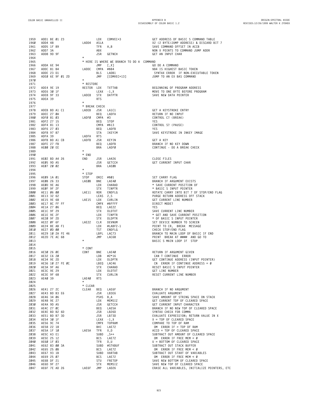| 1959         | ADD1 BE 01 23                  |  |                | LDX                     | COMVEC+3                                  | GET ADDRESS OF BASIC S COMMAND TABLE                                               |  |
|--------------|--------------------------------|--|----------------|-------------------------|-------------------------------------------|------------------------------------------------------------------------------------|--|
| 1960         | ADD4 48                        |  | LADD4          | ASLA                    |                                           | X2 (2 BYTE/JUMP ADDRESS) & DISCARD BIT 7                                           |  |
| 1961         | ADD5 1F 89                     |  |                | TFR                     | A,B                                       | SAVE COMMAND OFFSET IN ACCB                                                        |  |
| 1962         | ADD7 3A                        |  |                | ABX                     |                                           | NON X POINTS TO COMMAND JUMP ADDR                                                  |  |
| 1963<br>1964 | ADD8 9D 9F                     |  | $\star$        | JSR                     | GETNCH                                    | GET AN INPUT CHAR                                                                  |  |
| 1965         |                                |  |                |                         | * HERE IS WHERE WE BRANCH TO DO A COMMAND |                                                                                    |  |
| 1966         | ADDA 6E 94                     |  |                | JMP                     | [,X]                                      | GO DO A COMMAND                                                                    |  |
| 1967         | ADDC 81 B4                     |  | LADDC          | CMPA #\$B4              |                                           | \$B4 IS HIGHEST BASIC TOKEN                                                        |  |
| 1968         | ADDE 23 D1                     |  |                | <b>BLS</b>              | LADB1                                     | SYNTAX ERROR IF NON-EXECUTABLE TOKEN                                               |  |
| 1969         | ADEØ 6E 9F Ø1 2D               |  |                | JMP                     | [COMVEC+13]                               | JUMP TO AN EX BAS COMMAND                                                          |  |
| 1970         |                                |  | $\star$        |                         |                                           |                                                                                    |  |
| 1971         |                                |  | * RESTORE      |                         |                                           |                                                                                    |  |
| 1972         | ADE4 9E 19                     |  | RESTOR LDX     |                         | TXTTAB                                    | BEGINNING OF PROGRAM ADDRESS                                                       |  |
| 1973<br>1974 | ADE6 30 1F<br>ADE8 9F 33       |  | LADE8          | LEAX -1,X<br><b>STX</b> | DATPTR                                    | MOVE TO ONE BYTE BEFORE PROGRAM<br>SAVE NEW DATA POINTER                           |  |
| 1975         | ADEA 39                        |  |                | <b>RTS</b>              |                                           |                                                                                    |  |
| 1976         |                                |  | $\star$        |                         |                                           |                                                                                    |  |
| 1977         |                                |  | * BREAK CHECK  |                         |                                           |                                                                                    |  |
| 1978         | ADEB BD A1 C1                  |  | LADEB          | JSR                     | LA1C1                                     | GET A KEYSTROKE ENTRY                                                              |  |
| 1979         | ADEE 27 ØA                     |  |                | BEQ                     | LADFA                                     | RETURN IF NO INPUT                                                                 |  |
| 1980         | ADFØ 81 03                     |  | LADFØ          | CMPA #3                 |                                           | CONTROL C? (BREAK)                                                                 |  |
| 1981         | ADF2 27 15                     |  |                | BEQ                     | STOP                                      | YES                                                                                |  |
| 1982         | ADF4 81 13                     |  |                | CMPA #\$13              |                                           | CONTROL S? (PAUSE)                                                                 |  |
| 1983         | ADF6 27 03                     |  |                | BEQ                     | LADFB                                     | YES                                                                                |  |
| 1984<br>1985 | ADF8 97 87                     |  |                | STA<br><b>RTS</b>       | IKEYIM                                    | SAVE KEYSTROKE IN INKEY IMAGE                                                      |  |
| 1986         | ADFA 39<br>ADFB BD A1 CB       |  | LADFA<br>LADFB | JSR                     | KEYIN                                     | GET A KEY                                                                          |  |
| 1987         | ADFE 27 FB                     |  |                | BEQ                     | LADFB                                     | BRANCH IF NO KEY DOWN                                                              |  |
| 1988         | AE00 20 EE                     |  |                | <b>BRA</b>              | LADFØ                                     | CONTINUE - DO A BREAK CHECK                                                        |  |
| 1989         |                                |  | $^\star$       |                         |                                           |                                                                                    |  |
| 1990         |                                |  | * END          |                         |                                           |                                                                                    |  |
| 1991         | AE02 BD A4 26                  |  | END            | JSR                     | LA426                                     | CLOSE FILES                                                                        |  |
| 1992         | AEØ5 9D A5                     |  |                | JSR                     | GETCCH                                    | GET CURRENT INPUT CHAR                                                             |  |
| 1993         | AE07 20 02                     |  |                | BRA                     | LAEØB                                     |                                                                                    |  |
| 1994         |                                |  | $^\star$       |                         |                                           |                                                                                    |  |
| 1995         |                                |  | * STOP         |                         |                                           |                                                                                    |  |
| 1996<br>1997 | AEØ9 1A Ø1<br>AEØB 26 33       |  | STOP<br>LAEØB  | ORCC #\$01<br>BNE       | LAE4Ø                                     | SET CARRY FLAG<br>BRANCH IF ARGUMENT EXISTS                                        |  |
| 1998         | AEØD 9E A6                     |  |                | LDX                     | CHARAD                                    | * SAVE CURRENT POSITION OF                                                         |  |
| 1999         | AEØF 9F 2F                     |  |                | <b>STX</b>              | TINPTR                                    | * BASIC S INPUT POINTER                                                            |  |
| 2000         | AE11 06 00                     |  | LAE11          | ROR                     | ENDFLG                                    | ROTATE CARRY INTO BIT 7 OF STOP/END FLAG                                           |  |
| 2001         | AE13 32 62                     |  |                | LEAS 2,S                |                                           | PURGE RETURN ADDRESS OFF STACK                                                     |  |
| 2002         | AE15 9E 68                     |  | LAE15          | LDX                     | CURLIN                                    | GET CURRENT LINE NUMBER                                                            |  |
| 2003         | AE17 8C FF FF                  |  |                |                         | CMPX #\$FFFF                              | DIRECT MODE?                                                                       |  |
| 2004         | AE1A 27 06                     |  |                | BEQ                     | LAE22                                     | YES                                                                                |  |
| 2005         | AE1C 9F 29                     |  |                | <b>STX</b>              | OLDTXT                                    | SAVE CURRENT LINE NUMBER                                                           |  |
| 2006         | AE1E 9E 2F                     |  |                | LDX                     | TINPTR                                    | * GET AND SAVE CURRENT POSITION                                                    |  |
| 2007         | AE20 9F 2D                     |  | LAE22          | <b>STX</b>              | OLDPTR                                    | * OF BASIC S INPUT POINTER                                                         |  |
| 2008<br>2009 | AE22 ØF 6F<br>AE24 8E AB F1    |  |                | CLR<br>LDX              | DEVNUM<br>#LABF2-1                        | SET DEVICE NUMBER TO SCREEN<br>POINT TO CR, BREAK MESSAGE                          |  |
| 2010         | AE27 0D 00                     |  |                | <b>TST</b>              | ENDFLG                                    | CHECK STOP/END FLAG                                                                |  |
| 2011         | AE29 10 2A FE 46               |  |                |                         | LBPL LAC73                                | BRANCH TO MAIN LOOP OF BASIC IF END                                                |  |
| 2012         | AE2D 7E AC 68                  |  |                | JMP                     | LAC68                                     | PRINT BREAK AT #### AND GO TO                                                      |  |
| 2013         |                                |  | $\star$        |                         |                                           | BASIC S MAIN LOOP IF STOP                                                          |  |
| 2014         |                                |  |                |                         |                                           |                                                                                    |  |
| 2015         |                                |  | * CONT         |                         |                                           |                                                                                    |  |
| 2016         | AE30 26 0E                     |  | CONT           | BNE                     | LAE4Ø                                     | RETURN IF ARGUMENT GIVEN                                                           |  |
| 2017         | AE32 C6 20                     |  |                | LDB                     | #2*16                                     | CAN T CONTINUE ERROR                                                               |  |
| 2018<br>2019 | AE34 9E 2D<br>AE36 10 27 FE 0C |  |                | LDX                     | OLDPTR<br>LBEQ LAC46                      | GET CONTINUE ADDRESS (INPUT POINTER)<br>CN ERROR IF CONTINUE ADDRESS = $\emptyset$ |  |
| 2020         | AE3A 9F A6                     |  |                | <b>STX</b>              | CHARAD                                    | RESET BASIC S INPUT POINTER                                                        |  |
| 2021         | AE3C 9E 29                     |  |                | LDX                     | OLDTXT                                    | GET LINE NUMBER                                                                    |  |
| 2022         | AE3E 9F 68                     |  |                | STX                     | CURLIN                                    | RESET CURRENT LINE NUMBER                                                          |  |
| 2023         | AE4Ø 39                        |  | LAE4Ø          | <b>RTS</b>              |                                           |                                                                                    |  |
| 2024         |                                |  | $\star$        |                         |                                           |                                                                                    |  |
| 2025         |                                |  | * CLEAR        |                         |                                           |                                                                                    |  |
| 2026         | AE41 27 2C                     |  | CLEAR          | BEQ                     | LAE6F                                     | BRANCH IF NO ARGUMENT                                                              |  |
| 2027         | AE43 BD B3 E6                  |  |                | JSR                     | LB3E6                                     | EVALUATE ARGUMENT                                                                  |  |
| 2028<br>2029 | AE46 34 06                     |  |                | PSHS B, A<br>LDX        | MEMSIZ                                    | SAVE AMOUNT OF STRING SPACE ON STACK<br>GET CURRENT TOP OF CLEARED SPACE           |  |
| 2030         | AE48 9E 27<br>AE4A 9D A5       |  |                | JSR                     | GETCCH                                    | GET CURRENT INPUT CHARACTER                                                        |  |
| 2031         | AE4C 27 ØC                     |  |                | BEQ                     | LAE5A                                     | BRANCH IF NO NEW TOP OF CLEARED SPACE                                              |  |
| 2032         | AE4E BD B2 6D                  |  |                | JSR                     | LB26D                                     | SYNTAX CHECK FOR COMMA                                                             |  |
| 2033         | AE51 BD B7 3D                  |  |                | JSR                     | LB73D                                     | EVALUATE EXPRESSION; RETURN VALUE IN X                                             |  |
| 2034         | AE54 30 1F                     |  |                | $LEAX -1, X$            |                                           | $X = TOP OF CLEAREN SPACE$                                                         |  |
| 2035         | AE56 9C 74                     |  |                |                         | CMPX TOPRAM                               | COMPARE TO TOP OF RAM                                                              |  |
| 2036         | AE58 22 18                     |  |                | BHI                     | LAE72                                     | OM ERROR IF > TOP OF RAM                                                           |  |
| 2037         | AE5A 1F 10                     |  | LAE5A          | TFR                     | X,D                                       | ACCD = TOP OF CLEARED SPACE                                                        |  |
| 2038         | AE5C A3 E1                     |  |                | $SUBD$ , $S++$          |                                           | SUBTRACT OUT AMOUNT OF CLEARED SPACE                                               |  |
| 2039         | AE5E 25 12                     |  |                | <b>BCS</b>              | LAE72                                     | OM ERROR IF FREE MEM < Ø                                                           |  |
| 2040<br>2041 | AE60 1F 03<br>AE62 83 00 3A    |  |                | TFR                     | D,U<br>SUBD #STKBUF                       | $U =$ BOTTOM OF CLEARED SPACE<br>SUBTRACT OUT STACK BUFFER                         |  |
| 2042         | AE65 25 ØB                     |  |                | <b>BCS</b>              | LAE72                                     | OM ERROR IF FREE MEM < Ø                                                           |  |
| 2043         | AE67 93 1B                     |  |                |                         | SUBD VARTAB                               | SUBTRACT OUT START OF VARIABLES                                                    |  |
| 2044         | AE69 25 07                     |  |                | <b>BCS</b>              | LAE72                                     | OM ERROR IF FREE MEM < Ø                                                           |  |
| 2045         | AE6B DF 21                     |  |                | STU                     | FRETOP                                    | SAVE NEW BOTTOM OF CLEARED SPACE                                                   |  |
| 2046         | AE6D 9F 27                     |  |                | <b>STX</b>              | MEMSIZ                                    | SAVE NEW TOP OF CLEARED SPACE                                                      |  |
| 2047         | AE6F 7E AD 26                  |  | LAE6F          | JMP                     | LAD26                                     | ERASE ALL VARIABLES, INITIALIZE POINTERS, ETC                                      |  |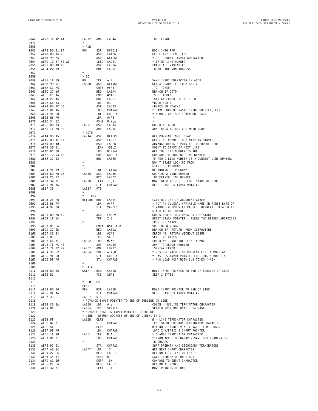**ORIGIN:SPECTRAL ASSOC REVISED:12/26/1999 WALTER K ZYDHEK**

| 2048 | AE72 7E AC 44    | LAE72                                    | JMP        | LAC44                                             | OM ERROR                                                                                                                                                                                                                                               |
|------|------------------|------------------------------------------|------------|---------------------------------------------------|--------------------------------------------------------------------------------------------------------------------------------------------------------------------------------------------------------------------------------------------------------|
| 2049 |                  | $\star$                                  |            |                                                   |                                                                                                                                                                                                                                                        |
| 2050 |                  | * RUN                                    |            |                                                   |                                                                                                                                                                                                                                                        |
| 2051 | AE75 BD 01 94    | RUN                                      | JSR        | RVEC18                                            | HOOK INTO RAM                                                                                                                                                                                                                                          |
| 2052 | AE78 BD A4 26    |                                          | JSR        | LA426                                             | CLOSE ANY OPEN FILES                                                                                                                                                                                                                                   |
| 2053 | AE7B 9D A5       |                                          | JSR        | GETCCH                                            | * GET CURRENT INPUT CHARACTER                                                                                                                                                                                                                          |
| 2054 |                  |                                          |            |                                                   |                                                                                                                                                                                                                                                        |
| 2055 | AE7D 10 27 FE A0 |                                          |            | LBEQ LAD21                                        | CLOSE ANY OPEN FILES<br>* GET CURRENT INPUT<br>* IF NO LINE NUMBER<br>ERASE ALL VARIABLES<br>^ COTO THE DUN ADDR                                                                                                                                       |
|      | AE81 BD AD 26    |                                          | JSR        | LAD26                                             |                                                                                                                                                                                                                                                        |
| 2056 | AE84 20 19       |                                          | <b>BRA</b> | LAE9F                                             | GOTO THE RUN ADDRESS                                                                                                                                                                                                                                   |
| 2057 |                  | $\star$                                  |            |                                                   |                                                                                                                                                                                                                                                        |
| 2058 |                  | $*$ GO                                   |            |                                                   |                                                                                                                                                                                                                                                        |
| 2059 | AE86 1F 89       | GO DO                                    | TFR        | A, B                                              | SAVE INPUT CHARACTER IN ACCB                                                                                                                                                                                                                           |
| 2060 | AE88 9D 9F       | LAE88                                    | JSR        | GETNCH                                            | GET A CHARACTER FROM BASIC<br>SUB TOKEN<br>SUB TOKEN<br>SYNTAX ERROR IF NEITHER<br>=ROOM FOR 6<br>=BYTES ON STACK?<br>* SAVE CURRENT BASIC INPUT POINTER, LINE<br>* NUMBER AND SUB TOKEN ON STACK<br>*<br>*<br>^ ^ ^ ^ A GOTO<br>^ ^ BASIC S MAIN LOOP |
| 2061 | AE8A C1 A5       |                                          |            | CMPB #\$A5                                        |                                                                                                                                                                                                                                                        |
| 2062 | AE8C 27 16       |                                          | BEQ        | LAEA4                                             |                                                                                                                                                                                                                                                        |
| 2063 | AE8E C1 A6       |                                          |            | CMPB #\$A6                                        |                                                                                                                                                                                                                                                        |
| 2064 | AE9Ø 26 45       | STRE<br>LDB<br>JSR<br>LDD<br>LDA<br>PSHS |            | LAED7                                             |                                                                                                                                                                                                                                                        |
| 2065 | AE92 C6 03       |                                          |            | #3                                                |                                                                                                                                                                                                                                                        |
| 2066 | AE94 BD AC 33    |                                          |            | LAC33                                             |                                                                                                                                                                                                                                                        |
| 2067 | AE97 DE A6       |                                          |            | CHARAD                                            |                                                                                                                                                                                                                                                        |
| 2068 | AE99 9E 68       |                                          |            | CURLIN                                            |                                                                                                                                                                                                                                                        |
| 2069 | AE9B 86 A6       |                                          |            | #\$A6                                             |                                                                                                                                                                                                                                                        |
| 2070 | AE9D 34 52       |                                          |            | PSHS U, X, A                                      |                                                                                                                                                                                                                                                        |
| 2071 | AE9F 8D 03       | LAE9F BSR                                |            | LAEA4                                             |                                                                                                                                                                                                                                                        |
| 2072 |                  |                                          | JMP        |                                                   |                                                                                                                                                                                                                                                        |
|      | AEA1 7E AD 9E    |                                          |            | LAD9E                                             |                                                                                                                                                                                                                                                        |
| 2073 |                  | $*$ GOTO                                 |            |                                                   |                                                                                                                                                                                                                                                        |
| 2074 | AEA4 9D A5       | LAEA4                                    | JSR        | GETCCH                                            |                                                                                                                                                                                                                                                        |
| 2075 | AEA6 BD AF 67    |                                          | JSR        | LAF67                                             | GET LINE NUMBER TO BINARY IN BINVAL                                                                                                                                                                                                                    |
| 2076 | AEA9 8D 40       |                                          | BSR        | LAEEB                                             | ADVANCE BASIC S POINTER TO END OF LINE                                                                                                                                                                                                                 |
| 2077 | AEAB 30 01       |                                          |            | LEAX \$01,X                                       | POINT TO START OF NEXT LINE                                                                                                                                                                                                                            |
| 2078 | AEAD DC 2B       |                                          | LDD        | BINVAL                                            | GET THE LINE NUMBER TO RUN                                                                                                                                                                                                                             |
| 2079 | AEAF 10 93 68    |                                          |            | CMPD CURLIN                                       | COMPARE TO CURRENT LINE NUMBER                                                                                                                                                                                                                         |
| 2080 | AEB2 22 02       |                                          | BHI        | LAEB6                                             | IF REO D LINE NUMBER IS > CURRENT LINE NUMBER,                                                                                                                                                                                                         |
| 2081 |                  | $\star$                                  |            |                                                   | DON T START LOOKING FROM                                                                                                                                                                                                                               |
| 2082 |                  | $\star$                                  |            |                                                   | START OF PROGRAM                                                                                                                                                                                                                                       |
| 2083 | AEB4 9E 19       |                                          | LDX        | TXTTAB                                            | BEGINNING OF PROGRAM                                                                                                                                                                                                                                   |
| 2084 | AEB6 BD AD 05    | LAEB6                                    | JSR        | LADØ5                                             | GO FIND A LINE NUMBER                                                                                                                                                                                                                                  |
| 2085 | AEB9 25 17       |                                          | BCS        | LAED2                                             | UNDEFINED LINE NUMBER                                                                                                                                                                                                                                  |
| 2086 | AEBB 30 1F       | LAEBB                                    |            | LEAX -1,X                                         | MOVE BACK TO JUST BEFORE START OF LINE                                                                                                                                                                                                                 |
|      |                  |                                          |            | CHARAD                                            |                                                                                                                                                                                                                                                        |
| 2087 | AEBD 9F A6       |                                          | STX        |                                                   | RESET BASIC S INPUT POINTER                                                                                                                                                                                                                            |
| 2088 | AEBF 39          | LAEBF<br>$\star$                         | <b>RTS</b> |                                                   |                                                                                                                                                                                                                                                        |
| 2089 |                  |                                          |            |                                                   |                                                                                                                                                                                                                                                        |
| 2090 |                  | * RETURN                                 |            |                                                   |                                                                                                                                                                                                                                                        |
| 2091 | AECØ 26 FD       | RETURN BNE                               |            | LAEBF                                             |                                                                                                                                                                                                                                                        |
| 2092 | AEC2 86 FF       |                                          | LDA        | #\$FF                                             |                                                                                                                                                                                                                                                        |
| 2093 | AEC4 97 3B       |                                          | <b>STA</b> | VARDES                                            |                                                                                                                                                                                                                                                        |
| 2094 |                  | $\star$                                  |            |                                                   | -AIL MUULINE IF ARGUMENT GIVEN<br>* PUT AN ILLEGAL VARIABLE NAME IN FIRST BYTE OF<br>* VARDES WHICH WILL CAUSE FOR/NEXT DATA ON THE<br>STACK TO BE IGNORED<br>CHECK FOR RETURN DATA ON THE STACK<br>RESET STACK POINTEP                                |
| 2095 | AEC6 BD AB F9    |                                          | JSR        | LABF9                                             |                                                                                                                                                                                                                                                        |
| 2096 | AEC9 1F 14       |                                          | TFR        | X, S                                              |                                                                                                                                                                                                                                                        |
| 2097 |                  | $\star$                                  |            |                                                   | FROM THE STACK                                                                                                                                                                                                                                         |
| 2098 | AECB 81 26       |                                          |            |                                                   |                                                                                                                                                                                                                                                        |
| 2099 | AECD 27 ØB       |                                          |            |                                                   |                                                                                                                                                                                                                                                        |
| 2100 | AECF C6 04       |                                          |            |                                                   |                                                                                                                                                                                                                                                        |
| 2101 | AED1 8C          |                                          |            |                                                   |                                                                                                                                                                                                                                                        |
| 2102 | AED2 C6 ØE       | LAED2                                    |            |                                                   |                                                                                                                                                                                                                                                        |
| 2103 | AED4 7E AC 46    |                                          |            |                                                   |                                                                                                                                                                                                                                                        |
| 2104 | AED7 7E B2 77    | LAED7                                    |            |                                                   |                                                                                                                                                                                                                                                        |
| 2105 | AEDA 35 52       | LAEDA                                    |            |                                                   | * RESTORE VALUES OF CURRENT LINE NUMBER AND                                                                                                                                                                                                            |
| 2106 |                  |                                          |            |                                                   | * BASIC S INPUT POINTER FOR THIS SUBROUTINE                                                                                                                                                                                                            |
|      | AEDC 9F 68       |                                          |            |                                                   |                                                                                                                                                                                                                                                        |
| 2107 | AEDE DF A6       | $\star$                                  |            |                                                   | CMPA #\$A6-\$80<br>BEQ LAEDA<br>LOB #2*2<br>LOB #2*2<br>CRC SKP2<br>CRC SKP = SKROR #2 RETURN WITHOUT GOSUB<br>FROR #2 SKP = SKROR #2 RETURN WITHOUT GOSUB<br>LOB #7*2<br>UNP LAC46<br>JUMP TO ERROR #ANDLER<br>PULS A,X,U<br>STX CURLIN * RESTORE VA  |
| 2108 |                  |                                          |            |                                                   |                                                                                                                                                                                                                                                        |
| 2109 |                  | * DATA                                   |            |                                                   |                                                                                                                                                                                                                                                        |
| 2110 | AEEØ 8D Ø6       | DATA                                     | <b>BSR</b> | LAEE8                                             | MOVE INPUT POINTER TO END OF SUBLINE OR LINE                                                                                                                                                                                                           |
| 2111 | AEE2 8C          |                                          | FCB        | SKP2                                              | SKIP 2 BYTES                                                                                                                                                                                                                                           |
| 2112 |                  |                                          |            |                                                   |                                                                                                                                                                                                                                                        |
| 2113 |                  | * REM, ELSE                              |            |                                                   |                                                                                                                                                                                                                                                        |
| 2114 |                  | ELSE                                     |            |                                                   |                                                                                                                                                                                                                                                        |
| 2115 | AEE3 8D 06       | REM                                      | <b>BSR</b> | LAEEB                                             | MOVE INPUT POINTER TO END OF LINE                                                                                                                                                                                                                      |
| 2116 | AEE5 9F A6       |                                          | <b>STX</b> | CHARAD                                            | RESET BASIC S INPUT POINTER                                                                                                                                                                                                                            |
| 2117 | AEE7 39          | LAEE7                                    | <b>RTS</b> |                                                   |                                                                                                                                                                                                                                                        |
| 2118 |                  |                                          |            | * ADVANCE INPUT POINTER TO END OF SUBLINE OR LINE |                                                                                                                                                                                                                                                        |
| 2119 | AEE8 C6 3A       | LAEE8                                    | LDB        | $#$ :                                             | $COLON = SUBLINE TERMINATOR CHARACTER$                                                                                                                                                                                                                 |
| 2120 | AEEA 86          | LAEEA                                    | FCB        | SKP1LD                                            | SKPILD SKIP ONE BYTE; LDA #\$5F                                                                                                                                                                                                                        |
| 2121 |                  |                                          |            | * ADVANCE BASIC S INPUT POINTER TO END OF         |                                                                                                                                                                                                                                                        |
| 2122 |                  |                                          |            | * LINE - RETURN ADDRESS OF END OF LINE+1 IN X     |                                                                                                                                                                                                                                                        |
| 2123 | AEEB 5F          | LAEEB                                    | CLRB       |                                                   | $\varnothing$ = LINE TERMINATOR CHARACTER                                                                                                                                                                                                              |
| 2124 | AEEC D7 01       |                                          | STB        | CHARAC                                            | TEMP STORE PRIMARY TERMINATOR CHARACTER                                                                                                                                                                                                                |
| 2125 | AEEE 5F          |                                          | CLRB       |                                                   | $\emptyset$ (END OF LINE) = ALTERNATE TERM. CHAR.                                                                                                                                                                                                      |
| 2126 | AEEF 9E A6       |                                          | LDX        | CHARAD                                            | LOAD X W/BASIC S INPUT POINTER                                                                                                                                                                                                                         |
|      |                  |                                          |            |                                                   | * CHANGE TERMINATOR CHARACTER                                                                                                                                                                                                                          |
| 2127 | AEF1 1F 98       | LAEF1                                    | TFR        | B,A                                               |                                                                                                                                                                                                                                                        |
| 2128 | AEF3 D6 01       |                                          | LDB        | CHARAC                                            | * FROM ACCB TO CHARAC - SAVE OLD TERMINATOR                                                                                                                                                                                                            |
| 2129 |                  | $\star$                                  |            |                                                   | IN CHARAC                                                                                                                                                                                                                                              |
| 2130 | AEF5 97 01       |                                          | <b>STA</b> | CHARAC                                            | SWAP PRIMARY AND SECONDARY TERMINATORS                                                                                                                                                                                                                 |
| 2131 | AEF7 A6 84       | LAEF7                                    | LDA        | , X                                               | GET NEXT INPUT CHARACTER                                                                                                                                                                                                                               |
| 2132 | AEF9 27 EC       |                                          | BEQ        | LAEE7                                             | RETURN IF Ø (END OF LINE)                                                                                                                                                                                                                              |
| 2133 | AEFB 34 04       |                                          | PSHS B     |                                                   | SAVE TERMINATOR ON STACK                                                                                                                                                                                                                               |
| 2134 | AEFD A1 EØ       |                                          | CMPA       | $\cdot$ . S+                                      | COMPARE TO INPUT CHARACTER                                                                                                                                                                                                                             |
| 2135 | AEFF 27 E6       |                                          | BEQ        | LAEE7                                             | RETURN IF EQUAL                                                                                                                                                                                                                                        |
| 2136 | AFØ1 30 01       |                                          | LEAX 1, X  |                                                   | MOVE POINTER UP ONE                                                                                                                                                                                                                                    |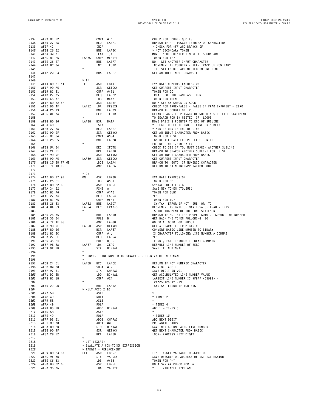| 2137         | AFØ3 81 22                     |                  | CMPA #'"          |                                                             | CHECK FOR DOUBLE QUOTES                                                           |
|--------------|--------------------------------|------------------|-------------------|-------------------------------------------------------------|-----------------------------------------------------------------------------------|
| 2138         | AFØ5 27 EA                     |                  | BEQ               | LAEF1                                                       | BRANCH IF " - TOGGLE TERMINATOR CHARACTERS                                        |
| 2139         | AFØ7 4C                        |                  | INCA              |                                                             | * CHECK FOR \$FF AND BRANCH IF                                                    |
| 2140         | AFØ8 26 02                     |                  | BNE               | LAFØC                                                       | * NOT SECONDARY TOKEN                                                             |
| 2141         | AFØA 30 01                     |                  | LEAX 1,X          |                                                             | MOVE INPUT POINTER 1 MORE IF SECONDARY                                            |
| 2142         | AFØC 81 86                     | LAFØC            |                   | CMPA #\$85+1                                                | TOKEN FOR IF?                                                                     |
| 2143<br>2144 | AFØE 26 E7<br>AF10 0C 04       |                  | BNE<br>INC        | LAEF7<br>IFCTR                                              | NO - GET ANOTHER INPUT CHARACTER<br>INCREMENT IF COUNTER - KEEP TRACK OF HOW MANY |
| 2145         |                                | $\star$          |                   |                                                             | IF STATEMENTS ARE NESTED IN ONE LINE                                              |
| 2146         | AF12 20 E3                     |                  | BRA               | LAEF7                                                       | GET ANOTHER INPUT CHARACTER                                                       |
| 2147         |                                |                  |                   |                                                             |                                                                                   |
| 2148         |                                | * IF             |                   |                                                             |                                                                                   |
| 2149         | AF14 BD B1 41                  | IF               | JSR               | LB141                                                       | EVALUATE NUMERIC EXPRESSION                                                       |
| 2150         | AF17 9D A5                     |                  | JSR               | GETCCH                                                      | GET CURRENT INPUT CHARACTER                                                       |
| 2151<br>2152 | AF19 81 81<br>AF1B 27 05       |                  | CMPA #\$81<br>BEQ | LAF22                                                       | TOKEN FOR GO<br>TREAT GO THE SAME AS THEN                                         |
| 2153         | AF1D C6 A7                     |                  | LDB               | #\$A7                                                       | TOKEN FOR THEN                                                                    |
| 2154         | AF1F BD B2 6F                  |                  | JSR               | LB26F                                                       | DO A SYNTAX CHECK ON ACCB                                                         |
| 2155         | AF22 96 4F                     | LAF22            | LDA               | FPØEXP                                                      | CHECK FOR TRUE/FALSE - FALSE IF FPAØ EXPONENT = ZERO                              |
| 2156         | AF24 26 13                     |                  | BNE               | LAF39                                                       | BRANCH IF CONDITION TRUE                                                          |
| 2157         | AF26 ØF Ø4                     |                  | CLR               | IFCTR                                                       | CLEAR FLAG - KEEP TRACK OF WHICH NESTED ELSE STATEMENT                            |
| 2158         |                                | $\star$          |                   |                                                             | TO SEARCH FOR IN NESTED IF LOOPS                                                  |
| 2159         | AF28 8D B6                     | LAF28            | BSR               | DATA                                                        | MOVE BASIC S POINTER TO END OF SUBLINE                                            |
| 2160<br>2161 | AF2A 4D<br>AF2B 27 BA          |                  | TSTA<br>BEQ       | LAEE7                                                       | * CHECK TO SEE IF END OF LINE OR SUBLINE<br>* AND RETURN IF END OF LINE           |
| 2162         | AF2D 9D 9F                     |                  | JSR               | GETNCH                                                      | GET AN INPUT CHARACTER FROM BASIC                                                 |
| 2163         | AF2F 81 84                     |                  | CMPA #\$84        |                                                             | TOKEN FOR ELSE                                                                    |
| 2164         | AF31 26 F5                     |                  | BNE               | LAF28                                                       | IGNORE ALL DATA EXCEPT ELSE UNTIL                                                 |
| 2165         |                                | $\star$          |                   |                                                             | END OF LINE (ZERO BYTE)                                                           |
| 2166         | AF33 ØA Ø4                     |                  | DEC               | IFCTR                                                       | CHECK TO SEE IF YOU MUST SEARCH ANOTHER SUBLINE                                   |
| 2167         | AF35 2A F1                     |                  | BPL               | LAF28                                                       | BRANCH TO SEARCH ANOTHER SUBLINE FOR ELSE                                         |
| 2168         | AF37 9D 9F                     |                  | JSR               | GETNCH                                                      | GET AN INPUT CHARACTER FROM BASIC                                                 |
| 2169<br>2170 | AF39 9D A5<br>AF3B 10 25 FF 65 | LAF39            | JSR               | GETCCH<br>LBCS LAEA4                                        | GET CURRENT INPUT CHARACTER<br>BRANCH TO GOTO IF NUMERIC CHARACTER                |
| 2171         | AF3F 7E AD C6                  |                  | JMP               | LADC6                                                       | RETURN TO MAIN INTERPRETATION LOOP                                                |
| 2172         |                                |                  |                   |                                                             |                                                                                   |
| 2173         |                                | $*$ ON           |                   |                                                             |                                                                                   |
| 2174         | AF42 BD B7 ØB                  | ON               | JSR               | LB7ØB                                                       | EVALUATE EXPRESSION                                                               |
| 2175         | AF45 C6 81                     |                  | LDB               | #\$81                                                       | TOKEN FOR GO                                                                      |
| 2176         | AF47 BD B2 6F                  |                  | JSR               | LB26F                                                       | SYNTAX CHECK FOR GO                                                               |
| 2177         | AF4A 34 02                     |                  | PSHS A            |                                                             | SAVE NEW TOKEN (TO, SUB)<br>TOKEN FOR SUB?                                        |
| 2178<br>2179 | AF4C 81 A6<br>AF4E 27 04       |                  | CMPA #\$A6<br>BEQ | LAF54                                                       | YES                                                                               |
| 2180         | AF50 81 A5                     |                  |                   | CMPA #\$A5                                                  | TOKEN FOR TO?                                                                     |
| 2181         | AF52 26 83                     | LAF52            | BNE               | LAED7                                                       | SYNTAX ERROR IF NOT SUB OR TO                                                     |
| 2182         | AF54 ØA 53                     | LAF54            | DEC               | FPAØ+3                                                      | DECREMENT IS BYTE OF MANTISSA OF FPAØ - THIS                                      |
| 2183         |                                | $\star$          |                   |                                                             | IS THE ARGUMENT OF THE ON STATEMENT                                               |
| 2184         | AF56 26 05                     |                  | BNE               | LAF5D                                                       | BRANCH IF NOT AT THE PROPER GOTO OR GOSUB LINE NUMBER                             |
| 2185         | AF58 35 04                     |                  | PULS B            |                                                             | GET BACK THE TOKEN FOLLOWING GO                                                   |
| 2186<br>2187 | AF5A 7E AE 88<br>AF5D 9D 9F    | LAF5D            | JMP<br>JSR        | LAE88<br>GETNCH                                             | GO DO A GOTO OR GOSUB<br>GET A CHARACTER FROM BASIC                               |
| 2188         | AF5F 8D 06                     |                  | BSR               | LAF67                                                       | CONVERT BASIC LINE NUMBER TO BINARY                                               |
| 2189         | AF61 81 2C                     |                  | CMPA #',          |                                                             | IS CHARACTER FOLLOWING LINE NUMBER A COMMA?                                       |
| 2190         | AF63 27 EF                     |                  | BEQ               | LAF54                                                       | YES                                                                               |
| 2191         | AF65 35 84                     |                  | PULS B, PC        |                                                             | IF NOT, FALL THROUGH TO NEXT COMMAND                                              |
| 2192         | AF67 9E 8A                     | LAF67            | LDX               | ZERO                                                        | DEFAULT LINE NUMBER OF ZERO                                                       |
| 2193         | AF69 9F 2B                     |                  | STX               | BINVAL                                                      | SAVE IT IN BINVAL                                                                 |
| 2194<br>2195 |                                |                  |                   | * CONVERT LINE NUMBER TO BINARY - RETURN VALUE IN BINVAL    |                                                                                   |
| 2196         |                                | $\star$          |                   |                                                             |                                                                                   |
| 2197         | AF6B 24 61                     | LAF6B            | BCC               | LAFCE                                                       | RETURN IF NOT NUMERIC CHARACTER                                                   |
| 2198         | AF6D 80 30                     |                  | SUBA #'Ø          |                                                             | MASK OFF ASCII                                                                    |
| 2199         | AF6F 97 01                     |                  | STA               | CHARAC                                                      | SAVE DIGIT IN VO1                                                                 |
| 2200         | AF71 DC 2B                     |                  |                   | LDD BINVAL                                                  | GET ACCUMULATED LINE NUMBER VALUE                                                 |
| 2201<br>2202 | AF73 81 18                     |                  | CMPA #24          |                                                             | LARGEST LINE NUMBER IS \$F9FF (63999) -<br>$(24*256+255)*10+9$                    |
| 2203         | AF75 22 DB                     |                  |                   | BHI LAF52                                                   | SYNTAX ERROR IF TOO BIG                                                           |
| 2204         |                                | * MULT ACCD X 10 |                   |                                                             |                                                                                   |
| 2205         | AF77 58                        |                  | ASLB              |                                                             | $\star$                                                                           |
| 2206         | AF78 49                        |                  | ROLA              |                                                             | * TIMES 2                                                                         |
| 2207         | AF79 58                        |                  | ASLB              |                                                             | $=$                                                                               |
| 2208         | AF7A 49                        |                  | ROLA              |                                                             | $=$ TIMES 4                                                                       |
| 2209         | AF7B D3 2B                     |                  |                   | ADDD BINVAL                                                 | ADD $1 = TIMES$ 5                                                                 |
| 2210<br>2211 | AF7D 58<br>AF7E 49             |                  | ASLB<br>ROLA      |                                                             | * TIMES 10                                                                        |
| 2212         | AF7F DB 01                     |                  |                   | ADDB CHARAC                                                 | ADD NEXT DIGIT                                                                    |
| 2213         | AF81 89 00                     |                  | ADCA #Ø           |                                                             | PROPAGATE CARRY                                                                   |
| 2214         | AF83 DD 2B                     |                  | STD               | BINVAL                                                      | SAVE NEW ACCUMULATED LINE NUMBER                                                  |
| 2215         | AF85 9D 9F                     |                  | JSR               | GETNCH                                                      | GET NEXT CHARACTER FROM BASIC                                                     |
| 2216         | AF87 20 E2                     |                  | BRA               | LAF6B                                                       | LOOP- PROCESS NEXT DIGIT                                                          |
| 2217         |                                |                  |                   |                                                             |                                                                                   |
| 2218         |                                | * LET (EXBAS)    |                   |                                                             |                                                                                   |
| 2219<br>2220 |                                |                  |                   | * EVALUATE A NON-TOKEN EXPRESSION<br>* TARGET = REPLACEMENT |                                                                                   |
| 2221         | AF89 BD B3 57                  | <b>LET</b>       | JSR               | LB357                                                       | FIND TARGET VARIABLE DESCRIPTOR                                                   |
| 2222         | AF8C 9F 3B                     |                  | STX               | VARDES                                                      | SAVE DESCRIPTOR ADDRESS OF 1ST EXPRESSION                                         |
| 2223         | AF8E C6 B3                     |                  | LDB               | #\$B3                                                       | TOKEN FOR "="                                                                     |
|              | 2224 AF90 BD B2 6F             |                  | JSR               | LB26F                                                       | DO A SYNTAX CHECK FOR =                                                           |
|              | 2225 AF93 96 06                |                  |                   | LDA VALTYP                                                  | * GET VARIABLE TYPE AND                                                           |

**B25**

**ORIGIN:SPECTRAL ASSOC REVISED:12/26/1999 WALTER K ZYDHEK**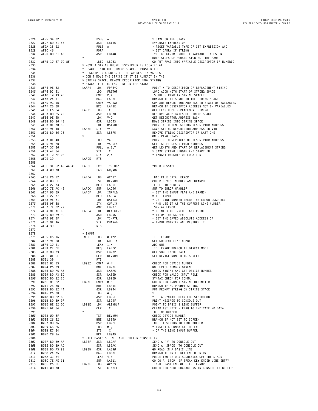| 2226         | AF95 34 02                  |  |                     |                | PSHS A       |                                                                                                  | * SAVE ON THE STACK                                             |
|--------------|-----------------------------|--|---------------------|----------------|--------------|--------------------------------------------------------------------------------------------------|-----------------------------------------------------------------|
| 2227         | AF97 BD B1 56               |  |                     |                | JSR          | LB156                                                                                            | EVALUATE EXPRESSION                                             |
| 2228         | AF9A 35 02                  |  |                     |                | PULS A       |                                                                                                  | * REGET VARIABLE TYPE OF 1ST EXPRESSION AND                     |
| 2229         | AF9C 46                     |  |                     |                | RORA         |                                                                                                  | * SET CARRY IF STRING                                           |
| 2230         | AF9D BD B1 48               |  |                     |                | JSR          | LB148                                                                                            | TYPE CHECK-TM ERROR IF VARIABLE TYPES ON                        |
| 2231         |                             |  |                     | $\star$        |              |                                                                                                  | BOTH SIDES OF EQUALS SIGN NOT THE SAME                          |
| 2232         | AFAØ 10 27 0C 8F            |  |                     |                | LBEQ LBC33   |                                                                                                  | GO PUT FPAØ INTO VARIABLE DESCRIPTOR IF NUMERIC                 |
| 2233         |                             |  |                     |                |              | * MOVE A STRING WHOSE DESCRIPTOR IS LOCATED AT                                                   |                                                                 |
| 2234         |                             |  |                     |                |              | * FPAØ+2 INTO THE STRING SPACE. TRANSFER THE                                                     |                                                                 |
| 2235<br>2236 |                             |  |                     |                |              | * DESCRIPTOR ADDRESS TO THE ADDRESS IN VARDES<br>* DON T MOVE THE STRING IF IT IS ALREADY IN THE |                                                                 |
| 2237         |                             |  |                     |                |              |                                                                                                  |                                                                 |
|              |                             |  |                     |                |              | * STRING SPACE. REMOVE DESCRIPTOR FROM STRING                                                    |                                                                 |
| 2238<br>2239 | AFA4 9E 52                  |  |                     |                | LDX          | * STACK IF IT IS LAST ONE ON THE STACK                                                           | POINT X TO DESCRIPTOR OF REPLACEMENT STRING                     |
| 2240         | AFA6 DC 21                  |  |                     | LAFA4          | LDD          | FPAØ+2<br>FRETOP                                                                                 | LOAD ACCD WITH START OF STRING SPACE                            |
| 2241         | AFA8 10 A3 02               |  |                     |                | $CMPD$ $2,X$ |                                                                                                  | IS THE STRING IN STRING SPACE?                                  |
| 2242         | AFAB 24 11                  |  |                     |                | BCC          | LAFBE                                                                                            | BRANCH IF IT S NOT IN THE STRING SPACE                          |
| 2243         | AFAD 9C 1B                  |  |                     |                |              | CMPX VARTAB                                                                                      | COMPARE DESCRIPTOR ADDRESS TO START OF VARIABLES                |
| 2244         | AFAF 25 ØD                  |  |                     |                | BCS          | LAFBE                                                                                            | BRANCH IF DESCRIPTOR ADDRESS NOT IN VARIABLES                   |
| 2245         | AFB1 E6 84                  |  |                     | LAFB1          | LDB          | , X                                                                                              | GET LENGTH OF REPLACEMENT STRING                                |
| 2246         | AFB3 BD B5 ØD               |  |                     |                | JSR          | LB5ØD                                                                                            | RESERVE ACCB BYTES OF STRING SPACE                              |
| 2247         | AFB6 9E 4D                  |  |                     |                | LDX          | V4D                                                                                              | GET DESCRIPTOR ADDRESS BACK                                     |
| 2248         | AFB8 BD B6 43               |  |                     |                | JSR          | LB643                                                                                            | MOVE STRING INTO STRING SPACE                                   |
| 2249         | AFBB 8E 00 56               |  |                     |                | LDX          | #STRDES                                                                                          | POINT X TO TEMP STRING DESCRIPTOR ADDRESS                       |
| 2250         | AFBE 9F 4D                  |  |                     | LAFBE          | <b>STX</b>   | V4D                                                                                              | SAVE STRING DESCRIPTOR ADDRESS IN V4D                           |
| 2251         | AFCØ BD B6 75               |  |                     |                | JSR          | LB675                                                                                            | REMOVE STRING DESCRIPTOR IF LAST ONE                            |
| 2252         |                             |  |                     |                |              |                                                                                                  | ON STRING STACK                                                 |
| 2253         | AFC3 DE 4D                  |  |                     |                | LDU          | V4D                                                                                              | POINT U TO REPLACEMENT DESCRIPTOR ADDRESS                       |
| 2254         | AFC5 9E 3B                  |  |                     |                | LDX          | VARDES                                                                                           | GET TARGET DESCRIPTOR ADDRESS                                   |
| 2255         | AFC7 37 26                  |  |                     |                |              | PULU A, B, Y                                                                                     | GET LENGTH AND START OF REPLACEMENT STRING                      |
| 2256         | AFC9 A7 84                  |  |                     |                | STA          | , X                                                                                              | * SAVE STRING LENGTH AND START IN                               |
| 2257         | AFCB 10 AF 02               |  |                     |                | <b>STY</b>   | 2, X                                                                                             | * TARGET DESCRIPTOR LOCATION                                    |
| 2258         | AFCE 39                     |  |                     | LAFCE          | <b>RTS</b>   |                                                                                                  |                                                                 |
| 2259         |                             |  |                     |                |              |                                                                                                  |                                                                 |
| 2260         |                             |  | AFCF 3F 52 45 44 4F | LAFCF          | <b>FCC</b>   | '?REDO'                                                                                          | <b>?REDO MESSAGE</b>                                            |
| 2261         | AFD4 0D 00                  |  |                     |                | FCB          | CR,\$00                                                                                          |                                                                 |
| 2262         |                             |  |                     |                |              |                                                                                                  |                                                                 |
| 2263         | AFD6 C6 22                  |  |                     | LAFD6          | LDB          | #2*17                                                                                            | BAD FILE DATA ERROR                                             |
| 2264         | AFD8 ØD 6F                  |  |                     |                | <b>TST</b>   | DEVNUM                                                                                           | CHECK DEVICE NUMBER AND BRANCH                                  |
| 2265         | AFDA 27 03                  |  |                     |                | BEQ<br>JMP   | LAFDF                                                                                            | IF SET TO SCREEN                                                |
| 2266<br>2267 | AFDC 7E AC 46               |  |                     | LAFDC<br>LAFDF | LDA          | LAC46                                                                                            | JMP TO ERROR HANDLER                                            |
| 2268         | AFDF 96 09<br>AFE1 27 07    |  |                     |                | BEQ          | INPFLG                                                                                           | = GET THE INPUT FLAG AND BRANCH<br>$=$ IF INPUT                 |
| 2269         | AFE3 9E 31                  |  |                     |                | LDX          | LAFEA<br>DATTXT                                                                                  | * GET LINE NUMBER WHERE THE ERROR OCCURRED                      |
| 2270         | AFE5 9F 68                  |  |                     |                | STX          | CURLIN                                                                                           | * AND USE IT AS THE CURRENT LINE NUMBER                         |
| 2271         | AFE7 7E B2 77               |  |                     |                | JMP          | LB277                                                                                            | SYNTAX ERROR                                                    |
| 2272         | AFEA 8E AF CE               |  |                     | LAFEA          | LDX          | #LAFCF-1                                                                                         | * POINT X TO ?REDO AND PRINT                                    |
| 2273         | AFED BD B9 9C               |  |                     |                | JSR          | LB99C                                                                                            | * IT ON THE SCREEN                                              |
| 2274         | AFFØ 9E 2F                  |  |                     |                | LDX          | TINPTR                                                                                           | = GET THE SAVED ABSOLUTE ADDRESS OF                             |
| 2275         | AFF2 9F A6                  |  |                     |                | <b>STX</b>   | CHARAD                                                                                           | = INPUT POINTER AND RESTORE IT                                  |
| 2276         | AFF4 39                     |  |                     |                | <b>RTS</b>   |                                                                                                  |                                                                 |
| 2277         |                             |  |                     | *              |              |                                                                                                  |                                                                 |
| 2278         |                             |  |                     | * INPUT        |              |                                                                                                  |                                                                 |
| 2279         | AFF5 C6 16                  |  |                     | INPUT          | LDB          | #11*2                                                                                            | ID ERROR                                                        |
| 2280         | AFF7 9E 68                  |  |                     |                | LDX          | CURLIN                                                                                           | GET CURRENT LINE NUMBER                                         |
| 2281         | AFF9 30 01                  |  |                     |                | LEAX 1,X     |                                                                                                  | ADD ONE                                                         |
| 2282         | AFFB 27 DF                  |  |                     |                | BEQ          | LAFDC                                                                                            | ID ERROR BRANCH IF DIRECT MODE                                  |
| 2283         | AFFD 8D 03                  |  |                     |                | BSR          | LB002                                                                                            | GET SOME INPUT DATA                                             |
| 2284         | AFFF ØF 6F                  |  |                     |                | CLR          | DEVNUM                                                                                           | SET DEVICE NUMBER TO SCREEN                                     |
| 2285         | BØØ1 39                     |  |                     |                | <b>RTS</b>   |                                                                                                  |                                                                 |
| 2286         | BØØ2 81 23                  |  |                     | LB002          | $CMPA$ #'#   |                                                                                                  | CHECK FOR DEVICE NUMBER                                         |
| 2287         | BØØ4 26 09                  |  |                     |                | BNE          | LBØØF                                                                                            | NO DEVICE NUMBER GIVEN                                          |
| 2288         | BØØ6 BD A5 A5               |  |                     |                | JSR          | LA5A5                                                                                            | CHECK SYNTAX AND GET DEVICE NUMBER                              |
| 2289         | B009 BD A3 ED               |  |                     |                | JSR          | LA3ED                                                                                            | CHECK FOR VALID INPUT FILE                                      |
| 2290         | BØØC BD B2 6D               |  |                     |                | JSR          | LASED<br>LB26D<br>#'"                                                                            | SYNTAX CHECK FOR COMMA                                          |
| 2291         | BØØF 81 22                  |  |                     | LBØØF          | CMPA #'"     |                                                                                                  | CHECK FOR PROMPT STRING DELIMITER                               |
| 2292<br>2293 | BØ11 26 ØB<br>BØ13 BD B2 44 |  |                     |                | BNE<br>JSR   | LBØ1E<br>LB244                                                                                   | BRANCH IF NO PROMPT STRING<br>PUT PROMPT STRING ON STRING STACK |
| 2294         | BØ16 C6 3B                  |  |                     |                | LDB          | $#$ ;                                                                                            | $\star$                                                         |
| 2295         | BØ18 BD B2 6F               |  |                     |                | JSR          | LB26F                                                                                            | * DO A SYNTAX CHECK FOR SEMICOLON                               |
| 2296         | BØ1B BD B9 9F               |  |                     |                | JSR          | LB99F                                                                                            | PRINT MESSAGE TO CONSOLE OUT                                    |
| 2297         | BØ1E 8E Ø2 DC               |  |                     | LBØ1E          | LDX          | #LINBUF                                                                                          | POINT TO BASIC S LINE BUFFER                                    |
| 2298         | BØ21 6F 84                  |  |                     |                | CLR          | , X                                                                                              | CLEAR 1ST BYTE - FLAG TO INDICATE NO DATA                       |
| 2299         |                             |  |                     | $\star$        |              |                                                                                                  | IN LINE BUFFER                                                  |
| 2300         | BØ23 ØD 6F                  |  |                     |                | TST          | DEVNUM                                                                                           | CHECK DEVICE NUMBER                                             |
| 2301         | BØ25 26 22                  |  |                     |                | BNE          | LB049                                                                                            | BRANCH IF NOT SET TO SCREEN                                     |
| 2302         | BØ27 8D Ø6                  |  |                     |                | <b>BSR</b>   | LBØ2F                                                                                            | INPUT A STRING TO LINE BUFFER                                   |
| 2303         | BØ29 C6 2C                  |  |                     |                | LDB          | $^{\#'}$ ,                                                                                       | * INSERT A COMMA AT THE END                                     |
| 2304         | BØ2B E7 84                  |  |                     |                | STB          | ,Χ                                                                                               | * OF THE LINE INPUT BUFFER                                      |
| 2305         | BØ2D 20 1A                  |  |                     |                | BRA          | LBØ49                                                                                            |                                                                 |
| 2306         |                             |  |                     |                |              | * FILL BASIC S LINE INPUT BUFFER CONSOLE IN                                                      |                                                                 |
| 2307         | BØ2F BD B9 AF               |  |                     | LBØ2F          | JSR          | LB9AF                                                                                            | SEND A "?" TO CONSOLE OUT                                       |
| 2308         | BØ32 BD B9 AC               |  |                     |                | JSR          | LB9AC                                                                                            | SEND A SPACE TO CONSOLE OUT                                     |
| 2309         | BØ35 BD A3 90               |  |                     | LB035          | JSR          | LA390                                                                                            | GO READ IN A BASIC LINE                                         |
| 2310         | BØ38 24 Ø5                  |  |                     |                | BCC          | LBØ3F                                                                                            | BRANCH IF ENTER KEY ENDED ENTRY                                 |
| 2311         | BØ3A 32 64                  |  |                     |                | LEAS 4,S     |                                                                                                  | PURGE TWO RETURN ADDRESSES OFF THE STACK                        |
| 2312         | BØ3C 7E AE 11               |  |                     |                | JMP          | LAE11                                                                                            | GO DO A STOP IF BREAK KEY ENDED LINE ENTRY                      |
| 2313         | BØ3F C6 2E                  |  |                     | LBØ3F          | LDB          | #2*23                                                                                            | INPUT PAST END OF FILE ERROR                                    |
| 2314         | BØ41 ØD 70                  |  |                     |                | TST          | CINBFL                                                                                           | CHECK FOR MORE CHARACTERS IN CONSOLE IN BUFFER                  |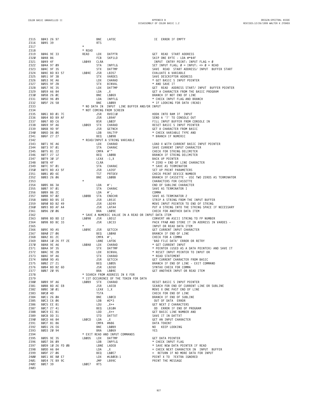| 2315         | BØ43 26 97                     |           | BNE               | LAFDC                                               | IE ERROR IF EMPTY                                                                      |
|--------------|--------------------------------|-----------|-------------------|-----------------------------------------------------|----------------------------------------------------------------------------------------|
| 2316         | BØ45 39                        |           | <b>RTS</b>        |                                                     |                                                                                        |
| 2317         |                                | $\star$   |                   |                                                     |                                                                                        |
| 2318         |                                | * READ    |                   |                                                     |                                                                                        |
| 2319         | BØ46 9E 33                     | READ      | LDX               | DATPTR                                              | GET READ START ADDRESS                                                                 |
| 2320         | BØ48 86                        |           | FCB               | SKP1LD                                              | SKIP ONE BYTE - LDA #*\$4F                                                             |
| 2321         | BØ49 4F                        | LBØ49     | CLRA              |                                                     | INPUT ENTRY POINT: INPUT FLAG = Ø                                                      |
| 2322         | BØ4A 97 09                     |           | STA               | INPFLG                                              | SET INPUT FLAG; $\emptyset$ = INPUT: $\infty$ $\emptyset$ = READ                       |
| 2323<br>2324 | BØ4C 9F 35<br>BØ4E BD B3 57    |           | <b>STX</b><br>JSR | DATTMP<br>LB357                                     | SAVE READ START ADDRESS/ INPUT BUFFER START<br>EVALUATE A VARIABLE                     |
| 2325         | BØ51 9F 3B                     | LBØ4E     | STX               | VARDES                                              | SAVE DESCRIPTOR ADDRESS                                                                |
|              |                                |           | LDX               |                                                     |                                                                                        |
| 2326<br>2327 | BØ53 9E A6<br>BØ55 9F 2B       |           | STX               | CHARAD                                              | * GET BASIC S INPUT POINTER<br>* AND SAVE IT                                           |
| 2328         | BØ57 9E 35                     |           | LDX               | BINVAL<br>DATTMP                                    | GET READ ADDRESS START/ INPUT BUFFER POINTER                                           |
| 2329         | BØ59 A6 84                     |           | LDA               | , X                                                 | GET A CHARACTER FROM THE BASIC PROGRAM                                                 |
| 2330         | BØ5B 26 ØC                     |           | BNE               | LB069                                               | BRANCH IF NOT END OF LINE                                                              |
| 2331         | BØ5D 96 09                     |           | LDA               | INPFLG                                              | * CHECK INPUT FLAG AND BRANCH                                                          |
| 2332         | BØ5F 26 58                     |           | BNE               | LBØB9                                               | * IF LOOKING FOR DATA (READ)                                                           |
| 2333         |                                |           |                   | * NO DATA IN INPUT LINE BUFFER AND/OR INPUT         |                                                                                        |
| 2334         |                                |           |                   | * NOT COMING FROM SCREEN                            |                                                                                        |
| 2335         | BØ61 BD Ø1 7C                  |           | JSR               | RVEC10                                              | HOOK INTO RAM IF INPUT                                                                 |
| 2336         | BØ64 BD B9 AF                  |           | JSR               | LB9AF                                               | SEND A '?' TO CONSOLE OUT                                                              |
| 2337         | BØ67 8D C6                     |           | BSR               | LB02F                                               | FILL INPUT BUFFER FROM CONSOLE IN                                                      |
| 2338         | BØ69 9F A6                     | LB069     | <b>STX</b>        | <b>CHARAD</b>                                       | RESET BASIC S INPUT POINTER                                                            |
| 2339         | BØ6B 9D 9F                     |           | JSR               | GETNCH                                              | GET A CHARACTER FROM BASIC                                                             |
| 2340         | BØ6D D6 Ø6                     |           | LDB               | VALTYP                                              | * CHECK VARIABLE TYPE AND                                                              |
| 2341         | BØ6F 27 27                     |           | BEQ               | LB098                                               | * BRANCH IF NUMERIC                                                                    |
| 2342         |                                |           |                   | * READ/INPUT A STRING VARIABLE                      |                                                                                        |
| 2343         | BØ71 9E A6                     |           | LDX               | CHARAD                                              | LOAD X WITH CURRENT BASIC INPUT POINTER                                                |
| 2344         | BØ73 97 01                     |           | STA               | CHARAC                                              | SAVE CURRENT INPUT CHARACTER                                                           |
| 2345         | BØ75 81 22                     |           | $CMPA$ #"         |                                                     | CHECK FOR STRING DELIMITER                                                             |
| 2346         | BØ77 27 12                     |           | BEQ               | LBØ8B                                               | BRANCH IF STRING DELIMITER                                                             |
| 2347         | BØ79 30 1F                     |           |                   | LEAX -1,X                                           | BACK UP POINTER                                                                        |
| 2348         | BØ7B 4F                        |           | CLRA              |                                                     | * ZERO = END OF LINE CHARACTER                                                         |
| 2349         | BØ7C 97 01                     |           | STA               | CHARAC                                              | * SAVE AS TERMINATOR                                                                   |
| 2350         | BØ7E BD A3 5F                  |           | JSR               | LA35F                                               | SET UP PRINT PARAMETERS                                                                |
| 2351         | BØ81 ØD 6E                     |           | TST               | PRTDEV                                              | CHECK PRINT DEVICE NUMBER                                                              |
| 2352         | BØ83 26 06                     |           | BNE               | LBØ8B                                               | BRANCH IF CASSETTE - USE TWO ZEROS AS TERMINATOR                                       |
| 2353         |                                | $\star$   |                   |                                                     | CHARACTERS FOR CASSETTE                                                                |
| 2354         | BØ85 86 3A                     |           | LDA               | $\#$ :                                              | END OF SUBLINE CHARACTER                                                               |
| 2355         | BØ87 97 Ø1                     |           | <b>STA</b>        | CHARAC                                              | SAVE AS TERMINATOR I                                                                   |
| 2356         | BØ89 86 2C                     | LBØ8B     | LDA               | $#$ ',                                              | COMMA                                                                                  |
| 2357         | BØ8B 97 02                     |           | STA               | ENDCHR                                              | SAVE AS TERMINATOR 2                                                                   |
| 2358<br>2359 | BØ8D BD B5 1E                  |           | JSR<br>JSR        | LB51E                                               | STRIP A STRING FROM THE INPUT BUFFER                                                   |
| 2360         | BØ9Ø BD B2 49<br>BØ93 BD AF A4 |           | JSR               | LB249<br>LAFA4                                      | MOVE INPUT POINTER TO END OF STRING<br>PUT A STRING INTO THE STRING SPACE IF NECESSARY |
| 2361         | BØ96 20 06                     |           | <b>BRA</b>        | LBØ9E                                               | CHECK FOR ANOTHER DATA ITEM                                                            |
| 2362         |                                |           |                   | * SAVE A NUMERIC VALUE IN A READ OR INPUT DATA ITEM |                                                                                        |
| 2363         | BØ98 BD BD 12                  | LB098     | JSR               | LBD12                                               | CONVERT AN ASCII STRING TO FP NUMBER                                                   |
| 2364         | BØ9B BD BC 33                  |           | JSR               | LBC33                                               | PACK FPAØ AND STORE IT IN ADDRESS IN VARDES -                                          |
| 2365         |                                | $\star$   |                   |                                                     | INPUT OR READ DATA ITEM                                                                |
| 2366         | BØ9E 9D A5                     | LBØ9E     | JSR               | GETCCH                                              | GET CURRENT INPUT CHARACTER                                                            |
| 2367         | BØAØ 27 06                     |           | BEQ               | LBØA8                                               | BRANCH IF END OF LINE                                                                  |
| 2368         | BØA2 81 2C                     |           | CMPA #',          |                                                     | CHECK FOR A COMMA                                                                      |
| 2369         | BØA4 10 26 FF 2E               |           |                   | LBNE LAFD6                                          | 'BAD FILE DATA' ERROR OR RETRY                                                         |
| 2370         | BØA8 9E A6                     | LBØA8     | LDX               | CHARAD                                              | * GET CURRENT INPUT                                                                    |
| 2371         | BØAA 9F 35                     |           | STX               | DATTMP                                              | * POINTER (USED AS A DATA POINTER) AND SAVE IT                                         |
| 2372         | BØAC 9E 2B                     |           | LDX               | BINVAL                                              | * RESET INPUT POINTER TO INPUT OR                                                      |
| 2373         | BØAE 9F A6                     |           | <b>STX</b>        | CHARAD                                              | * READ STATEMENT                                                                       |
| 2374         | BØBØ 9D A5                     |           | JSR               | GETCCH                                              | GET CURRENT CHARACTER FROM BASIC                                                       |
| 2375         | BØB2 27 21                     |           | BEQ               | LBØD5                                               | BRANCH IF END OF LINE - EXIT COMMAND                                                   |
| 2376         | BØB4 BD B2 6D                  |           | JSR               | LB26D                                               | SYNTAX CHECK FOR COMMA                                                                 |
| 2377         | BØB7 20 95                     |           | BRA LBØ4E         |                                                     | GET ANOTHER INPUT OR READ ITEM                                                         |
| 2378         |                                |           |                   | * SEARCH FROM ADDRESS IN X FOR                      |                                                                                        |
| 2379         |                                |           |                   | * 1ST OCCURENCE OF THE TOKEN FOR DATA               |                                                                                        |
| 2380         | BØB9 9F A6                     | LBØB9     | STX               | CHARAD                                              | RESET BASIC S INPUT POINTER                                                            |
| 2381         | BØBB BD AE E8                  |           |                   | JSR LAEE8                                           | SEARCH FOR END OF CURRENT LINE OR SUBLINE                                              |
| 2382         | BØBE 30 01                     |           | LEAX 1, X         |                                                     | MOVE X ONE PAST END OF LINE                                                            |
| 2383         | BØCØ 4D                        |           | TSTA              |                                                     | CHECK FOR END OF LINE                                                                  |
| 2384         | BØC1 26 ØA                     |           | BNE               | LBØCD                                               | BRANCH IF END OF SUBLINE                                                               |
| 2385         | BØC3 C6 06                     |           | LDB               | #2*3                                                | OUT OF DATA ERROR                                                                      |
| 2386         | BØC5 EE 81                     |           | LDU , X++         |                                                     | GET NEXT 2 CHARACTERS                                                                  |
| 2387<br>2388 | BØC7 27 41<br>BØC9 EC 81       |           | LDD               | BEQ LB10A<br>$, X++$                                | OD ERROR IF END OF PROGRAM<br>GET BASIC LINE NUMBER AND                                |
| 2389         | BØCB DD 31                     |           |                   | STD DATTXT                                          | SAVE IT IN DATTXT                                                                      |
| 2390         | LBØCD LDA<br>BØCD A6 84        |           |                   | , X                                                 | GET AN INPUT CHARACTER                                                                 |
| 2391         | BØCF 81 86                     |           | CMPA #\$86        |                                                     | DATA TOKEN?                                                                            |
| 2392         | BØD1 26 E6                     |           | BNE               | LBØB9                                               | NO KEEP LOOKING                                                                        |
| 2393         | BØD3 20 94                     |           |                   | BRA LBØ69                                           | YES                                                                                    |
| 2394         |                                |           |                   | * EXIT READ AND INPUT COMMANDS                      |                                                                                        |
| 2395         | BØD5 9E 35                     | LBØD5     | LDX               | DATTMP                                              | GET DATA POINTER                                                                       |
| 2396         | BØD7 D6 Ø9                     |           |                   | LDB INPFLG                                          | * CHECK INPUT FLAG                                                                     |
| 2397         | BØD9 10 26 FD ØB               |           |                   | LBNE LADE8                                          | * SAVE NEW DATA POINTER IF READ                                                        |
| 2398         | BØDD A6 84                     |           | LDA               | , X                                                 | = CHECK NEXT CHARACTER IN INPUT BUFFER                                                 |
| 2399         | BØDF 27 06                     |           | BEQ               | LBØE7                                               | $=$ RETURN IF NO MORE DATA FOR INPUT                                                   |
| 2400         | BØE1 8E BØ E7                  |           | LDX               | $\#LBBE8-1$                                         | POINT X TO ?EXTRA IGNORED                                                              |
| 2401         | BØE4 7E B9 9C                  |           | JMP               | LB99C                                               | PRINT THE MESSAGE                                                                      |
| 2402         | BØE7 39                        | LBØE7 RTS |                   |                                                     |                                                                                        |
| 2403         |                                |           |                   |                                                     |                                                                                        |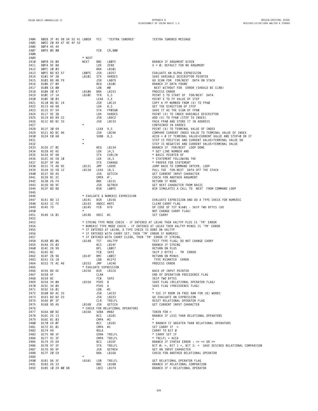| 2404         |                                      |  |  |  | BØE8 3F 45 58 54 52 41 LBØE8 | FCC                |                       | '?EXTRA IGNORED'                                                                                                 | ?EXTRA IGNORED MESSAGE                                                                                                                 |
|--------------|--------------------------------------|--|--|--|------------------------------|--------------------|-----------------------|------------------------------------------------------------------------------------------------------------------|----------------------------------------------------------------------------------------------------------------------------------------|
| 2405<br>2406 | BØEE 20 49 47 4E 4F 52<br>BØF4 45 44 |  |  |  |                              |                    |                       |                                                                                                                  |                                                                                                                                        |
| 2407         | BØF6 ØD 00                           |  |  |  |                              | FCB                | CR, \$00              |                                                                                                                  |                                                                                                                                        |
| 2408<br>2409 |                                      |  |  |  | * NEXT                       |                    |                       |                                                                                                                  |                                                                                                                                        |
| 2410         | BØF8 26 04                           |  |  |  | NEXT                         | BNE                | LBØFE                 |                                                                                                                  | BRANCH IF ARGUMENT GIVEN                                                                                                               |
| 2411<br>2412 | BØFA 9E 8A<br>BØFC 20 03             |  |  |  |                              | LDX<br>BRA         | ZERO<br>LB101         |                                                                                                                  | $X = \emptyset$ : DEFAULT FOR NO ARGUMENT                                                                                              |
| 2413         | BØFE BD B3 57                        |  |  |  | LBØFE                        | <b>JSR</b>         | LB357                 |                                                                                                                  | EVALUATE AN ALPHA EXPRESSION                                                                                                           |
| 2414         | B101 9F 3B                           |  |  |  | LB101                        | STX                | VARDES                |                                                                                                                  | SAVE VARIABLE DESCRIPTOR POINTER                                                                                                       |
| 2415<br>2416 | B103 BD AB F9<br>B106 27 04          |  |  |  |                              | JSR<br>BEQ         | LABF9<br>LB1ØC        |                                                                                                                  | GO SCAN FOR FOR/NEXT DATA ON STACK<br>BRANCH IF DATA FOUND                                                                             |
| 2417         | B108 C6 00                           |  |  |  |                              | LDB                | #Ø                    |                                                                                                                  | NEXT WITHOUT FOR ERROR (SHOULD BE CLRB)                                                                                                |
| 2418<br>2419 | B10A 20 47<br>B10C 1F 14             |  |  |  | LB10A<br>LB1ØC               | BRA<br>TFR         | LB153<br>X,S          |                                                                                                                  | PROCESS ERROR<br>POINT S TO START OF FOR/NEXT DATA                                                                                     |
| 2420         | B10E 30 03                           |  |  |  |                              | LEAX 3, X          |                       |                                                                                                                  | POINT X TO FP VALUE OF STEP                                                                                                            |
| 2421         | B110 BD BC 14                        |  |  |  |                              | JSR                | LBC14                 |                                                                                                                  | COPY A FP NUMBER FROM (X) TO FPAØ                                                                                                      |
| 2422<br>2423 | B113 A6 68<br>B115 97 54             |  |  |  |                              | LDA<br><b>STA</b>  | 8, S<br>FPØSGN        |                                                                                                                  | GET THE DIRECTION OF STEP<br>SAVE IT AS THE SIGN OF FPAØ                                                                               |
| 2424         | B117 9E 3B                           |  |  |  |                              | LDX                | VARDES                |                                                                                                                  | POINT (X) TO INDEX VARIABLE DESCRIPTOR                                                                                                 |
| 2425         | B119 BD B9 C2                        |  |  |  |                              | JSR                | LB9C2                 |                                                                                                                  | ADD (X) TO FPAØ (STEP TO INDEX)                                                                                                        |
| 2426<br>2427 | B11C BD BC 33                        |  |  |  |                              | JSR                | LBC33                 |                                                                                                                  | PACK FPAØ AND STORE IT IN ADDRESS<br>CONTAINED IN VARDES                                                                               |
| 2428         | B11F 30 69                           |  |  |  |                              | LEAX               | 9, S                  |                                                                                                                  | POINT (X) TO TERMINAL VALUE OF INDEX                                                                                                   |
| 2429         | B121 BD BC 96                        |  |  |  |                              | JSR                | LBC96                 |                                                                                                                  | COMPARE CURRENT INDEX VALUE TO TERMINAL VALUE OF INDEX                                                                                 |
| 2430<br>2431 | B124 EØ 68                           |  |  |  | $\star$                      | SUBB 8,S           |                       |                                                                                                                  | $ACCB = \emptyset$ IF TERMINAL VALUE=CURRENT VALUE AND STEP= $\emptyset$ OR IF<br>STEP IS POSITIVE AND CURRENT VALUE>TERMINAL VALUE OR |
| 2432         |                                      |  |  |  |                              |                    |                       |                                                                                                                  | STEP IS NEGATIVE AND CURRENT VALUE <terminal td="" value<=""></terminal>                                                               |
| 2433<br>2434 | B126 27 ØC<br>B128 AE 6E             |  |  |  |                              | BEQ<br>LDX         | LB134<br>14, S        |                                                                                                                  | BRANCH IF FOR/NEXT LOOP DONE<br>* GET LINE NUMBER AND                                                                                  |
| 2435         | B12A 9F 68                           |  |  |  |                              | <b>STX</b>         | CURLIN                |                                                                                                                  | * BASIC POINTER OF                                                                                                                     |
| 2436         | B12C AE E8 10                        |  |  |  |                              | LDX                | 16, S                 |                                                                                                                  | * STATEMENT FOLLOWING THE                                                                                                              |
| 2437<br>2438 | B12F 9F A6<br>B131 7E AD 9E          |  |  |  | LB131                        | STX<br>JMP         | CHARAD<br>LAD9E       |                                                                                                                  | * PROPER FOR STATEMENT<br>JUMP BACK TO COMMAND INTEPR. LOOP                                                                            |
| 2439         | B134 32 E8 12                        |  |  |  | LB134                        | LEAS 18,S          |                       |                                                                                                                  | PULL THE FOR-NEXT DATA OFF THE STACK                                                                                                   |
| 2440         | B137 9D A5                           |  |  |  |                              | JSR                | GETCCH                |                                                                                                                  | GET CURRENT INPUT CHARACTER                                                                                                            |
| 2441<br>2442 | B139 81 2C<br>B13B 26 F4             |  |  |  |                              | CMPA<br>BNE        | $#$ ',<br>LB131       |                                                                                                                  | CHECK FOR ANOTHER ARGUMENT<br>RETURN IF NONE                                                                                           |
| 2443         | B13D 9D 9F                           |  |  |  |                              | <b>JSR</b>         | GETNCH                |                                                                                                                  | GET NEXT CHARACTER FROM BASIC                                                                                                          |
| 2444<br>2445 | B13F 8D BD                           |  |  |  |                              | BSR                | LBØFE                 |                                                                                                                  | BSR SIMULATES A CALL TO NEXT FROM COMMAND LOOP                                                                                         |
| 2446         |                                      |  |  |  |                              |                    |                       | * EVALUATE A NUMERIC EXPRESSION                                                                                  |                                                                                                                                        |
| 2447         | B141 8D 13                           |  |  |  | LB141                        | BSR                | LB156                 |                                                                                                                  | EVALUATE EXPRESSION AND DO A TYPE CHECK FOR NUMERIC                                                                                    |
| 2448<br>2449 | B143 1C FE<br>B145 7D                |  |  |  | LB143<br>LB145               | ANDCC #\$FE<br>FCB | \$7D                  |                                                                                                                  | CLEAR CARRY FLAG<br>OP CODE OF TST \$1A01 - SKIP TWO BYTES (DO                                                                         |
| 2450         |                                      |  |  |  | $\star$                      |                    |                       |                                                                                                                  | NOT CHANGE CARRY FLAG)                                                                                                                 |
| 2451<br>2452 | B146 1A 01                           |  |  |  | LB146                        | ORCC #1            |                       |                                                                                                                  | SET CARRY                                                                                                                              |
| 2453         |                                      |  |  |  |                              |                    |                       |                                                                                                                  | * STRING TYPE MODE CHECK - IF ENTERED AT LB146 THEN VALTYP PLUS IS 'TM' ERROR                                                          |
| 2454         |                                      |  |  |  |                              |                    |                       |                                                                                                                  | * NUMERIC TYPE MODE CHECK - IF ENTERED AT LB143 THEN VALTYP MINUS IS 'TM' ERROR                                                        |
| 2455<br>2456 |                                      |  |  |  |                              |                    |                       | * IF ENTERED AT LB148, A TYPE CHECK IS DONE ON VALTYP<br>* IF ENTERED WITH CARRY SET, THEN 'TM' ERROR IF NUMERIC |                                                                                                                                        |
| 2457         |                                      |  |  |  |                              |                    |                       |                                                                                                                  | * IF ENTERED WITH CARRY CLEAR, THEN 'TM' ERROR IF STRING.                                                                              |
| 2458<br>2459 | B148 0D 06<br>B14A 25 03             |  |  |  | LB148                        | TST<br>BCS         | VALTYP<br>LB14F       |                                                                                                                  | TEST TYPE FLAG; DO NOT CHANGE CARRY<br>BRANCH IF STRING                                                                                |
| 2460         | B14C 2A 99                           |  |  |  |                              | BPL                | LBØE7                 |                                                                                                                  | RETURN ON PLUS                                                                                                                         |
| 2461         | B14E 8C                              |  |  |  |                              | FCB                | SKP2                  |                                                                                                                  | SKIP 2 BYTES - TM ERROR                                                                                                                |
| 2462<br>2463 | B14F 2B 96<br>B151 C6 18             |  |  |  | LB14F                        | BMI<br>LDB         | LBØE7<br>#12*2        |                                                                                                                  | RETURN ON MINUS<br>TYPE M1SMATCH ERROR                                                                                                 |
| 2464         | B153 7E AC 46                        |  |  |  | LB153                        | JMP                | LAC46                 |                                                                                                                  | PROCESS ERROR                                                                                                                          |
| 2465         |                                      |  |  |  |                              |                    | * EVALUATE EXPRESSION |                                                                                                                  |                                                                                                                                        |
| 2466<br>2467 | B156 8D 6E<br>B158 4F                |  |  |  | LB156                        | BSR<br>CLRA        | LB1C6                 |                                                                                                                  | BACK UP INPUT POINTER<br>END OF OPERATION PRECEDENCE FLAG                                                                              |
| 2468         | B159 8C                              |  |  |  |                              | FCB                | SKP2                  |                                                                                                                  | SKIP TWO BYTES                                                                                                                         |
| 2469<br>2470 | B15A 34 Ø4<br>B15C 34 02             |  |  |  | LB15A                        | PSHS B<br>PSHS A   |                       |                                                                                                                  | SAVE FLAG (RELATIONAL OPERATOR FLAG)<br>SAVE FLAG (PRECEDENCE FLAG)                                                                    |
| 2471         | B15E C6 01                           |  |  |  |                              | LDB                | #1                    |                                                                                                                  | $^{\star}$                                                                                                                             |
| 2472         | B160 BD AC 33                        |  |  |  |                              | JSR                | LAC33                 |                                                                                                                  | * SEE IF ROOM IN FREE RAM FOR (B) WORDS                                                                                                |
| 2473<br>2474 | B163 BD B2 23<br>B166 ØF 3F          |  |  |  |                              | JSR<br>CLR         | LB223<br>TRELFL       |                                                                                                                  | GO EVALUATE AN EXPRESSION<br>RESET RELATIONAL OPERATOR FLAG                                                                            |
| 2475         | B168 9D A5                           |  |  |  | LB168                        | JSR                | GETCCH                |                                                                                                                  | GET CURRENT INPUT CHARACTER                                                                                                            |
| 2476<br>2477 | B16A 80 B2                           |  |  |  | LB16A                        | SUBA #\$B2         |                       | * CHECK FOR RELATIONAL OPERATORS                                                                                 | TOKEN FOR $>$                                                                                                                          |
| 2478         | B16C 25 13                           |  |  |  |                              | BCS                | LB181                 |                                                                                                                  | BRANCH IF LESS THAN RELATIONAL OPERATORS                                                                                               |
| 2479         | B16E 81 03                           |  |  |  |                              | CMPA #3            |                       |                                                                                                                  | $\star$                                                                                                                                |
| 2480<br>2481 | B170 24 ØF<br>B172 81 01             |  |  |  |                              | BCC<br>CMPA #1     | LB181                 |                                                                                                                  | * BRANCH IF GREATER THAN RELATIONAL OPERATORS<br>SET CARRY IF >                                                                        |
| 2482         | B174 49                              |  |  |  |                              | ROLA               |                       |                                                                                                                  | CARRY TO BIT Ø                                                                                                                         |
| 2483         | B175 98 3F                           |  |  |  |                              |                    | EORA TRELFL           |                                                                                                                  | * CARRY SET IF                                                                                                                         |
| 2484<br>2485 | B177 91 3F<br>B179 25 64             |  |  |  |                              | BCS                | CMPA TRELFL<br>LB1DF  |                                                                                                                  | $*$ TRELFL = ACCA<br>BRANCH IF SYNTAX ERROR : $==$ << OR >>                                                                            |
| 2486         | B17B 97 3F                           |  |  |  |                              | STA                | TRELFL                |                                                                                                                  | BIT Ø: >, BIT 1 =, BIT 2: < SAVE DESIRED RELATIONAL COMPARISON                                                                         |
| 2487<br>2488 | B17D 9D 9F<br>B17F 20 E9             |  |  |  |                              | JSR<br>BRA         | GETNCH                |                                                                                                                  | GET AN INPUT CHARACTER<br>CHECK FOR ANOTHER RELATIONAL OPERATOR                                                                        |
| 2489         |                                      |  |  |  | $\star$                      |                    | LB16A                 |                                                                                                                  |                                                                                                                                        |
| 2490         | B181 D6 3F                           |  |  |  | LB181                        | LDB                | TRELFL                |                                                                                                                  | GET RELATIONAL OPERATOR FLAG                                                                                                           |
| 2491<br>2492 | B183 26 33<br>B185 10 24 00 6B       |  |  |  |                              | BNE                | LB1B8<br>LBCC LB1F4   |                                                                                                                  | BRANCH IF RELATIONAL COMPARISON<br>BRANCH IF > RELATIONAL OPERATOR                                                                     |
|              |                                      |  |  |  |                              |                    |                       |                                                                                                                  |                                                                                                                                        |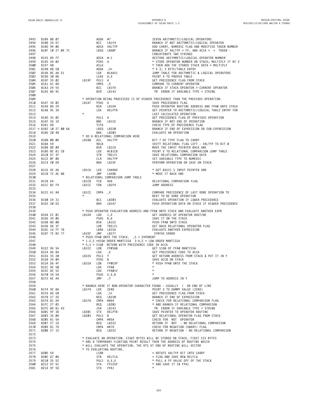**B189 8B 07 ADDA #7 SEVEN ARITHMETIC/LOGICAL OPERATORS 2494 B18B 24 67 BCC LB1F4 BRANCH IF NOT ARITHMETIC/LOGICAL OPERATOR B18D 99 06 ADCA VALTYP ADD CARRY, NUMERIC FLAG AND MODIFIED TOKEN NUMBER B18F 10 27 04 7C LBEQ LB60F BRANCH IF VALTYP = FF, AND ACCA = '+' TOKEN - 2497 CONCATENATE TWO STRINGS B193 89 FF ADCA #-1 RESTORE ARITHMETIC/LOGICAL OPERATOR NUMBER B195 34 02 PSHS A \* STORE OPERATOR NUMBER ON STACK; MULTIPLY IT BY 2 B197 48 ASLA \* THEN ADD THE STORED STACK DATA = MULTIPLY 2501 B198 AB E0 ADDA ,S+ \* X 3; 3 BYTE/TABLE ENTRY B19A 8E AA 51 LDX #LAA51 JUMP TABLE FOR ARITHMETIC & LOGICAL OPERATORS B19D 30 86 LEAX A,X POINT X TO PROPER TABLE 2504 B19F 35 02 LB19F PULS A GET PRECEDENCE FLAG FROM STACK B1A1 A1 84 CMPA ,X COMPARE TO CURRENT OPERATOR B1A3 24 55 BCC LB1FA BRANCH IF STACK OPERATOR > CURRENT OPERATOR B1A5 8D 9C BSR LB143 'TM' ERROR IF VARIABLE TYPE = STRING \* OPERATION BEING PROCESSED IS OF HIGHER PRECEDENCE THAN THE PREVIOUS OPERATION. B1A7 34 02 LB1A7 PSHS A SAVE PRECEDENCE FLAG 2511 B1A9 8D 29 BSR LB1D4 PUSH OPERATOR ROUTINE ADDRESS AND FPA0 ONTO STACK B1AB 9E 3D LDX RELPTR GET POINTER TO ARITHMETIC/LOGICAL TABLE ENTRY FOR \* LAST CALCULATED OPERATION B1AD 35 02 PULS A GET PRECEDENCE FLAG OF PREVIOUS OPERATION 2515 B1AF 26 1D BNE LB1CE BRANCH IF NOT END OF OPERATION 2516 B1B1 4D TSTA CHECK TYPE OF PRECEDENCE FLAG > B1B2 10 27 00 6A LBEQ LB220 BRANCH IF END OF EXPRESSION OR SUB-EXPRESSION B1B6 20 4B BRA LB203 EVALUATE AN OPERATION \* DO A RELATIONAL COMPARISON HERE B1B8 08 06 LB1B8 ASL VALTYP BIT 7 OF TYPE FLAG TO CARRY B1BA 59 ROLB SHIFT RELATIONAL FLAG LEFT - VALTYP TO BIT 0 B1BB 8D 09 BSR LB1C6 MOVE THE INPUT POINTER BACK ONE B1BD 8E B1 CB LDX #LB1CB POINT X TO RELATIONAL COMPARISON JUMP TABLE B1C0 D7 3F STB TRELFL SAVE RELATIONAL COMPARISON DATA B1C2 0F 06 CLR VALTYP SET VARIABLE TYPE TO NUMERIC 2526 B1C4 20 D9 BRA LB19F PERFORM OPERATION OR SAVE ON STACK B1C6 9E A6 LB1C6 LDX CHARAD \* GET BASIC'S INPUT POINTER AND B1C8 7E AE BB JMP LAEBB \* MOVE IT BACK ONE \* RELATIONAL COMPARISON JUMP TABLE B1CB 64 LB1CB FCB \$64 RELATIONAL COMPARISON FLAG B1CC B2 F4 LB1CC FDB LB2F4 JUMP ADDRESS B1CE A1 84 LB1CE CMPA ,X COMPARE PRECEDENCE OF LAST DONE OPERATION TO \* NEXT TO BE DONE OPERATION B1D0 24 31 BCC LB203 EVALUATE OPERATION IF LOWER PRECEDENCE B1D2 20 D3 BRA LB1A7 PUSH OPERATION DATA ON STACK IF HIGHER PRECEDENCE \* PUSH OPERATOR EVALUATION ADDRESS AND FPA0 ONTO STACK AND EVALUATE ANOTHER EXPR B1D4 EC 01 LB1D4 LDD 1,X GET ADDRESS OF OPERATOR ROUTINE 2541 B1D6 34 06 PSHS B,A SAVE IT ON THE STACK B1D8 8D 08 BSR LB1E2 PUSH FPA0 ONTO STACK B1DA D6 3F LDB TRELFL GET BACK RELATIONAL OPERATOR FLAG B1DC 16 FF 7B LBRA LB15A EVALUATE ANOTHER EXPRESSION** 2545 B1DF 7E B2 77 LB1DF JMP LB277<br>2546 kpush = Push FPA0 ONTO THE STACK. ,S = EXPONENT \* PUSH = 2546<br>2547 kpush = 255 =HIGH ORDER MANTISSA 3-4,S = LOW ORDER MANTISSA<br>2548 kpc = SIGN RETURN WITH PRECEDENCE CODE IN ACCA **B1E2 D6 54 LB1E2 LDB FP0SGN GET SIGN OF FPA0 MANTISSA B1E4 A6 84 LDA ,X GET PRECEDENCE CODE TO ACCA B1E6 35 20 LB1E6 PULS Y GET RETURN ADDRESS FROM STACK & PUT IT IN Y B1E8 34 04 PSHS B SAVE ACCB ON STACK B1EA D6 4F LB1EA LDB FP0EXP \* PUSH FPA0 ONTO THE STACK B1EC 9E 50 LDX FPA0 \* B1EE DE 52 LDU FPA0+2 \* B1F0 34 54 PSHS U,X,B \* B1F2 6E A4 JMP ,Y JUMP TO ADDRESS IN Y \* BRANCH HERE IF NON-OPERATOR CHARACTER FOUND - USUALLY ')' OR END OF LINE B1F4 9E 8A LB1F4 LDX ZERO POINT X TO DUMMY VALUE (ZERO) B1F6 A6 E0 LDA ,S+ GET PRECEDENCE FLAG FROM STACK** 2562 B1F8 27 26 BEQ LB220 BRANCH IF END OF EXPRESSION<br>2563 B1FA 81 64 LB1FA CMPA #\$64 \* CHECK FOR RELATIONAL COMPARISON FLAG **B1FC 27 03 BEQ LB201 \* AND BRANCH IF RELATIONAL COMPARISON** 2565 B1FE BD B1 43 JSR LB143 TM ERROR IF VARIABLE TYPE = STRING<br>2566 B2Ø1 9F 3D LB2Ø1 STX RELPTR SAVE POINTER **B203 35 04 LB203 PULS B GET RELATIONAL OPERATOR FLAG FROM STACK 2568 B205 81 5A CMPA #\$5A CHECK FOR 'NOT' OPERATOR 2569 B207 27 19 BEQ LB222 RETURN IF 'NOT' - NO RELATIONAL COMPARISON 2570 B209 81 7D CMPA #\$7D CHECK FOR NEGATION (UNARY) FLAG 2571 B20B 27 15 BEQ LB222 RETURN IF NEGATION - NO RELATIONAL COMPARISON \* EVALUATE AN OPERATION. EIGHT BYTES WILL BE STORED ON STACK, FIRST SIX BYTES 2574 \* ARE A TEMPORARY FLOATING POINT RESULT THEN THE ADDRESS OF ROUTINE WHICH \* WILL EVALUATE THE OPERATION. THE RTS AT END OF ROUTINE WILL VECTOR \* TO EVALUATING ROUTINE. B20D 54 LSRB = ROTATE VALTYP BIT INTO CARRY B20E D7 0A STB RELFLG = FLAG AND SAVE NEW RELFLG 2579 B210 35 52 PULS A,X,U \* PULL A FP VALUE OFF OF THE STACK B212 97 5C STA FP1EXP \* AND SAVE IT IN FPA1 B214 9F 5D STX FPA1 \***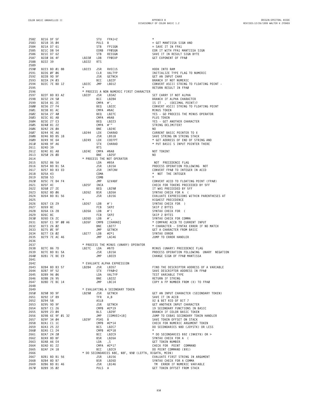|              |                                                                                                                                                                                                                                                                             |                                         |            |                                                                                                                                                                 | 2582 8216 DF 5F<br>2583 8216 0F 5F<br>2584 8214 D7 61 STB FP1SGN = SAVE IT IN FPA1<br>2585 821C D8 54 EORB FP85GN EOR IT WITH FPA1<br>2585 8222 DB 54 EORB FP85GN SAVE IT IN FPA1<br>2587 8228 D6 4F<br>2587 8222 39 LB222 RTS<br>2587 8222            |
|--------------|-----------------------------------------------------------------------------------------------------------------------------------------------------------------------------------------------------------------------------------------------------------------------------|-----------------------------------------|------------|-----------------------------------------------------------------------------------------------------------------------------------------------------------------|--------------------------------------------------------------------------------------------------------------------------------------------------------------------------------------------------------------------------------------------------------|
|              |                                                                                                                                                                                                                                                                             |                                         |            |                                                                                                                                                                 |                                                                                                                                                                                                                                                        |
|              |                                                                                                                                                                                                                                                                             |                                         |            |                                                                                                                                                                 |                                                                                                                                                                                                                                                        |
|              |                                                                                                                                                                                                                                                                             |                                         |            |                                                                                                                                                                 |                                                                                                                                                                                                                                                        |
|              |                                                                                                                                                                                                                                                                             |                                         |            |                                                                                                                                                                 |                                                                                                                                                                                                                                                        |
|              |                                                                                                                                                                                                                                                                             |                                         |            |                                                                                                                                                                 |                                                                                                                                                                                                                                                        |
|              |                                                                                                                                                                                                                                                                             |                                         |            |                                                                                                                                                                 |                                                                                                                                                                                                                                                        |
|              |                                                                                                                                                                                                                                                                             |                                         |            | RVEC15<br>VALTYP<br>GETNCH<br>LB22F<br>LBD12                                                                                                                    |                                                                                                                                                                                                                                                        |
|              |                                                                                                                                                                                                                                                                             |                                         | CLR        |                                                                                                                                                                 | INITIALIZE TYPE FLAG TO NUMERIC<br>GET AN INPUT CHAR<br>BRANCH IF NOT NUMERIC<br>CONVERT ASCII STRING TO FLOATING POINT -                                                                                                                              |
|              |                                                                                                                                                                                                                                                                             |                                         |            | JSR GETNCH                                                                                                                                                      |                                                                                                                                                                                                                                                        |
|              |                                                                                                                                                                                                                                                                             |                                         |            | BCC LB22F                                                                                                                                                       |                                                                                                                                                                                                                                                        |
|              | 2590 B223 by the 1-1<br>2592 B228 9D 9F<br>2593 B22A 24 03<br>2593 B22A 24 03<br>2594 B22C 7E BD 12 LB22C                                                                                                                                                                   |                                         |            | JMP LBD12                                                                                                                                                       |                                                                                                                                                                                                                                                        |
| 2596         |                                                                                                                                                                                                                                                                             |                                         |            |                                                                                                                                                                 | RETURN RESULT IN FPAØ                                                                                                                                                                                                                                  |
|              |                                                                                                                                                                                                                                                                             |                                         |            | * PROCESS A NON NUMERIC FIRST CHARACTER<br>LB22F   JSR   LB3A2                                                                                                  | 2599 B232 24 50<br>2698 B232 24 50<br>2698 B234 81 22<br>2698 B234 81 22<br>2698 B234 81 22<br>2698 B234 81 22<br>2698 B236 27 F4<br>2698 B236 81 AC<br>2698 B24 81 AC<br>2698 B24 81 AC<br>2698 B24 81 22<br>2698 B24 81 22<br>2698 B24 81 22<br>2698 |
|              |                                                                                                                                                                                                                                                                             |                                         |            |                                                                                                                                                                 |                                                                                                                                                                                                                                                        |
|              |                                                                                                                                                                                                                                                                             |                                         |            |                                                                                                                                                                 |                                                                                                                                                                                                                                                        |
|              |                                                                                                                                                                                                                                                                             |                                         |            |                                                                                                                                                                 | CONVERT ASCII STRING TO FLOATING POINT                                                                                                                                                                                                                 |
|              |                                                                                                                                                                                                                                                                             |                                         |            |                                                                                                                                                                 |                                                                                                                                                                                                                                                        |
|              |                                                                                                                                                                                                                                                                             |                                         |            |                                                                                                                                                                 |                                                                                                                                                                                                                                                        |
|              |                                                                                                                                                                                                                                                                             |                                         |            |                                                                                                                                                                 |                                                                                                                                                                                                                                                        |
|              |                                                                                                                                                                                                                                                                             |                                         |            |                                                                                                                                                                 |                                                                                                                                                                                                                                                        |
|              |                                                                                                                                                                                                                                                                             |                                         |            |                                                                                                                                                                 |                                                                                                                                                                                                                                                        |
|              |                                                                                                                                                                                                                                                                             |                                         |            |                                                                                                                                                                 |                                                                                                                                                                                                                                                        |
|              |                                                                                                                                                                                                                                                                             |                                         |            |                                                                                                                                                                 |                                                                                                                                                                                                                                                        |
|              |                                                                                                                                                                                                                                                                             |                                         |            |                                                                                                                                                                 |                                                                                                                                                                                                                                                        |
|              |                                                                                                                                                                                                                                                                             |                                         |            |                                                                                                                                                                 |                                                                                                                                                                                                                                                        |
|              |                                                                                                                                                                                                                                                                             | $LBA9$ $LDX$<br>$STX$<br>$RTS$<br>$TSS$ |            |                                                                                                                                                                 |                                                                                                                                                                                                                                                        |
|              |                                                                                                                                                                                                                                                                             |                                         |            |                                                                                                                                                                 | NOT TOKEN?                                                                                                                                                                                                                                             |
|              |                                                                                                                                                                                                                                                                             |                                         |            |                                                                                                                                                                 | NO.                                                                                                                                                                                                                                                    |
|              |                                                                                                                                                                                                                                                                             |                                         |            |                                                                                                                                                                 |                                                                                                                                                                                                                                                        |
|              |                                                                                                                                                                                                                                                                             |                                         |            |                                                                                                                                                                 | NOT PRECEDENCE FLAG                                                                                                                                                                                                                                    |
|              |                                                                                                                                                                                                                                                                             |                                         |            |                                                                                                                                                                 | NUT PRECEDENCE LENG<br>PROCESS OPERATION FOLLOWING NOT<br>CONVERT FPAØ TO INTEGER IN ACCD<br>PROCESS OPERATION FOLLOWING NOT                                                                                                                           |
|              |                                                                                                                                                                                                                                                                             |                                         |            |                                                                                                                                                                 |                                                                                                                                                                                                                                                        |
|              |                                                                                                                                                                                                                                                                             |                                         |            |                                                                                                                                                                 | * NOT THE INTEGER                                                                                                                                                                                                                                      |
|              |                                                                                                                                                                                                                                                                             |                                         |            |                                                                                                                                                                 |                                                                                                                                                                                                                                                        |
|              |                                                                                                                                                                                                                                                                             |                                         |            |                                                                                                                                                                 |                                                                                                                                                                                                                                                        |
|              |                                                                                                                                                                                                                                                                             |                                         |            |                                                                                                                                                                 |                                                                                                                                                                                                                                                        |
|              | 2608 B2+1<br>2609 B249 9E 64<br>2611 B24D 39<br>2611 B24D 39<br>2612 B24E 81 A8<br>2613 B250 26 0D<br>2614 B250 26 0D<br>2615 B252 86 5A<br>2615 B252 86 5A<br>2616 B254 BD B1 5A<br>2616 B254 BD B1 5A<br>2616 B254 BD B3 ED<br>2618 B254 A3<br>2618 B2<br>2623 B262 8D 06 | $LB262$<br>*                            |            |                                                                                                                                                                 | COMB<br>COMB<br>JMP GIVABF<br>CONCERT ACCD TO FLOATING POINT (TEMP)<br>CONCERT ACCD TO FLOATING POINT (TEMP)<br>CONCERT ACCD TO FRECCEDED BY SFF<br>BEQ LB290<br>IT WAS PRECCEDED BY SFF<br>BSR LB26A<br>SYNTAX CHECK FOR A (<br>JSR LB156<br><br>.    |
|              | 2624 B264 BD B1 56                                                                                                                                                                                                                                                          |                                         |            |                                                                                                                                                                 |                                                                                                                                                                                                                                                        |
| 2625         |                                                                                                                                                                                                                                                                             |                                         |            |                                                                                                                                                                 | 2626 8267 C6 29<br>2627 8269 BC<br>2627 8269 BC<br>2628 826A C6 28 LB26A LDB #'(SWITAX CHECK FOR )<br>2629 B26C BC<br>2629 B26C BC<br>2629 B26C C6 2C EC FCB SKP2 SKIP 2 BYTES<br>2632 B26C BC<br>2638 B26C E1 9F 00 A6 LB26D LDB #',<br>2631 B2       |
|              |                                                                                                                                                                                                                                                                             |                                         |            |                                                                                                                                                                 |                                                                                                                                                                                                                                                        |
|              |                                                                                                                                                                                                                                                                             |                                         |            |                                                                                                                                                                 |                                                                                                                                                                                                                                                        |
|              |                                                                                                                                                                                                                                                                             |                                         |            |                                                                                                                                                                 |                                                                                                                                                                                                                                                        |
|              |                                                                                                                                                                                                                                                                             |                                         |            |                                                                                                                                                                 |                                                                                                                                                                                                                                                        |
|              |                                                                                                                                                                                                                                                                             |                                         |            |                                                                                                                                                                 |                                                                                                                                                                                                                                                        |
|              |                                                                                                                                                                                                                                                                             |                                         |            |                                                                                                                                                                 |                                                                                                                                                                                                                                                        |
|              |                                                                                                                                                                                                                                                                             |                                         |            |                                                                                                                                                                 |                                                                                                                                                                                                                                                        |
|              |                                                                                                                                                                                                                                                                             |                                         |            |                                                                                                                                                                 |                                                                                                                                                                                                                                                        |
| 2635         | B279 7E AC 46                                                                                                                                                                                                                                                               |                                         | JMP        | LAC46                                                                                                                                                           | JUMP TO ERROR HANDLER                                                                                                                                                                                                                                  |
| 2636         |                                                                                                                                                                                                                                                                             |                                         |            |                                                                                                                                                                 |                                                                                                                                                                                                                                                        |
| 2637         |                                                                                                                                                                                                                                                                             |                                         |            | * PROCESS THE MINUS (UNARY) OPERATOR<br>LB27C   LDA   #\$7D                                                                                                     |                                                                                                                                                                                                                                                        |
|              |                                                                                                                                                                                                                                                                             | LB27C LDA                               |            | #\$7D                                                                                                                                                           | MINUS (UNARY) PRECEDENCE FLAG                                                                                                                                                                                                                          |
|              |                                                                                                                                                                                                                                                                             |                                         | JSR        | LB15A                                                                                                                                                           | PROCESS OPERATION FOLLOWING UNARY NEGATION                                                                                                                                                                                                             |
|              |                                                                                                                                                                                                                                                                             |                                         | JMP        | LBEE9                                                                                                                                                           | CHANGE SIGN OF FPAØ MANTISSA                                                                                                                                                                                                                           |
| 2641<br>2642 |                                                                                                                                                                                                                                                                             |                                         |            |                                                                                                                                                                 |                                                                                                                                                                                                                                                        |
| 2643         | B284 BD B3 57                                                                                                                                                                                                                                                               |                                         |            | * EVALUATE ALPHA EXPRESSION<br>LB284   JSR   LB357                                                                                                              | FIND THE DESCRIPTOR ADDRESS OF A VARIABLE                                                                                                                                                                                                              |
| 2644         | B287 9F 52                                                                                                                                                                                                                                                                  |                                         |            | STX FPAØ+2                                                                                                                                                      | SAVE DESCRIPTOR ADDRESS IN FPAØ                                                                                                                                                                                                                        |
| 2645         | B289 96 06                                                                                                                                                                                                                                                                  |                                         | LDA        | VALTYP                                                                                                                                                          | TEST VARIABLE TYPE                                                                                                                                                                                                                                     |
| 2646         | B28B 26 95                                                                                                                                                                                                                                                                  |                                         | BNE        | L B222                                                                                                                                                          | RETURN IF STRING                                                                                                                                                                                                                                       |
| 2647         | B28D 7E BC 14                                                                                                                                                                                                                                                               |                                         | JMP        | LBC14                                                                                                                                                           | COPY A FP NUMBER FROM (X) TO FPAØ                                                                                                                                                                                                                      |
| 2648         |                                                                                                                                                                                                                                                                             |                                         |            |                                                                                                                                                                 |                                                                                                                                                                                                                                                        |
| 2649         |                                                                                                                                                                                                                                                                             |                                         |            | * EVALUATING A SECONDARY TOKEN                                                                                                                                  |                                                                                                                                                                                                                                                        |
|              | 2650 B290 9D 9F                                                                                                                                                                                                                                                             | LB290                                   | JSR        | GETNCH                                                                                                                                                          | GET AN INPUT CHARACTER (SECONDARY TOKEN)                                                                                                                                                                                                               |
|              | 2651 B292 1F 89                                                                                                                                                                                                                                                             |                                         | TFR        | A, B                                                                                                                                                            | SAVE IT IN ACCB<br>X2 & BET RID OF BIT 7                                                                                                                                                                                                               |
|              | 2652 B294 58<br>2653 B295 9D 9F                                                                                                                                                                                                                                             |                                         | ASLB       | JSR GETNCH                                                                                                                                                      |                                                                                                                                                                                                                                                        |
|              | 2654 B297 C1 26                                                                                                                                                                                                                                                             |                                         |            | CMPB $\#2*19$                                                                                                                                                   |                                                                                                                                                                                                                                                        |
|              | 2655 B299 23 Ø4                                                                                                                                                                                                                                                             |                                         | BLS        |                                                                                                                                                                 |                                                                                                                                                                                                                                                        |
|              | 2656 B29B 6E 9F 01 32                                                                                                                                                                                                                                                       |                                         | JMP        |                                                                                                                                                                 | JUMP TO EXBAS SECONDARY TOKEN HANDLER                                                                                                                                                                                                                  |
|              | 2657 B29F 34 Ø4                                                                                                                                                                                                                                                             | LB29F                                   | PSHS B     |                                                                                                                                                                 | GET ANOTHER INPUT CHARACTER<br>#2*19 19 SECONDARY FUNCTIONS IN BASIC<br>LB29F BRANCH IF COLOR BASIC TOKEN<br>COMVEC+18] JUMP TO EXBAS SECONDARY TO<br>SAVE TOKEN OFFSET ON STACK                                                                       |
|              | 2658 B2A1 C1 1C                                                                                                                                                                                                                                                             |                                         |            | CMPB $\#2*14$                                                                                                                                                   | CHECK FOR NUMERIC ARGUMENT TOKEN                                                                                                                                                                                                                       |
|              | 2659 B2A3 25 22                                                                                                                                                                                                                                                             |                                         | <b>BCS</b> | LB2C7                                                                                                                                                           | DO SECONDARIES \$8D (JOYSTK) OR LESS                                                                                                                                                                                                                   |
|              | 2660 B2A5 C1 24                                                                                                                                                                                                                                                             |                                         |            | CMPB #2*18<br>BCC LB2C9                                                                                                                                         | $\star$                                                                                                                                                                                                                                                |
|              | 2661 B2A7 24 20                                                                                                                                                                                                                                                             |                                         |            |                                                                                                                                                                 | * DO SECONDARIES \$92 (INKEY\$) OR >                                                                                                                                                                                                                   |
|              | 2662 B2A9 8D BF                                                                                                                                                                                                                                                             |                                         |            | BSR LB26A                                                                                                                                                       | SYNTAX CHECK FOR A (                                                                                                                                                                                                                                   |
|              | 2663 B2AB A6 E4                                                                                                                                                                                                                                                             |                                         | LDA        | , S                                                                                                                                                             | GET TOKEN NUMBER                                                                                                                                                                                                                                       |
| 2665         | 2664 B2AD 81 22<br>B2AF 24 18                                                                                                                                                                                                                                               |                                         |            |                                                                                                                                                                 | CHECK FOR POINT COMMAND<br>DO POINT COMMAND (\$91)                                                                                                                                                                                                     |
| 2666         |                                                                                                                                                                                                                                                                             |                                         |            |                                                                                                                                                                 |                                                                                                                                                                                                                                                        |
| 2667         | B2B1 BD B1 56                                                                                                                                                                                                                                                               |                                         |            | LUM 7<br>CMPA #2*17<br>BCC LB2C9 DO PULNI UM:<br>* DO SECONDARIES \$8E, \$8F, \$90 (LEFT\$, RIGHT\$, MID\$)<br>TV: EVALUATE FIR:<br>SYNTAX CHECK<br>TV: ERROR I | EVALUATE FIRST STRING IN ARGUMENT                                                                                                                                                                                                                      |
|              | 2668 B2B4 8D B7                                                                                                                                                                                                                                                             |                                         |            |                                                                                                                                                                 | SYNTAX CHECK FOR A COMMA                                                                                                                                                                                                                               |
| 2669         | B2B6 BD B1 46                                                                                                                                                                                                                                                               |                                         | JSR        | LB146                                                                                                                                                           | TM ERROR IF NUMERIC VARiABLE                                                                                                                                                                                                                           |
| 2670         | B2B9 35 02                                                                                                                                                                                                                                                                  |                                         | PULS A     |                                                                                                                                                                 | GET TOKEN OFFSET FROM STACK                                                                                                                                                                                                                            |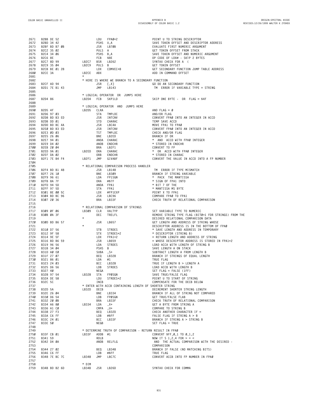|              |                                                      |                  |             |                                                                                                                                                                                                                                                        | 2672 8280 34 42<br>2672 8280 34 42<br>2672 8280 34 42<br>2673 8281 80 87 08<br>2674 82C2 35 02<br>2675 82C4 34 06<br>2675 82C4 34 06<br>2676 82C6 8E<br>2676 82C6 8E<br>2676 82C6 8E<br>2676 82C8 99<br>2676 82C8 99<br>2676 82C8 99<br>2676 82C8 99<br>26     |
|--------------|------------------------------------------------------|------------------|-------------|--------------------------------------------------------------------------------------------------------------------------------------------------------------------------------------------------------------------------------------------------------|----------------------------------------------------------------------------------------------------------------------------------------------------------------------------------------------------------------------------------------------------------------|
|              |                                                      |                  |             |                                                                                                                                                                                                                                                        |                                                                                                                                                                                                                                                                |
|              |                                                      |                  |             |                                                                                                                                                                                                                                                        |                                                                                                                                                                                                                                                                |
|              |                                                      |                  |             |                                                                                                                                                                                                                                                        |                                                                                                                                                                                                                                                                |
|              |                                                      |                  |             |                                                                                                                                                                                                                                                        |                                                                                                                                                                                                                                                                |
|              |                                                      |                  |             |                                                                                                                                                                                                                                                        |                                                                                                                                                                                                                                                                |
|              |                                                      |                  |             |                                                                                                                                                                                                                                                        |                                                                                                                                                                                                                                                                |
|              |                                                      |                  |             |                                                                                                                                                                                                                                                        |                                                                                                                                                                                                                                                                |
|              |                                                      |                  |             |                                                                                                                                                                                                                                                        | GET SECONDARY FUNCTION JUMP TABLE ADDRESS                                                                                                                                                                                                                      |
|              | B2CE 3A                                              | LB2CE ABX        |             |                                                                                                                                                                                                                                                        |                                                                                                                                                                                                                                                                |
|              |                                                      |                  |             |                                                                                                                                                                                                                                                        |                                                                                                                                                                                                                                                                |
| 2681         |                                                      | $\star$          |             |                                                                                                                                                                                                                                                        |                                                                                                                                                                                                                                                                |
| 2682         |                                                      |                  |             | * HERE IS WHERE WE BRANCH TO A SECONDARY FUNCTION                                                                                                                                                                                                      |                                                                                                                                                                                                                                                                |
| 2683         |                                                      |                  |             | JSR [,X]                                                                                                                                                                                                                                               |                                                                                                                                                                                                                                                                |
| 2684         | B2CF AD 94<br>B2D1 7E B1 43                          |                  | JMP         | LB143                                                                                                                                                                                                                                                  | GO DO AN SECONDARY FUNCTION<br>TM ERROR IF VARIABLE TYPE = STRING                                                                                                                                                                                              |
|              |                                                      |                  |             |                                                                                                                                                                                                                                                        |                                                                                                                                                                                                                                                                |
| 2685         |                                                      |                  |             |                                                                                                                                                                                                                                                        |                                                                                                                                                                                                                                                                |
| 2686         |                                                      |                  |             | * LOGICAL OPERATOR OR JUMPS HERE                                                                                                                                                                                                                       |                                                                                                                                                                                                                                                                |
| 2687         | B2D4 86 LB2D4 FCB SKP1LD                             |                  |             |                                                                                                                                                                                                                                                        | SKIP ONE BYTE - OR FLAG = \$4F                                                                                                                                                                                                                                 |
| 2688         |                                                      |                  |             |                                                                                                                                                                                                                                                        |                                                                                                                                                                                                                                                                |
|              |                                                      |                  |             |                                                                                                                                                                                                                                                        |                                                                                                                                                                                                                                                                |
|              |                                                      |                  |             |                                                                                                                                                                                                                                                        | $AND$ FLAG = $\emptyset$                                                                                                                                                                                                                                       |
|              | $2690$ B2D5 4F<br>2691 B2D6 97 03<br>2692 B2D6 97 03 |                  |             | * LOGICAL OPERATOR AND JUMPS HERE<br>LB2D5 CLRA<br>CTA THPLOC                                                                                                                                                                                          |                                                                                                                                                                                                                                                                |
|              |                                                      |                  |             |                                                                                                                                                                                                                                                        |                                                                                                                                                                                                                                                                |
|              |                                                      |                  |             |                                                                                                                                                                                                                                                        |                                                                                                                                                                                                                                                                |
|              |                                                      |                  |             |                                                                                                                                                                                                                                                        |                                                                                                                                                                                                                                                                |
|              |                                                      |                  |             |                                                                                                                                                                                                                                                        |                                                                                                                                                                                                                                                                |
|              |                                                      |                  |             |                                                                                                                                                                                                                                                        |                                                                                                                                                                                                                                                                |
|              |                                                      |                  |             |                                                                                                                                                                                                                                                        |                                                                                                                                                                                                                                                                |
|              |                                                      |                  |             |                                                                                                                                                                                                                                                        |                                                                                                                                                                                                                                                                |
|              |                                                      |                  |             |                                                                                                                                                                                                                                                        |                                                                                                                                                                                                                                                                |
|              |                                                      |                  |             |                                                                                                                                                                                                                                                        |                                                                                                                                                                                                                                                                |
|              |                                                      |                  |             |                                                                                                                                                                                                                                                        |                                                                                                                                                                                                                                                                |
|              |                                                      |                  |             |                                                                                                                                                                                                                                                        |                                                                                                                                                                                                                                                                |
|              |                                                      |                  |             |                                                                                                                                                                                                                                                        |                                                                                                                                                                                                                                                                |
|              |                                                      |                  |             |                                                                                                                                                                                                                                                        |                                                                                                                                                                                                                                                                |
|              |                                                      |                  |             |                                                                                                                                                                                                                                                        |                                                                                                                                                                                                                                                                |
|              |                                                      |                  |             |                                                                                                                                                                                                                                                        | CONVERT THE VALUE IN ACCD INTO A FP NUMBER                                                                                                                                                                                                                     |
| 2704         |                                                      |                  |             |                                                                                                                                                                                                                                                        |                                                                                                                                                                                                                                                                |
| 2705         |                                                      |                  |             | * RELATIONAL COMPARISON PROCESS HANDLER                                                                                                                                                                                                                |                                                                                                                                                                                                                                                                |
|              |                                                      |                  |             |                                                                                                                                                                                                                                                        | TM ERROR IF TYPE MISMATCH                                                                                                                                                                                                                                      |
|              |                                                      |                  |             |                                                                                                                                                                                                                                                        |                                                                                                                                                                                                                                                                |
|              |                                                      |                  |             |                                                                                                                                                                                                                                                        |                                                                                                                                                                                                                                                                |
|              |                                                      |                  |             |                                                                                                                                                                                                                                                        |                                                                                                                                                                                                                                                                |
|              |                                                      |                  |             |                                                                                                                                                                                                                                                        |                                                                                                                                                                                                                                                                |
|              |                                                      |                  |             |                                                                                                                                                                                                                                                        |                                                                                                                                                                                                                                                                |
|              |                                                      |                  |             | 2706 B2F4 BD B1 48<br>2706 B2F4 BD B1 48<br>2707 B2F7 26 10<br>2709 B2F9 96 61<br>2709 B2F9 96 61<br>2710 B2FD 94 5D<br>2711 B2FF 97 5D<br>2711 B2FF 97 5D<br>2711 B2FF 97 5D<br>2712 B301 8E 00 5C<br>2712 B304 BD BC 96<br>2714 B307 20 36<br>2714 B | BRANCH IF STRING VARIABLE<br>★ PACK THE MANTISSA<br>★ SIGN OF FPA1 INTO<br>★ BIT 7 OF THE<br>★ MANTISSA MS BYTE                                                                                                                                                |
|              |                                                      |                  |             |                                                                                                                                                                                                                                                        |                                                                                                                                                                                                                                                                |
|              |                                                      |                  |             |                                                                                                                                                                                                                                                        | POINT X TO FPA1<br>ruini A. I.<br>COMPARE FPAØ TO FPA1<br>CHECK TRUTH OF RELATIONAL COMPARISON                                                                                                                                                                 |
|              |                                                      |                  |             |                                                                                                                                                                                                                                                        |                                                                                                                                                                                                                                                                |
| 2714         | B307 20 36                                           |                  |             | BRA LB33F                                                                                                                                                                                                                                              |                                                                                                                                                                                                                                                                |
| 2715         |                                                      |                  |             |                                                                                                                                                                                                                                                        |                                                                                                                                                                                                                                                                |
| 2716         |                                                      |                  |             | * RELATIONAL COMPARISON OF STRINGS                                                                                                                                                                                                                     |                                                                                                                                                                                                                                                                |
|              |                                                      |                  |             |                                                                                                                                                                                                                                                        |                                                                                                                                                                                                                                                                |
|              |                                                      |                  |             |                                                                                                                                                                                                                                                        |                                                                                                                                                                                                                                                                |
| 2717         | B309 0F 06                                           | LB309 CLR VALTYP |             |                                                                                                                                                                                                                                                        | SET VARIABLE TYPE TO NUMERIC                                                                                                                                                                                                                                   |
| 2718         | B3ØB ØA 3F                                           |                  |             | DEC TRELFL                                                                                                                                                                                                                                             | REMOVE STRING TYPE FLAG (BITØ=1 FOR STRINGS) FROM THE                                                                                                                                                                                                          |
| 2719         |                                                      | $\star$          |             |                                                                                                                                                                                                                                                        | DESIRED RELATIONAL COMPARISON DATA                                                                                                                                                                                                                             |
| 2720         | B3ØD BD B6 57                                        |                  |             |                                                                                                                                                                                                                                                        | GET LENGTH AND ADDRESS OF STRING WHOSE                                                                                                                                                                                                                         |
|              |                                                      | $\star$          |             | JSR LB657                                                                                                                                                                                                                                              |                                                                                                                                                                                                                                                                |
| 2721         |                                                      |                  |             |                                                                                                                                                                                                                                                        | DESCRIPTOR ADDRESS IS IN THE BOTTOM OF FPAØ                                                                                                                                                                                                                    |
|              |                                                      |                  |             |                                                                                                                                                                                                                                                        |                                                                                                                                                                                                                                                                |
|              |                                                      |                  |             |                                                                                                                                                                                                                                                        |                                                                                                                                                                                                                                                                |
|              |                                                      |                  |             |                                                                                                                                                                                                                                                        |                                                                                                                                                                                                                                                                |
|              |                                                      |                  |             |                                                                                                                                                                                                                                                        |                                                                                                                                                                                                                                                                |
|              |                                                      |                  |             |                                                                                                                                                                                                                                                        |                                                                                                                                                                                                                                                                |
|              |                                                      |                  |             |                                                                                                                                                                                                                                                        |                                                                                                                                                                                                                                                                |
|              |                                                      |                  |             |                                                                                                                                                                                                                                                        |                                                                                                                                                                                                                                                                |
|              |                                                      |                  |             |                                                                                                                                                                                                                                                        |                                                                                                                                                                                                                                                                |
|              |                                                      |                  |             |                                                                                                                                                                                                                                                        |                                                                                                                                                                                                                                                                |
|              |                                                      |                  |             |                                                                                                                                                                                                                                                        |                                                                                                                                                                                                                                                                |
|              |                                                      |                  |             |                                                                                                                                                                                                                                                        |                                                                                                                                                                                                                                                                |
|              |                                                      |                  |             |                                                                                                                                                                                                                                                        |                                                                                                                                                                                                                                                                |
| 2733         | B327 40                                              |                  | NEGA        |                                                                                                                                                                                                                                                        | $SET$ FLAG = FALSE (1FF)                                                                                                                                                                                                                                       |
|              |                                                      |                  |             |                                                                                                                                                                                                                                                        | 2721<br>2721<br>2722 8310 D7 56<br>2723 8316 D7 56<br>2723 8314 9E 5F<br>2724 8314 9E 5F<br>2724 8314 9E 5F<br>2725 8316 BD B6 59<br>3R LB659<br>3R LB659<br>3R LB659<br>3R LB659<br>3R LB659<br>2726 8319 96 56<br>2726 8319 96 56<br>LDA STRDES<br>2726 8319 |
| 2734         | B328 97 54                                           | LB328            | STA         | FPØSGN                                                                                                                                                                                                                                                 | SAVE TRUE/FALSE FLAG                                                                                                                                                                                                                                           |
| 2735         | B32A DE 58                                           |                  | LDU         | STRDES+2                                                                                                                                                                                                                                               | POINT U TO START OF STRING                                                                                                                                                                                                                                     |
| 2736         | B32C 5C                                              |                  | INCB        |                                                                                                                                                                                                                                                        | COMPENSATE FOR THE DECB BELOW                                                                                                                                                                                                                                  |
| 2737         |                                                      |                  |             | * ENTER WITH ACCB CONTAINING LENGTH OF SHORTER STRING                                                                                                                                                                                                  |                                                                                                                                                                                                                                                                |
| 2738         | B32D 5A                                              | LB32D            | DECB        |                                                                                                                                                                                                                                                        | DECREMENT SHORTER STRING LENGTH                                                                                                                                                                                                                                |
| 2739         | B32E 26 04                                           |                  | BNE         | LB334                                                                                                                                                                                                                                                  | BRANCH IF ALL OF STRING NOT COMPARED                                                                                                                                                                                                                           |
|              |                                                      |                  |             |                                                                                                                                                                                                                                                        |                                                                                                                                                                                                                                                                |
| 2740         | B330 D6 54                                           |                  | LDB         | FPØSGN                                                                                                                                                                                                                                                 | GET TRUE/FALSE FLAB                                                                                                                                                                                                                                            |
| 2741         | B332 20 0B                                           |                  | BRA         | LB33F                                                                                                                                                                                                                                                  | CHECK TRUTH OF RELATIONAL COMPARISON                                                                                                                                                                                                                           |
| 2742         | B334 A6 80                                           | LB334            | LDA         | , X+                                                                                                                                                                                                                                                   | GET A BYTE FROM STRING A                                                                                                                                                                                                                                       |
| 2743         | B336 A1 CØ                                           |                  | CMPA        | , U+                                                                                                                                                                                                                                                   | COMPARE TO STRING B                                                                                                                                                                                                                                            |
| 2744         | B338 27 F3                                           |                  | BEQ         | LB32D                                                                                                                                                                                                                                                  | CHECK ANOTHER CHARACTER IF $=$                                                                                                                                                                                                                                 |
|              |                                                      |                  |             |                                                                                                                                                                                                                                                        |                                                                                                                                                                                                                                                                |
| 2745         | B33A C6 FF                                           |                  | LDB         | #\$FF                                                                                                                                                                                                                                                  | FALSE FLAG IF STRING $A > B$                                                                                                                                                                                                                                   |
| 2746         | B33C 24 01                                           |                  | BCC         | LB33F                                                                                                                                                                                                                                                  | BRANCH IF STRING A > STRING B                                                                                                                                                                                                                                  |
| 2747         | B33E 50                                              |                  | NEGB        |                                                                                                                                                                                                                                                        | $SET$ FLAG = TRUE                                                                                                                                                                                                                                              |
| 2748         |                                                      |                  |             |                                                                                                                                                                                                                                                        |                                                                                                                                                                                                                                                                |
| 2749         |                                                      |                  |             | * DETERMINE TRUTH OF COMPARISON - RETURN RESULT IN FPAØ                                                                                                                                                                                                |                                                                                                                                                                                                                                                                |
|              |                                                      |                  |             |                                                                                                                                                                                                                                                        |                                                                                                                                                                                                                                                                |
| 2750         | B33F CB 01                                           | LB33F            | ADDB        | #1                                                                                                                                                                                                                                                     | CONVERT \$FF, 0, 1 TO 0, 1, 2                                                                                                                                                                                                                                  |
| 2751         | B341 59                                              |                  | <b>ROLB</b> |                                                                                                                                                                                                                                                        | NOW IT S 1,2,4 FOR $>$ = <                                                                                                                                                                                                                                     |
| 2752         | B342 D4 ØA                                           |                  |             | ANDB RELFLG                                                                                                                                                                                                                                            | AND THE ACTUAL COMPARISON WITH THE DESIRED -                                                                                                                                                                                                                   |
| 2753         |                                                      |                  |             |                                                                                                                                                                                                                                                        | COMPARISON                                                                                                                                                                                                                                                     |
| 2754         | B344 27 02                                           |                  | BEQ         | LB348                                                                                                                                                                                                                                                  | BRANCH IF FALSE (NO MATCHING BITS)                                                                                                                                                                                                                             |
|              |                                                      |                  |             |                                                                                                                                                                                                                                                        |                                                                                                                                                                                                                                                                |
| 2755         | B346 C6 FF                                           |                  | LDB         | #\$FF                                                                                                                                                                                                                                                  | TRUE FLAG                                                                                                                                                                                                                                                      |
| 2756         | B348 7E BC 7C                                        | LB348            | JMP         | LBC7C                                                                                                                                                                                                                                                  | CONVERT ACCB INTO FP NUMBER IN FPAØ                                                                                                                                                                                                                            |
| 2757         |                                                      |                  |             |                                                                                                                                                                                                                                                        |                                                                                                                                                                                                                                                                |
| 2758<br>2759 | B34B BD B2 6D                                        | * DIM<br>LB34B   | JSR         | LB26D                                                                                                                                                                                                                                                  | SYNTAX CHECK FOR COMMA                                                                                                                                                                                                                                         |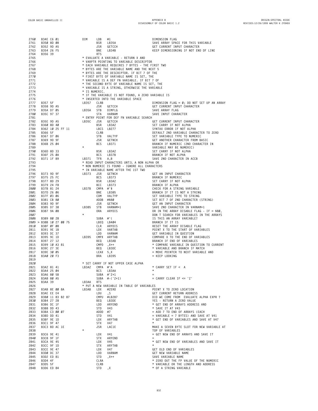| 2760         | B34E C6 01                         | DIM           | LDB               | #1                                                                                             | DIMENSION FLAG                                                                        |
|--------------|------------------------------------|---------------|-------------------|------------------------------------------------------------------------------------------------|---------------------------------------------------------------------------------------|
| 2761         | B350 8D 08                         |               | BSR               | LB35A                                                                                          | SAVE ARRAY SPACE FOR THIS VARIABLE                                                    |
| 2762         | B352 9D A5                         |               | JSR               | GETCCH                                                                                         | GET CURRENT INPUT CHARACTER                                                           |
| 2763<br>2764 | B354 26 F5<br>B356 39              |               | BNE<br><b>RTS</b> | LB34B                                                                                          | KEEP DIMENSIONING IF NOT END OF LINE                                                  |
| 2765         |                                    |               |                   | * EVALUATE A VARIABLE - RETURN X AND                                                           |                                                                                       |
| 2766         |                                    |               |                   | * VARPTR POINTING TO VARIABLE DESCRIPTOR                                                       |                                                                                       |
| 2767         |                                    |               |                   | * EACH VARIABLE REQUIRES 7 BYTES - THE FIRST TWO                                               |                                                                                       |
| 2768<br>2769 |                                    |               |                   | * BYTES ARE THE VARIABLE NAME AND THE NEXT 5<br>* BYTES ARE THE DESCRIPTOR. IF BIT 7 OF THE    |                                                                                       |
| 2770         |                                    |               |                   | * FIRST BYTE OF VARIABLE NAME IS SET, THE                                                      |                                                                                       |
| 2771         |                                    |               |                   | * VARIABLE IS A DEF FN VARIABLE. IF BIT 7 OF                                                   |                                                                                       |
| 2772         |                                    |               |                   | * THE SECOND BYTE OF VARIABLE NAME IS SET, THE                                                 |                                                                                       |
| 2773         |                                    |               |                   | * VARIABLE IS A STRING, OTHERWISE THE VARIABLE                                                 |                                                                                       |
| 2774         |                                    | * IS NUMERIC. |                   |                                                                                                |                                                                                       |
| 2775<br>2776 |                                    |               |                   | * IF THE VARIABLE IS NOT FOUND, A ZERO VARIABLE IS<br>* INSERTED INTO THE VARIABLE SPACE       |                                                                                       |
| 2777         | B357 5F                            | LB357         | CLRB              |                                                                                                | DIMENSION FLAG = $\emptyset$ ; DO NOT SET UP AN ARRAY                                 |
| 2778         | B358 9D A5                         |               | JSR               | GETCCH                                                                                         | GET CURRENT INPUT CHARACTER                                                           |
| 2779         | B35A D7 05                         | LB35A         | STB               | DIMFLG                                                                                         | SAVE ARRAY FLAG                                                                       |
| 2780         | B35C 97 37                         |               | STA               | VARNAM                                                                                         | SAVE INPUT CHARACTER                                                                  |
| 2781<br>2782 | B35E 9D A5                         | LB35C         | JSR               | * ENTRY POINT FOR DEF FN VARIABLE SEARCH<br>GETCCH                                             | GET CURRENT INPUT CHARACTER                                                           |
| 2783         | B360 8D 40                         |               | BSR               | LB3A2                                                                                          | SET CARRY IF NOT ALPHA                                                                |
| 2784         | B362 10 25 FF 11                   |               |                   | LBCS LB277                                                                                     | SYNTAX ERROR IF NOT ALPHA                                                             |
| 2785         | B366 5F                            |               | CLRB              |                                                                                                | DEFAULT 2ND VARIABLE CHARACTER TO ZERO                                                |
| 2786         | B367 D7 06                         |               | STB               | VALTYP                                                                                         | SET VARIABLE TYPE TO NUMERIC                                                          |
| 2787<br>2788 | B369 9D 9F<br>B36B 25 04           |               | JSR<br>BCS        | GETNCH<br>LB371                                                                                | GET ANOTHER CHARACTER FROM BASIC<br>BRANCH IF NUMERIC (2ND CHARACTER IN               |
| 2789         |                                    | $^\star$      |                   |                                                                                                | VARIABLE MAY BE NUMERIC)                                                              |
| 2790         | B36D 8D 33                         |               | BSR               | LB3A2                                                                                          | SET CARRY IF NOT ALPHA                                                                |
| 2791         | B36F 25 ØA                         |               | <b>BCS</b>        | LB37B                                                                                          | BRANCH IF NOT ALPHA                                                                   |
| 2792         | B371 1F 89                         | LB371         | TFR               | A, B                                                                                           | SAVE 2ND CHARACTER IN ACCB                                                            |
| 2793<br>2794 |                                    |               |                   | * READ INPUT CHARACTERS UNTIL A NON ALPHA OR<br>* NON NUMERIC IS FOUND - IGNORE ALL CHARACTERS |                                                                                       |
| 2795         |                                    |               |                   | * IN VARIABLE NAME AFTER THE 1ST TWO                                                           |                                                                                       |
| 2796         | B373 9D 9F                         | LB373         | JSR               | GETNCH                                                                                         | GET AN INPUT CHARACTER                                                                |
| 2797         | B375 25 FC                         |               | <b>BCS</b>        | LB373                                                                                          | BRANCH IF NUMERIC                                                                     |
| 2798         | B377 8D 29                         |               | <b>BSR</b>        | LB3A2                                                                                          | SET CARRY IF NOT ALPHA                                                                |
| 2799         | B379 24 F8                         |               | BCC               | LB373                                                                                          | BRANCH IF ALPHA                                                                       |
| 2800<br>2801 | B37B 81 24<br>B37D 26 06           | LB37B         | CMPA #'\$<br>BNE  | LB385                                                                                          | CHECK FOR A STRING VARIABLE<br>BRANCH IF IT IS NOT A STRING                           |
| 2802         | B37F 03 06                         |               | COM               | VALTYP                                                                                         | SET VARIABLE TYPE TO STRING                                                           |
| 2803         | B381 CB 80                         |               |                   | ADDB #\$80                                                                                     | SET BIT 7 OF 2ND CHARACTER (STRING)                                                   |
| 2804         | B383 9D 9F                         |               | JSR               | GETNCH                                                                                         | GET AN INPUT CHARACTER                                                                |
| 2805         | B385 D7 38                         | LB385         | STB               | VARNAM+1                                                                                       | SAVE 2ND CHARACTER IN VARNAM+1                                                        |
| 2806<br>2807 | B387 9A 08                         |               | ORA               | ARYDIS                                                                                         | OR IN THE ARRAY DISABLE FLAG - IF = \$80,<br>DON T SEARCH FOR VARIABLES IN THE ARRAYS |
| 2808         | B389 80 28                         |               | SUBA #'(          |                                                                                                | IS THIS AN ARRAY VARIABLE?                                                            |
|              | 2809 > B38B 10 27 00 75            |               |                   | LBEQ LB404                                                                                     | BRANCH IF IT IS                                                                       |
| 2810         | B38F ØF Ø8                         |               | CLR               | ARYDIS                                                                                         | RESET THE ARRAY DISABLE FLAG                                                          |
| 2811         | B391 9E 1B                         |               | LDX               | VARTAB                                                                                         | POINT X TO THE START OF VARIABLES                                                     |
| 2812         | B393 DC 37                         | LB395         | LDD               | VARNAM<br>CMPX ARYTAB                                                                          | GET VARIABLE IN QUESTION<br>COMPARE X TO THE END OF VARIABLES                         |
| 2813         | B395 9C 1D<br>2814 B397 27 12      |               | BEQ               | LB3AB                                                                                          | BRANCH IF END OF VARIABLES                                                            |
| 2815         | B399 10 A3 81                      |               | CMPD              | , X++                                                                                          | * COMPARE VARIABLE IN QUESTION TO CURRENT                                             |
| 2816         | B39C 27 3E                         |               | BEQ               | LB3DC                                                                                          | * VARIABLE AND BRANCH IF MATCH                                                        |
| 2817         | B39E 30 05                         |               |                   | LEAX 5, X                                                                                      | = MOVE POINTER TO NEXT VARIABLE AND                                                   |
| 2818         | B3AØ 20 F3                         |               | BRA               | LB395                                                                                          | $=$ KEEP LOOKING                                                                      |
| 2819<br>2820 |                                    |               |                   | * SET CARRY IF NOT UPPER CASE ALPHA                                                            |                                                                                       |
| 2821         | B3A2 81 41                         | LB3A2         | CMPA #'A          |                                                                                                | * CARRY SET IF < A                                                                    |
| 2822         | B3A4 25 04                         |               |                   | BCS LB3AA                                                                                      |                                                                                       |
| 2823         | B3A6 80 5B                         | LB3AA         |                   | SUBA #'Z+1                                                                                     |                                                                                       |
| 2824         | B3A8 80 A5                         |               | <b>RTS</b>        | SUBA #-('Z+1) = CARRY CLEAR IF <= 'Z'                                                          |                                                                                       |
| 2826         | 2825 B3AA 39                       |               |                   | * PUT A NEW VARIABLE IN TABLE OF VARIABLES                                                     |                                                                                       |
|              | 2827 B3AB 8E 00 8A                 | LB3AB LDX     |                   | #ZERO                                                                                          | POINT X TO ZERO LOCATION                                                              |
|              | 2828 B3AE EE E4                    |               | LDU               | , S                                                                                            | GET CURRENT RETURN ADDRESS                                                            |
|              | 2829 B3BØ 11 83 B2 87              |               |                   | CMPU #LB287                                                                                    | DID WE COME FROM EVALUATE ALPHA EXPR ?                                                |
|              | 2830 B3B4 27 28                    |               |                   | BEQ LB3DE                                                                                      | YES - RETURN A ZERO VALUE                                                             |
|              | 2832 B3B8 DD 43                    |               |                   | LDD ARYEND<br>STD V43<br>ADDD #7<br>STD V41                                                    | * GET END OF ARRAYS ADDRESS AND                                                       |
|              | 2833 B3BA C3 00 07                 |               |                   |                                                                                                | * SAVE IT AT V43<br>= ADD 7 TO END OF ARRAYS (EACH                                    |
|              | 2834 B3BD DD 41                    |               |                   |                                                                                                | $=$ VARIABLE $=$ 7 BYTES) AND SAVE AT V41                                             |
|              | 2835 B3BF 9E 1D                    |               | LDX               | ARYTAB                                                                                         | * GET END OF VARIABLES AND SAVE AT V47                                                |
|              | 2836 B3C1 9F 47                    |               | STX               | V47                                                                                            |                                                                                       |
| 2837         | B3C3 BD AC 1E                      | $\star$       | JSR               | LAC1E                                                                                          | MAKE A SEVEN BYTE SLOT FOR NEW VARIABLE AT                                            |
| 2838         | 2839 B3C6 9E 41                    |               | LDX               | V41                                                                                            | TOP OF VARIABLES<br>= GET NEW END OF ARRAYS AND SAVE IT                               |
|              | 2840 B3C8 9F 1F                    |               | STX               | ARYEND                                                                                         |                                                                                       |
|              | 2841 B3CA 9E 45                    |               | LDX               | V45                                                                                            | * GET NEW END OF VARIABLES AND SAVE IT                                                |
|              | 2842 B3CC 9F 1D                    |               |                   | STX ARYTAB                                                                                     |                                                                                       |
|              | 2843 B3CE 9E 47                    |               | LDX               | V47                                                                                            | GET OLD END OF VARIABLES                                                              |
|              | 2844 B3DØ DC 37<br>2845 B3D2 ED 81 |               | LDD<br>STD        | VARNAM<br>, X++                                                                                | GET NEW VARIABLE NAME<br>SAVE VARIABLE NAME                                           |
|              | 2846 B3D4 4F                       |               | CLRA              |                                                                                                | * ZERO OUT THE FP VALUE OF THE NUMERIC                                                |
| 2847         | B3D5 5F                            |               | CLRB              |                                                                                                | * VARIABLE OR THE LENGTH AND ADDRESS                                                  |
| 2848         | B3D6 ED 84                         |               | STD               | , X                                                                                            | * OF A STRING VARIABLE                                                                |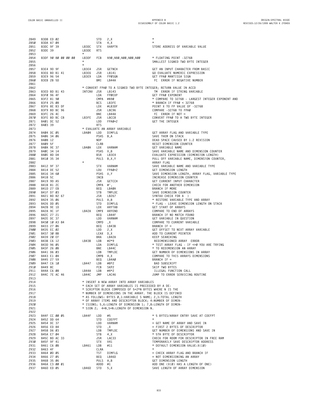| 2849 | B3D8 ED 02      |  |                     |                | STD           | 2, X                                                      | $\star$                                                           |
|------|-----------------|--|---------------------|----------------|---------------|-----------------------------------------------------------|-------------------------------------------------------------------|
| 2850 | B3DA A7 04      |  |                     |                | STA           | 4, X                                                      | $\star$                                                           |
| 2851 | B3DC 9F 39      |  |                     | LB3DC          | <b>STX</b>    | VARPTR                                                    | STORE ADDRESS OF VARIABLE VALUE                                   |
| 2852 | B3DE 39         |  |                     | LB3DE          | <b>RTS</b>    |                                                           |                                                                   |
| 2853 |                 |  |                     | $\star$        |               |                                                           |                                                                   |
| 2854 |                 |  | B3DF 90 80 00 00 00 | LB3DF          | FCB           | \$90,\$80,\$00,\$00,\$00                                  | * FLOATING POINT -32768                                           |
| 2855 |                 |  |                     | $\star$        |               |                                                           | SMALLEST SIGNED TWO BYTE INTEGER                                  |
|      |                 |  |                     |                |               |                                                           |                                                                   |
| 2856 |                 |  |                     |                |               |                                                           |                                                                   |
| 2857 | B3E4 9D 9F      |  |                     | LB3E4          | JSR           | GETNCH                                                    | GET AN INPUT CHARACTER FROM BASIC                                 |
| 2858 | B3E6 BD B1 41   |  |                     | LB3E6          | JSR           | LB141                                                     | GO EVALUATE NUMERIC EXPRESSION                                    |
| 2859 | B3E9 96 54      |  |                     | LB3E9          | LDA           | FPØSGN                                                    | GET FPAØ MANTISSA SIGN                                            |
| 2860 | B3EB 2B 5D      |  |                     |                | BMI           | LB44A                                                     | FC ERROR IF NEGATIVE NUMBER                                       |
| 2861 |                 |  |                     |                |               |                                                           |                                                                   |
| 2862 |                 |  |                     |                |               |                                                           | * CONVERT FPAØ TO A SIGNED TWO BYTE INTEGER; RETURN VALUE IN ACCD |
| 2863 | B3ED BD B1 43   |  |                     | INTCNV JSR     |               | LB143                                                     | TM ERROR IF STRING VARIABLE                                       |
| 2864 | B3FØ 96 4F      |  |                     |                | LDA           | FPØEXP                                                    | GET FPAØ EXPONENT                                                 |
| 2865 | B3F2 81 90      |  |                     |                | CMPA #\$90    |                                                           | * COMPARE TO 32768 - LARGEST INTEGER EXPONENT AND                 |
| 2866 | B3F4 25 08      |  |                     |                | BCS           | LB3FE                                                     | * BRANCH IF FPAØ < 32768                                          |
|      | B3F6 8E B3 DF   |  |                     |                |               |                                                           |                                                                   |
| 2867 |                 |  |                     |                | LDX           | #LB3DF                                                    | POINT X TO FP VALUE OF -32768                                     |
| 2868 | B3F9 BD BC 96   |  |                     |                | JSR           | LBC96                                                     | COMPARE -32768 TO FPAØ                                            |
| 2869 | B3FC 26 4C      |  |                     |                | BNE           | LB44A                                                     | $FC$ $ERROR$ $IF$ $NOT =$                                         |
| 2870 | B3FE BD BC C8   |  |                     | LB3FE          | JSR           | LBCC8                                                     | CONVERT FPAØ TO A TWO BYTE INTEGER                                |
| 2871 | B401 DC 52      |  |                     |                | LDD           | FPAØ+2                                                    | GET THE INTEGER                                                   |
| 2872 | B403 39         |  |                     |                | <b>RTS</b>    |                                                           |                                                                   |
| 2873 |                 |  |                     |                |               | * EVALUATE AN ARRAY VARIABLE                              |                                                                   |
| 2874 | B404 DC 05      |  |                     | LB404          | LDD           | DIMFLG                                                    | GET ARRAY FLAG AND VARIABLE TYPE                                  |
| 2875 | B406 34 06      |  |                     |                | PSHS B, A     |                                                           | SAVE THEM ON STACK                                                |
| 2876 | B408 12         |  |                     |                | NOP           |                                                           | DEAD SPACE CAUSED BY 1.2 REVISION                                 |
| 2877 | B409 5F         |  |                     |                | CLRB          |                                                           | RESET DIMENSION COUNTER                                           |
| 2878 |                 |  |                     |                |               |                                                           | GET VARIABLE NAME                                                 |
|      | B40A 9E 37      |  |                     | LB4ØA          | LDX           | VARNAM                                                    |                                                                   |
| 2879 | B4ØC 34 14      |  |                     |                | PSHS X, B     |                                                           | SAVE VARIABLE NAME AND DIMENSION COUNTER                          |
| 2880 | B40E 8D D4      |  |                     |                | BSR           | LB3E4                                                     | EVALUATE EXPRESSION (DIMENSION LENGTH)                            |
| 2881 | B410 35 34      |  |                     |                | PULS B, X, Y  |                                                           | PULL OFF VARIABLE NAME, DIMENSION COUNTER,                        |
| 2882 |                 |  |                     | $\star$        |               |                                                           | ARRAY FLAG                                                        |
| 2883 | B412 9F 37      |  |                     |                | <b>STX</b>    | VARNAM                                                    | SAVE VARIABLE NAME AND VARIABLE TYPE                              |
| 2884 | B414 DE 52      |  |                     |                | LDU           | FPAØ+2                                                    | GET DIMENSION LENGTH                                              |
| 2885 | B416 34 60      |  |                     |                | PSHS U.Y      |                                                           | SAVE DIMENSION LENGTH, ARRAY FLAG, VARIABLE TYPE                  |
| 2886 | B418 5C         |  |                     |                | INCB          |                                                           | INCREASE DIMENSION COUNTER                                        |
| 2887 | B419 9D A5      |  |                     |                | JSR           | GETCCH                                                    | GET CURRENT INPUT CHARACTER                                       |
| 2888 | B41B 81 2C      |  |                     |                |               |                                                           | CHECK FOR ANOTHER DIMENSION                                       |
|      |                 |  |                     |                | CMPA #',      |                                                           |                                                                   |
| 2889 | B41D 27 EB      |  |                     |                | BEQ           | LB4ØA                                                     | BRANCH IF MORE                                                    |
| 2890 | B41F D7 03      |  |                     |                | STB           | TMPLOC                                                    | SAVE DIMENSION COUNTER                                            |
| 2891 | B421 BD B2 67   |  |                     |                | JSR           | LB267                                                     | SYNTAX CHECK FOR A )                                              |
| 2892 | B424 35 06      |  |                     |                | PULS A, B     |                                                           | * RESTORE VARIABLE TYPE AND ARRAY                                 |
| 2893 | B426 DD 05      |  |                     |                | STD           | DIMFLG                                                    | * FLAG - LEAVE DIMENSION LENGTH ON STACK                          |
| 2894 | B428 9E 1D      |  |                     |                | LDX           | ARYTAB                                                    | GET START OF ARRAYS                                               |
| 2895 | B42A 9C 1F      |  |                     | LB42A          |               | CMPX ARYEND                                               | COMPARE TO END OF ARRAYS                                          |
| 2896 | B42C 27 21      |  |                     |                | BEQ           | LB44F                                                     | BRANCH IF NO MATCH FOUND                                          |
| 2897 | B42E DC 37      |  |                     |                | LDD           | VARNAM                                                    | GET VARIABLE IN QUESTION                                          |
| 2898 | B430 10 A3 84   |  |                     |                | CMPD, X       |                                                           | COMPARE TO CURRENT VARIABLE                                       |
| 2899 | B433 27 06      |  |                     |                | BEQ           | LB43B                                                     | BRANCH IF $=$                                                     |
|      |                 |  |                     |                |               |                                                           |                                                                   |
| 2900 | B435 EC 02      |  |                     |                | LDD           | 2, X                                                      | GET OFFSET TO NEXT ARRAY VARIABLE                                 |
| 2901 | B437 30 8B      |  |                     |                | LEAX D, X     |                                                           | ADD TO CURRENT POINTER                                            |
| 2902 | B439 20 EF      |  |                     |                | BRA           | LB42A                                                     | KEEP SEARCHING                                                    |
| 2903 | B43B C6 12      |  |                     | LB43B          | LDB           | #2*9                                                      | REDIMENSIONED ARRAY ERROR                                         |
| 2904 | B43D 96 05      |  |                     |                | LDA           | DIMFLG                                                    | * TEST ARRAY FLAG - IF <> 0 YOU ARE TRYING                        |
| 2905 | B43F 26 ØB      |  |                     |                | BNE           | LB44C                                                     | * TO REDIMENSION AN ARRAY                                         |
| 2906 | B441 D6 03      |  |                     |                | LDB           | TMPLOC                                                    | GET NUMBER OF DIMENSIONS IN ARRAY                                 |
| 2907 | B443 E1 04      |  |                     |                | $CMPB$ 4, $X$ |                                                           | COMPARE TO THIS ARRAYS DIMENSIONS                                 |
| 2908 | B445 27 59      |  |                     |                | BEQ           | LB4AØ                                                     | BRANCH IF =                                                       |
| 2909 | B447 C6 10      |  |                     | LB447 LDB      |               | #8*2                                                      | BAD SUBSCRIPT                                                     |
| 2910 | B449 8C         |  |                     |                | FCB           | SKP2                                                      | SKIP TWO BYTES                                                    |
| 2911 | B44A C6 08      |  |                     | LB44A          | LDB           | #4*2                                                      | ILLEGAL FUNCTION CALL                                             |
|      |                 |  |                     |                |               |                                                           |                                                                   |
| 2912 | B44C 7E AC 46   |  |                     | LB44C          | JMP           | LAC46                                                     | JUMP TO ERROR SERVICING ROUTINE                                   |
| 2913 |                 |  |                     |                |               |                                                           |                                                                   |
| 2914 |                 |  |                     |                |               | * INSERT A NEW ARRAY INTO ARRAY VARIABLES                 |                                                                   |
| 2915 |                 |  |                     |                |               | * EACH SET OF ARRAY VARIABLES IS PRECEEDED BY A DE-       |                                                                   |
| 2916 |                 |  |                     |                |               | * SCRIPTOR BLOCK COMPOSED OF 5+2*N BYTES WHERE N IS THE   |                                                                   |
| 2917 |                 |  |                     |                |               | * NUMBER OF DIMENSIONS IN THE ARRAY. THE BLOCK IS DEFINED |                                                                   |
| 2918 |                 |  |                     |                |               | * AS FOLLOWS: BYTES Ø,1:VARIABLE S NAME; 2,3:TOTAL LENGTH |                                                                   |
| 2919 |                 |  |                     |                |               | * OF ARRAY ITEMS AND DESCRIPTOR BLOCK; 4:NUMBER OF DIMEN- |                                                                   |
| 2920 |                 |  |                     |                |               | * ISIONS; 5,6:LENGTH OF DIMENSION 1; 7,8:LENGTH OF DIMEN- |                                                                   |
| 2921 |                 |  |                     |                |               | * SION 2; 4+N,5+N:LENGTH OF DIMENSION N.                  |                                                                   |
| 2922 |                 |  |                     |                |               |                                                           |                                                                   |
| 2923 | B44F CC 00 05   |  |                     | LB44F          | LDD           | #5                                                        | * 5 BYTES/ARRAY ENTRY SAVE AT COEFPT                              |
|      |                 |  |                     |                |               |                                                           | $\star$                                                           |
| 2924 | B452 DD 64      |  |                     |                | STD           | COEFPT                                                    |                                                                   |
| 2925 | B454 DC 37      |  |                     |                | LDD           | VARNAM                                                    | = GET NAME OF ARRAY AND SAVE IN                                   |
| 2926 | B456 ED 84      |  |                     |                | STD           | , X                                                       | = FIRST 2 BYTES OF DESCRIPTOR                                     |
| 2927 | B458 D6 03      |  |                     |                | LDB           | TMPLOC                                                    | GET NUMBER OF DIMENSIONS AND SAVE IN                              |
| 2928 | B45A E7 04      |  |                     |                | STB           | 4, X                                                      | * 5TH BYTE OF DESCRIPTOR                                          |
| 2929 | B45C BD AC 33   |  |                     |                | JSR           | LAC33                                                     | CHECK FOR ROOM FOR DESCRIPTOR IN FREE RAM                         |
| 2930 | B45F 9F 41      |  |                     |                | <b>STX</b>    | V41                                                       | TEMPORARILY SAVE DESCRIPTOR ADDRESS                               |
| 2931 | B461 C6 ØB      |  |                     | LB461          | LDB           | #11                                                       | * DEFAULT DIMENSION VALUE:X(10)                                   |
| 2932 | B463 4F         |  |                     |                | CLRA          |                                                           | $\star$                                                           |
|      |                 |  |                     |                |               |                                                           |                                                                   |
| 2933 | B464 0D 05      |  |                     |                | TST           | DIMFLG                                                    | = CHECK ARRAY FLAG AND BRANCH IF                                  |
| 2934 | B466 27 05      |  |                     |                | BEQ           | LB46D                                                     | = NOT DIMENSIONING AN ARRAY                                       |
| 2935 | B468 35 06      |  |                     |                | PULS A, B     |                                                           | GET DIMENSION LENGTH                                              |
| 2936 | B46A C3 00 01   |  |                     |                | ADDD #1       |                                                           | ADD ONE (X(Ø) HAS A LENGTH OF ONE)                                |
|      | 2937 B46D ED 05 |  |                     | LB46D STD 5, X |               |                                                           | SAVE LENGTH OF ARRAY DIMENSION                                    |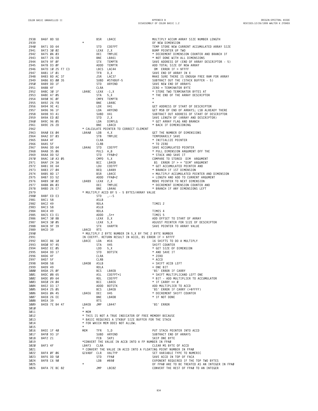**B46F 8D 5D BSR LB4CE MULTIPLY ACCUM ARRAY SIZE NUMBER LENGTH** <u>2939</u> **and 50 state of the state of the state of the state of the state of the state of the state of the state of the state of the state of the state of the state of the state of the state of the state of the state of th B471 DD 64 STD COEFPT TEMP STORE NEW CURRENT ACCUMULATED ARRAY SIZE B473 30 02 LEAX 2,X BUMP POINTER UP TWO 2942 B475 0A 03 DEC TMPLOC \* DECREMENT DIMENSION COUNTER AND BRANCH IF B477 26 E8 BNE LB461 \* NOT DONE WITH ALL DIMENSIONS 2944 B479 9F 0F STX TEMPTR SAVE ADDRESS OF (END OF ARRAY DESCRIPTOR - 5) B47B D3 0F ADDD TEMPTR ADD TOTAL SIZE OF NEW ARRAY 2946 B47D 10 25 F7 C3 LBCS LAC44 'OM' ERROR IF > \$FFFF B481 1F 01 TFR D,X SAVE END OF ARRAY IN X B483 BD AC 37 JSR LAC37 MAKE SURE THERE IS ENOUGH FREE RAM FOR ARRAY B486 83 00 35 SUBD #STKBUF-5 SUBTRACT OUT THE (STACK BUFFER - 5) 2950 B489 DD 1F STD ARYEND SAVE NEW END OF ARRAYS B48B 4F CLRA ZERO = TERMINATOR BYTE B48C 30 1F LB48C LEAX -1,X \* STORE TWO TERMINATOR BYTES AT B48E A7 05 STA 5,X \* THE END OF THE ARRAY DESCRIPTOR B490 9C 0F CMPX TEMPTR \* B492 26 F8 BNE LB48C \* B494 9E 41 LDX V41 GET ADDRESS OF START OF DESCRIPTOR B496 96 1F LDA ARYEND GET MSB OF END OF ARRAYS; LSB ALREADY THERE B498 93 41 SUBD V41 SUBTRACT OUT ADDRESS OF START OF DESCRIPTOR B49A ED 02 STD 2,X SAVE LENGTH OF (ARRAY AND DESCRIPTOR) B49C 96 05 LDA DIMFLG \* GET ARRAY FLAG AND BRANCH 2961 B49E 26 2D BNE LB4CD \* BACK IF DIMENSIONING \* CALCULATE POINTER TO CORRECT ELEMENT B4A0 E6 04 LB4A0 LDB 4,X GET THE NUMBER OF DIMENSIONS 2964 B4A2 D7 03 STB TMPLOC TEMPORARILY SAVE B4A4 4F CLRA \* INITIALIZE POINTER B4A5 5F CLRB \* TO ZERO B4A6 DD 64 LB4A6 STD COEFPT SAVE ACCUMULATED POINTER B4A8 35 06 PULS A,B \* PULL DIMENSION ARGUMENT OFF THE 2969 B4AA DD 52 STD FPA0+2 \* STACK AND SAVE IT B4AC 10 A3 05 CMPD 5,X COMPARE TO STORED 'DIM' ARGUMENT 2971 B4AF 24 3A BCC LB4EB 'BS' ERROR IF > = "DIM" ARGUMENT 2972 B4B1 DE 64 LDU COEFPT \* GET ACCUMULATED POINTER AND B4B3 27 04 BEQ LB4B9 \* BRANCH IF 1ST DIMENSION B4B5 8D 17 BSR LB4CE = MULTIPLY ACCUMULATED POINTER AND DIMENSION B4B7 D3 52 ADDD FPA0+2 = LENGTH AND ADD TO CURRENT ARGUMENT 2976 B4B9 30 02 LB4B9 LEAX 2,X MOVE POINTER TO NEXT DIMENSION B4BB 0A 03 DEC TMPLOC \* DECREMENT DIMENSION COUNTER AND B4BD 26 E7 BNE LB4A6 \* BRANCH IF ANY DIMENSIONS LEFT \* MULTIPLY ACCD BY 5 - 5 BYTES/ARRAY VALUE B4BF ED E3 STD ,--S B4C1 58 ASLB B4C2 49 ROLA TIMES 2 B4C3 58 ASLB B4C4 49 ROLA TIMES 4 B4C5 E3 E1 ADDD ,S++ TIMES 5 B4C7 30 8B LEAX D,X ADD OFFSET TO START OF ARRAY B4C9 30 05 LEAX 5,X ADJUST POINTER FOR SIZE OF DESCRIPTOR B4CB 9F 39 STX VARPTR SAVE POINTER TO ARRAY VALUE B4CD 39 LB4CD RTS \* MULTIPLY 2 BYTE NUMBER IN 5,X BY THE 2 BYTE NUMBER IN COEFPT. RETURN RESULT IN ACCD, BS ERROR IF > \$FFFF B4CE 86 10 LB4CE LDA #16 16 SHIFTS TO DO A MULTIPLY B4D0 97 45 STA V45 SHIFT COUNTER 2994 B4D2 EC 05 LDD 5,X \* GET SIZE OF DIMENSION B4D4 DD 17 STD BOTSTK \* AND SAVE IT B4D6 4F CLRA \* ZERO B4D7 5F CLRB \* ACCD B4D8 58 LB4D8 ASLB = SHIFT ACCB LEFT B4D9 49 ROLA = ONE BIT B4DA 25 0F BCS LB4EB 'BS' ERROR IF CARRY 3001 B4DC 08 65 ASL COEFPT+1 \* SHIFT MULTIPLICAND LEFT ONE B4DE 09 64 ROL COEFPT \* BIT - ADD MULTIPLIER TO ACCUMULATOR B4E0 24 04 BCC LB4E6 \* IF CARRY <> 0 3004 B4E2 D3 17 ADDD BOTSTK ADD MULTIPLIER TO ACCD B4E4 25 05 BCS LB4EB 'BS' ERROR IF CARRY (>\$FFFF) B4E6 0A 45 LB4E6 DEC V45 \* DECREMENT SHIFT COUNTER B4E8 26 EE BNE LB4D8 \* IF NOT DONE B4EA 39 RTS B4EB 7E B4 47 LB4EB JMP LB447 'BS' ERROR \* \* MEM \* THIS IS NOT A TRUE INDICATOR OF FREE MEMORY BECAUSE \* BASIC REQUIRES A STKBUF SIZE BUFFER FOR THE STACK \* FOR WHICH MEM DOES NOT ALLOW. \* B4EE 1F 40 MEM TFR S,D PUT STACK POINTER INTO ACCD 1217 1317 SUBD ARYEND SUBTRACT END OF ARRAYS**<br> **3017 1417 1417 1417 1417 1417 1417 1417 1417 1417 1417 1417 1417 1417 1417 1417 1417 B4F2 21 FCB SKP1 SKIP ONE BYTE \*CONVERT THE VALUE IN ACCB INTO A FP NUMBER IN FPA0 B4F3 4F LB4F3 CLRA CLEAR MS BYTE OF ACCD 3021 \* CONVERT THE VALUE IN ACCD INTO A FLOATING POINT NUMBER IN FPA0 B4F4 0F 06 GIVABF CLR VALTYP SET VARIABLE TYPE TO NUMERIC B4F6 DD 50 STD FPA0 SAVE ACCD IN TOP OF FACA B4F8 C6 90 LDB #\$90 EXPONENT REQUIRED IF THE TOP TWO BYTES \* OF FPA0 ARE TO BE TREATED AS AN INTEGER IN FPA0 3026 B4FA 7E BC 82 JMP LBC82 CONVERT THE REST OF FPA0 TO AN INTEGER**

**B34**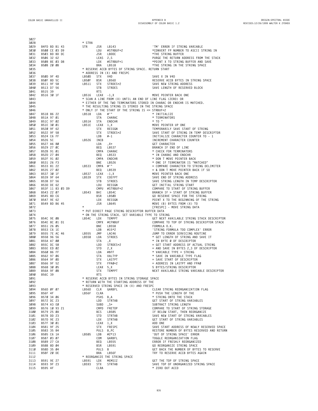| 3027                 |                                                                                                                                                                                                                                                                                      |                |                   |                                                                                   |                                                                                |
|----------------------|--------------------------------------------------------------------------------------------------------------------------------------------------------------------------------------------------------------------------------------------------------------------------------------|----------------|-------------------|-----------------------------------------------------------------------------------|--------------------------------------------------------------------------------|
| 3028<br>3029         | B4FD BD B1 43                                                                                                                                                                                                                                                                        | * STR\$<br>STR | JSR               | LB143                                                                             | 'TM' ERROR IF STRING VARIABLE                                                  |
| 3030                 | B500 CE 03 D9                                                                                                                                                                                                                                                                        |                | LDU               | #STRBUF+2                                                                         | *CONVERT FP NUMBER TO ASCII STRING IN                                          |
| 3031                 | B503 BD BD DC                                                                                                                                                                                                                                                                        |                | JSR               | LBDDC                                                                             | *THE STRING BUFFER                                                             |
| 3032                 | B506 32 62                                                                                                                                                                                                                                                                           |                | LEAS 2,S          |                                                                                   | PURGE THE RETURN ADDRESS FROM THE STACK                                        |
| 3033                 | B508 8E 03 D8                                                                                                                                                                                                                                                                        |                | LDX               | #STRBUF+1<br>LB518                                                                | *POINT X TO STRING BUFFER AND SAVE                                             |
| 3034                 | B50B 20 0B                                                                                                                                                                                                                                                                           |                | BRA               |                                                                                   | *THE STRING IN THE STRING SPACE                                                |
| 3035<br>3036         |                                                                                                                                                                                                                                                                                      |                |                   | * RESERVE ACCB BYTES OF STRING SPACE. RETURN START<br>* ADDRESS IN (X) AND FRESPC |                                                                                |
| 3037                 | B50D 9F 4D                                                                                                                                                                                                                                                                           | LB5ØD          | STX               | V4D                                                                               | SAVE X IN V4D                                                                  |
| 3038                 | B50F 8D 5C                                                                                                                                                                                                                                                                           | LB5ØF          | BSR               | LB56D                                                                             | RESERVE ACCB BYTES IN STRING SPACE                                             |
| 3039                 | B511 9F 58                                                                                                                                                                                                                                                                           | LB511          | STX               | STRDES+2                                                                          | SAVE NEW STRING ADDRESS                                                        |
| 3040                 | B513 D7 56                                                                                                                                                                                                                                                                           |                | STB               | STRDES                                                                            | SAVE LENGTH OF RESERVED BLOCK                                                  |
| 3041                 | B515 39                                                                                                                                                                                                                                                                              |                | <b>RTS</b>        |                                                                                   |                                                                                |
| 3042                 | B516 30 1F                                                                                                                                                                                                                                                                           | LB516          | LEAX -1,X         |                                                                                   | MOVE POINTER BACK ONE                                                          |
| 3043                 |                                                                                                                                                                                                                                                                                      |                |                   | * SCAN A LINE FROM (X) UNTIL AN END OF LINE FLAG (ZERO) OR                        |                                                                                |
| 3044<br>3045         |                                                                                                                                                                                                                                                                                      |                |                   | * THE RESULTING STRING IS STORED IN THE STRING SPACE                              | * EITHER OF THE TWO TERMINATORS STORED IN CHARAC OR ENDCHR IS MATCHED.         |
| 3046                 |                                                                                                                                                                                                                                                                                      |                |                   | * ONLY IF THE START OF THE STRING IS <= STRBUF+2                                  |                                                                                |
| 3047                 | B518 86 22                                                                                                                                                                                                                                                                           | LB518          | LDA               | $\#$ ' "                                                                          | * INITIALIZE                                                                   |
| 3048                 | B51A 97 01                                                                                                                                                                                                                                                                           |                | <b>STA</b>        | CHARAC                                                                            | * TERMINATORS                                                                  |
| 3049                 | B51C 97 02                                                                                                                                                                                                                                                                           | LB51A          | STA               | ENDCHR                                                                            | $*$ TO "                                                                       |
| 3050                 | B51E 30 01                                                                                                                                                                                                                                                                           | LB51E          | LEAX 1,X          |                                                                                   | MOVE POINTER UP ONE                                                            |
| 3051                 | B520 9F 62                                                                                                                                                                                                                                                                           |                | STX<br><b>STX</b> | RESSGN                                                                            | TEMPORARILY SAVE START OF STRING                                               |
| 3052<br>3053         | B522 9F 58<br>B524 C6 FF                                                                                                                                                                                                                                                             |                | LDB               | STRDES+2<br>#-1                                                                   | SAVE START OF STRING IN TEMP DESCRIPTOR<br>INITIALIZE CHARACTER COUNTER TO - 1 |
| 3054                 | B526 5C                                                                                                                                                                                                                                                                              | LB526          | INCB              |                                                                                   | INCREMENT CHARACTER COUNTER                                                    |
| 3055                 | B527 A6 80                                                                                                                                                                                                                                                                           |                | LDA               | , X+                                                                              | <b>GET CHARACTER</b>                                                           |
| 3056                 | B529 27 ØC                                                                                                                                                                                                                                                                           |                | BEQ               | LB537                                                                             | BRANCH IF END OF LINE                                                          |
| 3057                 | B52B 91 01                                                                                                                                                                                                                                                                           |                |                   | CMPA CHARAC                                                                       | * CHECK FOR TERMINATORS                                                        |
| 3058                 | B52D 27 04                                                                                                                                                                                                                                                                           |                | BEQ               | LB533                                                                             | * IN CHARAC AND ENDCHR                                                         |
| 3059                 | B52F 91 02                                                                                                                                                                                                                                                                           |                |                   | CMPA ENDCHR                                                                       | * DON T MOVE POINTER BACK                                                      |
| 3060                 | B531 26 F3                                                                                                                                                                                                                                                                           |                | BNE               | LB526                                                                             | * ONE IF TERMINATOR IS "MATCHED"                                               |
| 3061                 | B533 81 22                                                                                                                                                                                                                                                                           | LB533          |                   | CMPA #'"                                                                          | = COMPARE CHARACTER TO STRING DELIMITER                                        |
| 3062                 | B535 27 02                                                                                                                                                                                                                                                                           |                | BEQ               | LB539                                                                             | = & DON T MOVE POINTER BACK IF SO                                              |
| 3063<br>3064         | B537 30 1F<br>B539 9F 64                                                                                                                                                                                                                                                             | LB537<br>LB539 | STX               | $LEAX -1, X$<br>COEFPT                                                            | MOVE POINTER BACK ONE<br>SAVE END OF STRING ADDRESS                            |
| 3065                 | B53B D7 56                                                                                                                                                                                                                                                                           |                | STB               | STRDES                                                                            | SAVE STRING LENGTH IN TEMP DESCRIPTOR                                          |
| 3066                 | B53D DE 62                                                                                                                                                                                                                                                                           |                | LDU               | RESSGN                                                                            | GET INITIAL STRING START                                                       |
| 3067                 | B53F 11 83 03 D9                                                                                                                                                                                                                                                                     |                |                   | CMPU #STRBUF+2                                                                    | COMPARE TO START OF STRING BUFFER                                              |
| 3068                 | B543 22 07                                                                                                                                                                                                                                                                           | LB543          | BHI               | LB54C                                                                             | BRANCH IF > START OF STRING BUFFER                                             |
| 3069                 | B545 8D C6                                                                                                                                                                                                                                                                           |                | BSR               | LB5ØD                                                                             | GO RESERVE SPACE FOR THE STRING                                                |
| 3070                 | B547 9E 62                                                                                                                                                                                                                                                                           |                | LDX               | RESSGN                                                                            | POINT X TO THE BEGINNING OF THE STRING                                         |
| 3071                 | B549 BD B6 45                                                                                                                                                                                                                                                                        |                | JSR               | LB645                                                                             | MOVE (B) BYTES FROM (X) TO                                                     |
| 3072                 |                                                                                                                                                                                                                                                                                      | $\star$        |                   |                                                                                   | [FRESPC] - MOVE STRING DATA                                                    |
| 3073                 |                                                                                                                                                                                                                                                                                      |                |                   | * PUT DIRECT PAGE STRING DESCRIPTOR BUFFER DATA                                   |                                                                                |
| 3074<br>3075         | B54C 9E ØB                                                                                                                                                                                                                                                                           | LB54C          | LDX               | * ON THE STRING STACK. SET VARIABLE TYPE TO STRING<br>TEMPPT                      | GET NEXT AVAILABLE STRING STACK DESCRIPTOR                                     |
| 3076                 | B54E 8C 01 D1                                                                                                                                                                                                                                                                        |                |                   | CMPX #CFNBUF                                                                      | COMPARE TO TOP OF STRING DESCRIPTOR STACK                                      |
| 3077                 | B551 26 05                                                                                                                                                                                                                                                                           |                | BNE               | LB558                                                                             | FORMULA 0.K.                                                                   |
| 3078                 | B553 C6 1E                                                                                                                                                                                                                                                                           |                | LDB               | #15*2                                                                             | 'STRING FORMULA TOO COMPLEX' ERROR                                             |
| 3079                 | B555 7E AC 46                                                                                                                                                                                                                                                                        | LB555          | JMP               | LAC46                                                                             | JUMP TO ERROR SERVICING ROUTINE                                                |
| 3080                 | B558 96 56                                                                                                                                                                                                                                                                           | LB558          | LDA               | STRDES<br>,X                                                                      | * GET LENGTH OF STRING AND SAVE IT                                             |
| 3081                 | B55A A7 00                                                                                                                                                                                                                                                                           |                | STA               | ,Χ                                                                                | * IN BYTE Ø OF DESCRIPTOR                                                      |
| 3082                 | B55C DC 58                                                                                                                                                                                                                                                                           |                | LDD               | STRDES+2<br>2,X                                                                   | = GET START ADDRESS OF ACTUAL STRING                                           |
| 3083                 | B55E ED 02<br>B560 86 FF                                                                                                                                                                                                                                                             |                | STD<br>LDA        |                                                                                   | = AND SAVE IN BYTES 2,3 OF DESCRIPTOR<br>* VARIABLE TYPE = STRING              |
| 3084<br>3085         | B562 97 06                                                                                                                                                                                                                                                                           |                | STA               |                                                                                   | * SAVE IN VARIABLE TYPE FLAG                                                   |
| 3086                 | B564 9F ØD                                                                                                                                                                                                                                                                           |                | STX               |                                                                                   | = SAVE START OF DESCRIPTOR                                                     |
| 3087                 | B566 9F 52                                                                                                                                                                                                                                                                           |                | STX               |                                                                                   | = ADDRESS IN LASTPT AND FPAØ                                                   |
| 3088                 | B568 30 05                                                                                                                                                                                                                                                                           |                | LEAX 5, X         |                                                                                   | 5 BYTES/STRING DESCRIPTOR                                                      |
| 3089                 | B56A 9F ØB                                                                                                                                                                                                                                                                           |                | STX               |                                                                                   | NEXT AVAILABLE STRING VARIABLE DESCRIPTOR                                      |
| 3090                 | B56C 39                                                                                                                                                                                                                                                                              |                | RTS               |                                                                                   |                                                                                |
| 3091                 |                                                                                                                                                                                                                                                                                      |                |                   | * RESERVE ACCB BYTES IN STRING STORAGE SPACE                                      |                                                                                |
| 3092                 |                                                                                                                                                                                                                                                                                      |                |                   | * RETURN WITH THE STARTING ADDRESS OF THE                                         |                                                                                |
| 3093<br>3094         |                                                                                                                                                                                                                                                                                      |                |                   | * RESERVED STRING SPACE IN (X) AND FRESPC                                         |                                                                                |
| 3095                 |                                                                                                                                                                                                                                                                                      |                |                   |                                                                                   |                                                                                |
|                      | B56D ØF Ø7                                                                                                                                                                                                                                                                           |                | CLR               | GARBFL                                                                            | CLEAR STRING REORGANIZATION FLAG                                               |
|                      | B56F 4F                                                                                                                                                                                                                                                                              | LB56D<br>LB56F | CLRA              |                                                                                   | * PUSH THE LENGTH OF THE                                                       |
| 3096                 | B570 34 06                                                                                                                                                                                                                                                                           |                | LDD               | PSHS B,A                                                                          | * STRING ONTO THE STACK                                                        |
| 3097<br>3098         | B572 DC 23                                                                                                                                                                                                                                                                           |                |                   | STRTAB                                                                            | GET START OF STRING VARIABLES<br>SUBTRACT STRING LENGTH                        |
| 3099                 |                                                                                                                                                                                                                                                                                      |                |                   |                                                                                   | COMPARE TO START OF STRING STORAGE                                             |
| 3100                 | B579 25 ØA                                                                                                                                                                                                                                                                           |                |                   |                                                                                   | IF BELOW START, THEN REORGANIZE                                                |
| 3101                 |                                                                                                                                                                                                                                                                                      |                |                   |                                                                                   | SAVE NEW START OF STRING VARIABLES                                             |
| 3102                 |                                                                                                                                                                                                                                                                                      |                |                   |                                                                                   | GET START OF STRING VARIABLES                                                  |
| 3103                 |                                                                                                                                                                                                                                                                                      |                |                   |                                                                                   | ADD ONE                                                                        |
| 3104                 |                                                                                                                                                                                                                                                                                      |                |                   |                                                                                   | SAVE START ADDRESS OF NEWLY RESERVED SPACE                                     |
| 3105                 |                                                                                                                                                                                                                                                                                      |                |                   |                                                                                   | RESTORE NUMBER OF BYTES RESERVED AND RETURN                                    |
| 3106                 |                                                                                                                                                                                                                                                                                      |                |                   |                                                                                   | 'OUT OF STRING SPACE' ERROR                                                    |
| 3107                 |                                                                                                                                                                                                                                                                                      |                |                   |                                                                                   | TOGGLE REORGANIZATION FLAG                                                     |
| 3108                 | 8572 DC 23<br>8574 A3 E0<br>8576 10 93 21<br>8576 10 93 21<br>8578 DD 23<br>8578 DD 23<br>8577 30 01<br>8581 9F 25<br>8583 35 84<br>8583 35 84<br>8583 35 84<br>8583 56 1<br>8585 CO 1A 25885 CDB #2 <sup>2</sup> *13<br>8585 CO 1A 26885<br>8585 CO 1A 24°413<br>8585<br>B589 27 CA |                |                   | BEQ LB555                                                                         | ERROR IF FRESHLY REORGANIZED                                                   |
|                      | B58B 8D 04<br>B58D 35 Ø4                                                                                                                                                                                                                                                             |                | PULS B            | BSR LB591                                                                         | GO REORGANIZE STRING SPACE<br>GET BACK THE NUMBER OF BYTES TO RESERVE          |
| 3109<br>3110<br>3111 | B58F 20 DE                                                                                                                                                                                                                                                                           |                |                   | BRA LB56F                                                                         | TRY TO RESERVE ACCB BYTES AGAIN                                                |
| 3112                 |                                                                                                                                                                                                                                                                                      |                |                   | * REORGANIZE THE STRING SPACE                                                     |                                                                                |
| 3113                 | B591 9E 27                                                                                                                                                                                                                                                                           | LB591          |                   | LDX MEMSIZ                                                                        | GET THE TOP OF STRING SPACE                                                    |
| 3114<br>3115         | B593 9F 23<br>B595 4F                                                                                                                                                                                                                                                                | LB593          | STX<br>CLRA       | STRTAB                                                                            | SAVE TOP OF UNORGANIZED STRING SPACE<br>* ZERO OUT ACCD                        |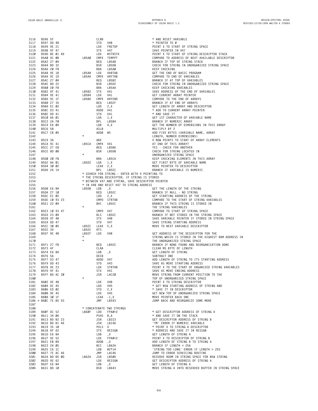| 3116         | B596 5F                  |  |            | CLRB             |                                                   | * AND RESET VARIABLE                                                            |
|--------------|--------------------------|--|------------|------------------|---------------------------------------------------|---------------------------------------------------------------------------------|
| 3117         | B597 DD 4B               |  |            | STD              | V4B                                               | * POINTER TO Ø                                                                  |
| 3118         | B599 9E 21               |  |            | LDX              | <b>FRETOP</b>                                     | POINT X TO START OF STRING SPACE                                                |
| 3119         | B59B 9F 47               |  |            | STX              | V47                                               | SAVE POINTER IN V47                                                             |
| 3120         | B59D 8E 01 A9            |  |            | LDX              | #STRSTK                                           | POINT X TO START OF STRING DESCRIPTOR STACK                                     |
| 3121         | B5AØ 9C ØB               |  | LB5AØ      |                  | CMPX TEMPPT                                       | COMPARE TO ADDRESS OF NEXT AVAILABLE DESCRIPTOR                                 |
| 3122<br>3123 | B5A2 27 04<br>B5A4 8D 32 |  |            | BEQ<br>BSR       | LB5A8<br>LB5D8                                    | BRANCH IF TOP OF STRING STACK<br>CHECK FOR STRING IN UNORGANIZED STRING SPACE   |
| 3124         | B5A6 20 F8               |  |            | BRA              | LB5AØ                                             | KEEP CHECKING                                                                   |
| 3125         | B5A8 9E 1B               |  | LB5A8      | LDX              | VARTAB                                            | GET THE END OF BASIC PROGRAM                                                    |
| 3126         | B5AA 9C 1D               |  | LB5AA      |                  | CMPX ARYTAB                                       | COMPARE TO END OF VARIABLES                                                     |
| 3127         | B5AC 27 04               |  |            | BEQ              | LB5B2                                             | BRANCH IF AT TOP OF VARIABLES                                                   |
| 3128         | B5AE 8D 22               |  |            | BSR              | LB5D2                                             | CHECK FOR STRING IN UNORGANIZED STRING SPACE                                    |
| 3129         | B5BØ 20 F8               |  |            | BRA              | LB5AA                                             | KEEP CHECKING VARIABLES                                                         |
| 3130         | B5B2 9F 41               |  | LB5B2      | STX              | V41                                               | SAVE ADDRESS OF THE END OF VARIABLES                                            |
| 3131         | B5B4 9E 41               |  | LB5B4      | LDX              | V41                                               | GET CURRENT ARRAY POINTER                                                       |
| 3132         | B5B6 9C 1F               |  | LB5B6      |                  | CMPX ARYEND                                       | COMPARE TO THE END OF ARRAYS                                                    |
| 3133         | B5B8 27 35               |  |            | BEQ              | LB5EF                                             | BRANCH IF AT END OF ARRAYS                                                      |
| 3134         | B5BA EC 02               |  |            | LDD              | 2, X                                              | GET LENGTH OF ARRAY AND DESCRIPTOR                                              |
| 3135         | B5BC D3 41               |  |            | ADDD V41         |                                                   | * ADD TO CURRENT ARRAY POINTER                                                  |
| 3136<br>3137 | B5BE DD 41<br>B5CØ A6 Ø1 |  |            | STD<br>LDA       | V41                                               | * AND SAVE IT                                                                   |
| 3138         | B5C2 2A FØ               |  |            | BPL              | 1, X<br>LB5B4                                     | GET 1ST CHARACTER OF VARIABLE NAME<br>BRANCH IF NUMERIC ARRAY                   |
| 3139         | B5C4 E6 04               |  |            | LDB              | 4, X                                              | GET THE NUMBER OF DIMENSIONS IN THIS ARRAY                                      |
| 3140         | B5C6 58                  |  |            | ASLB             |                                                   | MULTIPLY BY 2                                                                   |
| 3141         | B5C7 CB 05               |  |            | ADDB             | #5                                                | ADD FIVE BYTES (VARIABLE NAME, ARRAY                                            |
| 3142         |                          |  | $\star$    |                  |                                                   | LENGTH, NUMBER DIMENSIONS)                                                      |
| 3143         | B5C9 3A                  |  |            | ABX              |                                                   | X NOW POINTS TO START OF ARRAY ELEMENTS                                         |
| 3144         | B5CA 9C 41               |  | LB5CA      | CMPX V41         |                                                   | AT END OF THIS ARRAY?                                                           |
| 3145         | B5CC 27 E8               |  |            | BEQ              | LB5B6                                             | YES - CHECK FOR ANOTHER                                                         |
| 3146         | B5CE 8D 08               |  |            | BSR              | LB5D8                                             | CHECK FOR STRING LOCATED IN                                                     |
| 3147         |                          |  | $\star$    |                  |                                                   | UNORGANIZED STRING SPACE                                                        |
| 3148         | B5DØ 20 F8               |  |            | BRA              | LB5CA                                             | KEEP CHECKING ELEMENTS IN THIS ARRAY                                            |
| 3149         | B5D2 A6 01               |  | LB5D2      | LDA              | 1, X                                              | GET F1RST BYTE OF VARIABLE NAME<br>MOVE POINTER TO DESCRIPTOR                   |
| 3150<br>3151 | B5D4 30 02<br>B5D6 2A 14 |  |            | LEAX 2, X<br>BPL | LB5EC                                             | BRANCH IF VARIABLE IS NUMERIC                                                   |
| 3152         |                          |  |            |                  | * SEARCH FOR STRING - ENTER WITH X POINTING TO    |                                                                                 |
| 3153         |                          |  |            |                  | * THE STRING DESCRIPTOR. IF STRING IS STORED      |                                                                                 |
| 3154         |                          |  |            |                  | * BETWEEN V47 AND STRTAB, SAVE DESCRIPTOR POINTER |                                                                                 |
| 3155         |                          |  |            |                  | * IN V4B AND RESET V47 TO STRING ADDRESS          |                                                                                 |
| 3156         | B5D8 E6 84               |  | LB5D8      | LDB              | , X                                               | GET THE LENGTH OF THE STRING                                                    |
| 3157         | B5DA 27 10               |  |            | BEQ              | LB5EC                                             | BRANCH IF NULL - NO STRING                                                      |
| 3158         | B5DC EC 02               |  |            | LDD              | 2, X                                              | GET STARTING ADDRESS OF THE STRING                                              |
| 3159         | B5DE 10 93 23            |  |            |                  | CMPD STRTAB                                       | COMPARE TO THE START OF STRING VARIABLES                                        |
| 3160         | B5E1 22 09               |  |            | BHI              | LB5EC                                             | BRANCH IF THIS STRING IS STORED IN                                              |
| 3161         |                          |  | $\star$    |                  |                                                   | THE STRING VARIABLES                                                            |
| 3162         | B5E3 10 93 47            |  |            | CMPD             | V47                                               | COMPARE TO START OF STRING SPACE                                                |
| 3163         | B5E6 23 04               |  |            | <b>BLS</b>       | LB5EC                                             | BRANCH IF NOT STORED IN THE STRING SPACE                                        |
| 3164<br>3165 | B5E8 9F 4B<br>B5EA DD 47 |  |            | STX<br>STD       | V4B<br>V47                                        | SAVE VARIABLE POINTER IF STORED IN STRING SPACE<br>SAVE STRING STARTING ADDRESS |
| 3166         | B5EC 30 05               |  | LB5EC      | LEAX 5,X         |                                                   | MOVE TO NEXT VARIABLE DESCRIPTOR                                                |
| 3167         | <b>B5EE 39</b>           |  | LB5EE      | <b>RTS</b>       |                                                   |                                                                                 |
| 3168         | <b>B5EF 9E 4B</b>        |  | LB5EF      | LDX              | V4B                                               | GET ADDRESS OF THE DESCRIPTOR FOR THE                                           |
| 3169         |                          |  | $\star$    |                  |                                                   | STRING WHICH IS STORED IN THE HIGHEST RAM ADDRESS IN                            |
| 3170         |                          |  | $^{\star}$ |                  |                                                   | THE UNORGANIZED STRING SPACE                                                    |
| 3171         | B5F1 27 FB               |  |            | BEQ              | LB5EE                                             | BRANCH IF NONE FOUND AND REORGANIZATION DONE                                    |
| 3172         | B5F3 4F                  |  |            | CLRA             |                                                   | CLEAR MS BYTE OF LENGTH                                                         |
| 3173         | B5F4 E6 84               |  |            | LDB              | ,Χ                                                | GET LENGTH OF STRING                                                            |
| 3174         | B5F6 5A                  |  |            | DECB             |                                                   | SUBTRACT ONE                                                                    |
| 3175         | B5F7 D3 47               |  |            | ADDD V47         |                                                   | ADD LENGTH OF STRING TO ITS STARTING ADDRESS                                    |
| 3176         | B5F9 DD 43<br>B5FB 9E 23 |  |            | STD              | V43<br><b>STRTAB</b>                              | SAVE AS MOVE STARTING ADDRESS                                                   |
| 3177         | B5FD 9F 41               |  |            | LDX              |                                                   | POINT X TO THE START OF ORGANIZED STRING VARIABLES                              |
| 3178<br>3179 | B5FF BD AC 20            |  |            | STX<br>JSR       | V41<br>LAC20                                      | SAVE AS MOVE ENDING ADDRESS<br>MOVE STRING FROM CURRENT POSITION TO THE         |
| 3180         |                          |  |            |                  |                                                   | TOP OF UNORGANIZED STRING SPACE                                                 |
| 3181         | B602 9E 4B               |  |            | LDX              | V4B                                               | POINT X TO STRING DESCRIPTOR                                                    |
| 3182         | B604 DC 45               |  |            | LDD              | V45                                               | * GET NEW STARTING ADDRESS OF STRING AND                                        |
| 3183         | B606 ED 02               |  |            | STD              | 2, X                                              | * SAVE IT IN DESCRIPTOR                                                         |
| 3184         | B608 9E 45               |  |            | LDX V45          |                                                   | GET NEW TOP OF UNORGANIZED STRING SPACE                                         |
| 3185         | B60A 30 1F               |  |            | LEAX -1,X        |                                                   | MOVE POINTER BACK ONE                                                           |
|              | 3186 > B60C 7E B5 93     |  |            | JMP              | LB593                                             | JUMP BACK AND REORGANIZE SOME MORE                                              |
| 3187         |                          |  |            |                  |                                                   |                                                                                 |
| 3188         |                          |  |            |                  | * CONCATENATE TWO STRINGS                         |                                                                                 |
| 3189         | B60F DC 52               |  | LB6ØF      | LDD              | FPAØ+2                                            | * GET DESCRIPTOR ADDRESS OF STRING A                                            |
| 3190         | B611 34 06               |  |            | PSHS B, A        |                                                   | * AND SAVE IT ON THE STACK                                                      |
| 3191         | B613 BD B2 23            |  |            | JSR              | LB223                                             | GET DESCRIPTOR ADDRESS OF STRING B                                              |
| 3192         | B616 BD B1 46            |  |            |                  | JSR LB146                                         | 'TM' ERROR IF NUMERIC VARIABLE                                                  |
| 3193<br>3194 | B619 35 10<br>B61B 9F 62 |  |            | PULS X<br>STX    | RESSGN                                            | * POINT X TO STRING A DESCRIPTOR<br>* ADDRESS AND SAVE IT IN RESSGN             |
| 3195         | B61D E6 84               |  |            | LDB              | , X                                               | GET LENGTH OF STRING A                                                          |
| 3196         | B61F 9E 52               |  |            | LDX              | FPAØ+2                                            | POINT X TO DESCRIPTOR OF STRING B                                               |
| 3197         | B621 EB 84               |  |            | ADDB, X          |                                                   | ADD LENGTH OF STRING B TO STRING A                                              |
| 3198         | B623 24 05               |  |            | BCC              | LB62A                                             | BRANCH IF LENGTH < 256                                                          |
| 3199         | B625 C6 1C               |  |            | LDB              | #2*14                                             | 'STRING TOO LONG' ERROR IF LENGTH > 255                                         |
| 3200         | B627 7E AC 46            |  |            | JMP              | LAC46                                             | JUMP TO ERROR SERVICING ROUTINE                                                 |
| 3201         | B62A BD B5 ØD            |  | LB62A      | JSR              | LB5ØD                                             | RESERVE ROOM IN STRING SPACE FOR NEW STRING                                     |
| 3202         | B62D 9E 62               |  |            | LDX              | RESSGN                                            | GET DESCRIPTOR ADDRESS OF STRING A                                              |
| 3203         | B62F E6 84               |  |            | LDB              | , X                                               | GET LENGTH OF STRING A                                                          |
| 3204         | B631 8D 10               |  |            | BSR              | LB643                                             | MOVE STRING A INTO RESERVED BUFFER IN STRING SPACE                              |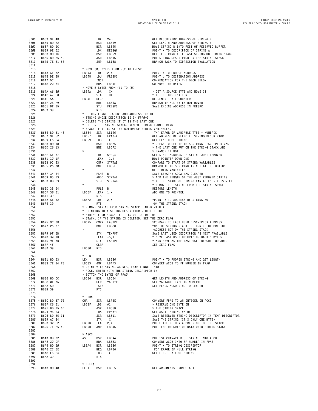| 3205         | B633 9E 4D           |  |                            | LDX         | V4D                                                  | GET DESCRIPTOR ADDRESS OF STRING B                 |
|--------------|----------------------|--|----------------------------|-------------|------------------------------------------------------|----------------------------------------------------|
| 3206         | B635 8D 22           |  |                            | <b>BSR</b>  | LB659                                                | GET LENGTH AND ADDRESS OF STRING B                 |
| 3207         | B637 8D ØC           |  |                            | BSR         | LB645                                                | MOVE STRING B INTO REST OF RESERVED BUFFER         |
| 3208         | B639 9E 62           |  |                            | LDX         | RESSGN                                               | POINT X TO DESCRIPTOR OF STRING A                  |
| 3209         | B63B 8D 1C           |  |                            | BSR         | LB659                                                | DELETE STRING A IF LAST STRING ON STRING STACK     |
|              |                      |  |                            |             |                                                      |                                                    |
| 3210         | B63D BD B5 4C        |  |                            | JSR         | LB54C                                                | PUT STRING DESCRIPTOR ON THE STRING STACK          |
| 3211         | B640 7E B1 68        |  |                            | JMP         | LB168                                                | BRANCH BACK TO EXPRESSION EVALUATION               |
| 3212         |                      |  |                            |             |                                                      |                                                    |
| 3213         |                      |  |                            |             | * MOVE (B) BYTES FROM 2, X TO FRESPC                 |                                                    |
| 3214         | B643 AE 02           |  | LB643                      | LDX         | 2, X                                                 | POINT X TO SOURCE ADDRESS                          |
| 3215         | B645 DE 25           |  | LB645                      | LDU         | FRESPC                                               | POINT U TO DESTINATION ADDRESS                     |
| 3216         | B647 5C              |  |                            | INCB        |                                                      | COMPENSATION FOR THE DECB BELOW                    |
| 3217         | B648 20 04           |  |                            | BRA         | LB64E                                                | GO MOVE THE BYTES                                  |
| 3218         |                      |  |                            |             | * MOVE B BYTES FROM (X) TO (U)                       |                                                    |
|              | B64A A6 80           |  | LB64A                      | LDA         |                                                      | * GET A SOURCE BYTE AND MOVE IT                    |
| 3219         |                      |  |                            |             | , X+                                                 |                                                    |
| 3220         | B64C A7 CØ           |  |                            | STA         | , U+                                                 | * TO THE DESTINATION                               |
| 3221         | B64E 5A              |  | LB64E                      | DECB        |                                                      | DECREMENT BYTE COUNTER                             |
| 3222         | B64F 26 F9           |  |                            | BNE         | LB64A                                                | BRANCH IF ALL BYTES NOT MOVED                      |
| 3223         | B651 DF 25           |  |                            | STU         | FRESPC                                               | SAVE ENDING ADDRESS IN FRESPC                      |
| 3224         | B653 39              |  |                            | <b>RTS</b>  |                                                      |                                                    |
| 3225         |                      |  |                            |             | * RETURN LENGTH (ACCB) AND ADDRESS (X) OF            |                                                    |
| 3226         |                      |  |                            |             | * STRING WHOSE DESCRIPTOR IS IN FPAØ+2               |                                                    |
| 3227         |                      |  |                            |             | * DELETE THE STRING IF IT IS THE LAST ONE            |                                                    |
|              |                      |  |                            |             |                                                      |                                                    |
| 3228         |                      |  |                            |             | * PUT ON THE STRING STACK. REMOVE STRING FROM STRING |                                                    |
| 3229         |                      |  |                            |             | * SPACE IF IT IS AT THE BOTTOM OF STRING VARIABLES.  |                                                    |
| 3230         | B654 BD B1 46        |  | LB654                      | JSR         | LB146                                                | 'TM' ERROR IF VARIABLE TYPE = NUMERIC              |
| 3231         | B657 9E 52           |  | LB657                      | LDX         | FPAØ+2                                               | GET ADDRESS OF SELECTED STRING DESCRIPTOR          |
| 3232         | B659 E6 84           |  | LB659                      | LDB         | ,Χ                                                   | GET LENGTH OF STRING                               |
| 3233         | B65B 8D 18           |  |                            | BSR         | LB675                                                | * CHECK TO SEE IF THIS STRING DESCRIPTOR WAS       |
| 3234         | B65D 26 13           |  |                            | BNE         | LB672                                                | * THE LAST ONE PUT ON THE STRING STACK AND         |
| 3235         |                      |  | $\star$                    |             |                                                      | * BRANCH IF NOT                                    |
|              |                      |  |                            |             |                                                      |                                                    |
| 3236         | B65F AE 07           |  |                            | LDX         | $5 + 2, X$                                           | GET START ADDRESS OF STRING JUST REMOVED           |
| 3237         | B661 30 1F           |  |                            | LEAX        | $-1, X$                                              | MOVE POINTER DOWN ONE                              |
| 3238         | B663 9C 23           |  |                            | CMPX        | STRTAB                                               | COMPARE TO START OF STRING VARIABLES               |
| 3239         | B665 26 08           |  |                            | BNE         | LB66F                                                | BRANCH IF THIS STRING IS NOT AT THE BOTTOM         |
| 3240         |                      |  | $\star$                    |             |                                                      | OF STRING VARIABLES                                |
| 3241         | B667 34 04           |  |                            | <b>PSHS</b> | $\overline{B}$                                       | SAVE LENGTH; ACCA WAS CLEARED                      |
| 3242         | B669 D3 23           |  |                            | ADDD        | STRTAB                                               | * ADD THE LENGTH OF THE JUST REMOVED STRING        |
| 3243         | B66B DD 23           |  |                            | STD         | STRTAB                                               | * TO THE START OF STRING VARIABLES - THIS WILL     |
|              |                      |  |                            |             |                                                      | * REMOVE THE STRING FROM THE STRING SPACE          |
| 3244         |                      |  |                            |             |                                                      |                                                    |
| 3245         | B66D 35 04           |  |                            | PULS B      |                                                      | RESTORE LENGTH                                     |
| 3246         | B66F 30 01           |  | LB66F                      | LEAX 1,X    |                                                      | ADD ONE TO POINTER                                 |
| 3247         | B671 39              |  |                            | <b>RTS</b>  |                                                      |                                                    |
| 3248         | B672 AE 02           |  | LB672                      | LDX         | 2, X                                                 | *POINT X TO ADDRESS OF STRING NOT                  |
| 3249         | B674 39              |  |                            | <b>RTS</b>  |                                                      | *ON THE STRING STACK                               |
| 3250         |                      |  |                            |             | * REMOVE STRING FROM STRING STACK. ENTER WITH X      |                                                    |
| 3251         |                      |  |                            |             | * POINTING TO A STRING DESCRIPTOR - DELETE THE       |                                                    |
|              |                      |  |                            |             | * STRING FROM STACK IF IT IS ON TOP OF THE           |                                                    |
| 3252         |                      |  |                            |             |                                                      |                                                    |
| 3253         |                      |  |                            |             | * STACK. IF THE STRING IS DELETED, SET THE ZERO FLAG |                                                    |
| 3254         | B675 9C ØD           |  | LB675                      |             | CMPX LASTPT                                          | *COMPARE TO LAST USED DESCRIPTOR ADDRESS           |
| 3255         | B677 26 07           |  |                            | BNE         | LB680                                                | *ON THE STRING STACK, RETURN IF DESCRIPTOR         |
| 3256         |                      |  | $\star$                    |             |                                                      | *ADDRESS NOT ON THE STRING STACK                   |
| 3257         | B679 9F ØB           |  |                            | <b>STX</b>  | TEMPPT                                               | SAVE LAST USED DESCRIPTOR AS NEXT AVAILABLE        |
| 3258         | B67B 30 1B           |  |                            | LEAX        | $-5, X$                                              | * MOVE LAST USED DESCRIPTOR BACK 5 BYTES           |
| 3259         |                      |  |                            | STX         | LASTPT                                               | * AND SAVE AS THE LAST USED DESCRIPTOR ADDR        |
|              |                      |  |                            |             |                                                      | SET ZERO FLAG                                      |
|              | B67D 9F 0D           |  |                            |             |                                                      |                                                    |
| 3260         | <b>B67F 4F</b>       |  |                            | CLRA        |                                                      |                                                    |
| 3261         | B680 39              |  | LB680                      | <b>RTS</b>  |                                                      |                                                    |
| 3262         |                      |  |                            |             |                                                      |                                                    |
| 3263         |                      |  | * LEN                      |             |                                                      |                                                    |
| 3264         | B681 8D 03           |  | LEN                        | BSR         | LB686                                                | POINT X TO PROPER STRING AND GET LENGTH            |
| 3265         | B683 7E B4 F3        |  | LB683                      | JMP         | LB4F3                                                | CONVERT ACCB TO FP NUMBER IN FPAØ                  |
| 3266         |                      |  |                            |             | * POINT X TO STRING ADDRESS LOAD LENGTH INTO         |                                                    |
|              |                      |  |                            |             |                                                      |                                                    |
| 3267         |                      |  |                            |             | * ACCB. ENTER WITH THE STRING DESCRIPTOR IN          |                                                    |
| 3268         |                      |  |                            |             | * BOTTOM TWO BYTES OF FPAØ                           |                                                    |
| 3269         | B686 8D CC           |  | LB686 BSR LB654            |             |                                                      | GET LENGTH AND ADDRESS OF STRING                   |
| 3270         | B688 ØF Ø6           |  |                            | CLR         | VALTYP                                               | SET VARIABLE TYPE TO NUMERIC                       |
| 3271         | B68A 5D              |  |                            | TSTB        |                                                      | SET FLAGS ACCORDING TO LENGTH                      |
| 3272         | B68B 39              |  |                            | RTS.        |                                                      |                                                    |
|              |                      |  |                            |             |                                                      |                                                    |
| 3273         |                      |  | * CHR\$                    |             |                                                      |                                                    |
| 3274         |                      |  |                            |             |                                                      |                                                    |
|              | 3275 > B68C BD B7 ØE |  | CHR                        |             | JSR LB7ØE                                            | CONVERT FPAØ TO AN INTEGER IN ACCD                 |
| 3276         | B68F C6 01           |  | LB68F                      | LDB #1      |                                                      | * RESERVE ONE BYTE IN                              |
| 3277         | B691 BD B5 6D        |  |                            |             | JSR LB56D                                            | * THE STRING SPACE                                 |
|              | 3278 B694 96 53      |  |                            | LDA         | FPAØ+3                                               | GET ASCII STRING VALUE                             |
| 3279         | B696 BD B5 11        |  |                            | JSR         | LB511                                                | SAVE RESERVED STRING DESCRIPTOR IN TEMP DESCRIPTOR |
| 3280         | B699 A7 84           |  |                            | STA, X      |                                                      | SAVE THE STRING (IT S ONLY ONE BYTE)               |
|              | B69B 32 62           |  |                            |             |                                                      | PURGE THE RETURN ADDRESS OFF OF THE STACK          |
| 3281         |                      |  | LB69B                      | LEAS 2, X   |                                                      |                                                    |
| 3282         | B69D 7E B5 4C        |  | LB69D                      | JMP LB54C   |                                                      | PUT TEMP DESCRIPTOR DATA ONTO STRING STACK         |
| 3283         |                      |  |                            |             |                                                      |                                                    |
| 3284         |                      |  | * ASC\$                    |             |                                                      |                                                    |
| 3285         | B6AØ 8D 02           |  | ASC                        | BSR         | LB6A4                                                | PUT 1ST CHARACTER OF STRING INTO ACCB              |
| 3286         | B6A2 20 DF           |  |                            | BRA         | LB683                                                | CONVERT ACCB INTO FP NUMBER IN FPAØ                |
| 3287         | B6A4 8D EØ           |  | LB6A4                      | BSR LB686   |                                                      | POINT X TO STRING DESCRIPTOR                       |
|              |                      |  |                            |             | LB706                                                |                                                    |
| 3288         | B6A6 27 5E           |  |                            | BEQ         |                                                      | 'FC' ERROR IF NULL STRING                          |
| 3289         | B6A8 E6 84           |  |                            | LDB         | , X                                                  | GET FIRST BYTE OF STRING                           |
| 3290         | B6AA 39              |  |                            | RTS         |                                                      |                                                    |
| 3291         |                      |  |                            |             |                                                      |                                                    |
| 3292<br>3293 | B6AB 8D 48           |  | * LEFT\$<br>LEFT BSR LB6F5 |             |                                                      | GET ARGUMENTS FROM STACK                           |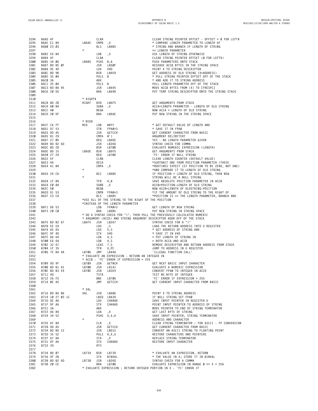| 3294 | B6AD 4F        |  |                  |            | CLRA        |                                                     |                                                                          |
|------|----------------|--|------------------|------------|-------------|-----------------------------------------------------|--------------------------------------------------------------------------|
|      |                |  |                  |            |             |                                                     | CLEAR STRING POINTER OFFSET - OFFSET = $\varnothing$ for LEFT\$          |
| 3295 | B6AE E1 84     |  |                  | LB6AE      | CMPB        | ,Χ                                                  | * COMPARE LENGTH PARAMETER TO LENGTH OF                                  |
| 3296 | B6B0 23 03     |  |                  |            | <b>BLS</b>  | LB6B5                                               | * STRING AND BRANCH IF LENGTH OF STRING                                  |
| 3297 |                |  |                  | $^{\star}$ |             |                                                     | >= LENGTH PARAMETER                                                      |
| 3298 | B6B2 E6 84     |  |                  |            | LDB         | ,Χ                                                  | USE LENGTH OF STRING OTHERWISE                                           |
| 3299 | B6B4 4F        |  |                  |            | CLRA        |                                                     | CLEAR STRING POINTER OFFSET (Ø FOR LEFT\$)                               |
|      |                |  |                  |            |             |                                                     |                                                                          |
| 3300 | B6B5 34 06     |  |                  | LB6B5      | <b>PSHS</b> | B,A                                                 | PUSH PARAMETERS ONTO STACK                                               |
| 3301 | B6B7 BD B5 ØF  |  |                  |            | JSR         | LB5ØF                                               | RESERVE ACCB BYTES IN THE STRING SPACE                                   |
| 3302 | B6BA 9E 4D     |  |                  |            | LDX         | V4D                                                 | POINT X TO STRING DESCRIPTOR                                             |
| 3303 | B6BC 8D 9B     |  |                  |            | BSR         | LB659                                               | GET ADDRESS OF OLD STRING (X=ADDRESS)                                    |
| 3304 | B6BE 35 Ø4     |  |                  |            | PULS B      |                                                     | * PULL STRING POINTER OFFSET OFF OF THE STACK                            |
| 3305 | B6CØ 3A        |  |                  |            | ABX         |                                                     | * AND ADD IT TO STRING ADDRESS                                           |
|      | B6C1 35 04     |  |                  |            |             |                                                     |                                                                          |
| 3306 |                |  |                  |            | PULS        | B                                                   | PULL LENGTH PARAMETER OFF OF THE STACK                                   |
| 3307 | B6C3 BD B6 45  |  |                  |            | JSR         | LB645                                               | MOVE ACCB BYTES FROM (X) TO [FRESPC]                                     |
| 3308 | B6C6 20 D5     |  |                  |            | <b>BRA</b>  | LB69D                                               | PUT TEMP STRING DESCRIPTOR ONTO THE STRING STACK                         |
| 3309 |                |  |                  |            |             |                                                     |                                                                          |
| 3310 |                |  |                  | * RIGHT\$  |             |                                                     |                                                                          |
| 3311 | B6C8 8D 2B     |  |                  | RIGHT      | BSR         | LB6F5                                               | GET ARGUMENTS FROM STACK                                                 |
| 3312 | B6CA AØ 84     |  |                  |            | SUBA        | ,Χ                                                  | ACCA=LENGTH PARAMETER - LENGTH OF OLD STRING                             |
| 3313 | B6CC 40        |  |                  |            | NEGA        |                                                     | NOW ACCA = LENGTH OF OLD STRING                                          |
|      |                |  |                  |            |             |                                                     |                                                                          |
| 3314 | B6CD 20 DF     |  |                  |            | <b>BRA</b>  | LB6AE                                               | PUT NEW STRING IN THE STRING SPACE                                       |
| 3315 |                |  |                  |            |             |                                                     |                                                                          |
| 3316 |                |  |                  | * MID\$    |             |                                                     |                                                                          |
| 3317 | B6CF C6 FF     |  |                  | MID        | LDB         | #\$FF                                               | * GET DEFAULT VALUE OF LENGTH AND                                        |
| 3318 | B6D1 D7 53     |  |                  |            | STB         | FPAØ+3                                              | * SAVE IT IN FPAØ                                                        |
| 3319 | B6D3 9D A5     |  |                  |            | JSR         | GETCCH                                              | GET CURRENT CHARACTER FROM BASIC                                         |
|      | B6D5 81 29     |  |                  |            | CMPA        | #')                                                 | ARGUMENT DELIMITER?                                                      |
| 3320 |                |  |                  |            |             |                                                     |                                                                          |
| 3321 | B6D7 27 05     |  |                  |            | <b>BEQ</b>  | LB6DE                                               | YES - NO LENGTH PARAMETER GIVEN                                          |
| 3322 | B6D9 BD B2 6D  |  |                  |            | JSR         | LB26D                                               | SYNTAX CHECK FOR COMMA                                                   |
| 3323 | B6DC 8D 2D     |  |                  |            | <b>BSR</b>  | LB7ØB                                               | EVALUATE NUMERIC EXPRESSION (LENGTH)                                     |
| 3324 | B6DE 8D 15     |  |                  | LB6DE      | BSR         | LB6F5                                               | GET ARGUMENTS FROM STACK                                                 |
| 3325 | B6EØ 27 24     |  |                  |            | BEQ         | LB706                                               | 'FC' ERROR IF NULL STRING                                                |
| 3326 | <b>B6E2 5F</b> |  |                  |            | CLRB        |                                                     | CLEAR LENGTH COUNTER (DEFAULT VALUE)                                     |
|      |                |  |                  |            |             |                                                     |                                                                          |
| 3327 | B6E3 4A        |  |                  |            | DECA        |                                                     | *SUOTRACT ONE FROM POSITION PARAMETER (THESE                             |
| 3328 | B6E4 A1 84     |  |                  |            | CMPA        | ,Χ                                                  | *ROUTINES EXPECT 1ST POSITION TO BE ZERO, NOT ONE)                       |
| 3329 |                |  |                  | *          |             |                                                     | *AND COMPARE IT TO LENGTH OF OLD STRING                                  |
| 3330 | B6E6 24 CD     |  |                  |            | BCC         | LB6B5                                               | IF POSITION > LENGTH OF OLD STRING, THEN NEW                             |
| 3331 |                |  |                  |            |             |                                                     | STRING WILL BE A NULL STRING                                             |
| 3332 | B6E8 1F 89     |  |                  |            | TFR         | A, B                                                | SAVE ABSOLUTE POSITION PARAMETER IN ACCB                                 |
| 3333 | B6EA EØ 84     |  |                  |            | SUBB        |                                                     | ACCB=POSITION-LENGTH OF OLD STRING                                       |
|      |                |  |                  |            |             | ,Χ                                                  |                                                                          |
| 3334 | <b>B6EC 50</b> |  |                  |            | NEGB        |                                                     | NOW ACCB=LENGTH OF OLDSTRING-POSITION                                    |
| 3335 | B6ED D1 53     |  |                  |            | CMPB        | FPAØ+3                                              | *IF THE AMOUNT OF OLD STRING TO THE RIGHT OF                             |
| 3336 | B6EF 23 C4     |  |                  |            | <b>BLS</b>  | LB6B5                                               | *POSITION IS <= THE LENGTH PARAMETER, BRANCH AND                         |
| 3337 |                |  |                  |            |             | *USE ALL OF THE STRING TO THE RIGHT OF THE POSITION |                                                                          |
| 3338 |                |  |                  |            |             | *INSTEAD OF THE LENGTH PARAMETER                    |                                                                          |
| 3339 | B6F1 D6 53     |  |                  |            | LDB         | FPAØ+3                                              | GET LENGTH OF NEW STRING                                                 |
| 3340 | B6F3 20 C0     |  |                  |            | BRA         | LB6B5                                               | PUT NEW STRING IN STRING SPACE                                           |
| 3341 |                |  |                  |            |             |                                                     | * DO A SYNTAX CHECK FOR ")", THEN PULL THE PREVIOUSLY CALCULATED NUMERIC |
| 3342 |                |  |                  |            |             |                                                     | * ARGUMENT (ACCD) AND STRING ARGUMENT DESCRIPTOR ADDR OFF OF THE STACK   |
|      |                |  |                  |            |             |                                                     |                                                                          |
| 3343 | B6F5 BD B2 67  |  |                  | LB6F5      | JSR         | LB267                                               | SYNTAX CHECK FOR A ")"                                                   |
| 3344 | B6F8 EE E4     |  |                  |            | LDU         | , S                                                 | LOAD THE RETURN ADDRESS INTO U REGISTER                                  |
| 3345 | B6FA AE 65     |  |                  |            | LDX         | 5, S                                                | * GET ADDRESS OF STRING AND                                              |
| 3346 | B6FC 9F 4D     |  |                  |            | STX         | V4D                                                 | * SAVE IT IN V4D                                                         |
| 3347 | B6FE A6 64     |  |                  |            | LDA         | 4, S                                                | = PUT LENGTH OF STRING IN                                                |
| 3348 | B700 E6 64     |  |                  |            | LDB         | 4, S                                                | = BOTH ACCA AND ACCB                                                     |
| 3349 | B702 32 67     |  |                  |            | LEAS 7, S   |                                                     | REMOVE DESCRIPTOR AND RETURN ADDRESS FROM STACK                          |
| 3350 | B704 1F 35     |  |                  |            | TFR         | U,PC                                                | JUMP TO ADDRESS IN U REGISTER                                            |
| 3351 | B706 7E B4 4A  |  |                  | LB706      | JMP         | LB44A                                               | 'ILLEGAL FUNCTION CALL'                                                  |
|      |                |  |                  |            |             |                                                     |                                                                          |
| 3352 |                |  |                  |            |             | * EVALUATE AN EXPRESSION - RETURN AN INTEGER IN     |                                                                          |
| 3353 |                |  |                  |            |             | * ACCB - 'FC' ERROR IF EXPRESSION > 255             |                                                                          |
| 3354 | B709 9D 9F     |  |                  | LB709      | JSR         | <b>GETNCH</b>                                       | GET NEXT BASIC INPUT CHARACTER                                           |
| 3355 | B70B BD B1 41  |  |                  | LB7ØB      | JSR         | LB141                                               | EVALUATE A NUMERIC EXPRESSION                                            |
| 3356 | B70E BD B3 E9  |  |                  | LB7ØE      | JSR         | LB3E9                                               | CONVERT FPAØ TO INTEGER IN ACCD                                          |
| 3357 | B711 4D        |  |                  |            | TSTA        |                                                     | TEST MS BYTE OF INTEGER                                                  |
| 3358 |                |  |                  |            | BNE         | LB706                                               |                                                                          |
| 3359 |                |  |                  |            |             |                                                     |                                                                          |
|      | B712 26 F2     |  |                  |            |             |                                                     | 'FC' ERROR IF EXPRESSION > 255                                           |
| 3360 | B714 ØE A5     |  |                  |            | JMP         | GETCCH                                              | GET CURRENT INPUT CHARACTER FROM BASIC                                   |
| 3361 |                |  |                  |            |             |                                                     |                                                                          |
|      |                |  |                  | * VAL      |             |                                                     |                                                                          |
| 3362 | B716 BD B6 86  |  |                  | VAL        | JSR         | LB686                                               | POINT X TO STRING ADDRESS                                                |
| 3363 |                |  | B719 10 27 03 1C |            |             | LBEQ LBA39                                          | IF NULL STRING SET FPAØ                                                  |
| 3364 | B71D DE A6     |  |                  |            | LDU         | CHARAD                                              | SAVE INPUT POINTER IN REGISTER U                                         |
|      |                |  |                  |            |             |                                                     |                                                                          |
| 3365 | B71F 9F A6     |  |                  |            | <b>STX</b>  | CHARAD                                              | POINT INPUT POINTER TO ADDRESS OF STRING                                 |
| 3366 | B721 3A        |  |                  |            | ABX         |                                                     | MOVE POINTER TO END OF STRING TERMINATOR                                 |
| 3367 | B722 A6 84     |  |                  |            | LDA         | , X                                                 | GET LAST BYTE OF STRING                                                  |
| 3368 | B724 34 52     |  |                  |            | PSHS        | U, X, A                                             | SAVE INPUT POINTER, STRING TERMINATOR                                    |
| 3369 |                |  |                  | *          |             |                                                     | ADDRESS AND CHARACTER                                                    |
| 3370 | B726 6F 84     |  |                  |            | CLR         | ,Χ                                                  | CLEAR STRING TERMINATOR : FOR ASCII - FP CONVERSION                      |
| 3371 | B728 9D A5     |  |                  |            | JSR         | <b>GETCCH</b>                                       | GET CURRENT CHARACTER FROM BASIC                                         |
|      |                |  |                  |            |             |                                                     |                                                                          |
| 3372 | B72A BD BD 12  |  |                  |            | JSR         | LBD12                                               | CONVERT AN ASCII STRING TO FLOATING POINT                                |
| 3373 | B72D 35 52     |  |                  |            |             | PULS A, X, U                                        | RESTORE CHARACTERS AND POINTERS                                          |
| 3374 | B72F A7 84     |  |                  |            | STA         | , X                                                 | REPLACE STRING TERMINATOR                                                |
| 3375 | B731 DF A6     |  |                  |            | STU         | CHARAD                                              | RESTORE INPUT CHARACTER                                                  |
| 3376 | B733 39        |  |                  |            | <b>RTS</b>  |                                                     |                                                                          |
| 3377 |                |  |                  |            |             |                                                     |                                                                          |
| 3378 | B734 8D 07     |  |                  | LB734      | BSR         | LB73D                                               | * EVALUATE AN EXPRESSION, RETURN                                         |
| 3379 | B736 9F 2B     |  |                  |            | <b>STX</b>  | BINVAL                                              | * THE VALUE IN X; STORE IT IN BINVAL                                     |
| 3380 | B738 BD B2 6D  |  |                  | LB738      | JSR         | LB26D                                               | SYNTAX CHECK FOR A COMMA                                                 |
| 3381 | B73B 20 CE     |  |                  |            | BRA         | LB7ØB                                               | EVALUATE EXPRESSION IN RANGE $\varnothing \leq X \leq 256$               |
| 3382 |                |  |                  |            |             |                                                     | * EVALUATE EXPRESSION : RETURN INTEGER PORTION IN X - 'FC' ERROR IF      |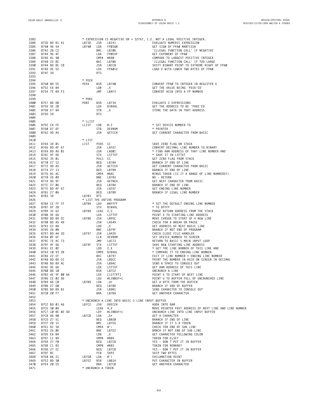| 3383         |                                                                                                                                                                                                                                                                          |                                         |                                                  | * EXPRESSION IS NEGATIVE OR > 32767, I.E. NOT A LEGAL POSITIVE INTEGER.             |
|--------------|--------------------------------------------------------------------------------------------------------------------------------------------------------------------------------------------------------------------------------------------------------------------------|-----------------------------------------|--------------------------------------------------|-------------------------------------------------------------------------------------|
| 3384         | 873D BD B1 41<br>8740 96 54<br>8742 28 C2<br>8744 96 4F<br>8744 96 4F<br>8746 81 90<br>8746 81 90<br>8748 22 BC<br>8740 BE C8<br>8740 9E C8<br>8747 95<br>8747 95<br>8747 95<br>8747 95<br>8747 95<br>8747 95<br>8747 95<br>8747 95<br>8747 95<br>8747 95<br>8747 95<br> |                                         | LB141                                            | EVALUATE NUMERIC EXPRESSION                                                         |
| 3385         |                                                                                                                                                                                                                                                                          |                                         | FPØSGN                                           | GET SIGN OF FPAØ MANTISSA                                                           |
| 3386         |                                                                                                                                                                                                                                                                          |                                         | LB706                                            | 'ILLEGAL FUNCTION CALL' IF NEGATIVE                                                 |
| 3387         |                                                                                                                                                                                                                                                                          |                                         | LDA FPØEXP                                       | GET EXPONENT OF FPAØ                                                                |
| 3388         |                                                                                                                                                                                                                                                                          |                                         | CMPA #\$90                                       | COMPARE TO LARGEST POSITIVE INTEGER                                                 |
| 3389<br>3390 |                                                                                                                                                                                                                                                                          |                                         | LB706<br>LBCC8                                   | 'ILLEGAL FUNCTION CALL' IF TOO LARGE<br>SHIFT BINARY POINT TO EXTREME RIGHT OF FPAØ |
| 3391         |                                                                                                                                                                                                                                                                          |                                         | FPAØ+2                                           | LOAD X WITH LOWER TWO BYTES OF FPAØ                                                 |
| 3392         | B74F 39                                                                                                                                                                                                                                                                  |                                         |                                                  |                                                                                     |
| 3393         |                                                                                                                                                                                                                                                                          |                                         |                                                  |                                                                                     |
| 3394         |                                                                                                                                                                                                                                                                          |                                         |                                                  |                                                                                     |
| 3395         | B750 8D EE<br>B752 E6 84                                                                                                                                                                                                                                                 | * PEEK<br>PEEK<br><b>BSR</b>            | LB740                                            | CONVERT FPAØ TO INTEGER IN REGISTER X                                               |
| 3396         |                                                                                                                                                                                                                                                                          | LDB                                     | , х                                              | GET THE VALUE BEING 'PEEK'ED                                                        |
| 3397         | B754 7E B4 F3                                                                                                                                                                                                                                                            | JMP                                     | LB4F3                                            | CONVERT ACCB INTO A FP NUMBER                                                       |
| 3398         |                                                                                                                                                                                                                                                                          |                                         |                                                  |                                                                                     |
| 3399         | 9757 8D DB<br>9759 9E 2B<br>9759 9E 2B<br>9750 39<br>9750 39<br>9750 39                                                                                                                                                                                                  |                                         |                                                  |                                                                                     |
| 3400         |                                                                                                                                                                                                                                                                          | <b>BSR</b>                              | LB734                                            | EVALUATE 2 EXPRESSIONS                                                              |
| 3401         |                                                                                                                                                                                                                                                                          | LDX                                     | BINVAL                                           | GET THE ADDRESS TO BE 'POKE'ED                                                      |
| 3402         |                                                                                                                                                                                                                                                                          | STB                                     | , X                                              | STORE THE DATA IN THAT ADDRESS                                                      |
| 3403         |                                                                                                                                                                                                                                                                          | <b>RTS</b>                              |                                                  |                                                                                     |
| 3404         |                                                                                                                                                                                                                                                                          |                                         |                                                  |                                                                                     |
| 3405         |                                                                                                                                                                                                                                                                          | * LLIST                                 |                                                  |                                                                                     |
| 3406         | B75E C6 FE<br>B760 D7 GF                                                                                                                                                                                                                                                 |                                         | #-2                                              | * SET DEVICE NUMBER TO                                                              |
| 3407         | B760 D7 6F                                                                                                                                                                                                                                                               | STB                                     | DEVNUM                                           | * PRINTER                                                                           |
| 3408         | B762 9D A5                                                                                                                                                                                                                                                               | JSR                                     | GETCCH                                           | GET CURRENT CHARACTER FROM BASIC                                                    |
| 3409         |                                                                                                                                                                                                                                                                          |                                         |                                                  |                                                                                     |
| 3410         |                                                                                                                                                                                                                                                                          | * LIST                                  |                                                  |                                                                                     |
| 3411         | B764 34 Ø1<br>B766 BD AF 67<br>D766 BD AF 67                                                                                                                                                                                                                             | PSHS CC                                 |                                                  | SAVE ZERO FLAG ON STACK                                                             |
| 3412         |                                                                                                                                                                                                                                                                          |                                         | JSR LAF67                                        | CONVERT DECIMAL LINE NUMBER TO BINARY                                               |
| 3413         | B769 BD AD 01                                                                                                                                                                                                                                                            | JSR                                     | LADØ1                                            | * FIND RAM ADDRESS OF THAT LINE NUMBER AND                                          |
| 3414         | B76C 9F 66                                                                                                                                                                                                                                                               | STX                                     | LSTTXT                                           | * SAVE IT IN LSTTXT                                                                 |
| 3415<br>3416 | B76E 35 01<br>B770 27 12                                                                                                                                                                                                                                                 | BEQ                                     | PULS CC<br>LB784                                 | GET ZERO FLAG FROM STACK<br>BRANCH IF END OF LINE                                   |
| 3417         | B772 9D A5                                                                                                                                                                                                                                                               | JSR                                     | GETCCH                                           | GET CURRENT CHARACTER FROM BASIC                                                    |
| 3418         | B774 27 13                                                                                                                                                                                                                                                               | BEQ                                     | LB789                                            | BRANCH IF END OF LINE                                                               |
| 3419         | B776 81 AC                                                                                                                                                                                                                                                               |                                         | CMPA #\$AC                                       | MINUS TOKEN (IS IT A RANGE OF LINE NUMBERS?)                                        |
| 3420         | B778 26 09                                                                                                                                                                                                                                                               | BNE                                     | LB783                                            | NO - RETURN                                                                         |
| 3421         | B77A 9D 9F                                                                                                                                                                                                                                                               | JSR                                     | GETNCH                                           | GET NEXT CHARACTER FROM BASIC                                                       |
| 3422         | B77C 27 06                                                                                                                                                                                                                                                               | BEQ                                     | LB784                                            | BRANCH IF END OF LINE                                                               |
| 3423         | B77E BD AF 67                                                                                                                                                                                                                                                            | JSR                                     | LAF67                                            | GET ENDING LINE NUMBER                                                              |
| 3424         | B781 27 06                                                                                                                                                                                                                                                               | BEQ                                     | LB789                                            | BRANCH IF LEGAL LINE NUMBER                                                         |
| 3425         | B783 39                                                                                                                                                                                                                                                                  |                                         |                                                  |                                                                                     |
| 3426         |                                                                                                                                                                                                                                                                          |                                         | * LIST THE ENTIRE PROGRAM                        |                                                                                     |
| 3427         |                                                                                                                                                                                                                                                                          |                                         | #\$FFFF                                          | * SET THE DEFAULT ENDING LINE NUMBER                                                |
| 3428         |                                                                                                                                                                                                                                                                          |                                         | BINVAL                                           | * TO \$FFFF                                                                         |
| 3429         |                                                                                                                                                                                                                                                                          |                                         |                                                  | PURGE RETURN ADDRESS FROM THE STACK                                                 |
| 3430         |                                                                                                                                                                                                                                                                          |                                         | LDX LSTTXT                                       | POINT X TO STARTING LINE ADDRESS                                                    |
| 3431         |                                                                                                                                                                                                                                                                          |                                         | LB95C                                            | MOVE CURSOR TO START OF A NEW LINE                                                  |
| 3432         |                                                                                                                                                                                                                                                                          |                                         | <b>LA549</b>                                     | CHECK FOR A BREAK OR PAUSE                                                          |
| 3433         |                                                                                                                                                                                                                                                                          |                                         |                                                  | GET ADDRESS OF NEXT BASIC LINE                                                      |
| 3434         |                                                                                                                                                                                                                                                                          |                                         | LB79F                                            | BRANCH IF NOT END OF PROGRAM                                                        |
| 3435         | B797 BD A4 2D<br>B797 BD A4 2D LB797 JSR                                                                                                                                                                                                                                 |                                         | LA42D                                            | CHECK CLOSE FILE HANDLER                                                            |
| 3436         | B79A ØF 6F                                                                                                                                                                                                                                                               | CLR                                     | DEVNUM                                           | SET DEVICE NUMBER TO SCREEN                                                         |
| 3437         |                                                                                                                                                                                                                                                                          |                                         | LAC73                                            | RETURN TO BASIC S MAIN INPUT LOOP                                                   |
| 3438         |                                                                                                                                                                                                                                                                          |                                         | LSTTXT                                           | SAVE NEW STARTING LINE ADDRESS                                                      |
| 3439         | B7A3 10 93 2B<br>B7A6 22 EF<br>B740 25                                                                                                                                                                                                                                   | LDD                                     | 2, X                                             | * GET THE LINE NUMBER OF THIS LINE AND<br>* COMPARE IT TO ENDING LINE NUMBER        |
| 344Ø         |                                                                                                                                                                                                                                                                          | BHI                                     | CMPD BINVAL                                      | EXIT IF LINE NUMBER > ENDING LINE NUMBER                                            |
| 3441<br>3442 | B7A8 BD BD CC                                                                                                                                                                                                                                                            | JSR                                     | LB797<br>LBDCC                                   | PRINT THE NUMBER IN ACCD ON SCREEN IN DECIMAL                                       |
| 3443         | B7AB BD B9 AC                                                                                                                                                                                                                                                            | JSR                                     | LB9AC                                            | SEND A SPACE TO CONSOLE OUT                                                         |
| 3444         | B7AE 9E 66                                                                                                                                                                                                                                                               | LDX                                     | LSTTXT                                           | GET RAM ADDRESS OF THIS LINE                                                        |
|              | 3445 B7B0 8D 10                                                                                                                                                                                                                                                          |                                         | BSR LB7C2                                        | UNCRUNCH A LINE                                                                     |
| 3446         | B7B2 AE 9F 00 66                                                                                                                                                                                                                                                         |                                         | LDX [LSTTXT]                                     | POINT X TO START OF NEXT LINE                                                       |
| 3447         | B7B6 CE 02 DD                                                                                                                                                                                                                                                            | LDX [LSTT<br>LDU #LINE<br>LB7B9 LDA ,U+ | LDU #LINBUF+1                                    | POINT U TO BUFFER FULL OF UNCRUNCHED LINE                                           |
|              | 3448 B7B9 A6 CØ                                                                                                                                                                                                                                                          |                                         |                                                  | GET A BYTE FROM THE BUFFER                                                          |
| 3449         | B7BB 27 DØ                                                                                                                                                                                                                                                               |                                         | BEQ LB78D                                        | BRANCH IF END OF BUFFER                                                             |
| 345Ø         | B7BD BD B9 B1                                                                                                                                                                                                                                                            |                                         | JSR LB9B1                                        | SEND CHARACTER TO CONSOLE OUT                                                       |
| 3451         | B7CØ 20 F7                                                                                                                                                                                                                                                               | BRA                                     | LB7B9                                            | GET ANOTHER CHARACTER                                                               |
| 3452         |                                                                                                                                                                                                                                                                          |                                         |                                                  |                                                                                     |
| 3453         |                                                                                                                                                                                                                                                                          |                                         | * UNCRUNCH A LINE INTO BASIC S LINE INPUT BUFFER |                                                                                     |
| 3454         | B7C2 BD 01 A6                                                                                                                                                                                                                                                            | LB7C2 JSR RVEC24                        |                                                  | HOOK INTO RAM                                                                       |
| 3455         | B7C5 30 04                                                                                                                                                                                                                                                               |                                         | LEAX 4,X                                         | MOVE POINTER PAST ADDRESS OF NEXT LINE AND LINE NUMBER                              |
| 3456         | B7C7 10 8E 02 DD                                                                                                                                                                                                                                                         | LDY                                     | #LINBUF+1                                        | UNCRUNCH LINE INTO LINE INPUT BUFFER                                                |
| 3457         | B7CB A6 80                                                                                                                                                                                                                                                               | LB7CB LDA , X+                          |                                                  | GET A CHARACTER                                                                     |
| 3458         | B7CD 27 51                                                                                                                                                                                                                                                               |                                         | BEO LB820                                        | BRANCH IF END OF LINE                                                               |
| 3459         | B7CF 2B 15                                                                                                                                                                                                                                                               |                                         | BMI LB7E6                                        | BRANCH IF IT S A TOKEN                                                              |
| 346Ø         | B7D1 81 3A                                                                                                                                                                                                                                                               |                                         | CMPA #':                                         | CHECK FOR END OF SUB LINE                                                           |
| 3461         | B7D3 26 ØD                                                                                                                                                                                                                                                               |                                         | BNE LB7E2                                        | BRNCH IF NOT END OF SUB LINE                                                        |
| 3462         | B7D5 E6 84                                                                                                                                                                                                                                                               | LDB                                     | , X                                              | GET CHARACTER FOLLOWING COLON                                                       |
| 3463         | B7D7 C1 84                                                                                                                                                                                                                                                               |                                         | CMPB #\$84                                       | TOKEN FOR ELSE?                                                                     |
| 3464         | B7D9 27 FØ                                                                                                                                                                                                                                                               |                                         | BEQ LB7CB                                        | YES - DON T PUT IT IN BUFFER                                                        |
| 3465         | B7DB C1 83                                                                                                                                                                                                                                                               |                                         | CMPB #\$83                                       | TOKEN FOR REMARK?                                                                   |
| 3466         | B7DD 27 EC                                                                                                                                                                                                                                                               |                                         | BEQ LB7CB                                        | YES - DON T PUT IT IN BUFFER                                                        |
| 3467         | B7DF 8C                                                                                                                                                                                                                                                                  | LB7EØ LDA #'!                           | FCB SKP2                                         | SKIP TWO BYTES                                                                      |
| 3468<br>3469 | B7E0 86 21                                                                                                                                                                                                                                                               | LB7E2 BSR LB814                         |                                                  | EXCLAMATION POINT<br>PUT CHARACTER IN BUFFER                                        |
| 3470         | B7E2 8D 30<br>B7E4 20 E5                                                                                                                                                                                                                                                 |                                         | BRA LB7CB                                        | GET ANOTHER CHARACTER                                                               |
| 3471         |                                                                                                                                                                                                                                                                          | * UNCRUNCH A TOKEN                      |                                                  |                                                                                     |
|              |                                                                                                                                                                                                                                                                          |                                         |                                                  |                                                                                     |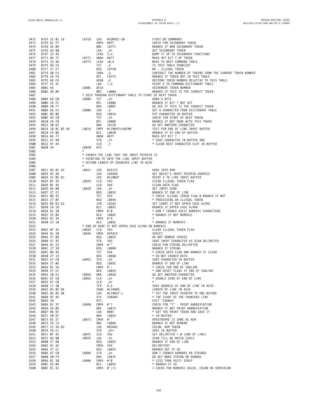| 3472         | B7E6 CE 01 16                  | LB7E6            | LDU                    | #COMVEC-10                                                            | FIRST DO COMMANDS                                                                 |
|--------------|--------------------------------|------------------|------------------------|-----------------------------------------------------------------------|-----------------------------------------------------------------------------------|
| 3473         | B7E9 81 FF                     |                  |                        | CMPA #\$FF                                                            | CHECK FOR SECONDARY TOKEN                                                         |
| 3474<br>3475 | B7EB 26 04<br>B7ED A6 80       |                  | BNE<br>LDA             | LB7F1<br>, X+                                                         | BRANCH IF NON SECONDARY TOKEN<br>GET SECONDARY TOKEN                              |
| 3476         | B7EF 33 45                     |                  | LEAU 5,U               |                                                                       | BUMP IT UP TO SECONDARY FUNCTIONS                                                 |
| 3477         | B7F1 84 7F                     | LB7F1 ANDA #\$7F |                        |                                                                       | MASK OFF BIT 7 OF TOKEN                                                           |
| 3478         | B7F3 33 4A                     | LB7F3 LEAU 10,U  |                        |                                                                       | MOVE TO NEXT COMMAND TABLE                                                        |
| 3479         | B7F5 6D C4                     |                  | TST                    | , U                                                                   | IS THIS TABLE ENABLED?                                                            |
| 3480<br>3481 | B7F7 27 E7<br>B7F9 AØ C4       |                  | BEQ<br>SUBA ,U         | LB7EØ                                                                 | NO - ILLEGAL TOKEN<br>SUBTRACT THE NUMBER OF TOKENS FROM THE CURRENT TOKEN NUMBER |
| 3482         | B7FB 2A F6                     |                  |                        | BPL LB7F3                                                             | BRANCH IF TOKEN NOT IN THIS TABLE                                                 |
| 3483         | B7FD AB C4                     |                  | ADDA ,U                |                                                                       | RESTORE TOKEN NUMBER RELATIVE TO THIS TABLE                                       |
| 3484         | B7FF EE 41                     |                  | LDU                    | 1,U                                                                   | POINT U TO COMMAND DICTIONARY TABLE                                               |
| 3485         | B801 4A                        | LB801 DECA       |                        |                                                                       | DECREMENT TOKEN NUMBER                                                            |
| 3486         | B802 2B 06                     |                  | BMI                    | LB80A                                                                 | BRANCH IF THIS IS THE CORRECT TOKEN                                               |
| 3487<br>3488 | B804 6D C0                     | LB804 TST        |                        | * SKIP THROUGH DICTIONARY TABLE TO START OF NEXT TOKEN<br>, U+        | GRAB A BYTE                                                                       |
| 3489         | B806 2A FC                     |                  |                        | BPL LB804                                                             | BRANCH IF BIT 7 NOT SET                                                           |
| 3490         | B808 20 F7                     |                  |                        | BRA LB801                                                             | GO SEE IF THIS IS THE CORRECT TOKEN                                               |
| 3491         | B80A A6 C4                     | LB80A LDA ,U     |                        |                                                                       | GET A CHARACTER FROM DICTIONARY TABLE                                             |
| 3492         | B80C 8D 06                     |                  |                        | BSR LB814                                                             | PUT CHARACTER IN BUFFER                                                           |
| 3493         | B80E 6D C0                     |                  | TST ,∪+                |                                                                       | CHECK FOR START OF NEXT TOKEN                                                     |
| 3494<br>3495 | B810 2A F8<br>B812 20 B7       |                  |                        | BPL LB80A<br>BRA LB7CB                                                | BRANCH IF NOT DONE WITH THIS TOKEN<br>GO GET ANOTHER CHARACTER                    |
| 3496         | B814 10 8C 03 D6               |                  |                        | LB814 CMPY #LINBUF+LBUFMX                                             | TEST FOR END OF LINE INPUT BUFFER                                                 |
| 3497         | B818 24 06                     |                  |                        | BCC LB820                                                             | BRANCH IF AT END OF BUFFER                                                        |
| 3498         | B81A 84 7F                     |                  | ANDA #\$7F             |                                                                       | MASK OFF BIT 7                                                                    |
| 3499         | B81C A7 A0                     |                  | STA                    | , Y+                                                                  | * SAVE CHARACTER IN BUFFER AND                                                    |
| 3500<br>3501 | B81E 6F A4<br>B820 39          | LB820            | CLR<br><b>RTS</b>      | , Y                                                                   | * CLEAR NEXT CHARACTER SLOT IN BUFFER                                             |
| 3502         |                                | $\star$          |                        |                                                                       |                                                                                   |
| 3503         |                                |                  |                        | * CRUNCH THE LINE THAT THE INPUT POINTER IS                           |                                                                                   |
| 3504         |                                |                  |                        | * POINTING TO INTO THE LINE INPUT BUFFER                              |                                                                                   |
| 3505         |                                |                  |                        | * RETURN LENGTH OF CRUNCHED LINE IN ACCD                              |                                                                                   |
| 3506         |                                | LB821            |                        |                                                                       | HOOK INTO RAM                                                                     |
| 3507<br>3508 | B821 BD 01 A3<br>B824 9E A6    |                  | JSR                    | RVEC23<br>LDX CHARAD                                                  | GET BASIC'S INPUT POINTER ADDRESS                                                 |
| 3509         | B826 CE 02 DC                  |                  |                        | LDU #LINBUF                                                           | POINT X TO LINE INPUT BUFFER                                                      |
| 3510         | B829 ØF 43                     | LB829 CLR V43    |                        |                                                                       | CLEAR ILLEGAL TOKEN FLAG                                                          |
| 3511         | B82B ØF 44                     |                  | CLR V44                |                                                                       | CLEAR DATA FLAG                                                                   |
| 3512         | B82D A6 80                     | LB82D LDA , X+   |                        |                                                                       | GET INPUT CHAR                                                                    |
| 3513<br>3514 | B82F 27 21<br>B831 0D 43       |                  |                        |                                                                       | BRANCH IF END OF LINE<br>* CHECK ILLEGAL TOKEN FLAG & BRANCH IF NOT               |
| 3515         | B833 27 ØF                     |                  |                        |                                                                       | * PROCESSING AN ILLEGAL TOKEN                                                     |
| 3516         | B835 BD B3 A2                  |                  |                        |                                                                       | SET CARRY IF NOT UPPER CASE ALPHA                                                 |
| 3517         | B838 24 18                     |                  |                        | BEQ LB852<br>TST V43<br>TST V43<br>JSR LB3A2<br>BCC LB852<br>CMPA #'0 | BRANCH IF UPPER CASE ALPHA                                                        |
| 3518         | B83A 81 30                     |                  | CMPA #'Ø               |                                                                       | * DON T CRUNCH ASCII NUMERIC CHARACTERS                                           |
| 3519         | B83C 25 04                     |                  | BLO LB842              |                                                                       | * BRANCH IF NOT NUMERIC<br>$\star$                                                |
| 3520<br>3521 | B83E 81 39<br>B840 23 10       |                  | CMPA #'9<br>BLS        | LB852                                                                 | * BRANCH IF NUMERIC                                                               |
| 3522         |                                |                  |                        | * END UP HERE IF NOT UPPER CASE ALPHA OR NUMERIC                      |                                                                                   |
| 3523         | B842 ØF 43                     |                  | LB842 CLR V43          |                                                                       | CLEAR ILLEGAL TOKEN FLAG                                                          |
| 3524         | B844 81 20                     | LB844            |                        | CMPA #SPACE                                                           | SPACE?                                                                            |
| 3525         | B846 27 ØA                     |                  | BEQ                    | LB852                                                                 | DO NOT REMOVE SPACES                                                              |
| 3526<br>3527 | B848 97 42<br>B84A 81 22       |                  | STA V42<br>CMPA #'"    |                                                                       | SAVE INPUT CHARACTER AS SCAN DELIMITER<br>CHECK FOR STRING DELIMITER              |
| 3528         | B84C 27 38                     |                  |                        | BEQ LB886<br>TST V44                                                  | BRANCH IF STRING                                                                  |
| 3529         | B84E ØD 44                     |                  | TST                    | V44                                                                   | * CHECK DATA FLAG AND BRANCH IF CLEAR                                             |
| 3530         | B850 27 19                     |                  | BEQ                    | LB86B                                                                 | * DO NOT CRUNCH DATA                                                              |
| 3531         | B852 A7 CØ                     | LB852 STA        |                        | , U+                                                                  | SAVE CHARACTER IN BUFFER                                                          |
| 3532<br>3533 | B854 27 06<br>B856 81 3A       |                  | BEQ<br>CMPA #':        | LB85C                                                                 | BRANCH IF END OF LINE<br>* CHECK FOR END OF SUBLINE                               |
| 3534         | B858 27 CF                     |                  | BEQ                    | LB829                                                                 | * AND RESET FLAGS IF END OF SUBLINE                                               |
| 3535         | B85A 20 D1                     | LB85A            | BRA                    | LB82D                                                                 | GO GET ANOTHER CHARACTER                                                          |
| 3536         | B85C 6F CØ                     | LB85C            | CLR                    | , U+                                                                  | * DOUBLE ZERO AT END OF LINE                                                      |
| 3537         | B85E 6F CØ                     |                  | CLR                    | , U+                                                                  |                                                                                   |
| 3538         | B860 1F 30                     |                  | TFR                    | U,D<br>SUBD #LINHDR                                                   | SAVE ADDRESS OF END OF LINE IN ACCD<br>LENGTH OF LINE IN ACCD                     |
| 3539<br>3540 | B862 83 02 DA<br>B865 8E 02 DB |                  | LDX                    | #LINBUF-1                                                             | * SET THE INPUT POINTER TO ONE BEFORE                                             |
| 3541         | B868 9F A6                     |                  | STX                    | CHARAD                                                                | * THE START OF THE CRUNCHED LINE                                                  |
| 3542         | B86A 39                        |                  | <b>RTS</b>             |                                                                       | EXIT 'CRUNCH'                                                                     |
| 3543         | B86B 81 3F                     | LB86B            | CMPA #'?               |                                                                       | CHECK FOR "?" - PRINT ABBREVIATION                                                |
| 3544         | B86D 26 04                     |                  | BNE                    | LB873                                                                 | BRANCH IF NOT PRINT ABBREVIATION                                                  |
| 3545<br>3546 | B86F 86 87<br>B871 20 DF       |                  | LDA<br>BRA             | #\$87<br>LB852                                                        | * GET THE PRINT TOKEN AND SAVE IT<br>* IN BUFFER                                  |
| 3547         | B873 81 27                     | LB873            | CMPA #''               |                                                                       | APOSTROPHE IS SAME AS REM                                                         |
| 3548         | B875 26 13                     |                  | BNE                    | LB88A                                                                 | BRANCH IF NOT REMARK                                                              |
| 3549         | B877 CC 3A 83                  |                  | LDD                    | #\$3A83                                                               | COLON, REM TOKEN                                                                  |
| 3550         | B87A ED C1                     |                  | STD                    | $, U++$                                                               | SAVE IN BUFFER                                                                    |
| 3551         | B87C ØF 42                     | LB87C            | CLR                    | V42                                                                   | SET DELIMITER = $\emptyset$ (END OF LINE)                                         |
| 3552<br>3553 | B87E A6 80<br>B880 27 DØ       | LB87E            | LDA<br>BEQ             | , X+<br>LB852                                                         | SCAN TILL WE MATCH [V42]<br>BRANCH IF END OF LINE                                 |
| 3554         | B882 91 42                     |                  | CMPA V42               |                                                                       | DELIMITER?                                                                        |
| 3555         | B884 27 CC                     |                  | BEQ                    | LB852                                                                 | BRANCH OUT IF SO                                                                  |
| 3556         | B886 A7 CØ                     | LB886            | STA                    | , U+                                                                  | DON T CRUNCH REMARKS OR STRINGS                                                   |
| 3557         | B888 20 F4                     |                  |                        | BRA LB87E                                                             | GO GET MORE STRING OR REMARK                                                      |
| 3558<br>3559 | B88A 81 30<br>B88C 25 04       | LB88A            | CMPA #'Ø<br><b>BCS</b> | LB892                                                                 | * LESS THAN ASCII ZERO?<br>* BRANCH IF SO                                         |
| 356Ø         | B88E 81 3C                     |                  |                        | CMPA $\#$ '; +1                                                       | = CHECK FOR NUMERIC VALUE, COLON OR SEMICOLON                                     |
|              |                                |                  |                        |                                                                       |                                                                                   |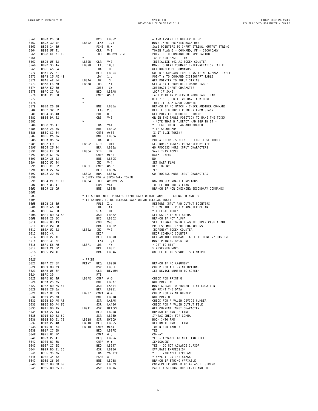| 3562         | B890 25 C0               |                | BCS               | LB852                                               | = AND INSERT IN BUFFER IF SO                                            |
|--------------|--------------------------|----------------|-------------------|-----------------------------------------------------|-------------------------------------------------------------------------|
|              | B892 30 1F               | LB892          | LEAX              | $-1, X$                                             | MOVE INPUT POINTER BACK ONE                                             |
| 3563         | B894 34 50               |                | <b>PSHS</b>       | U,X                                                 | SAVE POINTERS TO INPUT STRING, OUTPUT STRING                            |
| 3564         | B896 ØF 41               |                | CLR               | V41                                                 | TOKEN FLAG $\emptyset$ = COMMAND, FF = SECONDARY                        |
| 3565         | B898 CE Ø1 16            |                | LDU               | #COMVEC-10                                          | POINT U TO COMMAND INTERPRETATION                                       |
| 3566         |                          | $^{\star}$     |                   |                                                     | TABLE FOR BASIC - 10                                                    |
| 3567<br>3568 | B89B ØF 42               | LB89B<br>LB89D | CLR               | <b>V42</b>                                          | INITIALIZE V42 AS TOKEN COUNTER                                         |
| 3569         | B89D 33 4A<br>B89F A6 C4 |                | LEAU 10, U<br>LDA | , U                                                 | MOVE TO NEXT COMMAND INTERPRETATION TABLE<br>GET NUMBER OF COMMANDS     |
| 3570         | B8A1 27 31               |                | BEQ               | LB8D4                                               | GO DO SECONDARY FUNCTIONS IF NO COMMAND TABLE                           |
| 3571         | B8A3 10 AE 41            |                | LDY               | 1,U                                                 | POINT Y TO COMMAND DICTIONARY TABLE                                     |
| 3572         | B8A6 AE E4               | LB8A6          | LDX               | $, \mathsf{S}$                                      | GET POINTER TO INPUT STRING                                             |
| 3573         | B8A8 E6 AØ               | LB8A8          | LDB               | $, Y+$                                              | GET A BYTE FROM DICTIONARY TABLE                                        |
| 3574         | B8AA EØ 80               |                | SUBB              | , X+                                                | SUBTRACT INPUT CHARACTER                                                |
| 3575         | B8AC 27 FA               |                | BEQ               | LB8A8                                               | LOOP IF SAME                                                            |
| 3576         | B8AE C1 80               |                | CMPB              | #\$80                                               | LAST CHAR IN RESERVED WORD TABLE HAD                                    |
| 3577         |                          | $^{\star}$     |                   |                                                     | BIT 7 SET, SO IF WE HAVE \$80 HERE                                      |
| 3578         |                          | $\star$        |                   |                                                     | THEN IT IS A GOOD COMPARE                                               |
| 3579         | B8BØ 26 38               |                | BNE               | LB8EA                                               | BRANCH IF NO MATCH - CHECK ANOTHER COMMAND                              |
| 3580         | B8B2 32 62               |                | LEAS              | 2, S                                                | DELETE OLD INPUT POINTER FROM STACK                                     |
| 3581         | B8B4 35 40               |                | PULS              | U                                                   | GET POINTER TO OUTPUT STRING                                            |
| 3582         | B8B6 DA 42               | $\star$        | ORB               | <b>V42</b>                                          | OR IN THE TABLE POSITION TO MAKE THE TOKEN                              |
| 3583<br>3584 |                          |                | LDA               | V41                                                 | - NOTE THAT B ALREADY HAD \$80 IN IT -<br>* CHECK TOKEN FLAG AND BRANCH |
| 3585         | B8B8 96 41<br>B8BA 26 06 |                | BNE               | LB8C2                                               | * IF SECONDARY                                                          |
| 3586         | B8BC C1 84               |                | CMPB #\$84        |                                                     | IS IT ELSE TOKEN?                                                       |
| 3587         | B8BE 26 06               |                | BNE               | LB8C6                                               | NO.                                                                     |
| 3588         | B8CØ 86 3A               |                | LDA               | $\#$ :                                              | PUT A COLON (SUBLINE) BEFORE ELSE TOKEN                                 |
| 3589         | B8C2 ED C1               | LB8C2          | <b>STD</b>        | $,U++$                                              | SECONDARY TOKENS PRECEEDED BY \$FF                                      |
| 3590         | B8C4 20 94               |                | <b>BRA</b>        | LB85A                                               | GO PROCESS MORE INPUT CHARACTERS                                        |
| 3591         | B8C6 E7 CØ               | LB8C6          | <b>STB</b>        | , U+                                                | SAVE THIS TOKEN                                                         |
| 3592         | B8C8 C1 86               |                | CMPB              | #\$86                                               | DATA TOKEN?                                                             |
| 3593         | B8CA 26 02               |                | BNE               | LB8CE                                               | NO.                                                                     |
| 3594         | B8CC ØC 44               |                | INC               | V44                                                 | SET DATA FLAG                                                           |
| 3595         | B8CE C1 82               | LB8CE          | CMPB              | #\$82                                               | REM TOKEN?                                                              |
| 3596         | B8DØ 27 AA               |                | BEQ               | LB87C                                               | YES                                                                     |
| 3597         | B8D2 20 86               | LB8D2          | <b>BRA</b>        | LB85A                                               | GO PROCESS MORE INPUT CHARACTERS                                        |
| 3598         |                          |                |                   | * CHECK FOR A SECONDARY TOKEN                       |                                                                         |
| 3599         | B8D4 CE Ø1 1B            | LB8D4          | LDU               | #COMVEC-5                                           | NOW DO SECONDARY FUNCTIONS                                              |
| 3600         | B8D7 03 41               |                | COM               | V41                                                 | TOGGLE THE TOKEN FLAG                                                   |
| 3601<br>3602 | B8D9 26 CØ               |                | BNE               | LB89B                                               | BRANCH IF NOW CHECKING SECONDARY COMMANDS                               |
| 3603         |                          |                |                   |                                                     | * THIS CODE WILL PROCESS INPUT DATA WHICH CANNOT BE CRUNCHED AND SO     |
| 3604         |                          |                |                   | * IS ASSUMED TO BE ILLEGAL DATA OR AN ILLEGAL TOKEN |                                                                         |
| 3605         | B8DB 35 50               |                | PULS X, U         |                                                     | RESTORE INPUT AND OUTPUT POINTERS                                       |
| 3606         | B8DD A6 80               |                | LDA               | , X+                                                | * MOVE THE FIRST CHARACTER OF AN                                        |
| 3607         | B8DF A7 CØ               |                | <b>STA</b>        | , U+                                                | * ILLEGAL TOKEN                                                         |
| 3608         | B8E1 BD B3 A2            |                | JSR               | LB3A2                                               | SET CARRY IF NOT ALPHA                                                  |
| 3609         | B8E4 25 EC               |                | BCS               | LB8D2                                               | BRANCH IF NOT ALPHA                                                     |
| 3610         | B8E6 03 43               |                | COM               | <b>V43</b>                                          | SET ILLEGAL TOKEN FLAG IF UPPER CASE ALPHA                              |
| 3611         | B8E8 20 E8               |                | <b>BRA</b>        | LB8D2                                               | PROCESS MORE INPUT CHARACTERS                                           |
| 3612         | B8EA ØC 42               | LB8EA          | INC               | <b>V42</b>                                          | INCREMENT TOKEN COUNTER                                                 |
| 3613         | B8EC 4A                  |                | DECA              |                                                     | DECR COMMAND COUNTER                                                    |
| 3614         | B8ED 27 AE               |                | BEQ               | LB89D                                               |                                                                         |
|              |                          |                |                   |                                                     | GET ANOTHER COMMAND TABLE IF DONE W/THIS ONE                            |
| 3615         | B8EF 31 3F               |                | LEAY              | $-1, Y$                                             | MOVE POINTER BACK ONE                                                   |
| 3616         | B8F1 E6 AØ               | LB8F1          | LDB               | , Y+                                                | * GET TO NEXT                                                           |
| 3617         | B8F3 2A FC               |                | BPL               | LB8F1                                               | * RESERVED WORD                                                         |
| 3618         | B8F5 20 AF               |                | <b>BRA</b>        | LB8A6                                               | GO SEE IF THIS WORD IS A MATCH                                          |
| 3619         |                          |                |                   |                                                     |                                                                         |
| 3620         |                          | * PRINT        |                   |                                                     |                                                                         |
| 3621         | B8F7 27 5F               | PRINT          | BEQ               | LB958                                               | BRANCH IF NO ARGUMENT                                                   |
| 3622         | B8F9 8D 03               |                | <b>BSR</b>        | LB8FE                                               | CHECK FOR ALL PRINT OPTIONS                                             |
| 3623         | B8FB ØF 6F               |                | CLR               | DEVNUM                                              | SET DEVICE NUMBER TO SCREEN                                             |
| 3624         | B8FD 39<br>B8FE 81 40    | LB8FE          | <b>RTS</b>        |                                                     |                                                                         |
| 3625<br>3626 | B900 26 05               |                | $CMPA$ #'@<br>BNE | LB907                                               | CHECK FOR PRINT @<br>NOT PRINT @                                        |
| 3627         | B902 BD A5 54            |                | JSR               | LA554                                               | MOVE CURSOR TO PROPER PRINT LOCATION                                    |
| 3628         | B905 20 0A               |                | BRA               | LB911                                               | GO PRINT THE DATA                                                       |
| 3629         | B907 81 23               | LB907          | $CMPA$ #'#        |                                                     | CHECK FOR PRINT NUMBER                                                  |
| 3630         | B909 26 0D               |                | BNE               | LB918                                               | NOT PRINT#                                                              |
| 3631         | B90B BD A5 A5            |                | JSR               | LA5A5                                               | CHECK FOR A VALID DEVICE NUMBER                                         |
| 3632         | B90E BD A4 06            |                | JSR               | LA406                                               | CHECK FOR A VALID OUTPUT FILE                                           |
| 3633         | B911 9D A5               | LB911          |                   | JSR GETCCH                                          | GET CURRENT INPUT CHARACTER                                             |
| 3634         | B913 27 43               |                |                   | BEQ LB958                                           | BRANCH IF END OF LINE                                                   |
| 3635         | B915 BD B2 6D            |                |                   | JSR LB26D                                           | SYNTAX CHECK FOR COMMA                                                  |
| 3636         | B918 BD 01 79            | LB918          |                   | JSR RVEC9                                           | HOOK INTO RAM                                                           |
| 3637         | B91B 27 48               | LB91B          |                   | BEQ LB965                                           | RETURN IF END OF LINE                                                   |
| 3638         | B91D 81 A4               | LB91D          | CMPA #\$A4        |                                                     | TOKEN FOR TAB( ?                                                        |
| 3639         | B91F 27 5D               |                | BEQ               | LB97E                                               | YES                                                                     |
| 3640         | B921 81 2C               |                | CMPA #',          |                                                     | COMMA?                                                                  |
| 3641         | B923 27 41               |                | BEQ               | LB966                                               | YES - ADVANCE TO NEXT TAB FIELD                                         |
| 3642         | B925 81 3B               |                | CMPA #';          |                                                     | SEMICOLON?                                                              |
| 3643         | B927 27 6E               |                | BEQ               | LB997                                               | YES - DO NOT ADVANCE CURSOR                                             |
| 3644         | B929 BD B1 56            |                | JSR<br>LDA        | LB156                                               | EVALUATE EXPRESSION                                                     |
| 3645<br>3646 | B92C 96 06<br>B92E 34 02 |                | PSHS A            | VALTYP                                              | * GET VARIABLE TYPE AND<br>* SAVE IT ON THE STACK                       |
| 3647         | B930 26 06               |                | BNE               | LB938                                               | BRANCH IF STRING VARIABLE                                               |
| 3648         | B932 BD BD D9            |                |                   | JSR LBDD9                                           | CONVERT FP NUMBER TO AN ASCII STRING                                    |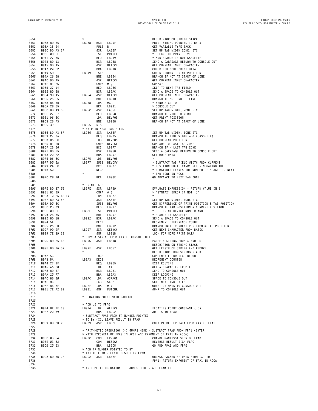| 3650         |                             | $^{\star}$                                                             | DESCRIPTOR ON STRING STACK                      |
|--------------|-----------------------------|------------------------------------------------------------------------|-------------------------------------------------|
| 3651         | B938 8D 65                  | LB938<br><b>BSR</b><br>LB99F                                           | PRINT STRING POINTED TO BY X                    |
| 3652         | B93A 35 Ø4                  | PULS B                                                                 | GET VARIABLE TYPE BACK                          |
| 3653         | B93C BD A3 5F               | JSR<br>LA35F                                                           | SET UP TAB WIDTH ZONE, ETC                      |
| 3654         | B93F 0D 6E                  | TST<br>PRTDEV                                                          | * CHECK THE PRINT DEVICE                        |
| 3655         | B941 27 06                  | BEQ<br>LB949                                                           | * AND BRANCH IF NOT CASSETTE                    |
| 3656         | B943 8D 13                  | BSR<br>LB958                                                           | SEND A CARRIAGE RETURN TO CONSOLE OUT           |
| 3657         | B945 9D A5                  | JSR<br>GETCCH                                                          | GET CURRENT INPUT CHARACTER                     |
| 3658         | B947 20 D2                  | BRA<br>LB91B                                                           | CHECK FOR MORE PRINT DATA                       |
| 3659         | B949 5D                     | LB949<br><b>TSTB</b>                                                   | CHECK CURRENT PRINT POSITION                    |
| 3660         | B94A 26 08                  | BNE<br>LB954                                                           | BRANCH IF NOT AT START OF LINE                  |
| 3661         | B94C 9D A5                  | JSR<br>GETCCH                                                          | GET CURRENT INPUT CHARACTER                     |
| 3662         | B94E 81 2C                  | CMPA<br>#',                                                            | COMMA?                                          |
| 3663         | B950 27 14<br>B952 8D 58    | BEQ<br>LB966<br>LB9AC                                                  | SKIP TO NEXT TAB FIELD                          |
| 3664<br>3665 | B954 9D A5                  | BSR<br>LB954<br>GETCCH                                                 | SEND A SPACE TO CONSOLE OUT                     |
|              | B956 26 C5                  | JSR                                                                    | GET CURRENT INPUT CHARACTER                     |
| 3666         |                             | BNE<br>LB91D<br>LB958                                                  | BRANCH IF NOT END OF LINE                       |
| 3667<br>3668 | B958 86 ØD<br>B95A 20 55    | LDA<br>#CR<br>BRA<br>LB9B1                                             | * SEND A CR TO<br>* CONSOLE OUT                 |
| 3669         | B95C BD A3 5F               | LB95C<br>JSR<br>LA35F                                                  | SET UP TAB WIDTH, ZONE ETC                      |
| 3670         | B95F 27 F7                  | BEQ<br>LB958                                                           | BRANCH IF WIDTH = ZERO                          |
| 3671         | B961 96 6C                  | LDA<br><b>DEVPOS</b>                                                   | GET PRINT POSITION                              |
| 3672         | B963 26 F3                  | BNE<br>LB958                                                           | BRANCH IF NOT AT START OF LINE                  |
| 3673         | B965 39                     | <b>RTS</b><br>LB965                                                    |                                                 |
| 3674         |                             | * SKIP TO NEXT TAB FIELD                                               |                                                 |
| 3675         | B966 BD A3 5F               | LB966<br>JSR<br>LA35F                                                  | SET UP TAB WIDTH, ZONE ETC                      |
| 3676         | B969 27 ØA                  | BEQ<br>LB975                                                           | BRANCH IF LINE WIDTH = $\emptyset$ (CASSETTE)   |
| 3677         | B96B D6 6C                  | LDB<br>DEVPOS                                                          | GET CURRENT POSITION                            |
| 3678         | B96D D1 6B                  | CMPB DEVLCF                                                            | COMPARE TO LAST TAB ZONE                        |
| 3679         | B96F 25 06                  | BCS<br>LB977                                                           | BRANCH IF < LAST TAB ZONE                       |
| 3680         | B971 8D E5                  | BSR<br>LB958                                                           | SEND A CARRIAGE RETURN TO CONSOLE OUT           |
| 3681         | B973 20 22                  | BRA<br>LB997                                                           | GET MORE DATA                                   |
| 3682         | B975 D6 6C                  | LB975<br>LDB<br>DEVPOS                                                 | $\star$                                         |
| 3683         | B977 DØ 6A                  | LB977<br>SUBB DEVCFW                                                   | * SUBTRACT TAB FIELD WIDTH FROM CURRENT         |
| 3684         | B979 24 FC                  | BCC<br>LB977                                                           | * POSITION UNTIL CARRY SET - NEGATING THE       |
| 3685         | B97B 50                     | NEGB                                                                   | * REMAINDER LEAVES THE NUMBER OF SPACES TO NEXT |
| 3686         |                             | $^\star$                                                               | * TAB ZONE IN ACCB                              |
| 3687         | B97C 20 10                  | <b>BRA</b><br>LB98E                                                    | GO ADVANCE TO NEXT TAB ZONE                     |
| 3688         |                             |                                                                        |                                                 |
| 3689         |                             | * PRINT TAB(                                                           |                                                 |
| 3690         | B97E BD B7 09               | LB97E<br>JSR<br>LB709                                                  | EVALUATE EXPRESSION - RETURN VALUE IN B         |
| 3691         | B981 81 29                  | CMPA #')                                                               | * 'SYNTAX' ERROR IF NOT ')'                     |
| 3692         | B983 10 26 F8 F0            | LBNE LB277                                                             | $\star$                                         |
| 3693         | B987 BD A3 5F               | JSR<br>LA35F                                                           | SET UP TAB WIDTH, ZONE ETC                      |
| 3694         | B98A DØ 6C                  | SUBB DEVPOS                                                            | GET DIFFERENCE OF PRINT POSITION & TAB POSITION |
| 3695         | B98C 23 09                  | BLS<br>LB997                                                           | BRANCH IF TAB POSITION < CURRENT POSITION       |
| 3696         | B98E ØD 6E                  | LB98E<br>TST<br>PRTDEV                                                 | * GET PRINT DEVICE NUMBER AND                   |
| 3697         | B990 26 05                  | BNE<br>LB997                                                           | * BRANCH IF CASSETTE                            |
| 3698         | B992 8D 18                  | LB992<br>BSR<br>LB9AC                                                  | SEND A SPACE TO CONSOLE OUT                     |
| 3699         | B994 5A                     | DECB                                                                   | DECREMENT DIFFERENCE COUNT                      |
| 3700         | B995 26 FB                  | BNE<br>LB992                                                           | BRANCH UNTIL CURRENT POSITION = TAB POSITION    |
| 3701         | B997 9D 9F                  | LB997<br>JSR<br>GETNCH                                                 | GET NEXT CHARACTER FROM BASIC                   |
| 3702         | B999 7E B9 1B               | JMP<br>LB91B                                                           | LOOK FOR MORE PRINT DATA                        |
| 3703         |                             | * COPY A STRING FROM (X) TO CONSOLE OUT                                |                                                 |
| 3704         | B99C BD B5 18               | LB99C<br>JSR<br>LB518                                                  | PARSE A STRING FROM X AND PUT                   |
| 3705         |                             | $\star$                                                                | DESCRIPTOR ON STRING STACK                      |
| 3706         | B99F BD B6 57               | LB99F<br><b>JSR</b><br>LB657                                           | GET LENGTH OF STRING AND REMOVE                 |
| 3707         |                             | $\star$                                                                | DESCRIPTOR FROM STRING STACK                    |
| 3708         | B9A2 5C                     | INCB                                                                   | COMPENSATE FOR DECB BELOW                       |
| 3709         | B9A3 5A                     | LB9A3<br>DECB                                                          | DECREMENT COUNTER                               |
| 3710         | B9A4 27 BF                  | BEQ<br>LB965                                                           | EXIT ROUTINE                                    |
| 3711         | B9A6 A6 80                  | LDA<br>$, x +$                                                         | GET A CHARACTER FROM X                          |
| 3712         | B9A8 8D 07                  | BSR<br>LB9B1                                                           | SEND TO CONSOLE OUT                             |
| 3713         | B9AA 20 F7                  | BRA<br>LB9A3                                                           | KEEP LOOPING<br>SPACE TO CONSOLE OUT            |
| 3714         | B9AC 86 20                  | LB9AC<br>LDA<br>#SPACE                                                 |                                                 |
| 3715         | B9AE 8C                     | FCB<br>SKP2                                                            | SKIP NEXT TWO BYTES                             |
| 3716         | B9AF 86 3F<br>B9B1 7E A2 82 | LB9AF<br>LDA<br>$#$ ' ?                                                | OUESTION MARK TO CONSOLE OUT                    |
| 3717<br>3718 |                             | LB9B1<br>JMP<br>PUTCHR                                                 | JUMP TO CONSOLE OUT                             |
| 3719         |                             | * FLOATING POINT MATH PACKAGE                                          |                                                 |
| 3720         |                             |                                                                        |                                                 |
| 3721         |                             | * ADD .5 TO FPAØ                                                       |                                                 |
| 3722         | B9B4 8E BE CØ               | LB9B4<br>LDX<br>#LBECØ                                                 | FLOATING POINT CONSTANT (.5)                    |
| 3723         | B9B7 20 09                  | BRA<br>LB9C2                                                           | ADD .5 TO FPAØ                                  |
| 3724         |                             | * SUBTRACT FPAØ FROM FP NUMBER POINTED                                 |                                                 |
| 3725         |                             | * TO BY (X), LEAVE RESULT IN FPAØ                                      |                                                 |
| 3726         | B9B9 BD BB 2F               | LB9B9<br>JSR<br>LBB2F                                                  | COPY PACKED FP DATA FROM (X) TO FPA1            |
| 3727         |                             |                                                                        |                                                 |
| 3728         |                             | * ARITHMETIC OPERATION (-) JUMPS HERE - SUBTRACT FPAØ FROM FPA1 (ENTER |                                                 |
| 3729         |                             | * WITH EXPONENT OF FPAØ IN ACCB AND EXPONENT OF FPA1 IN ACCA)          |                                                 |
| 3730         | B9BC 03 54                  | FPØSGN<br>LB9BC<br>COM                                                 | CHANGE MANTISSA SIGN OF FPAØ                    |
| 3731         | B9BE 03 62                  | COM<br>RESSGN                                                          | REVERSE RESULT SIGN FLAG                        |
| 3732         | B9CØ 20 03                  | LB9C5<br>BRA                                                           | GO ADD FPA1 AND FPAØ                            |
| 3733         |                             | * ADD FP NUMBER POINTED TO BY                                          |                                                 |
| 3734         |                             | * (X) TO FPAØ - LEAVE RESULT IN FPAØ                                   |                                                 |
| 3735         | B9C2 BD BB 2F               | LB9C2<br>JSR<br>LBB2F                                                  | UNPACK PACKED FP DATA FROM (X) TO               |
| 3736         |                             | $\star$                                                                | FPA1; RETURN EXPONENT OF FPA1 IN ACCA           |
| 3737         |                             |                                                                        |                                                 |
| 3738         |                             | * ARITHMETIC OPERATION (+) JUMPS HERE - ADD FPAØ TO                    |                                                 |

**\* ARITHMETIC OPERATION (+) JUMPS HERE - ADD FPA0 TO**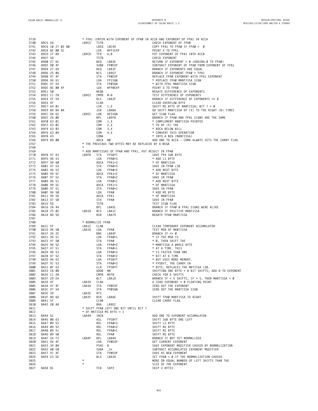| 3739         |                          |                  |                    |                                                                                                                                                    | * FPA1 (ENTER WITH EXPONENT OF FPAØ IN ACCB AND EXPONENT OF FPA1 IN ACCA  |
|--------------|--------------------------|------------------|--------------------|----------------------------------------------------------------------------------------------------------------------------------------------------|---------------------------------------------------------------------------|
| 3740         | B9C5 5D                  | LB9C5            | TSTB               |                                                                                                                                                    | CHECK EXPONENT OF FPAØ                                                    |
| 3741         | B9C6 10 27 02 80         |                  |                    | LBEQ LBC4A                                                                                                                                         | COPY FPA1 TO FPAØ IF FPAØ = Ø                                             |
| 3742         | B9CA 8E 00 5C            |                  | LDX                | #FP1EXP                                                                                                                                            | POINT X TO FPA1                                                           |
| 3743         | B9CD 1F 89               | LB9CD            | TFR A,B            |                                                                                                                                                    | PUT EXPONENT OF FPA1 INTO ACCB                                            |
| 3744         | B9CF 5D                  |                  | TSTB               |                                                                                                                                                    | CHECK EXPONENT                                                            |
| 3745         | B9DØ 27 6C               |                  |                    | TSTB<br>BEQ LBA3E<br>SUBB FPØEXP                                                                                                                   | RETURN IF EXPONENT = $\emptyset$ (ADDING $\emptyset$ TO FPA $\emptyset$ ) |
| 3746         | B9D2 DØ 4F               |                  |                    |                                                                                                                                                    | SUBTRACT EXPONENT OF FPAØ FROM EXPONENT OF FPA1                           |
| 3747         | B9D4 27 69               |                  | BEQ                | LBA3F<br>LB9E2<br>FPØEXP                                                                                                                           | BRANCH IF EXPONENTS ARE EQUAL                                             |
| 3748         | B9D6 25 ØA               |                  | <b>BCS</b>         |                                                                                                                                                    | BRANCH IF EXPONENT FPAØ > FPA1                                            |
| 3749         | B9D8 97 4F               |                  | STA                |                                                                                                                                                    | REPLACE FPAØ EXPONENT WITH FPA1 EXPONENT                                  |
| 3750         | B9DA 96 61               |                  | LDA                | FP1SGN                                                                                                                                             | * REPLACE FPAØ MANTISSA SIGN                                              |
| 3751         | B9DC 97 54               |                  | STA                | FPØSGN                                                                                                                                             | * WITH FPA1 MANTISSA SIGN                                                 |
| 3752         | B9DE 8E 00 4F            |                  | LDX                | #FPØEXP                                                                                                                                            | POINT X TO FPAØ                                                           |
| 3753         | B9E1 50                  |                  | NEGB               |                                                                                                                                                    | NEGATE DIFFERENCE OF EXPONENTS                                            |
| 3754         | B9E2 C1 F8               | LB9E2 CMPB #-8   |                    | #-8<br>LBA3F                                                                                                                                       | TEST DIFFERENCE OF EXPONENTS                                              |
| 3755         | B9E4 2F 59               |                  | BLE                |                                                                                                                                                    | BRANCH IF DIFFERENCE OF EXPONENTS <= 8                                    |
| 3756         | B9E6 4F                  |                  | CLRA               |                                                                                                                                                    | CLEAR OVERFLOW BYTE                                                       |
| 3757         | B9E7 64 01               |                  | LSR                | 1,X<br>LBABA                                                                                                                                       | SHIFT MS BYTE OF MANTISSA; BIT $7 = 0$                                    |
| 3758         | B9E9 BD BA BA            |                  | JSR                |                                                                                                                                                    | GO SHIFT MANTISSA OF (X) TO THE RIGHT (B) TIMES                           |
| 3759         | B9EC D6 62               | LB9EC LDB        |                    | RESSGN                                                                                                                                             | GET SIGN FLAG                                                             |
| 3760         | B9EE 2A ØB               |                  | BPL                |                                                                                                                                                    | BRANCH IF FPAØ AND FPA1 SIGNS ARE THE SAME                                |
| 3761         | B9FØ 63 Ø1               |                  |                    | LB9FB<br>1,X<br>2 Y<br>$COM$ 1, X                                                                                                                  | * COMPLEMENT MANTISSA POINTED                                             |
| 3762         | B9F2 63 02               |                  |                    | COM 2, X                                                                                                                                           | $*$ TO BY $(X)$ THE                                                       |
| 3763         | B9F4 63 03               |                  |                    | COM 3, X                                                                                                                                           | * ADCA BELOW WILL                                                         |
| 3764         | B9F6 63 04               |                  | $COM \t 4,X$       |                                                                                                                                                    | * CONVERT THIS OPERATION                                                  |
| 3765         | B9F8 43                  |                  | COMA               |                                                                                                                                                    | * INTO A NEG (MANTISSA)                                                   |
| 3766         | B9F9 89 00               |                  | ADCA #Ø            |                                                                                                                                                    | ADD ONE TO ACCA - COMA ALWAYS SETS THE CARRY FLAG                         |
| 3767         |                          |                  |                    | * THE PREVIOUS TWO BYTES MAY BE REPLACED BY A NEGA                                                                                                 |                                                                           |
| 3768         |                          |                  |                    |                                                                                                                                                    |                                                                           |
| 3769         |                          |                  |                    | * ADD MANTISSAS OF FPAØ AND FPA1, PUT RESULT IN FPAØ                                                                                               |                                                                           |
| 3770         | B9FB 97 63               | LB9FB            |                    | STA FPSBYT                                                                                                                                         | SAVE FPA SUB BYTE                                                         |
| 3771         | B9FD 96 53               |                  |                    |                                                                                                                                                    | * ADD LS BYTE                                                             |
| 3772         | B9FF 99 60               |                  |                    |                                                                                                                                                    | * OF MANTISSA                                                             |
| 3773         | BA01 97 53               |                  |                    | SIA<br>LDA FPA0+3<br>ADCA FPA1+3<br>STA FPA0+3<br>LDA FPA0+2<br>STA FPA0+2<br>LDA FPA0+1<br>ADCA FPA0+1<br>ADCA FPA0+1<br>ATA FPA1+1<br>STA FPA0+1 | SAVE IN FPAØ LSB                                                          |
| 3774         | BA03 96 52               |                  |                    |                                                                                                                                                    | * ADD NEXT BYTE                                                           |
| 3775         | BA05 99 5F               |                  |                    |                                                                                                                                                    | * OF MANTISSA                                                             |
| 3776         | BA07 97 52               |                  |                    |                                                                                                                                                    | SAVE IN FPAØ                                                              |
| 3777         | BA09 96 51               |                  |                    |                                                                                                                                                    | * ADD NEXT BYTE                                                           |
| 3778         | BAØB 99 5E               |                  |                    |                                                                                                                                                    | * OF MANTISSA                                                             |
| 3779         | BAØD 97 51               |                  |                    | STA FPAØ+1                                                                                                                                         | SAVE IN FPAØ                                                              |
| 3780         | BAØF 96 50               |                  | LDA                | FPAØ                                                                                                                                               | * ADD MS BYTE                                                             |
| 3781         | BA11 99 5D               |                  |                    | ADCA FPA1                                                                                                                                          | * OF MANTISSA                                                             |
| 3782         | BA13 97 50               |                  | STA<br><b>TSTB</b> | FPAØ                                                                                                                                               | SAVE IN FPAØ                                                              |
| 3783<br>3784 | BA15 5D<br>BA16 2A 44    |                  | BPL                | LBA5C                                                                                                                                              | TEST SIGN FLAG<br>BRANCH IF FPAØ & FPA1 SIGNS WERE ALIKE                  |
| 3785         |                          | LBA18            | BCS                | LBA1C                                                                                                                                              |                                                                           |
| 3786         | BA18 25 02<br>BA1A 8D 5D |                  | BSR                | LBA79                                                                                                                                              | BRANCH IF POSITIVE MANTISSA<br>NEGATE FPAØ MANTISSA                       |
| 3787         |                          |                  |                    |                                                                                                                                                    |                                                                           |
| 3788         |                          | * NORMALIZE FPAØ |                    |                                                                                                                                                    |                                                                           |
| 3789         | BA1C 5F                  | LBA1C            | CLRB               |                                                                                                                                                    | CLEAR TEMPORARY EXPONENT ACCUMULATOR                                      |
| 3790         | BA1D 96 50               | LBA1D            |                    |                                                                                                                                                    | TEST MSB OF MANTISSA                                                      |
| 3791         | BA1F 26 2E               |                  |                    |                                                                                                                                                    | BRANCH IF $\Leftarrow$ Ø                                                  |
| 3792         | BA21 96 51               |                  |                    | LLKB<br>BNE LBA4F<br>LDA FPAØ+1<br>STA FPAØ+2<br>LDA FPAØ+2<br>LTA FRAØ+1                                                                          | * IF THE MSB IS                                                           |
| 3793         | BA23 97 50               |                  |                    |                                                                                                                                                    | * Ø, THEN SHIFT THE                                                       |
| 3794         | BA25 96 52               |                  |                    |                                                                                                                                                    | * MANTISSA A WHOLE BYTE                                                   |
| 3795         | BA27 97 51               |                  |                    |                                                                                                                                                    | * AT A TIME. THIS                                                         |
| 3796         | BA29 96 53               |                  |                    |                                                                                                                                                    | * IS FASTER THAN ONE                                                      |
| 3797         | BA2B 97 52               |                  |                    |                                                                                                                                                    | * BIT AT A TIME                                                           |
| 3798         | BA2D 96 63               |                  |                    |                                                                                                                                                    | * BUT USES MORE MEMORY.                                                   |
| 3799         | BA2F 97 53               |                  |                    |                                                                                                                                                    | * FPSBYT, THE CARRY IN                                                    |
| 3800         | BA31 ØF 63               |                  |                    | JDA FPAØ+2<br>STA FPAØ+3<br>LDA FPAØ+3<br>STA FPAØ+2<br>LDA FPSBYT<br>STA FPAØ+3<br>STA FPAØ+3                                                     | * BYTE, REPLACES THE MATISSA LSB.                                         |
| 3801         | BA33 CB 08               |                  | ADDB #8            |                                                                                                                                                    | SHIFTING ONE BYTE = 8 BIT SHIFTS; ADD 8 TO EXPONENT                       |
| 3802         | BA35 C1 28               |                  |                    | CMPB $#5*8$                                                                                                                                        | CHECK FOR 5 SHIFTS                                                        |
| 3803         | BA37 2D E4               |                  | BLT                | LBA1D                                                                                                                                              | BRANCH IF < 5 SHIFTS, IF > 5, THEN MANTISSA = $\emptyset$                 |
| 3804         | BA39 4F                  | LBA39            | CLRA               |                                                                                                                                                    | A ZERO EXPONENT = Ø FLOATING POINT                                        |
| 3805         | BA3A 97 4F               | LBA3A            |                    | STA FPØEXP                                                                                                                                         | ZERO OUT THE EXPONENT                                                     |
| 3806         | BA3C 97 54               |                  |                    | STA FPØSGN                                                                                                                                         | ZERO OUT THE MANTISSA SIGN                                                |
| 3807         | BA3E 39                  | LBA3E            | RTS                |                                                                                                                                                    |                                                                           |
| 3808         | BA3F 8D 6D               | LBA3F            |                    | BSR LBAAE                                                                                                                                          | SHIFT FPAØ MANTISSA TO RIGHT                                              |
| 3809         | BA41 5F                  |                  | CLRB               |                                                                                                                                                    | CLEAR CARRY FLAG                                                          |
| 381Ø         | BA42 20 A8               |                  |                    | BRA LB9EC                                                                                                                                          |                                                                           |
| 3811         |                          |                  |                    | * SHIFT FPAØ LEFT ONE BIT UNTIL BIT 7                                                                                                              |                                                                           |
| 3812         |                          |                  |                    | $*$ OF MATISSA MS BYTE = 1                                                                                                                         |                                                                           |
| 3813         | BA44 5C                  | LBA44            | INCB               |                                                                                                                                                    | ADD ONE TO EXPONENT ACCUMULATOR                                           |
| 3814         | BA45 08 63               |                  | ASL                | FPSBYT                                                                                                                                             | SHIFT SUB BYTE ONE LEFT                                                   |
| 3815         | BA47 09 53               |                  |                    | ROL FPAØ+3                                                                                                                                         | SHIFT LS BYTE                                                             |
| 3816         | BA49 09 52               |                  |                    | ROL FPAØ+2                                                                                                                                         | SHIFT NS BYTE                                                             |
| 3817         | BA4B 09 51               |                  |                    | ROL FPAØ+1                                                                                                                                         | SHIFT NS BYTE                                                             |
| 3818         | BA4D 09 50               |                  |                    | ROL FPAØ                                                                                                                                           | SHIFT MS BYTE                                                             |
| 3819         | BA4F 2A F3               | LBA4F            |                    | BPL LBA44                                                                                                                                          | BRANCH IF NOT YET NORMALIZED                                              |
| 3820         | BA51 96 4F               |                  |                    | LDA FPØEXP                                                                                                                                         | GET CURRENT EXPONENT                                                      |
| 3821         | BA53 34 04               |                  | PSHS B             |                                                                                                                                                    | SAVE EXPONENT MODIFIER CAUSED BY NORMALIZATION                            |
| 3822         | BA55 AØ EØ               |                  |                    | SUBA , S+                                                                                                                                          | SUBTRACT ACCUMULATED EXPONENT MODIFIER                                    |
| 3823         | BA57 97 4F               |                  |                    | STA FPØEXP                                                                                                                                         | SAVE AS NEW EXPONENT                                                      |
| 3824         | BA59 23 DE               |                  |                    | BLS LBA39                                                                                                                                          | SET FPAØ = Ø IF THE NORMALIZATION CAUSED                                  |
| 3825         |                          |                  |                    |                                                                                                                                                    | MORE OR EQUAL NUMBER OF LEFT SHIFTS THAN THE                              |
| 3826         |                          | $\star$          |                    |                                                                                                                                                    | SIZE OF THE EXPONENT                                                      |
| 3827         | BA5B 8C                  |                  |                    | FCB SKP2                                                                                                                                           | SKIP 2 BYTES                                                              |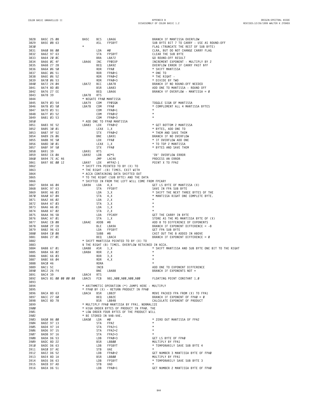| 3828         | BA5C 25 08               | BA5C            | <b>BCS</b> | LBA66                                              | BRANCH IF MANTISSA OVERFLOW                                             |
|--------------|--------------------------|-----------------|------------|----------------------------------------------------|-------------------------------------------------------------------------|
| 3829         | BA5E 08 63               |                 | ASL        | FPSBYT                                             | SUB BYTE BIT 7 TO CARRY - USE AS ROUND-OFF                              |
| 3830         |                          |                 |            |                                                    | FLAG (TRUNCATE THE REST OF SUB BYTE)                                    |
| 3831         | BA60 86 00               |                 | LDA        | #0                                                 | CLRA, BUT DO NOT CHANGE CARRY FLAG                                      |
| 3832         | BA62 97 63               |                 | STA        | FPSBYT                                             | CLEAR THE SUB BYTE                                                      |
| 3833         | BA64 20 0C               |                 | BRA        | LBA72                                              | GO ROUND-OFF RESULT                                                     |
| 3834<br>3835 | BA66 ØC 4F<br>BA68 27 28 | LBA66           | INC<br>BEQ | FPØEXP                                             | INCREMENT EXPONENT - MULTIPLY BY 2<br>OVERFLOW ERROR IF CARRY PAST \$FF |
| 3836         | BA6A 06 50               |                 | <b>ROR</b> | LBA92<br>FPAØ                                      | * SHIFT MANTISSA                                                        |
| 3837         | BA6C 06 51               |                 | <b>ROR</b> | FPAØ+1                                             | * ONE TO                                                                |
| 3838         | BA6E 06 52               |                 | <b>ROR</b> | FPAØ+2                                             | * THE RIGHT -                                                           |
| 3839         | BA70 06 53               |                 | <b>ROR</b> | FPAØ+3                                             | * DIVIDE BY TWO                                                         |
| 3840         | BA72 24 04               | LBA72           | BCC        | LBA78                                              | BRANCH IF NO ROUND-OFF NEEDED                                           |
| 3841         | BA74 8D ØD               |                 | <b>BSR</b> | LBA83                                              | ADD ONE TO MANTISSA - ROUND OFF                                         |
| 3842         | BA76 27 EE               |                 | BEQ        | LBA66                                              | BRANCH IF OVERFLOW - MANTISSA = $\emptyset$                             |
| 3843         | BA78 39                  | LBA78           | RTS        |                                                    |                                                                         |
| 3844         |                          |                 |            | * NEGATE FPAØ MANTISSA                             |                                                                         |
| 3845         | BA79 03 54               | LBA79           | COM        | FPØSGN                                             | TOGGLE SIGN OF MANTISSA                                                 |
| 3846         | BA7B 03 50               | LBA7B           | COM        | FPAØ                                               | * COMPLEMENT ALL 4 MANTISSA BYTES                                       |
| 3847         | BA7D 03 51               |                 | COM        | FPAØ+1                                             | $\star$                                                                 |
| 3848         | BA7F 03 52               |                 | COM        | FPAØ+2                                             | $\star$                                                                 |
| 3849         | BA81 03 53               |                 | COM        | FPAØ+3                                             | $\star$                                                                 |
| 3850         |                          |                 |            | * ADD ONE TO FPAØ MANTISSA                         |                                                                         |
| 3851         | BA83 9E 52               | LBA83 LDX       |            | FPAØ+2                                             | * GET BOTTOM 2 MANTISSA                                                 |
| 3852         | BA85 30 01               |                 | LEAX 1, X  |                                                    | * BYTES, ADD ONE TO                                                     |
| 3853         | BA87 9F 52               |                 | STX        | FPAØ+2                                             | * THEM AND SAVE THEM                                                    |
| 3854         | BA89 26 06               |                 | BNE        | LBA91                                              | BRANCH IF NO OVERFLOW                                                   |
| 3855         | BA8B 9E 50               |                 | LDX        | FPAØ                                               | * IF OVERFLOW ADD ONE                                                   |
| 3856         | BA8D 30 01               |                 | LEAX 1, X  |                                                    | * TO TOP 2 MANTISSA                                                     |
| 3857         | BA8F 9F 50               |                 | STX        | FPAØ                                               | * BYTES AND SAVE THEM                                                   |
| 3858         | BA91 39                  | LBA91           | <b>RTS</b> |                                                    |                                                                         |
| 3859         | BA92 C6 ØA               | LBA92           | LDB        | #2*5                                               | 'OV' OVERFLOW ERROR                                                     |
| 3860         | BA94 7E AC 46            |                 | JMP        | LAC46                                              | PROCESS AN ERROR                                                        |
| 3861         | BA97 8E 00 12            | LBA97 LDX       |            | #FPA2-1                                            | POINT X TO FPA2                                                         |
| 3862         |                          |                 |            | * SHIFT FPA POINTED TO BY (X) TO                   |                                                                         |
| 3863         |                          |                 |            | * THE RIGHT -(B) TIMES. EXIT WITH                  |                                                                         |
| 3864         |                          |                 |            | * ACCA CONTAINING DATA SHIFTED OUT                 |                                                                         |
| 3865         |                          |                 |            | * TO THE RIGHT (SUB BYTE) AND THE DATA             |                                                                         |
| 3866         |                          |                 |            | * SHIFTED IN FROM THE LEFT WILL COME FROM FPCARY   |                                                                         |
| 3867         | BA9A A6 04               | LBA9A           | LDA        | 4, X                                               | GET LS BYTE OF MANTISSA (X)                                             |
| 3868         | BA9C 97 63               |                 | STA        | FPSBYT                                             | SAVE IN FPA SUB BYTE                                                    |
| 3869         | BA9E A6 03               |                 | LDA        | 3, X                                               | * SHIFT THE NEXT THREE BYTES OF THE                                     |
| 3870         | BAAØ A7 Ø4               |                 | STA        | 4, X                                               | * MANTISSA RIGHT ONE COMPLETE BYTE.                                     |
| 3871         | BAA2 A6 02               |                 | LDA        | 2, X                                               |                                                                         |
| 3872         | BAA4 A7 03               |                 | STA        | 3, X                                               | $\star$                                                                 |
| 3873         | BAA6 A6 01               |                 | LDA        | 1, X                                               | $\star$                                                                 |
| 3874         | BAA8 A7 02               |                 | STA        | 2, X                                               | $\star$                                                                 |
| 3875         | <b>BAAA 96 5B</b>        |                 | LDA        | FPCARY                                             | GET THE CARRY IN BYTE                                                   |
| 3876         | BAAC A7 01               |                 | STA        | 1, X                                               | STORE AS THE MS MANTISSA BYTE OF (X)                                    |
| 3877         | BAAE CB 08               | LBAAE           | ADDB #8    |                                                    | ADD 8 TO DIFFERENCE OF EXPONENTS                                        |
| 3878         | BABØ 2F E8               |                 | BLE        | LBA9A                                              | BRANCH IF EXPONENT DIFFERENCE < - 8                                     |
| 3879         | BAB2 96 63               |                 | LDA        | FPSBYT                                             | GET FPA SUB BYTE                                                        |
| 3880         | BAB4 CØ Ø8               |                 | SUBB #8    |                                                    | CAST OUT THE 8 ADDED IN ABOVE                                           |
| 3881         | BAB6 27 ØC               |                 | BEQ        | LBAC4                                              | BRANCH IF EXPONENT DIFFERENCE = Ø                                       |
| 3882         |                          |                 |            | * SHIFT MANTISSA POINTED TO BY (X) TO              |                                                                         |
| 3883         |                          |                 |            | \$ THE RIGHT (B) TIMES. OVERFLOW RETAINED IN ACCA. |                                                                         |
| 3884         | BAB8 67 01               | LBAB8           | ASR        | 1, X                                               | * SHIFT MANTISSA AND SUB BYTE ONE BIT TO THE RIGHT                      |
| 3885         | BABA 66 02               | LBABA           | ROR        | 2, X                                               | $\star$                                                                 |
| 3886         | BABC 66 03               |                 | ROR        | 3, X                                               | $\star$                                                                 |
| 3887         | BABE 66 04               |                 | ROR        | 4, X                                               | $\star$                                                                 |
| 3888         | BACØ 46                  |                 | RORA       |                                                    |                                                                         |
| 3889         | BAC1 5C                  |                 | INCB       |                                                    | ADD ONE TO EXPONENT DIFFERENCE                                          |
| 3890         | BAC2 26 F4               |                 |            | BNE LBAB8                                          | BRANCH IF EXPONENTS NOT =                                               |
| 3891         | BAC4 39                  | LBAC4 RTS       |            |                                                    |                                                                         |
| 3892         | BAC5 81 00 00 00 00      |                 |            |                                                    | LBAC5 FCB \$81,\$00,\$00,\$00,\$00 FLOATING POINT CONSTANT 1.0          |
| 3893         |                          |                 |            |                                                    |                                                                         |
| 3894         |                          |                 |            | * ARITHMETIC OPERATION (*) JUMPS HERE - MULTIPLY   |                                                                         |
| 3895         |                          |                 |            | * FPAØ BY (X) - RETURN PRODUCT IN FPAØ             |                                                                         |
| 3896         | BACA 8D 63               | LBACA BSR LBB2F |            |                                                    | MOVE PACKED FPA FROM (X) TO FPA1                                        |
| 3897         | BACC 27 60               |                 | BEQ        | LBB2E                                              | BRANCH IF EXPONENT OF FPAØ = Ø                                          |
| 3898         | BACE 8D 78               |                 | BSR        | LBB48                                              | CALCULATE EXPONENT OF PRODUCT                                           |
| 3899         |                          |                 |            | * MULTIPLY FPAØ MANTISSA BY FPA1. NORMALIZE        |                                                                         |
| 3900         |                          |                 |            | * HIGH ORDER BYTES OF PRODUCT IN FPAØ. THE         |                                                                         |
| 3901         |                          |                 |            | * LOW ORDER FOUR BYTES OF THE PRODUCT WILL         |                                                                         |
| 3902         |                          |                 |            | * BE STORED IN VAB-VAE.                            |                                                                         |
| 3903         | BADØ 86 00               | LBADØ           | LDA        | #Ø                                                 | * ZERO OUT MANTISSA OF FPA2                                             |
| 3904         | BAD2 97 13               |                 | STA        | FPA2                                               | $^\star$                                                                |
| 3905         | BAD4 97 14               |                 | STA        | FPA2+1                                             | $^\star$                                                                |
| 3906         | BAD6 97 15               |                 | STA        | FPA2+2                                             | $^\star$                                                                |
| 3907         | BAD8 97 16               |                 | STA        | FPA2+3                                             | $\star$                                                                 |
| 3908         | BADA D6 53               |                 | LDB        | FPAØ+3                                             | GET LS BYTE OF FPAØ                                                     |
| 3909         | BADC 8D 22               |                 | BSR        | LBB00                                              | MULTIPLY BY FPA1                                                        |
| 3910         | BADE D6 63               |                 | LDB        | FPSBYT                                             | * TEMPORARILY SAVE SUB BYTE 4                                           |
| 3911         | BAEØ D7 AE               |                 | STB        | VAE                                                |                                                                         |
| 3912         | BAE2 D6 52               |                 | LDB        | FPAØ+2                                             | GET NUMBER 3 MANTISSA BYTE OF FPAØ                                      |
| 3913         | BAE4 8D 1A               |                 | BSR        | LBB00                                              | MULTIPLY BY FPA1                                                        |
| 3914         | BAE6 D6 63               |                 | LDB        | FPSBYT                                             | * TEMPORARILY SAVE SUB BYTE 3                                           |
| 3915         | BAE8 D7 AD               |                 | STB        | VAD                                                |                                                                         |
| 3916         | BAEA D6 51               |                 | LDB        | FPAØ+1                                             | GET NUMBER 2 MANTISSA BYTE OF FPAØ                                      |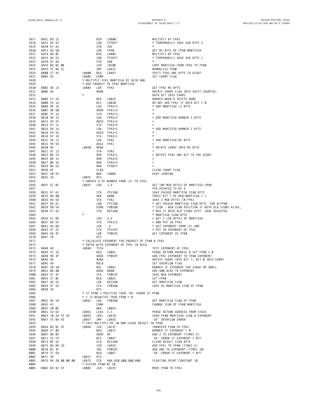| 3917         | BAEC 8D 12                      |                     | BSR             | <b>LBB00</b>                                    | MULTIPLY BY FPA1                                                                  |
|--------------|---------------------------------|---------------------|-----------------|-------------------------------------------------|-----------------------------------------------------------------------------------|
| 3918         | BAEE D6 63                      |                     | LDB             | FPSBYT                                          | * TEMPORARILY SAVE SUB BYTE 2                                                     |
| 3919         | BAFØ D7 AC                      |                     | STB             | VAC                                             |                                                                                   |
| 3920         | BAF2 D6 50                      |                     | LDB             |                                                 | GET MS BYTE OF FPAØ MANTISSA                                                      |
|              |                                 |                     |                 | VAC<br>FPAØ<br>LBBØ2<br>FPSBYT                  |                                                                                   |
| 3921         | BAF4 8D ØC                      |                     | BSR             |                                                 | MULTIPLY BY FPA1                                                                  |
| 3922         | BAF6 D6 63                      |                     | LDB             |                                                 | * TEMPORARILY SAVE SUB BYTE 1                                                     |
| 3923         | BAF8 D7 AB                      |                     | STB             | VAB                                             |                                                                                   |
| 3924         | BAFA BD BC ØB                   |                     | JSR LBCØB       |                                                 | COPY MANTISSA FROM FPA2 TO FPAØ                                                   |
| 3925         | BAFD 7E BA 1C                   |                     | JMP             | LBA1C                                           | NORMALIZE FPAØ                                                                    |
|              |                                 |                     |                 |                                                 |                                                                                   |
| 3926         | BB00 27 95                      | LBB00 BEQ LBA97     |                 |                                                 | SHIFT FPA2 ONE BYTE TO RIGHT                                                      |
| 3927         | BB02 43                         | LBBØ2 COMA          |                 |                                                 | SET CARRY FLAG                                                                    |
| 3928         |                                 |                     |                 | * MULTIPLY FPA1 MANTISSA BY ACCB AND            |                                                                                   |
| 3929         |                                 |                     |                 | * ADD PRODUCT TO FPA2 MANTISSA                  |                                                                                   |
|              |                                 |                     |                 |                                                 |                                                                                   |
| 3930         | BB03 96 13                      | LBB03               | LDA             | FPA2                                            | GET FPA2 MS BYTE                                                                  |
| 3931         | BB05 56                         |                     | RORB            |                                                 | ROTATE CARRY FLAG INTO SHIFT COUNTER;                                             |
| 3932         |                                 |                     |                 |                                                 | DATA BIT INTO CARRY                                                               |
| 3933         | BBØ6 27 26                      |                     | BEQ             | LBB2E                                           | BRANCH WHEN 8 SHIFTS DONE                                                         |
| 3934         | BB08 24 16                      |                     | BCC             | LBB2Ø                                           | DO NOT ADD FPA1 IF DATA BIT = Ø                                                   |
|              |                                 |                     |                 |                                                 |                                                                                   |
| 3935         | BBØA 96 16                      |                     |                 | LDA FPA2+3                                      | * ADD MANTISSA LS BYTE                                                            |
| 3936         | BBØC 9B 60                      |                     | ADDA FPA1+3     |                                                 |                                                                                   |
| 3937         | BBØE 97 16                      |                     | STA             | FPA2+3                                          |                                                                                   |
| 3938         | BB10 96 15                      |                     |                 | LDA FPA2+2                                      | = ADD MANTISSA NUMBER 3 BYTE                                                      |
|              |                                 |                     |                 |                                                 |                                                                                   |
| 3939         | BB12 99 5F                      |                     | ADCA FPA1+2     |                                                 |                                                                                   |
| 394Ø         | BB14 97 15                      |                     | STA             | FPA2+2                                          |                                                                                   |
| 3941         | BB16 96 14                      |                     | LDA             | FPA2+1                                          | * ADD MANTISSA NUMBER 2 BYTE                                                      |
| 3942         | BB18 99 5E                      |                     | ADCA FPA1+1     |                                                 |                                                                                   |
| 3943         | BB1A 97 14                      |                     | STA             | FPA2+1                                          |                                                                                   |
|              |                                 |                     |                 |                                                 |                                                                                   |
| 3944         | BB1C 96 13                      |                     | LDA             | FPA2                                            | = ADD MANTISSA MS BYTE                                                            |
| 3945         | BB1E 99 5D                      |                     | ADCA FPA1       |                                                 |                                                                                   |
| 3946         | BB20 46                         | LBB20               | RORA            |                                                 | * ROTATE CARRY INTO MS BYTE                                                       |
| 3947         | BB21 97 13                      |                     | STA             | FPA2                                            |                                                                                   |
|              |                                 |                     |                 |                                                 |                                                                                   |
| 3948         | BB23 06 14                      |                     | ROR             | FPA2+1                                          | = ROTATE FPA2 ONE BIT TO THE RIGHT                                                |
| 3949         | BB25 06 15                      |                     | ROR             | FPA2+2                                          | $=$                                                                               |
| 395Ø         | BB27 06 16                      |                     | ROR             | FPA2+3                                          | $=$                                                                               |
| 3951         | BB29 06 63                      |                     | ROR             | FPSBYT                                          |                                                                                   |
| 3952         | BB2B 4F                         |                     | CLRA            |                                                 | CLEAR CARRY FLAG                                                                  |
|              |                                 |                     |                 |                                                 |                                                                                   |
| 3953         |                                 |                     | BRA             | LBB03                                           | KEEP LOOPING                                                                      |
| 3954         | BB2b - .<br>BB2C 20 D5<br>-- 29 | LBB2E RTS           |                 |                                                 |                                                                                   |
| 3955         |                                 |                     |                 | * UNPACK A FP NUMBER FROM (X) TO FPA1           |                                                                                   |
| 3956         | BB2F EC 01                      | LBB2F               | LDD 1,X         |                                                 | GET TWO MSB BYTES OF MANTISSA FROM                                                |
|              |                                 |                     |                 |                                                 |                                                                                   |
| 3957         |                                 |                     |                 |                                                 | FPA POINTED TO BY X                                                               |
| 3958         | BB31 97 61                      |                     | STA             | FP1SGN                                          | SAVE PACKED MANTISSA SIGN BYTE                                                    |
| 3959         | BB33 8A 80                      |                     | 0 <sub>RA</sub> | #\$80                                           | FORCE BIT 7 OF MSB MANTISSA = $1$                                                 |
| 396Ø         | BB35 DD 5D                      |                     | STD             | FPA1                                            | SAVE 2 MSB BYTES IN FPA1                                                          |
| 3961         | BB37 D6 61                      |                     | LDB             | FP1SGN                                          | * GET PACKED MANTISSA SIGN BYTE. EOR W/FPAØ                                       |
|              |                                 |                     |                 |                                                 |                                                                                   |
| 3962         | BB39 D8 54                      |                     |                 | EORB FPØSGN                                     | * SIGN – NEW SIGN POSITION IF BOTH OLD SIGNS ALIKE,                               |
| 3963         | BB3B D7 62                      |                     | STB             | RESSGN                                          | * NEG IF BOTH OLD SIGNS DIFF. SAVE ADJUSTED                                       |
| 3964         |                                 |                     |                 |                                                 | * MANTISSA SIGN BYTE                                                              |
| 3965         | BB3D EC 03                      |                     | LDD             | 3, X                                            | = GET 2 LSB BYTES OF MANTISSA                                                     |
|              |                                 |                     |                 | 3,X<br>FPA1+2                                   |                                                                                   |
| 3966         | BB3F DD 5F                      |                     | STD             |                                                 | $=$ AND PUT IN FPA1                                                               |
| 3967         | BB41 A6 84                      |                     | LDA             | , X                                             | * GET EXPONENT FROM (X) AND                                                       |
| 3968         | BB43 97 5C                      |                     | STA             | FP1EXP                                          | * PUT IN EXPONENT OF FPA1                                                         |
| 3969         | BB45 D6 4F                      |                     | LDB             | FPØEXP                                          | GET EXPONENT OF FPAØ                                                              |
| 3970         | BB47 39                         |                     | <b>RTS</b>      |                                                 |                                                                                   |
|              |                                 |                     |                 |                                                 |                                                                                   |
| 3971         |                                 |                     |                 | * CALCULATE EXPONENT FOR PRODUCT OF FPAØ & FPA1 |                                                                                   |
| 3972         |                                 |                     |                 | * ENTER WITH EXPONENT OF FPA1 IN ACCA           |                                                                                   |
| 3973         | BB48 4D                         | LBB48               | TSTA            |                                                 | TEST EXPONENT OF FPA1                                                             |
| 3974         | BB49 27 16                      |                     | BEQ             | LBB61                                           | PURGE RETURN ADDRESS & SET FPAØ = Ø                                               |
|              |                                 |                     |                 |                                                 |                                                                                   |
| 3975         | BB4B 9B 4F                      |                     |                 | ADDA FPØEXP                                     | ADD FPA1 EXPONENT TO FPAØ EXPONENT                                                |
| 3976         | BB4D 46                         |                     | RORA            |                                                 | ROTATE CARRY INTO BIT 7; BIT Ø INTO CARRY                                         |
| 3977         | BB4E 49                         |                     | ROLA            |                                                 | SET OVERFLOW FLAG                                                                 |
| 3978         | BB4F 28 10                      |                     | BVC LBB61       |                                                 | BRANCH IF EXPONENT TOO LARGE OR SMALL                                             |
| 3979         | BB51 8B 80                      |                     | ADDA #\$80      |                                                 | ADD \$80 BIAS TO EXPONENT                                                         |
|              |                                 |                     |                 |                                                 |                                                                                   |
| 3980         | BB53 97 4F                      |                     |                 | STA FPØEXP                                      | SAVE NEW EXPONENT                                                                 |
| 3981         | BB55 27 0C                      |                     |                 | BEQ LBB63                                       | SET FPAØ                                                                          |
| 3982         | BB57 96 62                      |                     |                 | LDA RESSGN                                      | GET MANTISSA SIGN                                                                 |
| 3983         | BB59 97 54                      |                     | STA FPØSGN      |                                                 | SAVE AS MANTISSA SIGN OF FPAØ                                                     |
|              | BB5B 39                         |                     |                 |                                                 |                                                                                   |
| 3984         |                                 |                     | RTS             |                                                 |                                                                                   |
| 3985         |                                 |                     |                 | * IF FPAØ = POSITIVE THEN 'OV' ERROR IF FPAØ    |                                                                                   |
| 3986         |                                 |                     |                 | $* = IS NEGATIVE THEN FPAØ = Ø$                 |                                                                                   |
| 3987         | BB5C 96 54                      | LBB5C               | LDA             | FPØSGN                                          | GET MANTISSA SIGN OF FPAØ                                                         |
| 3988         | BB5E 43                         |                     | COMA            |                                                 | CHANGE SIGN OF FPAØ MANTISSA                                                      |
|              |                                 |                     |                 |                                                 |                                                                                   |
| 3989         | BB5F 20 02                      |                     | BRA LBB63       |                                                 |                                                                                   |
| 3990         | BB61 32 62                      | LBB61 LEAS 2,S      |                 |                                                 | PURGE RETURN ADDRESS FROM STACK                                                   |
| 3991         | BB63 10 2A FE D2                | LBB63 LBPL LBA39    |                 |                                                 | ZERO FPAØ MANTISSA SIGN & EXPONENT                                                |
| 3992         | BB67 7E BA 92                   | LBB67 JMP LBA92     |                 |                                                 | 'OV' OVERFLOW ERROR                                                               |
| 3993         |                                 |                     |                 | * FAST MULTIPLY BY 10 AND LEAVE RESULT IN FPAØ  |                                                                                   |
|              |                                 |                     |                 |                                                 |                                                                                   |
| 3994         | BB6A BD BC 5F                   | LBB6A JSR LBC5F     |                 |                                                 | TRANSFER FPAØ TO FPA1                                                             |
| 3995         | BB6D 27 0D                      |                     | BEQ LBB7C       |                                                 | BRANCH IF EXPONENT = $\emptyset$                                                  |
| 3996         | BB6F 8B 02                      |                     | ADDA #2         |                                                 | ADD 2 TO EXPONENT (TIMES 4)                                                       |
| 3997         | BB71 25 F4                      |                     | BCS             | LBB67                                           | 'OV' ERROR IF EXPONENT > \$FF                                                     |
|              |                                 |                     |                 |                                                 |                                                                                   |
| 3998         | BB73 ØF 62                      |                     |                 | CLR RESSGN                                      | CLEAR RESULT SIGN BYTE                                                            |
| 3999         | BB75 BD B9 CD                   |                     | JSR LB9CD       |                                                 | ADD FPA1 TO FPAØ (TIMES 5)                                                        |
| 4000         |                                 |                     | INC FPØEXP      |                                                 | ADD ONE TO EXPONENT (TIMES 10)                                                    |
|              | BB78 ØC 4F                      |                     |                 |                                                 |                                                                                   |
|              |                                 |                     |                 |                                                 |                                                                                   |
| 4001         | BB7A 27 EB                      |                     | BEQ LBB67       |                                                 | 'OV' ERROR IF EXPONENT > \$FF                                                     |
| 4002         | BB7C 39                         | LBB7C RTS           |                 |                                                 |                                                                                   |
| 4003         |                                 |                     |                 |                                                 | BB7D 84 20 00 00 00 LBB7D FCB \$84,\$20,\$00,\$00,\$00 FLOATING POINT CONSTANT 10 |
| 4004<br>4005 | BB82 BD BC 5F LBB82 JSR LBC5F   | * DIVIDE FPAØ BY 10 |                 |                                                 | MOVE FPAØ TO FPA1                                                                 |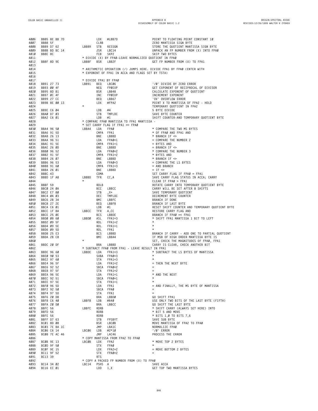**DISASSEMBLY OF COLOR BASIC 1.2**

| 4006 | BB85 8E BB 7D     |  |         | LDX         | #LBB7D                                     | POINT TO FLOATING POINT CONSTANT 10                                    |
|------|-------------------|--|---------|-------------|--------------------------------------------|------------------------------------------------------------------------|
| 4007 | <b>BB88 5F</b>    |  |         | CLRB        |                                            | ZERO MANTISSA SIGN BYTE                                                |
| 4008 | BB89 D7 62        |  | LBB89   | STB         | RESSGN                                     | STORE THE QUOTIENT MANTISSA SIGN BYTE                                  |
| 4009 | BB8B BD BC 14     |  |         | JSR         | LBC14                                      | UNPACK AN FP NUMBER FROM (X) INTO FPAØ                                 |
| 4010 | BB8E 8C           |  |         | FCB         | SKP2                                       | SKIP TWO BYTES                                                         |
| 4011 |                   |  |         |             |                                            | * DIVIDE (X) BY FPAØ-LEAVE NORMALIZED QUOTIENT IN FPAØ                 |
|      |                   |  |         |             |                                            |                                                                        |
| 4012 | BB8F 8D 9E        |  | LBB8F   | <b>BSR</b>  | LBB2F                                      | GET FP NUMBER FROM (X) TO FPA1                                         |
| 4013 |                   |  |         |             |                                            |                                                                        |
| 4014 |                   |  |         |             |                                            | * ARITHMETIC OPERATION (/) JUMPS HERE. DIVIDE FPA1 BY FPAØ (ENTER WITH |
| 4015 |                   |  |         |             |                                            | * EXPONENT OF FPA1 IN ACCA AND FLAGS SET BY TSTA)                      |
| 4016 |                   |  |         |             |                                            |                                                                        |
| 4017 |                   |  |         |             | * DIVIDE FPA1 BY FPAØ                      |                                                                        |
|      |                   |  |         |             |                                            |                                                                        |
| 4018 | BB91 27 73        |  | LBB91   | BEQ         | LBC06                                      | '/Ø' DIVIDE BY ZERO ERROR                                              |
| 4019 | BB93 00 4F        |  |         | NEG         | FPØEXP                                     | GET EXPONENT OF RECIPROCAL OF DIVISOR                                  |
| 4020 | BB95 8D B1        |  |         | BSR         | LBB48                                      | CALCULATE EXPONENT OF QUOTIENT                                         |
| 4021 | BB97 ØC 4F        |  |         | INC         | FPØEXP                                     | INCREMENT EXPONENT                                                     |
| 4022 | BB99 27 CC        |  |         | BEQ         | LBB67                                      | 'OV' OVERFLOW ERROR                                                    |
| 4023 | BB9B 8E 00 13     |  |         | LDX         | #FPA2                                      | POINT X TO MANTISSA OF FPA2 - HOLD                                     |
|      |                   |  | $\star$ |             |                                            |                                                                        |
| 4024 |                   |  |         |             |                                            | TEMPORARY QUOTIENT IN FPA2                                             |
| 4025 | BB9E C6 04        |  |         | LDB         | #4                                         | 5 BYTE DIVIDE                                                          |
| 4026 | BBAØ D7 03        |  |         | STB         | TMPLOC                                     | SAVE BYTE COUNTER                                                      |
| 4027 | BBA2 C6 Ø1        |  |         | LDB         | #1                                         | SHIFT COUNTER-AND TEMPORARY QUOTIENT BYTE                              |
| 4028 |                   |  |         |             | * COMPARE FPAØ MANTISSA TO FPA1 MANTISSA - |                                                                        |
| 4029 |                   |  |         |             | * SET CARRY FLAG IF FPA1 >= FPAØ           |                                                                        |
|      |                   |  |         |             |                                            |                                                                        |
| 4030 | BBA4 96 50        |  | LBBA4   | LDA         | FPAØ                                       | * COMPARE THE TWO MS BYTES                                             |
| 4031 | BBA6 91 5D        |  |         |             | CMPA FPA1                                  | * OF FPAØ AND FPA1 AND                                                 |
| 4032 | BBA8 26 13        |  |         | BNE         | LBBBD                                      | * BRANCH IF <>                                                         |
| 4033 | BBAA 96 51        |  |         | LDA         | FPAØ+1                                     | = COMPARE THE NUMBER 2                                                 |
| 4034 | BBAC 91 5E        |  |         |             | CMPA FPA1+1                                | = BYTES AND                                                            |
| 4035 | BBAE 26 ØD        |  |         | BNE         | LBBBD                                      | $=$ BRANCH IF $\Leftrightarrow$                                        |
|      |                   |  |         |             | FPAØ+2                                     |                                                                        |
| 4036 | BBBØ 96 52        |  |         | LDA         |                                            | * COMPARE THE NUMBER 3                                                 |
| 4037 | BBB2 91 5F        |  |         |             | CMPA FPA1+2                                | * BYTES AND                                                            |
| 4038 | BBB4 26 07        |  |         | BNE         | LBBBD                                      | $\star$ BRANCH IF $\Leftarrow$                                         |
| 4039 | BBB6 96 53        |  |         | LDA         | FPAØ+3                                     | = COMPARE THE LS BYTES                                                 |
| 4040 | BBB8 91 60        |  |         |             | CMPA FPA1+3                                | $=$ AND BRANCH                                                         |
| 4041 | BBBA 26 01        |  |         | BNE         | LBBBD                                      | $=$ IF $\leq$                                                          |
|      |                   |  |         |             |                                            |                                                                        |
| 4042 | BBBC 43           |  |         | COMA        |                                            | SET CARRY FLAG IF FPAØ = FPA1                                          |
| 4043 | BBBD 1F A8        |  | LBBBD   | TFR         | CC, A                                      | SAVE CARRY FLAG STATUS IN ACCA; CARRY                                  |
| 4044 |                   |  | $\star$ |             |                                            | CLEAR IF FPAØ > FPA1                                                   |
| 4045 | BBBF 59           |  |         | <b>ROLB</b> |                                            | ROTATE CARRY INTO TEMPORARY QUOTIENT BYTE                              |
| 4046 | BBCØ 24 ØA        |  |         | BCC         | LBBCC                                      | CARRY WILL BE SET AFTER 8 SHIFTS                                       |
| 4047 | BBC2 E7 80        |  |         | STB         | $, X+$                                     | SAVE TEMPORARY QUOTIENT                                                |
|      |                   |  |         |             |                                            |                                                                        |
| 4048 | BBC4 ØA Ø3        |  |         | DEC         | TMPLOC                                     | DECREMENT BYTE COUNTER                                                 |
| 4049 | BBC6 2B 34        |  |         | BMI         | LBBFC                                      | BRANCH IF DONE                                                         |
| 4050 | BBC8 27 2E        |  |         | BEQ         | LBBF8                                      | BRANCH IF LAST BYTE                                                    |
| 4051 | BBCA C6 01        |  |         | LDB         | #1                                         | RESET SHIFT COUNTER AND TEMPORARY QUOTIENT BYTE                        |
| 4052 | BBCC 1F 8A        |  | LBBCC   | TFR         | A,CC                                       | RESTORE CARRY FLAG AND                                                 |
| 4053 | BBCE 25 ØE        |  |         | <b>BCS</b>  | LBBDE                                      | BRANCH IF FPAØ =< FPA1                                                 |
| 4054 |                   |  | LBBDØ   | ASL         | FPA1+3                                     |                                                                        |
|      | BBDØ Ø8 60        |  |         |             |                                            | * SHIFT FPA1 MANTISSA 1 BIT TO LEFT                                    |
| 4055 | BBD2 09 5F        |  |         | ROL         | FPA1+2                                     | $\star$                                                                |
| 4056 | BBD4 09 5E        |  |         | ROL         | FPA1+1                                     | $^{\star}$                                                             |
| 4057 | BBD6 09 5D        |  |         | ROL         | FPA1                                       |                                                                        |
| 4058 | BBD8 25 E3        |  |         | BCS         | LBBBD                                      | BRANCH IF CARRY - ADD ONE TO PARTIAL QUOTIENT                          |
| 4059 | BBDA 2B C8        |  |         | BMI         | LBBA4                                      | IF MSB OF HIGH ORDER MANTISSA BYTE IS                                  |
| 4060 |                   |  | $\star$ |             |                                            | SET, CHECK THE MAGNITUDES OF FPAØ, FPA1                                |
|      |                   |  |         |             |                                            |                                                                        |
| 4061 | BBDC 20 DF        |  |         | BRA         | LBBBD                                      | CARRY IS CLEAR, CHECK ANOTHER BIT                                      |
| 4062 |                   |  |         |             |                                            | * SUBTRACT FPAØ FROM FPA1 - LEAVE RESULT IN FPA1                       |
| 4063 | BBDE 96 60        |  | LBBDE   | LDA         | $FPA1+3$                                   | * SUBTRACT THE LS BYTES OF MANTISSA                                    |
| 4064 | BBEØ 90 53        |  |         |             | SUBA FPAØ+3                                | $\star$                                                                |
| 4065 | BBE2 97 60        |  |         | STA         | $FPA1+3$                                   | $^{\star}$                                                             |
| 4066 | BBE4 96 5F        |  |         | LDA         | FPA1+2                                     | = THEN THE NEXT BYTE                                                   |
| 4067 | BBE6 92 52        |  |         |             | SBCA FPAØ+2                                |                                                                        |
|      |                   |  |         | STA         |                                            | $=$                                                                    |
| 4068 | BBE8 97 5F        |  |         |             | $FPA1+2$                                   |                                                                        |
| 4069 | BBEA 96 5E        |  |         | LDA         | FPA1+1                                     | * AND THE NEXT                                                         |
| 4070 | BBEC 92 51        |  |         |             | SBCA FPAØ+1                                | $^\star$                                                               |
| 4071 | <b>BBEE 97 5E</b> |  |         | STA         | FPA1+1                                     | $^{\star}$                                                             |
| 4072 | BBFØ 96 5D        |  |         | LDA         | FPA1                                       | = AND FINALLY, THE MS BYTE OF MANTISSA                                 |
| 4073 | BBF2 92 50        |  |         |             | SBCA FPAØ                                  | $=$                                                                    |
| 4074 | BBF4 97 5D        |  |         | STA         | FPA1                                       |                                                                        |
| 4075 |                   |  |         | BRA         |                                            |                                                                        |
|      | BBF6 20 D8        |  |         |             | LBBDØ                                      | GO SHIFT FPA1                                                          |
| 4076 | BBF8 C6 40        |  | LBBF8   | LDB         | #\$40                                      | USE ONLY TWO BITS OF THE LAST BYTE (FIFTH)                             |
| 4077 | BBFA 20 DØ        |  |         | BRA         | LBBCC                                      | GO SHIFT THE LAST BYTE                                                 |
| 4078 | BBFC 56           |  | LBBFC   | RORB        |                                            | * SHIFT CARRY (ALWAYS SET HERE) INTO                                   |
| 4079 | BBFD 56           |  |         | RORB        |                                            | * BIT 5 AND MOVE                                                       |
| 4080 | BBFE 56           |  |         | RORB        |                                            | * BITS 1,0 TO BITS 7,6                                                 |
| 4081 | BBFF D7 63        |  |         | STB         | FPSBYT                                     | SAVE SUB BYTE                                                          |
|      |                   |  |         |             |                                            |                                                                        |
| 4082 | BCØ1 8D Ø8        |  |         | <b>BSR</b>  | LBCØB                                      | MOVE MANTISSA OF FPA2 TO FPAØ                                          |
| 4083 | BCØ3 7E BA 1C     |  |         | JMP         | LBA1C                                      | NORMALIZE FPAØ                                                         |
| 4084 | BC06 C6 14        |  | LBCØ6   | LDB         | #2*10                                      | '/Ø' ERROR                                                             |
| 4085 | BC08 7E AC 46     |  |         | JMP         | LAC46                                      | PROCESS THE ERROR                                                      |
| 4086 |                   |  |         |             | * COPY MANTISSA FROM FPA2 TO FPAØ          |                                                                        |
| 4087 | BCØB 9E 13        |  | LBCØB   | LDX         | FPA2                                       | * MOVE TOP 2 BYTES                                                     |
| 4088 | BCØD 9F 50        |  |         |             |                                            | $\star$                                                                |
|      |                   |  |         | STX         | FPAØ                                       |                                                                        |
| 4089 | BCØF 9E 15        |  |         | LDX         | FPA2+2                                     | = MOVE BOTTOM 2 BYTES                                                  |
| 4090 | BC11 9F 52        |  |         | STX         | FPAØ+2                                     | $=$                                                                    |
| 4091 | BC13 39           |  |         | <b>RTS</b>  |                                            |                                                                        |
| 4092 |                   |  |         |             | * COPY A PACKED FP NUMBER FROM (X) TO FPAØ |                                                                        |
| 4093 | BC14 34 02        |  | LBC14   | PSHS        | A                                          | SAVE ACCA                                                              |
| 4094 | BC16 EC 01        |  |         | LDD         | 1, X                                       | GET TOP TWO MANTISSA BYTES                                             |
|      |                   |  |         |             |                                            |                                                                        |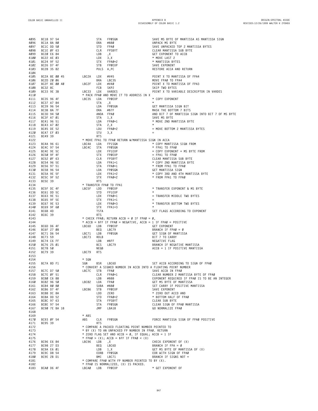| 4095 | BC18 97 54               | STA                     | FPØSGN                                                             | SAVE MS BYTE OF MANTISSA AS MANTISSA SIGN        |
|------|--------------------------|-------------------------|--------------------------------------------------------------------|--------------------------------------------------|
| 4096 | BC1A 8A 8Ø               | ORA                     | гРАØ<br>FPSBYT<br>,Х<br>3,Х<br><sup>FPAØ+?</sup>                   | UNPACK MS BYTE                                   |
| 4097 | BC1C DD 50               | STD                     |                                                                    | SAVE UNPACKED TOP 2 MANTISSA BYTES               |
| 4098 | BC1E ØF 63               | CLR                     |                                                                    | CLEAR MANTISSA SUB BYTE                          |
| 4099 | BC20 E6 84               | LDB                     |                                                                    | GET EXPONENT TO ACCB                             |
| 4100 | BC22 AE 03               | LDX                     |                                                                    | * MOVE LAST 2                                    |
| 4101 | BC24 9F 52               | STX                     | $FPAØ+2$                                                           | * MANTISSA BYTES                                 |
| 4102 | BC26 D7 4F               | STB                     | FPØEXP                                                             | SAVE EXPONENT                                    |
| 4103 | BC28 35 82               |                         | PULS A, PC                                                         | RESTORE ACCA AND RETURN                          |
| 4104 |                          |                         |                                                                    |                                                  |
| 4105 | BC2A 8E 00 45            | LBC2A LDX               | #V45                                                               | POINT X TO MANTISSA OF FPA4                      |
| 4106 | BC2D 20 06               |                         |                                                                    | MOVE FPAØ TO FPA4                                |
| 4107 | BC2F 8E 00 40            | LBC2F LDX #V40          |                                                                    | POINT X TO MANTISSA OF FPA3                      |
| 4108 | BC32 8C                  |                         | BRA LBC35<br>LDX #V40<br>FCB SKP2<br>LDAX NARDES<br>EDAA NHD WOLLT | SKIP TWO BYTES                                   |
| 4109 | BC33 9E 3B               | LBC33                   |                                                                    | POINT X TO VARIABLE DESCRIPTOR IN VARDES         |
| 4110 |                          |                         | * PACK FPAØ AND MOVE IT TO ADDRESS IN X                            |                                                  |
| 4111 | BC35 96 4F               | LBC35                   | LDA FPØEXP                                                         | * COPY EXPONENT                                  |
| 4112 | BC37 A7 84               | STA                     | , X                                                                | $\star$                                          |
| 4113 | BC39 96 54               | LDA                     | FPØSGN                                                             | GET MANTISSA SIGN BIT                            |
| 4114 | BC3B 8A 7F               | ORA                     | #\$7F                                                              | MASK THE BOTTOM 7 BITS                           |
| 4115 | BC3D 94 50               |                         | ANDA FPAØ                                                          | AND BIT 7 OF MANTISSA SIGN INTO BIT 7 OF MS BYTE |
| 4116 | BC3F A7 01               | STA                     | 1, X                                                               | SAVE MS BYTE                                     |
| 4117 | BC41 96 51               | LDA                     | ı,x<br>FPAØ+1                                                      | * MOVE 2ND MANTISSA BYTE                         |
| 4118 | BC43 A7 02               | STA                     | 2, X                                                               |                                                  |
| 4119 | BC45 DE 52               | LDU                     | FPAØ+2                                                             | = MOVE BOTTOM 2 MANTISSA BYTES                   |
| 4120 | BC47 EF 03               | STU                     | 3, X                                                               |                                                  |
|      |                          |                         |                                                                    |                                                  |
| 4121 | BC49 39                  | <b>RTS</b>              |                                                                    |                                                  |
| 4122 |                          |                         | * MOVE FPA1 TO FPAØ RETURN W/MANTISSA SIGN IN ACCA                 |                                                  |
| 4123 | BC4A 96 61<br>BC4C 97 54 | LDA<br>LBC4A            | FP1SGN                                                             | * COPY MANTISSA SIGN FROM                        |
| 4124 |                          | LBC4C<br>STA            | FPØSGN                                                             | * FPA1 TO FPAØ                                   |
| 4125 | BC4E 9E 5C               | LDX                     | FP1EXP                                                             | = COPY EXPONENT + MS BYTE FROM                   |
| 4126 | BC50 9F 4F               |                         |                                                                    | $=$ FPA1 TO FPAØ                                 |
| 4127 | BC52 ØF 63               |                         |                                                                    | CLEAR MANTISSA SUB BYTE                          |
| 4128 | BC54 96 5E               |                         |                                                                    | * COPY 2ND MANTISSA BYTE                         |
| 4129 | BC56 97 51               |                         | STX FPØEXP<br>CLR FPSBYT<br>LDA FPAØ+1<br>STA FPAØ+1               | * FROM FPA1 TO FPAØ                              |
| 4130 | BC58 96 54               | LDA                     | FPØSGN                                                             | GET MANTISSA SIGN                                |
| 4131 | BC5A 9E 5F               | LDX                     | FPA1+2                                                             | * COPY 3RD AND 4TH MANTISSA BYTE                 |
| 4132 | BC5C 9F 52               | STX                     | FPAØ+2                                                             | * FROM FPA1 TO FPAØ                              |
| 4133 | BC5E 39                  | <b>RTS</b>              |                                                                    |                                                  |
| 4134 |                          | * TRANSFER FPAØ TO FPA1 |                                                                    |                                                  |
| 4135 | BC5F DC 4F               | LBC5F LDD               | FPØEXP                                                             | * TRANSFER EXPONENT & MS BYTE                    |
| 4136 | BC61 DD 5C               | STD                     | FP1EXP                                                             |                                                  |
| 4137 | BC63 9E 51               |                         | LDX FPAØ+1                                                         | = TRANSFER MIDDLE TWO BYTES                      |
| 4138 | BC65 9F 5E               |                         | STX FPA1+1                                                         |                                                  |
| 4139 | BC67 9E 53               |                         | LDX FPAØ+3                                                         | * TRANSFER BOTTOM TWO BYTES                      |
| 4140 | BC69 9F 60               |                         | STX FPA1+3                                                         |                                                  |
| 4141 | BC6B 4D                  | <b>TSTA</b>             |                                                                    | SET FLAGS ACCORDING TO EXPONENT                  |
| 4142 | BC6C 39                  | <b>RTS</b>              |                                                                    |                                                  |
| 4143 |                          |                         | * CHECK FPAØ; RETURN ACCB = Ø IF FPAØ = Ø,                         |                                                  |
| 4144 |                          |                         | * ACCB = \$FF IF FPAØ = NEGATIVE, ACCB = 1 IF FPAØ = POSITIVE      |                                                  |
|      | BC6D D6 4F               | LBC6D                   |                                                                    | GET EXPONENT                                     |
| 4145 |                          | LDB                     | FPØEXP                                                             |                                                  |
| 4146 | BC6F 27 08               | BEQ                     | LBC79<br>LDB FPØSGN                                                | BRANCH IF FPA $\emptyset = \emptyset$            |
| 4147 | BC71 D6 54               | LBC71                   |                                                                    | GET SIGN OF MANTISSA                             |
| 4148 | BC73 59                  | ROLB<br>LBC73           |                                                                    | BIT 7 TO CARRY                                   |
| 4149 | BC74 C6 FF               |                         | LDB #\$FF<br>BCS LBC79<br>NEGR                                     | NEGATIVE FLAG                                    |
| 4150 | BC76 25 01               |                         |                                                                    | BRANCH IF NEGATIVE MANTISSA                      |
| 4151 | BC78 50                  | NEGB                    |                                                                    | $ACCB = 1$ IF POSITIVE MANTISSA                  |
| 4152 | BC79 39                  | LBC79<br><b>RTS</b>     |                                                                    |                                                  |
| 4153 |                          |                         |                                                                    |                                                  |
| 4154 | BC7A 8D F1               | * SGN                   | BSR LBC6D                                                          |                                                  |
| 4155 |                          | SGN                     |                                                                    | SET ACCB ACCORDING TO SIGN OF FPAØ               |
| 4156 |                          |                         | * CONVERT A SIGNED NUMBER IN ACCB INTO A FLOATING POINT NUMBER     |                                                  |
| 4157 | BC7C D7 50               | LBC7C                   | STB FPAØ                                                           | SAVE ACCB IN FPAØ                                |
| 4158 | BC7E ØF 51               | CLR                     | FPAØ+1                                                             | CLEAR NUMBER 2 MANTISSA BYTE OF FPAØ             |
| 4159 | BC80 C6 88               |                         | LDB #\$88                                                          | EXPONENT REQUIRED IF FPAØ IS TO BE AN INTEGER    |
| 4160 | BC82 96 50               | LBC82                   | LDA FPAØ                                                           | GET MS BYTE OF MANTISSA                          |
| 4161 | BC84 80 80               |                         | SUBA #\$80                                                         | SET CARRY IF POSITIVE MANTISSA                   |
| 4162 | BC86 D7 4F               | LBC86<br>STB            | FPØEXP                                                             | SAVE EXPONENT                                    |
| 4163 | BC88 DC 8A               | LDD                     | ZERO                                                               | * ZERO OUT ACCD AND                              |
| 4164 | BC8A DD 52               | STD                     | FPAØ+2                                                             | * BOTTOM HALF OF FPAØ                            |
| 4165 | BC8C 97 63               |                         | STA FPSBYT                                                         | CLEAR SUB BYTE                                   |
| 4166 | BC8E 97 54               | STA                     | FPØSGN                                                             | CLEAR SIGN OF FPAØ MANTISSA                      |
| 4167 | BC90 7E BA 18            | JMP                     | LBA18                                                              | GO NORMALIZE FPAØ                                |
| 4168 |                          |                         |                                                                    |                                                  |
| 4169 |                          | * ABS                   |                                                                    |                                                  |
| 4170 | BC93 ØF 54               | ABS<br>CLR              | FPØSGN                                                             | FORCE MANTISSA SIGN OF FPAØ POSITIVE             |
|      |                          |                         |                                                                    |                                                  |
| 4171 | BC95 39                  | <b>RTS</b>              |                                                                    |                                                  |
| 4172 |                          |                         | * COMPARE A PACKED FLOATING POINT NUMBER POINTED TO                |                                                  |
| 4173 |                          |                         | * BY (X) TO AN UNPACKED FP NUMBER IN FPAØ. RETURN                  |                                                  |
| 4174 |                          |                         | * ZERO FLAG SET AND ACCB = $\emptyset$ , IF EQUAL; ACCB = 1 IF     |                                                  |
| 4175 |                          |                         | $*$ FPAØ > (X); ACCB = \$FF IF FPAØ < (X)                          |                                                  |
| 4176 | BC96 E6 84               | LBC96<br>LDB            | , X                                                                | CHECK EXPONENT OF (X)                            |
| 4177 | BC98 27 D3               | BEQ                     | LBC6D                                                              | BRANCH IF FPA = $\varnothing$                    |
| 4178 | BC9A E6 Ø1               | LDB                     | 1, X                                                               | GET MS BYTE OF MANTISSA OF (X)                   |
| 4179 | BC9C D8 54               |                         | EORB FPØSGN                                                        | EOR WITH SIGN OF FPAØ                            |
| 4180 | BC9E 2B D1               |                         | BMI LBC71                                                          | BRANCH IF SIGNS NOT =                            |
| 4181 |                          |                         | * COMPARE FPAØ WITH FP NUMBER POINTED TO BY (X).                   |                                                  |
| 4182 |                          |                         | * FPAØ IS NORMALIZED, (X) IS PACKED.                               |                                                  |
| 4183 | BCAØ D6 4F               | LBCAØ LDB FPØEXP        |                                                                    | * GET EXPONENT OF                                |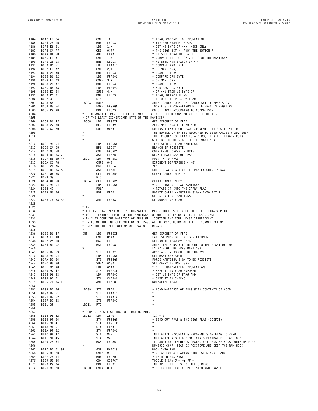**BCA2 E1 84 CMPB ,X \* FPA0, COMPARE TO EXPONENT OF 4185 BCA4 26 1D BNE LBCC3 \* (X) AND BRANCH IF <>. 4186 BCA6 E6 01 LDB 1,X \* GET MS BYTE OF (X), KEEP ONLY 4187 BCA8 CA 7F ORB #\$7F \* THE SIGN BIT - 'AND' THE BOTTOM 7 4188 BCAA D4 50 ANDB FPA0 \* BITS OF FPA0 INTO ACCB BCAC E1 01 CMPB 1,X = COMPARE THE BOTTOM 7 BITS OF THE MANTISSA 4190 BCAE 26 13 BNE LBCC3 = MS BYTE AND BRANCH IF <> BCB0 D6 51 LDB FPA0+1 \* COMPARE 2ND BYTE BCB2 E1 02 CMPB 2,X \*** OF MANTISSA,<br>4192 **BCB2 E1 02 CMPB 2,X \*** OF MANTISSA,<br>4193 **BCB4 26 0**D **BNE** LBCC3 ★ BRANCH IF ◇ **BCB4 26** *BD* **<b>BNE LBCC3 \* BRANCH IF**  $\le$ <br> **4194 BCB6 D6 52 LDB FPA***B***+2 = COMPARE 3RD BCB6 D6 52 LDB FPA0+2 = COMPARE 3RD BYTE 41858 BCB8 E1 03 CMPB**  $3, X$  **EXECUTE:**  $\bullet$  **EXECUTE:**  $\bullet$  **BRANCH** IF  $\circ$  **BCBA 26 07 BNE LBCC3 = BRANCH IF <> BCBC D6 53 LDB FPA0+3 \* SUBTRACT LS BYTE BCBE E0 04 SUBB 4,X \* OF (X) FROM LS BYTE OF BCC0 26 01 BNE LBCC3 \* FPA0, BRANCH IF <> BCC2 39 RTS RETURN IF FP (X) = FPA0 BCC3 56 LBCC3 RORB SHIFT CARRY TO BIT 7; CARRY SET IF FPA0 < (X) 4202 BCC4 D8 54 EORB FP0SGN TOGGLE SIZE COMPARISON BIT IF FPA0 IS NEGATIVE BCC6 20 AB BRA LBC73 GO SET ACCB ACCORDING TO COMPARISON \* DE-NORMALIZE FPA0 : SHIFT THE MANTISSA UNTIL THE BINARY POINT IS TO THE RIGHT \* OF THE LEAST SIGNIFICANT BYTE OF THE MANTISSA BCC8 D6 4F LBCC8 LDB FP0EXP GET EXPONENT OF FPA0 BCCA 27 3D BEQ LBD09 ZERO MANTISSA IF FPA0 = 0 BCCC C0 A0 SUBB #\$A0 SUBTRACT \$A0 FROM FPA0 EXPONENT T THIS WILL YIELD \* THE NUMBER OF SHIFTS REQUIRED TO DENORMALIZE FPA0. WHEN 4210 \* THE EXPONENT OF FPA0 IS = ZERO, THEN THE BINARY POINT 4211 \* WILL BE TO THE RIGHT OF THE MANTISSA BCCE 96 54 LDA FP0SGN TEST SIGN OF FPA0 MANTISSA 4213 BCD0 2A 05 BPL LBCD7 BRANCH IF POSITIVE BCD2 03 5B COM FPCARY COMPLEMENT CARRY IN BYTE BCD4 BD BA 7B JSR LBA7B NEGATE MANTISSA OF FPA0 BCD7 8E 00 4F LBCD7 LDX #FP0EXP POINT X TO FPA0 4217 BCDA C1 F8 CMPB #-8 EXPONENT DIFFERENCE < -8? BCDC 2E 06 BGT LBCE4 YES BCDE BD BA AE JSR LBAAE SHIFT FPA0 RIGHT UNTIL FPA0 EXPONENT = \$A0 BCE1 0F 5B CLR FPCARY CLEAR CARRY IN BYTE BCE3 39 RTS BCE4 0F 5B LBCE4 CLR FPCARY CLEAR CARRY IN BYTE BCE6 96 54 LDA FP0SGN \* GET SIGN OF FPA0 MANTISSA BCE8 49 ROLA \* ROTATE IT INTO THE CARRY FLAG 4225 BCE9 06 50 ROR FPA0 ROTATE CARRY (MANTISSA SIGN) INTO BIT 7 \* OF LS BYTE OF MANTISSA BCEB 7E BA BA JMP LBABA DE-NORMALIZE FPA0 \* INT \* THE INT STATEMENT WILL "DENORMALIZE" FPA0 - THAT IS IT WILL SHIFT THE BINARY POINT \* TO THE EXTREME RIGHT OF THE MANTISSA TO FORCE ITS EXPONENT TO BE \$AO. ONCE 4232 \* THIS IS DONE THE MANTISSA OF FPA0 WILL CONTAIN THE FOUR LEAST SIGNIFICANT \* BYTES OF THE INTEGER PORTION OF FPA0. AT THE CONCLUSION OF THE DE-NORMALIZATION \* ONLY THE INTEGER PORTION OF FPA0 WILL REMAIN. \* BCEE D6 4F INT LDB FP0EXP GET EXPONENT OF FPA0 BCF0 C1 A0 CMPB #\$A0 LARGEST POSSIBLE INTEGER EXPONENT BCF2 24 1D BCC LBD11 RETURN IF FPA0 >= 32768 4239 BCF4 8D D2 BSR LBCC8 SHIFT THE BINARY POINT ONE TO THE RIGHT OF THE 4240 \* LS BYTE OF THE FPA0 MANTISSA BCF6 D7 63 STB FPSBYT ACCB = 0: ZERO OUT THE SUB BYTE BCF8 96 54 LDA FP0SGN GET MANTISSA SIGN BCFA D7 54 STB FP0SGN FORCE MANTISSA SIGN TO BE POSITIVE BCFC 80 80 SUBA #\$80 SET CARRY IF MANTISSA BCFE 86 A0 LDA #\$A0 \* GET DENORMALIZED EXPONENT AND BD00 97 4F STA FP0EXP \* SAVE IT IN FPA0 EXPONENT BD02 96 53 LDA FPA0+3 = GET LS BYTE OF FPA0 AND BD04 97 01 STA CHARAC = SAVE IT IN CHARAC BD06 7E BA 18 JMP LBA18 NORMALIZE FPA0 BD09 D7 50 LBD09 STB FPA0 \* LOAD MANTISSA OF FPA0 WITH CONTENTS OF ACCB BD0B D7 51 STB FPA0+1 \* BD0D D7 52 STB FPA0+2 \* BD0F D7 53 STB FPA0+3 \* BD11 39 LBD11 RTS \* \* CONVERT ASCII STRING TO FLOATING POINT BD12 9E 8A LBD12 LDX ZERO (X) = 0 BD14 9F 54 STX FP0SGN \* ZERO OUT FPA0 & THE SIGN FLAG (COEFCT) BD16 9F 4F STX FP0EXP \* BD18 9F 51 STX FPA0+1 \* BD1A 9F 52 STX FPA**<br> **4263 BD1C 9F** 47 **STX STX V47 BD1C 9F 47 STX V47 INITIALIZE EXPONENT & EXPONENT SIGN FLAG TO ZERO BD1E 9F 45 STX V45 INITIALIZE RIGHT DECIMAL CTR & DECIMAL PT FLAG TO 0 4265 BD20 25 64 BCS LBD86 IF CARRY SET (NUMERIC CHARACTER), ASSUME ACCA CONTAINS FIRST \* NUMERIC CHAR, SIGN IS POSITIVE AND SKIP THE RAM HOOK 4267 BD22 BD 01 97 JSR RVEC19 HOOK INTO RAM BD25 81 2D CMPA #'- \* CHECK FOR A LEADING MINUS SIGN AND BRANCH BD27 26 04 BNE LBD2D \* IF NO MINUS SIGN BD29 03 55 COM COEFCT TOGGLE SIGN; 0 = +; FF = - BD2B 20 04 BRA LBD31 INTERPRET THE REST OF THE STRING 4272 BD2D 81 2B LBD2D CMPA #'+ \* CHECK FOR LEADING PLUS SlGN AND BRANCH**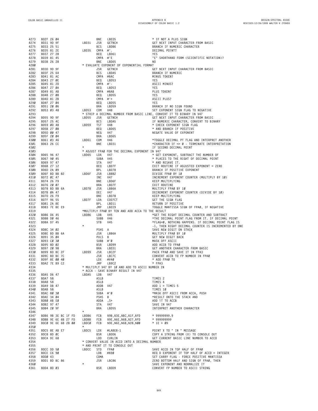| 4273 | BD2F 26 04          |            |  |         | BNE        | LBD35                                                         | * IF NOT A PLUS SIGN                                                                                      |
|------|---------------------|------------|--|---------|------------|---------------------------------------------------------------|-----------------------------------------------------------------------------------------------------------|
| 4274 | BD31 9D 9F          |            |  | LBD31   | JSR        | GETNCH                                                        | GET NEXT INPUT CHARACTER FROM BASIC                                                                       |
| 4275 | BD33 25 51          |            |  |         | BCS        | LBD86                                                         | BRANCH IF NUMERIC CHARACTER                                                                               |
| 4276 | BD35 81 2E          |            |  | LBD35   | CMPA #'.   |                                                               | DECIMAL POINT?                                                                                            |
| 4277 | BD37 27 28          |            |  |         | BEQ        | LBD61                                                         | YES                                                                                                       |
|      |                     |            |  |         |            |                                                               |                                                                                                           |
| 4278 | BD39 81 45          |            |  |         | CMPA #'E   |                                                               | "E" SHORTHAND FORM (SCIENTIFIC NOTATION)?                                                                 |
| 4279 | BD3B 26 28          |            |  |         | BNE        | LBD65                                                         | NO.                                                                                                       |
| 4280 |                     |            |  |         |            | * EVALUATE EXPONENT OF EXPONENTIAL FORMAT                     |                                                                                                           |
| 4281 | BD3D 9D 9F          |            |  |         | JSR        | GETNCH                                                        | GET NEXT INPUT CHARACTER FROM BASIC                                                                       |
| 4282 | BD3F 25 64          |            |  |         | <b>BCS</b> | LBDA5                                                         | BRANCH IF NUMERIC                                                                                         |
| 4283 | BD41 81 AC          |            |  |         | CMPA #\$AC |                                                               | MINUS TOKEN?                                                                                              |
|      |                     |            |  |         |            |                                                               |                                                                                                           |
| 4284 | BD43 27 ØE          |            |  |         | BEQ        | LBD53                                                         | YES                                                                                                       |
| 4285 | BD45 81 2D          |            |  |         | CMPA #'-   |                                                               | ASCII MINUS?                                                                                              |
| 4286 | BD47 27 ØA          |            |  |         | BEQ        | LBD53                                                         | YES                                                                                                       |
| 4287 | BD49 81 AB          |            |  |         | CMPA #\$AB |                                                               | PLUS TOKEN?                                                                                               |
| 4288 | BD4B 27 08          |            |  |         | BEQ        | LBD55                                                         | YES                                                                                                       |
| 4289 | BD4D 81 2B          |            |  |         | $CMPA$ #'+ |                                                               | ASCII PLUS?                                                                                               |
|      |                     |            |  |         |            |                                                               |                                                                                                           |
| 4290 | BD4F 27 04          |            |  |         | BEQ        | LBD55                                                         | YES                                                                                                       |
| 4291 | BD51 20 06          |            |  |         | BRA        | LBD59                                                         | BRANCH IF NO SIGN FOUND                                                                                   |
| 4292 | BD53 03 48          |            |  | LBD53   | COM        | V48                                                           | SET EXPONENT SIGN FLAG TO NEGATIVE                                                                        |
| 4293 |                     |            |  |         |            |                                                               | * STRIP A DECIMAL NUMBER FROM BASIC LINE, CONVERT IT TO BINARY IN V47                                     |
| 4294 | BD55 9D 9F          |            |  | LBD55   | JSR        | <b>GETNCH</b>                                                 | GET NEXT INPUT CHARACTER FROM BASIC                                                                       |
| 4295 | BD57 25 4C          |            |  |         | <b>BCS</b> | LBDA5                                                         | IF NUMERIC CHARACTER, CONVERT TO BINARY                                                                   |
|      |                     |            |  |         |            |                                                               |                                                                                                           |
| 4296 | BD59 ØD 48          |            |  | LBD59   | TST        | V48                                                           | * CHECK EXPONENT SIGN FLAG                                                                                |
| 4297 | BD5B 27 08          |            |  |         | BEQ        | LBD65                                                         | * AND BRANCH IF POSITIVE                                                                                  |
| 4298 | BD5D 00 47          |            |  |         | NEG        | V47                                                           | NEGATE VALUE OF EXPONENT                                                                                  |
| 4299 | BD5F 20 04          |            |  |         | BRA        | LBD65                                                         |                                                                                                           |
| 4300 | BD61 03 46          |            |  | LBD61   | COM        | V46                                                           | *TOGGLE DECIMAL PT FLAG AND INTERPRET ANOTHER                                                             |
| 4301 | BD63 26 CC          |            |  |         | BNE        | LBD31                                                         | *CHARACTER IF <> Ø - TERMINATE INTERPRETATION                                                             |
|      |                     |            |  | $\star$ |            |                                                               |                                                                                                           |
| 4302 |                     |            |  |         |            |                                                               | IF SECOND DECIMAL POINT                                                                                   |
| 4303 |                     |            |  |         |            | * ADJUST FPAØ FOR THE DECIMAL EXPONENT IN V47                 |                                                                                                           |
| 4304 | BD65 96 47          |            |  | LBD65   | LDA        | <b>V47</b>                                                    | * GET EXPONENT, SUBTRACT THE NUMBER OF                                                                    |
| 4305 | BD67 90 45          |            |  |         | SUBA V45   | $+5$<br>$+47$<br>$+5$<br>$+47$<br>$+8078$<br>$+8078$<br>$+22$ | * PLACES TO THE RIGHT OF DECIMAL POINT                                                                    |
| 4306 | BD69 97 47          |            |  |         | STA        |                                                               | * AND RESAVE IT.                                                                                          |
| 4307 | BD6B 27 12          |            |  |         |            |                                                               |                                                                                                           |
|      |                     |            |  |         | BEQ        |                                                               | EXIT ROUTINE IF ADJUSTED EXPONENT = ZERO                                                                  |
| 4308 | BD6D 2A 09          |            |  |         | BPL        |                                                               | BRANCH IF POSITIVE EXPONENT                                                                               |
| 4309 | BD6F BD BB 82       |            |  | LBD6F   | JSR        |                                                               | DIVIDE FPAØ BY 10<br>INCREMENT EXPONENT COUNTER (MULTIPLY BY 10)                                          |
| 4310 | BD72 ØC 47          |            |  |         | INC        |                                                               |                                                                                                           |
| 4311 | BD74 26 F9          |            |  |         | BNE        | LBD6F                                                         | KEEP MULTIPLYING                                                                                          |
| 4312 | BD76 20 07          |            |  |         | BRA        | LBD7F                                                         | EXIT ROUTINE                                                                                              |
| 4313 | BD78 BD BB 6A       |            |  | LBD78   | JSR        | LBB6A                                                         |                                                                                                           |
|      |                     |            |  |         |            |                                                               | MULTIPLY FPAØ BY 10<br>DECREMENT EXPONENT COUNTER (DIVIDE BY 10)<br>KEEP MULTIPLYING<br>GET THE SIGN FLAG |
| 4314 | BD7B ØA 47          |            |  |         | DEC        | V47                                                           |                                                                                                           |
| 4315 | BD7D 26 F9          |            |  |         | BNE        | LBD78                                                         |                                                                                                           |
| 4316 | BD7F 96 55          |            |  | LBD7F   | LDA        | COEFCT                                                        |                                                                                                           |
| 4317 | BD81 2A 8E          |            |  |         | BPL        | LBD11                                                         | RETURN IF POSITIVE                                                                                        |
| 4318 | BD83 7E BE E9       |            |  |         | JMP        | LBEE9                                                         | TOGGLE MANTISSA SIGN OF FPAØ, IF NEGATIVE                                                                 |
| 4319 |                     |            |  |         |            | *MULTIPLY FPAØ BY TEN AND ADD ACCA TO THE RESULT              |                                                                                                           |
|      |                     |            |  |         |            |                                                               |                                                                                                           |
| 4320 | BD86 D6 45          |            |  | LBD86   | LDB        | <b>V45</b>                                                    | *GET THE RIGHT DECIMAL COUNTER AND SUBTRACT                                                               |
| 4321 | BD88 DØ 46          |            |  |         | SUBB V46   |                                                               | *THE DECIMAL POINT FLAG FROM IT. IF DECIMAL POINT                                                         |
| 4322 | BD8A D7 45          |            |  |         | STB        | V45                                                           | *FLAG=0, NOTHING HAPPENS. IF DECIMAL POINT FLAG IS                                                        |
| 4323 |                     |            |  |         |            |                                                               | -1, THEN RIGHT DECIMAL COUNTER IS INCREMENTED BY ONE                                                      |
| 4324 | BD8C 34 02          |            |  |         | PSHS A     |                                                               | SAVE NEW DIGIT ON STACK                                                                                   |
|      |                     |            |  |         |            |                                                               |                                                                                                           |
| 4325 | BD8E BD BB 6A       |            |  |         | JSR        | LBB6A                                                         | MULTIPLY FPAØ BY 10                                                                                       |
| 4326 | BD91 35 04          |            |  |         | PULS B     |                                                               | GET NEW DIGIT BACK                                                                                        |
| 4327 |                     | BD93 CØ 30 |  |         | SUBB #'Ø   |                                                               | MASK OFF ASCII                                                                                            |
|      |                     |            |  |         | BSR        | LBD99                                                         | ADD ACCB TO FPAØ                                                                                          |
| 4328 | BD95 8D 02          |            |  |         |            |                                                               |                                                                                                           |
|      |                     |            |  |         |            |                                                               |                                                                                                           |
| 4329 | BD97 20 98          |            |  |         | BRA        | LBD31                                                         | GET ANOTHER CHARACTER FROM BASIC                                                                          |
| 4330 | BD99 BD BC 2F       |            |  | LBD99   | JSR        | LBC2F                                                         | PACK FPAØ AND SAVE IT IN FPA3                                                                             |
| 4331 | BD9C BD BC 7C       |            |  |         | JSR        | LBC7C                                                         | CONVERT ACCB TO FP NUMBER IN FPAØ                                                                         |
| 4332 | BD9F 8E 00 40       |            |  |         | LDX        | #V40                                                          | * ADD FPAØ TO                                                                                             |
| 4333 | BDA2 7E B9 C2       |            |  |         | JMP        | LB9C2                                                         | * FPA3                                                                                                    |
| 4334 |                     |            |  |         |            | * MULTIPLY V47 BY 10 AND ADD TO ASCII NUMBER IN               |                                                                                                           |
| 4335 |                     |            |  |         |            | * ACCA - SAVE BINARY RESULT IN V47                            |                                                                                                           |
|      |                     |            |  | LBDA5   |            |                                                               |                                                                                                           |
| 4336 | BDA5 D6 47          |            |  |         | LDB V47    |                                                               |                                                                                                           |
| 4337 | BDA7 58             |            |  |         | ASLB       |                                                               | TIMES 2                                                                                                   |
| 4338 | <b>BDA8 58</b>      |            |  |         | ASLB       |                                                               | TIMES 4                                                                                                   |
| 4339 | BDA9 DB 47          |            |  |         | ADDB V47   |                                                               | ADD $1 = TIMES$ 5                                                                                         |
| 434Ø | BDAB 58             |            |  |         | ASLB       |                                                               | TIMES 10                                                                                                  |
| 4341 | BDAC 80 30          |            |  |         | SUBA #'Ø   |                                                               | *MASK OFF ASCII FROM ACCA, PUSH                                                                           |
| 4342 |                     |            |  |         |            | B                                                             |                                                                                                           |
|      | BDAE 34 04          |            |  |         | PSHS       |                                                               | *RESULT ONTO THE STACK AND                                                                                |
| 4343 | BDBØ AB EØ          |            |  |         | ADDA       | , S+                                                          | ADD IT TO ACCB                                                                                            |
| 4344 | BDB2 97 47          |            |  |         | STA        | V47                                                           | SAVE IN V47                                                                                               |
| 4345 | BDB4 20 9F          |            |  |         | BRA        | LBD55                                                         | INTERPRET ANOTHER CHARACTER                                                                               |
| 4346 |                     |            |  | $\star$ |            |                                                               |                                                                                                           |
| 4347 | BDB6 9B 3E BC 1F FD |            |  | LBDB6   | FCB        | \$9B, \$3E, \$BC, \$1F, \$FD                                  | $*$ 99999999.9                                                                                            |
| 4348 | BDBB 9E 6E 6B 27 FD |            |  | LBDBB   | FCB        | \$9E, \$6E, \$6B, \$27, \$FD                                  | * 999999999                                                                                               |
|      |                     |            |  | LBDCØ   | FCB        |                                                               |                                                                                                           |
| 4349 | BDCØ 9E 6E 6B 28 00 |            |  | $\star$ |            | \$9E, \$6E, \$6B, \$28, \$00                                  | $* 1E + 09$                                                                                               |
| 4350 |                     |            |  |         |            |                                                               |                                                                                                           |
| 4351 | BDC5 8E AB E7       |            |  | LBDC5   | LDX        | #LABE8-1                                                      | POINT X TO " IN " MESSAGE                                                                                 |
| 4352 | BDC8 8D ØC          |            |  |         | BSR        | LBDD6                                                         | COPY A STRING FROM (X) TO CONSOLE OUT                                                                     |
| 4353 | BDCA DC 68          |            |  |         | LDD        | CURLIN                                                        | GET CURRENT BASIC LINE NUMBER TO ACCD                                                                     |
| 4354 |                     |            |  |         |            | * CONVERT VALUE IN ACCD INTO A DECIMAL NUMBER                 |                                                                                                           |
| 4355 |                     |            |  |         |            | * AND PRINT IT TO CONSOLE OUT                                 |                                                                                                           |
|      |                     |            |  |         |            |                                                               |                                                                                                           |
| 4356 | BDCC DD 50          |            |  | LBDCC   | <b>STD</b> | FPAØ                                                          | SAVE ACCD IN TOP HALF OF FPAØ                                                                             |
| 4357 | BDCE C6 90          |            |  |         | LDB        | #\$90                                                         | $REG$ D EXPONENT IF TOP HALF OF ACCD = INTEGER                                                            |
| 4358 | BDDØ 43             |            |  |         | COMA       |                                                               | SET CARRY FLAG - FORCE POSITIVE MANTISSA                                                                  |
| 4359 | BDD1 BD BC 86       |            |  |         | JSR        | LBC86                                                         | ZERO BOTTOM HALF AND SIGN OF FPAØ, THEN                                                                   |
| 436Ø |                     |            |  | $\star$ |            |                                                               | SAVE EXPONENT AND NORMALIZE IT                                                                            |
| 4361 | BDD4 8D 03          |            |  |         | BSR        | LBDD9                                                         | CONVERT FP NUMBER TO ASCII STRING                                                                         |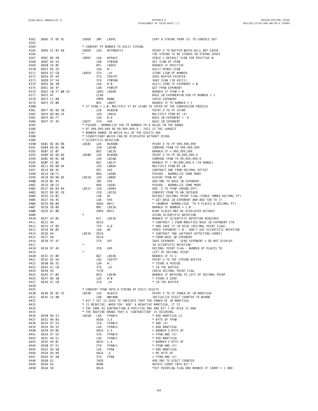| 4362         | BDD6 7E B9 9C               |  |                  | LBDD6      | JMP          | LB99C                                                  | COPY A STRING FROM (X) TO CONSOLE OUT                                    |
|--------------|-----------------------------|--|------------------|------------|--------------|--------------------------------------------------------|--------------------------------------------------------------------------|
| 4363         |                             |  |                  |            |              |                                                        |                                                                          |
| 4364         |                             |  |                  |            |              | * CONVERT FP NUMBER TO ASCII STRING                    |                                                                          |
| 4365         | BDD9 CE 03 DA               |  |                  | LBDD9      | LDU          | #STRBUF+3                                              | POINT U TO BUFFER WHICH WILL NOT CAUSE                                   |
| 4366         |                             |  |                  | $\ast$     |              |                                                        | THE STRING TO BE STORED IN STRING SPACE                                  |
| 4367         | BDDC 86 20                  |  |                  | LBDDC      | LDA          | #SPACE                                                 | $SPACE = DEFAULT SIGN FOR POSITIVE #$                                    |
| 4368         | BDDE D6 54                  |  |                  |            | LDB          | FPØSGN                                                 | GET SIGN OF FPAØ                                                         |
| 4369         | BDEØ 2A Ø2                  |  |                  |            | BPL          | LBDE4                                                  | BRANCH IF POSITIVE                                                       |
| 4370         | BDE2 86 2D                  |  |                  |            | LDA          | $#$ ' -                                                | ASCII MINUS SIGN                                                         |
| 4371         | BDE4 A7 CØ                  |  |                  | LBDE4      | <b>STA</b>   | , U+                                                   | STORE SIGN OF NUMBER                                                     |
| 4372         | BDE6 DF 64                  |  |                  |            | STU          | COEFPT                                                 | SAVE BUFFER POINTER                                                      |
| 4373         | BDE8 97 54                  |  |                  |            | STA          | FPØSGN                                                 | SAVE SIGN (IN ASCII)                                                     |
| 4374         | BDEA 86 30                  |  |                  |            | LDA          | #'0                                                    | ASCII ZERO IF EXPONENT = Ø                                               |
| 4375         | BDEC D6 4F                  |  |                  |            | LDB          | FPØEXP                                                 | GET FPAØ EXPONENT                                                        |
| 4376         |                             |  | BDEE 10 27 00 C6 |            |              | LBEQ LBEB8                                             | BRANCH IF FPAØ = Ø                                                       |
| 4377         | BDF2 4F                     |  |                  |            | CLRA         |                                                        | BASE 10 EXPONENT=0 FOR FP NUMBER > 1                                     |
| 4378         | BDF3 C1 80                  |  |                  |            | CMPB #\$80   |                                                        | CHECK EXPONENT                                                           |
| 4379         | BDF5 22 08                  |  |                  |            | BHI          | LBDFF                                                  | BRANCH IF FP NUMBER > 1                                                  |
| 4380         |                             |  |                  |            |              |                                                        | * IF FPAØ < 1.0, MULTIPLY IT BY 1E+09 TO SPEED UP THE CONVERSION PROCESS |
| 4381<br>4382 | BDF7 8E BD CØ               |  |                  |            | LDX          | #LBDCØ                                                 | POINT X TO FP 1E+09                                                      |
| 4383         | BDFA BD BA CA               |  |                  |            | JSR          | LBACA<br>#-9                                           | MULTIPLY FPAØ BY (X)                                                     |
| 4384         | BDFD 86 F7                  |  |                  | LBDFF      | LDA<br>STA   | V45                                                    | BASE 10 EXPONENT = $-9$<br>BASE 10 EXPONENT                              |
| 4385         | BDFF 97 45                  |  |                  |            |              |                                                        | * PSEUDO - NORMALIZE THE FP NUMBER TO A VALUE IN THE RANGE               |
| 4386         |                             |  |                  |            |              | * OF 999,999,999 RO 99,999,999.9 - THIS IS THE LARGEST |                                                                          |
| 4387         |                             |  |                  |            |              | * NUMBER RANGE IN WHICH ALL OF THE DIGITS ARE          |                                                                          |
| 4388         |                             |  |                  |            |              | * SIGNIFICANT WHICH CAN BE DISPLAYED WITHOUT USING     |                                                                          |
| 4389         |                             |  |                  |            |              | * SCIENTIFIC NOTATION                                  |                                                                          |
| 4390         | BEØ1 8E BD BB               |  |                  | LBEØ1      | LDX          | #LBDBB                                                 | POINT X TO FP 999,999,999                                                |
| 4391         | BE04 BD BC A0               |  |                  |            | JSR          | LBCAØ                                                  | COMPARE FPAØ TO 999,999,999                                              |
| 4392         | BE07 2E 0F                  |  |                  |            | BGT          | LBE18                                                  | BRANCH IF > 999,999,999                                                  |
| 4393         | BEØ9 8E BD B6               |  |                  | LBEØ9      | LDX          | #LBDB6                                                 | POINT X TO FP 99,999,999.9                                               |
| 4394         | BEØC BD BC AØ               |  |                  |            | JSR          | LBCAØ                                                  | COMPARE FPAØ TO 99,999,999.9                                             |
| 4395         | BEØF 2E ØE                  |  |                  |            | BGT          | LBE1F                                                  | BRANCH IF > 99,999,999.9 (IN RANGE)                                      |
| 4396         | BE11 BD BB 6A               |  |                  |            | JSR          | LBB6A                                                  | MULTIPLY FPAØ BY 10                                                      |
| 4397         | BE14 ØA 45                  |  |                  |            | DEC          | V45                                                    | SUBTRACT ONE FROM DECIMAL OFFSET                                         |
| 4398         | BE16 20 F1                  |  |                  |            | BRA          | LBEØ9                                                  | PSEUDO - NORMALIZE SOME MORE                                             |
| 4399         | BE18 BD BB 82               |  |                  | LBE18      | JSR          | LBB82                                                  | DIVIDE FPAØ BY 10                                                        |
| 4400         | BE1B ØC 45                  |  |                  |            | INC          | V45                                                    | ADD ONE TO BASE 10 EXPONENT                                              |
| 4401         | BE1D 20 E2                  |  |                  |            | BRA          | LBEØ1                                                  | PSEUDO - NORMALIZE SOME MORE                                             |
| 4402         | BE1F BD B9 B4               |  |                  | LBE1F      | JSR          | LB9B4                                                  | ADD .5 TO FPAØ (ROUND OFF)                                               |
| 4403         | BE22 BD BC C8               |  |                  |            | JSR          | LBCC8                                                  | CONVERT FPAØ TO AN INTEGER                                               |
| 4404         | BE25 C6 01                  |  |                  |            | LDB          | #1                                                     | DEFAULT DECIMAL POINT FLAG (FORCE IMMED DECIMAL PT)                      |
| 4405         | BE27 96 45                  |  |                  |            | LDA          | V45                                                    | * GET BASE 10 EXPONENT AND ADD TEN TO IT                                 |
| 4406         | BE29 8B ØA                  |  |                  |            | ADDA #9+1    |                                                        | * (NUMBER NORMALIZED TO 9 PLACES & DECIMAL PT)                           |
| 4407         | BE2B 2B 09                  |  |                  |            | BMI          | LBE36                                                  | BRANCH IF NUMBER $< 1.0$                                                 |
| 4408<br>4409 | BE2D 81 ØB                  |  |                  | $^{\star}$ | CMPA $#9+2$  |                                                        | NINE PLACES MAY BE DISPLAYED WITHOUT                                     |
| 4410         | BE2F 24 05                  |  |                  |            | BCC          | LBE36                                                  | USING SCIENTIFIC NOTATION<br>BRANCH IF SCIENTIFIC NOTATION REQUIRED      |
| 4411         | BE31 4A                     |  |                  |            | DECA         |                                                        | * SUBTRACT 1 FROM MODIFIED BASE 10 EXPONENT CTR                          |
| 4412         | BE32 1F 89                  |  |                  |            | TFR          | A, B                                                   | * AND SAVE IT IN ACCB (DECIMAL POINT FLAG)                               |
| 4413         | BE34 86 02                  |  |                  |            | LDA          | #2                                                     | FORCE EXPONENT = $\emptyset$ - DON'T USE SCIENTIFIC NOTATION             |
| 4414         | BE36 4A                     |  |                  | LBE36      | DECA         |                                                        | * SUBTRACT TWO (WITHOUT AFFECTING CARRY)                                 |
| 4415         | BE37 4A                     |  |                  |            | DECA         |                                                        | * FROM BASE 10 EXPONENT                                                  |
| 4416         | BE38 97 47                  |  |                  |            | STA          | V47                                                    | SAVE EXPONENT - ZERO EXPONENT = DO NOT DISPLAY                           |
| 4417         |                             |  |                  | $\star$    |              |                                                        | IN SCIENTIFIC NOTATION                                                   |
| 4418         | BE3A D7 45                  |  |                  |            | STB          | V45                                                    | DECIMAL POINT FLAG - NUMBER OF PLACES TO                                 |
| 4419         |                             |  |                  | $^\star$   |              |                                                        | LEFT OF DECIMAL POINT                                                    |
| 4420         | BE3C 2E ØD                  |  |                  |            | BGT          | LBE4B                                                  | BRANCH IF $\geq 1$                                                       |
| 4421         | BE3E DE 64                  |  |                  |            | LDU          | COEFPT                                                 | POINT U TO THE STRING BUFFER                                             |
| 4422         | BE40 86 2E                  |  |                  |            | LDA          | #'.                                                    | * STORE A PERIOD                                                         |
| 4423         | BE42 A7 CØ                  |  |                  |            | STA          | , U+                                                   | * IN THE BUFFER                                                          |
| 4424         | BE44 5D                     |  |                  |            | TSTB         |                                                        | CHECK DECIMAL POINT FLAG                                                 |
| 4425         | BE45 27 04                  |  |                  |            | BEQ          | LBE4B                                                  | BRANCH IF NOTHING TO LEFT OF DECIMAL POINT                               |
| 4426         | BE47 86 30                  |  |                  |            | LDA          | #'Ø                                                    | * STORE A ZERO                                                           |
| 4427         | BE49 A7 CØ                  |  |                  |            | STA          | , U+                                                   | * IN THE BUFFER                                                          |
| 4428<br>4429 |                             |  |                  |            |              | * CONVERT FPAØ INTO A STRING OF ASCII DIGITS           |                                                                          |
| 4430         |                             |  |                  | LBE4B      | LDX          | #LBEC5                                                 | POINT X TO FP POWER OF 10 MANTISSA                                       |
| 4431         | BE4B 8E BE C5<br>BE4E C6 80 |  |                  |            | LDB          | #0+\$80                                                | INITIALIZE DIGIT COUNTER TO Ø+\$80                                       |
| 4432         |                             |  |                  |            |              |                                                        | * BIT 7 SET IS USED TO INDICATE THAT THE POWER OF 10 MANTISSA            |
| 4433         |                             |  |                  |            |              |                                                        | * IS NEGATIVE. WHEN YOU 'ADD' A NEGATIVE MANTISSA, IT IS                 |
| 4434         |                             |  |                  |            |              |                                                        | * THE SAME AS SUBTRACTING A POSITIVE ONE AND BIT 7 OF ACCB IS HOW        |
| 4435         |                             |  |                  |            |              | * THE ROUTINE KNOWS THAT A 'SUBTRACTION' IS OCCURING.  |                                                                          |
| 4436         | BE50 96 53                  |  |                  | LBE50      | LDA          | FPAØ+3                                                 | * ADD MANTISSA LS                                                        |
| 4437         | BE52 AB 03                  |  |                  |            | ADDA 3, X    |                                                        | * BYTE OF FPAØ                                                           |
| 4438         | BE54 97 53                  |  |                  |            | STA          | FPAØ+3                                                 | $*$ AND $(X)$                                                            |
| 4439         | BE56 96 52                  |  |                  |            | LDA          | FPAØ+2                                                 | = ADD MANTISSA                                                           |
| 4440         | BE58 A9 02                  |  |                  |            | ADCA 2, X    |                                                        | $=$ NUMBER 3 BYTE OF                                                     |
| 4441         | BE5A 97 52                  |  |                  |            | STA          | FPAØ+2                                                 | $=$ FPAØ AND $(X)$                                                       |
| 4442         | BE5C 96 51                  |  |                  |            | LDA          | FPAØ+1                                                 | * ADD MANTISSA                                                           |
| 4443         | BE5E A9 01                  |  |                  |            | ADCA 1, X    |                                                        | * NUMBER 2 BYTE OF                                                       |
| 4444         | BE60 97 51                  |  |                  |            | STA          | FPAØ+1                                                 | * FPAØ AND (X)                                                           |
| 4445         | BE62 96 50                  |  |                  |            | LDA          | FPAØ                                                   | = ADD MANTISSA                                                           |
| 4446         | BE64 A9 84                  |  |                  |            | ADCA, X      |                                                        | $= MS BYTE OF$                                                           |
| 4447         | BE66 97 50                  |  |                  |            | STA          | FPAØ                                                   | $=$ FPAØ AND $(X)$                                                       |
| 4448         | <b>BE68 5C</b>              |  |                  |            | INCB         |                                                        | ADD ONE TO DIGIT COUNTER                                                 |
| 4449         | BE69 56                     |  |                  |            | RORB<br>ROLB |                                                        | ROTATE CARRY INTO BIT 7                                                  |
| 4450         | BE6A 59                     |  |                  |            |              |                                                        | *SET OVERFLOW FLAG AND BRANCH IF CARRY = 1 AND                           |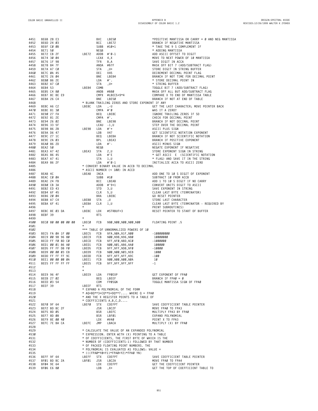| 4451         |                                                                |  |  |                                               |            | BE6B 28 E3<br>BE6D 24 Ø3<br>BE6F CØ Ø8<br>BE71 5Ø<br>BE72 CB 2F<br>BE74 3Ø Ø4<br>BE74 3Ø Ø4<br>BE76 1F 98<br>BE76 AT OØ<br>BE76 AT OØ<br>BE76 A4 45<br>BE76 Ø4 45<br>BE76 Ø4 45<br>BE7E 26 Ø4<br>BE7E 26 Ø4<br>BE7E 26 Ø4<br>BE82 AT CØ<br>RE82 AT CØ<br>BE82 AT                                                                             | $*$ POSITIVE MANTISSA OR CARRY = Ø AND NEG MANTISSA                                                                                  |
|--------------|----------------------------------------------------------------|--|--|-----------------------------------------------|------------|----------------------------------------------------------------------------------------------------------------------------------------------------------------------------------------------------------------------------------------------------------------------------------------------------------------------------------------------|--------------------------------------------------------------------------------------------------------------------------------------|
| 4452         |                                                                |  |  |                                               |            |                                                                                                                                                                                                                                                                                                                                              | BRANCH IF NEGATIVE MANTISSA                                                                                                          |
| 4453         |                                                                |  |  |                                               |            |                                                                                                                                                                                                                                                                                                                                              | * TAKE THE 9 S COMPLEMENT IF                                                                                                         |
| 4454         |                                                                |  |  |                                               |            |                                                                                                                                                                                                                                                                                                                                              | * ADDING MANTISSA                                                                                                                    |
| 4455         |                                                                |  |  |                                               |            |                                                                                                                                                                                                                                                                                                                                              | ADD ASCII OFFSET TO DIGIT                                                                                                            |
| 4456<br>4457 |                                                                |  |  |                                               |            |                                                                                                                                                                                                                                                                                                                                              | MOVE TO NEXT POWER OF 10 MANTISSA                                                                                                    |
| 4458         |                                                                |  |  |                                               |            |                                                                                                                                                                                                                                                                                                                                              | SAVE DIGIT IN ACCA<br>MASK OFF BIT 7 (ADD/SUBTRACT FLAG)                                                                             |
| 4459         |                                                                |  |  |                                               |            |                                                                                                                                                                                                                                                                                                                                              | STORE DIGIT IN STRING BUFFER                                                                                                         |
| 4460         |                                                                |  |  |                                               |            |                                                                                                                                                                                                                                                                                                                                              | DECREMENT DECIMAL POINT FLAG                                                                                                         |
| 4461         |                                                                |  |  |                                               |            |                                                                                                                                                                                                                                                                                                                                              | BRANCH IF NOT TIME FOR DECIMAL POINT                                                                                                 |
| 4462         |                                                                |  |  | LDA<br>LDA<br>LBE84 COMB                      |            |                                                                                                                                                                                                                                                                                                                                              | * STORE DECIMAL POINT IN                                                                                                             |
| 4463         | BE82 A7 CØ                                                     |  |  |                                               |            | ,U+                                                                                                                                                                                                                                                                                                                                          | * STRING BUFFER                                                                                                                      |
| 4464         | BE84 53                                                        |  |  |                                               |            |                                                                                                                                                                                                                                                                                                                                              | TOGGLE BIT 7 (ADD/SUBTRACT FLAG)                                                                                                     |
| 4465         | BE85 C4 80                                                     |  |  |                                               |            | COMB<br>ANDB #\$80                                                                                                                                                                                                                                                                                                                           | MASK OFF ALL BUT ADD/SUBTRACT FLAG                                                                                                   |
| 4466         | BE87 8C BE E9                                                  |  |  |                                               |            | CMPX #LBEC5+9*4                                                                                                                                                                                                                                                                                                                              | COMPARE X TO END OF MANTISSA TABLE                                                                                                   |
| 4467         | BE8A 26 C4                                                     |  |  |                                               |            |                                                                                                                                                                                                                                                                                                                                              | BRANCH IF NOT AT END OF TABLE                                                                                                        |
| 4468         |                                                                |  |  |                                               |            |                                                                                                                                                                                                                                                                                                                                              |                                                                                                                                      |
| 4469         | BE8C A6 C2<br>BE8E 81 30                                       |  |  |                                               |            |                                                                                                                                                                                                                                                                                                                                              | GET THE LAST CHARACTER; MOVE POINTER BACK                                                                                            |
| 4470         |                                                                |  |  | EMPA<br>BEQ<br>BEQ<br>BNE<br>LEAU<br>LBE98 LA | $CMPA$ #'Ø | $\frac{10}{100}$<br>$\frac{10}{100}$<br>$\frac{10}{100}$<br>$\frac{10}{100}$<br>$\frac{100}{100}$<br>$\frac{100}{100}$<br>$\frac{100}{100}$<br>$\frac{100}{100}$<br>$\frac{100}{100}$<br>$\frac{100}{100}$<br>$\frac{100}{100}$<br>$\frac{100}{100}$<br>$\frac{100}{100}$<br>$\frac{100}{100}$<br>$\frac{100}{100}$<br>$\frac{100}{100}$<br> | WAS IT A ZERO?                                                                                                                       |
| 4471<br>4472 | BE90 27 FA<br>BE92 81 2E                                       |  |  |                                               | CMPA #'.   |                                                                                                                                                                                                                                                                                                                                              | IGNORE TRAILING ZEROS IF SO<br>CHECK FOR DECIMAL POINT                                                                               |
| 4473         | BE94 26 02                                                     |  |  |                                               |            |                                                                                                                                                                                                                                                                                                                                              | BRANCH IF NOT DECIMAL POINT                                                                                                          |
| 4474         | BE96 33 5F                                                     |  |  |                                               | LEAU -1,U  |                                                                                                                                                                                                                                                                                                                                              | STEP OVER THE DECIMAL POINT                                                                                                          |
| 4475         | BE98 86 2B                                                     |  |  |                                               |            |                                                                                                                                                                                                                                                                                                                                              | ASCII PLUS SIGN                                                                                                                      |
| 4476         | BE9A D6 47                                                     |  |  |                                               | LDB        |                                                                                                                                                                                                                                                                                                                                              | GET SCIENTIFIC NOTATION EXPONENT                                                                                                     |
| 4477         | BE9C 27 1C                                                     |  |  |                                               | BEQ        |                                                                                                                                                                                                                                                                                                                                              | BRANCH IF NOT SCIENTIFIC NOTATION                                                                                                    |
| 4478         | BE9E 2A 03                                                     |  |  |                                               | BPL        |                                                                                                                                                                                                                                                                                                                                              | BRANCH IF POSITIVE EXPONENT                                                                                                          |
| 4479         | BEAØ 86 2D                                                     |  |  |                                               | LDA        |                                                                                                                                                                                                                                                                                                                                              | ASCII MINUS SIGN                                                                                                                     |
| 4480         | BEA2 50                                                        |  |  |                                               | NEGB       |                                                                                                                                                                                                                                                                                                                                              | NEGATE EXPONENT IF NEGATIVE                                                                                                          |
| 4481         | <b>BEA3 A7 42<br/>BEA5 86 45<br/>BEA7 A7 41<br/>BEA9 86 2F</b> |  |  | LBEA3                                         | $STA$ 2, U | 3 to .<br>.'.<br>.BE98<br>-1, U<br>#'+<br>47<br>LBEBA<br>LBEA3<br>#' -<br>$2, U$<br>#'E<br>1, U<br>#' $\theta$ -1                                                                                                                                                                                                                            | STORE EXPONENT SIGN IN STRING                                                                                                        |
| 4482         |                                                                |  |  |                                               | LDA        |                                                                                                                                                                                                                                                                                                                                              | * GET ASCII E (SCIENTIFIC NOTATION                                                                                                   |
| 4483         |                                                                |  |  |                                               | STA        |                                                                                                                                                                                                                                                                                                                                              | * FLAG) AND SAVE IT IN THE STRING                                                                                                    |
| 4484         |                                                                |  |  |                                               |            | STA 1,U<br>* CONVERT BINARY VALUE IN ACCB TO DECIMAL<br>* CONVERT BINARY VALUE IN ACCB TO DECIMAL<br>* ASCII NUMBER (< 100) IN ACCD<br>LBEAB INCA                                                                                                                                                                                            | INITIALIZE ACCA TO ASCII ZERO                                                                                                        |
| 4485         |                                                                |  |  |                                               |            |                                                                                                                                                                                                                                                                                                                                              |                                                                                                                                      |
| 4486         |                                                                |  |  |                                               |            |                                                                                                                                                                                                                                                                                                                                              |                                                                                                                                      |
| 4487         | BEAB 4C                                                        |  |  |                                               |            |                                                                                                                                                                                                                                                                                                                                              | ADD ONE TO 10 S DIGIT OF EXPONENT                                                                                                    |
| 4488         | BEAC CØ ØA<br>BEAE 24 FB                                       |  |  |                                               | SUBB #10   |                                                                                                                                                                                                                                                                                                                                              | SUBTRACT 10 FROM ACCB                                                                                                                |
| 4489<br>4490 | BEBØ CB 3A                                                     |  |  | LBEB8<br>LBEBA<br>-                           |            | BCC LBEAB<br>ADDB #'9+1<br>STD 3,U<br>CLR 5,U<br>BRA LBEBC<br>BTA LU                                                                                                                                                                                                                                                                         | <b>ADD 1 TO 10 S DIGIT IF NO CARRY<br/>CONVERT UNITS DIGIT TO ASCII<br/>SAVE EXPONENT IN STRING<br/>CLEAR LAST BYTE (TERMINATOR)</b> |
| 4491         | BEB2 ED 43                                                     |  |  |                                               |            |                                                                                                                                                                                                                                                                                                                                              |                                                                                                                                      |
| 4492         | BEB4 6F 45                                                     |  |  |                                               |            |                                                                                                                                                                                                                                                                                                                                              |                                                                                                                                      |
| 4493         | BEB6 20 04                                                     |  |  |                                               |            |                                                                                                                                                                                                                                                                                                                                              | GO RESET POINTER                                                                                                                     |
| 4494         | BEB8 A7 C4                                                     |  |  |                                               | STA        | , U                                                                                                                                                                                                                                                                                                                                          | STORE LAST CHARACTER                                                                                                                 |
| 4495         | BEBA 6F 41                                                     |  |  |                                               | CLR        | 1,U                                                                                                                                                                                                                                                                                                                                          | CLEAR LAST BYTE (TERMINATOR - REQUIRED BY                                                                                            |
| 4496         |                                                                |  |  |                                               |            |                                                                                                                                                                                                                                                                                                                                              | PRINT SUBROUTINES)                                                                                                                   |
| 4497         | BEBC 8E 03 DA<br>BEBE 30                                       |  |  | LBEBC                                         | LDX        | #STRBUF+3                                                                                                                                                                                                                                                                                                                                    | RESET POINTER TO START OF BUFFER                                                                                                     |
| 4498         | BEBF 39                                                        |  |  |                                               | <b>RTS</b> |                                                                                                                                                                                                                                                                                                                                              |                                                                                                                                      |
| 4499         |                                                                |  |  | $\star$                                       |            |                                                                                                                                                                                                                                                                                                                                              |                                                                                                                                      |
| 4500         | BECØ 80 00 00 00 00                                            |  |  | LBECØ                                         | FCB        | \$80,\$00,\$00,\$00,\$00                                                                                                                                                                                                                                                                                                                     | FLOATING POINT .5                                                                                                                    |
| 4501         |                                                                |  |  | $\star$                                       |            |                                                                                                                                                                                                                                                                                                                                              |                                                                                                                                      |
| 4502         |                                                                |  |  |                                               |            | *** TABLE OF UNNORMALIZED POWERS OF 10                                                                                                                                                                                                                                                                                                       |                                                                                                                                      |
| 4503         | BEC5 FA ØA 1F ØØ                                               |  |  | LBEC5 FCB                                     |            | \$FA,\$ØA,\$1F,\$ØØ -100000000<br>LBECO FCB \$00,\$00,\$80,\$00<br>LBECO FCB \$FF,\$FØ,\$BD,\$CØ<br>LBED1 FCB \$00,\$01,\$86,\$A0 10000<br>LBED5 FCB \$FF,\$FF,\$P5,\$P0 -10000<br>LBED9 FCB \$60,\$00,\$03,\$E8 1000<br>LBEDD FCB \$FF,\$FF,\$FF,\$9C -100<br>LBEL1 FCB \$00,\$00,\$00,\$0A 10<br>LBEE1 F                                   |                                                                                                                                      |
| 4504         | BEC9 00 98 96 80                                               |  |  |                                               |            |                                                                                                                                                                                                                                                                                                                                              | 10000000                                                                                                                             |
| 4505         | BECD FF FØ BD CØ                                               |  |  |                                               |            |                                                                                                                                                                                                                                                                                                                                              |                                                                                                                                      |
| 4506         | BED1 00 01 86 A0                                               |  |  |                                               |            |                                                                                                                                                                                                                                                                                                                                              | 100000                                                                                                                               |
| 4507         | BED5 FF FF D8 FØ                                               |  |  |                                               |            |                                                                                                                                                                                                                                                                                                                                              |                                                                                                                                      |
| 4508         | BED9 00 00 03 E8<br>BEDD FF FF FF 9C                           |  |  |                                               |            |                                                                                                                                                                                                                                                                                                                                              |                                                                                                                                      |
| 4509<br>4510 | BEE1 00 00 00 0A                                               |  |  |                                               |            |                                                                                                                                                                                                                                                                                                                                              |                                                                                                                                      |
| 4511         | BEE5 FF FF FF FF                                               |  |  |                                               |            |                                                                                                                                                                                                                                                                                                                                              |                                                                                                                                      |
| 4512         |                                                                |  |  |                                               |            |                                                                                                                                                                                                                                                                                                                                              |                                                                                                                                      |
| 4513         |                                                                |  |  |                                               |            |                                                                                                                                                                                                                                                                                                                                              |                                                                                                                                      |
| 4514         | BEE9 96 4F                                                     |  |  | LBEE9                                         | LDA        | FPØEXP                                                                                                                                                                                                                                                                                                                                       | GET EXPONENT OF FPAØ                                                                                                                 |
| 4515         | BEEB 27 02                                                     |  |  |                                               | BEQ        | LBEEF                                                                                                                                                                                                                                                                                                                                        | BRANCH IF FPAØ = $\theta$                                                                                                            |
| 4516         | BEED 03 54                                                     |  |  |                                               | COM        | FPØSGN                                                                                                                                                                                                                                                                                                                                       | TOGGLE MANTISSA SIGN OF FPAØ                                                                                                         |
| 4517         | BEEF 39                                                        |  |  | LBEEF                                         | <b>RTS</b> |                                                                                                                                                                                                                                                                                                                                              |                                                                                                                                      |
| 4518         |                                                                |  |  |                                               |            | * EXPAND A POLYNOMIAL OF THE FORM                                                                                                                                                                                                                                                                                                            |                                                                                                                                      |
| 4519         |                                                                |  |  |                                               |            | * AQ+BQ**3+CQ**5+DQ**7 WHERE Q = FPAØ                                                                                                                                                                                                                                                                                                        |                                                                                                                                      |
| 4520         |                                                                |  |  |                                               |            | * AND THE X REGISTER POINTS TO A TABLE OF                                                                                                                                                                                                                                                                                                    |                                                                                                                                      |
| 4521         |                                                                |  |  |                                               |            | $*$ COEFFICIENTS $A, B, C, D \ldots$                                                                                                                                                                                                                                                                                                         |                                                                                                                                      |
| 4522         | BEFØ 9F 64                                                     |  |  | LBEFØ                                         | <b>STX</b> | COEFPT                                                                                                                                                                                                                                                                                                                                       | SAVE COEFFICIENT TABLE POINTER                                                                                                       |
| 4523         | BEF2 BD BC 2F                                                  |  |  |                                               | JSR        | LBC2F                                                                                                                                                                                                                                                                                                                                        | MOVE FPAØ TO FPA3                                                                                                                    |
| 4524         | BEF5 8D 05                                                     |  |  |                                               | BSR        | LBEFC                                                                                                                                                                                                                                                                                                                                        | MULTIPLY FPA3 BY FPAØ                                                                                                                |
| 4525         | BEF7 8D 08                                                     |  |  |                                               | BSR        | LBFØ1                                                                                                                                                                                                                                                                                                                                        | EXPAND POLYNOMIAL                                                                                                                    |
| 4526         | BEF9 8E 00 40                                                  |  |  |                                               | LDX        | #V40                                                                                                                                                                                                                                                                                                                                         | POINT X TO FPA3<br>MULTIPLY (X) BY FPAØ                                                                                              |
| 4527         | BEFC 7E BA CA                                                  |  |  | LBEFC                                         | JMP        | LBACA                                                                                                                                                                                                                                                                                                                                        |                                                                                                                                      |
| 4528<br>4529 |                                                                |  |  |                                               |            | * CALCULATE THE VALUE OF AN EXPANDED POLYNOMIAL                                                                                                                                                                                                                                                                                              |                                                                                                                                      |
| 4530         |                                                                |  |  |                                               |            | * EXPRESSION. ENTER WITH (X) POINTING TO A TABLE                                                                                                                                                                                                                                                                                             |                                                                                                                                      |
| 4531         |                                                                |  |  |                                               |            | * OF COEFFICIENTS, THE FIRST BYTE OF WHICH IS THE                                                                                                                                                                                                                                                                                            |                                                                                                                                      |
| 4532         |                                                                |  |  |                                               |            | * NUMBER OF (COEFFICIENTS-1) FOLLOWED BY THAT NUMBER                                                                                                                                                                                                                                                                                         |                                                                                                                                      |
| 4533         |                                                                |  |  |                                               |            | * OF PACKED FLOATING POINT NUMBERS. THE                                                                                                                                                                                                                                                                                                      |                                                                                                                                      |
| 4534         |                                                                |  |  |                                               |            | * POLYNOMIAL IS EVALUATED AS FOLLOWS: VALUE =                                                                                                                                                                                                                                                                                                |                                                                                                                                      |
| 4535         |                                                                |  |  |                                               |            | * (((FPAØ*YØ+Y1)*FPAØ+Y2)*FPAØ YN)                                                                                                                                                                                                                                                                                                           |                                                                                                                                      |
| 4536         | BEFF 9F 64                                                     |  |  | LBEFF                                         | STX        | COEFPT                                                                                                                                                                                                                                                                                                                                       | SAVE COEFFICIENT TABLE POINTER                                                                                                       |
| 4537         | BFØ1 BD BC 2A                                                  |  |  | LBFØ1                                         | <b>JSR</b> | LBC2A                                                                                                                                                                                                                                                                                                                                        | MOVE FPAØ TO FPA4                                                                                                                    |
| 4538         | BFØ4 9E 64                                                     |  |  |                                               | LDX        | COEFPT                                                                                                                                                                                                                                                                                                                                       | GET THE COEFFICIENT POINTER                                                                                                          |
| 4539         | BFØ6 E6 80                                                     |  |  |                                               | LDB        | $, X+$                                                                                                                                                                                                                                                                                                                                       | GET THE TOP OF COEFFICIENT TABLE TO                                                                                                  |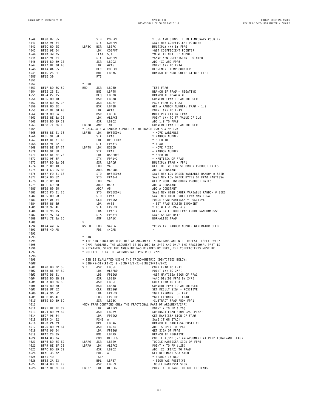| 4540         | BF08 D7 55                                                                              |                | STB               | COEFCT                                                                                                                               | * USE AND STORE IT IN TEMPORARY COUNTER                                                                               |
|--------------|-----------------------------------------------------------------------------------------|----------------|-------------------|--------------------------------------------------------------------------------------------------------------------------------------|-----------------------------------------------------------------------------------------------------------------------|
| 4541         | BFØA 9F 64                                                                              |                | STX               | COEFPT                                                                                                                               | SAVE NEW COEFFICIENT POINTER                                                                                          |
| 4542         | BFØC 8D EE                                                                              | LBFØC          | <b>BSR</b>        | LBEFC                                                                                                                                | MULTIPLY (X) BY FPAØ                                                                                                  |
| 4543         | BFØE 9E 64                                                                              |                | LDX               | COEFPT                                                                                                                               | *GET COEFFICIENT POINTER                                                                                              |
| 4544         | BF10 30 05                                                                              |                | LEAX 5, X         |                                                                                                                                      | *MOVE TO NEXT FP NUMBER                                                                                               |
| 4545         | BF12 9F 64                                                                              |                | <b>STX</b>        | COEFPT                                                                                                                               | *SAVE NEW COEFFICIENT POINTER                                                                                         |
| 4546         | BF14 BD B9 C2                                                                           |                | JSR               | LB9C2                                                                                                                                | ADD (X) AND FPAØ                                                                                                      |
| 4547         | BF17 8E 00 45                                                                           |                | LDX               | #V45                                                                                                                                 | POINT (X) TO FPA4                                                                                                     |
| 4548         | BF1A ØA 55                                                                              |                | DEC               | COEFCT                                                                                                                               | DECREMENT TEMP COUNTER                                                                                                |
| 4549         | BF1C 26 EE                                                                              |                | BNE               | LBFØC                                                                                                                                | BRANCH IF MORE COEFFICIENTS LEFT                                                                                      |
| 4550         | BF1E 39                                                                                 |                | <b>RTS</b>        |                                                                                                                                      |                                                                                                                       |
| 4551         |                                                                                         |                |                   |                                                                                                                                      |                                                                                                                       |
| 4552         |                                                                                         | $*$ RND        |                   |                                                                                                                                      |                                                                                                                       |
| 4553         | BF1F BD BC 6D                                                                           | RND            | JSR               | LBC6D                                                                                                                                | TEST FPAØ                                                                                                             |
| 4554         | BF22 2B 21                                                                              |                | BMI               | LBF45                                                                                                                                | BRANCH IF FPAØ = NEGATIVE                                                                                             |
| 4555         | BF24 27 15                                                                              |                | BEQ               | LBF3B                                                                                                                                | BRANCH IF FPAØ = $\theta$                                                                                             |
| 4556<br>4557 | BF26 8D 10<br>BF28 BD BC 2F                                                             |                | <b>BSR</b><br>JSR | LBF38<br>LBC2F                                                                                                                       | CONVERT FPAØ TO AN INTEGER<br>PACK FPAØ TO FPA3                                                                       |
| 4558         | BF2B 8D ØE                                                                              |                | BSR               | LBF3B                                                                                                                                | GET A RANDOM NUMBER: FPAØ < 1.0                                                                                       |
| 4559         | BF2D 8E 00 40                                                                           |                | LDX               | #V40                                                                                                                                 | POINT (X) TO FPA3                                                                                                     |
| 456Ø         | BF30 8D CA                                                                              |                | BSR               | LBEFC                                                                                                                                | MULTIPLY (X) BY FPAØ                                                                                                  |
| 4561         | BF32 8E BA C5                                                                           |                | LDX               | #LBAC5                                                                                                                               | POINT (X) TO FP VALUE OF 1.0                                                                                          |
| 4562         | BF35 BD B9 C2                                                                           |                | JSR               | LB9C2                                                                                                                                | ADD 1.0 TO FPA0                                                                                                       |
| 4563         | BF38 7E BC EE                                                                           | LBF38 JMP      |                   | INT                                                                                                                                  | CONVERT FPAØ TO AN INTEGER                                                                                            |
| 4564         |                                                                                         |                |                   | * CALCULATE A RANDOM NUMBER IN THE RANGE $\theta$ . $\theta$ < X <= 1.0                                                              |                                                                                                                       |
| 4565         | BF3B BE 01 16                                                                           | LBF3B          | LDX               | RVSEED+1                                                                                                                             | * MOVE VARIABLE                                                                                                       |
| 4566         | BF3E 9F 50                                                                              |                | <b>STX</b>        | FPAØ                                                                                                                                 | * RANDOM NUMBER                                                                                                       |
| 4567         | BF40 BE 01 18                                                                           |                | LDX               | RVSEED+3                                                                                                                             | * SEED TO                                                                                                             |
| 4568         | BF43 9F 52                                                                              |                | <b>STX</b>        | $FPAØ+2$                                                                                                                             | $*$ FPA $\theta$                                                                                                      |
| 4569         | BF45 BE BF 74                                                                           | LBF45          | LDX               | RSEED                                                                                                                                | $=$ MOVE FIXED                                                                                                        |
| 4570         | BF48 9F 5D                                                                              |                | <b>STX</b>        | FPA1                                                                                                                                 | = RANDOM NUMBER                                                                                                       |
| 4571         | BF4A BE BF 76                                                                           |                | LDX               | RSEED+2                                                                                                                              | - SEED TO<br>= MANTISSA OF FPAØ<br>MULTIPLY FPAØ X FPA1<br>GET THE TWO LOWEST ORDER PRODUCT BYTES                     |
| 4572<br>4573 | BF4D 9F 5F<br>BF4F BD BA DØ                                                             |                | <b>STX</b><br>JSR | FPA1+2<br>PRADØ<br>LBADØ                                                                                                             |                                                                                                                       |
| 4574         | BF52 DC AD                                                                              |                | LDD               | VAD                                                                                                                                  |                                                                                                                       |
| 4575         | BF54 C3 65 8B                                                                           |                |                   | ADDD #\$658B                                                                                                                         | ADD A CONSTANT                                                                                                        |
| 4576         | BF57 FD 01 18                                                                           |                | STD               | RVSEED+3                                                                                                                             | SAVE NEW LOW ORDER VARIABLE RANDOM # SEED                                                                             |
| 4577         | BF5A DD 52                                                                              |                | STD               | FPAØ+2                                                                                                                               | SAVE NEW LOW ORDER BYTES OF FPAØ MANTISSA                                                                             |
| 4578         | BF5C DC AB                                                                              |                | LDD               | VAB                                                                                                                                  | GET 2 MORE LOW ORDER PRODUCT BYTES                                                                                    |
| 4579         | BF5E C9 BØ                                                                              |                | ADCB #\$BØ        |                                                                                                                                      | ADD A CONSTANT                                                                                                        |
| 4580         | BF60 89 05                                                                              |                | ADCA #5           |                                                                                                                                      | ADD A CONSTANT                                                                                                        |
| 4581         | BF62 FD 01 16                                                                           |                | STD               | RVSEED+1                                                                                                                             | SAVE NEW HIGH ORDER VARIABLE RANDOM # SEED                                                                            |
| 4582         | BF65 DD 50                                                                              |                | STD               | FPAØ                                                                                                                                 | SAVE NEW HIGH ORDER FPAØ MANTISSA                                                                                     |
| 4583         | BF67 ØF 54                                                                              |                | CLR               | FPØSGN                                                                                                                               | FORCE FPAØ MANTISSA = POSITIVE<br>* SET FPAØ BIASED EXPONENT                                                          |
| 4584         | BF69 86 80                                                                              |                | LDA               | #\$80                                                                                                                                |                                                                                                                       |
| 4585         | BF6B 97 4F                                                                              |                | STA               | FPØEXP                                                                                                                               | $\star$ TO Ø 1 < FPAØ < Ø                                                                                             |
| 4586         | BF6D 96 15                                                                              |                | LDA               | $FPA2+2$                                                                                                                             | GET A BYTE FROM FPA2 (MORE RANDOMNESS)                                                                                |
| 4587         | BF6F 97 63                                                                              |                | STA               | FPSBYT                                                                                                                               | SAVE AS SUB BYTE                                                                                                      |
| 4588         | BF71 7E BA 1C                                                                           | $\star$        | JMP               | LBA1C                                                                                                                                | NORMALIZE FPAØ                                                                                                        |
| 4589<br>4590 | BF74 40 E6                                                                              | RSEED          | FDB               | \$40E6                                                                                                                               | *CONSTANT RANDOM NUMBER GENERATOR SEED                                                                                |
| 4591         | BF76 4D AB                                                                              |                | FDB               | \$4DAB                                                                                                                               | $\star$                                                                                                               |
| 4592         |                                                                                         |                |                   |                                                                                                                                      |                                                                                                                       |
| 4593         |                                                                                         | * SIN          |                   |                                                                                                                                      |                                                                                                                       |
| 4594         |                                                                                         |                |                   |                                                                                                                                      | * THE SIN FUNCTION REQUIRES AN ARGUMENT IN RADIANS AND WILL REPEAT ITSELF EVERY                                       |
| 4595         |                                                                                         |                |                   |                                                                                                                                      | * 2*PI RADIANS. THE ARGUMENT IS DIVIDED BY 2*PI AND ONLY THE FRACTIONAL PART IS                                       |
| 4596         |                                                                                         |                |                   |                                                                                                                                      | * RETAINED. SINCE THE ARGUMENT WAS DIVIDED BY 2*P1, THE COEFFICIENTS MUST BE                                          |
| 4597         |                                                                                         |                |                   | * MULTIPLIED BY THE APPROPRIATE POWER OF 2*PI.                                                                                       |                                                                                                                       |
| 4598         |                                                                                         |                |                   |                                                                                                                                      |                                                                                                                       |
| 4599         |                                                                                         |                |                   | * SIN IS EVALUATED USING THE TRIGONOMETRIC IDENTITIES BELOW:                                                                         |                                                                                                                       |
| 4600         |                                                                                         |                |                   | * $SIN(X)=SIN(PI-X)$ & $-SIN(PI/2-X)=SIN((3*PI)/2+X)$                                                                                |                                                                                                                       |
| 4601         | BF78 BD BC 5F                                                                           | SIN            |                   |                                                                                                                                      | COPY FPAØ TO FPA1                                                                                                     |
| 4602<br>4603 | 978 Bu<br>BF7B 8E BF BU<br>BF7E D6 61<br>BF80 BD BB 89<br>~F83 BD BC 5F<br>~83 BD BC 5F |                |                   | JSR LBC5F<br>LDX #LBFBD<br>LDX #LBFBD<br>LDB FP1SGN<br>JSR LBC5F<br>JSR LBC5F<br>BSR LBF38<br>CLR RESSGN<br>LDA FP1EXP<br>LDB FP0EXP | POINT (X) TO 2*PI<br>*GET MANTISSA SIGN OF FPA1                                                                       |
| 4604         |                                                                                         |                |                   |                                                                                                                                      | *GET MANTISSA SIGN OF FP<br>*AND DIVIDE FPAØ BY 2*PI<br>COPY FPAØ TO FPA1                                             |
| 4605         |                                                                                         |                |                   |                                                                                                                                      |                                                                                                                       |
| 4606         | BF86 8D BØ                                                                              |                |                   |                                                                                                                                      |                                                                                                                       |
| 4607         | BF88 ØF 62                                                                              |                |                   |                                                                                                                                      |                                                                                                                       |
| 4608         | BF8A 96 5C                                                                              |                |                   |                                                                                                                                      | CONVERT FPAØ TO AN INTEGER<br>SET RESULT SIGN = POSITIVE<br>*GET EXPONENT OF FPA1<br>*GET EXPONENT OF FPAØ            |
| 4609         | BF8C D6 4F                                                                              |                |                   |                                                                                                                                      |                                                                                                                       |
| 4610         | BF8E BD B9 BC                                                                           |                |                   | LDB FPØEXP<br>LDB FPØEXP                                                                                                             | *SUBTRACT FPAØ FROM FPA1                                                                                              |
| 4611         |                                                                                         |                |                   | *NOW FPAØ CONTAINS ONLY THE FRACTIONAL PART OF ARGUMENT/2*PI                                                                         |                                                                                                                       |
| 4612         | BF91 8E BF C2                                                                           |                | LDX               | #LBFC2                                                                                                                               | POINT X TO FP (.25)                                                                                                   |
| 4613         | BF94 BD B9 B9                                                                           |                |                   | JSR LB9B9                                                                                                                            | SUBTRACT FPAØ FROM .25 (PI/2)                                                                                         |
| 4614         | BF97 96 54                                                                              |                | LDA               | FPØSGN                                                                                                                               | GET MANTISSA SIGN OF FPAØ                                                                                             |
|              | 4615 BF99 34 02                                                                         |                | PSHS A            |                                                                                                                                      | SAVE IT ON STACK                                                                                                      |
| 4616         | BF9B 2A 09                                                                              |                |                   |                                                                                                                                      | BRANCH IF MANTISSA POSITIVE                                                                                           |
| 4617         | BF9D BD B9 B4<br>PEAG 96 E4                                                             |                |                   |                                                                                                                                      |                                                                                                                       |
| 4618         | BFAØ 96 54                                                                              |                |                   | BPL LBFA6<br>JSR LB9B4<br>LDA FPØSGN<br>BMI LBFA9                                                                                    | ADD .5 (PI) TO FPAØ<br>GET SIGN OF FPAØ<br>BRANCH IF NEGATIVE<br>COM IF +(3*PI)/2 >= ARGUMENT >+ PI/2 (QUADRANT FLAG) |
| 4619         | BFA2 2B 05                                                                              |                |                   |                                                                                                                                      |                                                                                                                       |
| 4620         | BFA4 03 0A                                                                              |                |                   | COM RELFLG<br>JSR LBEE9<br>LDX #LBFC2<br>LDX #LBFC2<br>SR LB9C2<br>PULS A                                                            |                                                                                                                       |
| 4621<br>4622 | BFA6 BD BE E9<br>BFA9 8E BF C2                                                          | LBFA6<br>LBFA9 |                   |                                                                                                                                      | TOGGLE MANTISSA SIGN OF FPAØ<br>POINT X TO FP (.25)                                                                   |
| 4623         | BFAC BD B9 C2                                                                           |                |                   |                                                                                                                                      |                                                                                                                       |
| 4624         | BFAF 35 02                                                                              |                | PULS A            |                                                                                                                                      | ADD .25 (PI/2) TO FPAØ<br>ADD .25 (PI/2) TO FPAØ<br>GET OLD MANTISSA SIGN                                             |
| 4625         | BFB1 4D                                                                                 |                | TSTA              |                                                                                                                                      | * BRANCH IF OLD                                                                                                       |
| 4626         | BFB2 2A 03                                                                              |                | BPL               |                                                                                                                                      |                                                                                                                       |
| 4627         | BFB4 BD BE E9                                                                           |                |                   | LBFB7<br>LBEE9<br>JSR LBEE9                                                                                                          | * SIGN WAS POSITIVE<br>TOGGLE MANTISSA SIGN<br>TOGGLE MANTISSA SIGN                                                   |
| 4628         | BFB7 8E BF C7 LBFB7 LDX #LBFC7                                                          |                |                   |                                                                                                                                      | POINT X TO TABLE OF COEFFICIENTS                                                                                      |

**B52**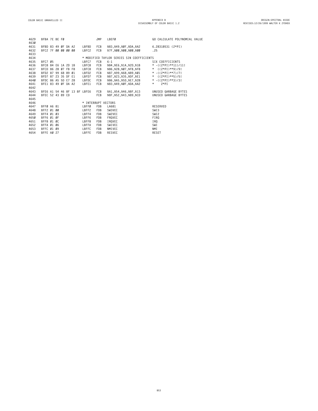| 4629 | BFBA 7E BE FØ       |  |  |  |                              | JMP        | LBEFØ                                                           | GO CALCULATE POLYNOMIAL VALUE |
|------|---------------------|--|--|--|------------------------------|------------|-----------------------------------------------------------------|-------------------------------|
| 4630 |                     |  |  |  |                              |            |                                                                 |                               |
| 4631 | BFBD 83 49 0F DA A2 |  |  |  | LBFBD                        | FCB        | \$83, \$49, \$ØF, \$DA, \$A2 6.28318531 (2*PI)                  |                               |
| 4632 | BFC2 7F 00 00 00 00 |  |  |  | LBFC2                        | FCB        | \$7F,\$00,\$00,\$00,\$00                                        | .25                           |
| 4633 |                     |  |  |  |                              |            |                                                                 |                               |
| 4634 |                     |  |  |  |                              |            | * MODIFIED TAYLOR SERIES SIN COEFFICIENTS                       |                               |
| 4635 | BFC7 05             |  |  |  | LBFC7                        | FCB        | $6 - 1$                                                         | SIX COEFFICIENTS              |
| 4636 | BFC8 84 E6 1A 2D 1B |  |  |  | LBFC8                        | FCB        | $$84, $E6, $1A, $2D, $1B \qquad \times \quad .((2*P1)**11)/11!$ |                               |
| 4637 | BFCD 86 28 07 FB F8 |  |  |  | LBFC8                        | FCB        | \$86, \$28, \$07, \$FB, \$F8 * ((2*PI)**9)/9!                   |                               |
| 4638 | BFD2 87 99 68 89 01 |  |  |  | LBFD2                        | FCB        | $$87, $99, $68, $89, $01 \qquad \times \cdot ((2*PI)**7)/7!$    |                               |
| 4639 | BFD7 87 23 35 DF E1 |  |  |  | LBFD7                        | FCB        | \$87, \$23, \$35, \$DF, \$E1 * ((2*PI)**5)/5!                   |                               |
| 4640 | BFDC 86 A5 5D E7 28 |  |  |  | LBFDC                        | FCB        | $$86, $45, $5D, $E7, $28 \rightarrow ((2*PI)**3)/3!$            |                               |
| 4641 | BFE1 83 49 ØF DA A2 |  |  |  | LBFE1                        | <b>FCB</b> | \$83,\$49,\$ØF,\$DA,\$A2                                        | $\star$<br>$2*PI$             |
| 4642 |                     |  |  |  |                              |            |                                                                 |                               |
| 4643 |                     |  |  |  | BFE6 A1 54 46 8F 13 8F LBFE6 | FCB        | \$A1, \$54, \$46, \$8F, \$13                                    | UNUSED GARBAGE BYTES          |
| 4644 | BFEC 52 43 89 CD    |  |  |  |                              | FCB        | \$8F, \$52, \$43, \$89, \$CD                                    | UNUSED GARBAGE BYTES          |
| 4645 |                     |  |  |  |                              |            |                                                                 |                               |
| 4646 |                     |  |  |  | * INTERRUPT VECTORS          |            |                                                                 |                               |
| 4647 | BFFØ A6 81          |  |  |  | LBFFØ                        | <b>FDB</b> | LA681                                                           | RESERVED                      |
| 4648 | BFF2 01 00          |  |  |  | LBFF2                        | <b>FDB</b> | SW3VEC                                                          | SWI3                          |
| 4649 | BFF4 01 03          |  |  |  | LBFF4                        | FDB        | SW2VEC                                                          | SWI2                          |
| 4650 | BFF6 01 0F          |  |  |  | LBFF6                        | FDB        | FRQVEC                                                          | FIRQ                          |
| 4651 | BFF8 01 0C          |  |  |  | LBFF8                        | <b>FDB</b> | IRQVEC                                                          | I RQ                          |
| 4652 | BFFA 01 06          |  |  |  | LBFFA                        | <b>FDB</b> | SWIVEC                                                          | SWI                           |
| 4653 | BFFC 01 09          |  |  |  | LBFFC                        | <b>FDB</b> | NMIVEC                                                          | NMI                           |
| 4654 | BFFE AØ 27          |  |  |  | LBFFE                        | <b>FDB</b> | <b>RESVEC</b>                                                   | RESET                         |
|      |                     |  |  |  |                              |            |                                                                 |                               |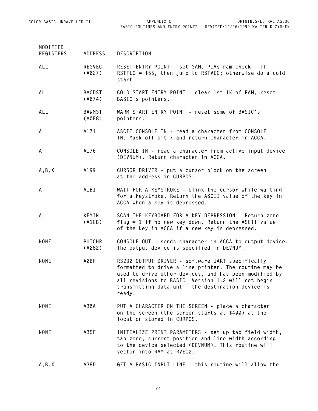**BASIC ROUTINES AND ENTRY POINTS REVISED:12/26/1999 WALTER K ZYDHEK ORIGIN:SPECTRAL ASSOC**

| MODIFIED    |                         |                                                                                                                                                                                                                                                                                         |
|-------------|-------------------------|-----------------------------------------------------------------------------------------------------------------------------------------------------------------------------------------------------------------------------------------------------------------------------------------|
| REGISTERS   | ADDRESS                 | DESCRIPTION                                                                                                                                                                                                                                                                             |
| ALL         | RESVEC<br>(A027)        | RESET ENTRY POINT - set SAM, PIAs ram check - if<br>RSTFLG = $$55$ , then jump to RSTVEC; otherwise do a cold<br>start.                                                                                                                                                                 |
| ALL         | BACDST<br>(AØ74)        | COLD START ENTRY POINT - clear 1st 1K of RAM, reset<br>BASIC's pointers.                                                                                                                                                                                                                |
| ALL         | <b>BAWMST</b><br>(AØE8) | WARM START ENTRY POINT - reset some of BASIC's<br>pointers.                                                                                                                                                                                                                             |
| A           | A171                    | ASCII CONSOLE IN - read a character from CONSOLE<br>IN. Mask off bit 7 and return character in ACCA.                                                                                                                                                                                    |
| A           | A176                    | CONSOLE IN - read a character from active input device<br>(DEVNUM). Return character in ACCA.                                                                                                                                                                                           |
| A, B, X     | A199                    | CURSOR DRIVER - put a cursor block on the screen<br>at the address in CURPOS.                                                                                                                                                                                                           |
| A           | A1B1                    | WAIT FOR A KEYSTROKE - blink the cursor while waiting<br>for a keystroke. Return the ASCII value of the key in<br>ACCA when a key is depressed.                                                                                                                                         |
| A           | KEYIN<br>(A1CB)         | SCAN THE KEYBOARD FOR A KEY DEPRESSION - Return zero<br>$flag = 1$ if no new key down. Return the ASCII value<br>of the key in ACCA if a new key is depressed.                                                                                                                          |
| <b>NONE</b> | PUTCHR<br>(A282)        | CONSOLE OUT - sends character in ACCA to output device.<br>The output device is specified in DEVNUM.                                                                                                                                                                                    |
| <b>NONE</b> | A2BF                    | RS232 OUTPUT DRIVER - software UART specifically<br>formatted to drive a line printer. The routine may be<br>used to drive other devices, and has been modified by<br>all revisions to BASIC. Version 1.2 will not begin<br>transmitting data until the destination device is<br>ready. |
| <b>NONE</b> | A3ØA                    | PUT A CHARACTER ON THE SCREEN - place a character<br>on the screen (the screen starts at \$400) at the<br>location stored in CURPOS.                                                                                                                                                    |
| <b>NONE</b> | A35F                    | INITIALIZE PRINT PARAMETERS - set up tab field width,<br>tab zone, current position and line width according<br>to the device selected (DEVNUM). This routine will<br>vector into RAM at RVEC2.                                                                                         |
| A, B, X     | A38D                    | GET A BASIC INPUT LINE - this routine will allow the                                                                                                                                                                                                                                    |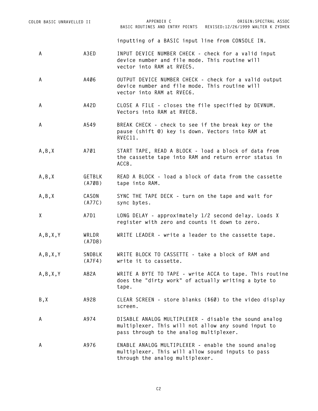|   | COLOR BASIC UNRAVELLED II |                  | APPENDIX C<br>ORIGIN: SPECTRAL ASSOC<br>BASIC ROUTINES AND ENTRY POINTS REVISED:12/26/1999 WALTER K ZYDHEK                           |
|---|---------------------------|------------------|--------------------------------------------------------------------------------------------------------------------------------------|
|   |                           |                  | inputting of a BASIC input line from CONSOLE IN.                                                                                     |
| A |                           | A3ED             | INPUT DEVICE NUMBER CHECK - check for a valid input<br>device number and file mode. This routine will<br>vector into RAM at RVEC5.   |
| А |                           | A406             | OUTPUT DEVICE NUMBER CHECK - check for a valid output<br>device number and file mode. This routine will<br>vector into RAM at RVEC6. |
| А |                           | A42D             | CLOSE A FILE - closes the file specified by DEVNUM.<br>Vectors into RAM at RVEC8.                                                    |
| А |                           | A549             | BREAK CHECK - check to see if the break key or the<br>pause (shift @) key is down. Vectors into RAM at<br>RVEC11.                    |
|   | A, B, X                   | A701             | START TAPE, READ A BLOCK - load a block of data from<br>the cassette tape into RAM and return error status in<br>ACCB.               |
|   | A, B, X                   | GETBLK<br>(A7ØB) | READ A BLOCK - load a block of data from the cassette<br>tape into RAM.                                                              |
|   | A, B, X                   | CASON<br>(A77C)  | SYNC THE TAPE DECK - turn on the tape and wait for<br>sync bytes.                                                                    |
| X |                           | A7D1             | LONG DELAY - approximately 1/2 second delay. Loads X<br>register with zero and counts it down to zero.                               |
|   | A, B, X, Y                | WRLDR<br>(A7D8)  | WRITE LEADER - write a leader to the cassette tape.                                                                                  |
|   | A, B, X, Y                | SNDBLK<br>(A7F4) | WRITE BLOCK TO CASSETTE - take a block of RAM and<br>write it to cassette.                                                           |
|   | A, B, X, Y                | A82A             | WRITE A BYTE TO TAPE - write ACCA to tape. This routine<br>does the "dirty work" of actually writing a byte to<br>tape.              |

- **B,X A928 CLEAR SCREEN store blanks (\$60) to the video display screen.**
- **A A974 DISABLE ANALOG MULTIPLEXER disable the sound analog multiplexer. This will not allow any sound input to pass through to the analog multiplexer.**

**A A976 ENABLE ANALOG MULTIPLEXER - enable the sound analog multiplexer. This will allow sound inputs to pass through the analog multiplexer.**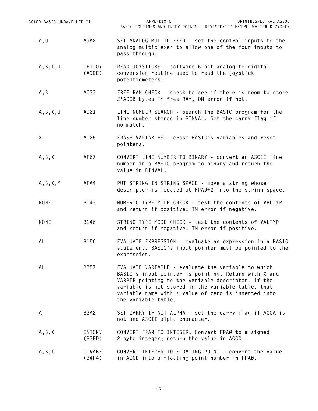| COLOR BASIC UNRAVELLED II |                         | APPENDIX C<br>ORIGIN: SPECTRAL ASSOC<br>BASIC ROUTINES AND ENTRY POINTS REVISED:12/26/1999 WALTER K ZYDHEK                                                                                                                                                                                           |  |  |  |  |
|---------------------------|-------------------------|------------------------------------------------------------------------------------------------------------------------------------------------------------------------------------------------------------------------------------------------------------------------------------------------------|--|--|--|--|
| A,U                       | A9A2                    | SET ANALOG MULTIPLEXER - set the control inputs to the<br>analog multiplexer to allow one of the four inputs to<br>pass through.                                                                                                                                                                     |  |  |  |  |
| A, B, X, U                | GETJOY<br>(A9DE)        | READ JOYSTICKS - software 6-bit analog to digital<br>conversion routine used to read the joystick<br>potentiometers.                                                                                                                                                                                 |  |  |  |  |
| A,B                       | AC33                    | FREE RAM CHECK - check to see if there is room to store<br>2*ACCB bytes in free RAM, OM error if not.                                                                                                                                                                                                |  |  |  |  |
| A, B, X, U                | ADØ1                    | LINE NUMBER SEARCH - search the BASIC program for the<br>line number stored in BINVAL. Set the carry flag if<br>no match.                                                                                                                                                                            |  |  |  |  |
| χ                         | AD26                    | ERASE VARIABLES - erase BASIC's variables and reset<br>pointers.                                                                                                                                                                                                                                     |  |  |  |  |
| A, B, X                   | AF67                    | CONVERT LINE NUMBER TO BINARY - convert an ASCII line<br>number in a BASIC program to binary and return the<br>value in BINVAL.                                                                                                                                                                      |  |  |  |  |
| A, B, X, Y                | AFA4                    | PUT STRING IN STRING SPACE - move a string whose<br>descriptor is located at FPAØ+2 into the string space.                                                                                                                                                                                           |  |  |  |  |
| NONE                      | B143                    | NUMERIC TYPE MODE CHECK - test the contents of VALTYP<br>and return if positive. TM error if negative.                                                                                                                                                                                               |  |  |  |  |
| <b>NONE</b>               | B146                    | STRING TYPE MODE CHECK - test the contents of VALTYP<br>and return if negative. TM error if positive.                                                                                                                                                                                                |  |  |  |  |
| ALL                       | B156                    | EVALUATE EXPRESSION - evaluate an expression in a BASIC<br>statement. BASIC's input pointer must be pointed to the<br>expression.                                                                                                                                                                    |  |  |  |  |
| ALL                       | B357                    | EVALUATE VARIABLE - evaluate the variable to which<br>BASIC's input pointer is pointing. Return with X and<br>VARPTR pointing to the variable descriptor. If the<br>variable is not stored in the variable table, that<br>variable name with a value of zero is inserted into<br>the variable table. |  |  |  |  |
| A                         | B3A2                    | SET CARRY IF NOT ALPHA - set the carry flag if ACCA is<br>not and ASCII alpha character.                                                                                                                                                                                                             |  |  |  |  |
| A, B, X                   | <b>INTCNV</b><br>(B3ED) | CONVERT FPAØ TO INTEGER. Convert FPAØ to a signed<br>2-byte integer; return the value in ACCD.                                                                                                                                                                                                       |  |  |  |  |
| A, B, X                   | GIVABF<br>(B4F4)        | CONVERT INTEGER TO FLOATING POINT - convert the value<br>in ACCD into a floating point number in FPAØ.                                                                                                                                                                                               |  |  |  |  |

**C3**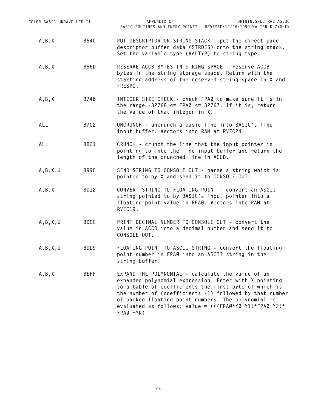| COLOR BASIC UNRAVELLED II | APPENDIX C<br>ORIGIN: SPECTRAL ASSOC<br>BASIC ROUTINES AND ENTRY POINTS REVISED:12/26/1999 WALTER K ZYDHEK                                                                                                                                                                                                                                                        |
|---------------------------|-------------------------------------------------------------------------------------------------------------------------------------------------------------------------------------------------------------------------------------------------------------------------------------------------------------------------------------------------------------------|
| <b>B54C</b>               | PUT DESCRIPTOR ON STRING STACK - put the direct page<br>descriptor buffer data (STRDES) onto the string stack.<br>Set the variable type (VALTYP) to string type.                                                                                                                                                                                                  |
| <b>B56D</b>               | RESERVE ACCB BYTES IN STRING SPACE - reserve ACCB<br>bytes in the string storage space. Return with the<br>starting address of the reserved string space in X and<br>FRESPC.                                                                                                                                                                                      |
| B740                      | INTEGER SIZE CHECK - check FPAØ to make sure it is in<br>the range $-32768 \leq FPAØ \leq 32767$ . If it is, return<br>the value of that integer in X.                                                                                                                                                                                                            |
| <b>B7C2</b>               | UNCRUNCH - uncrunch a basic line into BASIC's line<br>input buffer. Vectors into RAM at RVEC24.                                                                                                                                                                                                                                                                   |
| B821                      | CRUNCH - crunch the line that the input pointer is<br>pointing to into the line input buffer and return the<br>length of the crunched line in ACCD.                                                                                                                                                                                                               |
| <b>B99C</b>               | SEND STRING TO CONSOLE OUT - parse a string which is<br>pointed to by X and send it to CONSOLE OUT.                                                                                                                                                                                                                                                               |
| BD12                      | CONVERT STRING TO FLOATING POINT - convert an ASCII<br>string pointed to by BASIC's input pointer into a<br>floating point value in FPAØ. Vectors into RAM at<br>RVEC19.                                                                                                                                                                                          |
| <b>BDCC</b>               | PRINT DECIMAL NUMBER TO CONSOLE OUT - convert the<br>value in ACCD into a decimal number and send it to<br>CONSOLE OUT.                                                                                                                                                                                                                                           |
| BDD9                      | FLOATING POINT TO ASCII STRING - convert the floating<br>point number in FPAØ into an ASCII string in the<br>string buffer.                                                                                                                                                                                                                                       |
| <b>BEFF</b>               | EXPAND THE POLYNOMIAL - calculate the value of an<br>expanded polynomial expression. Enter with X pointing<br>to a table of coefficients the first byte of which is<br>the number of (coefficients -1) followed by that number<br>of packed floating point numbers. The polynomial is<br>evaluated as follows: value = $(((FPAØ*YØ+Y1)*FPAØ+Y2)*$<br>$FPAØ + YN)$ |
|                           |                                                                                                                                                                                                                                                                                                                                                                   |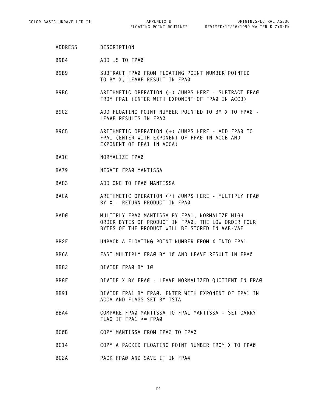**ADDRESS DESCRIPTION**

**B9B4 ADD .5 TO FPA0**

- **B9B9 SUBTRACT FPA0 FROM FLOATING POINT NUMBER POINTED** TO BY X, LEAVE RESULT IN FPAØ
- **B9BC ARITHMETIC OPERATION (-) JUMPS HERE SUBTRACT FPA0** FROM FPA1 (ENTER WITH EXPONENT OF FPAØ IN ACCB)
- **B9C2 ADD FLOATING POINT NUMBER POINTED TO BY X TO FPA0 - LEAVE RESULTS IN FPAØ**
- **B9C5 ARITHMETIC OPERATION (+) JUMPS HERE ADD FPA0 TO FPA1 (ENTER WITH EXPONENT OF FPAØ IN ACCB AND EXPONENT OF FPA1 IN ACCA)**
- BA1C **NORMALIZE** FPAØ
- **BA79 NEGATE FPA0 MANTISSA**
- **BA83 ADD ONE TO FPAØ MANTISSA**
- **BACA ARITHMETIC OPERATION (\*) JUMPS HERE MULTIPLY FPA0 BY X - RETURN PRODUCT IN FPAØ**
- **BAD0 MULTIPLY FPA0 MANTISSA BY FPA1, NORMALIZE HIGH ORDER BYTES OF PRODUCT IN FPA0. THE LOW ORDER FOUR BYTES OF THE PRODUCT WILL BE STORED IN VAB-VAE**
- **BB2F UNPACK A FLOATING POINT NUMBER FROM X INTO FPA1**
- BB6A **FAST MULTIPLY FPAØ BY 10 AND LEAVE RESULT IN FPAØ**
- **BB82 DIVIDE FPA0 BY 10**
- BB8F **DIVIDE X BY FPAØ LEAVE NORMALIZED QUOTIENT IN FPAØ**
- **BB91 DIVIDE FPA1 BY FPA0. ENTER WITH EXPONENT OF FPA1 IN ACCA AND FLAGS SET BY TSTA**
- **BBA4 COMPARE FPA0 MANTISSA TO FPA1 MANTISSA SET CARRY FLAG IF FPA1 >= FPA0**
- **BCØB COPY MANTISSA FROM FPA2 TO FPAØ**
- **BC14 COPY A PACKED FLOATING POINT NUMBER FROM X TO FPAØ**
- **BC2A PACK FPA0 AND SAVE IT IN FPA4**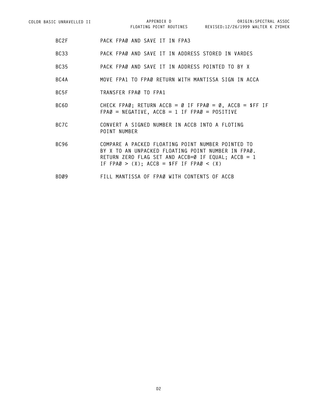- **BC2F PACK FPA0 AND SAVE IT IN FPA3**
- **BC33 PACK FPA0 AND SAVE IT IN ADDRESS STORED IN VARDES**
- **BC35 PACK FPA0 AND SAVE IT IN ADDRESS POINTED TO BY X**
- **BC4A MOVE FPA1 TO FPA0 RETURN WITH MANTISSA SIGN IN ACCA**
- **BC5F TRANSFER FPA0 TO FPA1**
- **BC6D CHECK FPAØ; RETURN ACCB = Ø IF FPAØ = Ø, ACCB = \$FF IF FPA0 = NEGATIVE, ACCB = 1 IF FPA0 = POSITIVE**
- **BC7C CONVERT A SIGNED NUMBER IN ACCB INTO A FLOTING POINT NUMBER**
- **BC96 COMPARE A PACKED FLOATING POINT NUMBER POINTED TO** BY X TO AN UNPACKED FLOATING POINT NUMBER IN FPAØ. **RETURN ZERO FLAG SET AND ACCB=0 IF EQUAL; ACCB = 1** IF  $FPAØ > (X)$ ;  $ACCB = SFF IF FPAØ < (X)$
- **BD09 FILL MANTISSA OF FPA0 WITH CONTENTS OF ACCB**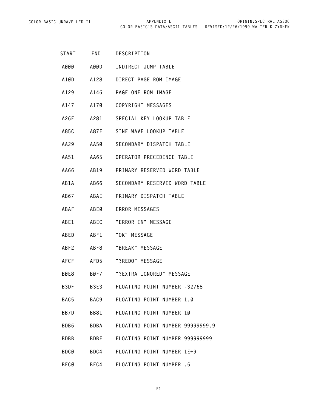| START       | END         | DESCRIPTION                            |
|-------------|-------------|----------------------------------------|
| A000        |             | AØØD INDIRECT JUMP TABLE               |
| A1ØD        |             | A128 DIRECT PAGE ROM IMAGE             |
| A129        |             | A146 PAGE ONE ROM IMAGE                |
| A147        |             | A170 COPYRIGHT MESSAGES                |
| A26E        |             | A281 SPECIAL KEY LOOKUP TABLE          |
| A85C        |             | A87F SINE WAVE LOOKUP TABLE            |
| AA29        |             | AA50 SECONDARY DISPATCH TABLE          |
| AA51        |             | AA65 OPERATOR PRECEDENCE TABLE         |
| AA66        |             | AB19 PRIMARY RESERVED WORD TABLE       |
| AB1A        |             | AB66 SECONDARY RESERVED WORD TABLE     |
| AB67        |             | ABAE PRIMARY DISPATCH TABLE            |
| ABAF        |             | ABEØ ERROR MESSAGES                    |
| ABE1        |             | ABEC "ERROR IN" MESSAGE                |
| ABED        | ABF1        | "OK" MESSAGE                           |
| ABF2        | ABF8        | "BREAK" MESSAGE                        |
| AFCF        |             | AFD5     "?REDO" MESSAGE               |
| BØE8        |             | BØF7 – "?EXTRA IGNORED" MESSAGE        |
| B3DF        | <b>B3E3</b> | FLOATING POINT NUMBER -32768           |
| BAC5        | BAC9        | FLOATING POINT NUMBER 1.0              |
| BB7D        | BB81        | FLOATING POINT NUMBER 10               |
| BDB6        |             | BDBA FLOATING POINT NUMBER 999999999.9 |
| <b>BDBB</b> |             | BDBF FLOATING POINT NUMBER 999999999   |
| <b>BDCØ</b> |             | BDC4 FLOATING POINT NUMBER 1E+9        |
| <b>BECØ</b> | BEC4        | FLOATING POINT NUMBER .5               |

**E1**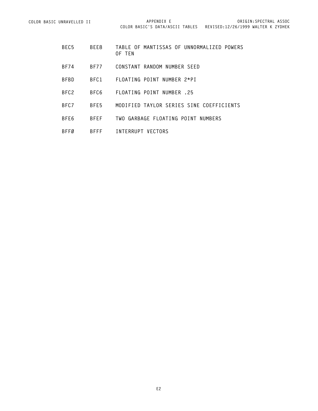- **BEC5 BEE8 TABLE OF MANTISSAS OF UNNORMALIZED POWERS OF TEN**
- **BF74 BF77 CONSTANT RANDOM NUMBER SEED**
- **BFBD BFC1 FLOATING POINT NUMBER 2\*PI**
- **BFC2 BFC6 FLOATING POINT NUMBER .25**
- **BFC7 BFE5 MODIFIED TAYLOR SERIES SINE COEFFICIENTS**
- **BFE6 BFEF TWO GARBAGE FLOATING POINT NUMBERS**
- **BFF0 BFFF INTERRUPT VECTORS**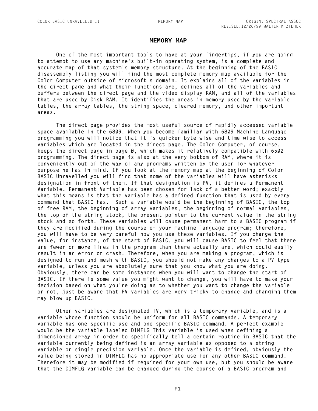#### **MEMORY MAP**

**One of the most important tools to have at your fingertips, if you are going to attempt to use any machine's built-in operating system, is a complete and accurate map of that system's memory structure. At the beginning of the BASIC disassembly listing you will find the most complete memory map available for the Color Computer outside of Microsoft's domain. It explains all of the variables in the direct page and what their functions are, defines all of the variables and buffers between the direct page and the video display RAM, and all of the variables that are used by Disk RAM. It identifies the areas in memory used by the variable tables, the array tables, the string space, cleared memory, and other important areas.**

**The direct page provides the most useful source of rapidly accessed variable space available in the 6809. When you become familiar with 6809 Machine Language programming you will notice that it is quicker byte wise and time wise to access variables which are located in the direct page. The Color Computer, of course, keeps the direct page in page 0, which makes it relatively compatible with 6502 programming. The direct page is also at the very bottom of RAM, where it is conveniently out of the way of any programs written by the user for whatever purpose he has in mind. If you look at the memory map at the beginning of Color BASIC Unravelled you will find that some of the variables will have asterisks designation in front of them. If that designation is PV, it defines a Permanent Variable. Permanent Variable has been chosen for lack of a better word; exactly what this means is that the variable has a defined function that is used by every command that BASIC has. Such a variable would be the beginning of BASIC, the top of free RAM, the beginning of array variables, the beginning of normal variables, the top of the string stock, the present pointer to the current value in the string stock and so forth. These variables will cause permanent harm to a BASIC program if they are modified during the course of your machine language program; therefore, you will have to be very careful how you use these variables. If you change the value, for instance, of the start of BASIC, you will cause BASIC to feel that there are fewer or more lines in the program than there actually are, which could easily result in an error or crash. Therefore, when you are making a program, which is designed to run and mesh with BASIC, you should not make any changes to a PV type variable, unless you are absolutely sure that you know what you are doing. Obviously, there can be some instances when you will want to change the start of BASIC. If there is some value you might want to change, you will have to make your decision based on what you're doing as to whether you want to change the variable or not, just be aware that PV variables are very tricky to change and changing them may blow up BASIC.**

**Other variables are designated TV, which is a temporary variable, and is a variable whose function should be uniform for all BASIC commands. A temporary variable has one specific use and one specific BASIC command. A perfect example would be the variable labeled DIMFLG This variable is used when defining a dimensioned array in order to specifically tell a certain routine in BASIC that the variable currently being defined is an array variable as opposed to a string variable or single precision variable. Once the variable is defined, obviously the value being stored in DIMFLG has no appropriate use for any other BASIC command. Therefore it may be modified if required for your own use, but you should be aware that the DIMFLG variable can be changed during the course of a BASIC program and**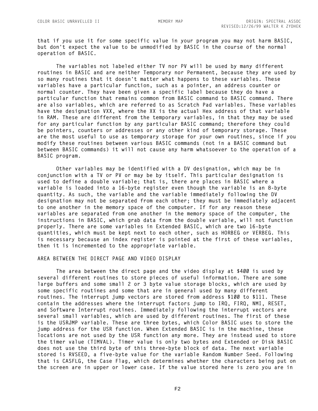**that if you use it for some specific value in your program you may not harm BASIC, but don't expect the value to be unmodified by BASIC in the course of the normal operation of BASIC.**

**The variables not labeled either TV nor PV will be used by many different routines in BASIC and are neither Temporary nor Permanent, because they are used by so many routines that it doesn't matter what happens to these variables. These variables have a particular function, such as a pointer, an address counter or normal counter. They have been given a specific label because they do have a particular function that remains common from BASIC command to BASIC command. There are also variables, which are referred to as Scratch Pad variables. These variables have the designation VXX, where the XX is the actual Hex address of that variable in RAM. These are different from the temporary variables, in that they may be used for any particular function by any particular BASIC command; therefore they could be pointers, counters or addresses or any other kind of temporary storage. These are the most useful to use as temporary storage for your own routines, since if you modify these routines between various BASIC commands (not in a BASIC command but between BASIC commands) it will not cause any harm whatsoever to the operation of a BASIC program.**

**Other variables may be identified with a DV designation, which may be in conjunction with a TV or PV or may be by itself. This particular designation is used to define a double variable; that is, there are places in BASIC where a variable is loaded into a 16-byte register even though the variable is an 8-byte quantity. As such, the variable and the variable immediately following the DV designation may not be separated from each other; they must be immediately adjacent to one another in the memory space of the computer. If for any reason these variables are separated from one another in the memory space of the computer, the instructions in BASIC, which grab data from the double variable, will not function properly. There are some variables in Extended BASIC, which are two 16-byte quantities, which must be kept next to each other, such as HORBEG or VERBEG. This is necessary because an index register is pointed at the first of these variables, then it is incremented to the appropriate variable.**

#### **AREA BETWEEN THE DIRECT PAGE AND VIDEO DISPLAY**

**The area between the direct page and the video display at \$400 is used by several different routines to store pieces of useful information. There are some large buffers and some small 2 or 3 byte value storage blocks, which are used by some specific routines and some that are in general used by many different routines. The interrupt jump vectors are stored from address \$100 to \$111. These contain the addresses where the interrupt factors jump to IRQ, FIRQ, NMI, RESET, and Software Interrupt routines. Immediately following the interrupt vectors are several small variables, which are used by different routines. The first of these is the USRJMP variable. These are three bytes, which Color BASIC uses to store the jump address for the USR function. When Extended BASIC is in the machine, these locations are not used by the USR function any more. They are instead used to store the timer value (TIMVAL). Timer value is only two bytes and Extended or Disk BASIC does not use the third byte of this three-byte block of data. The next variable stored is RVSEED, a five-byte value for the variable Random Number Seed. Following that is CASFLG, the Case Flag, which determines whether the characters being put on the screen are in upper or lower case. If the value stored here is zero you are in**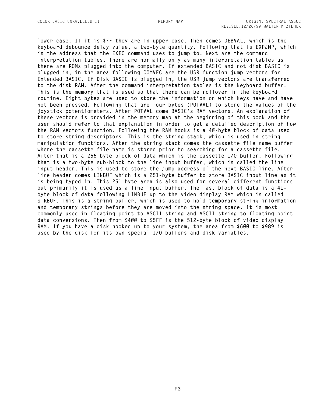**lower case. If it is \$FF they are in upper case. Then comes DEBVAL, which is the keyboard debounce delay value, a two-byte quantity. Following that is EXPJMP, which is the address that the EXEC command uses to jump to. Next are the command interpretation tables. There are normally only as many interpretation tables as there are ROMs plugged into the computer. If extended BASIC and not disk BASIC is plugged in, in the area following COMVEC are the USR function jump vectors for Extended BASIC. If Disk BASIC is plugged in, the USR jump vectors are transferred to the disk RAM. After the command interpretation tables is the keyboard buffer. This is the memory that is used so that there can be rollover in the keyboard routine. Eight bytes are used to store the information on which keys have and have not been pressed. Following that are four bytes (POTVAL) to store the values of the joystick potentiometers. After POTVAL come BASIC's RAM vectors. An explanation of these vectors is provided in the memory map at the beginning of this book and the user should refer to that explanation in order to get a detailed description of how the RAM vectors function. Following the RAM hooks is a 40-byte block of data used to store string descriptors. This is the string stack, which is used in string manipulation functions. After the string stack comes the cassette file name buffer where the cassette file name is stored prior to searching for a cassette file. After that is a 256 byte block of data which is the cassette I/O buffer. Following that is a two-byte sub-block to the line input buffer, which is called the line input header. This is used to store the jump address of the next BASIC line. After line header comes LINBUF which is a 251-byte buffer to store BASIC input line as it is being typed in. This 251-byte area is also used for several different functions but primarily it is used as a line input buffer. The last block of data is a 41 byte block of data following LINBUF up to the video display RAM which is called STRBUF. This is a string buffer, which is used to hold temporary string information and temporary strings before they are moved into the string space. It is most commonly used in floating point to ASCII string and ASCII string to floating point data conversions. Then from \$400 to \$5FF is the 512-byte block of video display RAM. If you have a disk hooked up to your system, the area from \$600 to \$989 is used by the disk for its own special I/O buffers and disk variables.**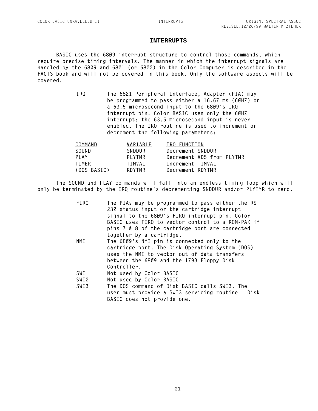# **INTERRUPTS**

**BASIC uses the 6809 interrupt structure to control those commands, which require precise timing intervals. The manner in which the interrupt signals are handled by the 6809 and 6821 (or 6822) in the Color Computer is described in the FACTS book and will not be covered in this book. Only the software aspects will be covered.**

> **IRQ The 6821 Peripheral Interface, Adapter (PIA) may be programmed to pass either a 16.67 ms (60HZ) or a 63.5 microsecond input to the 6809's IRQ interrupt pin. Color BASIC uses only the 60HZ interrupt; the 63.5 microsecond input is never enabled. The IRQ routine is used to increment or decrement the following parameters:**

| COMMAND     | VARIABLE | IRQ FUNCTION     |                           |  |
|-------------|----------|------------------|---------------------------|--|
| SOUND       | SNDDUR   | Decrement SNDDUR |                           |  |
| PLAY        | PLYTMR   |                  | Decrement VD5 from PLYTMR |  |
| TIMFR       | TIMVAL   | Increment TIMVAL |                           |  |
| (DOS BASIC) | RDYTMR   | Decrement RDYTMR |                           |  |
|             |          |                  |                           |  |

**The SOUND and PLAY commands will fall into an endless timing loop which will only be terminated by the IRQ routine's decrementing SNDDUR and/or PLYTMR to zero.**

| FIRQ             | The PIAs may be programmed to pass either the RS  |
|------------------|---------------------------------------------------|
|                  | 232 status input or the cartridge interrupt       |
|                  | signal to the 6809's FIRQ interrupt pin. Color    |
|                  | BASIC uses FIRQ to vector control to a ROM-PAK if |
|                  | pins 7 & 8 of the cartridge port are connected    |
|                  | together by a cartridge.                          |
| NMI              | The 6809's NMI pin is connected only to the       |
|                  | cartridge port. The Disk Operating System (DOS)   |
|                  | uses the NMI to vector out of data transfers      |
|                  | between the 6809 and the 1793 Floppy Disk         |
|                  | Controller.                                       |
| SWI              | Not used by Color BASIC                           |
| SWI <sub>2</sub> | Not used by Color BASIC                           |
| SWI3             | The DOS command of Disk BASIC calls SWI3. The     |
|                  | user must provide a SWI3 servicing routine Disk   |
|                  | BASIC does not provide one.                       |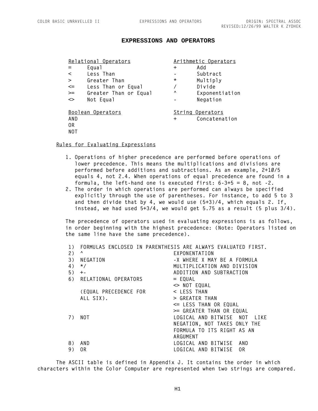## **EXPRESSIONS AND OPERATORS**

|                              | Relational Operators  |          | Arithmetic Operators |
|------------------------------|-----------------------|----------|----------------------|
| $=$                          | Equa1                 | $\pm$    | Add                  |
| $\prec$                      | Less Than             |          | Subtract             |
| $\geq$                       | Greater Than          | $^\star$ | Multiply             |
| $\leq$                       | Less Than or Equal    |          | Divide               |
| $>=$                         | Greater Than or Equal | Λ        | Exponentiation       |
| $\left\langle \right\rangle$ | Not Equal             |          | Negation             |
|                              | Boolean Operators     |          | String Operators     |
| AND                          |                       | $\div$   | Concatenation        |
| 0R                           |                       |          |                      |
| <b>NOT</b>                   |                       |          |                      |

#### **Rules for Evaluating Expressions**

- **1. Operations of higher precedence are performed before operations of lower precedence. This means the multiplications and divisions are performed before additions and subtractions. As an example, 2+10/5 equals 4, not 2.4. When operations of equal precedence are found in a formula, the left-hand one is executed first: 6-3+5 = 8, not -2.**
- **2. The order in which operations are performed can always be specified explicitly through the use of parentheses. For instance, to add 5 to 3 and then divide that by 4, we would use (5+3)/4, which equals 2. If, instead, we had used 5+3/4, we would get 5.75 as a result (5 plus 3/4).**

**The precedence of operators used in evaluating expressions is as follows, in order beginning with the highest precedence: (Note: Operators listed on the same line have the same precedence).**

|                       | FORMULAS ENCLOSED IN PARENTHESIS ARE ALWAYS EVALUATED FIRST. |
|-----------------------|--------------------------------------------------------------|
| Λ                     | EXPONENTATION                                                |
| NEGATION              | -X WHERE X MAY BE A FORMULA                                  |
| $\star/$              | MULTIPLICATION AND DIVISION                                  |
|                       | ADDITION AND SUBTRACTION                                     |
|                       | $=$ EQUAL                                                    |
|                       | $\leq$ NOT EQUAL                                             |
| (EQUAL PRECEDENCE FOR | < LESS THAN                                                  |
| ALL SIX).             | > GREATER THAN                                               |
|                       | <= LESS THAN OR EQUAL                                        |
|                       | >= GREATER THAN OR EQUAL                                     |
| NOT                   | LOGICAL AND BITWISE NOT LIKE                                 |
|                       | NEGATION, NOT TAKES ONLY THE                                 |
|                       | FORMULA TO ITS RIGHT AS AN                                   |
|                       | ARGUMENT                                                     |
| AND                   | LOGICAL AND BITWISE AND                                      |
| 0R                    | LOGICAL AND BITWISE<br>0R                                    |
|                       | $+ -$<br>6) RELATIONAL OPERATORS                             |

**The ASCII table is defined in Appendix J. It contains the order in which characters within the Color Computer are represented when two strings are compared.**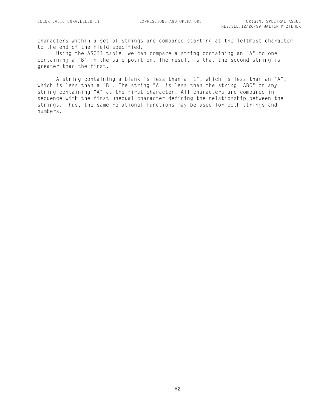Characters within a set of strings are compared starting at the leftmost character to the end of the field specified.

Using the ASCII table, we can compare a string containing an "A" to one containing a "B" in the same position. The result is that the second string is greater than the first.

A string containing a blank is less than a "1", which is less than an "A", which is less than a "B". The string "A" is less than the string "ABC" or any string containing "A" as the first character. All characters are compared in sequence with the first unequal character defining the relationship between the strings. Thus, the same relational functions may be used for both strings and numbers.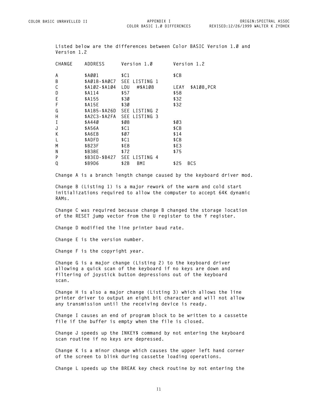**COLOR BASIC 1.0 DIFFERENCES**

**Listed below are the differences between Color BASIC Version 1.0 and Version 1.2**

| CHANGE | <b>ADDRESS</b>    | Version 1.0                 | Version 1.2         |
|--------|-------------------|-----------------------------|---------------------|
| A      | \$AØØ1            | \$C1                        | \$CB                |
| B      | \$AØ1B-\$AØC7 SEE | LISTING 1                   |                     |
| С      | \$A102-\$A104     | LDU<br>#\$A108              | \$A108, PCR<br>LEAY |
| D      | \$A114            | \$57                        | \$58                |
| E      | \$A155            | \$30                        | \$32                |
| F      | \$A15E            | \$30                        | \$32                |
| G      |                   | \$A1B5-\$A26D SEE LISTING 2 |                     |
| Н      |                   | \$A2C3-\$A2FA SEE LISTING 3 |                     |
| I      | \$A440            | \$Ø8                        | \$Ø3                |
| J      | \$A56A            | \$C1                        | \$CB                |
| К      | \$A6EB            | \$Ø7                        | \$14                |
| L      | \$ADFD            | \$C1                        | \$CB                |
| M      | \$B23F            | \$E8                        | \$E3                |
| N      | \$B38E            | \$72                        | \$75                |
| P      | \$B3ED-\$B427 SEE | LISTING 4                   |                     |
| Q      | \$B9D6            | \$2B<br>BMI                 | \$25<br><b>BCS</b>  |

**Change A is a branch length change caused by the keyboard driver mod.**

**Change B (Listing 1) is a major rework of the warm and cold start initializations required to allow the computer to accept 64K dynamic RAMs.**

**Change C was required because change B changed the storage location of the RESET jump vector from the U register to the Y register.**

**Change D modified the line printer baud rate.**

**Change E is the version number.**

**Change F is the copyright year.**

**Change G is a major change (Listing 2) to the keyboard driver allowing a quick scan of the keyboard if no keys are down and filtering of joystick button depressions out of the keyboard scan.**

**Change H is also a major change (Listing 3) which allows the line printer driver to output an eight bit character and will not allow any transmission until the receiving device is ready.**

**Change I causes an end of program block to be written to a cassette file if the buffer is empty when the file is closed.**

**Change J speeds up the INKEY\$ command by not entering the keyboard scan routine if no keys are depressed.**

**Change K is a minor change which causes the upper left hand corner of the screen to blink during cassette loading operations.**

**Change L speeds up the BREAK key check routine by not entering the**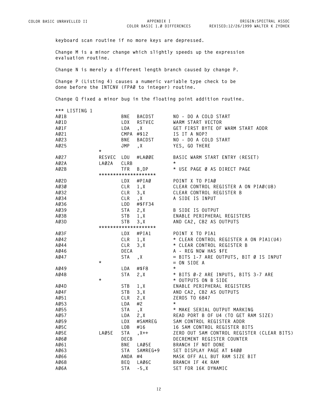**COLOR BASIC 1.0 DIFFERENCES**

**ORIGIN:SPECTRAL ASSOC REVISED:12/26/1999 WALTER K ZYDHEK**

**keyboard scan routine if no more keys are depressed.** 

**Change M is a minor change which slightly speeds up the expression evaluation routine.**

**Change N is merely a different length branch caused by change P.**

**Change P (Listing 4) causes a numeric variable type check to be done before the INTCNV (FPA0 to integer) routine.** 

**Change Q fixed a minor bug in the floating point addition routine.**

| *** LISTING 1 |            |              |                      |                                            |
|---------------|------------|--------------|----------------------|--------------------------------------------|
| AØ1B          |            |              | BNE BACDST           | NO - DO A COLD START                       |
| AØ1D          |            | LDX          | RSTVEC               | WARM START VECTOR                          |
| AØ1F          |            | LDA          | $\lambda$            | GET FIRST BYTE OF WARM START ADDR          |
| AØ21          |            |              | CMPA #\$12           | IS IT A NOP?                               |
| AØ23          |            | BNE          | BACDST               | NO - DO A COLD START                       |
| AØ25          |            | JMP          |                      |                                            |
|               | $^\star$   |              | , X                  | YES, GO THERE                              |
| AØ27          | RESVEC LDU |              | #LAØØE               | BASIC WARM START ENTRY (RESET)             |
| AØ2A          | LAØ2A      | CLRB         |                      | $\star$                                    |
| AØ2B          |            | TFR          | B, DP                | * USE PAGE Ø AS DIRECT PAGE                |
|               |            |              | ******************** |                                            |
| AØ2D          |            | LDX          | #PIAØ                | POINT X TO PIAØ                            |
| AØ3Ø          |            |              | $CLR$ 1, $X$         | CLEAR CONTROL REGISTER A ON PIAØ(U8)       |
| AØ32          |            | CLR          | 3, X                 | CLEAR CONTROL REGISTER B                   |
| AØ34          |            |              | CLR, X               | A SIDE IS INPUT                            |
| AØ36          |            | LDD          | #\$FF34              |                                            |
| AØ39          |            | $STA \t2, X$ |                      | B SIDE IS OUTPUT                           |
| AØ3B          |            | <b>STB</b>   | 1, X                 | ENABLE PERIPHERAL REGISTERS                |
| AØ3D          |            | <b>STB</b>   | 3, X                 | AND CA2, CB2 AS OUTPUTS                    |
|               |            |              | ******************** |                                            |
| AØ3F          |            |              | LDX #PIA1            | POINT X TO PIA1                            |
| AØ42          |            |              | $CLR$ 1, $X$         | * CLEAR CONTROL REGISTER A ON PIA1(U4)     |
| AØ44          |            | CLR          | 3, X                 | * CLEAR CONTROL REGISTER B                 |
| AØ46          |            | DECA         |                      | A - REG NOW HAS \$FE                       |
| AØ47          |            | STA          | , X                  | = BITS 1-7 ARE OUTPUTS, BIT Ø IS INPUT     |
|               | $^\star$   |              |                      | $= ON$ SIDE A                              |
| AØ49          |            | LDA          | #\$F8                | $\star$                                    |
| AØ4B          |            | STA          | 2, X                 | * BITS Ø-2 ARE INPUTS, BITS 3-7 ARE        |
|               | $^\star$   |              |                      | * OUTPUTS ON B SIDE                        |
| AØ4D          |            | $STB$ 1, X   |                      | ENABLE PERIPHERAL REGISTERS                |
| AØ4F          |            | STB          | 3, X                 | AND CA2, CB2 AS OUTPUTS<br>ZEROS TO 6847   |
| AØ51          |            | CLR          | 2, $X$<br>$\#$       | ZEROS TO 6847                              |
| AØ53          |            | LDA          | #2                   | $\star$                                    |
| AØ55          |            | <b>STA</b>   | , X                  | * MAKE SERIAL OUTPUT MARKING               |
| AØ57          |            | LDA          | 2, X                 | READ PORT B OF U4 (TO GET RAM SIZE)        |
| AØ59          |            | LDX          | #SAMREG              | SAM CONTROL REGISTER ADDR                  |
| AØ5C          |            | LDB          | #16                  | 16 SAM CONTROL REGISTER BITS               |
| AØ5E          | LAØ5E      | STA          | $, X++$              | ZERO OUT SAM CONTROL REGISTER (CLEAR BITS) |
| AØ6Ø          |            | DECB         |                      | DECREMENT REGISTER COUNTER                 |
| AØ61          |            | BNE          | LAØ5E                | BRANCH IF NOT DONE                         |
| AØ63          |            | <b>STA</b>   | SAMREG+9             | SET DISPLAY PAGE AT \$400                  |
| AØ66          |            | ANDA #4      |                      | MASK OFF ALL BUT RAM SIZE BIT              |
| AØ68          |            | BEQ          | LAØ6C                | BRANCH IF 4K RAM                           |
| AØ6A          |            | STA          | $-5, X$              | SET FOR 16K DYNAMIC                        |
|               |            |              |                      |                                            |

**I2**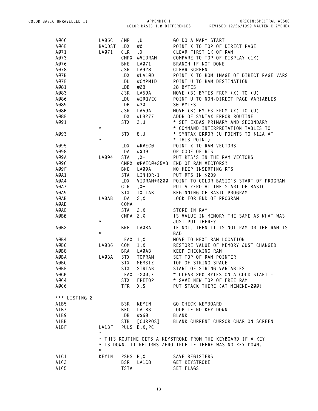| AØ6C          | LAØ6C            | JMP        | , U                    | GO DO A WARM START                                         |
|---------------|------------------|------------|------------------------|------------------------------------------------------------|
| AØ6E          | <b>BACDST</b>    | LDX        | #Ø                     | POINT X TO TOP OF DIRECT PAGE                              |
| AØ71          | LAØ71            | CLR        | $, X +$                | CLEAR FIRST 1K OF RAM                                      |
| A073          |                  |            | CMPX #VIDRAM           | COMPARE TO TOP OF DISPLAY (1K)                             |
| A076          |                  | <b>BNE</b> | LA071                  | BRANCH IF NOT DONE                                         |
| A078          |                  | <b>JSR</b> | LA928                  | CLEAR SCREEN                                               |
| AØ7B          |                  | LDX        | #LA1ØD                 | POINT X TO ROM IMAGE OF DIRECT PAGE VARS                   |
| A07E          |                  | LDU        | #CMPMID                | POINT U TO RAM DESTINATION                                 |
| AØ81          |                  | LDB        | #28                    | 28 BYTES                                                   |
| AØ83          |                  | JSR        |                        | MOVE (B) BYTES FROM (X) TO (U)                             |
| AØ86          |                  | LDU        | ._<br>LA59A<br>#IRQVEC | POINT U TO NON-DIRECT PAGE VARIABLES                       |
| AØ89          |                  | LDB        | #30                    | 30 BYTES                                                   |
| AØ8B          |                  | JSR        | LA59A                  | MOVE (B) BYTES FROM (X) TO (U)                             |
| AØ8E          |                  | LDX        | #LB277                 | ADDR OF SYNTAX ERROR ROUTINE                               |
| AØ91          |                  | <b>STX</b> |                        | * SET EXBAS PRIMARY AND SECONDARY                          |
|               | $\star$          |            | 3, U                   |                                                            |
|               |                  |            |                        | * COMMAND INTERPRETATION TABLES TO                         |
| AØ93          | $^\star$         | <b>STX</b> | 8, U                   | * SYNTAX ERROR (U POINTS TO \$12A AT                       |
|               |                  |            |                        | * THIS POINT)                                              |
| AØ95          |                  | LDX        | #RVECØ                 | POINT X TO RAM VECTORS                                     |
| AØ98          |                  | LDA        | #\$39                  | OP CODE OF RTS                                             |
| A09A          | LA094            | STA        | $, X +$                | PUT RTS'S IN THE RAM VECTORS                               |
| AØ9C          |                  |            |                        | CMPX #RVECØ+25*3 END OF RAM VECTORS?                       |
| AØ9F          |                  | <b>BNE</b> | LAØ9A                  | NO KEEP INSERTING RTS                                      |
| AØA1          |                  | STA        | LINHDR-1               | PUT RTS IN \$2D9                                           |
| AØA4          |                  | LDX        |                        | VIDRAM+\$200 POINT TO COLOR BASIC'S START OF PROGRAM       |
| AØA7          |                  | CLR        | $, X +$                | PUT A ZERO AT THE START OF BASIC                           |
| AØA9          |                  | STX        | <b>TXTTAB</b>          | BEGINNING OF BASIC PROGRAM                                 |
| AØAB          | LAØAB            | LDA        | 2, X                   | LOOK FOR END OF PROGRAM                                    |
| AØAD          |                  | COMA       |                        |                                                            |
| AØAE          |                  | STA        | 2, X                   | STORE IN RAM                                               |
| AØBØ          |                  |            | $CMPA$ $2, X$          | IS VALUE IN MEMORY THE SAME AS WHAT WAS                    |
|               | $\star$          |            |                        | JUST PUT THERE?                                            |
| AØB2          |                  | <b>BNE</b> | LAØBA                  | IF NOT, THEN IT IS NOT RAM OR THE RAM IS                   |
|               | $^\star$         |            |                        | BAD                                                        |
| AØB4          |                  |            | LEAX 1,X               | MOVE TO NEXT RAM LOCATION                                  |
| AØB6          | LAØB6            | COM        | 1, X                   | RESTORE VALUE OF MEMORY JUST CHANGED                       |
| AØB8          |                  | <b>BRA</b> | LAØAB                  | KEEP CHECKING RAM                                          |
| AØBA          | LAØBA            | <b>STX</b> | <b>TOPRAM</b>          | SET TOP OF RAM POINTER                                     |
| AØBC          |                  | <b>STX</b> | MEMSIZ                 | TOP OF STRING SPACE                                        |
| AØBE          |                  | <b>STX</b> | STRTAB                 | START OF STRING VARIABLES                                  |
| AØCØ          |                  |            | LEAX -200,X            | * CLEAR 200 BYTES ON A COLD START -                        |
| AØC4          |                  | <b>STX</b> | FRETOP                 | * SAVE NEW TOP OF FREE RAM                                 |
| AØC6          |                  | <b>TFR</b> | X,S                    | PUT STACK THERE (AT MEMEND-200)                            |
|               |                  |            |                        |                                                            |
| *** LISTING 2 |                  |            |                        |                                                            |
| A1B5          |                  | <b>BSR</b> | KEYIN                  | GO CHECK KEYBOARD                                          |
| A1B7          |                  | BEQ        | LA1B3                  | LOOP IF NO KEY DOWN                                        |
| A1B9          |                  | LDB        | #\$60                  | BLANK                                                      |
| A1BB          |                  | STB        | [CURPOS]               | BLANK CURRENT CURSOR CHAR ON SCREEN                        |
| A1BF          | LA1BF<br>$\star$ |            | PULS B, X, PC          |                                                            |
|               |                  |            |                        | * THIS ROUTINE GETS A KEYSTROKE FROM THE KEYBOARD IF A KEY |
|               |                  |            |                        | * IS DOWN. IT RETURNS ZERO TRUE IF THERE WAS NO KEY DOWN.  |
|               | $^\star$         |            |                        |                                                            |
| A1C1          | KEYIN            | PSHS B, X  |                        | SAVE REGISTERS                                             |
| A1C3          |                  | <b>BSR</b> | LA1C8                  | <b>GET KEYSTROKE</b>                                       |
| A1C5          |                  | TSTA       |                        | SET FLAGS                                                  |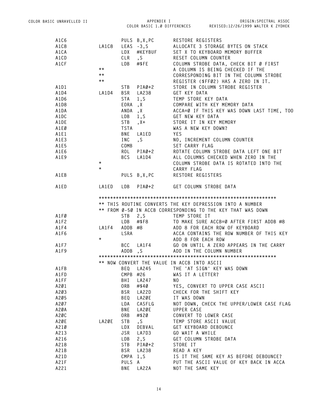| A1C6 |              |             | PULS B, X, PC         | RESTORE REGISTERS                                           |
|------|--------------|-------------|-----------------------|-------------------------------------------------------------|
| A1C8 | LA1C8        |             | LEAS -3,S             | ALLOCATE 3 STORAGE BYTES ON STACK                           |
| A1CA |              |             | LDX #KEYBUF<br>CLR ,S | SET X TO KEYBOARD MEMORY BUFFER                             |
| A1CD |              |             |                       | RESET COLUMN COUNTER                                        |
| A1CF |              | LDB         | $\#$ \$FE             | COLUMN STROBE DATA, CHECK BIT Ø FIRST                       |
|      | $***$        |             |                       | A COLUMN IS BEING CHECKED IF THE                            |
|      | $\star\star$ |             |                       | CORRESPONDING BIT IN THE COLUMN STROBE                      |
|      | $\star\star$ |             |                       | REGISTER (\$FF02) HAS A ZERO IN IT.                         |
| A1D1 |              |             | $STB$ $PIAØ+2$        | STORE IN COLUMN STROBE REGISTER                             |
|      |              |             | BSR LA238             |                                                             |
| A1D4 | LA1D4        |             |                       | GET KEY DATA                                                |
| A1D6 |              | <b>STA</b>  | 1, S                  | TEMP STORE KEY DATA                                         |
| A1D8 |              | EORA        | , X                   | COMPARE WITH KEY MEMORY DATA                                |
| A1DA |              |             | ANDA, X               | ACCA=Ø IF THIS KEY WAS DOWN LAST TIME, TOO                  |
| A1DC |              | LDB         | 1, S                  | GET NEW KEY DATA                                            |
| A1DE |              | <b>STB</b>  | $, X +$               | STORE IT IN KEY MEMORY                                      |
| A1EØ |              | <b>TSTA</b> |                       | WAS A NEW KEY DOWN?                                         |
| A1E1 |              | <b>BNE</b>  | LA1ED                 | <b>YES</b>                                                  |
| A1E3 |              | INC         | , S                   | NO, INCREMENT COLUMN COUNTER                                |
| A1E5 |              | COMB        |                       | SET CARRY FLAG                                              |
| A1E6 |              | ROL         | $PIAØ+2$              | ROTATE COLUMN STROBE DATA LEFT ONE BIT                      |
| A1E9 |              | <b>BCS</b>  | LA1D4                 | ALL COLUMNS CHECKED WHEN ZERO IN THE                        |
|      | $\star$      |             |                       | COLUMN STROBE DATA IS ROTATED INTO THE                      |
|      | $\star$      |             |                       | CARRY FLAG                                                  |
| A1EB |              |             | PULS B,X,PC           | RESTORE REGISTERS                                           |
|      |              |             |                       |                                                             |
| A1ED | LA1ED        | LDB         | $PIAØ+2$              | GET COLUMN STROBE DATA                                      |
|      |              |             |                       |                                                             |
|      |              |             |                       | ** THIS ROUTINE CONVERTS THE KEY DEPRESSION INTO A NUMBER   |
|      |              |             |                       | ** FROM Ø-50 IN ACCB CORRESPONDING TO THE KEY THAT WAS DOWN |
| A1FØ |              | STB         | 2, S                  | TEMP STORE IT                                               |
| A1F2 |              | LDB         | #\$F8                 | TO MAKE SURE ACCB=Ø AFTER FIRST ADDB #8                     |
| A1F4 | LA1F4        |             | ADDB #8               | ADD 8 FOR EACH ROW OF KEYBOARD                              |
| A1F6 |              | LSRA        |                       | ACCA CONTAINS THE ROW NUMBER OF THIS KEY                    |
|      | $^\star$     |             |                       | ADD 8 FOR EACH ROW                                          |
| A1F7 |              |             |                       | BCC LA1F4 GO ON UNTIL A ZERO APPEARS IN THE CARRY           |
| A1F9 |              |             | ADDB, S               | ADD IN THE COLUMN NUMBER                                    |
|      |              |             |                       |                                                             |
|      |              |             |                       | ** NOW CONVERT THE VALUE IN ACCB INTO ASCII                 |
| A1FB |              | BEQ         | LA245                 | THE 'AT SIGN' KEY WAS DOWN                                  |
| A1FD |              | CMPB        | #26                   | WAS IT A LETTER?                                            |
| A1FF |              | BHI         | LA247                 | NO.                                                         |
| A201 |              | ORB         | #\$40                 | YES, CONVERT TO UPPER CASE ASCII                            |
| A203 |              | <b>BSR</b>  | LA22D                 | CHECK FOR THE SHIFT KEY                                     |
| A205 |              | BEQ         | LA2ØE                 | IT WAS DOWN                                                 |
| A207 |              | LDA         | CASFLG                | NOT DOWN, CHECK THE UPPER/LOWER CASE FLAG                   |
| A2ØA |              | <b>BNE</b>  | LA2ØE                 | UPPER CASE                                                  |
|      |              |             |                       |                                                             |
| A2ØC |              | ORB         | #\$20                 | CONVERT TO LOWER CASE                                       |
| A2ØE | LA2ØE        | STB         | $\mathsf{S}$          | TEMP STORE ASCII VALUE                                      |
| A210 |              | LDX         | DEBVAL                | GET KEYBOARD DEBOUNCE                                       |
| A213 |              | <b>JSR</b>  | LA7D3                 | GO WAIT A WHILE                                             |
| A216 |              | LDB         | 2, S                  | GET COLUMN STROBE DATA                                      |
| A218 |              | STB         | $PIAØ+2$              | STORE IT                                                    |
| A21B |              | <b>BSR</b>  | LA238                 | READ A KEY                                                  |
| A21D |              | CMPA        | 1, S                  | IS IT THE SAME KEY AS BEFORE DEBOUNCE?                      |
| A21F |              | PULS        | A                     | PUT THE ASCII VALUE OF KEY BACK IN ACCA                     |
| A221 |              | BNE         | LA22A                 | NOT THE SAME KEY                                            |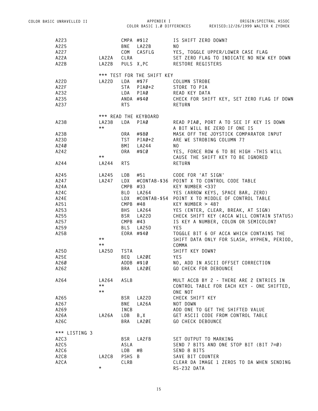| COLOR BASIC UNRAVELLED II     |              |                          | APPENDIX I                 |                          | ORIGIN: SPECTRAL ASSOC                                         |
|-------------------------------|--------------|--------------------------|----------------------------|--------------------------|----------------------------------------------------------------|
|                               |              |                          |                            |                          | COLOR BASIC 1.0 DIFFERENCES REVISED:12/26/1999 WALTER K ZYDHEK |
| A223                          |              |                          | CMPA #\$12                 | IS SHIFT ZERO DOWN?      |                                                                |
| A225                          |              |                          | BNE LA22B                  | NO.                      |                                                                |
| A227                          |              |                          | COM CASFLG                 |                          |                                                                |
|                               |              |                          |                            |                          | YES, TOGGLE UPPER/LOWER CASE FLAG                              |
| A22A                          | LA22A CLRA   |                          |                            |                          | SET ZERO FLAG TO INDICATE NO NEW KEY DOWN                      |
| A22B                          | LA22B        |                          | PULS X, PC                 | RESTORE REGISTERS        |                                                                |
|                               |              |                          | *** TEST FOR THE SHIFT KEY |                          |                                                                |
| A22D                          | LA22D        |                          | LDA #\$7F                  | COLUMN STROBE            |                                                                |
| A22F                          |              |                          | STA PIAØ+2                 | STORE TO PIA             |                                                                |
| A232                          |              |                          | LDA PIAØ                   | READ KEY DATA            |                                                                |
| A235                          |              |                          | $ANDA$ #\$40               |                          | CHECK FOR SHIFT KEY, SET ZERO FLAG IF DOWN                     |
| A237                          |              | <b>RTS</b>               |                            | RETURN                   |                                                                |
|                               |              |                          | *** READ THE KEYBOARD      |                          |                                                                |
| A238                          | LA238        |                          | LDA PIAØ                   |                          | READ PIAØ, PORT A TO SEE IF KEY IS DOWN                        |
|                               | $***$        |                          |                            |                          | A BIT WILL BE ZERO IF ONE IS                                   |
|                               |              |                          |                            |                          | MASK OFF THE JOYSTICK COMPARATOR INPUT                         |
| A23B                          |              | 0RA                      | #\$80                      |                          |                                                                |
| A23D                          |              | <b>TST</b>               | $PIAØ+2$                   |                          | ARE WE STROBING COLUMN 7?                                      |
| A240                          |              | BMI                      | LA244                      | NO.                      |                                                                |
| A242                          |              |                          | ORA #\$CØ                  |                          | YES, FORCE ROW 6 TO BE HIGH - THIS WILL                        |
|                               | $\star\star$ |                          |                            |                          | CAUSE THE SHIFT KEY TO BE IGNORED                              |
| A244                          | LA244        | <b>RTS</b>               |                            | RETURN                   |                                                                |
| A245                          | LA245        | LDB                      |                            |                          |                                                                |
| A247                          | LA247        | LDX                      |                            |                          | #CONTAB-\$36 POINT X TO CONTROL CODE TABLE                     |
| A24A                          |              |                          | CMPB #33                   | KEY NUMBER <33?          |                                                                |
| A24C                          |              |                          |                            |                          | BLO LA264 YES (ARROW KEYS, SPACE BAR, ZERO)                    |
| A24E                          |              |                          |                            |                          | LDX #CONTAB-\$54 POINT X TO MIDDLE OF CONTROL TABLE            |
| A251                          |              |                          | CMPB $#48$                 | KEY NUMBER $> 48$ ?      |                                                                |
| A253                          |              |                          | BHS LA264                  |                          | YES (ENTER, CLEAR, BREAK, AT SIGN)                             |
| A255                          |              |                          | BSR LA22D                  |                          | CHECK SHIFT KEY (ACCA WILL CONTAIN STATUS)                     |
| A257                          |              |                          | $CMPB$ #43                 |                          | IS KEY A NUMBER, COLON OR SEMICOLON?                           |
| A259                          |              |                          | BLS LA25D                  | YES                      |                                                                |
| A25B                          |              |                          | EORA #\$40                 |                          | TOGGLE BIT 6 OF ACCA WHICH CONTAINS THE                        |
|                               | $\star\star$ |                          |                            |                          | SHIFT DATA ONLY FOR SLASH, HYPHEN, PERIOD,                     |
|                               | $\star\star$ |                          |                            | COMMA                    |                                                                |
| A25D                          | LA25D        | <b>TSTA</b>              |                            | SHIFT KEY DOWN?          |                                                                |
| A25E                          |              |                          | BEQ LA2ØE                  | YES                      |                                                                |
| A260                          |              |                          | ADDB #\$10                 |                          | NO, ADD IN ASCII OFFSET CORRECTION                             |
| A262                          |              | <b>BRA</b>               | LA2ØE                      | GO CHECK FOR DEBOUNCE    |                                                                |
| A264                          | LA264        | ASLB                     |                            |                          | MULT ACCB BY 2 - THERE ARE 2 ENTRIES IN                        |
|                               | $\star\star$ |                          |                            |                          | CONTROL TABLE FOR EACH KEY - ONE SHIFTED,                      |
|                               | $\star\star$ |                          |                            | ONE NOT                  |                                                                |
|                               |              |                          | LA22D                      | CHECK SHIFT KEY          |                                                                |
| A265<br>A267                  |              | <b>BSR</b><br><b>BNE</b> |                            | NOT DOWN                 |                                                                |
|                               |              |                          | LA26A                      |                          |                                                                |
| A269                          |              | INCB                     |                            |                          | ADD ONE TO GET THE SHIFTED VALUE                               |
| A26A                          | LA26A        | LDB                      | B, X                       |                          | GET ASCII CODE FROM CONTROL TABLE                              |
| A26C                          |              | BRA                      | LA2ØE                      | <b>GO CHECK DEBOUNCE</b> |                                                                |
| *** LISTING 3                 |              |                          |                            |                          |                                                                |
| A <sub>2</sub> C <sub>3</sub> |              | BSR                      | LA2FB                      | SET OUTPUT TO MARKING    |                                                                |
| A2C5                          |              | ASLA                     |                            |                          | SEND 7 BITS AND ONE STOP BIT (BIT 7=0)                         |
| A2C6                          |              | LDB                      | #8                         | SEND 8 BITS              |                                                                |
| A2C8                          | LA2C8        | PSHS B                   |                            | SAVE BIT COUNTER         |                                                                |
| A2CA                          |              | CLRB                     |                            |                          | CLEAR DA IMAGE 1 ZEROS TO DA WHEN SENDING                      |
|                               | $^\star$     |                          |                            | RS-232 DATA              |                                                                |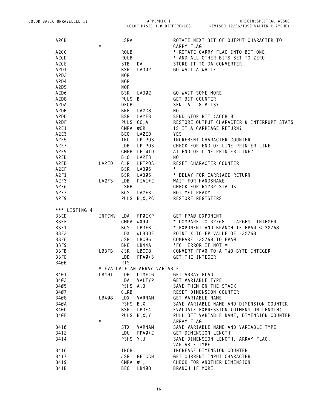**COLOR BASIC 1.0 DIFFERENCES REVISED:12/26/1999 WALTER K ZYDHEK ORIGIN:SPECTRAL ASSOC**

| A <sub>2</sub> C <sub>B</sub> |          | LSRA            |                              | ROTATE NEXT BIT OF OUTPUT CHARACTER TO              |
|-------------------------------|----------|-----------------|------------------------------|-----------------------------------------------------|
|                               | $^\star$ |                 |                              | CARRY FLAG                                          |
| A <sub>2</sub> CC             |          | <b>ROLB</b>     |                              | * ROTATE CARRY FLAG INTO BIT ONE                    |
| A2CD                          |          | <b>ROLB</b>     |                              | * AND ALL OTHER BITS SET TO ZERO                    |
| A2CE                          |          | <b>STB</b>      | DA                           | STORE IT TO DA CONVERTER                            |
| A2D1                          |          | <b>BSR</b>      | LA302                        | GO WAIT A WHILE                                     |
| A2D3                          |          | <b>NOP</b>      |                              |                                                     |
| A2D4                          |          | NOP             |                              |                                                     |
| A2D5                          |          | NOP             |                              |                                                     |
| A2D6                          |          | <b>BSR</b>      | LA302                        | GO WAIT SOME MORE                                   |
| A2D8                          |          | <b>PULS</b>     | B                            | GET BIT COUNTER                                     |
| A2DA                          |          | DECB            |                              | SENT ALL 8 BITS?                                    |
| A2DB                          |          | BNE             | LA2C8                        | NO.                                                 |
| A2DD                          |          | <b>BSR</b>      | LA2FB                        | SEND STOP BIT (ACCB=Ø)                              |
| A2DF                          |          |                 | PULS CC, A                   | RESTORE OUTPUT CHARACTER & INTERRUPT STATS          |
| A2E1                          |          | CMPA            | #CR                          | IS IT A CARRIAGE RETURN?                            |
| A2E3                          |          | BEQ             | LA2ED                        | <b>YES</b>                                          |
|                               |          |                 |                              |                                                     |
| A2E5                          |          | INC             | <b>LPTPOS</b>                | INCREMENT CHARACTER COUNTER                         |
| A2E7                          |          | LDB             | LPTPOS                       | CHECK FOR END OF LINE PRINTER LINE                  |
| A2E9                          |          |                 | CMPB LPTWID                  | AT END OF LINE PRINTER LINE?                        |
| A2EB                          |          | BL <sub>0</sub> | LA2F3                        | NO.                                                 |
| A2ED                          | LA2ED    | CLR             | LPTPOS                       | RESET CHARACTER COUNTER                             |
| A2EF                          |          | <b>BSR</b>      | LA305                        | $^\star$                                            |
| A2F1                          |          | <b>BSR</b>      | LA305                        | * DELAY FOR CARRIAGE RETURN                         |
| A2F3                          | LA2F3    | LDB             | $PIA1+2$                     | WAIT FOR HANDSHAKE                                  |
| A2F6                          |          | LSRB            |                              | CHECK FOR RS232 STATUS                              |
| A2F7                          |          | <b>BCS</b>      | LA2F3                        | NOT YET READY                                       |
| A2F9                          |          |                 | PULS B, X, PC                | RESTORE REGISTERS                                   |
| *** LISTING 4                 |          |                 |                              |                                                     |
| B3ED                          | INTCNV   | LDA             | FPØEXP                       | GET FPAØ EXPONENT                                   |
| B3EF                          |          | CMPA            | #\$90                        | * COMPARE TO 32768 - LARGEST INTEGER                |
| B3F1                          |          | <b>BCS</b>      | LB3FB                        | * EXPONENT AND BRANCH IF FPAØ < 32768               |
| B3F3                          |          | LDX             | #LB3DF                       | POINT X TO FP VALUE OF -32768                       |
| B3F6                          |          | JSR             | LBC96                        | COMPARE -32768 TO FPAØ                              |
| B3F9                          |          | <b>BNE</b>      | LB44A                        | 'FC' ERROR IF NOT =                                 |
| B3FB                          | LB3FB    | <b>JSR</b>      | LBCC8                        | CONVERT FPAØ TO A TWO BYTE INTEGER                  |
| B3FE                          |          | LDD             | $FPAØ+3$                     | GET THE INTEGER                                     |
|                               |          | <b>RTS</b>      |                              |                                                     |
| B400                          |          |                 |                              |                                                     |
|                               |          |                 | * EVALUATE AN ARRAY VARIABLE |                                                     |
| B401                          | LB4Ø1    | LDB             | DIMFLG                       | GET ARRAY FLAG                                      |
| B403                          |          | LDA             | VALTYP                       | GET VARIABLE TYPE                                   |
| B405                          |          | <b>PSHS</b>     | A, B                         | SAVE THEM ON THE STACK                              |
| B407                          |          | CLRB            |                              | RESET DIMENSION COUNTER                             |
| B408                          | LB408    | LDX             | VARNAM                       | GET VARIABLE NAME                                   |
| B4ØA                          |          | <b>PSHS</b>     | B,X                          | SAVE VARIABLE NAME AND DIMENSION COUNTER            |
| B4ØC                          |          | BSR             | LB3E4                        | EVALUATE EXPRESSION (DIMENSION LENGTH)              |
| B4ØE                          |          |                 | PULS B, X, Y                 | PULL OFF VARIABLE NAME, DIMENSION COUNTER           |
|                               | $^\star$ |                 |                              | ARRAY FLAG                                          |
| B41Ø                          |          | <b>STX</b>      | VARNAM                       | SAVE VARIABLE NAME AND VARIABLE TYPE                |
| B412                          |          | LDU             | $FPAØ+2$                     | GET DIMENSION LENGTH                                |
| B414                          |          | <b>PSHS</b>     | Y,U                          | SAVE DIMENSION LENGTH, ARRAY FLAG,<br>VARIABLE TYPE |
| B416                          |          | INCB            |                              | INCREASE DIMENSION COUNTER                          |
|                               |          |                 |                              |                                                     |
| B417                          |          | JSR             | <b>GETCCH</b>                | GET CURRENT INPUT CHARACTER                         |
| B419                          |          | CMPA #',        |                              | CHECK FOR ANOTHER DIMENSION                         |
| <b>B41B</b>                   |          | BEQ             | LB408                        | BRANCH IF MORE                                      |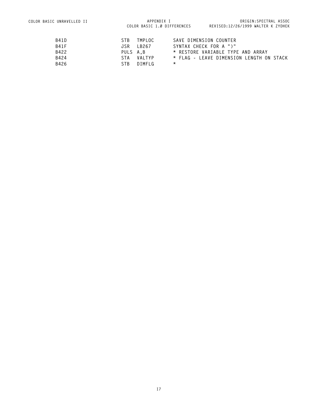| B41D | STB.     | TMPLOC     | SAVE DIMENSION COUNTER                   |
|------|----------|------------|------------------------------------------|
| B41F |          | JSR LB267  | SYNTAX CHECK FOR A ")"                   |
| B422 | PULS A.B |            | * RESTORE VARIABLE TYPE AND ARRAY        |
| B424 |          | STA VAITYP | * FLAG – LEAVE DIMENSION LENGTH ON STACK |
| B426 | STB.     | DIMFI G    | *                                        |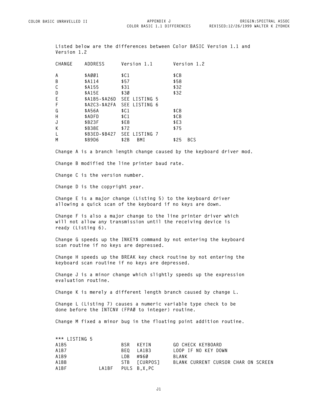**COLOR BASIC 1.1 DIFFERENCES**

**Listed below are the differences between Color BASIC Version 1.1 and Version 1.2**

| CHANGE       | ADDRESS | Version 1.1                 | Version 1.2        |
|--------------|---------|-----------------------------|--------------------|
| A            | \$AØØ1  | \$C1                        | \$CB               |
| B            | \$A114  | \$57                        | \$58               |
| C            | \$A155  | \$31                        | \$32               |
| D            | \$A15E  | \$30                        | \$32               |
| E            |         | \$A1B5-\$A26D SEE LISTING 5 |                    |
| F            |         | \$A2C3-\$A2FA SEE LISTING 6 |                    |
| G            | \$A56A  | \$C1                        | \$CB               |
| H            | \$ADFD  | \$C1                        | \$CB               |
| J            | \$B23F  | \$E8                        | \$E3               |
| K            | \$B38E  | \$72                        | \$75               |
| $\mathbf{I}$ |         | \$B3ED-\$B427 SEE LISTING 7 |                    |
| M            | \$B9D6  | \$2B<br>BMI                 | \$25<br><b>BCS</b> |
|              |         |                             |                    |

**Change A is a branch length change caused by the keyboard driver mod.**

**Change B modified the line printer baud rate.**

**Change C is the version number.**

**Change D is the copyright year.**

**Change E is a major change (Listing 5) to the keyboard driver allowing a quick scan of the keyboard if no keys are down.**

**Change F is also a major change to the line printer driver which will not allow any transmission until the receiving device is ready (Listing 6).**

**Change G speeds up the INKEY\$ command by not entering the keyboard scan routine if no keys are depressed.**

**Change H speeds up the BREAK key check routine by not entering the keyboard scan routine if no keys are depressed.** 

**Change J is a minor change which slightly speeds up the expression evaluation routine.**

**Change K is merely a different length branch caused by change L.**

**Change L (Listing 7) causes a numeric variable type check to be done before the INTCNV (FPA0 to integer) routine.** 

**Change M fixed a minor bug in the floating point addition routine.**

| $***$ listing 5 |       |       |              |                                     |
|-----------------|-------|-------|--------------|-------------------------------------|
| A1B5            |       |       | BSR KEYIN    | GO CHECK KEYBOARD                   |
| A1B7            |       |       | BEO LA1B3    | LOOP IF NO KEY DOWN                 |
| A1B9            |       | I DB. | #\$60        | BLANK                               |
| A1BB            |       |       | STB 「CURPOST | BLANK CURRENT CURSOR CHAR ON SCREEN |
| A1BF            | LA1BF |       | PULS B.X.PC  |                                     |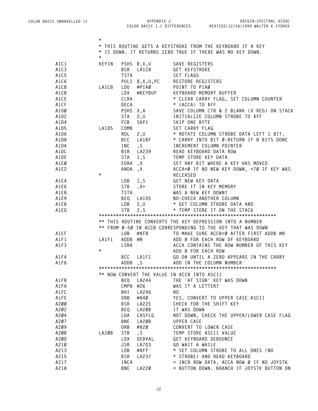|      | $^\star$                                                   |             |                                            |                                                                                                    |  |  |  |  |
|------|------------------------------------------------------------|-------------|--------------------------------------------|----------------------------------------------------------------------------------------------------|--|--|--|--|
|      | * THIS ROUTINE GETS A KEYSTROKE FROM THE KEYBOARD IF A KEY |             |                                            |                                                                                                    |  |  |  |  |
|      | * IS DOWN. IT RETURNS ZERO TRUE IF THERE WAS NO KEY DOWN.  |             |                                            |                                                                                                    |  |  |  |  |
|      | $^{\star}$                                                 |             |                                            |                                                                                                    |  |  |  |  |
| A1C1 | KEYIN                                                      |             | PSHS B, X, U                               | SAVE REGISTERS                                                                                     |  |  |  |  |
| A1C3 |                                                            | <b>BSR</b>  | LA1C8                                      | GET KEYSTROKE                                                                                      |  |  |  |  |
| A1C5 |                                                            | <b>TSTA</b> |                                            | SET FLAGS                                                                                          |  |  |  |  |
| A1C6 |                                                            |             |                                            | PULS B, X, U, PC RESTORE REGISTERS                                                                 |  |  |  |  |
| A1C8 | LA1C8                                                      | LDU         |                                            | #PIAØ POINT TO PIAØ                                                                                |  |  |  |  |
| A1CB |                                                            | LDX         |                                            |                                                                                                    |  |  |  |  |
| A1CE |                                                            | CLRA        |                                            | #KEYBUF KEYBOARD MEMORY BUFFER<br>* CLEAR CARRY FLAG, SET COLUMN COUNTER                           |  |  |  |  |
|      |                                                            | DECA        |                                            |                                                                                                    |  |  |  |  |
| A1CF |                                                            |             |                                            | * (ACCA) TO \$FF                                                                                   |  |  |  |  |
| A1DØ |                                                            |             |                                            | SAVE COLUMN CTR & 2 BLANK (X REG) ON STACK<br>PSHS X,A<br>STA 2,U SAVE COLUMN CTR & 2 BLANK (X REC |  |  |  |  |
| A1D2 |                                                            | FCB         |                                            |                                                                                                    |  |  |  |  |
| A1D4 |                                                            |             |                                            | SKP1 SKIP ONE BYTE                                                                                 |  |  |  |  |
| A1D5 | LA1D5                                                      | COMB        |                                            | SET CARRY FLAG                                                                                     |  |  |  |  |
| A1D6 |                                                            | ROL         |                                            | 2,U * ROTATE COLUMN STROBE DATA LEFT 1 BIT,                                                        |  |  |  |  |
| A1D8 |                                                            | BCC         |                                            | LA1BF * CARRY INTO BIT Ø-RETURN IF 8 BITS DONE                                                     |  |  |  |  |
| A1DA |                                                            | INC         | $\mathsf{S}$                               | INCREMENT COLUMN POINTER                                                                           |  |  |  |  |
| A1DC |                                                            |             |                                            | READ KEYBOARD DATA ROW                                                                             |  |  |  |  |
| A1DE |                                                            |             |                                            | TEMP STORE KEY DATA                                                                                |  |  |  |  |
| A1EØ |                                                            |             |                                            | SET ANY BIT WHERE A KEY HAS MOVED                                                                  |  |  |  |  |
| A1E2 |                                                            |             | BSR LA239<br>STA 1,S<br>EORA ,X<br>ANDA ,X | ACCA=Ø IF NO NEW KEY DOWN, <7Ø IF KEY WAS                                                          |  |  |  |  |
|      | $\star$                                                    |             |                                            | RELEASED                                                                                           |  |  |  |  |
| A1E4 |                                                            | LDB         |                                            | 1,S GET NEW KEY DATA                                                                               |  |  |  |  |
| A1E6 |                                                            | <b>STB</b>  |                                            | , X+ STORE IT IN KEY MEMORY                                                                        |  |  |  |  |
| A1E8 |                                                            | <b>TSTA</b> |                                            | WAS A NEW KEY DOWN?                                                                                |  |  |  |  |
| A1E9 |                                                            |             | BEQ LA1D5                                  |                                                                                                    |  |  |  |  |
| A1EB |                                                            | LDB         | 2, U                                       | NO-CHECK ANOTHER COLUMN<br>* GET COLUMN STROBE DATA AND<br>* TEMP STORE IT ON THE STACK            |  |  |  |  |
| A1ED |                                                            | <b>STB</b>  | 2, S                                       |                                                                                                    |  |  |  |  |
|      |                                                            |             |                                            |                                                                                                    |  |  |  |  |
|      |                                                            |             |                                            | ** THIS ROUTINE CONVERTS THE KEY DEPRESSION INTO A NUMBER                                          |  |  |  |  |
|      |                                                            |             |                                            | ** FROM Ø-50 IN ACCB CORRESPONDING TO THE KEY THAT WAS DOWN                                        |  |  |  |  |
| A1EF |                                                            | LDB         | #\$F8                                      | TO MAKE SURE ACCB=Ø AFTER FIRST ADDB #8                                                            |  |  |  |  |
| A1F1 | LA1F1                                                      |             | ADDB #8                                    | ADD 8 FOR EACH ROW OF KEYBOARD                                                                     |  |  |  |  |
| A1F3 |                                                            | LSRA        |                                            | ACCA CONTAINS THE ROW NUMBER OF THIS KEY                                                           |  |  |  |  |
|      | $^\star$                                                   |             |                                            | BCC LA1F1 GO ON UNTIL A ZERO APPEARS IN THE CARRY<br>ADDB, S ADD IN THE COLUMN NUMERT              |  |  |  |  |
| A1F4 |                                                            |             |                                            |                                                                                                    |  |  |  |  |
| A1F6 |                                                            |             |                                            |                                                                                                    |  |  |  |  |
|      |                                                            |             |                                            |                                                                                                    |  |  |  |  |
|      |                                                            |             |                                            | ** NOW CONVERT THE VALUE IN ACCB INTO ASCII                                                        |  |  |  |  |
| A1F8 |                                                            | BEQ         | LA244                                      | THE 'AT SIGN' KEY WAS DOWN                                                                         |  |  |  |  |
| A1FA |                                                            | CMPB        | #26                                        | WAS IT A LETTER?                                                                                   |  |  |  |  |
| A1FC |                                                            | BHI         | LA246                                      | NO.                                                                                                |  |  |  |  |
| A1FE |                                                            | 0RB         | #\$40                                      | YES, CONVERT TO UPPER CASE ASCII                                                                   |  |  |  |  |
| A200 |                                                            | <b>BSR</b>  | LA22E                                      | CHECK FOR THE SHIFT KEY                                                                            |  |  |  |  |
| A202 |                                                            | BEQ         | LA2ØB                                      | IT WAS DOWN                                                                                        |  |  |  |  |
| A204 |                                                            | LDA         | CASFLG                                     | NOT DOWN, CHECK THE UPPER/LOWER CASE FLAG                                                          |  |  |  |  |
| A207 |                                                            | BNE         | LA2ØB                                      | UPPER CASE                                                                                         |  |  |  |  |
| A2Ø9 |                                                            | ORB         | #\$20                                      | CONVERT TO LOWER CASE                                                                              |  |  |  |  |
| A20B | LA2ØB                                                      | <b>STB</b>  | $\mathsf{S}$                               | TEMP STORE ASCII VALUE                                                                             |  |  |  |  |
| A2ØD |                                                            | LDX         | DEBVAL                                     | GET KEYBOARD DEBOUNCE                                                                              |  |  |  |  |
| A210 |                                                            | JSR         | LA7D3                                      | GO WAIT A WHILE                                                                                    |  |  |  |  |
| A213 |                                                            | LDB         | #\$FF                                      | * SET COLUMN STROBE TO ALL ONES (NO                                                                |  |  |  |  |
| A215 |                                                            | <b>BSR</b>  | LA237                                      | * STROBE) AND READ KEYBOARD                                                                        |  |  |  |  |
| A217 |                                                            | INCA        |                                            | = INCR ROW DATA, ACCA NOW Ø IF NO JOYSTK                                                           |  |  |  |  |
| A218 |                                                            | BNE         | LA220                                      | = BUTTON DOWN. BRANCH IF JOYSTK BUTTON DN                                                          |  |  |  |  |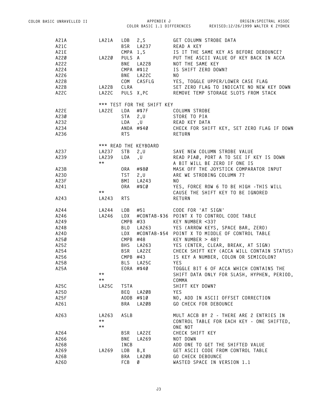| COLOR BASIC UNRAVELLED II |              |             | APPENDIX J                 |                          | ORIGIN: SPECTRAL ASSOC                                                       |  |  |
|---------------------------|--------------|-------------|----------------------------|--------------------------|------------------------------------------------------------------------------|--|--|
|                           |              |             |                            |                          | COLOR BASIC 1.1 DIFFERENCES REVISED:12/26/1999 WALTER K ZYDHEK               |  |  |
| A21A                      | LA21A        | LDB         | 2, S                       |                          | GET COLUMN STROBE DATA                                                       |  |  |
| A21C                      |              |             | BSR LA237                  | READ A KEY               |                                                                              |  |  |
| A21E                      |              |             | CMPA 1,S                   |                          | IS IT THE SAME KEY AS BEFORE DEBOUNCE?                                       |  |  |
| A220                      | LA220        | PULS A      |                            |                          | PUT THE ASCII VALUE OF KEY BACK IN ACCA                                      |  |  |
| A222                      |              | BNE         | LA22B                      | NOT THE SAME KEY         |                                                                              |  |  |
| A224                      |              |             | CMPA #\$12                 | IS SHIFT ZERO DOWN?      |                                                                              |  |  |
| A226                      |              | BNE         | LA22C                      | NO.                      |                                                                              |  |  |
| A228                      |              |             |                            |                          | COM CASFLG YES, TOGGLE UPPER/LOWER CASE FLAG                                 |  |  |
| A22B                      | LA22B        | CLRA        |                            |                          | SET ZERO FLAG TO INDICATE NO NEW KEY DOWN                                    |  |  |
| A22C                      | LA22C        |             | PULS X, PC                 |                          | REMOVE TEMP STORAGE SLOTS FROM STACK                                         |  |  |
|                           |              |             | *** TEST FOR THE SHIFT KEY |                          |                                                                              |  |  |
| A22E                      | LA22E        |             | LDA #\$7F                  | COLUMN STROBE            |                                                                              |  |  |
| A230                      |              | <b>STA</b>  | 2, U                       | STORE TO PIA             |                                                                              |  |  |
| A232                      |              | LDA         | , U READ KEY DATA          |                          |                                                                              |  |  |
| A234                      |              |             |                            |                          | ANDA #\$40 CHECK FOR SHIFT KEY, SET ZERO FLAG IF DOWN                        |  |  |
| A236                      |              | <b>RTS</b>  |                            | RETURN                   |                                                                              |  |  |
|                           |              |             | *** READ THE KEYBOARD      |                          |                                                                              |  |  |
| A237                      | LA237        | STB         | 2, U                       |                          | SAVE NEW COLUMN STROBE VALUE                                                 |  |  |
| A239                      | LA239        | LDA         | , U                        |                          | READ PIAØ, PORT A TO SEE IF KEY IS DOWN                                      |  |  |
|                           | $***$        |             |                            |                          | A BIT WILL BE ZERO IF ONE IS                                                 |  |  |
| A23B                      |              | ORA         | #\$80                      |                          | MASK OFF THE JOYSTICK COMPARATOR INPUT                                       |  |  |
| A23D                      |              | <b>TST</b>  | 2, U                       |                          | ARE WE STROBING COLUMN 7?                                                    |  |  |
| A23F                      |              | BMI         | LA243                      | NO.                      |                                                                              |  |  |
| A241                      | $\star\star$ | ORA         | #\$CØ                      |                          | YES, FORCE ROW 6 TO BE HIGH - THIS WILL<br>CAUSE THE SHIFT KEY TO BE IGNORED |  |  |
| A243                      | LA243        | <b>RTS</b>  |                            | RETURN                   |                                                                              |  |  |
| A244                      | LA244        | LDB         | #51                        | CODE FOR 'AT SIGN'       |                                                                              |  |  |
| A246                      | LA246        | LDX         |                            |                          | #CONTAB-\$36 POINT X TO CONTROL CODE TABLE                                   |  |  |
| A249                      |              | CMPB #33    |                            | KEY NUMBER <33?          |                                                                              |  |  |
| A24B                      |              | BLO         |                            |                          | LA263 YES (ARROW KEYS, SPACE BAR, ZERO)                                      |  |  |
| A24D                      |              | LDX         |                            |                          | #CONTAB-\$54 POINT X TO MIDDLE OF CONTROL TABLE                              |  |  |
| A250                      |              | CMPB #48    |                            | KEY NUMBER $> 48$ ?      |                                                                              |  |  |
| A252                      |              | <b>BHS</b>  | LA263                      |                          | YES (ENTER, CLEAR, BREAK, AT SIGN)                                           |  |  |
| A254                      |              |             | BSR LA22E                  |                          | CHECK SHIFT KEY (ACCA WILL CONTAIN STATUS)                                   |  |  |
| A256                      |              | CMPB #43    |                            |                          | IS KEY A NUMBER, COLON OR SEMICOLON?                                         |  |  |
| A258                      |              | <b>BLS</b>  | LA25C                      | <b>YES</b>               |                                                                              |  |  |
| A25A                      |              |             | EORA #\$40                 |                          | TOGGLE BIT 6 OF ACCA WHICH CONTAINS THE                                      |  |  |
|                           | $\star\star$ |             |                            |                          | SHIFT DATA ONLY FOR SLASH, HYPHEN, PERIOD,                                   |  |  |
|                           | $\star\star$ |             |                            | COMMA                    |                                                                              |  |  |
| A25C                      | <b>LA25C</b> | <b>TSTA</b> |                            | SHIFT KEY DOWN?          |                                                                              |  |  |
| A25D                      |              | BEQ         | LA2ØB                      | <b>YES</b>               |                                                                              |  |  |
| A25F                      |              |             | $ADDB$ #\$10               |                          | NO, ADD IN ASCII OFFSET CORRECTION                                           |  |  |
| A261                      |              | BRA         | LA2ØB                      |                          | GO CHECK FOR DEBOUNCE                                                        |  |  |
| A263                      | LA263        | ASLB        |                            |                          | MULT ACCB BY 2 - THERE ARE 2 ENTRIES IN                                      |  |  |
|                           | $\star\star$ |             |                            |                          | CONTROL TABLE FOR EACH KEY - ONE SHIFTED,                                    |  |  |
|                           | $\star\star$ |             |                            | ONE NOT                  |                                                                              |  |  |
| A264                      |              | BSR         | LA22E                      | CHECK SHIFT KEY          |                                                                              |  |  |
| A266                      |              | BNE         | LA269                      | NOT DOWN                 |                                                                              |  |  |
| A268                      |              | INCB        |                            |                          | ADD ONE TO GET THE SHIFTED VALUE                                             |  |  |
| A269                      | LA269        | LDB         | B,X                        |                          | GET ASCII CODE FROM CONTROL TABLE                                            |  |  |
| A26B                      |              | BRA         | LA2ØB                      | <b>GO CHECK DEBOUNCE</b> |                                                                              |  |  |
| A26D                      |              | FCB         | Ø                          |                          | WASTED SPACE IN VERSION 1.1                                                  |  |  |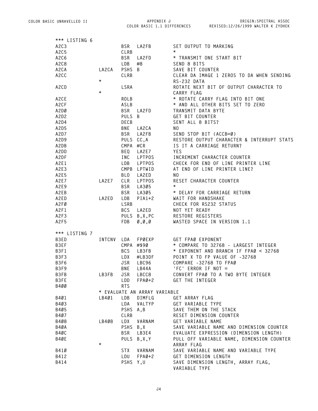**COLOR BASIC 1.1 DIFFERENCES REVISED:12/26/1999 WALTER K ZYDHEK ORIGIN:SPECTRAL ASSOC**

| *** LISTING 6                 |            |             |                                         |                                            |
|-------------------------------|------------|-------------|-----------------------------------------|--------------------------------------------|
| A2C3                          |            | <b>BSR</b>  | LA2FB                                   | SET OUTPUT TO MARKING                      |
| A2C5                          |            | CLRB        |                                         | $^\star$                                   |
| A <sub>2</sub> C <sub>6</sub> |            | <b>BSR</b>  | LA2FD                                   | * TRANSMIT ONE START BIT                   |
| A <sub>2</sub> C <sub>8</sub> |            | LDB         | #8                                      | SEND 8 BITS                                |
| A2CA                          | LA2CA      | PSHS B      |                                         | SAVE BIT COUNTER                           |
| A2CC                          |            | CLRB        |                                         | CLEAR DA IMAGE 1 ZEROS TO DA WHEN SENDING  |
|                               | $\star$    |             |                                         | RS-232 DATA                                |
| A2CD                          |            | LSRA        |                                         | ROTATE NEXT BIT OF OUTPUT CHARACTER TO     |
|                               | $^\star$   |             |                                         | CARRY FLAG                                 |
| A2CE                          |            | <b>ROLB</b> |                                         | * ROTATE CARRY FLAG INTO BIT ONE           |
| A <sub>2</sub> CF             |            | ASLB        |                                         | * AND ALL OTHER BITS SET TO ZERO           |
| A2DØ                          |            | <b>BSR</b>  |                                         | TRANSMIT DATA BYTE                         |
|                               |            |             | LA2FD                                   |                                            |
| A2D2                          |            | PULS B      |                                         | GET BIT COUNTER                            |
| A2D4                          |            | DECB        |                                         | SENT ALL 8 BITS?                           |
| A2D5                          |            | <b>BNE</b>  | LA2CA                                   | NO.                                        |
| A2D7                          |            | BSR         | LA2FB                                   | SEND STOP BIT (ACCB=Ø)                     |
| A2D9                          |            |             | PULS CC,A                               | RESTORE OUTPUT CHARACTER & INTERRUPT STATS |
| A2DB                          |            |             | CMPA #CR                                | IS IT A CARRIAGE RETURN?                   |
| A2DD                          |            | BEQ         | LA2E7                                   | <b>YES</b>                                 |
| A2DF                          |            | INC         | LPTPOS                                  | INCREMENT CHARACTER COUNTER                |
| A2E1                          |            | LDB         | LPTPOS                                  | CHECK FOR END OF LINE PRINTER LINE         |
| A2E3                          |            |             | CMPB LPTWID                             | AT END OF LINE PRINTER LINE?               |
| A2E5                          |            | <b>BLO</b>  | LA2ED                                   | NO.                                        |
| A2E7                          | LA2E7      | CLR         | LPTPOS                                  | RESET CHARACTER COUNTER                    |
| A2E9                          |            | BSR         | LA305                                   | $\star$                                    |
| A2EB                          |            | <b>BSR</b>  | LA305                                   | * DELAY FOR CARRIAGE RETURN                |
| A2ED                          | LA2ED      | LDB         | $PIA1+2$                                | WAIT FOR HANDSHAKE                         |
| A2FØ                          |            | LSRB        |                                         | CHECK FOR RS232 STATUS                     |
| A2F1                          |            | <b>BCS</b>  | LA2ED                                   | NOT YET READY                              |
| A2F3                          |            |             | PULS B, X, PC                           | RESTORE REGISTERS                          |
| A2F5                          |            | FDB         | $\emptyset$ , $\emptyset$ , $\emptyset$ | WASTED SPACE IN VERSION 1.1                |
|                               |            |             |                                         |                                            |
| *** LISTING 7                 |            |             |                                         |                                            |
| B3ED                          | INTCNV LDA |             | FPØEXP                                  | GET FPAØ EXPONENT                          |
| B3EF                          |            |             | CMPA #\$90                              | * COMPARE TO 32768 - LARGEST INTEGER       |
| B3F1                          |            | <b>BCS</b>  | LB3FB                                   | * EXPONENT AND BRANCH IF FPAØ < 32768      |
| B3F3                          |            | LDX         | #LB3DF                                  | POINT X TO FP VALUE OF -32768              |
| B3F6                          |            | JSR         | LBC96                                   | COMPARE -32768 TO FPAØ                     |
| B3F9                          |            |             | BNE LB44A                               | 'FC' ERROR IF NOT =                        |
| B3FB                          | LB3FB      | JSR         | LBCC8                                   | CONVERT FPAØ TO A TWO BYTE INTEGER         |
| B3FE                          |            | LDD         | $FPAØ+2$                                | GET THE INTEGER                            |
| B400                          |            | <b>RTS</b>  |                                         |                                            |
|                               |            |             | * EVALUATE AN ARRAY VARIABLE            |                                            |
| B401                          | LB401      | LDB         | DIMFLG                                  | GET ARRAY FLAG                             |
| B403                          |            | LDA         | VALTYP                                  | GET VARIABLE TYPE                          |
| B405                          |            | PSHS A, B   |                                         | SAVE THEM ON THE STACK                     |
| B407                          |            | CLRB        |                                         | RESET DIMENSION COUNTER                    |
| B408                          | LB408      | LDX         | VARNAM                                  | GET VARIABLE NAME                          |
| B4ØA                          |            |             | PSHS B, X                               | SAVE VARIABLE NAME AND DIMENSION COUNTER   |
| B4ØC                          |            | BSR         | LB3E4                                   | EVALUATE EXPRESSION (DIMENSION LENGTH)     |
| B4ØE                          |            |             | PULS B,X,Y                              | PULL OFF VARIABLE NAME, DIMENSION COUNTER  |
|                               | $^\star$   |             |                                         |                                            |
|                               |            |             |                                         | ARRAY FLAG                                 |
| B41Ø                          |            | STX         | VARNAM                                  | SAVE VARIABLE NAME AND VARIABLE TYPE       |
| B412                          |            | LDU         | FPAØ+2                                  | GET DIMENSION LENGTH                       |
| B414                          |            | PSHS Y, U   |                                         | SAVE DIMENSION LENGTH, ARRAY FLAG,         |
|                               |            |             |                                         | VARIABLE TYPE                              |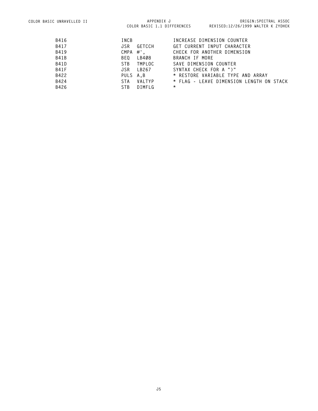| B416        | INCB                      | INCREASE DIMENSION COUNTER               |
|-------------|---------------------------|------------------------------------------|
| B417        | GETCCH<br>JSR             | GET CURRENT INPUT CHARACTER              |
| B419        | CMPA #',                  | CHECK FOR ANOTHER DIMENSION              |
| <b>B41B</b> | LB408<br>BEO              | BRANCH IF MORE                           |
| <b>B41D</b> | STB<br>TMPLOC             | SAVE DIMENSION COUNTER                   |
| <b>B41F</b> | LB267<br>JSR              | SYNTAX CHECK FOR A ")"                   |
| B422        | PULS A.B                  | * RESTORE VARIABLE TYPE AND ARRAY        |
| B424        | VALTYP<br>STA.            | * FLAG - LEAVE DIMENSION LENGTH ON STACK |
| B426        | ST <sub>R</sub><br>DIMFLG | $^\star$                                 |